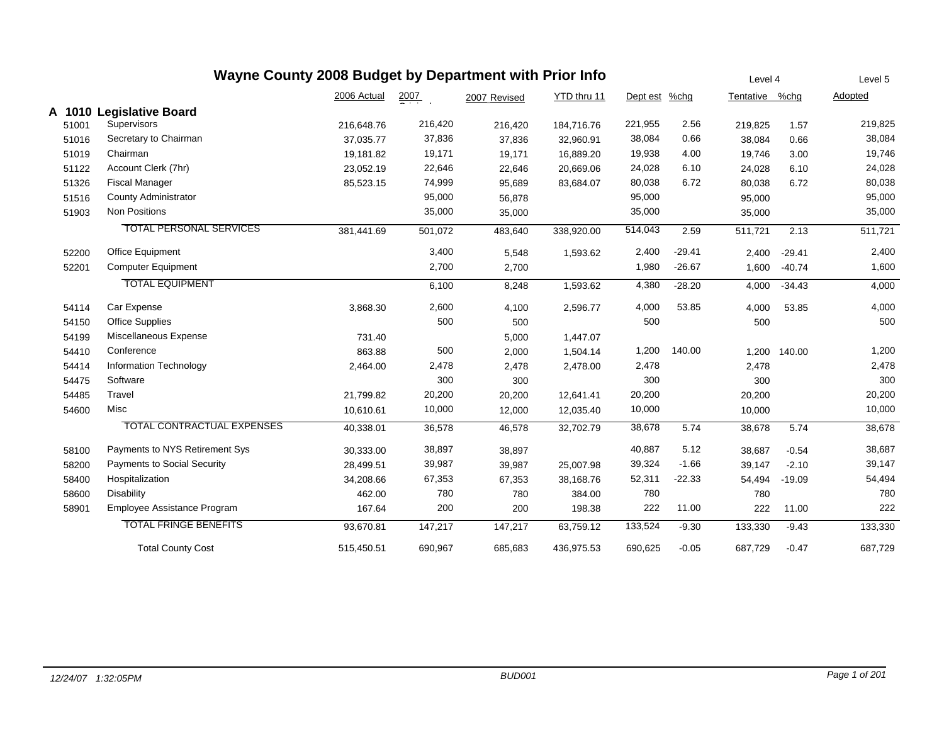|       | Wayne County 2008 Budget by Department with Prior Info | Level 4     |         | Level 5      |             |          |          |                |              |         |
|-------|--------------------------------------------------------|-------------|---------|--------------|-------------|----------|----------|----------------|--------------|---------|
|       |                                                        | 2006 Actual | 2007    | 2007 Revised | YTD thru 11 | Dept est | %chg     | Tentative %chg |              | Adopted |
|       | A 1010 Legislative Board                               |             |         |              |             |          |          |                |              |         |
| 51001 | Supervisors                                            | 216,648.76  | 216,420 | 216,420      | 184,716.76  | 221,955  | 2.56     | 219,825        | 1.57         | 219,825 |
| 51016 | Secretary to Chairman                                  | 37,035.77   | 37,836  | 37,836       | 32,960.91   | 38,084   | 0.66     | 38,084         | 0.66         | 38,084  |
| 51019 | Chairman                                               | 19,181.82   | 19,171  | 19,171       | 16,889.20   | 19,938   | 4.00     | 19,746         | 3.00         | 19,746  |
| 51122 | Account Clerk (7hr)                                    | 23,052.19   | 22,646  | 22,646       | 20,669.06   | 24,028   | 6.10     | 24,028         | 6.10         | 24,028  |
| 51326 | <b>Fiscal Manager</b>                                  | 85,523.15   | 74,999  | 95,689       | 83,684.07   | 80,038   | 6.72     | 80,038         | 6.72         | 80,038  |
| 51516 | <b>County Administrator</b>                            |             | 95,000  | 56,878       |             | 95,000   |          | 95,000         |              | 95,000  |
| 51903 | <b>Non Positions</b>                                   |             | 35,000  | 35,000       |             | 35,000   |          | 35,000         |              | 35,000  |
|       | <b>TOTAL PERSONAL SERVICES</b>                         | 381,441.69  | 501,072 | 483,640      | 338,920.00  | 514,043  | 2.59     | 511,721        | 2.13         | 511,721 |
| 52200 | <b>Office Equipment</b>                                |             | 3,400   | 5,548        | 1,593.62    | 2,400    | $-29.41$ | 2,400          | $-29.41$     | 2,400   |
| 52201 | <b>Computer Equipment</b>                              |             | 2,700   | 2,700        |             | 1,980    | $-26.67$ | 1,600          | $-40.74$     | 1,600   |
|       | <b>TOTAL EQUIPMENT</b>                                 |             | 6,100   | 8,248        | 1,593.62    | 4,380    | $-28.20$ | 4,000          | $-34.43$     | 4,000   |
| 54114 | Car Expense                                            | 3,868.30    | 2,600   | 4,100        | 2,596.77    | 4,000    | 53.85    | 4,000          | 53.85        | 4,000   |
| 54150 | <b>Office Supplies</b>                                 |             | 500     | 500          |             | 500      |          | 500            |              | 500     |
| 54199 | Miscellaneous Expense                                  | 731.40      |         | 5,000        | 1,447.07    |          |          |                |              |         |
| 54410 | Conference                                             | 863.88      | 500     | 2,000        | 1,504.14    | 1,200    | 140.00   |                | 1,200 140.00 | 1,200   |
| 54414 | Information Technology                                 | 2,464.00    | 2,478   | 2,478        | 2,478.00    | 2,478    |          | 2,478          |              | 2,478   |
| 54475 | Software                                               |             | 300     | 300          |             | 300      |          | 300            |              | 300     |
| 54485 | Travel                                                 | 21,799.82   | 20,200  | 20,200       | 12,641.41   | 20,200   |          | 20,200         |              | 20,200  |
| 54600 | Misc                                                   | 10,610.61   | 10,000  | 12,000       | 12,035.40   | 10,000   |          | 10,000         |              | 10,000  |
|       | TOTAL CONTRACTUAL EXPENSES                             | 40,338.01   | 36,578  | 46,578       | 32,702.79   | 38,678   | 5.74     | 38,678         | 5.74         | 38,678  |
| 58100 | Payments to NYS Retirement Sys                         | 30,333.00   | 38,897  | 38,897       |             | 40,887   | 5.12     | 38,687         | $-0.54$      | 38,687  |
| 58200 | <b>Payments to Social Security</b>                     | 28,499.51   | 39,987  | 39,987       | 25,007.98   | 39,324   | $-1.66$  | 39,147         | $-2.10$      | 39,147  |
| 58400 | Hospitalization                                        | 34,208.66   | 67,353  | 67,353       | 38,168.76   | 52,311   | $-22.33$ | 54,494         | $-19.09$     | 54,494  |
| 58600 | Disability                                             | 462.00      | 780     | 780          | 384.00      | 780      |          | 780            |              | 780     |
| 58901 | Employee Assistance Program                            | 167.64      | 200     | 200          | 198.38      | 222      | 11.00    | 222            | 11.00        | 222     |
|       | <b>TOTAL FRINGE BENEFITS</b>                           | 93,670.81   | 147,217 | 147,217      | 63,759.12   | 133,524  | $-9.30$  | 133,330        | $-9.43$      | 133,330 |
|       | <b>Total County Cost</b>                               | 515,450.51  | 690,967 | 685,683      | 436,975.53  | 690,625  | $-0.05$  | 687,729        | $-0.47$      | 687,729 |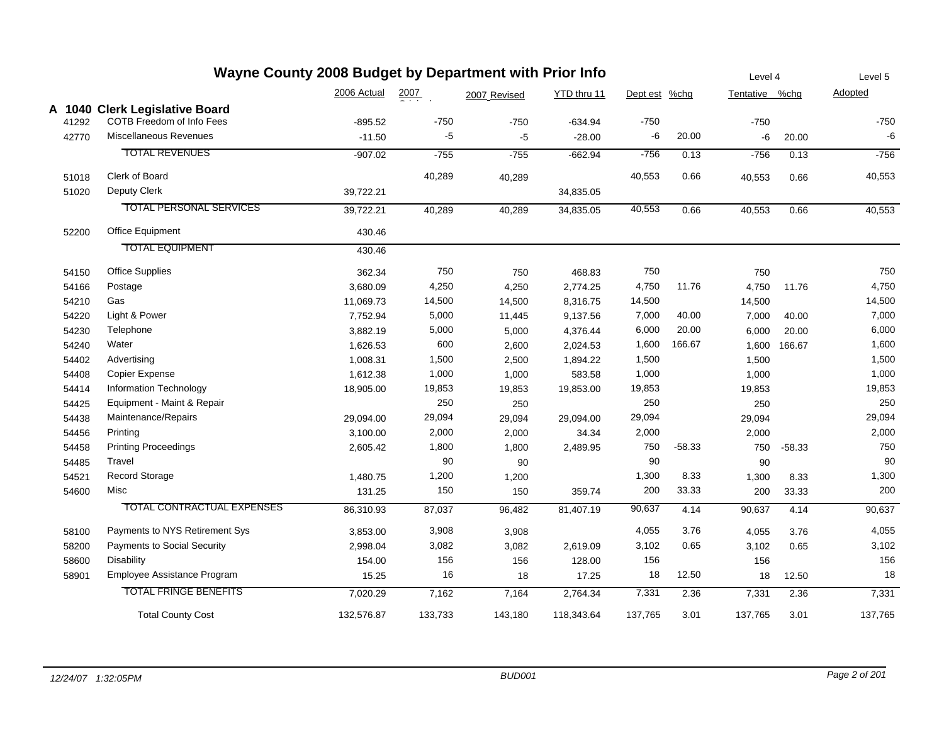|       | Wayne County 2008 Budget by Department with Prior Info |             |                  |              |             |               |          | Level 4        |          | Level 5 |
|-------|--------------------------------------------------------|-------------|------------------|--------------|-------------|---------------|----------|----------------|----------|---------|
|       |                                                        | 2006 Actual | $\frac{2007}{4}$ | 2007 Revised | YTD thru 11 | Dept est %chg |          | Tentative %chg |          | Adopted |
|       | A 1040 Clerk Legislative Board                         |             |                  |              |             |               |          |                |          |         |
| 41292 | COTB Freedom of Info Fees                              | $-895.52$   | $-750$           | $-750$       | $-634.94$   | $-750$        |          | $-750$         |          | $-750$  |
| 42770 | <b>Miscellaneous Revenues</b>                          | $-11.50$    | $-5$             | $-5$         | $-28.00$    | -6            | 20.00    | -6             | 20.00    | $-6$    |
|       | <b>TOTAL REVENUES</b>                                  | $-907.02$   | $-755$           | $-755$       | $-662.94$   | $-756$        | 0.13     | $-756$         | 0.13     | $-756$  |
| 51018 | Clerk of Board                                         |             | 40,289           | 40,289       |             | 40,553        | 0.66     | 40,553         | 0.66     | 40,553  |
| 51020 | Deputy Clerk                                           | 39,722.21   |                  |              | 34,835.05   |               |          |                |          |         |
|       | <b>TOTAL PERSONAL SERVICES</b>                         | 39,722.21   | 40,289           | 40,289       | 34,835.05   | 40,553        | 0.66     | 40,553         | 0.66     | 40,553  |
| 52200 | Office Equipment                                       | 430.46      |                  |              |             |               |          |                |          |         |
|       | <b>TOTAL EQUIPMENT</b>                                 | 430.46      |                  |              |             |               |          |                |          |         |
| 54150 | <b>Office Supplies</b>                                 | 362.34      | 750              | 750          | 468.83      | 750           |          | 750            |          | 750     |
| 54166 | Postage                                                | 3,680.09    | 4,250            | 4,250        | 2,774.25    | 4,750         | 11.76    | 4,750          | 11.76    | 4,750   |
| 54210 | Gas                                                    | 11,069.73   | 14,500           | 14,500       | 8,316.75    | 14,500        |          | 14,500         |          | 14,500  |
| 54220 | Light & Power                                          | 7,752.94    | 5,000            | 11,445       | 9,137.56    | 7,000         | 40.00    | 7,000          | 40.00    | 7,000   |
| 54230 | Telephone                                              | 3,882.19    | 5,000            | 5,000        | 4,376.44    | 6,000         | 20.00    | 6,000          | 20.00    | 6,000   |
| 54240 | Water                                                  | 1,626.53    | 600              | 2,600        | 2,024.53    | 1,600         | 166.67   | 1,600          | 166.67   | 1,600   |
| 54402 | Advertising                                            | 1,008.31    | 1,500            | 2,500        | 1,894.22    | 1,500         |          | 1,500          |          | 1,500   |
| 54408 | Copier Expense                                         | 1,612.38    | 1,000            | 1,000        | 583.58      | 1,000         |          | 1,000          |          | 1,000   |
| 54414 | Information Technology                                 | 18,905.00   | 19,853           | 19,853       | 19,853.00   | 19,853        |          | 19,853         |          | 19,853  |
| 54425 | Equipment - Maint & Repair                             |             | 250              | 250          |             | 250           |          | 250            |          | 250     |
| 54438 | Maintenance/Repairs                                    | 29,094.00   | 29,094           | 29,094       | 29,094.00   | 29,094        |          | 29,094         |          | 29,094  |
| 54456 | Printing                                               | 3,100.00    | 2,000            | 2,000        | 34.34       | 2,000         |          | 2,000          |          | 2,000   |
| 54458 | <b>Printing Proceedings</b>                            | 2,605.42    | 1,800            | 1,800        | 2,489.95    | 750           | $-58.33$ | 750            | $-58.33$ | 750     |
| 54485 | Travel                                                 |             | 90               | 90           |             | 90            |          | 90             |          | 90      |
| 54521 | Record Storage                                         | 1,480.75    | 1,200            | 1,200        |             | 1,300         | 8.33     | 1,300          | 8.33     | 1,300   |
| 54600 | Misc                                                   | 131.25      | 150              | 150          | 359.74      | 200           | 33.33    | 200            | 33.33    | 200     |
|       | <b>TOTAL CONTRACTUAL EXPENSES</b>                      | 86,310.93   | 87,037           | 96,482       | 81,407.19   | 90,637        | 4.14     | 90,637         | 4.14     | 90,637  |
| 58100 | Payments to NYS Retirement Sys                         | 3,853.00    | 3,908            | 3,908        |             | 4,055         | 3.76     | 4,055          | 3.76     | 4,055   |
| 58200 | Payments to Social Security                            | 2,998.04    | 3,082            | 3,082        | 2,619.09    | 3,102         | 0.65     | 3,102          | 0.65     | 3,102   |
| 58600 | Disability                                             | 154.00      | 156              | 156          | 128.00      | 156           |          | 156            |          | 156     |
| 58901 | Employee Assistance Program                            | 15.25       | 16               | 18           | 17.25       | 18            | 12.50    | 18             | 12.50    | 18      |
|       | <b>TOTAL FRINGE BENEFITS</b>                           | 7,020.29    | 7,162            | 7,164        | 2,764.34    | 7,331         | 2.36     | 7,331          | 2.36     | 7,331   |
|       | <b>Total County Cost</b>                               | 132,576.87  | 133,733          | 143,180      | 118,343.64  | 137,765       | 3.01     | 137,765        | 3.01     | 137,765 |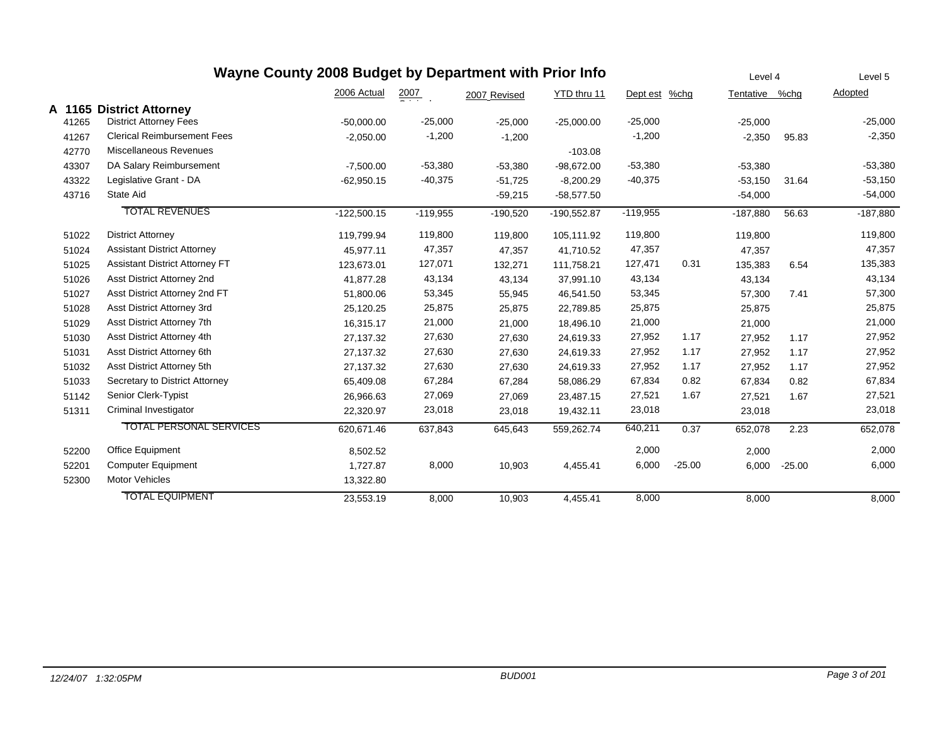| Wayne County 2008 Budget by Department with Prior Info |        |                                       |               |                  |              |               |            |          |                |          | Level 5    |
|--------------------------------------------------------|--------|---------------------------------------|---------------|------------------|--------------|---------------|------------|----------|----------------|----------|------------|
|                                                        |        |                                       | 2006 Actual   | $\frac{2007}{4}$ | 2007 Revised | YTD thru 11   | Dept est   | $%$ chg  | Tentative %chg |          | Adopted    |
|                                                        | A 1165 | <b>District Attorney</b>              |               |                  |              |               |            |          |                |          |            |
|                                                        | 41265  | <b>District Attorney Fees</b>         | $-50,000.00$  | $-25,000$        | $-25,000$    | $-25,000.00$  | $-25,000$  |          | $-25,000$      |          | $-25,000$  |
|                                                        | 41267  | <b>Clerical Reimbursement Fees</b>    | $-2,050.00$   | $-1,200$         | $-1,200$     |               | $-1,200$   |          | $-2,350$       | 95.83    | $-2,350$   |
|                                                        | 42770  | Miscellaneous Revenues                |               |                  |              | $-103.08$     |            |          |                |          |            |
|                                                        | 43307  | DA Salary Reimbursement               | $-7,500.00$   | $-53,380$        | $-53,380$    | $-98,672.00$  | $-53,380$  |          | $-53,380$      |          | $-53,380$  |
|                                                        | 43322  | Legislative Grant - DA                | $-62,950.15$  | $-40,375$        | $-51,725$    | $-8,200.29$   | $-40,375$  |          | $-53,150$      | 31.64    | $-53,150$  |
|                                                        | 43716  | State Aid                             |               |                  | $-59,215$    | $-58,577.50$  |            |          | $-54,000$      |          | $-54,000$  |
|                                                        |        | <b>TOTAL REVENUES</b>                 | $-122,500.15$ | $-119,955$       | $-190,520$   | $-190,552.87$ | $-119,955$ |          | $-187,880$     | 56.63    | $-187,880$ |
|                                                        | 51022  | <b>District Attorney</b>              | 119,799.94    | 119,800          | 119,800      | 105,111.92    | 119,800    |          | 119,800        |          | 119,800    |
|                                                        | 51024  | <b>Assistant District Attorney</b>    | 45,977.11     | 47,357           | 47,357       | 41,710.52     | 47,357     |          | 47,357         |          | 47,357     |
|                                                        | 51025  | <b>Assistant District Attorney FT</b> | 123,673.01    | 127,071          | 132,271      | 111,758.21    | 127,471    | 0.31     | 135,383        | 6.54     | 135,383    |
|                                                        | 51026  | Asst District Attorney 2nd            | 41,877.28     | 43,134           | 43,134       | 37,991.10     | 43,134     |          | 43,134         |          | 43,134     |
|                                                        | 51027  | Asst District Attorney 2nd FT         | 51,800.06     | 53,345           | 55,945       | 46,541.50     | 53,345     |          | 57,300         | 7.41     | 57,300     |
|                                                        | 51028  | Asst District Attorney 3rd            | 25,120.25     | 25,875           | 25,875       | 22,789.85     | 25,875     |          | 25,875         |          | 25,875     |
|                                                        | 51029  | Asst District Attorney 7th            | 16,315.17     | 21,000           | 21,000       | 18,496.10     | 21,000     |          | 21,000         |          | 21,000     |
|                                                        | 51030  | Asst District Attorney 4th            | 27,137.32     | 27,630           | 27,630       | 24,619.33     | 27,952     | 1.17     | 27,952         | 1.17     | 27,952     |
|                                                        | 51031  | Asst District Attorney 6th            | 27,137.32     | 27,630           | 27,630       | 24,619.33     | 27,952     | 1.17     | 27,952         | 1.17     | 27,952     |
|                                                        | 51032  | Asst District Attorney 5th            | 27,137.32     | 27,630           | 27,630       | 24,619.33     | 27,952     | 1.17     | 27,952         | 1.17     | 27,952     |
|                                                        | 51033  | Secretary to District Attorney        | 65,409.08     | 67,284           | 67,284       | 58,086.29     | 67,834     | 0.82     | 67,834         | 0.82     | 67,834     |
|                                                        | 51142  | Senior Clerk-Typist                   | 26,966.63     | 27,069           | 27,069       | 23,487.15     | 27,521     | 1.67     | 27,521         | 1.67     | 27,521     |
|                                                        | 51311  | Criminal Investigator                 | 22,320.97     | 23,018           | 23,018       | 19,432.11     | 23,018     |          | 23,018         |          | 23,018     |
|                                                        |        | <b>TOTAL PERSONAL SERVICES</b>        | 620,671.46    | 637,843          | 645,643      | 559,262.74    | 640,211    | 0.37     | 652,078        | 2.23     | 652,078    |
|                                                        | 52200  | Office Equipment                      | 8,502.52      |                  |              |               | 2,000      |          | 2,000          |          | 2,000      |
|                                                        | 52201  | <b>Computer Equipment</b>             | 1,727.87      | 8,000            | 10,903       | 4,455.41      | 6,000      | $-25.00$ | 6,000          | $-25.00$ | 6,000      |
|                                                        | 52300  | Motor Vehicles                        | 13,322.80     |                  |              |               |            |          |                |          |            |
|                                                        |        | <b>TOTAL EQUIPMENT</b>                | 23,553.19     | 8,000            | 10,903       | 4,455.41      | 8,000      |          | 8,000          |          | 8,000      |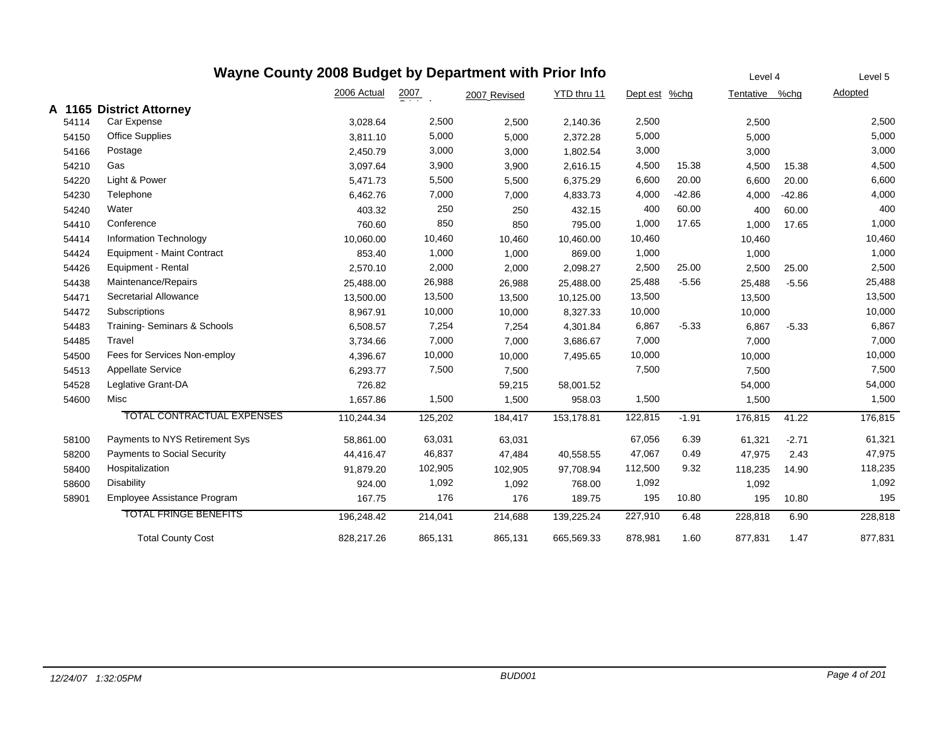|        | Wayne County 2008 Budget by Department with Prior Info |             | Level 4          |              | Level 5     |               |          |                |          |         |
|--------|--------------------------------------------------------|-------------|------------------|--------------|-------------|---------------|----------|----------------|----------|---------|
|        |                                                        | 2006 Actual | $\frac{2007}{4}$ | 2007 Revised | YTD thru 11 | Dept est %chg |          | Tentative %chg |          | Adopted |
| A 1165 | <b>District Attorney</b>                               |             |                  |              |             |               |          |                |          |         |
| 54114  | Car Expense                                            | 3,028.64    | 2,500            | 2,500        | 2,140.36    | 2,500         |          | 2,500          |          | 2,500   |
| 54150  | Office Supplies                                        | 3.811.10    | 5,000            | 5,000        | 2,372.28    | 5,000         |          | 5,000          |          | 5,000   |
| 54166  | Postage                                                | 2,450.79    | 3,000            | 3,000        | 1,802.54    | 3,000         |          | 3,000          |          | 3,000   |
| 54210  | Gas                                                    | 3,097.64    | 3,900            | 3,900        | 2,616.15    | 4,500         | 15.38    | 4,500          | 15.38    | 4,500   |
| 54220  | Light & Power                                          | 5,471.73    | 5,500            | 5,500        | 6,375.29    | 6,600         | 20.00    | 6,600          | 20.00    | 6,600   |
| 54230  | Telephone                                              | 6,462.76    | 7,000            | 7,000        | 4,833.73    | 4,000         | $-42.86$ | 4,000          | $-42.86$ | 4,000   |
| 54240  | Water                                                  | 403.32      | 250              | 250          | 432.15      | 400           | 60.00    | 400            | 60.00    | 400     |
| 54410  | Conference                                             | 760.60      | 850              | 850          | 795.00      | 1,000         | 17.65    | 1,000          | 17.65    | 1,000   |
| 54414  | Information Technology                                 | 10,060.00   | 10,460           | 10,460       | 10,460.00   | 10,460        |          | 10,460         |          | 10,460  |
| 54424  | <b>Equipment - Maint Contract</b>                      | 853.40      | 1,000            | 1,000        | 869.00      | 1,000         |          | 1,000          |          | 1,000   |
| 54426  | Equipment - Rental                                     | 2,570.10    | 2,000            | 2,000        | 2,098.27    | 2,500         | 25.00    | 2,500          | 25.00    | 2,500   |
| 54438  | Maintenance/Repairs                                    | 25,488.00   | 26,988           | 26,988       | 25,488.00   | 25,488        | $-5.56$  | 25,488         | $-5.56$  | 25,488  |
| 54471  | Secretarial Allowance                                  | 13,500.00   | 13,500           | 13,500       | 10,125.00   | 13,500        |          | 13,500         |          | 13,500  |
| 54472  | Subscriptions                                          | 8,967.91    | 10,000           | 10,000       | 8,327.33    | 10,000        |          | 10,000         |          | 10,000  |
| 54483  | Training-Seminars & Schools                            | 6,508.57    | 7,254            | 7,254        | 4,301.84    | 6,867         | $-5.33$  | 6,867          | $-5.33$  | 6,867   |
| 54485  | Travel                                                 | 3,734.66    | 7,000            | 7,000        | 3,686.67    | 7,000         |          | 7,000          |          | 7,000   |
| 54500  | Fees for Services Non-employ                           | 4,396.67    | 10,000           | 10,000       | 7,495.65    | 10,000        |          | 10,000         |          | 10,000  |
| 54513  | <b>Appellate Service</b>                               | 6,293.77    | 7,500            | 7,500        |             | 7,500         |          | 7,500          |          | 7,500   |
| 54528  | Leglative Grant-DA                                     | 726.82      |                  | 59,215       | 58,001.52   |               |          | 54,000         |          | 54,000  |
| 54600  | Misc                                                   | 1,657.86    | 1,500            | 1,500        | 958.03      | 1,500         |          | 1,500          |          | 1,500   |
|        | TOTAL CONTRACTUAL EXPENSES                             | 110,244.34  | 125,202          | 184,417      | 153,178.81  | 122,815       | $-1.91$  | 176,815        | 41.22    | 176,815 |
| 58100  | Payments to NYS Retirement Sys                         | 58,861.00   | 63,031           | 63,031       |             | 67,056        | 6.39     | 61,321         | $-2.71$  | 61,321  |
| 58200  | <b>Payments to Social Security</b>                     | 44,416.47   | 46,837           | 47,484       | 40,558.55   | 47,067        | 0.49     | 47,975         | 2.43     | 47,975  |
| 58400  | Hospitalization                                        | 91,879.20   | 102,905          | 102,905      | 97,708.94   | 112,500       | 9.32     | 118,235        | 14.90    | 118,235 |
| 58600  | <b>Disability</b>                                      | 924.00      | 1,092            | 1,092        | 768.00      | 1,092         |          | 1,092          |          | 1,092   |
| 58901  | Employee Assistance Program                            | 167.75      | 176              | 176          | 189.75      | 195           | 10.80    | 195            | 10.80    | 195     |
|        | <b>TOTAL FRINGE BENEFITS</b>                           | 196,248.42  | 214,041          | 214,688      | 139,225.24  | 227,910       | 6.48     | 228,818        | 6.90     | 228,818 |
|        | <b>Total County Cost</b>                               | 828,217.26  | 865,131          | 865,131      | 665,569.33  | 878,981       | 1.60     | 877,831        | 1.47     | 877,831 |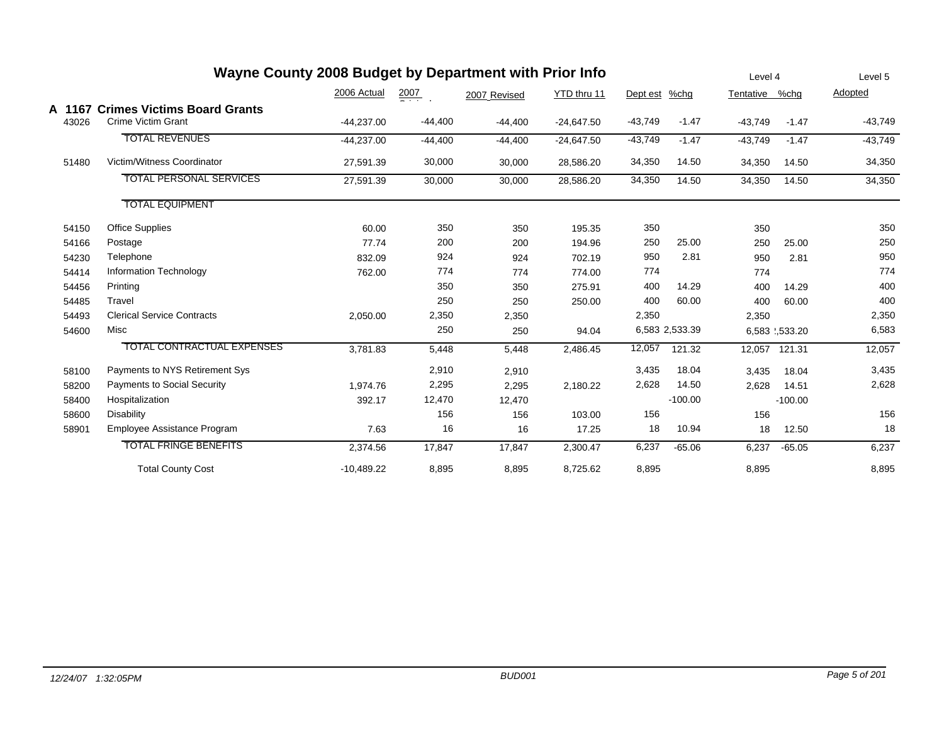| Wayne County 2008 Budget by Department with Prior Info |                                                                 |              |                  |              |              |           |                |           |               | Level 5   |
|--------------------------------------------------------|-----------------------------------------------------------------|--------------|------------------|--------------|--------------|-----------|----------------|-----------|---------------|-----------|
|                                                        |                                                                 | 2006 Actual  | $\frac{2007}{2}$ | 2007 Revised | YTD thru 11  | Dept est  | %chg           | Tentative | %chg          | Adopted   |
| A 1167<br>43026                                        | <b>Crimes Victims Board Grants</b><br><b>Crime Victim Grant</b> | $-44,237.00$ | $-44,400$        | $-44,400$    | $-24,647.50$ | $-43,749$ | $-1.47$        | $-43,749$ | $-1.47$       | $-43,749$ |
|                                                        | <b>TOTAL REVENUES</b>                                           | $-44,237.00$ | $-44,400$        | $-44,400$    | $-24,647.50$ | $-43,749$ | $-1.47$        | $-43,749$ | $-1.47$       | $-43,749$ |
| 51480                                                  | Victim/Witness Coordinator                                      | 27,591.39    | 30,000           | 30,000       | 28,586.20    | 34,350    | 14.50          | 34,350    | 14.50         | 34,350    |
|                                                        | <b>TOTAL PERSONAL SERVICES</b>                                  | 27,591.39    | 30,000           | 30,000       | 28,586.20    | 34,350    | 14.50          | 34,350    | 14.50         | 34,350    |
|                                                        | <b>TOTAL EQUIPMENT</b>                                          |              |                  |              |              |           |                |           |               |           |
| 54150                                                  | Office Supplies                                                 | 60.00        | 350              | 350          | 195.35       | 350       |                | 350       |               | 350       |
| 54166                                                  | Postage                                                         | 77.74        | 200              | 200          | 194.96       | 250       | 25.00          | 250       | 25.00         | 250       |
| 54230                                                  | Telephone                                                       | 832.09       | 924              | 924          | 702.19       | 950       | 2.81           | 950       | 2.81          | 950       |
| 54414                                                  | Information Technology                                          | 762.00       | 774              | 774          | 774.00       | 774       |                | 774       |               | 774       |
| 54456                                                  | Printing                                                        |              | 350              | 350          | 275.91       | 400       | 14.29          | 400       | 14.29         | 400       |
| 54485                                                  | Travel                                                          |              | 250              | 250          | 250.00       | 400       | 60.00          | 400       | 60.00         | 400       |
| 54493                                                  | <b>Clerical Service Contracts</b>                               | 2,050.00     | 2,350            | 2,350        |              | 2,350     |                | 2,350     |               | 2,350     |
| 54600                                                  | Misc                                                            |              | 250              | 250          | 94.04        |           | 6,583 2,533.39 |           | 6,583 .533.20 | 6,583     |
|                                                        | <b>TOTAL CONTRACTUAL EXPENSES</b>                               | 3,781.83     | 5,448            | 5,448        | 2,486.45     | 12,057    | 121.32         | 12,057    | 121.31        | 12,057    |
| 58100                                                  | Payments to NYS Retirement Sys                                  |              | 2,910            | 2,910        |              | 3,435     | 18.04          | 3,435     | 18.04         | 3,435     |
| 58200                                                  | <b>Payments to Social Security</b>                              | 1.974.76     | 2,295            | 2,295        | 2,180.22     | 2,628     | 14.50          | 2,628     | 14.51         | 2,628     |
| 58400                                                  | Hospitalization                                                 | 392.17       | 12,470           | 12,470       |              |           | $-100.00$      |           | $-100.00$     |           |
| 58600                                                  | Disability                                                      |              | 156              | 156          | 103.00       | 156       |                | 156       |               | 156       |
| 58901                                                  | Employee Assistance Program                                     | 7.63         | 16               | 16           | 17.25        | 18        | 10.94          | 18        | 12.50         | 18        |
|                                                        | <b>TOTAL FRINGE BENEFITS</b>                                    | 2,374.56     | 17,847           | 17,847       | 2,300.47     | 6,237     | $-65.06$       | 6,237     | $-65.05$      | 6,237     |
|                                                        | <b>Total County Cost</b>                                        | $-10,489.22$ | 8,895            | 8,895        | 8,725.62     | 8,895     |                | 8,895     |               | 8,895     |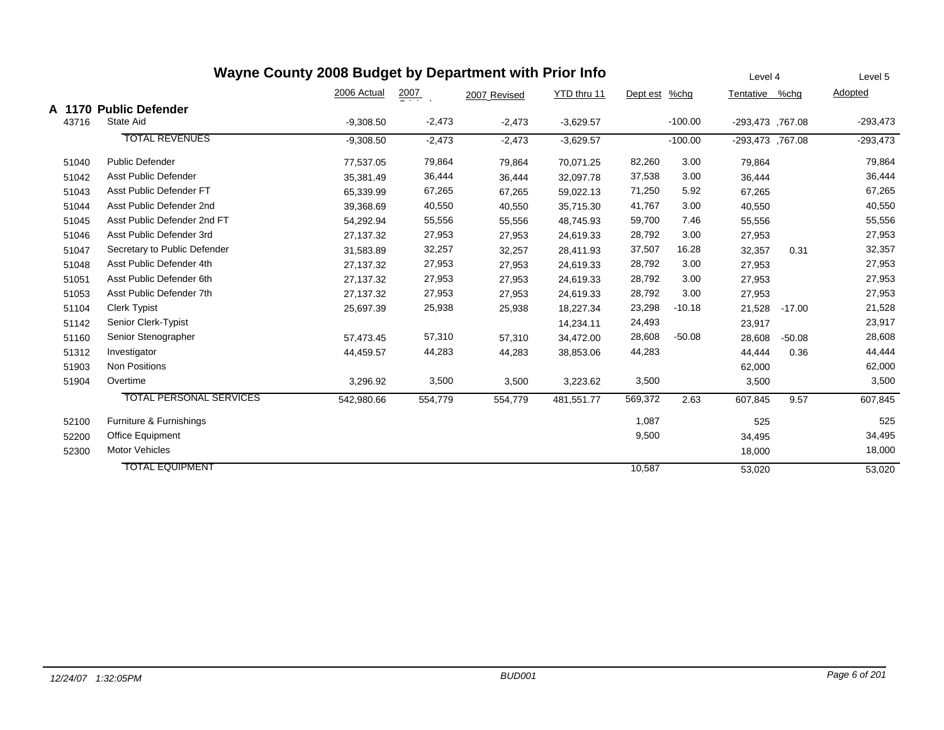| Wayne County 2008 Budget by Department with Prior Info |                                |             |                  |              |             |               |           |                  |          | Level 5        |
|--------------------------------------------------------|--------------------------------|-------------|------------------|--------------|-------------|---------------|-----------|------------------|----------|----------------|
|                                                        |                                | 2006 Actual | $\frac{2007}{2}$ | 2007 Revised | YTD thru 11 | Dept est %chg |           | Tentative %chg   |          | <b>Adopted</b> |
|                                                        | A 1170 Public Defender         |             |                  |              |             |               |           |                  |          |                |
| 43716                                                  | State Aid                      | $-9,308.50$ | $-2,473$         | $-2,473$     | $-3,629.57$ |               | $-100.00$ | -293,473, 767.08 |          | $-293,473$     |
|                                                        | <b>TOTAL REVENUES</b>          | $-9,308.50$ | $-2,473$         | $-2,473$     | $-3,629.57$ |               | $-100.00$ | -293,473,767.08  |          | $-293,473$     |
| 51040                                                  | <b>Public Defender</b>         | 77,537.05   | 79,864           | 79,864       | 70,071.25   | 82,260        | 3.00      | 79,864           |          | 79,864         |
| 51042                                                  | Asst Public Defender           | 35,381.49   | 36,444           | 36,444       | 32,097.78   | 37,538        | 3.00      | 36,444           |          | 36,444         |
| 51043                                                  | Asst Public Defender FT        | 65,339.99   | 67,265           | 67,265       | 59,022.13   | 71,250        | 5.92      | 67,265           |          | 67,265         |
| 51044                                                  | Asst Public Defender 2nd       | 39,368.69   | 40,550           | 40,550       | 35,715.30   | 41,767        | 3.00      | 40,550           |          | 40,550         |
| 51045                                                  | Asst Public Defender 2nd FT    | 54,292.94   | 55,556           | 55,556       | 48,745.93   | 59,700        | 7.46      | 55,556           |          | 55,556         |
| 51046                                                  | Asst Public Defender 3rd       | 27,137.32   | 27,953           | 27,953       | 24,619.33   | 28,792        | 3.00      | 27,953           |          | 27,953         |
| 51047                                                  | Secretary to Public Defender   | 31,583.89   | 32,257           | 32,257       | 28,411.93   | 37,507        | 16.28     | 32,357           | 0.31     | 32,357         |
| 51048                                                  | Asst Public Defender 4th       | 27.137.32   | 27,953           | 27,953       | 24,619.33   | 28,792        | 3.00      | 27,953           |          | 27,953         |
| 51051                                                  | Asst Public Defender 6th       | 27,137.32   | 27,953           | 27,953       | 24,619.33   | 28,792        | 3.00      | 27,953           |          | 27,953         |
| 51053                                                  | Asst Public Defender 7th       | 27,137.32   | 27,953           | 27,953       | 24,619.33   | 28,792        | 3.00      | 27,953           |          | 27,953         |
| 51104                                                  | <b>Clerk Typist</b>            | 25,697.39   | 25,938           | 25,938       | 18,227.34   | 23,298        | $-10.18$  | 21,528           | $-17.00$ | 21,528         |
| 51142                                                  | Senior Clerk-Typist            |             |                  |              | 14,234.11   | 24,493        |           | 23,917           |          | 23,917         |
| 51160                                                  | Senior Stenographer            | 57,473.45   | 57,310           | 57,310       | 34,472.00   | 28,608        | $-50.08$  | 28,608           | $-50.08$ | 28,608         |
| 51312                                                  | Investigator                   | 44,459.57   | 44,283           | 44,283       | 38,853.06   | 44,283        |           | 44,444           | 0.36     | 44,444         |
| 51903                                                  | Non Positions                  |             |                  |              |             |               |           | 62,000           |          | 62,000         |
| 51904                                                  | Overtime                       | 3,296.92    | 3,500            | 3,500        | 3,223.62    | 3,500         |           | 3,500            |          | 3,500          |
|                                                        | <b>TOTAL PERSONAL SERVICES</b> | 542,980.66  | 554,779          | 554,779      | 481,551.77  | 569,372       | 2.63      | 607,845          | 9.57     | 607,845        |
| 52100                                                  | Furniture & Furnishings        |             |                  |              |             | 1,087         |           | 525              |          | 525            |
| 52200                                                  | Office Equipment               |             |                  |              |             | 9,500         |           | 34,495           |          | 34,495         |
| 52300                                                  | <b>Motor Vehicles</b>          |             |                  |              |             |               |           | 18,000           |          | 18,000         |
|                                                        | <b>TOTAL EQUIPMENT</b>         |             |                  |              |             | 10,587        |           | 53.020           |          | 53,020         |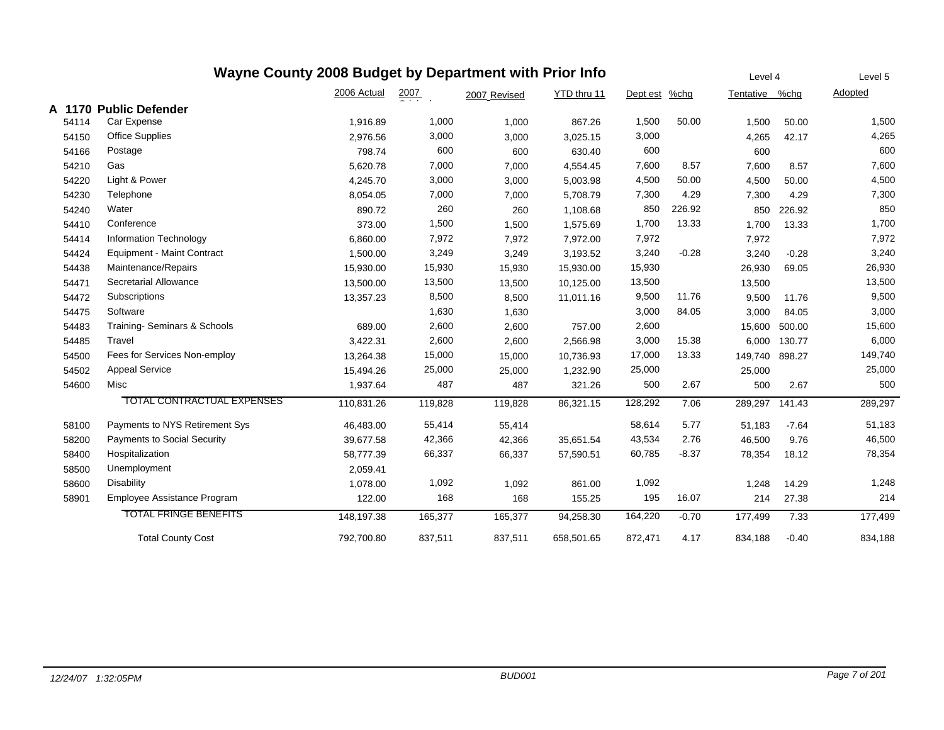|        | Wayne County 2008 Budget by Department with Prior Info |             |         |              |             |          |         | Level 4        |         | Level 5 |
|--------|--------------------------------------------------------|-------------|---------|--------------|-------------|----------|---------|----------------|---------|---------|
|        |                                                        | 2006 Actual | 2007    | 2007 Revised | YTD thru 11 | Dept est | $%$ chg | Tentative %chg |         | Adopted |
| A 1170 | <b>Public Defender</b>                                 |             |         |              |             |          |         |                |         |         |
| 54114  | Car Expense                                            | 1,916.89    | 1,000   | 1,000        | 867.26      | 1,500    | 50.00   | 1,500          | 50.00   | 1,500   |
| 54150  | <b>Office Supplies</b>                                 | 2,976.56    | 3,000   | 3,000        | 3,025.15    | 3,000    |         | 4,265          | 42.17   | 4,265   |
| 54166  | Postage                                                | 798.74      | 600     | 600          | 630.40      | 600      |         | 600            |         | 600     |
| 54210  | Gas                                                    | 5,620.78    | 7,000   | 7,000        | 4,554.45    | 7,600    | 8.57    | 7,600          | 8.57    | 7,600   |
| 54220  | Light & Power                                          | 4,245.70    | 3,000   | 3,000        | 5,003.98    | 4,500    | 50.00   | 4,500          | 50.00   | 4,500   |
| 54230  | Telephone                                              | 8,054.05    | 7,000   | 7,000        | 5.708.79    | 7,300    | 4.29    | 7,300          | 4.29    | 7,300   |
| 54240  | Water                                                  | 890.72      | 260     | 260          | 1,108.68    | 850      | 226.92  | 850            | 226.92  | 850     |
| 54410  | Conference                                             | 373.00      | 1,500   | 1,500        | 1,575.69    | 1,700    | 13.33   | 1,700          | 13.33   | 1,700   |
| 54414  | Information Technology                                 | 6,860.00    | 7,972   | 7,972        | 7,972.00    | 7,972    |         | 7,972          |         | 7,972   |
| 54424  | <b>Equipment - Maint Contract</b>                      | 1,500.00    | 3,249   | 3,249        | 3,193.52    | 3,240    | $-0.28$ | 3,240          | $-0.28$ | 3,240   |
| 54438  | Maintenance/Repairs                                    | 15,930.00   | 15,930  | 15,930       | 15,930.00   | 15,930   |         | 26,930         | 69.05   | 26,930  |
| 54471  | Secretarial Allowance                                  | 13,500.00   | 13,500  | 13,500       | 10,125.00   | 13,500   |         | 13,500         |         | 13,500  |
| 54472  | Subscriptions                                          | 13,357.23   | 8,500   | 8,500        | 11,011.16   | 9,500    | 11.76   | 9,500          | 11.76   | 9,500   |
| 54475  | Software                                               |             | 1,630   | 1,630        |             | 3,000    | 84.05   | 3,000          | 84.05   | 3,000   |
| 54483  | Training-Seminars & Schools                            | 689.00      | 2,600   | 2,600        | 757.00      | 2,600    |         | 15,600         | 500.00  | 15,600  |
| 54485  | Travel                                                 | 3,422.31    | 2,600   | 2,600        | 2,566.98    | 3,000    | 15.38   | 6,000          | 130.77  | 6,000   |
| 54500  | Fees for Services Non-employ                           | 13,264.38   | 15,000  | 15,000       | 10,736.93   | 17,000   | 13.33   | 149,740        | 898.27  | 149,740 |
| 54502  | <b>Appeal Service</b>                                  | 15,494.26   | 25,000  | 25,000       | 1,232.90    | 25,000   |         | 25,000         |         | 25,000  |
| 54600  | Misc                                                   | 1,937.64    | 487     | 487          | 321.26      | 500      | 2.67    | 500            | 2.67    | 500     |
|        | <b>TOTAL CONTRACTUAL EXPENSES</b>                      | 110,831.26  | 119,828 | 119,828      | 86,321.15   | 128,292  | 7.06    | 289,297        | 141.43  | 289,297 |
| 58100  | Payments to NYS Retirement Sys                         | 46,483.00   | 55,414  | 55,414       |             | 58,614   | 5.77    | 51.183         | $-7.64$ | 51,183  |
| 58200  | <b>Payments to Social Security</b>                     | 39,677.58   | 42,366  | 42,366       | 35,651.54   | 43,534   | 2.76    | 46,500         | 9.76    | 46,500  |
| 58400  | Hospitalization                                        | 58,777.39   | 66,337  | 66,337       | 57,590.51   | 60,785   | $-8.37$ | 78,354         | 18.12   | 78,354  |
| 58500  | Unemployment                                           | 2,059.41    |         |              |             |          |         |                |         |         |
| 58600  | <b>Disability</b>                                      | 1,078.00    | 1,092   | 1,092        | 861.00      | 1,092    |         | 1,248          | 14.29   | 1,248   |
| 58901  | Employee Assistance Program                            | 122.00      | 168     | 168          | 155.25      | 195      | 16.07   | 214            | 27.38   | 214     |
|        | <b>TOTAL FRINGE BENEFITS</b>                           | 148,197.38  | 165,377 | 165,377      | 94,258.30   | 164,220  | $-0.70$ | 177,499        | 7.33    | 177,499 |
|        | <b>Total County Cost</b>                               | 792,700.80  | 837,511 | 837,511      | 658,501.65  | 872,471  | 4.17    | 834,188        | $-0.40$ | 834,188 |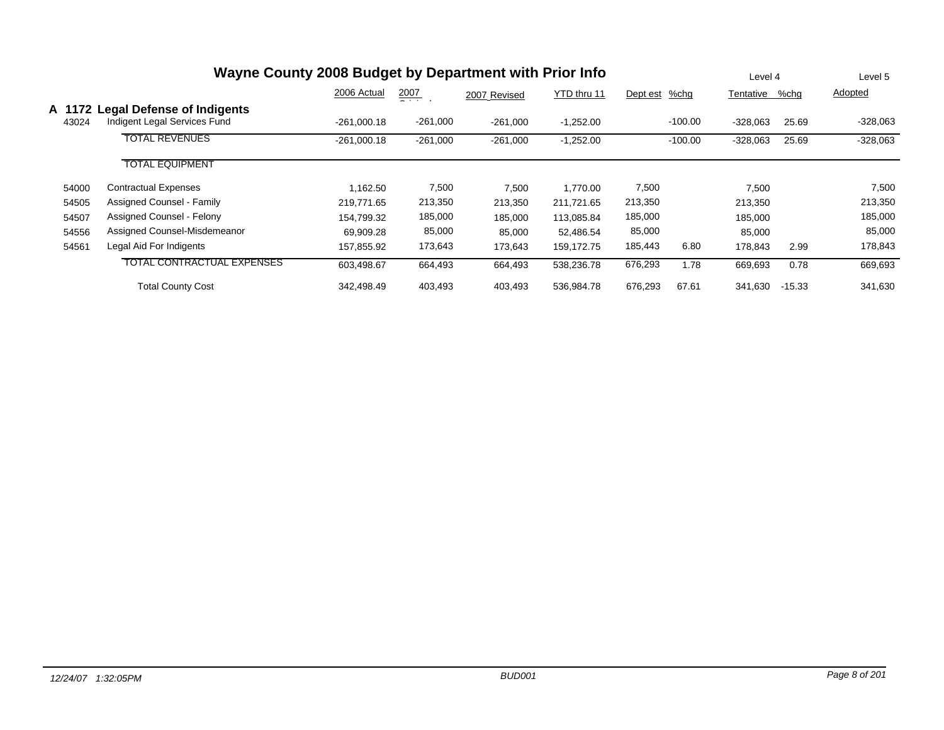| Wayne County 2008 Budget by Department with Prior Info |                                                                   |               |                 |              |             |          |           |            |          | Level 5    |
|--------------------------------------------------------|-------------------------------------------------------------------|---------------|-----------------|--------------|-------------|----------|-----------|------------|----------|------------|
|                                                        |                                                                   | 2006 Actual   | 2007<br>- - - - | 2007 Revised | YTD thru 11 | Dept est | %chg      | Tentative  | %chq     | Adopted    |
| A 1172<br>43024                                        | <b>Legal Defense of Indigents</b><br>Indigent Legal Services Fund | $-261,000.18$ | $-261,000$      | $-261,000$   | $-1,252.00$ |          | $-100.00$ | $-328,063$ | 25.69    | $-328,063$ |
|                                                        | <b>TOTAL REVENUES</b>                                             | $-261.000.18$ | $-261,000$      | $-261,000$   | $-1,252.00$ |          | $-100.00$ | $-328,063$ | 25.69    | $-328,063$ |
|                                                        | <b>TOTAL EQUIPMENT</b>                                            |               |                 |              |             |          |           |            |          |            |
| 54000                                                  | <b>Contractual Expenses</b>                                       | .162.50       | 7,500           | 7,500        | 1.770.00    | 7,500    |           | 7,500      |          | 7,500      |
| 54505                                                  | Assigned Counsel - Family                                         | 219,771.65    | 213,350         | 213,350      | 211,721.65  | 213,350  |           | 213,350    |          | 213,350    |
| 54507                                                  | Assigned Counsel - Felony                                         | 154.799.32    | 185,000         | 185,000      | 113,085.84  | 185,000  |           | 185,000    |          | 185,000    |
| 54556                                                  | Assigned Counsel-Misdemeanor                                      | 69,909.28     | 85,000          | 85,000       | 52.486.54   | 85,000   |           | 85,000     |          | 85,000     |
| 54561                                                  | Legal Aid For Indigents                                           | 157,855.92    | 173,643         | 173,643      | 159,172.75  | 185,443  | 6.80      | 178,843    | 2.99     | 178,843    |
|                                                        | TOTAL CONTRACTUAL EXPENSES                                        | 603,498.67    | 664,493         | 664,493      | 538,236.78  | 676,293  | 1.78      | 669,693    | 0.78     | 669,693    |
|                                                        | <b>Total County Cost</b>                                          | 342.498.49    | 403,493         | 403,493      | 536.984.78  | 676,293  | 67.61     | 341,630    | $-15.33$ | 341,630    |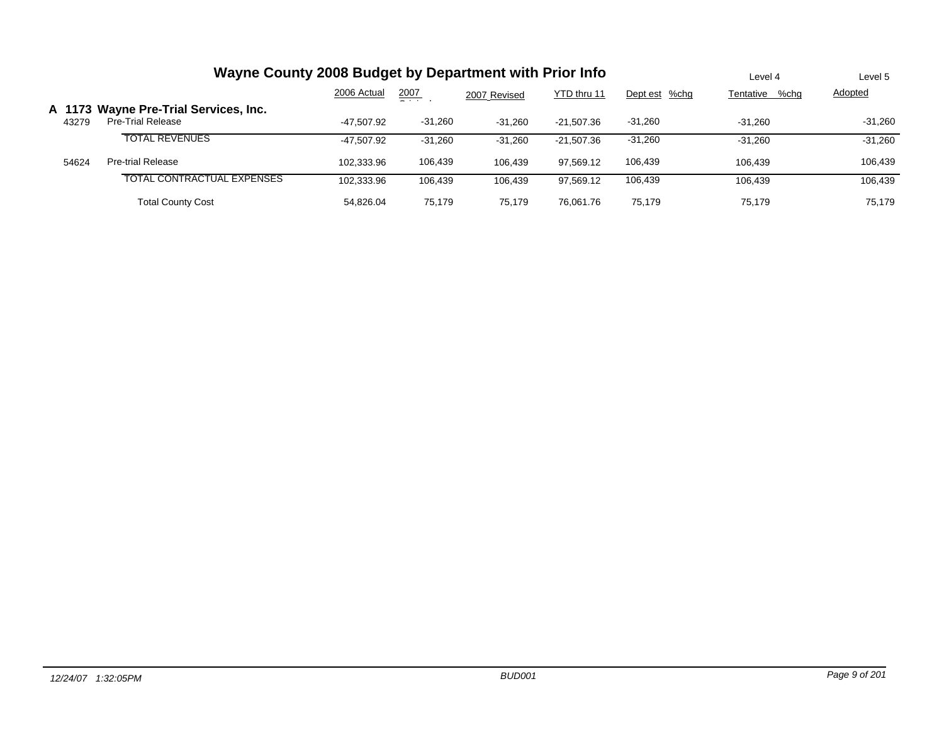|                 | Wayne County 2008 Budget by Department with Prior Info            | Level 4     | Level 5   |              |              |               |                   |           |
|-----------------|-------------------------------------------------------------------|-------------|-----------|--------------|--------------|---------------|-------------------|-----------|
|                 |                                                                   | 2006 Actual | 2007<br>_ | 2007 Revised | YTD thru 11  | Dept est %chg | Tentative<br>%chg | Adopted   |
| A 1173<br>43279 | <b>Wayne Pre-Trial Services, Inc.</b><br><b>Pre-Trial Release</b> | -47.507.92  | $-31,260$ | $-31.260$    | $-21.507.36$ | $-31.260$     | $-31.260$         | $-31.260$ |
|                 | <b>TOTAL REVENUES</b>                                             | -47.507.92  | $-31.260$ | $-31.260$    | $-21.507.36$ | $-31,260$     | $-31.260$         | $-31,260$ |
| 54624           | <b>Pre-trial Release</b>                                          | 102.333.96  | 106,439   | 106.439      | 97.569.12    | 106,439       | 106.439           | 106,439   |
|                 | TOTAL CONTRACTUAL EXPENSES                                        | 102.333.96  | 106,439   | 106,439      | 97.569.12    | 106,439       | 106.439           | 106,439   |
|                 | <b>Total County Cost</b>                                          | 54.826.04   | 75.179    | 75.179       | 76.061.76    | 75.179        | 75.179            | 75.179    |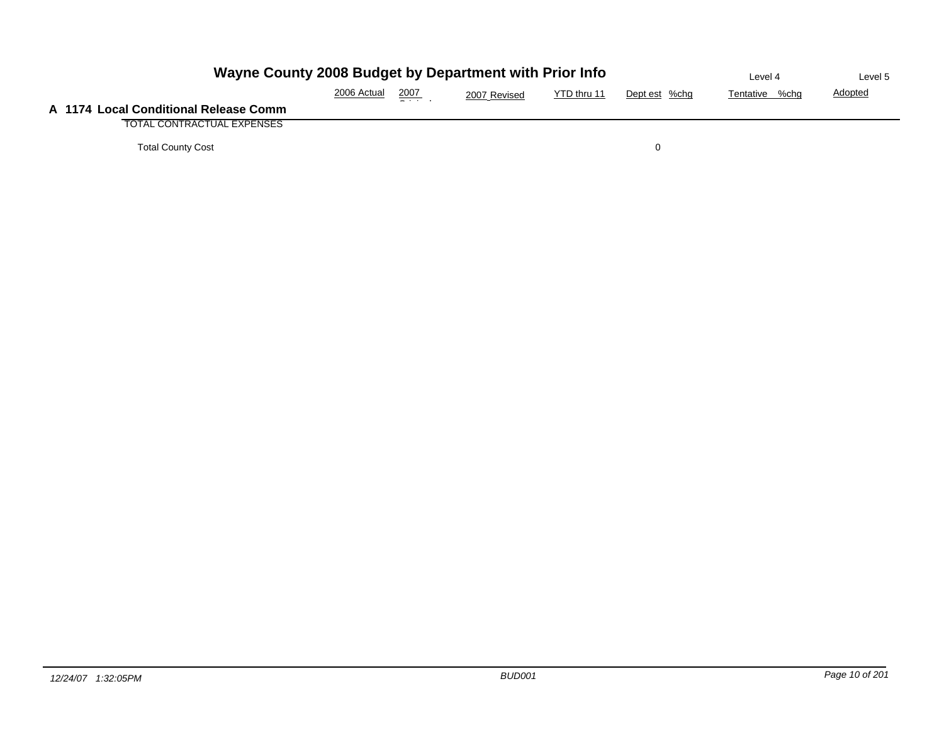| Wayne County 2008 Budget by Department with Prior Info | Level 4     | Level 5 |              |             |               |                |                |
|--------------------------------------------------------|-------------|---------|--------------|-------------|---------------|----------------|----------------|
|                                                        | 2006 Actual | 2007    | 2007 Revised | YTD thru 11 | Dept est %chg | Tentative %chg | <b>Adopted</b> |
| A 1174 Local Conditional Release Comm                  |             |         |              |             |               |                |                |
| <b>TOTAL CONTRACTUAL EXPENSES</b>                      |             |         |              |             |               |                |                |
| <b>Total County Cost</b>                               |             |         |              |             |               |                |                |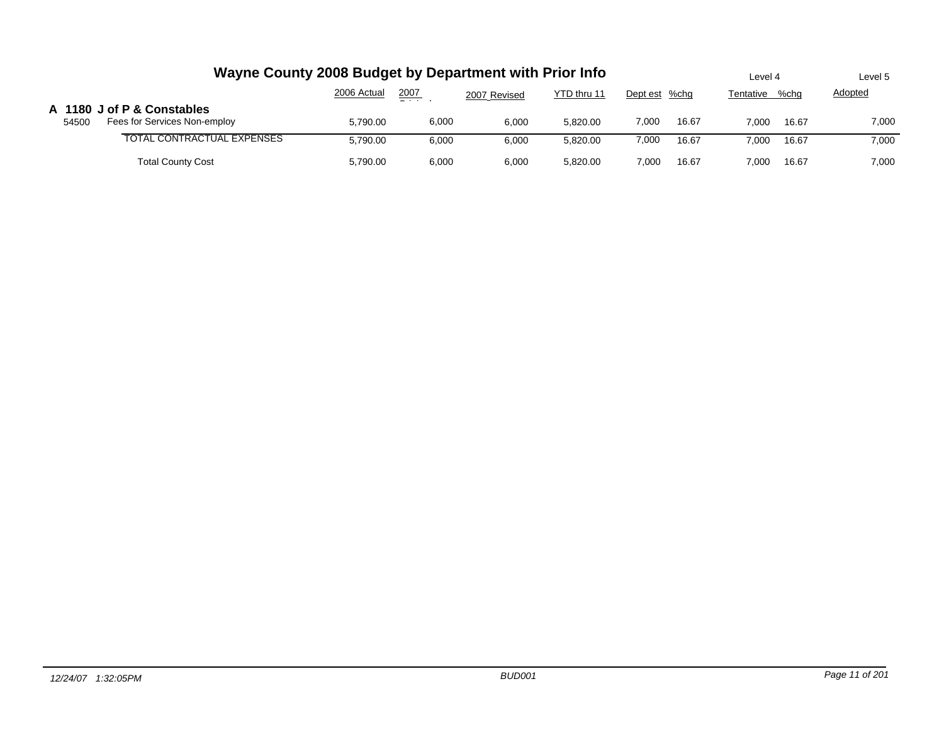|       | Wayne County 2008 Budget by Department with Prior Info     | Level 4     |       | Level 5      |             |               |       |           |       |                |
|-------|------------------------------------------------------------|-------------|-------|--------------|-------------|---------------|-------|-----------|-------|----------------|
|       |                                                            | 2006 Actual | 2007  | 2007 Revised | YTD thru 11 | Dept est %chg |       | Tentative | %chq  | <b>Adopted</b> |
| 54500 | A 1180 J of P & Constables<br>Fees for Services Non-employ | 5,790.00    | 6,000 | 6,000        | 5.820.00    | 7,000         | 16.67 | 7.000     | 16.67 | 7,000          |
|       | TOTAL CONTRACTUAL EXPENSES                                 | 5,790.00    | 6,000 | 6.000        | 5.820.00    | 7,000         | 16.67 | 7.000     | 16.67 | 7,000          |
|       | <b>Total County Cost</b>                                   | 5,790.00    | 6,000 | 6,000        | 5.820.00    | 7,000         | 16.67 | 7.000     | 16.67 | 7,000          |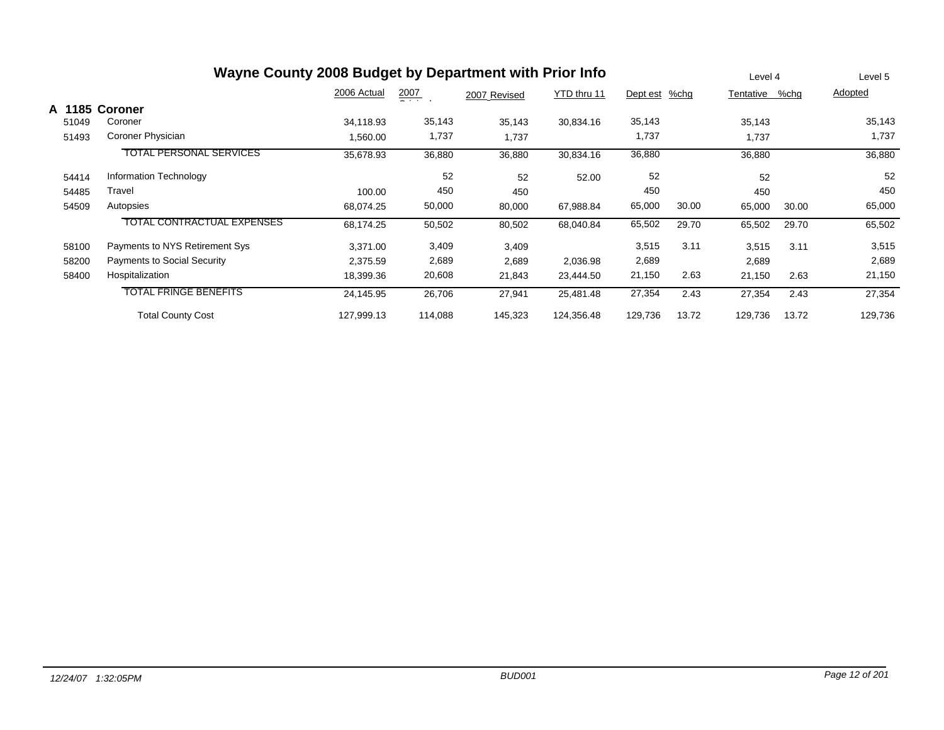| Wayne County 2008 Budget by Department with Prior Info |                                    |             |                  |              |             |          |       |           |       | Level 5 |
|--------------------------------------------------------|------------------------------------|-------------|------------------|--------------|-------------|----------|-------|-----------|-------|---------|
|                                                        |                                    | 2006 Actual | $\frac{2007}{1}$ | 2007 Revised | YTD thru 11 | Dept est | %chg  | Tentative | %chg  | Adopted |
| A 1185                                                 | Coroner                            |             |                  |              |             |          |       |           |       |         |
| 51049                                                  | Coroner                            | 34,118.93   | 35,143           | 35,143       | 30,834.16   | 35,143   |       | 35,143    |       | 35,143  |
| 51493                                                  | Coroner Physician                  | 1,560.00    | 1,737            | 1,737        |             | 1,737    |       | 1,737     |       | 1,737   |
|                                                        | <b>TOTAL PERSONAL SERVICES</b>     | 35,678.93   | 36,880           | 36,880       | 30,834.16   | 36,880   |       | 36,880    |       | 36,880  |
| 54414                                                  | Information Technology             |             | 52               | 52           | 52.00       | 52       |       | 52        |       | 52      |
| 54485                                                  | Travel                             | 100.00      | 450              | 450          |             | 450      |       | 450       |       | 450     |
| 54509                                                  | Autopsies                          | 68,074.25   | 50,000           | 80,000       | 67,988.84   | 65,000   | 30.00 | 65,000    | 30.00 | 65,000  |
|                                                        | <b>TOTAL CONTRACTUAL EXPENSES</b>  | 68,174.25   | 50,502           | 80,502       | 68,040.84   | 65,502   | 29.70 | 65,502    | 29.70 | 65,502  |
| 58100                                                  | Payments to NYS Retirement Sys     | 3,371.00    | 3,409            | 3,409        |             | 3,515    | 3.11  | 3,515     | 3.11  | 3,515   |
| 58200                                                  | <b>Payments to Social Security</b> | 2,375.59    | 2,689            | 2,689        | 2,036.98    | 2,689    |       | 2,689     |       | 2,689   |
| 58400                                                  | Hospitalization                    | 18,399.36   | 20,608           | 21,843       | 23,444.50   | 21,150   | 2.63  | 21,150    | 2.63  | 21,150  |
|                                                        | <b>TOTAL FRINGE BENEFITS</b>       | 24,145.95   | 26,706           | 27,941       | 25,481.48   | 27,354   | 2.43  | 27,354    | 2.43  | 27,354  |
|                                                        | <b>Total County Cost</b>           | 127,999.13  | 114,088          | 145,323      | 124,356.48  | 129,736  | 13.72 | 129,736   | 13.72 | 129,736 |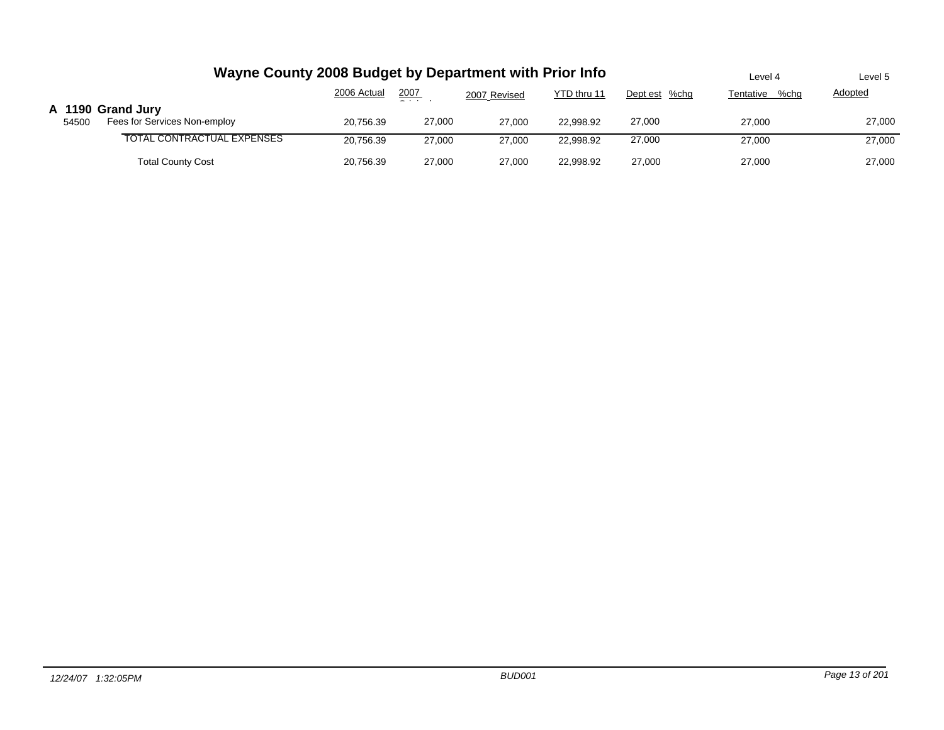|       | Wayne County 2008 Budget by Department with Prior Info | Level 4     | Level 5       |              |             |               |                   |                |
|-------|--------------------------------------------------------|-------------|---------------|--------------|-------------|---------------|-------------------|----------------|
|       |                                                        | 2006 Actual | 2007<br>$  -$ | 2007 Revised | YTD thru 11 | Dept est %chg | Tentative<br>%chg | <b>Adopted</b> |
| 54500 | A 1190 Grand Jury<br>Fees for Services Non-employ      | 20.756.39   | 27,000        | 27.000       | 22.998.92   | 27,000        | 27,000            | 27,000         |
|       | TOTAL CONTRACTUAL EXPENSES                             | 20,756.39   | 27,000        | 27,000       | 22.998.92   | 27,000        | 27,000            | 27,000         |
|       | <b>Total County Cost</b>                               | 20,756.39   | 27,000        | 27,000       | 22.998.92   | 27,000        | 27,000            | 27,000         |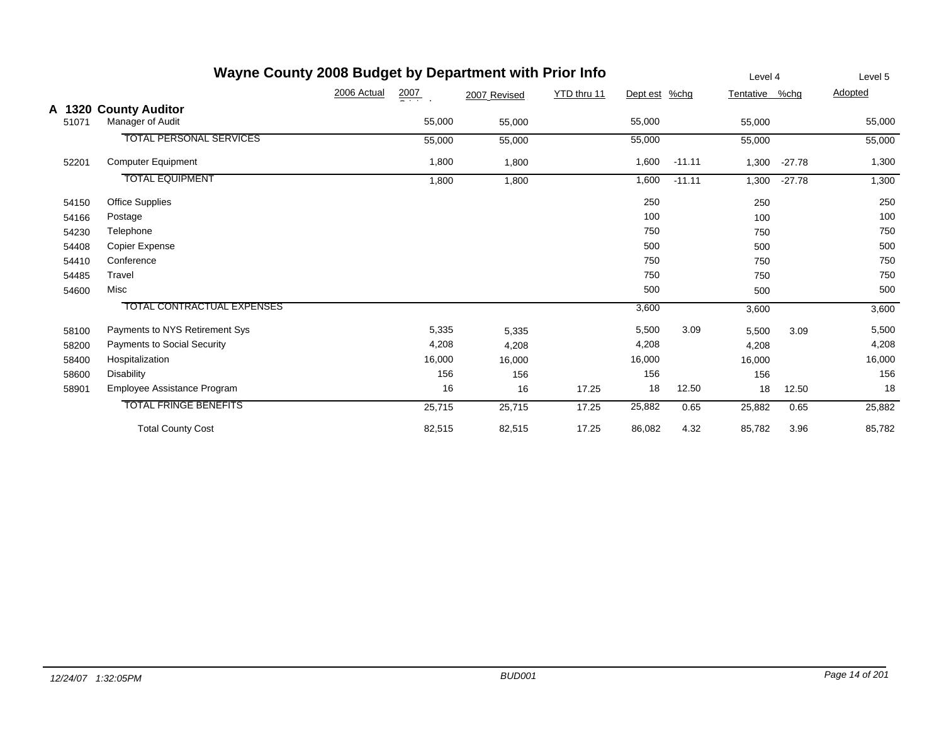|       | Wayne County 2008 Budget by Department with Prior Info | Level 4                         |              | Level 5     |          |          |           |          |         |
|-------|--------------------------------------------------------|---------------------------------|--------------|-------------|----------|----------|-----------|----------|---------|
|       |                                                        | 2006 Actual<br>$\frac{2007}{4}$ | 2007 Revised | YTD thru 11 | Dept est | $%$ chg  | Tentative | %chg     | Adopted |
|       | A 1320 County Auditor                                  |                                 |              |             |          |          |           |          |         |
| 51071 | Manager of Audit                                       | 55,000                          | 55,000       |             | 55,000   |          | 55,000    |          | 55,000  |
|       | <b>TOTAL PERSONAL SERVICES</b>                         | 55,000                          | 55,000       |             | 55,000   |          | 55,000    |          | 55,000  |
| 52201 | <b>Computer Equipment</b>                              | 1,800                           | 1,800        |             | 1,600    | $-11.11$ | 1,300     | $-27.78$ | 1,300   |
|       | <b>TOTAL EQUIPMENT</b>                                 | 1,800                           | 1,800        |             | 1,600    | $-11.11$ | 1,300     | $-27.78$ | 1,300   |
| 54150 | <b>Office Supplies</b>                                 |                                 |              |             | 250      |          | 250       |          | 250     |
| 54166 | Postage                                                |                                 |              |             | 100      |          | 100       |          | 100     |
| 54230 | Telephone                                              |                                 |              |             | 750      |          | 750       |          | 750     |
| 54408 | Copier Expense                                         |                                 |              |             | 500      |          | 500       |          | 500     |
| 54410 | Conference                                             |                                 |              |             | 750      |          | 750       |          | 750     |
| 54485 | Travel                                                 |                                 |              |             | 750      |          | 750       |          | 750     |
| 54600 | Misc                                                   |                                 |              |             | 500      |          | 500       |          | 500     |
|       | <b>TOTAL CONTRACTUAL EXPENSES</b>                      |                                 |              |             | 3,600    |          | 3,600     |          | 3,600   |
| 58100 | Payments to NYS Retirement Sys                         | 5,335                           | 5,335        |             | 5,500    | 3.09     | 5,500     | 3.09     | 5,500   |
| 58200 | <b>Payments to Social Security</b>                     | 4,208                           | 4,208        |             | 4,208    |          | 4,208     |          | 4,208   |
| 58400 | Hospitalization                                        | 16,000                          | 16,000       |             | 16,000   |          | 16,000    |          | 16,000  |
| 58600 | <b>Disability</b>                                      | 156                             | 156          |             | 156      |          | 156       |          | 156     |
| 58901 | Employee Assistance Program                            | 16                              | 16           | 17.25       | 18       | 12.50    | 18        | 12.50    | 18      |
|       | <b>TOTAL FRINGE BENEFITS</b>                           | 25,715                          | 25,715       | 17.25       | 25,882   | 0.65     | 25,882    | 0.65     | 25,882  |
|       | <b>Total County Cost</b>                               | 82,515                          | 82,515       | 17.25       | 86,082   | 4.32     | 85,782    | 3.96     | 85,782  |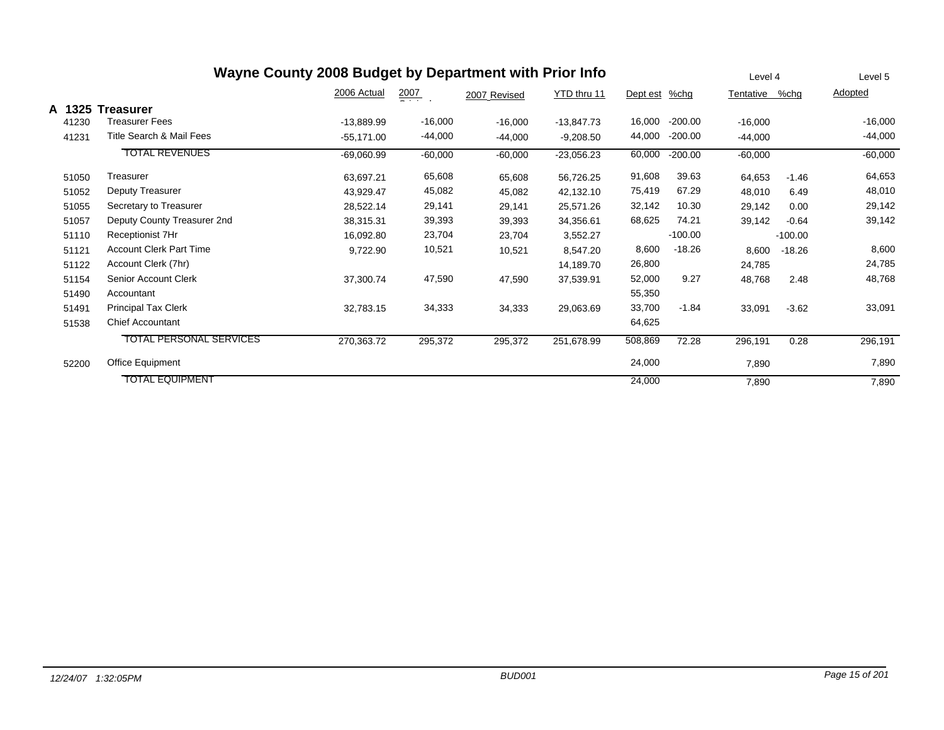|        |                                | Wayne County 2008 Budget by Department with Prior Info |                  |              |              |          |           | Level 4   |           | Level 5   |
|--------|--------------------------------|--------------------------------------------------------|------------------|--------------|--------------|----------|-----------|-----------|-----------|-----------|
|        |                                | 2006 Actual                                            | $\frac{2007}{2}$ | 2007 Revised | YTD thru 11  | Dept est | $%$ chg   | Tentative | %chg      | Adopted   |
| A 1325 | <b>Treasurer</b>               |                                                        |                  |              |              |          |           |           |           |           |
| 41230  | Treasurer Fees                 | $-13,889.99$                                           | $-16,000$        | $-16,000$    | $-13,847.73$ | 16,000   | $-200.00$ | $-16,000$ |           | $-16,000$ |
| 41231  | Title Search & Mail Fees       | $-55,171.00$                                           | $-44,000$        | $-44,000$    | $-9,208.50$  | 44,000   | $-200.00$ | $-44,000$ |           | $-44,000$ |
|        | <b>TOTAL REVENUES</b>          | $-69,060.99$                                           | $-60,000$        | $-60,000$    | $-23,056.23$ | 60,000   | $-200.00$ | $-60,000$ |           | $-60,000$ |
| 51050  | Treasurer                      | 63,697.21                                              | 65,608           | 65,608       | 56,726.25    | 91,608   | 39.63     | 64,653    | $-1.46$   | 64,653    |
| 51052  | Deputy Treasurer               | 43,929.47                                              | 45,082           | 45,082       | 42,132.10    | 75,419   | 67.29     | 48,010    | 6.49      | 48,010    |
| 51055  | Secretary to Treasurer         | 28,522.14                                              | 29,141           | 29,141       | 25,571.26    | 32,142   | 10.30     | 29,142    | 0.00      | 29,142    |
| 51057  | Deputy County Treasurer 2nd    | 38,315.31                                              | 39,393           | 39,393       | 34,356.61    | 68,625   | 74.21     | 39,142    | $-0.64$   | 39,142    |
| 51110  | Receptionist 7Hr               | 16,092.80                                              | 23,704           | 23,704       | 3,552.27     |          | $-100.00$ |           | $-100.00$ |           |
| 51121  | <b>Account Clerk Part Time</b> | 9,722.90                                               | 10,521           | 10,521       | 8,547.20     | 8,600    | $-18.26$  | 8,600     | $-18.26$  | 8,600     |
| 51122  | Account Clerk (7hr)            |                                                        |                  |              | 14,189.70    | 26,800   |           | 24,785    |           | 24,785    |
| 51154  | Senior Account Clerk           | 37,300.74                                              | 47,590           | 47,590       | 37,539.91    | 52,000   | 9.27      | 48,768    | 2.48      | 48,768    |
| 51490  | Accountant                     |                                                        |                  |              |              | 55,350   |           |           |           |           |
| 51491  | <b>Principal Tax Clerk</b>     | 32,783.15                                              | 34,333           | 34,333       | 29,063.69    | 33,700   | $-1.84$   | 33,091    | $-3.62$   | 33,091    |
| 51538  | <b>Chief Accountant</b>        |                                                        |                  |              |              | 64,625   |           |           |           |           |
|        | <b>TOTAL PERSONAL SERVICES</b> | 270,363.72                                             | 295,372          | 295,372      | 251,678.99   | 508,869  | 72.28     | 296,191   | 0.28      | 296,191   |
| 52200  | Office Equipment               |                                                        |                  |              |              | 24,000   |           | 7,890     |           | 7,890     |
|        | <b>TOTAL EQUIPMENT</b>         |                                                        |                  |              |              | 24,000   |           | 7,890     |           | 7,890     |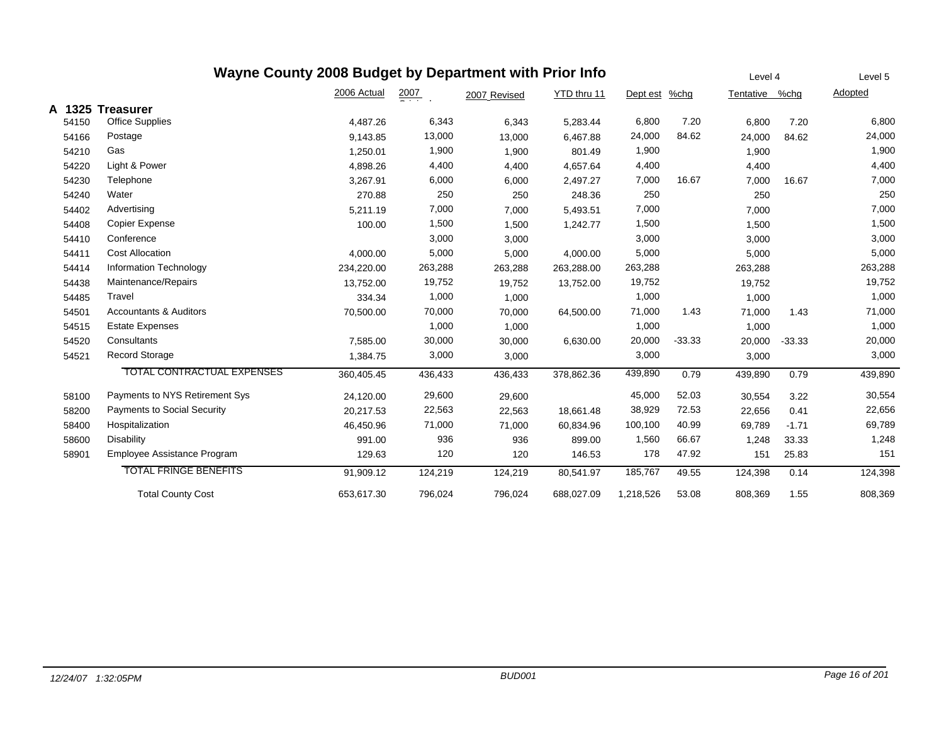| Wayne County 2008 Budget by Department with Prior Info |                                   |             |                  |              |             |               |          |                |          | Level 5 |
|--------------------------------------------------------|-----------------------------------|-------------|------------------|--------------|-------------|---------------|----------|----------------|----------|---------|
|                                                        |                                   | 2006 Actual | $\frac{2007}{4}$ | 2007 Revised | YTD thru 11 | Dept est %chg |          | Tentative %chg |          | Adopted |
| A 1325                                                 | <b>Treasurer</b>                  |             |                  |              |             |               |          |                |          |         |
| 54150                                                  | Office Supplies                   | 4,487.26    | 6,343            | 6,343        | 5,283.44    | 6,800         | 7.20     | 6,800          | 7.20     | 6,800   |
| 54166                                                  | Postage                           | 9,143.85    | 13,000           | 13,000       | 6,467.88    | 24,000        | 84.62    | 24,000         | 84.62    | 24,000  |
| 54210                                                  | Gas                               | 1,250.01    | 1,900            | 1,900        | 801.49      | 1,900         |          | 1,900          |          | 1,900   |
| 54220                                                  | Light & Power                     | 4,898.26    | 4,400            | 4,400        | 4,657.64    | 4,400         |          | 4,400          |          | 4,400   |
| 54230                                                  | Telephone                         | 3,267.91    | 6,000            | 6,000        | 2,497.27    | 7,000         | 16.67    | 7,000          | 16.67    | 7,000   |
| 54240                                                  | Water                             | 270.88      | 250              | 250          | 248.36      | 250           |          | 250            |          | 250     |
| 54402                                                  | Advertising                       | 5,211.19    | 7,000            | 7,000        | 5,493.51    | 7,000         |          | 7,000          |          | 7,000   |
| 54408                                                  | <b>Copier Expense</b>             | 100.00      | 1,500            | 1,500        | 1,242.77    | 1,500         |          | 1,500          |          | 1,500   |
| 54410                                                  | Conference                        |             | 3,000            | 3,000        |             | 3,000         |          | 3,000          |          | 3,000   |
| 54411                                                  | <b>Cost Allocation</b>            | 4,000.00    | 5,000            | 5,000        | 4,000.00    | 5,000         |          | 5,000          |          | 5,000   |
| 54414                                                  | Information Technology            | 234,220.00  | 263,288          | 263,288      | 263,288.00  | 263,288       |          | 263,288        |          | 263,288 |
| 54438                                                  | Maintenance/Repairs               | 13,752.00   | 19,752           | 19,752       | 13,752.00   | 19,752        |          | 19,752         |          | 19,752  |
| 54485                                                  | Travel                            | 334.34      | 1,000            | 1,000        |             | 1,000         |          | 1,000          |          | 1,000   |
| 54501                                                  | <b>Accountants &amp; Auditors</b> | 70,500.00   | 70,000           | 70,000       | 64,500.00   | 71,000        | 1.43     | 71,000         | 1.43     | 71,000  |
| 54515                                                  | <b>Estate Expenses</b>            |             | 1,000            | 1,000        |             | 1,000         |          | 1,000          |          | 1,000   |
| 54520                                                  | Consultants                       | 7,585.00    | 30,000           | 30,000       | 6,630.00    | 20,000        | $-33.33$ | 20,000         | $-33.33$ | 20,000  |
| 54521                                                  | <b>Record Storage</b>             | 1,384.75    | 3,000            | 3,000        |             | 3,000         |          | 3,000          |          | 3,000   |
|                                                        | TOTAL CONTRACTUAL EXPENSES        | 360,405.45  | 436,433          | 436,433      | 378,862.36  | 439,890       | 0.79     | 439,890        | 0.79     | 439,890 |
| 58100                                                  | Payments to NYS Retirement Sys    | 24,120.00   | 29,600           | 29,600       |             | 45,000        | 52.03    | 30,554         | 3.22     | 30,554  |
| 58200                                                  | Payments to Social Security       | 20,217.53   | 22,563           | 22,563       | 18,661.48   | 38,929        | 72.53    | 22,656         | 0.41     | 22,656  |
| 58400                                                  | Hospitalization                   | 46,450.96   | 71,000           | 71,000       | 60,834.96   | 100,100       | 40.99    | 69,789         | $-1.71$  | 69,789  |
| 58600                                                  | <b>Disability</b>                 | 991.00      | 936              | 936          | 899.00      | 1,560         | 66.67    | 1,248          | 33.33    | 1,248   |
| 58901                                                  | Employee Assistance Program       | 129.63      | 120              | 120          | 146.53      | 178           | 47.92    | 151            | 25.83    | 151     |
|                                                        | <b>TOTAL FRINGE BENEFITS</b>      | 91,909.12   | 124,219          | 124,219      | 80,541.97   | 185,767       | 49.55    | 124,398        | 0.14     | 124,398 |
|                                                        | <b>Total County Cost</b>          | 653,617.30  | 796,024          | 796,024      | 688,027.09  | 1,218,526     | 53.08    | 808,369        | 1.55     | 808,369 |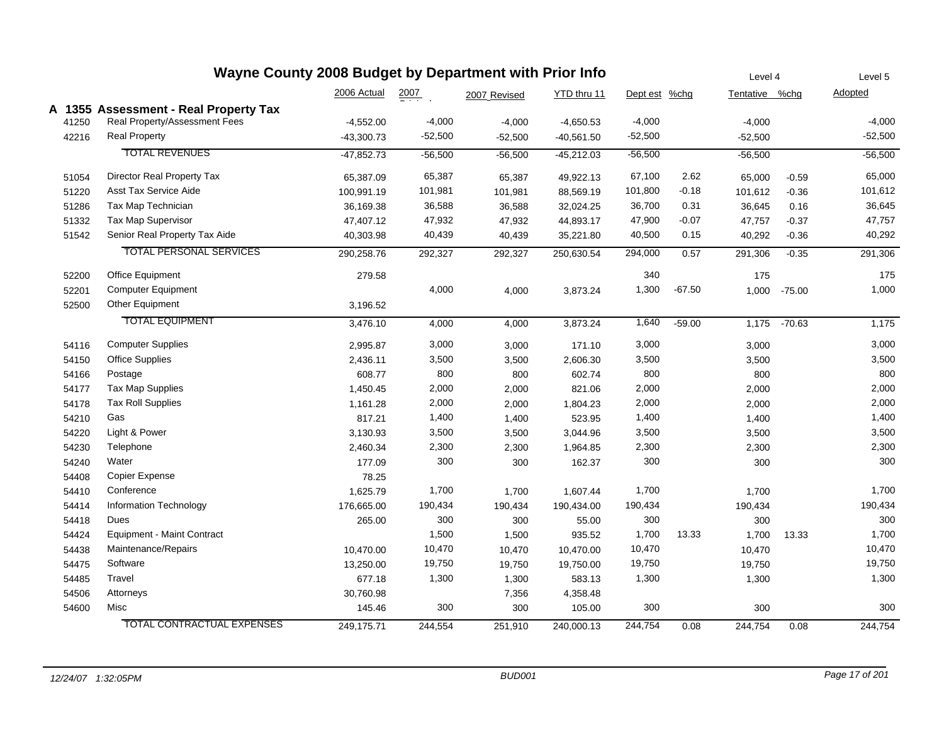| Wayne County 2008 Budget by Department with Prior Info |       |                                       |              |                    |              |              |               |          |                | Level 4  |           |
|--------------------------------------------------------|-------|---------------------------------------|--------------|--------------------|--------------|--------------|---------------|----------|----------------|----------|-----------|
|                                                        |       |                                       | 2006 Actual  | $\frac{2007}{200}$ | 2007 Revised | YTD thru 11  | Dept est %chg |          | Tentative %chg |          | Adopted   |
|                                                        |       | A 1355 Assessment - Real Property Tax |              |                    |              |              |               |          |                |          |           |
|                                                        | 41250 | Real Property/Assessment Fees         | $-4,552.00$  | $-4,000$           | $-4,000$     | $-4,650.53$  | $-4,000$      |          | $-4,000$       |          | $-4,000$  |
|                                                        | 42216 | <b>Real Property</b>                  | $-43,300.73$ | $-52,500$          | $-52,500$    | $-40,561.50$ | $-52,500$     |          | $-52,500$      |          | $-52,500$ |
|                                                        |       | <b>TOTAL REVENUES</b>                 | $-47.852.73$ | $-56,500$          | $-56,500$    | $-45,212.03$ | $-56,500$     |          | $-56,500$      |          | $-56,500$ |
|                                                        | 51054 | Director Real Property Tax            | 65,387.09    | 65,387             | 65,387       | 49,922.13    | 67,100        | 2.62     | 65,000         | $-0.59$  | 65,000    |
|                                                        | 51220 | <b>Asst Tax Service Aide</b>          | 100,991.19   | 101,981            | 101,981      | 88,569.19    | 101,800       | $-0.18$  | 101,612        | $-0.36$  | 101,612   |
|                                                        | 51286 | Tax Map Technician                    | 36,169.38    | 36,588             | 36,588       | 32,024.25    | 36,700        | 0.31     | 36,645         | 0.16     | 36,645    |
|                                                        | 51332 | Tax Map Supervisor                    | 47,407.12    | 47,932             | 47,932       | 44,893.17    | 47,900        | $-0.07$  | 47,757         | $-0.37$  | 47,757    |
|                                                        | 51542 | Senior Real Property Tax Aide         | 40,303.98    | 40,439             | 40,439       | 35,221.80    | 40,500        | 0.15     | 40,292         | $-0.36$  | 40,292    |
|                                                        |       | <b>TOTAL PERSONAL SERVICES</b>        | 290,258.76   | 292,327            | 292,327      | 250,630.54   | 294,000       | 0.57     | 291,306        | $-0.35$  | 291,306   |
|                                                        | 52200 | Office Equipment                      | 279.58       |                    |              |              | 340           |          | 175            |          | 175       |
|                                                        | 52201 | <b>Computer Equipment</b>             |              | 4,000              | 4,000        | 3,873.24     | 1,300         | $-67.50$ | 1,000          | $-75.00$ | 1,000     |
|                                                        | 52500 | Other Equipment                       | 3,196.52     |                    |              |              |               |          |                |          |           |
|                                                        |       | <b>TOTAL EQUIPMENT</b>                | 3,476.10     | 4,000              | 4,000        | 3,873.24     | 1,640         | $-59.00$ | 1,175          | $-70.63$ | 1,175     |
|                                                        | 54116 | <b>Computer Supplies</b>              | 2,995.87     | 3,000              | 3,000        | 171.10       | 3,000         |          | 3,000          |          | 3,000     |
|                                                        | 54150 | <b>Office Supplies</b>                | 2,436.11     | 3,500              | 3,500        | 2,606.30     | 3,500         |          | 3,500          |          | 3,500     |
|                                                        | 54166 | Postage                               | 608.77       | 800                | 800          | 602.74       | 800           |          | 800            |          | 800       |
|                                                        | 54177 | Tax Map Supplies                      | 1,450.45     | 2,000              | 2,000        | 821.06       | 2,000         |          | 2,000          |          | 2,000     |
|                                                        | 54178 | <b>Tax Roll Supplies</b>              | 1,161.28     | 2,000              | 2,000        | 1,804.23     | 2,000         |          | 2,000          |          | 2,000     |
|                                                        | 54210 | Gas                                   | 817.21       | 1,400              | 1,400        | 523.95       | 1,400         |          | 1,400          |          | 1,400     |
|                                                        | 54220 | Light & Power                         | 3,130.93     | 3,500              | 3,500        | 3,044.96     | 3,500         |          | 3,500          |          | 3,500     |
|                                                        | 54230 | Telephone                             | 2,460.34     | 2,300              | 2,300        | 1,964.85     | 2,300         |          | 2,300          |          | 2,300     |
|                                                        | 54240 | Water                                 | 177.09       | 300                | 300          | 162.37       | 300           |          | 300            |          | 300       |
|                                                        | 54408 | Copier Expense                        | 78.25        |                    |              |              |               |          |                |          |           |
|                                                        | 54410 | Conference                            | 1,625.79     | 1,700              | 1,700        | 1,607.44     | 1,700         |          | 1,700          |          | 1,700     |
|                                                        | 54414 | Information Technology                | 176,665.00   | 190,434            | 190,434      | 190,434.00   | 190,434       |          | 190,434        |          | 190,434   |
|                                                        | 54418 | Dues                                  | 265.00       | 300                | 300          | 55.00        | 300           |          | 300            |          | 300       |
|                                                        | 54424 | <b>Equipment - Maint Contract</b>     |              | 1,500              | 1,500        | 935.52       | 1,700         | 13.33    | 1,700          | 13.33    | 1,700     |
|                                                        | 54438 | Maintenance/Repairs                   | 10,470.00    | 10,470             | 10,470       | 10,470.00    | 10,470        |          | 10,470         |          | 10,470    |
|                                                        | 54475 | Software                              | 13,250.00    | 19,750             | 19,750       | 19,750.00    | 19,750        |          | 19,750         |          | 19,750    |
|                                                        | 54485 | Travel                                | 677.18       | 1,300              | 1,300        | 583.13       | 1,300         |          | 1,300          |          | 1,300     |
|                                                        | 54506 | Attorneys                             | 30,760.98    |                    | 7,356        | 4,358.48     |               |          |                |          |           |
|                                                        | 54600 | Misc                                  | 145.46       | 300                | 300          | 105.00       | 300           |          | 300            |          | 300       |
|                                                        |       | TOTAL CONTRACTUAL EXPENSES            | 249,175.71   | 244,554            | 251,910      | 240,000.13   | 244,754       | 0.08     | 244,754        | 0.08     | 244,754   |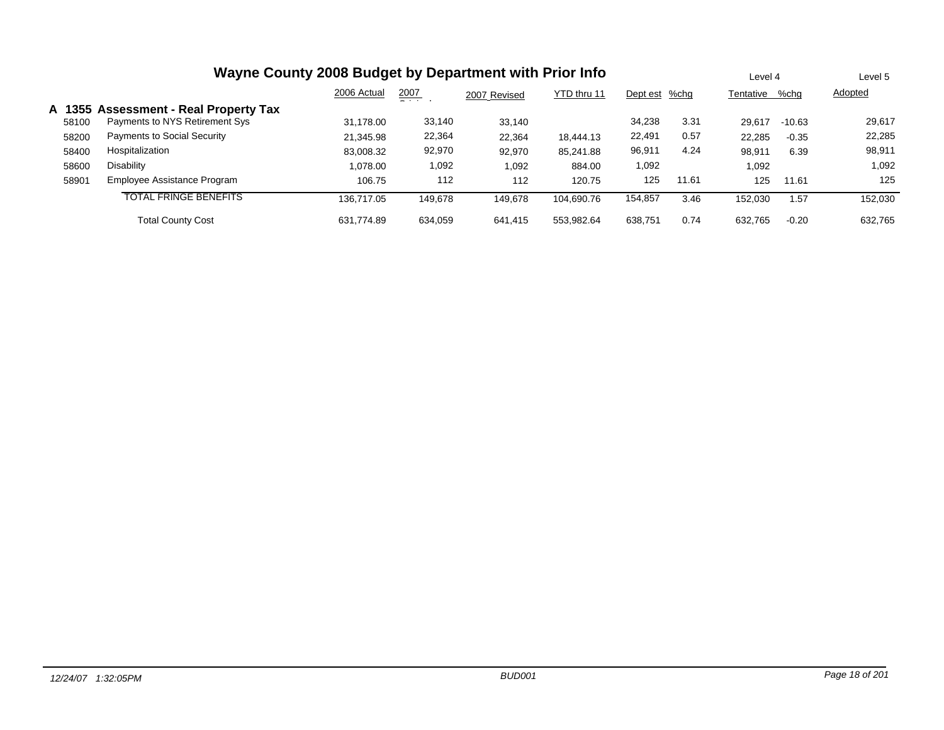|       | Wayne County 2008 Budget by Department with Prior Info |             |               |              |             |               |       |           |          | Level 5 |
|-------|--------------------------------------------------------|-------------|---------------|--------------|-------------|---------------|-------|-----------|----------|---------|
|       |                                                        | 2006 Actual | 2007<br>- - - | 2007 Revised | YTD thru 11 | Dept est %chg |       | Tentative | %chg     | Adopted |
|       | A 1355 Assessment - Real Property Tax                  |             |               |              |             |               |       |           |          |         |
| 58100 | Payments to NYS Retirement Sys                         | 31.178.00   | 33,140        | 33.140       |             | 34,238        | 3.31  | 29.617    | $-10.63$ | 29,617  |
| 58200 | Payments to Social Security                            | 21,345.98   | 22,364        | 22,364       | 18,444.13   | 22,491        | 0.57  | 22,285    | $-0.35$  | 22,285  |
| 58400 | Hospitalization                                        | 83,008.32   | 92,970        | 92,970       | 85,241.88   | 96,911        | 4.24  | 98,911    | 6.39     | 98,911  |
| 58600 | <b>Disability</b>                                      | 1.078.00    | 1,092         | 1,092        | 884.00      | 1,092         |       | 1,092     |          | 1,092   |
| 58901 | Employee Assistance Program                            | 106.75      | 112           | 112          | 120.75      | 125           | 11.61 | 125       | 11.61    | 125     |
|       | <b>TOTAL FRINGE BENEFITS</b>                           | 136.717.05  | 149.678       | 149,678      | 104.690.76  | 154,857       | 3.46  | 152,030   | 1.57     | 152,030 |
|       | <b>Total County Cost</b>                               | 631.774.89  | 634.059       | 641.415      | 553.982.64  | 638.751       | 0.74  | 632.765   | $-0.20$  | 632.765 |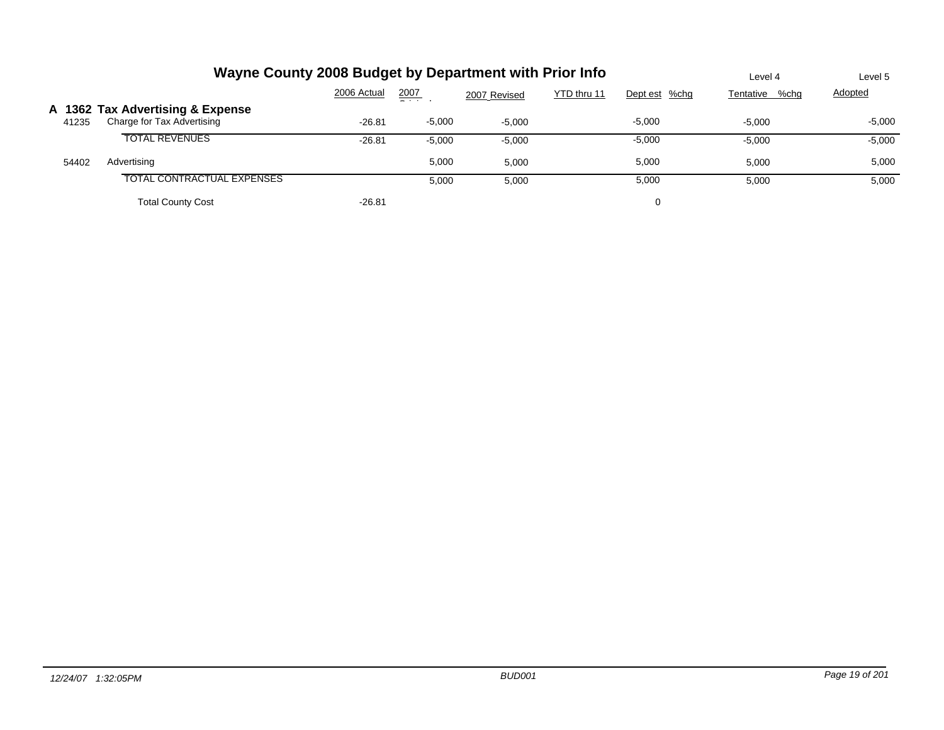|       | Wayne County 2008 Budget by Department with Prior Info         | Level 4     | Level 5       |              |             |               |                |          |
|-------|----------------------------------------------------------------|-------------|---------------|--------------|-------------|---------------|----------------|----------|
|       |                                                                | 2006 Actual | 2007<br>$  -$ | 2007 Revised | YTD thru 11 | Dept est %chg | Tentative %chg | Adopted  |
| 41235 | A 1362 Tax Advertising & Expense<br>Charge for Tax Advertising | $-26.81$    | $-5,000$      | $-5.000$     |             | $-5,000$      | $-5.000$       | -5,000   |
|       | <b>TOTAL REVENUES</b>                                          | $-26.81$    | $-5,000$      | $-5,000$     |             | $-5,000$      | $-5,000$       | $-5,000$ |
| 54402 | Advertising                                                    |             | 5,000         | 5.000        |             | 5,000         | 5.000          | 5,000    |
|       | <b>TOTAL CONTRACTUAL EXPENSES</b>                              |             | 5,000         | 5,000        |             | 5,000         | 5,000          | 5,000    |
|       | <b>Total County Cost</b>                                       | $-26.81$    |               |              |             | 0             |                |          |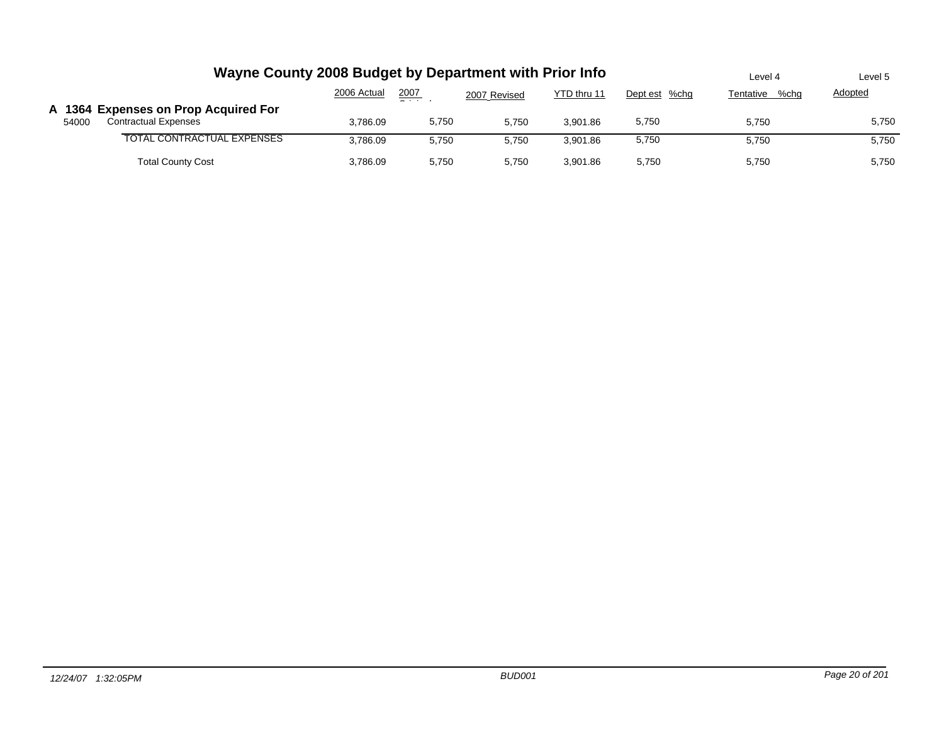|       | Wayne County 2008 Budget by Department with Prior Info              |             |       |              |             |               | Level 4           | Level 5        |
|-------|---------------------------------------------------------------------|-------------|-------|--------------|-------------|---------------|-------------------|----------------|
|       |                                                                     | 2006 Actual | 2007  | 2007 Revised | YTD thru 11 | Dept est %chg | %chq<br>Tentative | <b>Adopted</b> |
| 54000 | A 1364 Expenses on Prop Acquired For<br><b>Contractual Expenses</b> | 3,786.09    | 5,750 | 5.750        | 3.901.86    | 5,750         | 5,750             | 5,750          |
|       | TOTAL CONTRACTUAL EXPENSES                                          | 3.786.09    | 5.750 | 5.750        | 3.901.86    | 5,750         | 5.750             | 5,750          |
|       | <b>Total County Cost</b>                                            | 3,786.09    | 5,750 | 5.750        | 3.901.86    | 5,750         | 5,750             | 5,750          |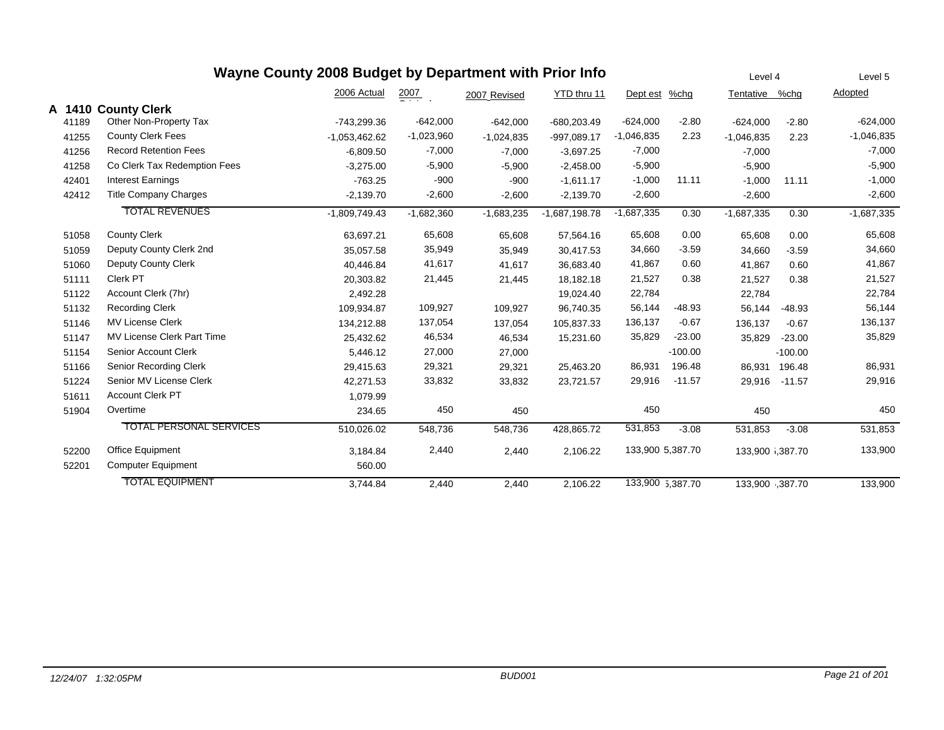|        |                                | Wayne County 2008 Budget by Department with Prior Info |                  |              |                 |              |                  | Level 4          |           | Level 5        |
|--------|--------------------------------|--------------------------------------------------------|------------------|--------------|-----------------|--------------|------------------|------------------|-----------|----------------|
|        |                                | 2006 Actual                                            | $\frac{2007}{2}$ | 2007 Revised | YTD thru 11     | Dept est     | $%$ chg          | Tentative        | %chg      | <b>Adopted</b> |
| A 1410 | <b>County Clerk</b>            |                                                        |                  |              |                 |              |                  |                  |           |                |
| 41189  | Other Non-Property Tax         | -743,299.36                                            | $-642,000$       | $-642,000$   | $-680,203.49$   | $-624,000$   | $-2.80$          | $-624,000$       | $-2.80$   | $-624,000$     |
| 41255  | <b>County Clerk Fees</b>       | $-1,053,462.62$                                        | $-1,023,960$     | $-1,024,835$ | -997,089.17     | $-1,046,835$ | 2.23             | $-1,046,835$     | 2.23      | $-1,046,835$   |
| 41256  | <b>Record Retention Fees</b>   | $-6,809.50$                                            | $-7,000$         | $-7,000$     | $-3,697.25$     | $-7,000$     |                  | $-7.000$         |           | $-7,000$       |
| 41258  | Co Clerk Tax Redemption Fees   | $-3,275.00$                                            | $-5,900$         | $-5,900$     | $-2,458.00$     | $-5,900$     |                  | $-5,900$         |           | $-5,900$       |
| 42401  | <b>Interest Earnings</b>       | $-763.25$                                              | $-900$           | $-900$       | $-1,611.17$     | $-1,000$     | 11.11            | $-1,000$         | 11.11     | $-1,000$       |
| 42412  | <b>Title Company Charges</b>   | $-2,139.70$                                            | $-2,600$         | $-2,600$     | $-2,139.70$     | $-2,600$     |                  | $-2,600$         |           | $-2,600$       |
|        | <b>TOTAL REVENUES</b>          | $-1,809,749.43$                                        | $-1,682,360$     | $-1,683,235$ | $-1,687,198.78$ | $-1,687,335$ | 0.30             | $-1,687,335$     | 0.30      | $-1,687,335$   |
| 51058  | <b>County Clerk</b>            | 63,697.21                                              | 65,608           | 65,608       | 57,564.16       | 65,608       | 0.00             | 65,608           | 0.00      | 65,608         |
| 51059  | Deputy County Clerk 2nd        | 35,057.58                                              | 35,949           | 35,949       | 30,417.53       | 34,660       | $-3.59$          | 34,660           | $-3.59$   | 34,660         |
| 51060  | <b>Deputy County Clerk</b>     | 40,446.84                                              | 41,617           | 41,617       | 36.683.40       | 41,867       | 0.60             | 41.867           | 0.60      | 41,867         |
| 51111  | Clerk PT                       | 20,303.82                                              | 21,445           | 21,445       | 18,182.18       | 21,527       | 0.38             | 21,527           | 0.38      | 21,527         |
| 51122  | Account Clerk (7hr)            | 2,492.28                                               |                  |              | 19,024.40       | 22,784       |                  | 22,784           |           | 22,784         |
| 51132  | <b>Recording Clerk</b>         | 109,934.87                                             | 109,927          | 109,927      | 96,740.35       | 56,144       | $-48.93$         | 56,144           | $-48.93$  | 56,144         |
| 51146  | <b>MV License Clerk</b>        | 134,212.88                                             | 137,054          | 137,054      | 105,837.33      | 136,137      | $-0.67$          | 136,137          | $-0.67$   | 136,137        |
| 51147  | MV License Clerk Part Time     | 25,432.62                                              | 46,534           | 46,534       | 15,231.60       | 35,829       | $-23.00$         | 35,829           | $-23.00$  | 35,829         |
| 51154  | Senior Account Clerk           | 5,446.12                                               | 27,000           | 27,000       |                 |              | $-100.00$        |                  | $-100.00$ |                |
| 51166  | Senior Recording Clerk         | 29,415.63                                              | 29,321           | 29,321       | 25,463.20       | 86,931       | 196.48           | 86,931           | 196.48    | 86,931         |
| 51224  | Senior MV License Clerk        | 42,271.53                                              | 33,832           | 33,832       | 23,721.57       | 29,916       | $-11.57$         | 29,916           | $-11.57$  | 29,916         |
| 51611  | <b>Account Clerk PT</b>        | 1,079.99                                               |                  |              |                 |              |                  |                  |           |                |
| 51904  | Overtime                       | 234.65                                                 | 450              | 450          |                 | 450          |                  | 450              |           | 450            |
|        | <b>TOTAL PERSONAL SERVICES</b> | 510,026.02                                             | 548,736          | 548,736      | 428,865.72      | 531,853      | $-3.08$          | 531,853          | $-3.08$   | 531,853        |
| 52200  | Office Equipment               | 3,184.84                                               | 2,440            | 2,440        | 2,106.22        |              | 133,900 5,387.70 | 133,900 1,387.70 |           | 133,900        |
| 52201  | <b>Computer Equipment</b>      | 560.00                                                 |                  |              |                 |              |                  |                  |           |                |
|        | <b>TOTAL EQUIPMENT</b>         | 3,744.84                                               | 2,440            | 2,440        | 2,106.22        |              | 133,900 5,387.70 | 133,900 .387.70  |           | 133,900        |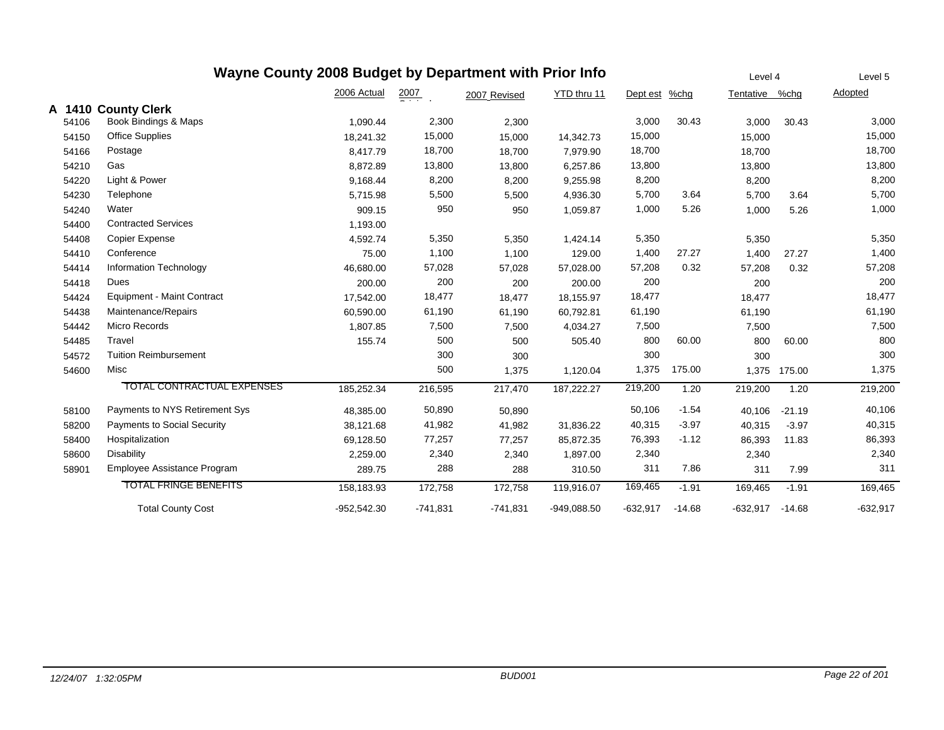|       | Wayne County 2008 Budget by Department with Prior Info |               |                  |              |               |            |          | Level 4        |              | Level 5    |
|-------|--------------------------------------------------------|---------------|------------------|--------------|---------------|------------|----------|----------------|--------------|------------|
|       |                                                        | 2006 Actual   | $\frac{2007}{2}$ | 2007 Revised | YTD thru 11   | Dept est   | $%$ chg  | Tentative %chg |              | Adopted    |
|       | A 1410 County Clerk                                    |               |                  |              |               |            |          |                |              |            |
| 54106 | Book Bindings & Maps                                   | 1,090.44      | 2,300            | 2,300        |               | 3,000      | 30.43    | 3,000          | 30.43        | 3,000      |
| 54150 | <b>Office Supplies</b>                                 | 18,241.32     | 15,000           | 15,000       | 14,342.73     | 15,000     |          | 15,000         |              | 15,000     |
| 54166 | Postage                                                | 8,417.79      | 18,700           | 18,700       | 7,979.90      | 18,700     |          | 18,700         |              | 18,700     |
| 54210 | Gas                                                    | 8,872.89      | 13,800           | 13,800       | 6,257.86      | 13,800     |          | 13,800         |              | 13,800     |
| 54220 | Light & Power                                          | 9,168.44      | 8,200            | 8,200        | 9,255.98      | 8,200      |          | 8,200          |              | 8,200      |
| 54230 | Telephone                                              | 5,715.98      | 5,500            | 5,500        | 4,936.30      | 5,700      | 3.64     | 5,700          | 3.64         | 5,700      |
| 54240 | Water                                                  | 909.15        | 950              | 950          | 1,059.87      | 1,000      | 5.26     | 1,000          | 5.26         | 1,000      |
| 54400 | <b>Contracted Services</b>                             | 1,193.00      |                  |              |               |            |          |                |              |            |
| 54408 | <b>Copier Expense</b>                                  | 4,592.74      | 5,350            | 5,350        | 1,424.14      | 5,350      |          | 5,350          |              | 5,350      |
| 54410 | Conference                                             | 75.00         | 1,100            | 1,100        | 129.00        | 1,400      | 27.27    | 1,400          | 27.27        | 1,400      |
| 54414 | Information Technology                                 | 46,680.00     | 57,028           | 57,028       | 57,028.00     | 57,208     | 0.32     | 57,208         | 0.32         | 57,208     |
| 54418 | Dues                                                   | 200.00        | 200              | 200          | 200.00        | 200        |          | 200            |              | 200        |
| 54424 | <b>Equipment - Maint Contract</b>                      | 17,542.00     | 18,477           | 18,477       | 18,155.97     | 18,477     |          | 18,477         |              | 18,477     |
| 54438 | Maintenance/Repairs                                    | 60,590.00     | 61,190           | 61,190       | 60,792.81     | 61,190     |          | 61,190         |              | 61,190     |
| 54442 | Micro Records                                          | 1,807.85      | 7,500            | 7,500        | 4,034.27      | 7,500      |          | 7,500          |              | 7,500      |
| 54485 | Travel                                                 | 155.74        | 500              | 500          | 505.40        | 800        | 60.00    | 800            | 60.00        | 800        |
| 54572 | <b>Tuition Reimbursement</b>                           |               | 300              | 300          |               | 300        |          | 300            |              | 300        |
| 54600 | Misc                                                   |               | 500              | 1,375        | 1,120.04      | 1,375      | 175.00   |                | 1,375 175.00 | 1,375      |
|       | <b>TOTAL CONTRACTUAL EXPENSES</b>                      | 185,252.34    | 216,595          | 217,470      | 187,222.27    | 219,200    | 1.20     | 219,200        | 1.20         | 219,200    |
| 58100 | Payments to NYS Retirement Sys                         | 48,385.00     | 50,890           | 50,890       |               | 50,106     | $-1.54$  | 40,106         | $-21.19$     | 40,106     |
| 58200 | <b>Payments to Social Security</b>                     | 38,121.68     | 41,982           | 41,982       | 31,836.22     | 40,315     | $-3.97$  | 40,315         | $-3.97$      | 40,315     |
| 58400 | Hospitalization                                        | 69,128.50     | 77,257           | 77,257       | 85,872.35     | 76,393     | $-1.12$  | 86,393         | 11.83        | 86,393     |
| 58600 | <b>Disability</b>                                      | 2,259.00      | 2,340            | 2,340        | 1,897.00      | 2,340      |          | 2,340          |              | 2,340      |
| 58901 | Employee Assistance Program                            | 289.75        | 288              | 288          | 310.50        | 311        | 7.86     | 311            | 7.99         | 311        |
|       | <b>TOTAL FRINGE BENEFITS</b>                           | 158,183.93    | 172,758          | 172,758      | 119.916.07    | 169,465    | $-1.91$  | 169,465        | $-1.91$      | 169,465    |
|       | <b>Total County Cost</b>                               | $-952.542.30$ | $-741,831$       | $-741.831$   | $-949.088.50$ | $-632.917$ | $-14.68$ | $-632.917$     | $-14.68$     | $-632.917$ |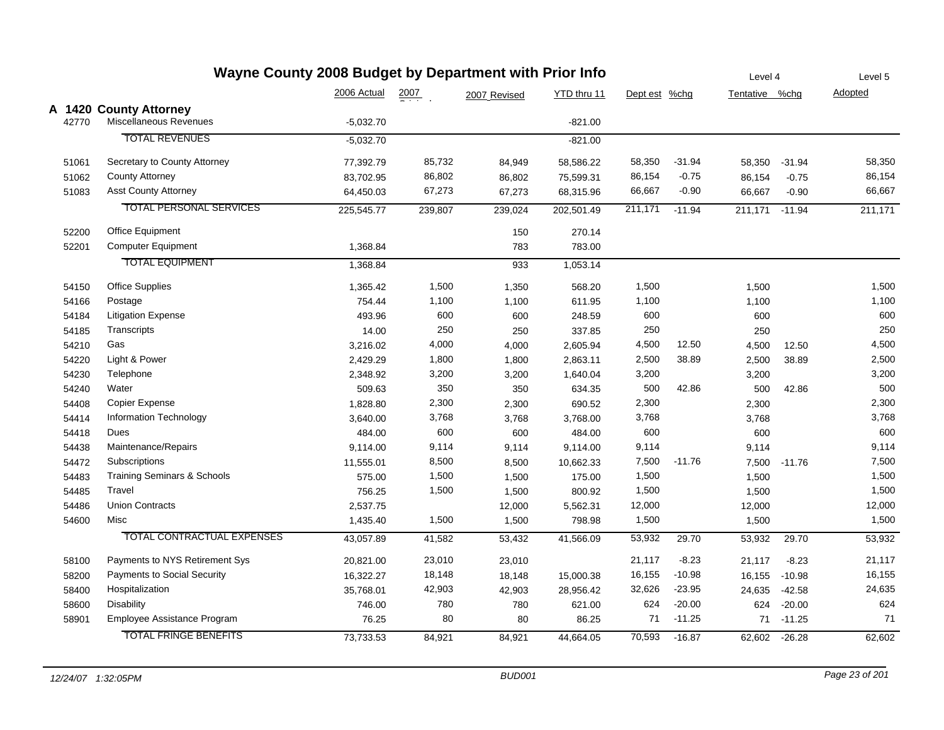| Wayne County 2008 Budget by Department with Prior Info |                                        |             |                  |              |             | Level 4       |          | Level 5        |          |         |
|--------------------------------------------------------|----------------------------------------|-------------|------------------|--------------|-------------|---------------|----------|----------------|----------|---------|
|                                                        |                                        | 2006 Actual | $\frac{2007}{2}$ | 2007 Revised | YTD thru 11 | Dept est %chg |          | Tentative %chg |          | Adopted |
|                                                        | A 1420 County Attorney                 |             |                  |              |             |               |          |                |          |         |
| 42770                                                  | Miscellaneous Revenues                 | $-5,032.70$ |                  |              | $-821.00$   |               |          |                |          |         |
|                                                        | <b>TOTAL REVENUES</b>                  | $-5,032.70$ |                  |              | $-821.00$   |               |          |                |          |         |
| 51061                                                  | Secretary to County Attorney           | 77,392.79   | 85,732           | 84,949       | 58,586.22   | 58,350        | $-31.94$ | 58,350         | $-31.94$ | 58,350  |
| 51062                                                  | <b>County Attorney</b>                 | 83,702.95   | 86,802           | 86,802       | 75,599.31   | 86,154        | $-0.75$  | 86,154         | $-0.75$  | 86,154  |
| 51083                                                  | <b>Asst County Attorney</b>            | 64,450.03   | 67,273           | 67,273       | 68,315.96   | 66,667        | $-0.90$  | 66,667         | $-0.90$  | 66,667  |
|                                                        | <b>TOTAL PERSONAL SERVICES</b>         | 225,545.77  | 239,807          | 239,024      | 202,501.49  | 211,171       | $-11.94$ | 211,171        | $-11.94$ | 211,171 |
| 52200                                                  | <b>Office Equipment</b>                |             |                  | 150          | 270.14      |               |          |                |          |         |
| 52201                                                  | <b>Computer Equipment</b>              | 1,368.84    |                  | 783          | 783.00      |               |          |                |          |         |
|                                                        | <b>TOTAL EQUIPMENT</b>                 | 1,368.84    |                  | 933          | 1,053.14    |               |          |                |          |         |
| 54150                                                  | <b>Office Supplies</b>                 | 1,365.42    | 1,500            | 1,350        | 568.20      | 1,500         |          | 1,500          |          | 1,500   |
| 54166                                                  | Postage                                | 754.44      | 1,100            | 1,100        | 611.95      | 1,100         |          | 1,100          |          | 1,100   |
| 54184                                                  | <b>Litigation Expense</b>              | 493.96      | 600              | 600          | 248.59      | 600           |          | 600            |          | 600     |
| 54185                                                  | Transcripts                            | 14.00       | 250              | 250          | 337.85      | 250           |          | 250            |          | 250     |
| 54210                                                  | Gas                                    | 3,216.02    | 4,000            | 4,000        | 2,605.94    | 4,500         | 12.50    | 4,500          | 12.50    | 4,500   |
| 54220                                                  | Light & Power                          | 2,429.29    | 1,800            | 1,800        | 2,863.11    | 2,500         | 38.89    | 2,500          | 38.89    | 2,500   |
| 54230                                                  | Telephone                              | 2,348.92    | 3,200            | 3,200        | 1,640.04    | 3,200         |          | 3,200          |          | 3,200   |
| 54240                                                  | Water                                  | 509.63      | 350              | 350          | 634.35      | 500           | 42.86    | 500            | 42.86    | 500     |
| 54408                                                  | Copier Expense                         | 1,828.80    | 2,300            | 2,300        | 690.52      | 2,300         |          | 2,300          |          | 2,300   |
| 54414                                                  | Information Technology                 | 3,640.00    | 3,768            | 3,768        | 3,768.00    | 3,768         |          | 3,768          |          | 3,768   |
| 54418                                                  | Dues                                   | 484.00      | 600              | 600          | 484.00      | 600           |          | 600            |          | 600     |
| 54438                                                  | Maintenance/Repairs                    | 9,114.00    | 9,114            | 9,114        | 9,114.00    | 9,114         |          | 9,114          |          | 9,114   |
| 54472                                                  | Subscriptions                          | 11,555.01   | 8,500            | 8,500        | 10,662.33   | 7,500         | $-11.76$ | 7,500          | $-11.76$ | 7,500   |
| 54483                                                  | <b>Training Seminars &amp; Schools</b> | 575.00      | 1,500            | 1,500        | 175.00      | 1,500         |          | 1,500          |          | 1,500   |
| 54485                                                  | Travel                                 | 756.25      | 1,500            | 1,500        | 800.92      | 1,500         |          | 1,500          |          | 1,500   |
| 54486                                                  | <b>Union Contracts</b>                 | 2,537.75    |                  | 12,000       | 5,562.31    | 12,000        |          | 12,000         |          | 12,000  |
| 54600                                                  | Misc                                   | 1,435.40    | 1,500            | 1,500        | 798.98      | 1,500         |          | 1,500          |          | 1,500   |
|                                                        | <b>TOTAL CONTRACTUAL EXPENSES</b>      | 43,057.89   | 41,582           | 53,432       | 41,566.09   | 53,932        | 29.70    | 53,932         | 29.70    | 53,932  |
| 58100                                                  | Payments to NYS Retirement Sys         | 20,821.00   | 23,010           | 23,010       |             | 21,117        | $-8.23$  | 21,117         | $-8.23$  | 21,117  |
| 58200                                                  | Payments to Social Security            | 16,322.27   | 18,148           | 18,148       | 15,000.38   | 16,155        | $-10.98$ | 16,155         | $-10.98$ | 16,155  |
| 58400                                                  | Hospitalization                        | 35,768.01   | 42,903           | 42,903       | 28,956.42   | 32,626        | $-23.95$ | 24,635         | $-42.58$ | 24,635  |
| 58600                                                  | <b>Disability</b>                      | 746.00      | 780              | 780          | 621.00      | 624           | $-20.00$ | 624            | $-20.00$ | 624     |
| 58901                                                  | Employee Assistance Program            | 76.25       | 80               | 80           | 86.25       | $71$          | $-11.25$ | 71             | $-11.25$ | 71      |
|                                                        | <b>TOTAL FRINGE BENEFITS</b>           | 73,733.53   | 84,921           | 84,921       | 44,664.05   | 70,593        | $-16.87$ | 62,602         | $-26.28$ | 62,602  |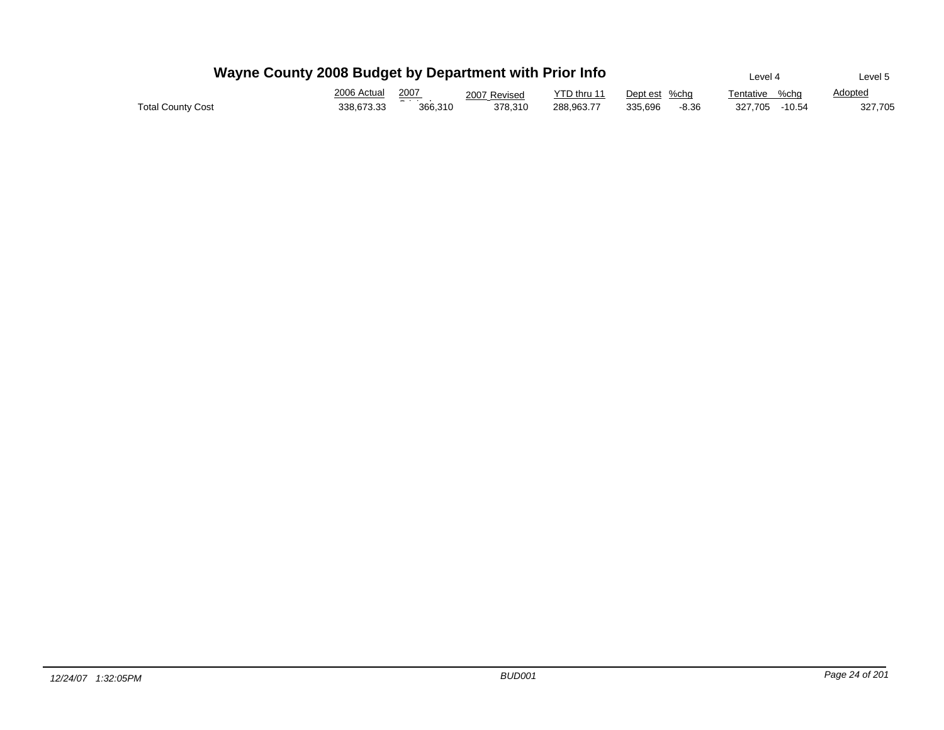|                          | Wayne County 2008 Budget by Department with Prior Info |                  |              |             |                  | Level 4           | Level 5        |
|--------------------------|--------------------------------------------------------|------------------|--------------|-------------|------------------|-------------------|----------------|
|                          | 2006 Actual                                            | 2007             | 2007 Revised | YTD thru 11 | Dept est %cha    | %cha<br>Tentative | <b>Adopted</b> |
| <b>Total County Cost</b> | 338.673.33                                             | - - -<br>366.310 | 378.310      | 288.963.77  | 335.696<br>-8.36 | 327.705 - 10.54   | 327,705        |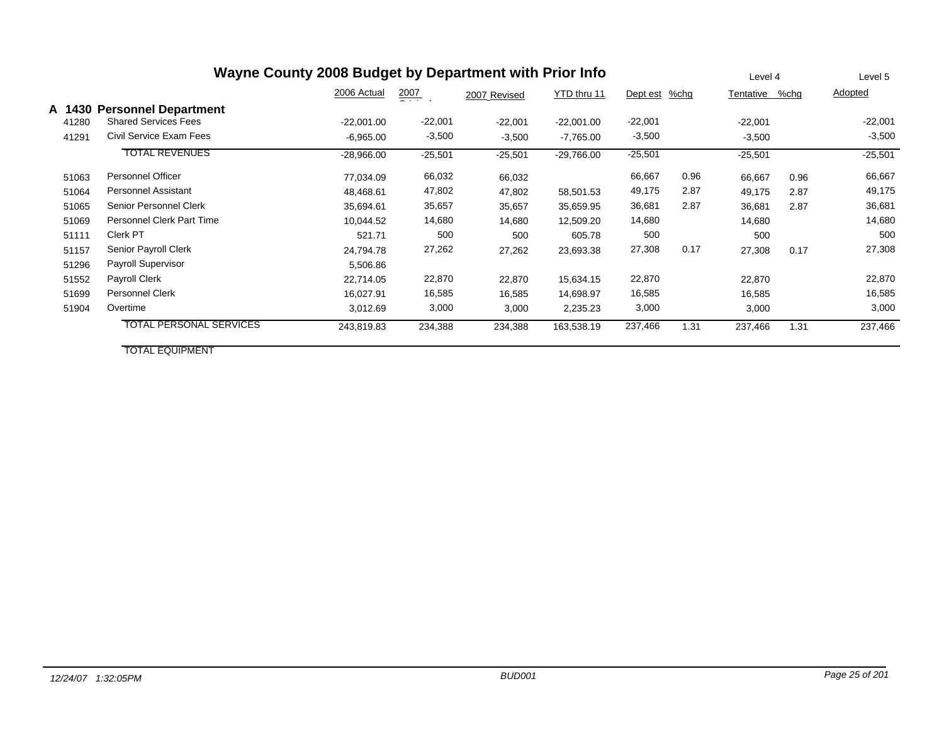|                 | Wayne County 2008 Budget by Department with Prior Info     |              |                      |              |              |           |      |           |      | Level 5   |
|-----------------|------------------------------------------------------------|--------------|----------------------|--------------|--------------|-----------|------|-----------|------|-----------|
|                 |                                                            | 2006 Actual  | $\frac{2007}{200}$ . | 2007 Revised | YTD thru 11  | Dept est  | %chg | Tentative | %chg | Adopted   |
| A 1430<br>41280 | <b>Personnel Department</b><br><b>Shared Services Fees</b> | $-22,001.00$ | $-22,001$            | $-22,001$    | $-22,001.00$ | $-22,001$ |      | $-22,001$ |      | $-22,001$ |
| 41291           | Civil Service Exam Fees                                    | $-6,965.00$  | $-3,500$             | $-3,500$     | $-7,765.00$  | $-3,500$  |      | $-3,500$  |      | $-3,500$  |
|                 | <b>TOTAL REVENUES</b>                                      | $-28,966.00$ | $-25,501$            | $-25,501$    | $-29,766.00$ | $-25,501$ |      | $-25,501$ |      | $-25,501$ |
| 51063           | <b>Personnel Officer</b>                                   | 77,034.09    | 66,032               | 66,032       |              | 66,667    | 0.96 | 66,667    | 0.96 | 66,667    |
| 51064           | <b>Personnel Assistant</b>                                 | 48,468.61    | 47,802               | 47,802       | 58,501.53    | 49,175    | 2.87 | 49,175    | 2.87 | 49,175    |
| 51065           | Senior Personnel Clerk                                     | 35,694.61    | 35,657               | 35,657       | 35,659.95    | 36,681    | 2.87 | 36,681    | 2.87 | 36,681    |
| 51069           | <b>Personnel Clerk Part Time</b>                           | 10,044.52    | 14,680               | 14,680       | 12,509.20    | 14,680    |      | 14,680    |      | 14,680    |
| 51111           | Clerk PT                                                   | 521.71       | 500                  | 500          | 605.78       | 500       |      | 500       |      | 500       |
| 51157           | Senior Payroll Clerk                                       | 24,794.78    | 27,262               | 27,262       | 23,693.38    | 27,308    | 0.17 | 27,308    | 0.17 | 27,308    |
| 51296           | Payroll Supervisor                                         | 5,506.86     |                      |              |              |           |      |           |      |           |
| 51552           | Payroll Clerk                                              | 22,714.05    | 22,870               | 22,870       | 15,634.15    | 22,870    |      | 22,870    |      | 22,870    |
| 51699           | Personnel Clerk                                            | 16,027.91    | 16,585               | 16,585       | 14,698.97    | 16,585    |      | 16,585    |      | 16,585    |
| 51904           | Overtime                                                   | 3,012.69     | 3,000                | 3,000        | 2,235.23     | 3,000     |      | 3,000     |      | 3,000     |
|                 | <b>TOTAL PERSONAL SERVICES</b>                             | 243,819.83   | 234,388              | 234,388      | 163,538.19   | 237,466   | 1.31 | 237,466   | 1.31 | 237,466   |

TOTAL EQUIPMENT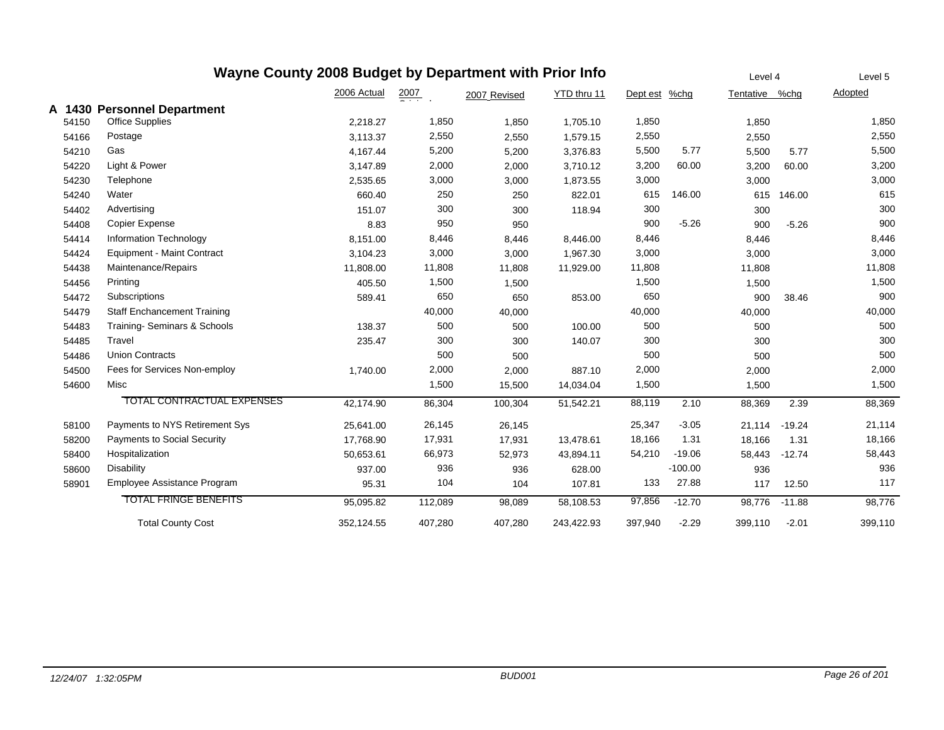| Wayne County 2008 Budget by Department with Prior Info |       |                                    |             |                  |              |             |          |           | Level 4        |          | Level 5 |
|--------------------------------------------------------|-------|------------------------------------|-------------|------------------|--------------|-------------|----------|-----------|----------------|----------|---------|
|                                                        |       |                                    | 2006 Actual | $\frac{2007}{2}$ | 2007 Revised | YTD thru 11 | Dept est | $%$ chg   | Tentative %chg |          | Adopted |
|                                                        |       | A 1430 Personnel Department        |             |                  |              |             |          |           |                |          |         |
|                                                        | 54150 | Office Supplies                    | 2,218.27    | 1,850            | 1,850        | 1,705.10    | 1,850    |           | 1,850          |          | 1,850   |
|                                                        | 54166 | Postage                            | 3,113.37    | 2,550            | 2,550        | 1,579.15    | 2,550    |           | 2,550          |          | 2,550   |
|                                                        | 54210 | Gas                                | 4,167.44    | 5,200            | 5,200        | 3,376.83    | 5,500    | 5.77      | 5,500          | 5.77     | 5,500   |
|                                                        | 54220 | Light & Power                      | 3,147.89    | 2,000            | 2,000        | 3,710.12    | 3,200    | 60.00     | 3,200          | 60.00    | 3,200   |
|                                                        | 54230 | Telephone                          | 2,535.65    | 3,000            | 3,000        | 1,873.55    | 3,000    |           | 3,000          |          | 3,000   |
|                                                        | 54240 | Water                              | 660.40      | 250              | 250          | 822.01      | 615      | 146.00    | 615            | 146.00   | 615     |
|                                                        | 54402 | Advertising                        | 151.07      | 300              | 300          | 118.94      | 300      |           | 300            |          | 300     |
|                                                        | 54408 | Copier Expense                     | 8.83        | 950              | 950          |             | 900      | $-5.26$   | 900            | $-5.26$  | 900     |
|                                                        | 54414 | <b>Information Technology</b>      | 8,151.00    | 8,446            | 8,446        | 8,446.00    | 8,446    |           | 8,446          |          | 8,446   |
|                                                        | 54424 | <b>Equipment - Maint Contract</b>  | 3,104.23    | 3,000            | 3,000        | 1,967.30    | 3,000    |           | 3,000          |          | 3,000   |
|                                                        | 54438 | Maintenance/Repairs                | 11,808.00   | 11,808           | 11,808       | 11,929.00   | 11,808   |           | 11,808         |          | 11,808  |
|                                                        | 54456 | Printing                           | 405.50      | 1,500            | 1,500        |             | 1,500    |           | 1,500          |          | 1,500   |
|                                                        | 54472 | Subscriptions                      | 589.41      | 650              | 650          | 853.00      | 650      |           | 900            | 38.46    | 900     |
|                                                        | 54479 | <b>Staff Enchancement Training</b> |             | 40,000           | 40,000       |             | 40,000   |           | 40,000         |          | 40,000  |
|                                                        | 54483 | Training-Seminars & Schools        | 138.37      | 500              | 500          | 100.00      | 500      |           | 500            |          | 500     |
|                                                        | 54485 | Travel                             | 235.47      | 300              | 300          | 140.07      | 300      |           | 300            |          | 300     |
|                                                        | 54486 | <b>Union Contracts</b>             |             | 500              | 500          |             | 500      |           | 500            |          | 500     |
|                                                        | 54500 | Fees for Services Non-employ       | 1,740.00    | 2,000            | 2,000        | 887.10      | 2,000    |           | 2,000          |          | 2,000   |
|                                                        | 54600 | Misc                               |             | 1,500            | 15,500       | 14,034.04   | 1,500    |           | 1,500          |          | 1,500   |
|                                                        |       | <b>TOTAL CONTRACTUAL EXPENSES</b>  | 42,174.90   | 86,304           | 100,304      | 51,542.21   | 88,119   | 2.10      | 88,369         | 2.39     | 88,369  |
|                                                        | 58100 | Payments to NYS Retirement Sys     | 25,641.00   | 26,145           | 26,145       |             | 25,347   | $-3.05$   | 21,114         | $-19.24$ | 21,114  |
|                                                        | 58200 | <b>Payments to Social Security</b> | 17,768.90   | 17,931           | 17,931       | 13,478.61   | 18,166   | 1.31      | 18,166         | 1.31     | 18,166  |
|                                                        | 58400 | Hospitalization                    | 50,653.61   | 66,973           | 52,973       | 43,894.11   | 54,210   | $-19.06$  | 58,443         | $-12.74$ | 58,443  |
|                                                        | 58600 | <b>Disability</b>                  | 937.00      | 936              | 936          | 628.00      |          | $-100.00$ | 936            |          | 936     |
|                                                        | 58901 | Employee Assistance Program        | 95.31       | 104              | 104          | 107.81      | 133      | 27.88     | 117            | 12.50    | 117     |
|                                                        |       | <b>TOTAL FRINGE BENEFITS</b>       | 95,095.82   | 112,089          | 98,089       | 58,108.53   | 97,856   | $-12.70$  | 98,776         | $-11.88$ | 98,776  |
|                                                        |       | <b>Total County Cost</b>           | 352,124.55  | 407,280          | 407,280      | 243,422.93  | 397,940  | $-2.29$   | 399,110        | $-2.01$  | 399,110 |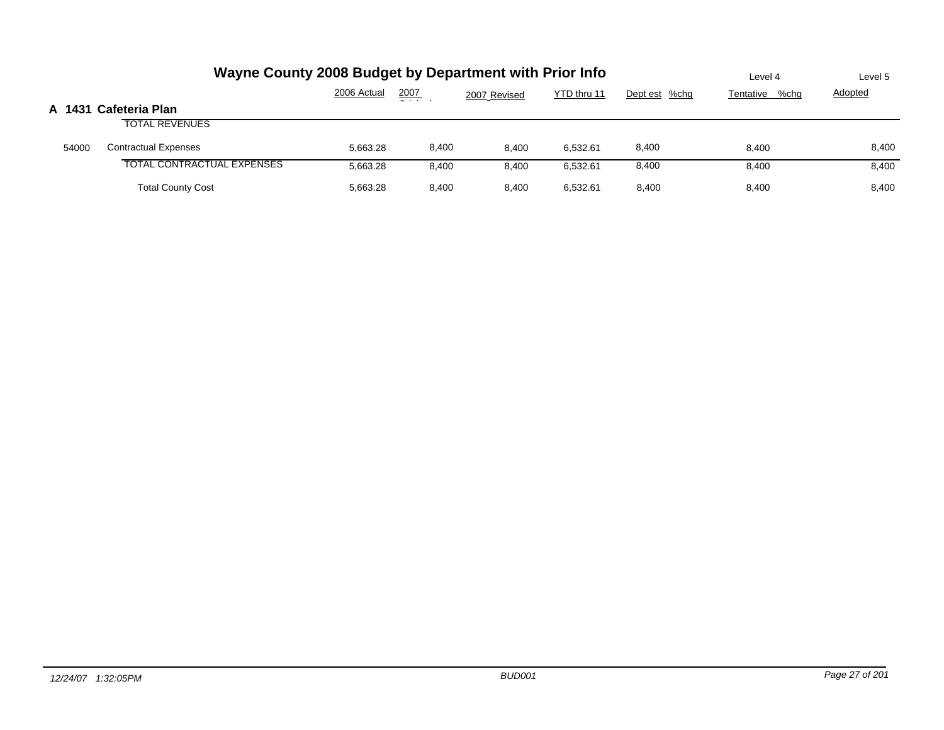|       | Wayne County 2008 Budget by Department with Prior Info | Level 4     | Level 5          |              |             |               |                |                |
|-------|--------------------------------------------------------|-------------|------------------|--------------|-------------|---------------|----------------|----------------|
|       |                                                        | 2006 Actual | $\frac{2007}{2}$ | 2007 Revised | YTD thru 11 | Dept est %chg | Tentative %chg | <b>Adopted</b> |
|       | A 1431 Cafeteria Plan                                  |             |                  |              |             |               |                |                |
|       | <b>TOTAL REVENUES</b>                                  |             |                  |              |             |               |                |                |
| 54000 | <b>Contractual Expenses</b>                            | 5.663.28    | 8,400            | 8.400        | 6,532.61    | 8,400         | 8.400          | 8,400          |
|       | <b>TOTAL CONTRACTUAL EXPENSES</b>                      | 5,663.28    | 8,400            | 8,400        | 6,532.61    | 8,400         | 8,400          | 8,400          |
|       | <b>Total County Cost</b>                               | 5.663.28    | 8,400            | 8.400        | 6,532.61    | 8.400         | 8,400          | 8,400          |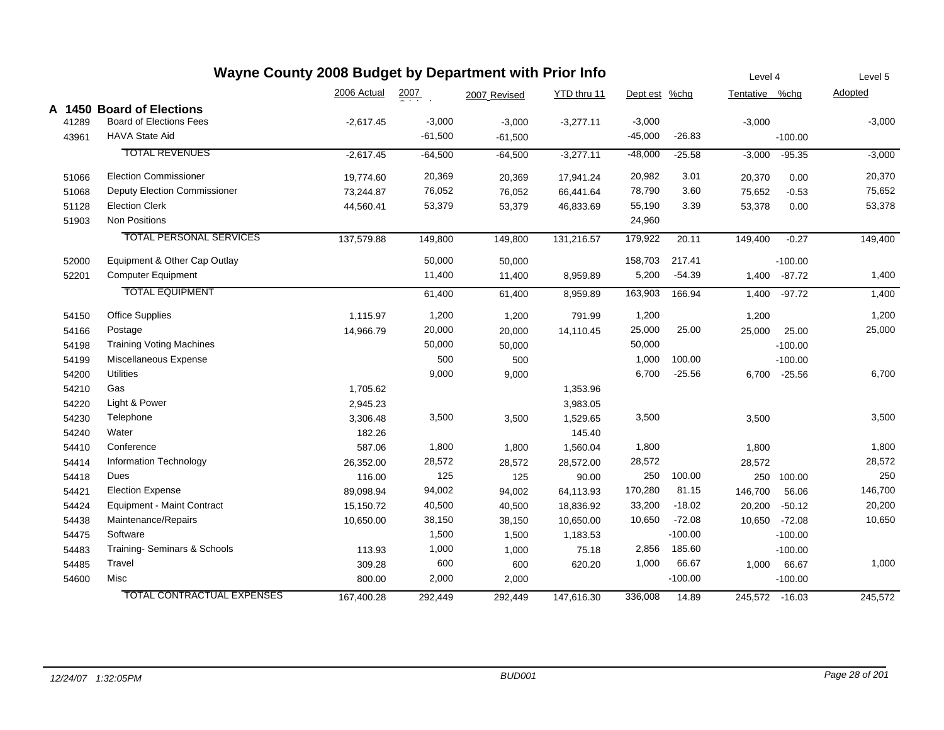| Wayne County 2008 Budget by Department with Prior Info |                                   |             |                  |              |             | Level 4       |           | Level 5        |               |          |
|--------------------------------------------------------|-----------------------------------|-------------|------------------|--------------|-------------|---------------|-----------|----------------|---------------|----------|
|                                                        |                                   | 2006 Actual | $\frac{2007}{2}$ | 2007 Revised | YTD thru 11 | Dept est %chg |           | Tentative %chg |               | Adopted  |
|                                                        | A 1450 Board of Elections         |             |                  |              |             |               |           |                |               |          |
| 41289                                                  | <b>Board of Elections Fees</b>    | $-2,617.45$ | $-3,000$         | $-3,000$     | $-3,277.11$ | $-3,000$      |           | $-3,000$       |               | $-3,000$ |
| 43961                                                  | <b>HAVA State Aid</b>             |             | $-61,500$        | $-61,500$    |             | $-45,000$     | $-26.83$  |                | $-100.00$     |          |
|                                                        | <b>TOTAL REVENUES</b>             | $-2,617.45$ | $-64,500$        | $-64,500$    | $-3,277.11$ | $-48,000$     | $-25.58$  | $-3,000$       | $-95.35$      | $-3,000$ |
| 51066                                                  | <b>Election Commissioner</b>      | 19,774.60   | 20,369           | 20,369       | 17,941.24   | 20,982        | 3.01      | 20,370         | 0.00          | 20,370   |
| 51068                                                  | Deputy Election Commissioner      | 73,244.87   | 76,052           | 76,052       | 66,441.64   | 78,790        | 3.60      | 75,652         | $-0.53$       | 75,652   |
| 51128                                                  | <b>Election Clerk</b>             | 44,560.41   | 53,379           | 53,379       | 46,833.69   | 55,190        | 3.39      | 53,378         | 0.00          | 53,378   |
| 51903                                                  | Non Positions                     |             |                  |              |             | 24,960        |           |                |               |          |
|                                                        | <b>TOTAL PERSONAL SERVICES</b>    | 137,579.88  | 149,800          | 149,800      | 131,216.57  | 179,922       | 20.11     | 149,400        | $-0.27$       | 149,400  |
| 52000                                                  | Equipment & Other Cap Outlay      |             | 50,000           | 50,000       |             | 158,703       | 217.41    |                | $-100.00$     |          |
| 52201                                                  | <b>Computer Equipment</b>         |             | 11,400           | 11,400       | 8,959.89    | 5,200         | $-54.39$  | 1,400          | $-87.72$      | 1,400    |
|                                                        | <b>TOTAL EQUIPMENT</b>            |             | 61,400           | 61,400       | 8,959.89    | 163,903       | 166.94    | 1,400          | $-97.72$      | 1,400    |
| 54150                                                  | <b>Office Supplies</b>            | 1,115.97    | 1,200            | 1,200        | 791.99      | 1,200         |           | 1,200          |               | 1,200    |
| 54166                                                  | Postage                           | 14,966.79   | 20,000           | 20,000       | 14,110.45   | 25,000        | 25.00     | 25,000         | 25.00         | 25,000   |
| 54198                                                  | <b>Training Voting Machines</b>   |             | 50,000           | 50,000       |             | 50,000        |           |                | $-100.00$     |          |
| 54199                                                  | Miscellaneous Expense             |             | 500              | 500          |             | 1,000         | 100.00    |                | $-100.00$     |          |
| 54200                                                  | <b>Utilities</b>                  |             | 9,000            | 9,000        |             | 6,700         | $-25.56$  | 6,700          | $-25.56$      | 6,700    |
| 54210                                                  | Gas                               | 1,705.62    |                  |              | 1,353.96    |               |           |                |               |          |
| 54220                                                  | Light & Power                     | 2,945.23    |                  |              | 3,983.05    |               |           |                |               |          |
| 54230                                                  | Telephone                         | 3,306.48    | 3,500            | 3,500        | 1,529.65    | 3,500         |           | 3,500          |               | 3,500    |
| 54240                                                  | Water                             | 182.26      |                  |              | 145.40      |               |           |                |               |          |
| 54410                                                  | Conference                        | 587.06      | 1,800            | 1,800        | 1,560.04    | 1,800         |           | 1,800          |               | 1,800    |
| 54414                                                  | Information Technology            | 26,352.00   | 28,572           | 28,572       | 28,572.00   | 28,572        |           | 28,572         |               | 28,572   |
| 54418                                                  | Dues                              | 116.00      | 125              | 125          | 90.00       | 250           | 100.00    | 250            | 100.00        | 250      |
| 54421                                                  | <b>Election Expense</b>           | 89,098.94   | 94,002           | 94,002       | 64,113.93   | 170,280       | 81.15     | 146,700        | 56.06         | 146,700  |
| 54424                                                  | Equipment - Maint Contract        | 15,150.72   | 40,500           | 40,500       | 18,836.92   | 33,200        | $-18.02$  | 20,200         | $-50.12$      | 20,200   |
| 54438                                                  | Maintenance/Repairs               | 10,650.00   | 38,150           | 38,150       | 10,650.00   | 10,650        | $-72.08$  |                | 10,650 -72.08 | 10,650   |
| 54475                                                  | Software                          |             | 1,500            | 1,500        | 1,183.53    |               | $-100.00$ |                | $-100.00$     |          |
| 54483                                                  | Training-Seminars & Schools       | 113.93      | 1,000            | 1,000        | 75.18       | 2,856         | 185.60    |                | $-100.00$     |          |
| 54485                                                  | Travel                            | 309.28      | 600              | 600          | 620.20      | 1,000         | 66.67     | 1,000          | 66.67         | 1,000    |
| 54600                                                  | Misc                              | 800.00      | 2,000            | 2,000        |             |               | $-100.00$ |                | $-100.00$     |          |
|                                                        | <b>TOTAL CONTRACTUAL EXPENSES</b> | 167,400.28  | 292,449          | 292,449      | 147,616.30  | 336,008       | 14.89     | 245,572 -16.03 |               | 245,572  |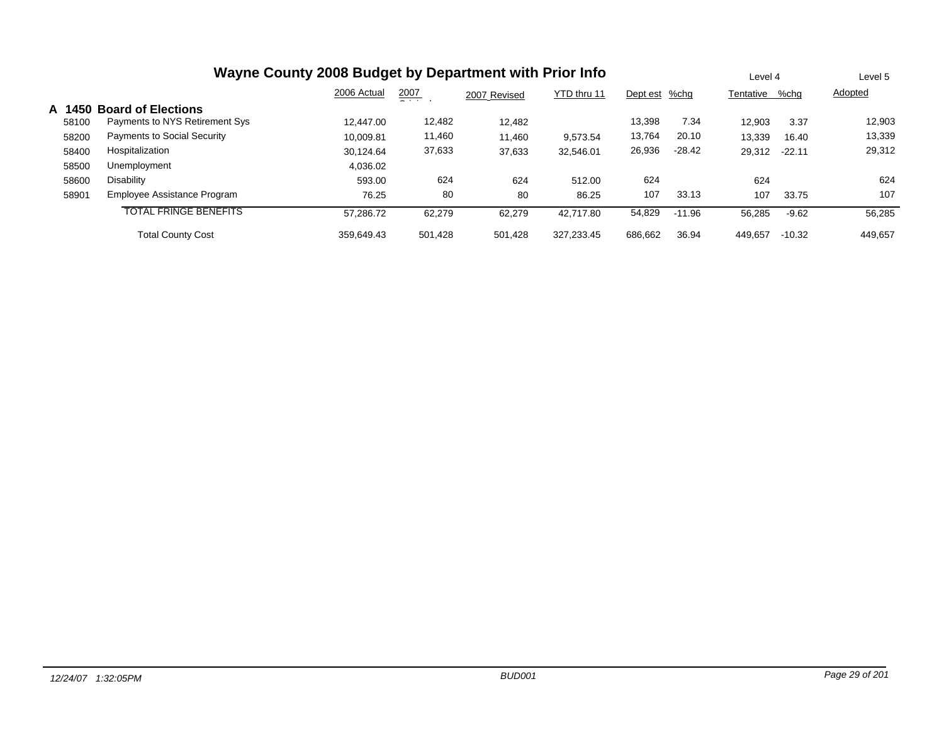| Wayne County 2008 Budget by Department with Prior Info |                                |             |               |              |             |               |          |           | Level 4  |                |
|--------------------------------------------------------|--------------------------------|-------------|---------------|--------------|-------------|---------------|----------|-----------|----------|----------------|
|                                                        |                                | 2006 Actual | 2007<br>- - - | 2007 Revised | YTD thru 11 | Dept est %chg |          | Tentative | %chq     | <b>Adopted</b> |
| A 1450                                                 | <b>Board of Elections</b>      |             |               |              |             |               |          |           |          |                |
| 58100                                                  | Payments to NYS Retirement Sys | 12.447.00   | 12,482        | 12,482       |             | 13.398        | 7.34     | 12,903    | 3.37     | 12,903         |
| 58200                                                  | Payments to Social Security    | 10.009.81   | 11,460        | 11,460       | 9.573.54    | 13,764        | 20.10    | 13,339    | 16.40    | 13,339         |
| 58400                                                  | Hospitalization                | 30.124.64   | 37,633        | 37,633       | 32.546.01   | 26,936        | $-28.42$ | 29,312    | $-22.11$ | 29,312         |
| 58500                                                  | Unemployment                   | 4,036.02    |               |              |             |               |          |           |          |                |
| 58600                                                  | Disability                     | 593.00      | 624           | 624          | 512.00      | 624           |          | 624       |          | 624            |
| 58901                                                  | Employee Assistance Program    | 76.25       | 80            | 80           | 86.25       | 107           | 33.13    | 107       | 33.75    | 107            |
|                                                        | <b>TOTAL FRINGE BENEFITS</b>   | 57.286.72   | 62,279        | 62,279       | 42.717.80   | 54,829        | $-11.96$ | 56,285    | $-9.62$  | 56,285         |
|                                                        | <b>Total County Cost</b>       | 359.649.43  | 501.428       | 501.428      | 327.233.45  | 686.662       | 36.94    | 449,657   | $-10.32$ | 449,657        |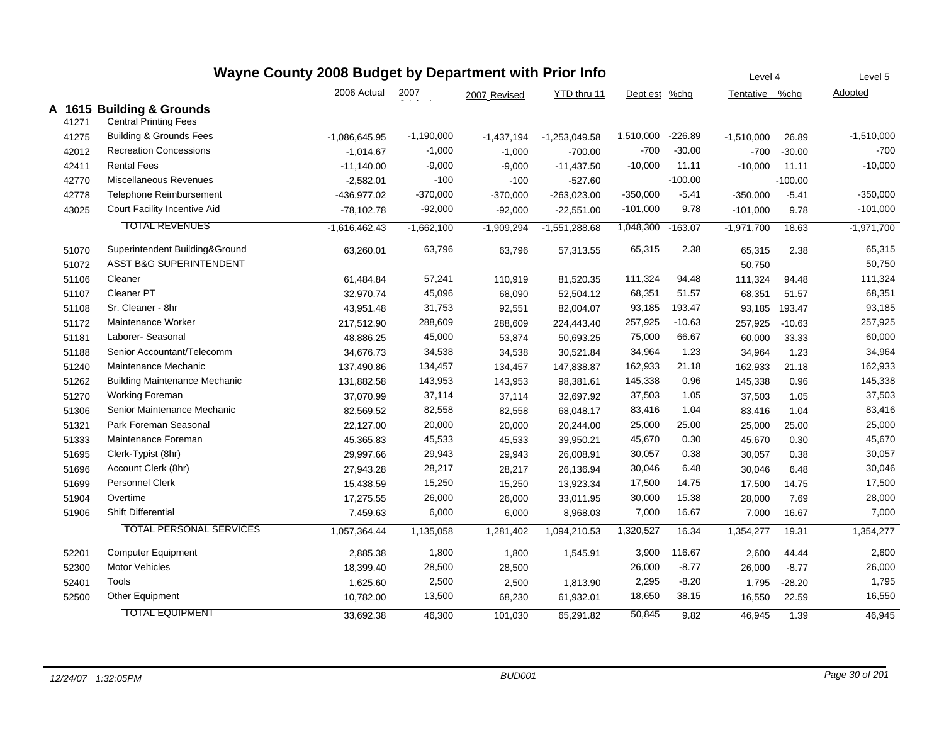| Wayne County 2008 Budget by Department with Prior Info |                                                           |                 |                  |              |                 |            |           | Level 4        |           | Level 5      |
|--------------------------------------------------------|-----------------------------------------------------------|-----------------|------------------|--------------|-----------------|------------|-----------|----------------|-----------|--------------|
|                                                        |                                                           | 2006 Actual     | $\frac{2007}{2}$ | 2007 Revised | YTD thru 11     | Dept est   | $%$ chg   | Tentative %chg |           | Adopted      |
| 41271                                                  | A 1615 Building & Grounds<br><b>Central Printing Fees</b> |                 |                  |              |                 |            |           |                |           |              |
| 41275                                                  | <b>Building &amp; Grounds Fees</b>                        | $-1,086,645.95$ | $-1,190,000$     | $-1,437,194$ | $-1,253,049.58$ | 1,510,000  | $-226.89$ | $-1,510,000$   | 26.89     | $-1,510,000$ |
| 42012                                                  | <b>Recreation Concessions</b>                             | $-1,014.67$     | $-1,000$         | $-1,000$     | $-700.00$       | $-700$     | $-30.00$  | $-700$         | $-30.00$  | $-700$       |
| 42411                                                  | <b>Rental Fees</b>                                        | $-11,140.00$    | $-9,000$         | $-9,000$     | $-11,437.50$    | $-10,000$  | 11.11     | $-10,000$      | 11.11     | $-10,000$    |
| 42770                                                  | Miscellaneous Revenues                                    | $-2,582.01$     | $-100$           | $-100$       | $-527.60$       |            | $-100.00$ |                | $-100.00$ |              |
| 42778                                                  | <b>Telephone Reimbursement</b>                            | -436,977.02     | $-370,000$       | $-370,000$   | $-263,023.00$   | $-350,000$ | $-5.41$   | $-350,000$     | $-5.41$   | $-350,000$   |
| 43025                                                  | Court Facility Incentive Aid                              | $-78,102.78$    | $-92,000$        | $-92,000$    | $-22,551.00$    | $-101,000$ | 9.78      | $-101,000$     | 9.78      | $-101,000$   |
|                                                        | <b>TOTAL REVENUES</b>                                     | $-1,616,462.43$ | $-1,662,100$     | $-1,909,294$ | $-1,551,288.68$ | 1,048,300  | $-163.07$ | $-1,971,700$   | 18.63     | $-1,971,700$ |
| 51070                                                  | Superintendent Building&Ground                            | 63,260.01       | 63,796           | 63,796       | 57,313.55       | 65,315     | 2.38      | 65,315         | 2.38      | 65,315       |
| 51072                                                  | <b>ASST B&amp;G SUPERINTENDENT</b>                        |                 |                  |              |                 |            |           | 50,750         |           | 50,750       |
| 51106                                                  | Cleaner                                                   | 61,484.84       | 57,241           | 110,919      | 81,520.35       | 111,324    | 94.48     | 111,324        | 94.48     | 111,324      |
| 51107                                                  | Cleaner PT                                                | 32,970.74       | 45,096           | 68,090       | 52,504.12       | 68,351     | 51.57     | 68,351         | 51.57     | 68,351       |
| 51108                                                  | Sr. Cleaner - 8hr                                         | 43,951.48       | 31,753           | 92,551       | 82,004.07       | 93,185     | 193.47    | 93,185         | 193.47    | 93,185       |
| 51172                                                  | Maintenance Worker                                        | 217,512.90      | 288,609          | 288,609      | 224,443.40      | 257,925    | $-10.63$  | 257,925        | $-10.63$  | 257,925      |
| 51181                                                  | Laborer- Seasonal                                         | 48,886.25       | 45,000           | 53,874       | 50,693.25       | 75,000     | 66.67     | 60,000         | 33.33     | 60,000       |
| 51188                                                  | Senior Accountant/Telecomm                                | 34,676.73       | 34,538           | 34,538       | 30,521.84       | 34,964     | 1.23      | 34,964         | 1.23      | 34,964       |
| 51240                                                  | Maintenance Mechanic                                      | 137,490.86      | 134,457          | 134,457      | 147,838.87      | 162,933    | 21.18     | 162,933        | 21.18     | 162,933      |
| 51262                                                  | <b>Building Maintenance Mechanic</b>                      | 131,882.58      | 143,953          | 143,953      | 98,381.61       | 145,338    | 0.96      | 145,338        | 0.96      | 145,338      |
| 51270                                                  | <b>Working Foreman</b>                                    | 37,070.99       | 37,114           | 37,114       | 32,697.92       | 37,503     | 1.05      | 37,503         | 1.05      | 37,503       |
| 51306                                                  | Senior Maintenance Mechanic                               | 82,569.52       | 82,558           | 82,558       | 68,048.17       | 83,416     | 1.04      | 83,416         | 1.04      | 83,416       |
| 51321                                                  | Park Foreman Seasonal                                     | 22,127.00       | 20,000           | 20,000       | 20,244.00       | 25,000     | 25.00     | 25,000         | 25.00     | 25,000       |
| 51333                                                  | Maintenance Foreman                                       | 45,365.83       | 45,533           | 45,533       | 39,950.21       | 45,670     | 0.30      | 45,670         | 0.30      | 45,670       |
| 51695                                                  | Clerk-Typist (8hr)                                        | 29,997.66       | 29,943           | 29,943       | 26,008.91       | 30,057     | 0.38      | 30,057         | 0.38      | 30,057       |
| 51696                                                  | Account Clerk (8hr)                                       | 27,943.28       | 28,217           | 28,217       | 26,136.94       | 30,046     | 6.48      | 30,046         | 6.48      | 30,046       |
| 51699                                                  | Personnel Clerk                                           | 15,438.59       | 15,250           | 15,250       | 13,923.34       | 17,500     | 14.75     | 17,500         | 14.75     | 17,500       |
| 51904                                                  | Overtime                                                  | 17,275.55       | 26,000           | 26,000       | 33,011.95       | 30,000     | 15.38     | 28,000         | 7.69      | 28,000       |
| 51906                                                  | <b>Shift Differential</b>                                 | 7,459.63        | 6,000            | 6,000        | 8,968.03        | 7,000      | 16.67     | 7,000          | 16.67     | 7,000        |
|                                                        | <b>TOTAL PERSONAL SERVICES</b>                            | 1,057,364.44    | 1,135,058        | 1,281,402    | 1,094,210.53    | 1,320,527  | 16.34     | 1,354,277      | 19.31     | 1,354,277    |
| 52201                                                  | <b>Computer Equipment</b>                                 | 2,885.38        | 1,800            | 1,800        | 1,545.91        | 3,900      | 116.67    | 2,600          | 44.44     | 2,600        |
| 52300                                                  | Motor Vehicles                                            | 18,399.40       | 28,500           | 28,500       |                 | 26,000     | $-8.77$   | 26,000         | $-8.77$   | 26,000       |
| 52401                                                  | Tools                                                     | 1,625.60        | 2,500            | 2,500        | 1,813.90        | 2,295      | $-8.20$   | 1,795          | $-28.20$  | 1,795        |
| 52500                                                  | Other Equipment                                           | 10,782.00       | 13,500           | 68,230       | 61,932.01       | 18,650     | 38.15     | 16,550         | 22.59     | 16,550       |
|                                                        | <b>TOTAL EQUIPMENT</b>                                    | 33.692.38       | 46.300           | 101,030      | 65.291.82       | 50,845     | 9.82      | 46.945         | 1.39      | 46.945       |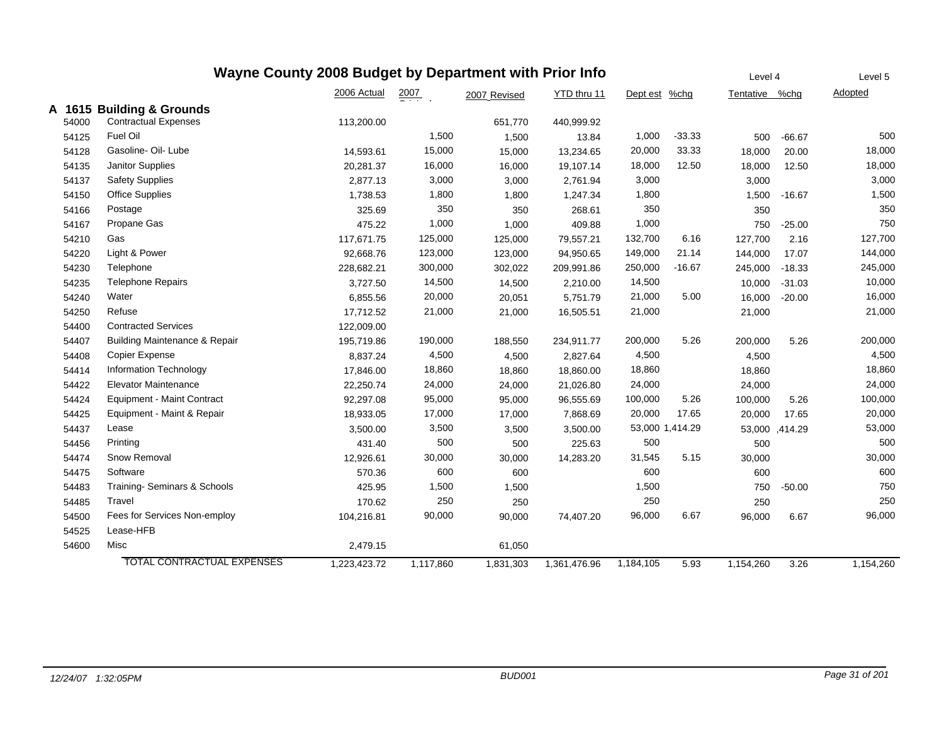|       | Wayne County 2008 Budget by Department with Prior Info |              |                    |              |              |                 |          |                |          | Level 5   |
|-------|--------------------------------------------------------|--------------|--------------------|--------------|--------------|-----------------|----------|----------------|----------|-----------|
|       |                                                        | 2006 Actual  | $\frac{2007}{200}$ | 2007 Revised | YTD thru 11  | Dept est %chg   |          | Tentative      | %chg     | Adopted   |
|       | A 1615 Building & Grounds                              |              |                    |              |              |                 |          |                |          |           |
| 54000 | <b>Contractual Expenses</b>                            | 113,200.00   |                    | 651,770      | 440,999.92   |                 |          |                |          |           |
| 54125 | Fuel Oil                                               |              | 1,500              | 1,500        | 13.84        | 1,000           | $-33.33$ | 500            | $-66.67$ | 500       |
| 54128 | Gasoline- Oil- Lube                                    | 14,593.61    | 15,000             | 15,000       | 13,234.65    | 20,000          | 33.33    | 18,000         | 20.00    | 18,000    |
| 54135 | Janitor Supplies                                       | 20,281.37    | 16,000             | 16,000       | 19,107.14    | 18,000          | 12.50    | 18,000         | 12.50    | 18,000    |
| 54137 | <b>Safety Supplies</b>                                 | 2,877.13     | 3,000              | 3,000        | 2,761.94     | 3,000           |          | 3,000          |          | 3,000     |
| 54150 | <b>Office Supplies</b>                                 | 1,738.53     | 1,800              | 1,800        | 1,247.34     | 1,800           |          | 1,500          | $-16.67$ | 1,500     |
| 54166 | Postage                                                | 325.69       | 350                | 350          | 268.61       | 350             |          | 350            |          | 350       |
| 54167 | Propane Gas                                            | 475.22       | 1,000              | 1,000        | 409.88       | 1,000           |          | 750            | $-25.00$ | 750       |
| 54210 | Gas                                                    | 117,671.75   | 125,000            | 125,000      | 79,557.21    | 132,700         | 6.16     | 127,700        | 2.16     | 127,700   |
| 54220 | Light & Power                                          | 92,668.76    | 123,000            | 123,000      | 94,950.65    | 149,000         | 21.14    | 144,000        | 17.07    | 144,000   |
| 54230 | Telephone                                              | 228,682.21   | 300,000            | 302,022      | 209,991.86   | 250,000         | $-16.67$ | 245,000        | $-18.33$ | 245,000   |
| 54235 | <b>Telephone Repairs</b>                               | 3,727.50     | 14,500             | 14,500       | 2,210.00     | 14,500          |          | 10,000         | $-31.03$ | 10,000    |
| 54240 | Water                                                  | 6,855.56     | 20,000             | 20,051       | 5,751.79     | 21,000          | 5.00     | 16,000         | $-20.00$ | 16,000    |
| 54250 | Refuse                                                 | 17,712.52    | 21,000             | 21,000       | 16,505.51    | 21,000          |          | 21,000         |          | 21,000    |
| 54400 | <b>Contracted Services</b>                             | 122,009.00   |                    |              |              |                 |          |                |          |           |
| 54407 | Building Maintenance & Repair                          | 195,719.86   | 190,000            | 188,550      | 234,911.77   | 200,000         | 5.26     | 200,000        | 5.26     | 200,000   |
| 54408 | Copier Expense                                         | 8,837.24     | 4,500              | 4,500        | 2,827.64     | 4,500           |          | 4,500          |          | 4,500     |
| 54414 | Information Technology                                 | 17,846.00    | 18,860             | 18,860       | 18,860.00    | 18,860          |          | 18,860         |          | 18,860    |
| 54422 | <b>Elevator Maintenance</b>                            | 22,250.74    | 24,000             | 24,000       | 21,026.80    | 24,000          |          | 24,000         |          | 24,000    |
| 54424 | <b>Equipment - Maint Contract</b>                      | 92,297.08    | 95,000             | 95,000       | 96,555.69    | 100,000         | 5.26     | 100,000        | 5.26     | 100,000   |
| 54425 | Equipment - Maint & Repair                             | 18,933.05    | 17,000             | 17,000       | 7,868.69     | 20,000          | 17.65    | 20,000         | 17.65    | 20,000    |
| 54437 | Lease                                                  | 3,500.00     | 3,500              | 3,500        | 3,500.00     | 53,000 1,414.29 |          | 53,000 ,414.29 |          | 53,000    |
| 54456 | Printing                                               | 431.40       | 500                | 500          | 225.63       | 500             |          | 500            |          | 500       |
| 54474 | Snow Removal                                           | 12,926.61    | 30,000             | 30,000       | 14,283.20    | 31,545          | 5.15     | 30,000         |          | 30,000    |
| 54475 | Software                                               | 570.36       | 600                | 600          |              | 600             |          | 600            |          | 600       |
| 54483 | Training-Seminars & Schools                            | 425.95       | 1,500              | 1,500        |              | 1,500           |          | 750            | $-50.00$ | 750       |
| 54485 | Travel                                                 | 170.62       | 250                | 250          |              | 250             |          | 250            |          | 250       |
| 54500 | Fees for Services Non-employ                           | 104,216.81   | 90,000             | 90,000       | 74,407.20    | 96,000          | 6.67     | 96,000         | 6.67     | 96,000    |
| 54525 | Lease-HFB                                              |              |                    |              |              |                 |          |                |          |           |
| 54600 | Misc                                                   | 2,479.15     |                    | 61,050       |              |                 |          |                |          |           |
|       | <b>TOTAL CONTRACTUAL EXPENSES</b>                      | 1,223,423.72 | 1,117,860          | 1,831,303    | 1,361,476.96 | 1,184,105       | 5.93     | 1,154,260      | 3.26     | 1,154,260 |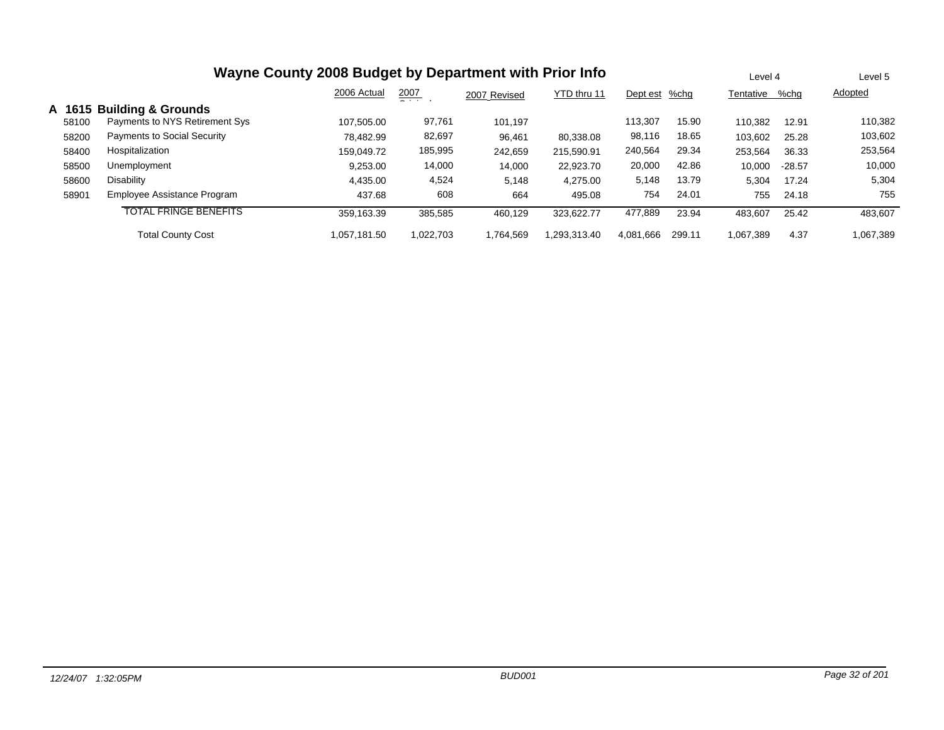| Wayne County 2008 Budget by Department with Prior Info |                                    |              |               |              |             |           |        |           | Level 4  |           |
|--------------------------------------------------------|------------------------------------|--------------|---------------|--------------|-------------|-----------|--------|-----------|----------|-----------|
|                                                        |                                    | 2006 Actual  | 2007<br>$  -$ | 2007 Revised | YTD thru 11 | Dept est  | %chg   | Tentative | %chg     | Adopted   |
| A 1615                                                 | <b>Building &amp; Grounds</b>      |              |               |              |             |           |        |           |          |           |
| 58100                                                  | Payments to NYS Retirement Sys     | 107.505.00   | 97,761        | 101.197      |             | 113.307   | 15.90  | 110.382   | 12.91    | 110,382   |
| 58200                                                  | <b>Payments to Social Security</b> | 78.482.99    | 82,697        | 96,461       | 80.338.08   | 98,116    | 18.65  | 103,602   | 25.28    | 103,602   |
| 58400                                                  | Hospitalization                    | 159.049.72   | 185,995       | 242,659      | 215.590.91  | 240,564   | 29.34  | 253,564   | 36.33    | 253,564   |
| 58500                                                  | Unemployment                       | 9,253.00     | 14,000        | 14,000       | 22,923.70   | 20,000    | 42.86  | 10,000    | $-28.57$ | 10,000    |
| 58600                                                  | Disability                         | 4.435.00     | 4,524         | 5,148        | 4,275.00    | 5,148     | 13.79  | 5,304     | 17.24    | 5,304     |
| 58901                                                  | Employee Assistance Program        | 437.68       | 608           | 664          | 495.08      | 754       | 24.01  | 755       | 24.18    | 755       |
|                                                        | <b>TOTAL FRINGE BENEFITS</b>       | 359,163.39   | 385,585       | 460.129      | 323.622.77  | 477,889   | 23.94  | 483,607   | 25.42    | 483,607   |
|                                                        | <b>Total County Cost</b>           | 1.057.181.50 | 1.022.703     | 1.764.569    | .293.313.40 | 4,081,666 | 299.11 | 1,067,389 | 4.37     | 1,067,389 |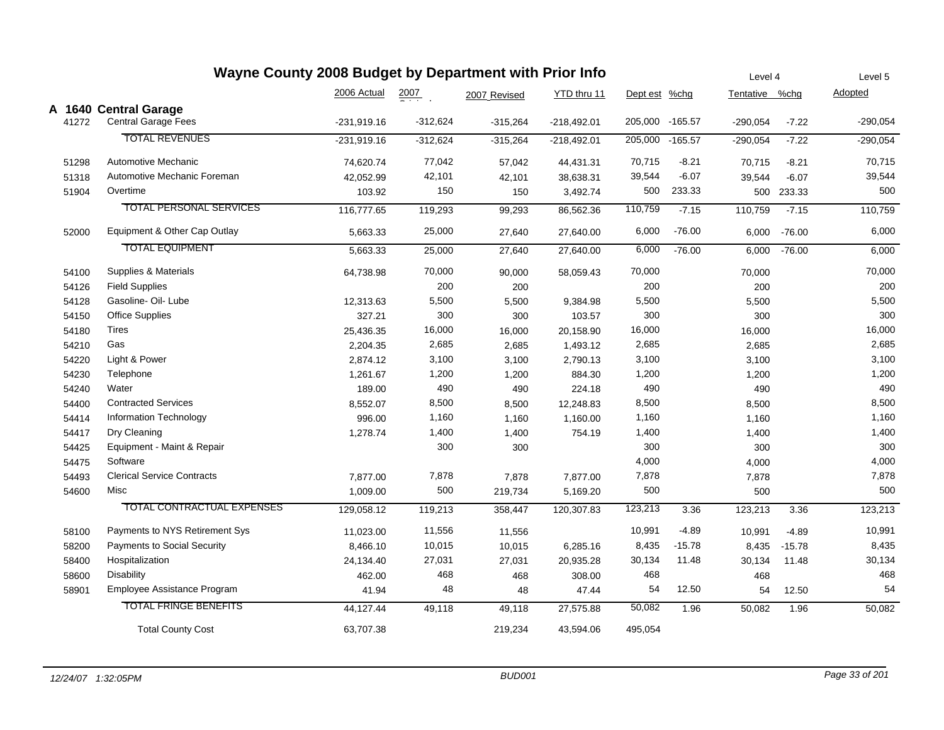|       | Wayne County 2008 Budget by Department with Prior Info |               |            |              |               |               |                 |                |            | Level 5    |
|-------|--------------------------------------------------------|---------------|------------|--------------|---------------|---------------|-----------------|----------------|------------|------------|
|       |                                                        | 2006 Actual   | 2007       | 2007 Revised | YTD thru 11   | Dept est %chg |                 | Tentative %chg |            | Adopted    |
|       | A 1640 Central Garage                                  |               |            |              |               |               |                 |                |            |            |
| 41272 | <b>Central Garage Fees</b>                             | -231,919.16   | $-312,624$ | $-315,264$   | $-218,492.01$ |               | 205,000 -165.57 | $-290,054$     | $-7.22$    | $-290,054$ |
|       | <b>TOTAL REVENUES</b>                                  | $-231,919.16$ | $-312,624$ | $-315,264$   | $-218,492.01$ | 205,000       | $-165.57$       | $-290,054$     | $-7.22$    | $-290,054$ |
| 51298 | Automotive Mechanic                                    | 74,620.74     | 77,042     | 57,042       | 44,431.31     | 70,715        | $-8.21$         | 70,715         | $-8.21$    | 70,715     |
| 51318 | Automotive Mechanic Foreman                            | 42,052.99     | 42,101     | 42,101       | 38,638.31     | 39,544        | $-6.07$         | 39,544         | $-6.07$    | 39,544     |
| 51904 | Overtime                                               | 103.92        | 150        | 150          | 3,492.74      | 500           | 233.33          |                | 500 233.33 | 500        |
|       | <b>TOTAL PERSONAL SERVICES</b>                         | 116,777.65    | 119,293    | 99,293       | 86,562.36     | 110,759       | $-7.15$         | 110,759        | $-7.15$    | 110,759    |
| 52000 | Equipment & Other Cap Outlay                           | 5,663.33      | 25,000     | 27,640       | 27,640.00     | 6,000         | $-76.00$        | 6,000          | $-76.00$   | 6,000      |
|       | <b>TOTAL EQUIPMENT</b>                                 | 5,663.33      | 25,000     | 27,640       | 27,640.00     | 6,000         | $-76.00$        | 6,000          | $-76.00$   | 6,000      |
| 54100 | Supplies & Materials                                   | 64,738.98     | 70,000     | 90,000       | 58,059.43     | 70,000        |                 | 70,000         |            | 70,000     |
| 54126 | <b>Field Supplies</b>                                  |               | 200        | 200          |               | 200           |                 | 200            |            | 200        |
| 54128 | Gasoline- Oil- Lube                                    | 12,313.63     | 5,500      | 5,500        | 9,384.98      | 5,500         |                 | 5,500          |            | 5,500      |
| 54150 | <b>Office Supplies</b>                                 | 327.21        | 300        | 300          | 103.57        | 300           |                 | 300            |            | 300        |
| 54180 | Tires                                                  | 25,436.35     | 16,000     | 16,000       | 20,158.90     | 16,000        |                 | 16,000         |            | 16,000     |
| 54210 | Gas                                                    | 2,204.35      | 2,685      | 2,685        | 1,493.12      | 2,685         |                 | 2,685          |            | 2,685      |
| 54220 | Light & Power                                          | 2,874.12      | 3,100      | 3,100        | 2,790.13      | 3,100         |                 | 3,100          |            | 3,100      |
| 54230 | Telephone                                              | 1,261.67      | 1,200      | 1,200        | 884.30        | 1,200         |                 | 1,200          |            | 1,200      |
| 54240 | Water                                                  | 189.00        | 490        | 490          | 224.18        | 490           |                 | 490            |            | 490        |
| 54400 | <b>Contracted Services</b>                             | 8,552.07      | 8,500      | 8,500        | 12,248.83     | 8,500         |                 | 8,500          |            | 8,500      |
| 54414 | Information Technology                                 | 996.00        | 1,160      | 1,160        | 1,160.00      | 1,160         |                 | 1,160          |            | 1,160      |
| 54417 | Dry Cleaning                                           | 1,278.74      | 1,400      | 1,400        | 754.19        | 1,400         |                 | 1,400          |            | 1,400      |
| 54425 | Equipment - Maint & Repair                             |               | 300        | 300          |               | 300           |                 | 300            |            | 300        |
| 54475 | Software                                               |               |            |              |               | 4,000         |                 | 4,000          |            | 4,000      |
| 54493 | <b>Clerical Service Contracts</b>                      | 7,877.00      | 7,878      | 7,878        | 7,877.00      | 7,878         |                 | 7,878          |            | 7,878      |
| 54600 | Misc                                                   | 1,009.00      | 500        | 219,734      | 5,169.20      | 500           |                 | 500            |            | 500        |
|       | <b>TOTAL CONTRACTUAL EXPENSES</b>                      | 129,058.12    | 119,213    | 358,447      | 120,307.83    | 123,213       | 3.36            | 123,213        | 3.36       | 123,213    |
| 58100 | Payments to NYS Retirement Sys                         | 11,023.00     | 11,556     | 11,556       |               | 10,991        | $-4.89$         | 10,991         | $-4.89$    | 10,991     |
| 58200 | Payments to Social Security                            | 8,466.10      | 10,015     | 10,015       | 6,285.16      | 8,435         | $-15.78$        | 8,435          | $-15.78$   | 8,435      |
| 58400 | Hospitalization                                        | 24,134.40     | 27,031     | 27,031       | 20,935.28     | 30,134        | 11.48           | 30,134         | 11.48      | 30,134     |
| 58600 | <b>Disability</b>                                      | 462.00        | 468        | 468          | 308.00        | 468           |                 | 468            |            | 468        |
| 58901 | Employee Assistance Program                            | 41.94         | 48         | 48           | 47.44         | 54            | 12.50           | 54             | 12.50      | 54         |
|       | <b>TOTAL FRINGE BENEFITS</b>                           | 44,127.44     | 49,118     | 49,118       | 27,575.88     | 50,082        | 1.96            | 50,082         | 1.96       | 50,082     |
|       | <b>Total County Cost</b>                               | 63,707.38     |            | 219,234      | 43,594.06     | 495,054       |                 |                |            |            |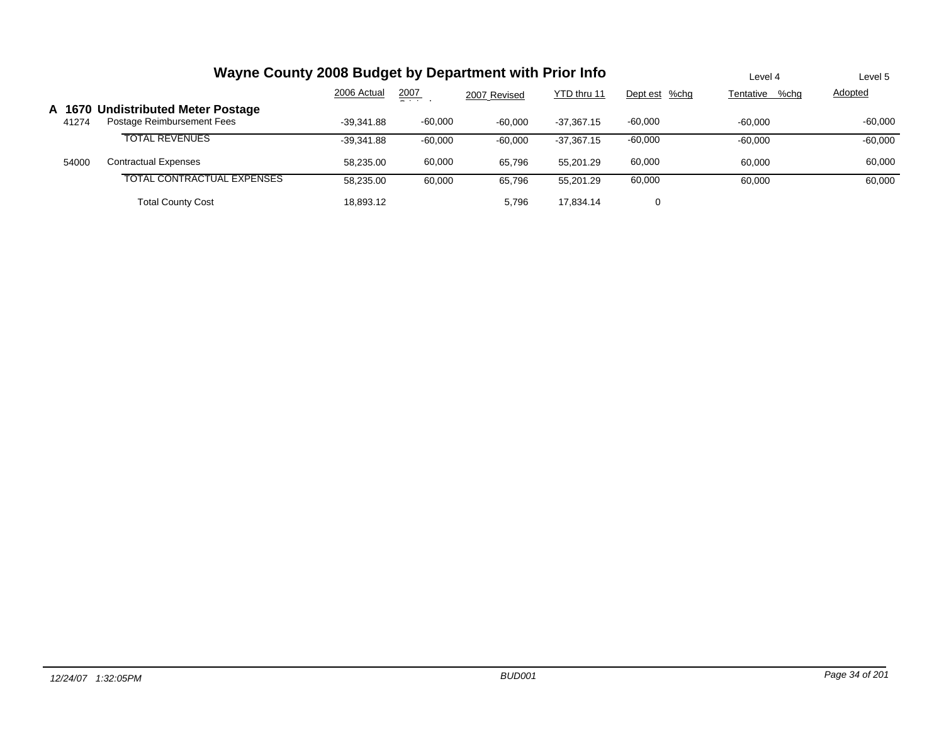|                 | Wayne County 2008 Budget by Department with Prior Info           | Level 4      | Level 5   |              |              |               |                   |           |
|-----------------|------------------------------------------------------------------|--------------|-----------|--------------|--------------|---------------|-------------------|-----------|
|                 |                                                                  | 2006 Actual  | 2007<br>_ | 2007 Revised | YTD thru 11  | Dept est %chg | Tentative<br>%chg | Adopted   |
| A 1670<br>41274 | <b>Undistributed Meter Postage</b><br>Postage Reimbursement Fees | $-39.341.88$ | $-60.000$ | $-60,000$    | $-37.367.15$ | $-60,000$     | $-60.000$         | $-60.000$ |
|                 | <b>TOTAL REVENUES</b>                                            | $-39.341.88$ | $-60.000$ | $-60.000$    | $-37.367.15$ | $-60,000$     | $-60.000$         | $-60,000$ |
| 54000           | Contractual Expenses                                             | 58.235.00    | 60,000    | 65.796       | 55.201.29    | 60,000        | 60,000            | 60,000    |
|                 | TOTAL CONTRACTUAL EXPENSES                                       | 58.235.00    | 60,000    | 65,796       | 55.201.29    | 60,000        | 60,000            | 60,000    |
|                 | <b>Total County Cost</b>                                         | 18.893.12    |           | 5,796        | 17.834.14    | 0             |                   |           |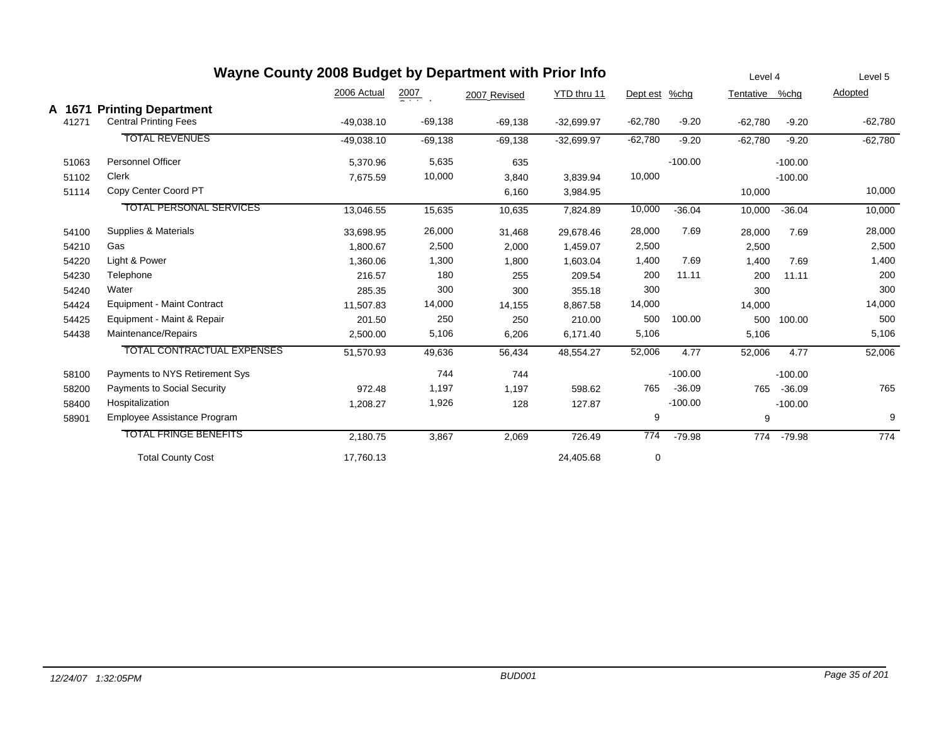|        | Wayne County 2008 Budget by Department with Prior Info |              |           |              |              |           |           | Level 4   |           | Level 5   |
|--------|--------------------------------------------------------|--------------|-----------|--------------|--------------|-----------|-----------|-----------|-----------|-----------|
|        |                                                        | 2006 Actual  | 2007      | 2007 Revised | YTD thru 11  | Dept est  | %chg      | Tentative | %chg      | Adopted   |
| A 1671 | <b>Printing Department</b>                             |              |           |              |              |           |           |           |           |           |
| 41271  | <b>Central Printing Fees</b>                           | $-49,038.10$ | $-69,138$ | $-69,138$    | $-32,699.97$ | $-62,780$ | $-9.20$   | $-62,780$ | $-9.20$   | $-62,780$ |
|        | <b>TOTAL REVENUES</b>                                  | $-49,038.10$ | $-69,138$ | $-69,138$    | $-32,699.97$ | $-62,780$ | $-9.20$   | $-62,780$ | $-9.20$   | $-62,780$ |
| 51063  | <b>Personnel Officer</b>                               | 5,370.96     | 5,635     | 635          |              |           | $-100.00$ |           | $-100.00$ |           |
| 51102  | Clerk                                                  | 7,675.59     | 10,000    | 3,840        | 3,839.94     | 10,000    |           |           | $-100.00$ |           |
| 51114  | Copy Center Coord PT                                   |              |           | 6,160        | 3,984.95     |           |           | 10,000    |           | 10,000    |
|        | <b>TOTAL PERSONAL SERVICES</b>                         | 13,046.55    | 15,635    | 10,635       | 7,824.89     | 10,000    | $-36.04$  | 10,000    | $-36.04$  | 10,000    |
| 54100  | Supplies & Materials                                   | 33,698.95    | 26,000    | 31,468       | 29,678.46    | 28,000    | 7.69      | 28,000    | 7.69      | 28,000    |
| 54210  | Gas                                                    | 1,800.67     | 2,500     | 2,000        | 1,459.07     | 2,500     |           | 2,500     |           | 2,500     |
| 54220  | Light & Power                                          | 1,360.06     | 1,300     | 1,800        | 1,603.04     | 1,400     | 7.69      | 1,400     | 7.69      | 1,400     |
| 54230  | Telephone                                              | 216.57       | 180       | 255          | 209.54       | 200       | 11.11     | 200       | 11.11     | 200       |
| 54240  | Water                                                  | 285.35       | 300       | 300          | 355.18       | 300       |           | 300       |           | 300       |
| 54424  | Equipment - Maint Contract                             | 11,507.83    | 14,000    | 14,155       | 8,867.58     | 14,000    |           | 14,000    |           | 14,000    |
| 54425  | Equipment - Maint & Repair                             | 201.50       | 250       | 250          | 210.00       | 500       | 100.00    | 500       | 100.00    | 500       |
| 54438  | Maintenance/Repairs                                    | 2,500.00     | 5,106     | 6,206        | 6,171.40     | 5,106     |           | 5,106     |           | 5,106     |
|        | <b>TOTAL CONTRACTUAL EXPENSES</b>                      | 51,570.93    | 49,636    | 56,434       | 48,554.27    | 52,006    | 4.77      | 52,006    | 4.77      | 52,006    |
| 58100  | Payments to NYS Retirement Sys                         |              | 744       | 744          |              |           | $-100.00$ |           | $-100.00$ |           |
| 58200  | <b>Payments to Social Security</b>                     | 972.48       | 1,197     | 1,197        | 598.62       | 765       | $-36.09$  | 765       | $-36.09$  | 765       |
| 58400  | Hospitalization                                        | 1,208.27     | 1,926     | 128          | 127.87       |           | $-100.00$ |           | $-100.00$ |           |
| 58901  | Employee Assistance Program                            |              |           |              |              | 9         |           | 9         |           | 9         |
|        | <b>TOTAL FRINGE BENEFITS</b>                           | 2,180.75     | 3,867     | 2,069        | 726.49       | 774       | $-79.98$  | 774       | $-79.98$  | 774       |
|        | <b>Total County Cost</b>                               | 17,760.13    |           |              | 24,405.68    | 0         |           |           |           |           |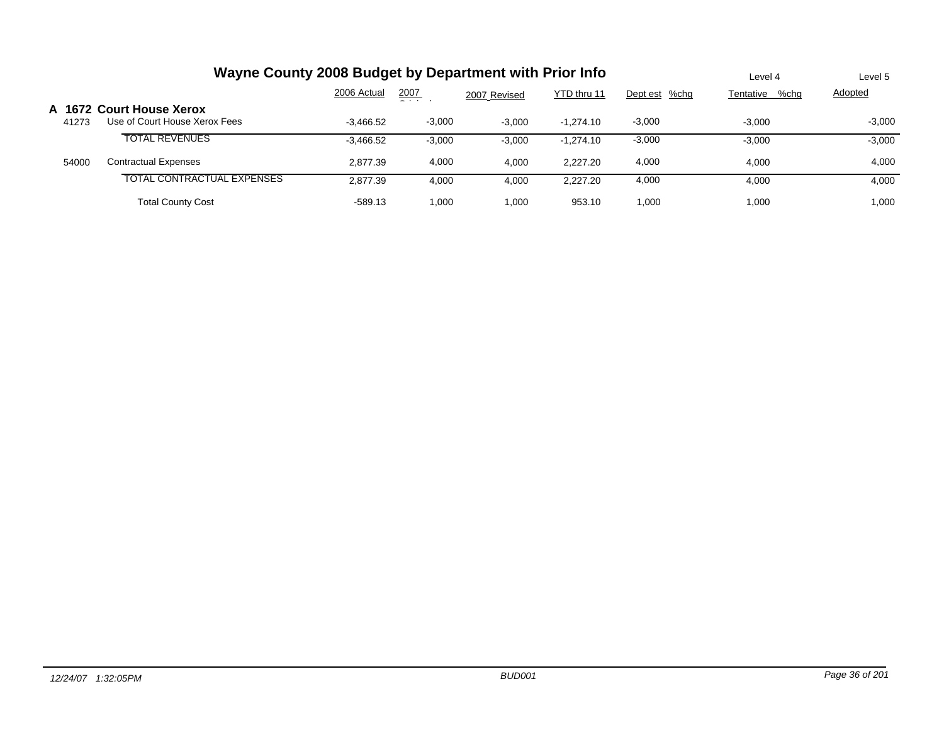|                 | Wayne County 2008 Budget by Department with Prior Info    | Level 4     | Level 5      |              |             |               |                   |                |
|-----------------|-----------------------------------------------------------|-------------|--------------|--------------|-------------|---------------|-------------------|----------------|
|                 |                                                           | 2006 Actual | 2007<br>$ -$ | 2007 Revised | YTD thru 11 | Dept est %chg | %chg<br>Tentative | <b>Adopted</b> |
| A 1672<br>41273 | <b>Court House Xerox</b><br>Use of Court House Xerox Fees | $-3,466.52$ | $-3,000$     | $-3,000$     | $-1.274.10$ | $-3,000$      | $-3.000$          | $-3,000$       |
|                 | <b>TOTAL REVENUES</b>                                     | $-3,466.52$ | $-3,000$     | $-3,000$     | $-1.274.10$ | $-3,000$      | $-3,000$          | $-3,000$       |
| 54000           | <b>Contractual Expenses</b>                               | 2.877.39    | 4,000        | 4.000        | 2.227.20    | 4,000         | 4,000             | 4,000          |
|                 | TOTAL CONTRACTUAL EXPENSES                                | 2.877.39    | 4,000        | 4,000        | 2.227.20    | 4,000         | 4,000             | 4,000          |
|                 | <b>Total County Cost</b>                                  | $-589.13$   | 1,000        | 1.000        | 953.10      | 1.000         | 1,000             | 1,000          |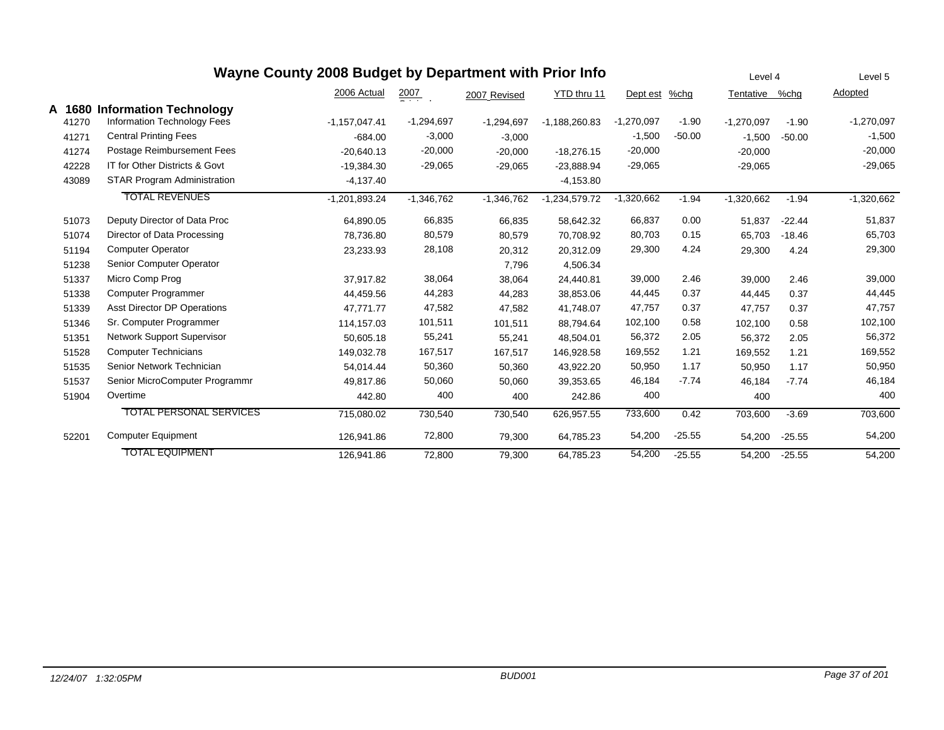|        |                                    | Wayne County 2008 Budget by Department with Prior Info |                  |              |                 |              |          | Level 4      |          | Level 5      |
|--------|------------------------------------|--------------------------------------------------------|------------------|--------------|-----------------|--------------|----------|--------------|----------|--------------|
|        |                                    | 2006 Actual                                            | $\frac{2007}{2}$ | 2007 Revised | YTD thru 11     | Dept est     | %chg     | Tentative    | %chg     | Adopted      |
| A 1680 | <b>Information Technology</b>      |                                                        |                  |              |                 |              |          |              |          |              |
| 41270  | Information Technology Fees        | $-1,157,047.41$                                        | $-1,294,697$     | $-1,294,697$ | $-1,188,260.83$ | $-1,270,097$ | $-1.90$  | $-1,270,097$ | $-1.90$  | $-1,270,097$ |
| 41271  | <b>Central Printing Fees</b>       | $-684.00$                                              | $-3,000$         | $-3,000$     |                 | $-1,500$     | $-50.00$ | $-1,500$     | $-50.00$ | $-1,500$     |
| 41274  | Postage Reimbursement Fees         | $-20,640.13$                                           | $-20,000$        | $-20,000$    | $-18,276.15$    | $-20,000$    |          | $-20,000$    |          | $-20,000$    |
| 42228  | IT for Other Districts & Govt      | $-19,384.30$                                           | $-29,065$        | $-29,065$    | $-23,888.94$    | $-29,065$    |          | $-29,065$    |          | $-29,065$    |
| 43089  | <b>STAR Program Administration</b> | $-4,137.40$                                            |                  |              | $-4,153.80$     |              |          |              |          |              |
|        | <b>TOTAL REVENUES</b>              | $-1,201,893.24$                                        | $-1,346,762$     | $-1,346,762$ | $-1,234,579.72$ | $-1,320,662$ | $-1.94$  | $-1,320,662$ | $-1.94$  | $-1,320,662$ |
| 51073  | Deputy Director of Data Proc       | 64,890.05                                              | 66,835           | 66,835       | 58,642.32       | 66,837       | 0.00     | 51,837       | $-22.44$ | 51,837       |
| 51074  | Director of Data Processing        | 78.736.80                                              | 80,579           | 80,579       | 70.708.92       | 80,703       | 0.15     | 65,703       | $-18.46$ | 65,703       |
| 51194  | <b>Computer Operator</b>           | 23,233.93                                              | 28,108           | 20,312       | 20,312.09       | 29,300       | 4.24     | 29,300       | 4.24     | 29,300       |
| 51238  | Senior Computer Operator           |                                                        |                  | 7,796        | 4,506.34        |              |          |              |          |              |
| 51337  | Micro Comp Prog                    | 37,917.82                                              | 38,064           | 38,064       | 24,440.81       | 39,000       | 2.46     | 39,000       | 2.46     | 39,000       |
| 51338  | <b>Computer Programmer</b>         | 44.459.56                                              | 44,283           | 44,283       | 38.853.06       | 44,445       | 0.37     | 44.445       | 0.37     | 44,445       |
| 51339  | <b>Asst Director DP Operations</b> | 47.771.77                                              | 47,582           | 47,582       | 41.748.07       | 47,757       | 0.37     | 47.757       | 0.37     | 47,757       |
| 51346  | Sr. Computer Programmer            | 114,157.03                                             | 101,511          | 101,511      | 88,794.64       | 102,100      | 0.58     | 102,100      | 0.58     | 102,100      |
| 51351  | Network Support Supervisor         | 50,605.18                                              | 55,241           | 55,241       | 48,504.01       | 56,372       | 2.05     | 56,372       | 2.05     | 56,372       |
| 51528  | <b>Computer Technicians</b>        | 149,032.78                                             | 167,517          | 167,517      | 146,928.58      | 169,552      | 1.21     | 169,552      | 1.21     | 169,552      |
| 51535  | Senior Network Technician          | 54.014.44                                              | 50,360           | 50,360       | 43,922.20       | 50,950       | 1.17     | 50,950       | 1.17     | 50,950       |
| 51537  | Senior MicroComputer Programmr     | 49,817.86                                              | 50,060           | 50,060       | 39,353.65       | 46,184       | $-7.74$  | 46,184       | $-7.74$  | 46,184       |
| 51904  | Overtime                           | 442.80                                                 | 400              | 400          | 242.86          | 400          |          | 400          |          | 400          |
|        | <b>TOTAL PERSONAL SERVICES</b>     | 715,080.02                                             | 730,540          | 730,540      | 626,957.55      | 733,600      | 0.42     | 703,600      | $-3.69$  | 703,600      |
| 52201  | Computer Equipment                 | 126,941.86                                             | 72,800           | 79,300       | 64,785.23       | 54,200       | $-25.55$ | 54,200       | $-25.55$ | 54,200       |
|        | <b>TOTAL EQUIPMENT</b>             | 126,941.86                                             | 72,800           | 79,300       | 64,785.23       | 54,200       | $-25.55$ | 54,200       | $-25.55$ | 54,200       |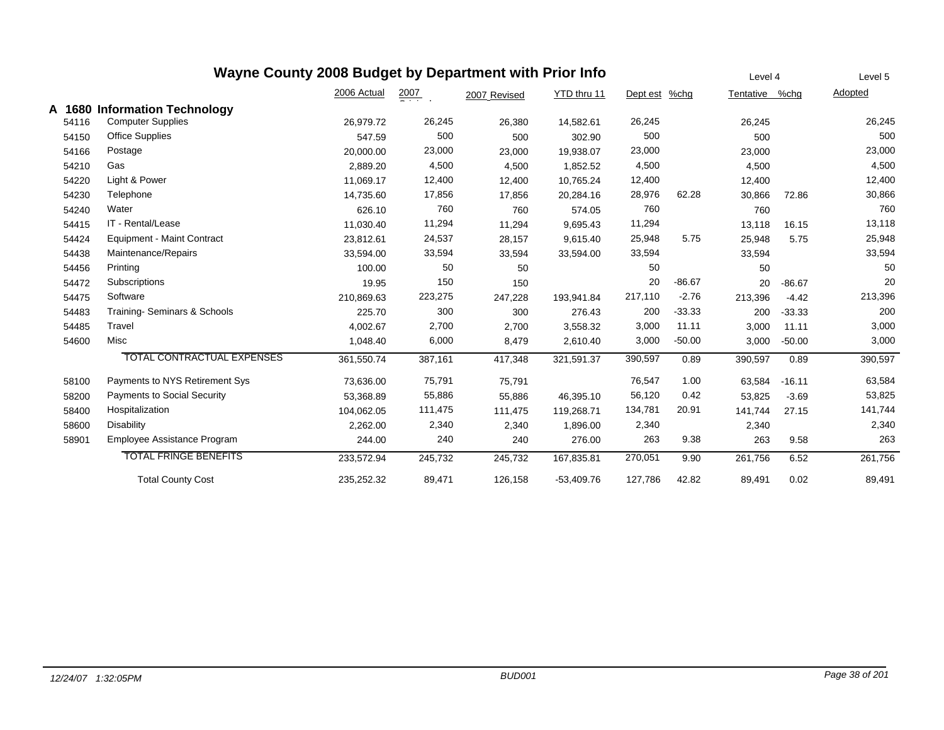## **Wayne County 2008 Budget by Department with Prior Info**

<u>Tentative %chg</u> 2007 YTD thru 11 Oi i l2006 Actual2007 Revised Dept est %chg **Adopted A 1680 Information Technology** 54116 Computer Supplies 26,979.72 26,380 26,245 14,582.61 26,245 26,245 26,245 541500 Office Supplies 547.59 500 500 500 500 54166 Postage 20,000.00 23,000 23,000 19,938.07 23,000 23,000 23,000 54210 Gas 2,889.20 4,500 4,500 1,852.52 4,500 4,500 4,500 542200 Light & Power 11,069.17 12,400 12,400 12,400 12,400 542300 Telephone 14,735.60 17,856 17,856 20,284.16 28,976 62.28 30,866 30,866 542400 Water 626.10 760 760 574.05 760 760 760 544155 IT - Rental/Lease 11,030.40 11,294 9,695.43 11,294 13,118 16.15 13,118 54424Equipment - Maint Contract 23,812.61 24,537 28,157 9,615.40 25,948 5.75 25,948 25,948 25,948 25,948 54438Maintenance/Repairs 133,594 33,594,00 33,594 33,594 33,594.00 33,594 33,594 33,594 33,594 33,594 33,594 54456 Printing 100.00 50 50 50 50 50 544722 Subscriptions 19.95 150 20 -86.67 20 -86.67 20 544755 Software 210,869.63 223,275 247,228 193,941.84 217,110 -2.76 213,396 -4.42 213,396 54483 Training- Seminars & Schools 225.70 300 300 -33.33 276.43 200 200 200 -33.33 54485 Travel 4,002.67 2,700 2,700 11.11 3,558.32 3,000 3,000 3,000 11.11 546000 Misc 1,048.40 6,000 8,479 2,610.40 3,000 -50.00 3,000 3,000 TOTAL CONTRACTUAL EXPENSES 361,550.74 417,348 387,161 0.89 0.89 321,591.37 390,597 390,597 390,597 58100Payments to NYS Retirement Sys **73,636.00** 75,791 75,791 76,547 1.00 63,584 -16.11 63,584 58200Payments to Social Security **62,368.89** 55,368.89 55,886 55,886 55,886 56,120 56,120 56,120 53,825 73,69 53,825 584000 Hospitalization 104,062.05 111,475 111,475 119,268.71 134,781 20.91 141,744 27.15 141,744 586000 Disability 2,262.00 2,340 1,896.00 2,340 2,340 2,340 58901Employee Assistance Program 
244.00 
240 
240 
276.00 
263 
9.38 
263 
9.58 
263 TOTAL FRINGE BENEFITS5 233,572.94 245,732 245,732 167,835.81 270,051 9.90 261,756 6.52 261,756 Total County Cost 235,252.32 89,471 126,158 -53,409.76 127,786 42.82 89,491 0.02 89,491

Level 4

Level 5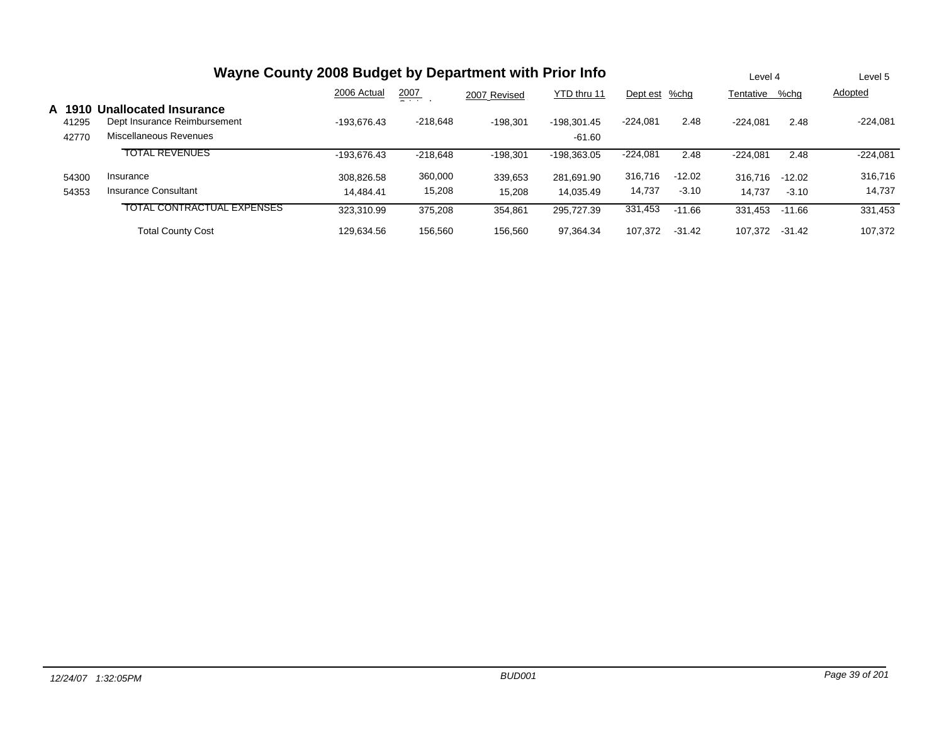|                        | Wayne County 2008 Budget by Department with Prior Info                                 |                         |                   |                   |                         |                   |                     |                   |                     | Level 5           |
|------------------------|----------------------------------------------------------------------------------------|-------------------------|-------------------|-------------------|-------------------------|-------------------|---------------------|-------------------|---------------------|-------------------|
|                        |                                                                                        | 2006 Actual             | 2007<br>- - -     | 2007 Revised      | YTD thru 11             | Dept est          | %chg                | Tentative         | %chg                | Adopted           |
| A 19<br>41295<br>42770 | <b>Unallocated Insurance</b><br>Dept Insurance Reimbursement<br>Miscellaneous Revenues | -193.676.43             | $-218.648$        | $-198.301$        | -198.301.45<br>-61.60   | $-224.081$        | 2.48                | $-224.081$        | 2.48                | $-224.081$        |
|                        | <b>TOTAL REVENUES</b>                                                                  | -193.676.43             | $-218.648$        | $-198.301$        | $-198.363.05$           | $-224,081$        | 2.48                | $-224.081$        | 2.48                | $-224,081$        |
| 54300<br>54353         | Insurance<br><b>Insurance Consultant</b>                                               | 308.826.58<br>14.484.41 | 360,000<br>15,208 | 339,653<br>15,208 | 281.691.90<br>14.035.49 | 316,716<br>14,737 | $-12.02$<br>$-3.10$ | 316,716<br>14.737 | $-12.02$<br>$-3.10$ | 316,716<br>14,737 |
|                        | <b>TOTAL CONTRACTUAL EXPENSES</b>                                                      | 323.310.99              | 375.208           | 354,861           | 295.727.39              | 331,453           | $-11.66$            | 331.453           | $-11.66$            | 331,453           |
|                        | <b>Total County Cost</b>                                                               | 129.634.56              | 156.560           | 156.560           | 97.364.34               | 107.372           | $-31.42$            | 107.372           | $-31.42$            | 107.372           |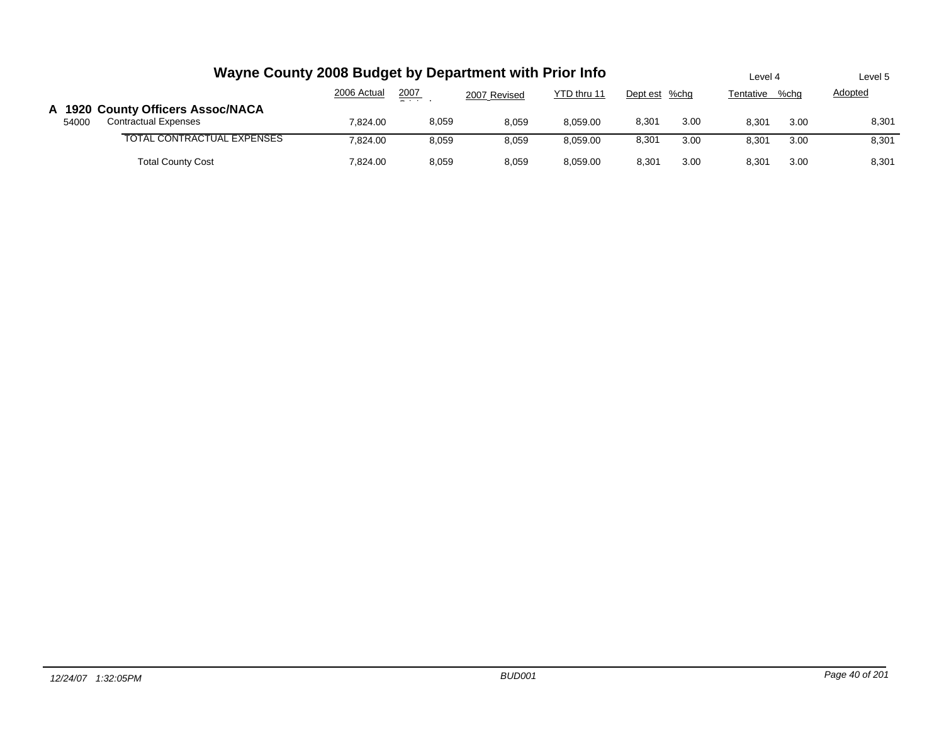|       | Wayne County 2008 Budget by Department with Prior Info           |             |       |              |             |               |      | Level 4   |      | Level 5        |
|-------|------------------------------------------------------------------|-------------|-------|--------------|-------------|---------------|------|-----------|------|----------------|
|       |                                                                  | 2006 Actual | 2007  | 2007 Revised | YTD thru 11 | Dept est %chg |      | Tentative | %cha | <b>Adopted</b> |
| 54000 | A 1920 County Officers Assoc/NACA<br><b>Contractual Expenses</b> | 7.824.00    | 8,059 | 8.059        | 8.059.00    | 8,301         | 3.00 | 8.301     | 3.00 | 8,301          |
|       | TOTAL CONTRACTUAL EXPENSES                                       | 7.824.00    | 8,059 | 8,059        | 8.059.00    | 8,301         | 3.00 | 8,301     | 3.00 | 8,301          |
|       | <b>Total County Cost</b>                                         | 7.824.00    | 8,059 | 8,059        | 8.059.00    | 8,301         | 3.00 | 8,301     | 3.00 | 8,301          |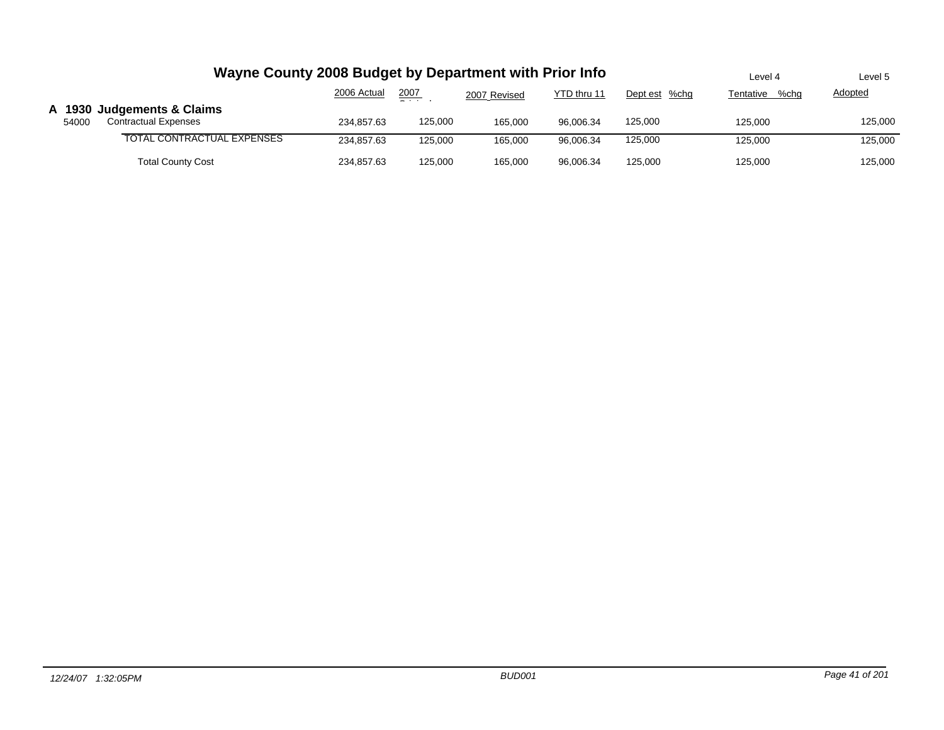|       | Wayne County 2008 Budget by Department with Prior Info | Level 4     | Level 5       |              |             |               |                   |                |
|-------|--------------------------------------------------------|-------------|---------------|--------------|-------------|---------------|-------------------|----------------|
|       |                                                        | 2006 Actual | 2007<br>$  -$ | 2007 Revised | YTD thru 11 | Dept est %chg | %chq<br>Tentative | <b>Adopted</b> |
|       | A 1930 Judgements & Claims                             |             |               |              |             |               |                   |                |
| 54000 | <b>Contractual Expenses</b>                            | 234.857.63  | 125,000       | 165.000      | 96.006.34   | 125,000       | 125.000           | 125,000        |
|       | TOTAL CONTRACTUAL EXPENSES                             | 234,857.63  | 125,000       | 165.000      | 96.006.34   | 125,000       | 125.000           | 125,000        |
|       | <b>Total County Cost</b>                               | 234,857.63  | 125,000       | 165,000      | 96.006.34   | 125,000       | 125,000           | 125,000        |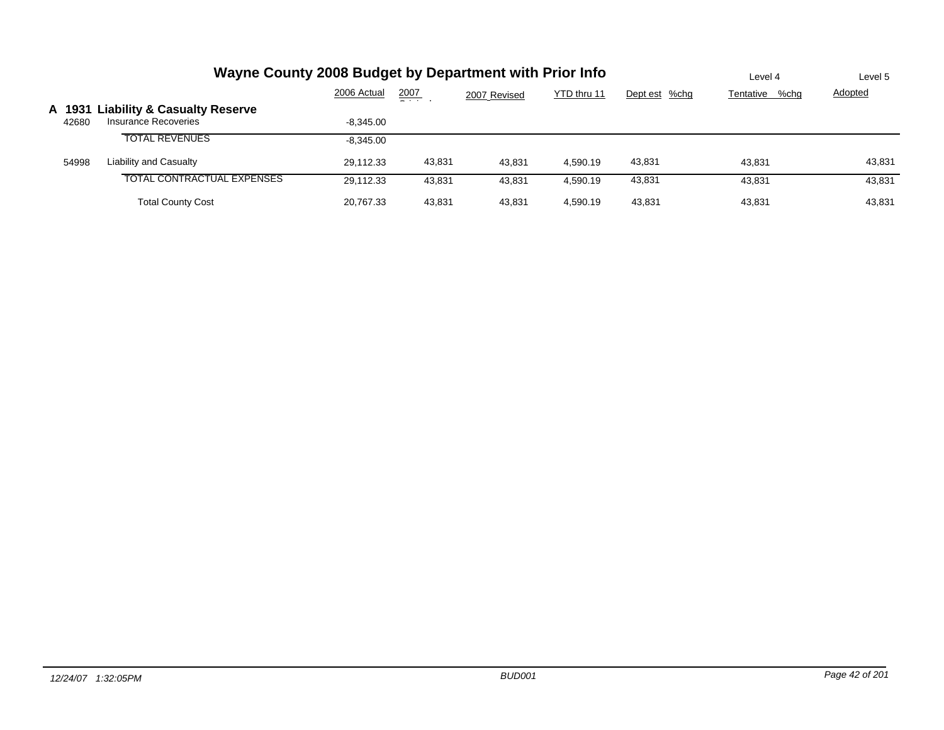|                 | Wayne County 2008 Budget by Department with Prior Info          | Level 4     | Level 5       |              |             |               |                   |                |
|-----------------|-----------------------------------------------------------------|-------------|---------------|--------------|-------------|---------------|-------------------|----------------|
|                 |                                                                 | 2006 Actual | 2007<br>_ _ _ | 2007 Revised | YTD thru 11 | Dept est %chg | %chg<br>Tentative | <b>Adopted</b> |
| A 1931<br>42680 | <b>Liability &amp; Casualty Reserve</b><br>Insurance Recoveries | $-8.345.00$ |               |              |             |               |                   |                |
|                 | <b>TOTAL REVENUES</b>                                           | $-8.345.00$ |               |              |             |               |                   |                |
| 54998           | Liability and Casualty                                          | 29.112.33   | 43,831        | 43,831       | 4,590.19    | 43,831        | 43.831            | 43,831         |
|                 | <b>TOTAL CONTRACTUAL EXPENSES</b>                               | 29,112.33   | 43.831        | 43.831       | 4.590.19    | 43,831        | 43.831            | 43,831         |
|                 | <b>Total County Cost</b>                                        | 20.767.33   | 43.831        | 43.831       | 4.590.19    | 43.831        | 43.831            | 43,831         |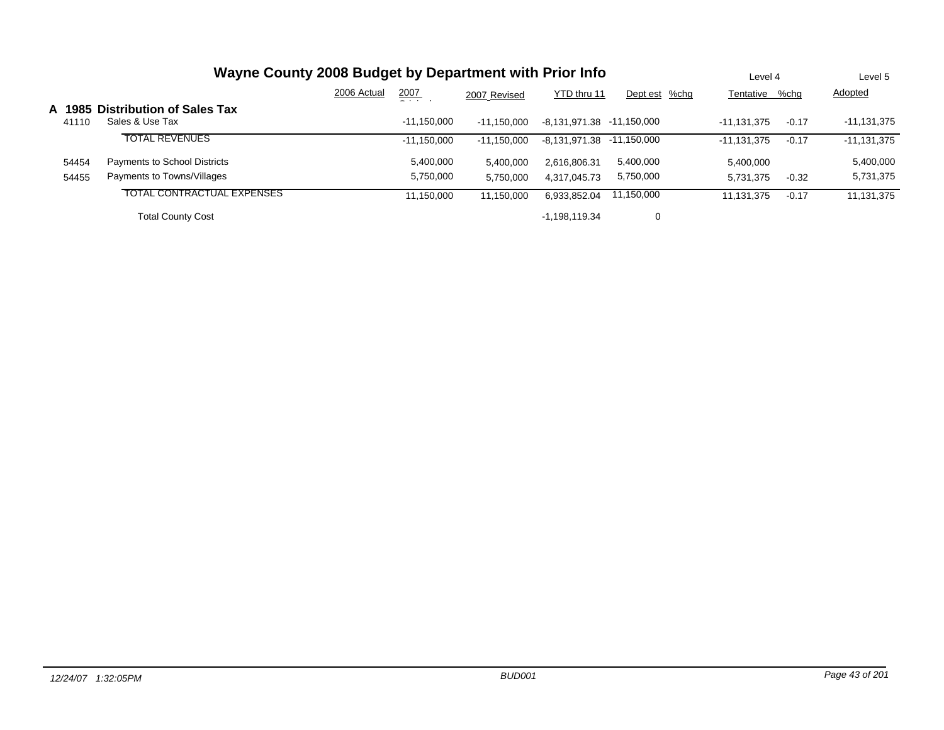|        | Wayne County 2008 Budget by Department with Prior Info |             |                |               |                           |               |                |         | Level 5       |
|--------|--------------------------------------------------------|-------------|----------------|---------------|---------------------------|---------------|----------------|---------|---------------|
|        |                                                        | 2006 Actual | 2007<br>$   -$ | 2007 Revised  | YTD thru 11               | Dept est %chg | Tentative %chg |         | Adopted       |
| A 1985 | <b>Distribution of Sales Tax</b>                       |             |                |               |                           |               |                |         |               |
| 41110  | Sales & Use Tax                                        |             | $-11.150.000$  | $-11.150.000$ | -8,131,971.38 -11,150,000 |               | $-11.131.375$  | $-0.17$ | $-11,131,375$ |
|        | <b>TOTAL REVENUES</b>                                  |             | $-11,150,000$  | $-11.150.000$ | -8,131,971.38 -11,150,000 |               | $-11.131.375$  | $-0.17$ | $-11,131,375$ |
| 54454  | Payments to School Districts                           |             | 5,400,000      | 5,400,000     | 2,616,806.31              | 5,400,000     | 5.400.000      |         | 5,400,000     |
| 54455  | Payments to Towns/Villages                             |             | 5,750,000      | 5,750,000     | 4,317,045.73              | 5,750,000     | 5,731,375      | $-0.32$ | 5,731,375     |
|        | TOTAL CONTRACTUAL EXPENSES                             |             | 11,150,000     | 11.150.000    | 6,933,852.04              | 11,150,000    | 11,131,375     | $-0.17$ | 11,131,375    |
|        | <b>Total County Cost</b>                               |             |                |               | $-1.198.119.34$           | 0             |                |         |               |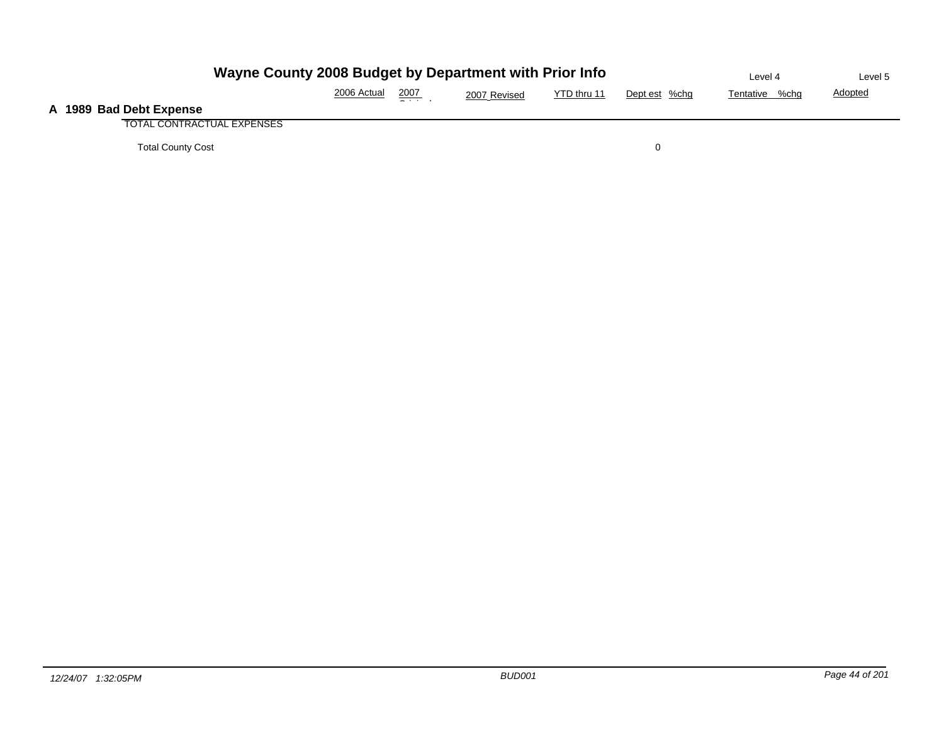| Wayne County 2008 Budget by Department with Prior Info |             |                 |              |             |               | Level 4        | Level 5        |
|--------------------------------------------------------|-------------|-----------------|--------------|-------------|---------------|----------------|----------------|
|                                                        | 2006 Actual | 2007<br>- - - - | 2007 Revised | YTD thru 11 | Dept est %chg | Tentative %chg | <b>Adopted</b> |
| A 1989 Bad Debt Expense                                |             |                 |              |             |               |                |                |
| TOTAL CONTRACTUAL EXPENSES                             |             |                 |              |             |               |                |                |
| <b>Total County Cost</b>                               |             |                 |              |             |               |                |                |

**A**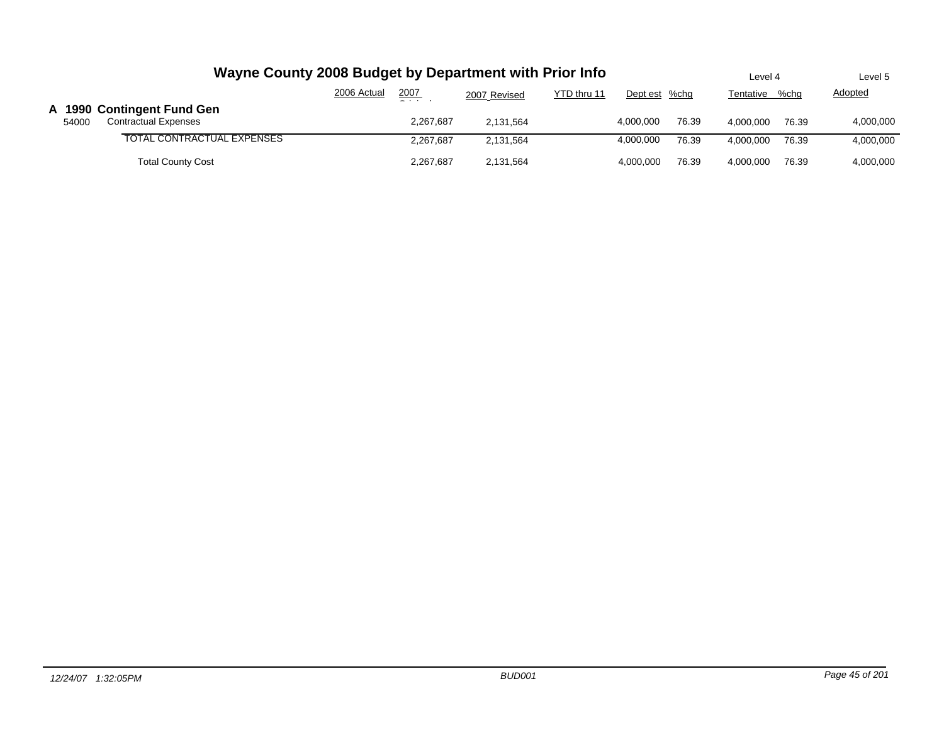|       |                                                           |             | Wayne County 2008 Budget by Department with Prior Info |              |             |               |       | Level 4   |       | Level 5   |
|-------|-----------------------------------------------------------|-------------|--------------------------------------------------------|--------------|-------------|---------------|-------|-----------|-------|-----------|
|       |                                                           | 2006 Actual | 2007<br>_                                              | 2007 Revised | YTD thru 11 | Dept est %chg |       | Tentative | %chg  | Adopted   |
| 54000 | A 1990 Contingent Fund Gen<br><b>Contractual Expenses</b> |             | 2.267.687                                              | 2.131.564    |             | 4.000.000     | 76.39 | 4.000.000 | 76.39 | 4,000,000 |
|       | TOTAL CONTRACTUAL EXPENSES                                |             | 2.267.687                                              | 2.131.564    |             | 4,000,000     | 76.39 | 4.000.000 | 76.39 | 4,000,000 |
|       | <b>Total County Cost</b>                                  |             | 2.267.687                                              | 2.131.564    |             | 4.000.000     | 76.39 | 4.000.000 | 76.39 | 4,000,000 |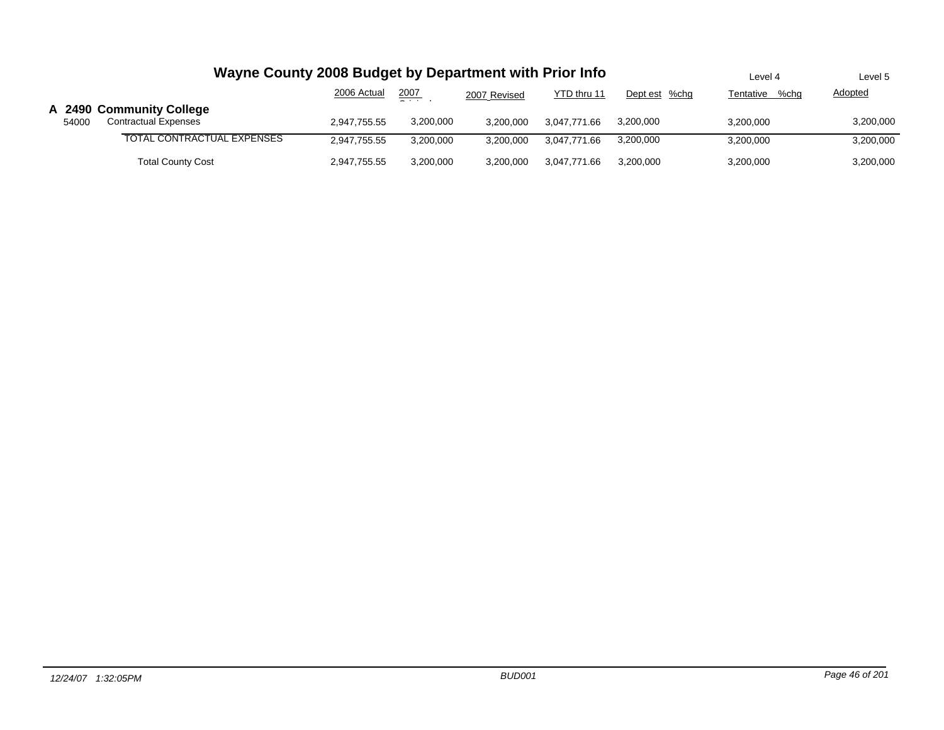|       | Wayne County 2008 Budget by Department with Prior Info  | Level 4      | Level 5         |              |              |               |                |                |
|-------|---------------------------------------------------------|--------------|-----------------|--------------|--------------|---------------|----------------|----------------|
|       |                                                         | 2006 Actual  | 2007<br>- - - - | 2007 Revised | YTD thru 11  | Dept est %chg | Tentative %chg | <b>Adopted</b> |
| 54000 | A 2490 Community College<br><b>Contractual Expenses</b> | 2,947,755.55 | 3,200,000       | 3,200,000    | 3.047.771.66 | 3,200,000     | 3,200,000      | 3,200,000      |
|       | TOTAL CONTRACTUAL EXPENSES                              | 2,947,755.55 | 3,200,000       | 3,200,000    | 3.047.771.66 | 3,200,000     | 3,200,000      | 3,200,000      |
|       | <b>Total County Cost</b>                                | 2,947,755.55 | 3,200,000       | 3,200,000    | 3.047.771.66 | 3.200.000     | 3,200,000      | 3,200,000      |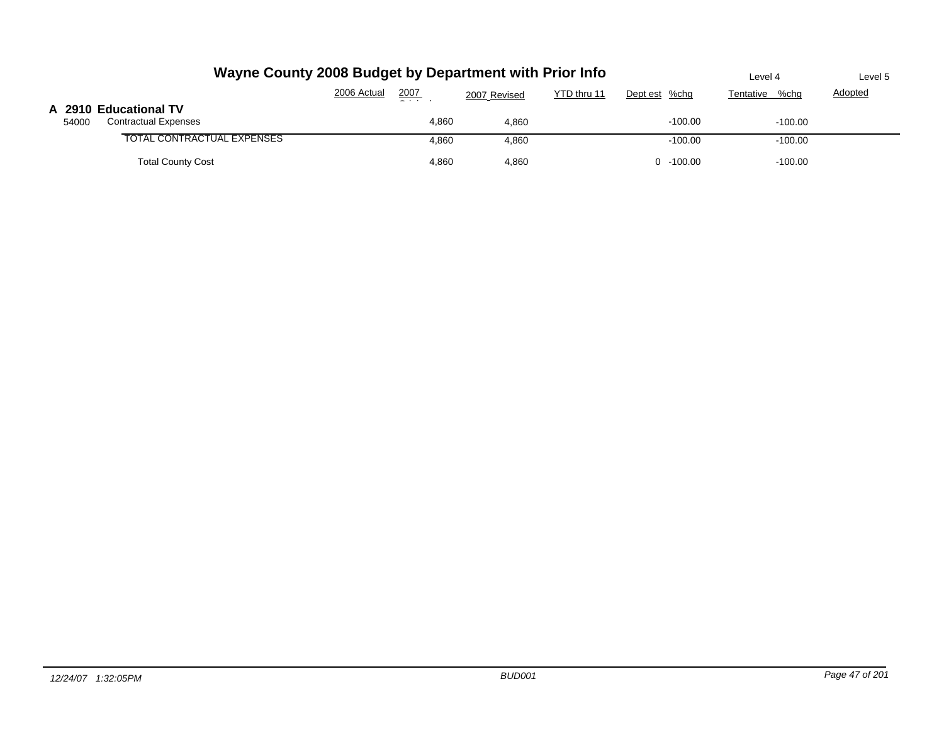| Wayne County 2008 Budget by Department with Prior Info        |             |       |              |             |               | Level 4           | Level 5        |
|---------------------------------------------------------------|-------------|-------|--------------|-------------|---------------|-------------------|----------------|
|                                                               | 2006 Actual | 2007  | 2007 Revised | YTD thru 11 | Dept est %chg | %chq<br>Tentative | <b>Adopted</b> |
| A 2910 Educational TV<br><b>Contractual Expenses</b><br>54000 |             | 4,860 | 4,860        |             | $-100.00$     | $-100.00$         |                |
| TOTAL CONTRACTUAL EXPENSES                                    |             | 4,860 | 4,860        |             | $-100.00$     | $-100.00$         |                |
| <b>Total County Cost</b>                                      |             | 4,860 | 4,860        |             | $0 - 100.00$  | $-100.00$         |                |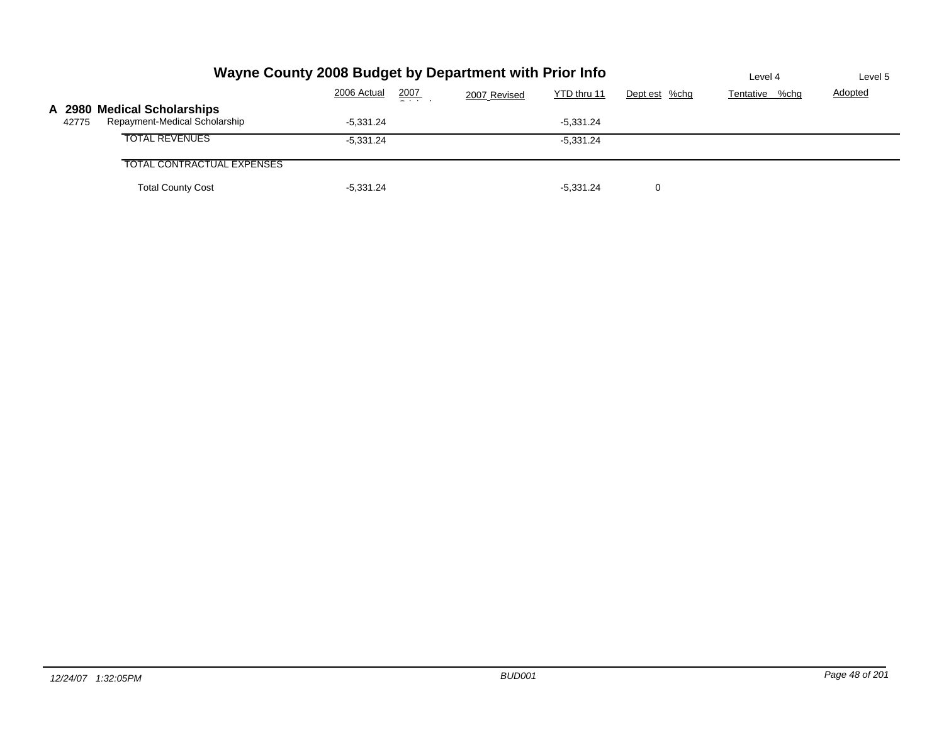|                                                                       | Wayne County 2008 Budget by Department with Prior Info |      |              |             |               |                |                |  |
|-----------------------------------------------------------------------|--------------------------------------------------------|------|--------------|-------------|---------------|----------------|----------------|--|
|                                                                       | 2006 Actual                                            | 2007 | 2007 Revised | YTD thru 11 | Dept est %chg | Tentative %chg | <b>Adopted</b> |  |
| A 2980 Medical Scholarships<br>Repayment-Medical Scholarship<br>42775 | $-5.331.24$                                            |      |              | $-5.331.24$ |               |                |                |  |
| <b>TOTAL REVENUES</b>                                                 | $-5.331.24$                                            |      |              | $-5.331.24$ |               |                |                |  |
| <b>TOTAL CONTRACTUAL EXPENSES</b>                                     |                                                        |      |              |             |               |                |                |  |
| <b>Total County Cost</b>                                              | $-5,331.24$                                            |      |              | $-5.331.24$ | 0             |                |                |  |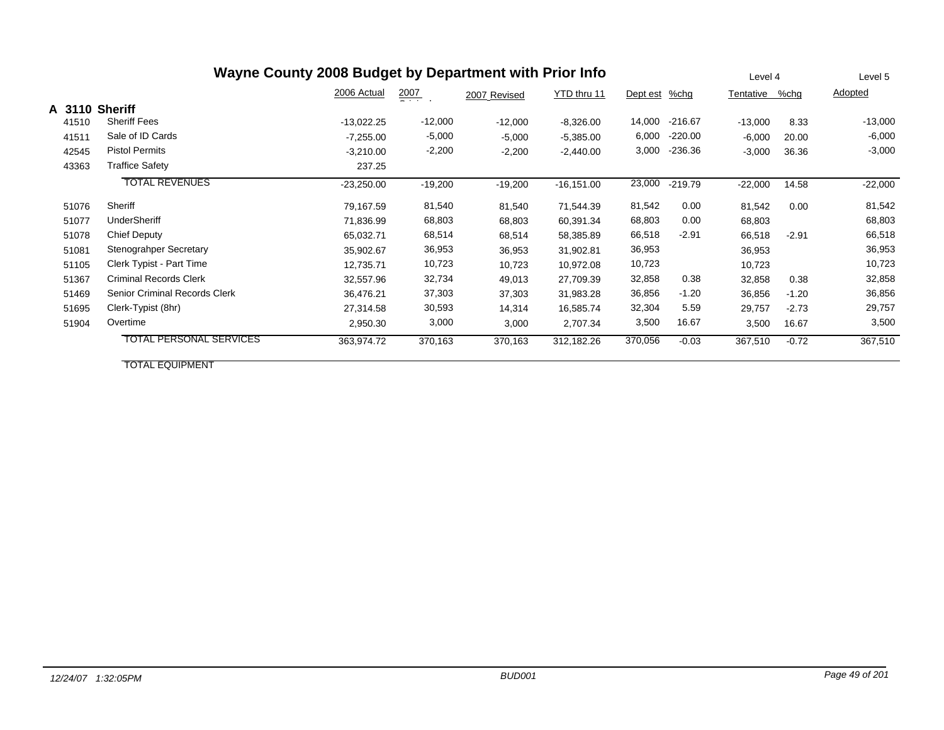| Wayne County 2008 Budget by Department with Prior Info |        |                                |              |                  |              |               |          |           |           | Level 4 | Level 5   |
|--------------------------------------------------------|--------|--------------------------------|--------------|------------------|--------------|---------------|----------|-----------|-----------|---------|-----------|
|                                                        |        |                                | 2006 Actual  | $\frac{2007}{2}$ | 2007 Revised | YTD thru 11   | Dept est | %chg      | Tentative | %chg    | Adopted   |
|                                                        | A 3110 | <b>Sheriff</b>                 |              |                  |              |               |          |           |           |         |           |
|                                                        | 41510  | <b>Sheriff Fees</b>            | $-13,022.25$ | $-12,000$        | $-12,000$    | $-8,326.00$   | 14,000   | $-216.67$ | $-13,000$ | 8.33    | $-13,000$ |
|                                                        | 41511  | Sale of ID Cards               | $-7,255.00$  | $-5,000$         | $-5,000$     | $-5,385.00$   | 6,000    | $-220.00$ | $-6,000$  | 20.00   | $-6,000$  |
|                                                        | 42545  | <b>Pistol Permits</b>          | $-3,210.00$  | $-2,200$         | $-2,200$     | $-2,440.00$   | 3,000    | $-236.36$ | $-3,000$  | 36.36   | $-3,000$  |
|                                                        | 43363  | <b>Traffice Safety</b>         | 237.25       |                  |              |               |          |           |           |         |           |
|                                                        |        | <b>TOTAL REVENUES</b>          | $-23,250.00$ | $-19,200$        | $-19,200$    | $-16, 151.00$ | 23,000   | $-219.79$ | $-22,000$ | 14.58   | $-22,000$ |
|                                                        | 51076  | Sheriff                        | 79,167.59    | 81,540           | 81,540       | 71,544.39     | 81,542   | 0.00      | 81,542    | 0.00    | 81,542    |
|                                                        | 51077  | <b>UnderSheriff</b>            | 71,836.99    | 68,803           | 68,803       | 60,391.34     | 68,803   | 0.00      | 68,803    |         | 68,803    |
|                                                        | 51078  | <b>Chief Deputy</b>            | 65,032.71    | 68,514           | 68,514       | 58,385.89     | 66,518   | $-2.91$   | 66,518    | $-2.91$ | 66,518    |
|                                                        | 51081  | Stenograhper Secretary         | 35,902.67    | 36,953           | 36,953       | 31,902.81     | 36,953   |           | 36,953    |         | 36,953    |
|                                                        | 51105  | Clerk Typist - Part Time       | 12,735.71    | 10,723           | 10,723       | 10,972.08     | 10,723   |           | 10,723    |         | 10,723    |
|                                                        | 51367  | <b>Criminal Records Clerk</b>  | 32,557.96    | 32,734           | 49,013       | 27,709.39     | 32,858   | 0.38      | 32,858    | 0.38    | 32,858    |
|                                                        | 51469  | Senior Criminal Records Clerk  | 36,476.21    | 37,303           | 37,303       | 31,983.28     | 36,856   | $-1.20$   | 36,856    | $-1.20$ | 36,856    |
|                                                        | 51695  | Clerk-Typist (8hr)             | 27,314.58    | 30,593           | 14,314       | 16,585.74     | 32,304   | 5.59      | 29,757    | $-2.73$ | 29,757    |
|                                                        | 51904  | Overtime                       | 2,950.30     | 3,000            | 3,000        | 2,707.34      | 3,500    | 16.67     | 3,500     | 16.67   | 3,500     |
|                                                        |        | <b>TOTAL PERSONAL SERVICES</b> | 363,974.72   | 370,163          | 370,163      | 312,182.26    | 370,056  | $-0.03$   | 367,510   | $-0.72$ | 367,510   |

TOTAL EQUIPMENT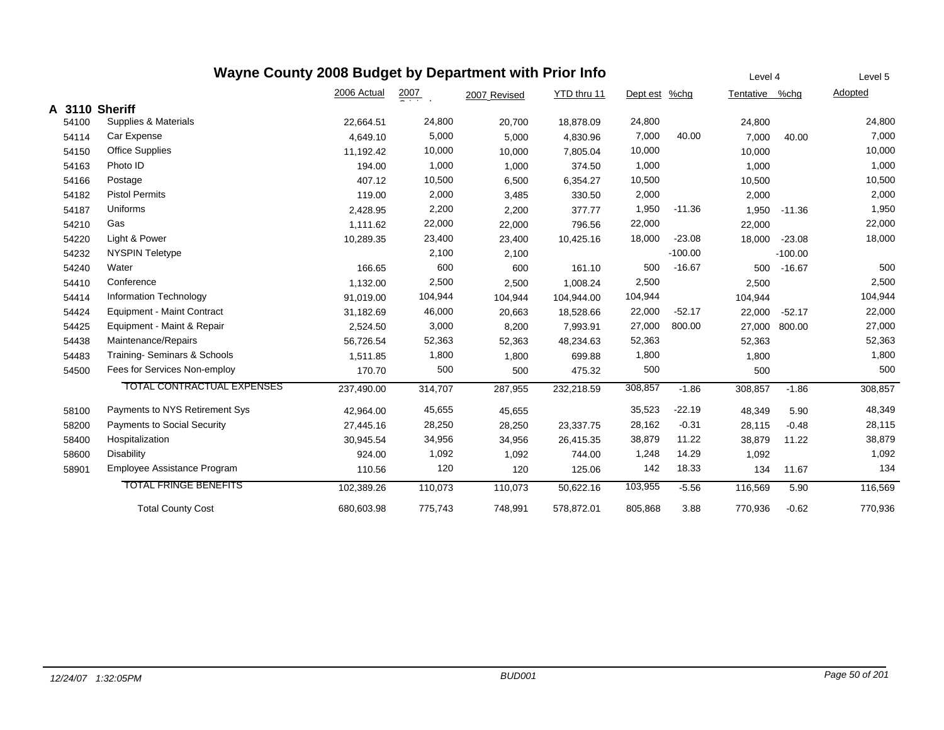|       | Wayne County 2008 Budget by Department with Prior Info |             |                  |              |             |               |           | Level 4        |           | Level 5 |
|-------|--------------------------------------------------------|-------------|------------------|--------------|-------------|---------------|-----------|----------------|-----------|---------|
|       |                                                        | 2006 Actual | $\frac{2007}{2}$ | 2007 Revised | YTD thru 11 | Dept est %chg |           | Tentative %chg |           | Adopted |
|       | A 3110 Sheriff                                         |             |                  |              |             |               |           |                |           |         |
| 54100 | Supplies & Materials                                   | 22,664.51   | 24,800           | 20,700       | 18,878.09   | 24,800        |           | 24,800         |           | 24,800  |
| 54114 | Car Expense                                            | 4,649.10    | 5,000            | 5,000        | 4,830.96    | 7,000         | 40.00     | 7,000          | 40.00     | 7,000   |
| 54150 | <b>Office Supplies</b>                                 | 11,192.42   | 10,000           | 10,000       | 7,805.04    | 10,000        |           | 10,000         |           | 10,000  |
| 54163 | Photo ID                                               | 194.00      | 1,000            | 1,000        | 374.50      | 1,000         |           | 1,000          |           | 1,000   |
| 54166 | Postage                                                | 407.12      | 10,500           | 6,500        | 6,354.27    | 10,500        |           | 10,500         |           | 10,500  |
| 54182 | <b>Pistol Permits</b>                                  | 119.00      | 2,000            | 3,485        | 330.50      | 2,000         |           | 2,000          |           | 2,000   |
| 54187 | Uniforms                                               | 2,428.95    | 2,200            | 2,200        | 377.77      | 1,950         | $-11.36$  | 1,950          | $-11.36$  | 1,950   |
| 54210 | Gas                                                    | 1.111.62    | 22,000           | 22,000       | 796.56      | 22,000        |           | 22,000         |           | 22,000  |
| 54220 | Light & Power                                          | 10,289.35   | 23,400           | 23,400       | 10,425.16   | 18,000        | $-23.08$  | 18,000         | $-23.08$  | 18,000  |
| 54232 | <b>NYSPIN Teletype</b>                                 |             | 2,100            | 2,100        |             |               | $-100.00$ |                | $-100.00$ |         |
| 54240 | Water                                                  | 166.65      | 600              | 600          | 161.10      | 500           | $-16.67$  | 500            | $-16.67$  | 500     |
| 54410 | Conference                                             | 1,132.00    | 2,500            | 2,500        | 1,008.24    | 2,500         |           | 2,500          |           | 2,500   |
| 54414 | Information Technology                                 | 91,019.00   | 104,944          | 104,944      | 104,944.00  | 104,944       |           | 104,944        |           | 104,944 |
| 54424 | <b>Equipment - Maint Contract</b>                      | 31,182.69   | 46,000           | 20,663       | 18,528.66   | 22,000        | $-52.17$  | 22,000         | $-52.17$  | 22,000  |
| 54425 | Equipment - Maint & Repair                             | 2,524.50    | 3,000            | 8,200        | 7,993.91    | 27,000        | 800.00    | 27,000         | 800.00    | 27,000  |
| 54438 | Maintenance/Repairs                                    | 56,726.54   | 52,363           | 52,363       | 48,234.63   | 52,363        |           | 52,363         |           | 52,363  |
| 54483 | Training-Seminars & Schools                            | 1,511.85    | 1,800            | 1,800        | 699.88      | 1,800         |           | 1,800          |           | 1,800   |
| 54500 | Fees for Services Non-employ                           | 170.70      | 500              | 500          | 475.32      | 500           |           | 500            |           | 500     |
|       | <b>TOTAL CONTRACTUAL EXPENSES</b>                      | 237,490.00  | 314,707          | 287,955      | 232,218.59  | 308,857       | $-1.86$   | 308,857        | $-1.86$   | 308,857 |
| 58100 | Payments to NYS Retirement Sys                         | 42,964.00   | 45,655           | 45,655       |             | 35,523        | $-22.19$  | 48,349         | 5.90      | 48,349  |
| 58200 | <b>Payments to Social Security</b>                     | 27,445.16   | 28,250           | 28,250       | 23,337.75   | 28,162        | $-0.31$   | 28,115         | $-0.48$   | 28,115  |
| 58400 | Hospitalization                                        | 30,945.54   | 34,956           | 34,956       | 26,415.35   | 38,879        | 11.22     | 38,879         | 11.22     | 38,879  |
| 58600 | <b>Disability</b>                                      | 924.00      | 1,092            | 1,092        | 744.00      | 1,248         | 14.29     | 1,092          |           | 1,092   |
| 58901 | Employee Assistance Program                            | 110.56      | 120              | 120          | 125.06      | 142           | 18.33     | 134            | 11.67     | 134     |
|       | <b>TOTAL FRINGE BENEFITS</b>                           | 102,389.26  | 110,073          | 110,073      | 50.622.16   | 103,955       | $-5.56$   | 116,569        | 5.90      | 116,569 |
|       | <b>Total County Cost</b>                               | 680,603.98  | 775,743          | 748,991      | 578.872.01  | 805,868       | 3.88      | 770,936        | $-0.62$   | 770,936 |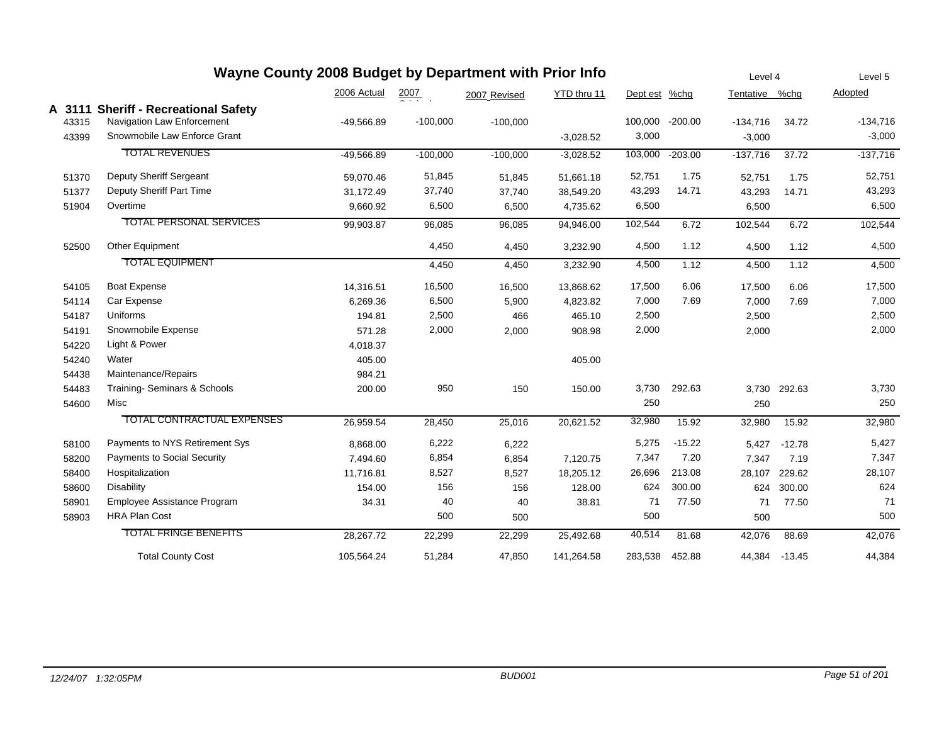|       | Wayne County 2008 Budget by Department with Prior Info |              |                  |              |             |          |           | Level 4        |              | Level 5    |
|-------|--------------------------------------------------------|--------------|------------------|--------------|-------------|----------|-----------|----------------|--------------|------------|
|       |                                                        | 2006 Actual  | $\frac{2007}{2}$ | 2007 Revised | YTD thru 11 | Dept est | $%$ chg   | Tentative %chg |              | Adopted    |
|       | A 3111 Sheriff - Recreational Safety                   |              |                  |              |             |          |           |                |              |            |
| 43315 | Navigation Law Enforcement                             | $-49,566.89$ | $-100,000$       | $-100,000$   |             | 100,000  | $-200.00$ | $-134,716$     | 34.72        | $-134,716$ |
| 43399 | Snowmobile Law Enforce Grant                           |              |                  |              | $-3,028.52$ | 3,000    |           | $-3,000$       |              | $-3,000$   |
|       | <b>TOTAL REVENUES</b>                                  | $-49,566.89$ | $-100,000$       | $-100,000$   | $-3,028.52$ | 103,000  | $-203.00$ | $-137,716$     | 37.72        | $-137,716$ |
| 51370 | Deputy Sheriff Sergeant                                | 59,070.46    | 51,845           | 51,845       | 51,661.18   | 52,751   | 1.75      | 52,751         | 1.75         | 52,751     |
| 51377 | Deputy Sheriff Part Time                               | 31,172.49    | 37,740           | 37,740       | 38,549.20   | 43,293   | 14.71     | 43,293         | 14.71        | 43,293     |
| 51904 | Overtime                                               | 9,660.92     | 6,500            | 6,500        | 4,735.62    | 6,500    |           | 6,500          |              | 6,500      |
|       | <b>TOTAL PERSONAL SERVICES</b>                         | 99,903.87    | 96,085           | 96,085       | 94,946.00   | 102,544  | 6.72      | 102,544        | 6.72         | 102,544    |
| 52500 | Other Equipment                                        |              | 4,450            | 4,450        | 3,232.90    | 4,500    | 1.12      | 4,500          | 1.12         | 4,500      |
|       | <b>TOTAL EQUIPMENT</b>                                 |              | 4,450            | 4,450        | 3,232.90    | 4,500    | 1.12      | 4,500          | 1.12         | 4,500      |
| 54105 | <b>Boat Expense</b>                                    | 14,316.51    | 16,500           | 16,500       | 13,868.62   | 17,500   | 6.06      | 17,500         | 6.06         | 17,500     |
| 54114 | Car Expense                                            | 6,269.36     | 6,500            | 5,900        | 4,823.82    | 7,000    | 7.69      | 7,000          | 7.69         | 7,000      |
| 54187 | Uniforms                                               | 194.81       | 2,500            | 466          | 465.10      | 2,500    |           | 2,500          |              | 2,500      |
| 54191 | Snowmobile Expense                                     | 571.28       | 2,000            | 2,000        | 908.98      | 2,000    |           | 2,000          |              | 2,000      |
| 54220 | Light & Power                                          | 4,018.37     |                  |              |             |          |           |                |              |            |
| 54240 | Water                                                  | 405.00       |                  |              | 405.00      |          |           |                |              |            |
| 54438 | Maintenance/Repairs                                    | 984.21       |                  |              |             |          |           |                |              |            |
| 54483 | Training- Seminars & Schools                           | 200.00       | 950              | 150          | 150.00      | 3,730    | 292.63    |                | 3,730 292.63 | 3,730      |
| 54600 | Misc                                                   |              |                  |              |             | 250      |           | 250            |              | 250        |
|       | TOTAL CONTRACTUAL EXPENSES                             | 26,959.54    | 28,450           | 25,016       | 20,621.52   | 32,980   | 15.92     | 32,980         | 15.92        | 32,980     |
| 58100 | Payments to NYS Retirement Sys                         | 8,868.00     | 6,222            | 6,222        |             | 5,275    | $-15.22$  | 5,427          | $-12.78$     | 5,427      |
| 58200 | Payments to Social Security                            | 7,494.60     | 6,854            | 6,854        | 7,120.75    | 7,347    | 7.20      | 7,347          | 7.19         | 7,347      |
| 58400 | Hospitalization                                        | 11,716.81    | 8,527            | 8,527        | 18,205.12   | 26,696   | 213.08    | 28,107         | 229.62       | 28,107     |
| 58600 | Disability                                             | 154.00       | 156              | 156          | 128.00      | 624      | 300.00    | 624            | 300.00       | 624        |
| 58901 | Employee Assistance Program                            | 34.31        | 40               | 40           | 38.81       | 71       | 77.50     | 71             | 77.50        | 71         |
| 58903 | <b>HRA Plan Cost</b>                                   |              | 500              | 500          |             | 500      |           | 500            |              | 500        |
|       | <b>TOTAL FRINGE BENEFITS</b>                           | 28,267.72    | 22,299           | 22,299       | 25,492.68   | 40,514   | 81.68     | 42,076         | 88.69        | 42,076     |
|       | <b>Total County Cost</b>                               | 105,564.24   | 51,284           | 47,850       | 141,264.58  | 283,538  | 452.88    | 44,384         | $-13.45$     | 44,384     |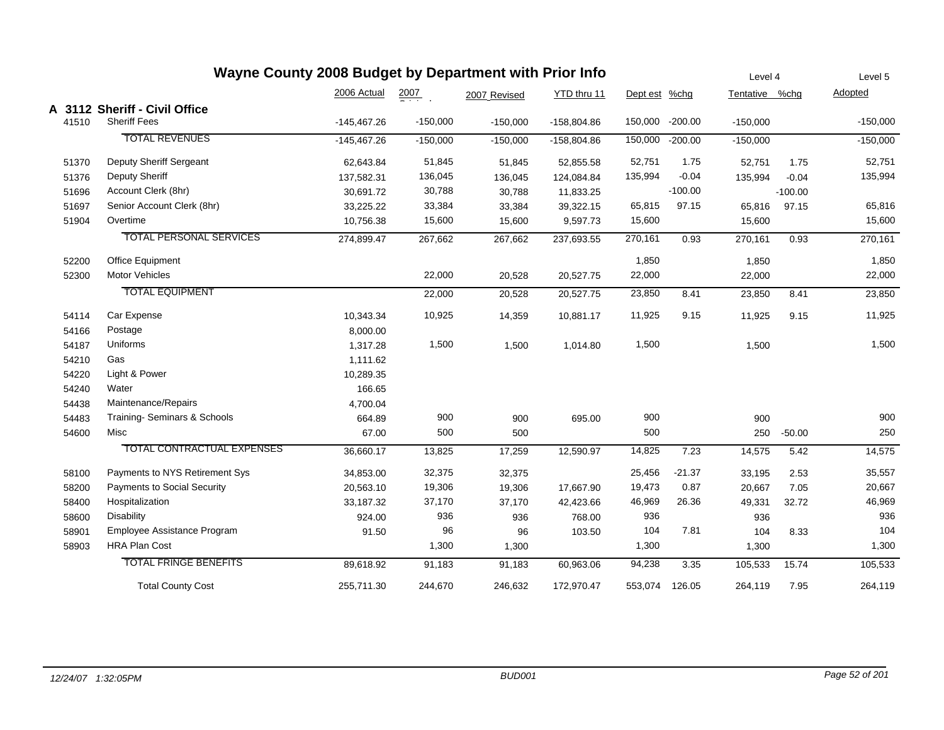|       | Wayne County 2008 Budget by Department with Prior Info |               |            |              |               |               |           | Level 4        |           | Level 5    |
|-------|--------------------------------------------------------|---------------|------------|--------------|---------------|---------------|-----------|----------------|-----------|------------|
|       |                                                        | 2006 Actual   | 2007       | 2007 Revised | YTD thru 11   | Dept est %chg |           | Tentative %chg |           | Adopted    |
|       | A 3112 Sheriff - Civil Office                          |               |            |              |               |               |           |                |           |            |
| 41510 | <b>Sheriff Fees</b>                                    | $-145,467.26$ | $-150,000$ | $-150,000$   | $-158,804.86$ | 150,000       | $-200.00$ | $-150,000$     |           | $-150,000$ |
|       | <b>TOTAL REVENUES</b>                                  | $-145,467.26$ | $-150,000$ | $-150,000$   | $-158,804.86$ | 150,000       | $-200.00$ | $-150,000$     |           | $-150,000$ |
| 51370 | Deputy Sheriff Sergeant                                | 62,643.84     | 51,845     | 51,845       | 52,855.58     | 52,751        | 1.75      | 52,751         | 1.75      | 52,751     |
| 51376 | <b>Deputy Sheriff</b>                                  | 137,582.31    | 136,045    | 136,045      | 124,084.84    | 135,994       | $-0.04$   | 135,994        | $-0.04$   | 135,994    |
| 51696 | Account Clerk (8hr)                                    | 30,691.72     | 30,788     | 30,788       | 11,833.25     |               | $-100.00$ |                | $-100.00$ |            |
| 51697 | Senior Account Clerk (8hr)                             | 33,225.22     | 33,384     | 33,384       | 39,322.15     | 65,815        | 97.15     | 65,816         | 97.15     | 65,816     |
| 51904 | Overtime                                               | 10,756.38     | 15,600     | 15,600       | 9,597.73      | 15,600        |           | 15,600         |           | 15,600     |
|       | <b>TOTAL PERSONAL SERVICES</b>                         | 274,899.47    | 267,662    | 267,662      | 237,693.55    | 270,161       | 0.93      | 270,161        | 0.93      | 270,161    |
| 52200 | Office Equipment                                       |               |            |              |               | 1,850         |           | 1,850          |           | 1,850      |
| 52300 | <b>Motor Vehicles</b>                                  |               | 22,000     | 20,528       | 20,527.75     | 22,000        |           | 22,000         |           | 22,000     |
|       | <b>TOTAL EQUIPMENT</b>                                 |               | 22,000     | 20,528       | 20,527.75     | 23,850        | 8.41      | 23,850         | 8.41      | 23,850     |
| 54114 | Car Expense                                            | 10,343.34     | 10,925     | 14,359       | 10,881.17     | 11,925        | 9.15      | 11,925         | 9.15      | 11,925     |
| 54166 | Postage                                                | 8,000.00      |            |              |               |               |           |                |           |            |
| 54187 | Uniforms                                               | 1,317.28      | 1,500      | 1,500        | 1,014.80      | 1,500         |           | 1,500          |           | 1,500      |
| 54210 | Gas                                                    | 1,111.62      |            |              |               |               |           |                |           |            |
| 54220 | Light & Power                                          | 10,289.35     |            |              |               |               |           |                |           |            |
| 54240 | Water                                                  | 166.65        |            |              |               |               |           |                |           |            |
| 54438 | Maintenance/Repairs                                    | 4,700.04      |            |              |               |               |           |                |           |            |
| 54483 | Training- Seminars & Schools                           | 664.89        | 900        | 900          | 695.00        | 900           |           | 900            |           | 900        |
| 54600 | Misc                                                   | 67.00         | 500        | 500          |               | 500           |           | 250            | $-50.00$  | 250        |
|       | TOTAL CONTRACTUAL EXPENSES                             | 36,660.17     | 13,825     | 17,259       | 12,590.97     | 14,825        | 7.23      | 14,575         | 5.42      | 14,575     |
| 58100 | Payments to NYS Retirement Sys                         | 34,853.00     | 32,375     | 32,375       |               | 25,456        | $-21.37$  | 33,195         | 2.53      | 35,557     |
| 58200 | Payments to Social Security                            | 20,563.10     | 19,306     | 19,306       | 17,667.90     | 19,473        | 0.87      | 20,667         | 7.05      | 20,667     |
| 58400 | Hospitalization                                        | 33,187.32     | 37,170     | 37,170       | 42,423.66     | 46,969        | 26.36     | 49,331         | 32.72     | 46,969     |
| 58600 | <b>Disability</b>                                      | 924.00        | 936        | 936          | 768.00        | 936           |           | 936            |           | 936        |
| 58901 | Employee Assistance Program                            | 91.50         | 96         | 96           | 103.50        | 104           | 7.81      | 104            | 8.33      | 104        |
| 58903 | <b>HRA Plan Cost</b>                                   |               | 1,300      | 1,300        |               | 1,300         |           | 1,300          |           | 1,300      |
|       | <b>TOTAL FRINGE BENEFITS</b>                           | 89,618.92     | 91,183     | 91,183       | 60,963.06     | 94,238        | 3.35      | 105,533        | 15.74     | 105,533    |
|       | <b>Total County Cost</b>                               | 255,711.30    | 244,670    | 246,632      | 172,970.47    | 553,074       | 126.05    | 264,119        | 7.95      | 264,119    |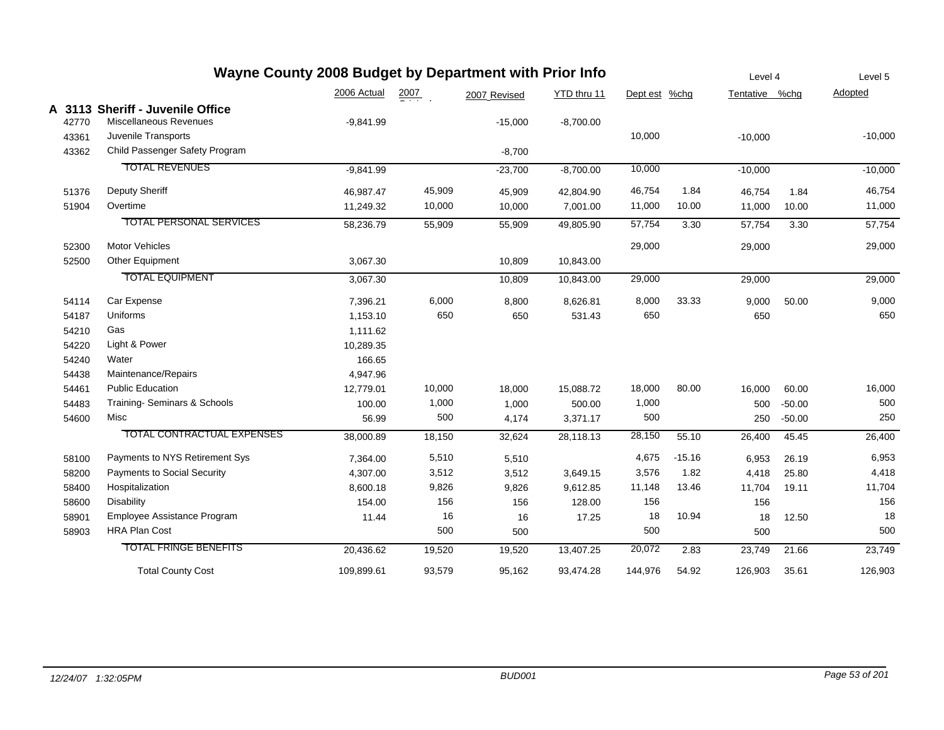|                | Wayne County 2008 Budget by Department with Prior Info                            |             |                  |              |             |               |          | Level 4   |          | Level 5   |
|----------------|-----------------------------------------------------------------------------------|-------------|------------------|--------------|-------------|---------------|----------|-----------|----------|-----------|
|                |                                                                                   | 2006 Actual | $\frac{2007}{1}$ | 2007 Revised | YTD thru 11 | Dept est %chg |          | Tentative | %chq     | Adopted   |
| 42770<br>43361 | A 3113 Sheriff - Juvenile Office<br>Miscellaneous Revenues<br>Juvenile Transports | $-9,841.99$ |                  | $-15,000$    | $-8,700.00$ | 10,000        |          | $-10,000$ |          | $-10,000$ |
| 43362          | Child Passenger Safety Program                                                    |             |                  | $-8,700$     |             |               |          |           |          |           |
|                | <b>TOTAL REVENUES</b>                                                             | $-9,841.99$ |                  | $-23,700$    | $-8,700.00$ | 10,000        |          | $-10,000$ |          | $-10,000$ |
| 51376          | Deputy Sheriff                                                                    | 46,987.47   | 45,909           | 45,909       | 42,804.90   | 46,754        | 1.84     | 46,754    | 1.84     | 46,754    |
| 51904          | Overtime                                                                          | 11,249.32   | 10,000           | 10,000       | 7,001.00    | 11,000        | 10.00    | 11,000    | 10.00    | 11,000    |
|                | <b>TOTAL PERSONAL SERVICES</b>                                                    | 58,236.79   | 55,909           | 55,909       | 49,805.90   | 57,754        | 3.30     | 57,754    | 3.30     | 57,754    |
| 52300          | <b>Motor Vehicles</b>                                                             |             |                  |              |             | 29,000        |          | 29,000    |          | 29,000    |
| 52500          | Other Equipment                                                                   | 3,067.30    |                  | 10,809       | 10,843.00   |               |          |           |          |           |
|                | <b>TOTAL EQUIPMENT</b>                                                            | 3,067.30    |                  | 10,809       | 10,843.00   | 29,000        |          | 29,000    |          | 29,000    |
| 54114          | Car Expense                                                                       | 7,396.21    | 6,000            | 8,800        | 8,626.81    | 8,000         | 33.33    | 9,000     | 50.00    | 9,000     |
| 54187          | Uniforms                                                                          | 1,153.10    | 650              | 650          | 531.43      | 650           |          | 650       |          | 650       |
| 54210          | Gas                                                                               | 1,111.62    |                  |              |             |               |          |           |          |           |
| 54220          | Light & Power                                                                     | 10,289.35   |                  |              |             |               |          |           |          |           |
| 54240          | Water                                                                             | 166.65      |                  |              |             |               |          |           |          |           |
| 54438          | Maintenance/Repairs                                                               | 4,947.96    |                  |              |             |               |          |           |          |           |
| 54461          | <b>Public Education</b>                                                           | 12,779.01   | 10,000           | 18,000       | 15,088.72   | 18,000        | 80.00    | 16,000    | 60.00    | 16,000    |
| 54483          | Training-Seminars & Schools                                                       | 100.00      | 1,000            | 1,000        | 500.00      | 1,000         |          | 500       | $-50.00$ | 500       |
| 54600          | Misc                                                                              | 56.99       | 500              | 4,174        | 3,371.17    | 500           |          | 250       | $-50.00$ | 250       |
|                | <b>TOTAL CONTRACTUAL EXPENSES</b>                                                 | 38,000.89   | 18,150           | 32,624       | 28,118.13   | 28,150        | 55.10    | 26,400    | 45.45    | 26,400    |
| 58100          | Payments to NYS Retirement Sys                                                    | 7,364.00    | 5,510            | 5,510        |             | 4,675         | $-15.16$ | 6,953     | 26.19    | 6,953     |
| 58200          | <b>Payments to Social Security</b>                                                | 4,307.00    | 3,512            | 3,512        | 3,649.15    | 3,576         | 1.82     | 4,418     | 25.80    | 4,418     |
| 58400          | Hospitalization                                                                   | 8,600.18    | 9,826            | 9,826        | 9,612.85    | 11,148        | 13.46    | 11,704    | 19.11    | 11,704    |
| 58600          | <b>Disability</b>                                                                 | 154.00      | 156              | 156          | 128.00      | 156           |          | 156       |          | 156       |
| 58901          | Employee Assistance Program                                                       | 11.44       | 16               | 16           | 17.25       | 18            | 10.94    | 18        | 12.50    | 18        |
| 58903          | <b>HRA Plan Cost</b>                                                              |             | 500              | 500          |             | 500           |          | 500       |          | 500       |
|                | <b>TOTAL FRINGE BENEFITS</b>                                                      | 20,436.62   | 19,520           | 19,520       | 13,407.25   | 20,072        | 2.83     | 23,749    | 21.66    | 23,749    |
|                | <b>Total County Cost</b>                                                          | 109,899.61  | 93,579           | 95,162       | 93,474.28   | 144,976       | 54.92    | 126,903   | 35.61    | 126,903   |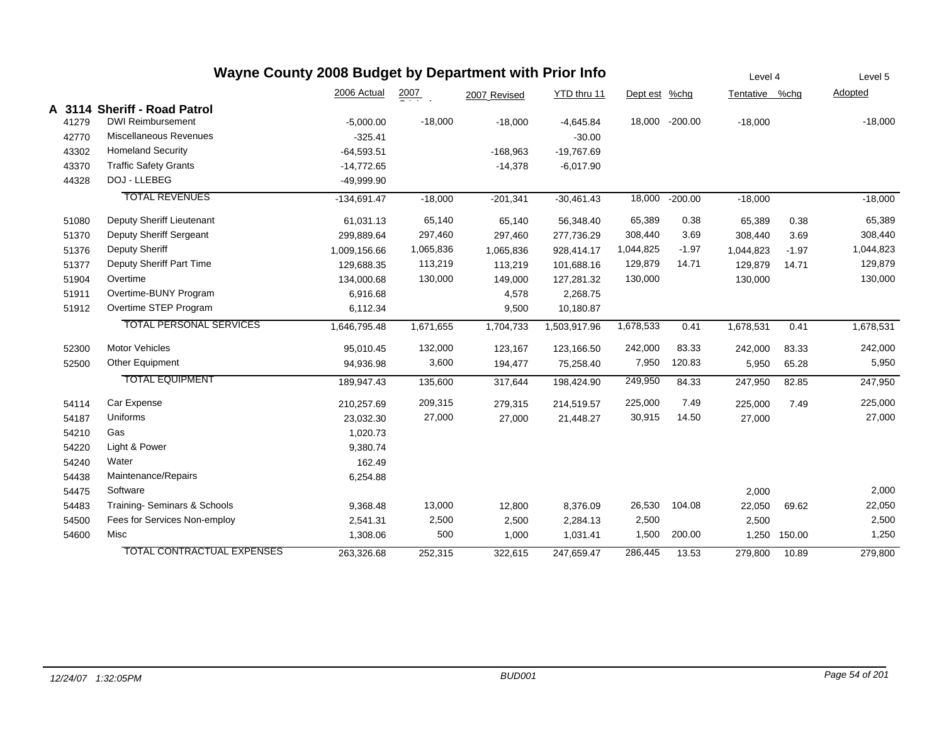## **Wayne County 2008 Budget by Department with Prior Info**

|       |                                   | 2006 Actual   | 2007      | 2007 Revised | YTD thru 11  | Dept est %chg |                | Tentative %chg |         | Adopted   |
|-------|-----------------------------------|---------------|-----------|--------------|--------------|---------------|----------------|----------------|---------|-----------|
|       | A 3114 Sheriff - Road Patrol      |               |           |              |              |               |                |                |         |           |
| 41279 | <b>DWI Reimbursement</b>          | $-5,000.00$   | $-18,000$ | $-18,000$    | $-4,645.84$  |               | 18,000 -200.00 | $-18,000$      |         | $-18,000$ |
| 42770 | Miscellaneous Revenues            | $-325.41$     |           |              | $-30.00$     |               |                |                |         |           |
| 43302 | <b>Homeland Security</b>          | $-64,593.51$  |           | $-168,963$   | $-19,767.69$ |               |                |                |         |           |
| 43370 | <b>Traffic Safety Grants</b>      | $-14,772.65$  |           | $-14,378$    | $-6,017.90$  |               |                |                |         |           |
| 44328 | DOJ - LLEBEG                      | $-49,999.90$  |           |              |              |               |                |                |         |           |
|       | <b>TOTAL REVENUES</b>             | $-134,691.47$ | $-18,000$ | $-201,341$   | $-30,461.43$ | 18,000        | $-200.00$      | $-18,000$      |         | $-18,000$ |
| 51080 | Deputy Sheriff Lieutenant         | 61,031.13     | 65,140    | 65,140       | 56,348.40    | 65,389        | 0.38           | 65,389         | 0.38    | 65,389    |
| 51370 | Deputy Sheriff Sergeant           | 299,889.64    | 297,460   | 297,460      | 277,736.29   | 308,440       | 3.69           | 308,440        | 3.69    | 308,440   |
| 51376 | Deputy Sheriff                    | 1,009,156.66  | 1,065,836 | 1,065,836    | 928,414.17   | 1,044,825     | $-1.97$        | 1,044,823      | $-1.97$ | 1,044,823 |
| 51377 | Deputy Sheriff Part Time          | 129,688.35    | 113,219   | 113,219      | 101,688.16   | 129,879       | 14.71          | 129,879        | 14.71   | 129,879   |
| 51904 | Overtime                          | 134,000.68    | 130,000   | 149,000      | 127,281.32   | 130,000       |                | 130,000        |         | 130,000   |
| 51911 | Overtime-BUNY Program             | 6,916.68      |           | 4,578        | 2,268.75     |               |                |                |         |           |
| 51912 | Overtime STEP Program             | 6,112.34      |           | 9,500        | 10,180.87    |               |                |                |         |           |
|       | <b>TOTAL PERSONAL SERVICES</b>    | 1,646,795.48  | 1,671,655 | 1,704,733    | 1,503,917.96 | 1,678,533     | 0.41           | 1,678,531      | 0.41    | 1,678,531 |
| 52300 | <b>Motor Vehicles</b>             | 95,010.45     | 132,000   | 123,167      | 123,166.50   | 242,000       | 83.33          | 242,000        | 83.33   | 242,000   |
| 52500 | Other Equipment                   | 94,936.98     | 3,600     | 194,477      | 75,258.40    | 7,950         | 120.83         | 5,950          | 65.28   | 5,950     |
|       | <b>TOTAL EQUIPMENT</b>            | 189,947.43    | 135,600   | 317,644      | 198,424.90   | 249,950       | 84.33          | 247,950        | 82.85   | 247,950   |
| 54114 | Car Expense                       | 210,257.69    | 209,315   | 279,315      | 214,519.57   | 225,000       | 7.49           | 225,000        | 7.49    | 225,000   |
| 54187 | Uniforms                          | 23,032.30     | 27,000    | 27,000       | 21,448.27    | 30,915        | 14.50          | 27,000         |         | 27,000    |
| 54210 | Gas                               | 1,020.73      |           |              |              |               |                |                |         |           |
| 54220 | Light & Power                     | 9,380.74      |           |              |              |               |                |                |         |           |
| 54240 | Water                             | 162.49        |           |              |              |               |                |                |         |           |
| 54438 | Maintenance/Repairs               | 6,254.88      |           |              |              |               |                |                |         |           |
| 54475 | Software                          |               |           |              |              |               |                | 2,000          |         | 2,000     |
| 54483 | Training-Seminars & Schools       | 9,368.48      | 13,000    | 12,800       | 8,376.09     | 26,530        | 104.08         | 22,050         | 69.62   | 22,050    |
| 54500 | Fees for Services Non-employ      | 2,541.31      | 2,500     | 2,500        | 2,284.13     | 2,500         |                | 2,500          |         | 2,500     |
| 54600 | Misc                              | 1,308.06      | 500       | 1,000        | 1,031.41     | 1,500         | 200.00         | 1,250          | 150.00  | 1,250     |
|       | <b>TOTAL CONTRACTUAL EXPENSES</b> | 263,326.68    | 252,315   | 322.615      | 247.659.47   | 286,445       | 13.53          | 279,800        | 10.89   | 279,800   |

Level 4

Level 5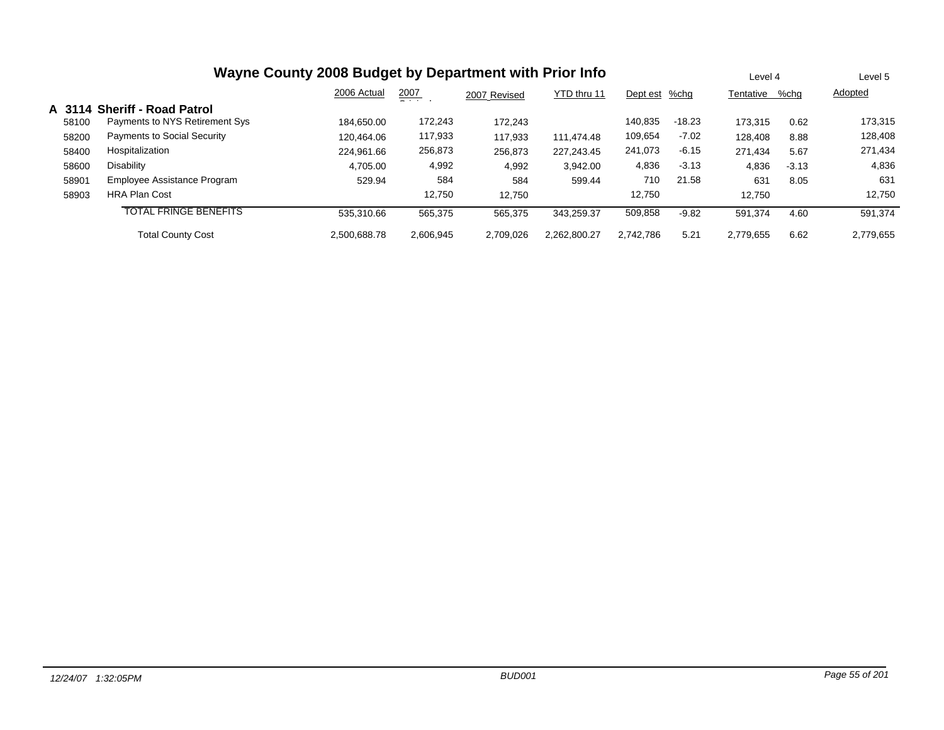|       | Wayne County 2008 Budget by Department with Prior Info |              | Level 4       |              | Level 5      |           |          |           |         |           |
|-------|--------------------------------------------------------|--------------|---------------|--------------|--------------|-----------|----------|-----------|---------|-----------|
|       |                                                        | 2006 Actual  | 2007<br>- - - | 2007 Revised | YTD thru 11  | Dept est  | %chg     | Tentative | %chq    | Adopted   |
|       | A 3114 Sheriff - Road Patrol                           |              |               |              |              |           |          |           |         |           |
| 58100 | Payments to NYS Retirement Sys                         | 184.650.00   | 172,243       | 172.243      |              | 140.835   | $-18.23$ | 173.315   | 0.62    | 173,315   |
| 58200 | Payments to Social Security                            | 120.464.06   | 117,933       | 117,933      | 111.474.48   | 109,654   | $-7.02$  | 128,408   | 8.88    | 128,408   |
| 58400 | Hospitalization                                        | 224.961.66   | 256,873       | 256,873      | 227.243.45   | 241,073   | $-6.15$  | 271.434   | 5.67    | 271,434   |
| 58600 | Disability                                             | 4,705.00     | 4,992         | 4,992        | 3,942.00     | 4,836     | $-3.13$  | 4,836     | $-3.13$ | 4,836     |
| 58901 | Employee Assistance Program                            | 529.94       | 584           | 584          | 599.44       | 710       | 21.58    | 631       | 8.05    | 631       |
| 58903 | <b>HRA Plan Cost</b>                                   |              | 12,750        | 12.750       |              | 12,750    |          | 12.750    |         | 12,750    |
|       | <b>TOTAL FRINGE BENEFITS</b>                           | 535.310.66   | 565,375       | 565,375      | 343.259.37   | 509,858   | $-9.82$  | 591,374   | 4.60    | 591,374   |
|       | <b>Total County Cost</b>                               | 2.500.688.78 | 2,606,945     | 2,709,026    | 2.262.800.27 | 2.742.786 | 5.21     | 2,779,655 | 6.62    | 2,779,655 |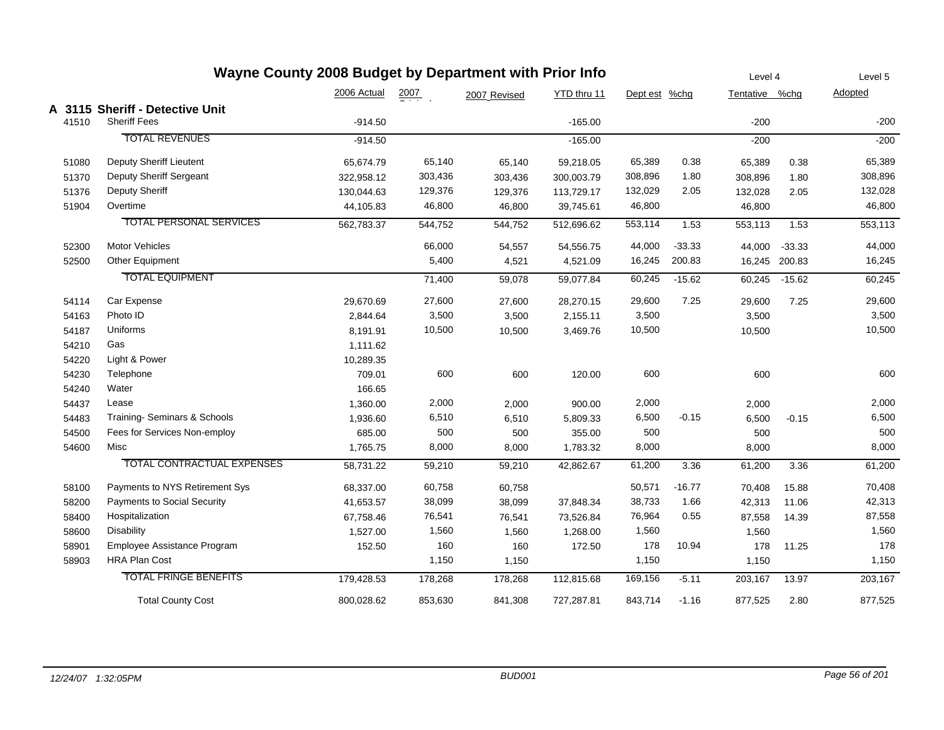|       | Wayne County 2008 Budget by Department with Prior Info |             |         |              |             |               |          | Level 4        |               | Level 5 |
|-------|--------------------------------------------------------|-------------|---------|--------------|-------------|---------------|----------|----------------|---------------|---------|
|       |                                                        | 2006 Actual | 2007    | 2007 Revised | YTD thru 11 | Dept est %chg |          | Tentative %chg |               | Adopted |
|       | A 3115 Sheriff - Detective Unit                        |             |         |              |             |               |          |                |               |         |
| 41510 | <b>Sheriff Fees</b>                                    | $-914.50$   |         |              | $-165.00$   |               |          | $-200$         |               | $-200$  |
|       | <b>TOTAL REVENUES</b>                                  | $-914.50$   |         |              | $-165.00$   |               |          | $-200$         |               | $-200$  |
| 51080 | Deputy Sheriff Lieutent                                | 65,674.79   | 65,140  | 65,140       | 59,218.05   | 65,389        | 0.38     | 65,389         | 0.38          | 65,389  |
| 51370 | Deputy Sheriff Sergeant                                | 322,958.12  | 303,436 | 303,436      | 300,003.79  | 308,896       | 1.80     | 308,896        | 1.80          | 308,896 |
| 51376 | <b>Deputy Sheriff</b>                                  | 130,044.63  | 129,376 | 129,376      | 113,729.17  | 132,029       | 2.05     | 132,028        | 2.05          | 132,028 |
| 51904 | Overtime                                               | 44,105.83   | 46,800  | 46,800       | 39,745.61   | 46,800        |          | 46,800         |               | 46,800  |
|       | <b>TOTAL PERSONAL SERVICES</b>                         | 562,783.37  | 544,752 | 544,752      | 512,696.62  | 553,114       | 1.53     | 553,113        | 1.53          | 553,113 |
| 52300 | <b>Motor Vehicles</b>                                  |             | 66,000  | 54,557       | 54,556.75   | 44,000        | $-33.33$ | 44,000         | $-33.33$      | 44,000  |
| 52500 | Other Equipment                                        |             | 5,400   | 4,521        | 4,521.09    | 16,245        | 200.83   |                | 16,245 200.83 | 16,245  |
|       | <b>TOTAL EQUIPMENT</b>                                 |             | 71,400  | 59,078       | 59,077.84   | 60,245        | $-15.62$ | 60,245         | $-15.62$      | 60,245  |
| 54114 | Car Expense                                            | 29,670.69   | 27,600  | 27,600       | 28,270.15   | 29,600        | 7.25     | 29,600         | 7.25          | 29,600  |
| 54163 | Photo ID                                               | 2,844.64    | 3,500   | 3,500        | 2,155.11    | 3,500         |          | 3,500          |               | 3,500   |
| 54187 | Uniforms                                               | 8,191.91    | 10,500  | 10,500       | 3,469.76    | 10,500        |          | 10,500         |               | 10,500  |
| 54210 | Gas                                                    | 1,111.62    |         |              |             |               |          |                |               |         |
| 54220 | Light & Power                                          | 10,289.35   |         |              |             |               |          |                |               |         |
| 54230 | Telephone                                              | 709.01      | 600     | 600          | 120.00      | 600           |          | 600            |               | 600     |
| 54240 | Water                                                  | 166.65      |         |              |             |               |          |                |               |         |
| 54437 | Lease                                                  | 1,360.00    | 2,000   | 2,000        | 900.00      | 2,000         |          | 2,000          |               | 2,000   |
| 54483 | Training-Seminars & Schools                            | 1,936.60    | 6,510   | 6,510        | 5,809.33    | 6,500         | $-0.15$  | 6,500          | $-0.15$       | 6,500   |
| 54500 | Fees for Services Non-employ                           | 685.00      | 500     | 500          | 355.00      | 500           |          | 500            |               | 500     |
| 54600 | Misc                                                   | 1,765.75    | 8,000   | 8,000        | 1,783.32    | 8,000         |          | 8,000          |               | 8,000   |
|       | TOTAL CONTRACTUAL EXPENSES                             | 58,731.22   | 59,210  | 59,210       | 42,862.67   | 61,200        | 3.36     | 61,200         | 3.36          | 61,200  |
| 58100 | Payments to NYS Retirement Sys                         | 68,337.00   | 60,758  | 60,758       |             | 50,571        | $-16.77$ | 70,408         | 15.88         | 70,408  |
| 58200 | Payments to Social Security                            | 41,653.57   | 38,099  | 38,099       | 37,848.34   | 38,733        | 1.66     | 42,313         | 11.06         | 42,313  |
| 58400 | Hospitalization                                        | 67,758.46   | 76,541  | 76,541       | 73,526.84   | 76,964        | 0.55     | 87,558         | 14.39         | 87,558  |
| 58600 | Disability                                             | 1,527.00    | 1,560   | 1,560        | 1,268.00    | 1,560         |          | 1,560          |               | 1,560   |
| 58901 | Employee Assistance Program                            | 152.50      | 160     | 160          | 172.50      | 178           | 10.94    | 178            | 11.25         | 178     |
| 58903 | <b>HRA Plan Cost</b>                                   |             | 1,150   | 1,150        |             | 1,150         |          | 1,150          |               | 1,150   |
|       | <b>TOTAL FRINGE BENEFITS</b>                           | 179,428.53  | 178,268 | 178,268      | 112,815.68  | 169,156       | $-5.11$  | 203,167        | 13.97         | 203,167 |
|       | <b>Total County Cost</b>                               | 800.028.62  | 853.630 | 841.308      | 727.287.81  | 843.714       | $-1.16$  | 877.525        | 2.80          | 877,525 |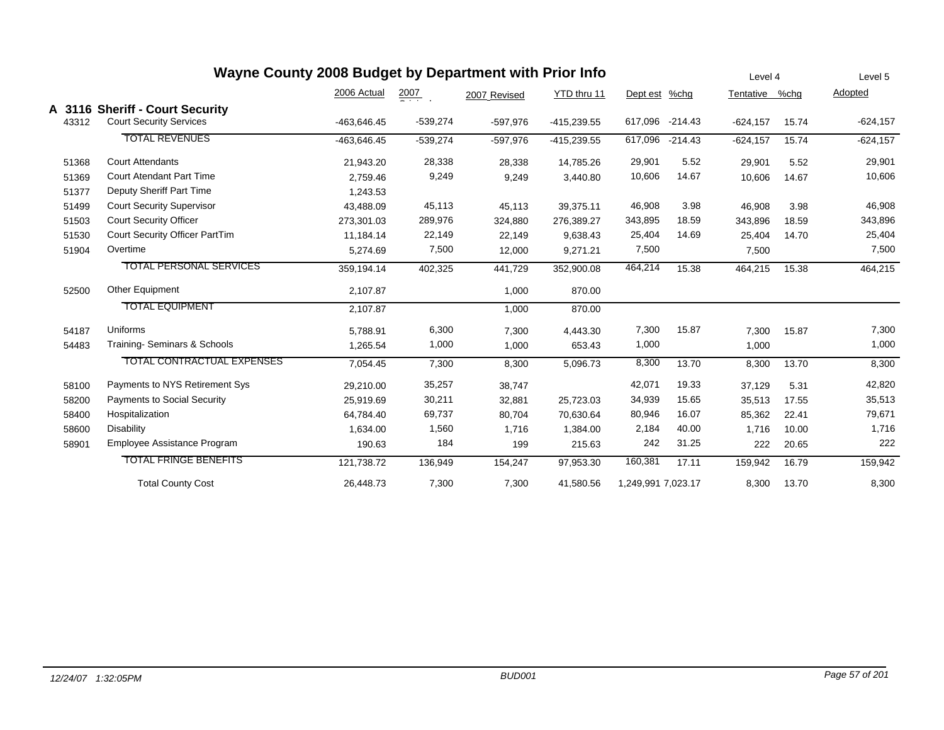|       | Wayne County 2008 Budget by Department with Prior Info            |             |                  |              |               |                    |           | Level 4        |       | Level 5     |
|-------|-------------------------------------------------------------------|-------------|------------------|--------------|---------------|--------------------|-----------|----------------|-------|-------------|
|       |                                                                   | 2006 Actual | $\frac{2007}{2}$ | 2007 Revised | YTD thru 11   | Dept est           | $%$ chg   | Tentative %chg |       | Adopted     |
| 43312 | A 3116 Sheriff - Court Security<br><b>Court Security Services</b> | -463,646.45 | $-539,274$       | -597,976     | $-415,239.55$ | 617,096            | $-214.43$ | $-624, 157$    | 15.74 | $-624,157$  |
|       | <b>TOTAL REVENUES</b>                                             | -463.646.45 | $-539,274$       | $-597,976$   | $-415,239.55$ | 617,096            | $-214.43$ | $-624,157$     | 15.74 | $-624, 157$ |
| 51368 | <b>Court Attendants</b>                                           | 21,943.20   | 28,338           | 28,338       | 14,785.26     | 29,901             | 5.52      | 29,901         | 5.52  | 29,901      |
| 51369 | Court Atendant Part Time                                          | 2,759.46    | 9,249            | 9,249        | 3,440.80      | 10,606             | 14.67     | 10,606         | 14.67 | 10,606      |
| 51377 | Deputy Sheriff Part Time                                          | 1,243.53    |                  |              |               |                    |           |                |       |             |
| 51499 | <b>Court Security Supervisor</b>                                  | 43,488.09   | 45,113           | 45,113       | 39,375.11     | 46,908             | 3.98      | 46,908         | 3.98  | 46,908      |
| 51503 | <b>Court Security Officer</b>                                     | 273,301.03  | 289,976          | 324,880      | 276,389.27    | 343,895            | 18.59     | 343,896        | 18.59 | 343,896     |
| 51530 | Court Security Officer PartTim                                    | 11,184.14   | 22,149           | 22,149       | 9,638.43      | 25,404             | 14.69     | 25,404         | 14.70 | 25,404      |
| 51904 | Overtime                                                          | 5,274.69    | 7,500            | 12,000       | 9,271.21      | 7,500              |           | 7,500          |       | 7,500       |
|       | <b>TOTAL PERSONAL SERVICES</b>                                    | 359,194.14  | 402,325          | 441,729      | 352,900.08    | 464,214            | 15.38     | 464,215        | 15.38 | 464,215     |
| 52500 | <b>Other Equipment</b>                                            | 2,107.87    |                  | 1,000        | 870.00        |                    |           |                |       |             |
|       | <b>TOTAL EQUIPMENT</b>                                            | 2,107.87    |                  | 1,000        | 870.00        |                    |           |                |       |             |
| 54187 | Uniforms                                                          | 5,788.91    | 6,300            | 7,300        | 4,443.30      | 7,300              | 15.87     | 7,300          | 15.87 | 7,300       |
| 54483 | Training-Seminars & Schools                                       | 1,265.54    | 1,000            | 1,000        | 653.43        | 1,000              |           | 1,000          |       | 1,000       |
|       | TOTAL CONTRACTUAL EXPENSES                                        | 7,054.45    | 7,300            | 8,300        | 5,096.73      | 8,300              | 13.70     | 8,300          | 13.70 | 8,300       |
| 58100 | Payments to NYS Retirement Sys                                    | 29,210.00   | 35,257           | 38,747       |               | 42,071             | 19.33     | 37,129         | 5.31  | 42,820      |
| 58200 | Payments to Social Security                                       | 25,919.69   | 30,211           | 32,881       | 25,723.03     | 34,939             | 15.65     | 35,513         | 17.55 | 35,513      |
| 58400 | Hospitalization                                                   | 64,784.40   | 69,737           | 80,704       | 70,630.64     | 80,946             | 16.07     | 85,362         | 22.41 | 79,671      |
| 58600 | <b>Disability</b>                                                 | 1,634.00    | 1,560            | 1,716        | 1,384.00      | 2,184              | 40.00     | 1,716          | 10.00 | 1,716       |
| 58901 | Employee Assistance Program                                       | 190.63      | 184              | 199          | 215.63        | 242                | 31.25     | 222            | 20.65 | 222         |
|       | <b>TOTAL FRINGE BENEFITS</b>                                      | 121,738.72  | 136,949          | 154,247      | 97,953.30     | 160,381            | 17.11     | 159,942        | 16.79 | 159,942     |
|       | <b>Total County Cost</b>                                          | 26,448.73   | 7,300            | 7,300        | 41,580.56     | 1,249,991 7,023.17 |           | 8,300          | 13.70 | 8,300       |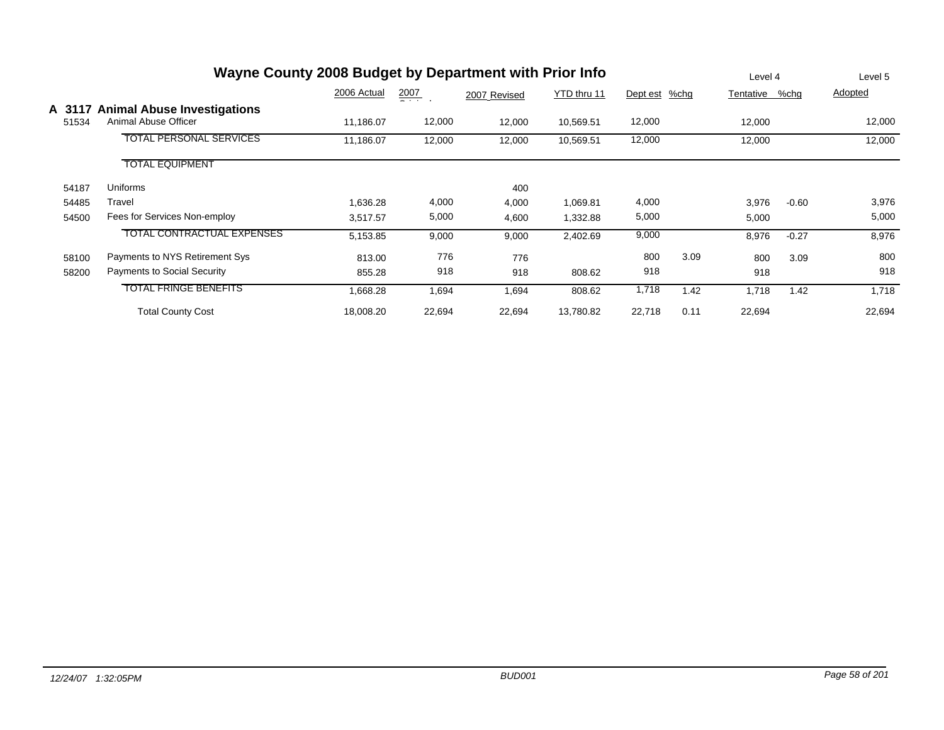|                 | Wayne County 2008 Budget by Department with Prior Info     |             |                  |              |             |          |      | Level 4   |         | Level 5 |
|-----------------|------------------------------------------------------------|-------------|------------------|--------------|-------------|----------|------|-----------|---------|---------|
|                 |                                                            | 2006 Actual | $\frac{2007}{1}$ | 2007 Revised | YTD thru 11 | Dept est | %chg | Tentative | %chg    | Adopted |
| A 3117<br>51534 | <b>Animal Abuse Investigations</b><br>Animal Abuse Officer | 11,186.07   | 12,000           | 12,000       | 10,569.51   | 12,000   |      | 12,000    |         | 12,000  |
|                 | <b>TOTAL PERSONAL SERVICES</b>                             | 11,186.07   | 12,000           | 12,000       | 10,569.51   | 12,000   |      | 12,000    |         | 12,000  |
|                 | <b>TOTAL EQUIPMENT</b>                                     |             |                  |              |             |          |      |           |         |         |
| 54187           | <b>Uniforms</b>                                            |             |                  | 400          |             |          |      |           |         |         |
| 54485           | Travel                                                     | 1,636.28    | 4,000            | 4,000        | 1,069.81    | 4,000    |      | 3,976     | $-0.60$ | 3,976   |
| 54500           | Fees for Services Non-employ                               | 3,517.57    | 5,000            | 4,600        | 1,332.88    | 5,000    |      | 5,000     |         | 5,000   |
|                 | <b>TOTAL CONTRACTUAL EXPENSES</b>                          | 5,153.85    | 9,000            | 9,000        | 2,402.69    | 9,000    |      | 8,976     | $-0.27$ | 8,976   |
| 58100           | Payments to NYS Retirement Sys                             | 813.00      | 776              | 776          |             | 800      | 3.09 | 800       | 3.09    | 800     |
| 58200           | <b>Payments to Social Security</b>                         | 855.28      | 918              | 918          | 808.62      | 918      |      | 918       |         | 918     |
|                 | <b>TOTAL FRINGE BENEFITS</b>                               | 1,668.28    | 1,694            | 1,694        | 808.62      | 1,718    | 1.42 | 1,718     | 1.42    | 1,718   |
|                 | <b>Total County Cost</b>                                   | 18,008.20   | 22,694           | 22,694       | 13,780.82   | 22,718   | 0.11 | 22,694    |         | 22,694  |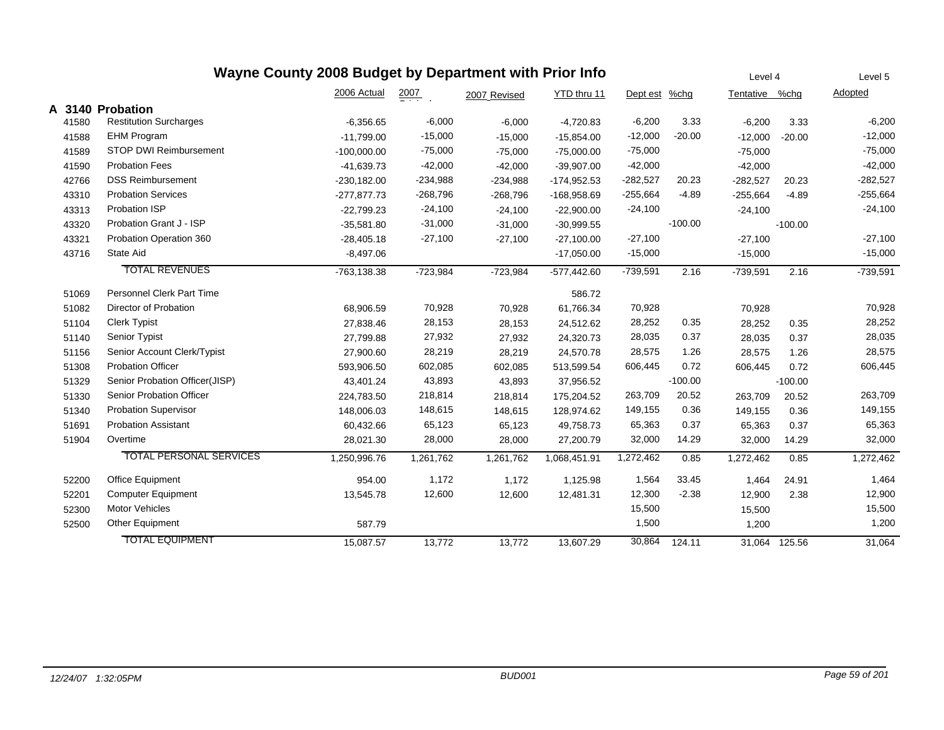|       |                                  | Wayne County 2008 Budget by Department with Prior Info |            |              |               |            |           | Level 4    |               | Level 5    |
|-------|----------------------------------|--------------------------------------------------------|------------|--------------|---------------|------------|-----------|------------|---------------|------------|
|       |                                  | 2006 Actual                                            | 2007       | 2007 Revised | YTD thru 11   | Dept est   | %chg      | Tentative  | %chg          | Adopted    |
|       | A 3140 Probation                 |                                                        |            |              |               |            |           |            |               |            |
| 41580 | <b>Restitution Surcharges</b>    | $-6,356.65$                                            | $-6,000$   | $-6,000$     | $-4,720.83$   | $-6,200$   | 3.33      | $-6,200$   | 3.33          | $-6,200$   |
| 41588 | <b>EHM Program</b>               | $-11,799.00$                                           | $-15,000$  | $-15,000$    | $-15,854.00$  | $-12,000$  | $-20.00$  | $-12,000$  | $-20.00$      | $-12,000$  |
| 41589 | <b>STOP DWI Reimbursement</b>    | $-100,000.00$                                          | $-75,000$  | $-75,000$    | $-75,000.00$  | $-75,000$  |           | $-75,000$  |               | $-75,000$  |
| 41590 | <b>Probation Fees</b>            | $-41,639.73$                                           | $-42,000$  | $-42,000$    | $-39,907.00$  | $-42,000$  |           | $-42,000$  |               | $-42,000$  |
| 42766 | <b>DSS Reimbursement</b>         | $-230, 182.00$                                         | $-234,988$ | $-234,988$   | $-174,952.53$ | $-282,527$ | 20.23     | $-282,527$ | 20.23         | $-282,527$ |
| 43310 | <b>Probation Services</b>        | $-277,877.73$                                          | $-268,796$ | $-268,796$   | -168,958.69   | $-255,664$ | $-4.89$   | $-255,664$ | $-4.89$       | $-255,664$ |
| 43313 | Probation ISP                    | $-22,799.23$                                           | $-24,100$  | $-24,100$    | $-22,900.00$  | $-24,100$  |           | $-24,100$  |               | $-24,100$  |
| 43320 | Probation Grant J - ISP          | $-35,581.80$                                           | $-31,000$  | $-31,000$    | $-30,999.55$  |            | $-100.00$ |            | $-100.00$     |            |
| 43321 | Probation Operation 360          | $-28,405.18$                                           | $-27,100$  | $-27,100$    | $-27,100.00$  | $-27,100$  |           | $-27,100$  |               | $-27,100$  |
| 43716 | State Aid                        | $-8,497.06$                                            |            |              | $-17,050.00$  | $-15,000$  |           | $-15,000$  |               | $-15,000$  |
|       | <b>TOTAL REVENUES</b>            | -763,138.38                                            | $-723,984$ | $-723,984$   | $-577,442.60$ | $-739,591$ | 2.16      | $-739,591$ | 2.16          | $-739,591$ |
| 51069 | <b>Personnel Clerk Part Time</b> |                                                        |            |              | 586.72        |            |           |            |               |            |
| 51082 | Director of Probation            | 68,906.59                                              | 70,928     | 70,928       | 61,766.34     | 70,928     |           | 70,928     |               | 70,928     |
| 51104 | <b>Clerk Typist</b>              | 27,838.46                                              | 28,153     | 28,153       | 24,512.62     | 28,252     | 0.35      | 28,252     | 0.35          | 28,252     |
| 51140 | Senior Typist                    | 27,799.88                                              | 27,932     | 27,932       | 24,320.73     | 28,035     | 0.37      | 28,035     | 0.37          | 28,035     |
| 51156 | Senior Account Clerk/Typist      | 27,900.60                                              | 28,219     | 28,219       | 24,570.78     | 28,575     | 1.26      | 28,575     | 1.26          | 28,575     |
| 51308 | <b>Probation Officer</b>         | 593,906.50                                             | 602,085    | 602,085      | 513,599.54    | 606,445    | 0.72      | 606,445    | 0.72          | 606,445    |
| 51329 | Senior Probation Officer(JISP)   | 43,401.24                                              | 43,893     | 43,893       | 37,956.52     |            | $-100.00$ |            | $-100.00$     |            |
| 51330 | Senior Probation Officer         | 224,783.50                                             | 218,814    | 218,814      | 175,204.52    | 263,709    | 20.52     | 263,709    | 20.52         | 263,709    |
| 51340 | <b>Probation Supervisor</b>      | 148,006.03                                             | 148,615    | 148,615      | 128,974.62    | 149,155    | 0.36      | 149,155    | 0.36          | 149,155    |
| 51691 | <b>Probation Assistant</b>       | 60,432.66                                              | 65,123     | 65,123       | 49,758.73     | 65,363     | 0.37      | 65,363     | 0.37          | 65,363     |
| 51904 | Overtime                         | 28,021.30                                              | 28,000     | 28,000       | 27,200.79     | 32,000     | 14.29     | 32,000     | 14.29         | 32,000     |
|       | <b>TOTAL PERSONAL SERVICES</b>   | 1,250,996.76                                           | 1,261,762  | 1,261,762    | 1,068,451.91  | 1,272,462  | 0.85      | 1,272,462  | 0.85          | 1,272,462  |
| 52200 | Office Equipment                 | 954.00                                                 | 1,172      | 1,172        | 1,125.98      | 1,564      | 33.45     | 1,464      | 24.91         | 1,464      |
| 52201 | <b>Computer Equipment</b>        | 13,545.78                                              | 12,600     | 12,600       | 12,481.31     | 12,300     | $-2.38$   | 12,900     | 2.38          | 12,900     |
| 52300 | <b>Motor Vehicles</b>            |                                                        |            |              |               | 15,500     |           | 15,500     |               | 15,500     |
| 52500 | Other Equipment                  | 587.79                                                 |            |              |               | 1,500      |           | 1,200      |               | 1,200      |
|       | <b>TOTAL EQUIPMENT</b>           | 15,087.57                                              | 13,772     | 13,772       | 13,607.29     | 30,864     | 124.11    |            | 31,064 125.56 | 31,064     |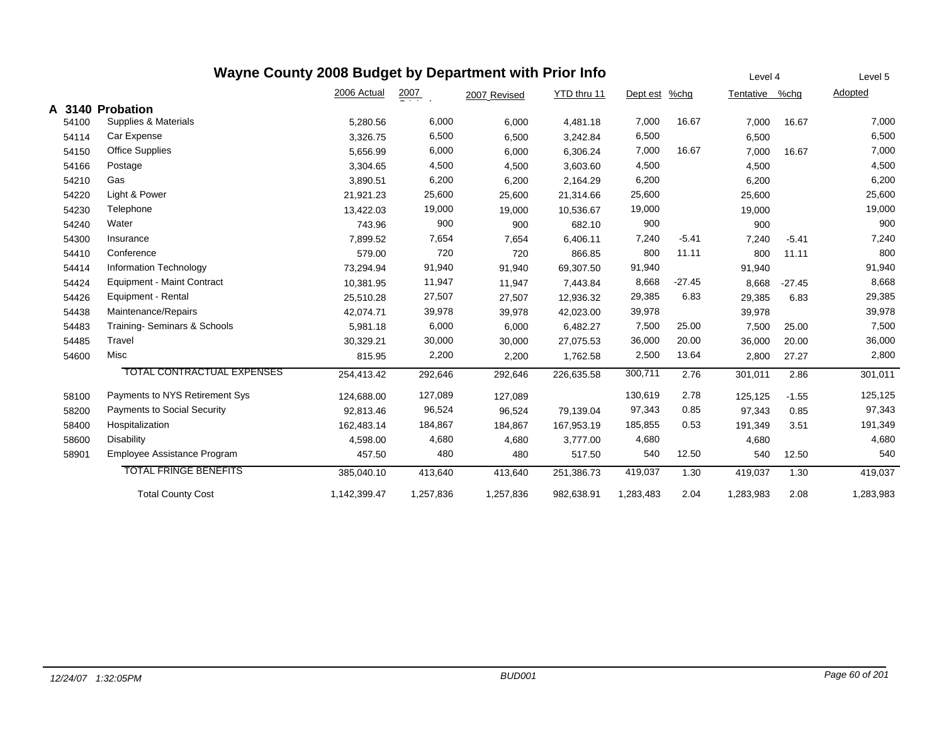|        | Wayne County 2008 Budget by Department with Prior Info |              | Level 4          | Level 5      |             |           |          |           |          |           |
|--------|--------------------------------------------------------|--------------|------------------|--------------|-------------|-----------|----------|-----------|----------|-----------|
|        |                                                        | 2006 Actual  | $\frac{2007}{4}$ | 2007 Revised | YTD thru 11 | Dept est  | %chg     | Tentative | %chg     | Adopted   |
| A 3140 | Probation                                              |              |                  |              |             |           |          |           |          |           |
| 54100  | Supplies & Materials                                   | 5,280.56     | 6,000            | 6,000        | 4,481.18    | 7,000     | 16.67    | 7,000     | 16.67    | 7,000     |
| 54114  | Car Expense                                            | 3,326.75     | 6,500            | 6,500        | 3,242.84    | 6,500     |          | 6,500     |          | 6,500     |
| 54150  | <b>Office Supplies</b>                                 | 5,656.99     | 6,000            | 6,000        | 6,306.24    | 7,000     | 16.67    | 7,000     | 16.67    | 7,000     |
| 54166  | Postage                                                | 3,304.65     | 4,500            | 4,500        | 3,603.60    | 4,500     |          | 4,500     |          | 4,500     |
| 54210  | Gas                                                    | 3,890.51     | 6,200            | 6,200        | 2,164.29    | 6,200     |          | 6,200     |          | 6,200     |
| 54220  | Light & Power                                          | 21,921.23    | 25,600           | 25,600       | 21,314.66   | 25,600    |          | 25,600    |          | 25,600    |
| 54230  | Telephone                                              | 13,422.03    | 19,000           | 19,000       | 10,536.67   | 19,000    |          | 19,000    |          | 19,000    |
| 54240  | Water                                                  | 743.96       | 900              | 900          | 682.10      | 900       |          | 900       |          | 900       |
| 54300  | Insurance                                              | 7,899.52     | 7,654            | 7,654        | 6,406.11    | 7,240     | $-5.41$  | 7,240     | $-5.41$  | 7,240     |
| 54410  | Conference                                             | 579.00       | 720              | 720          | 866.85      | 800       | 11.11    | 800       | 11.11    | 800       |
| 54414  | Information Technology                                 | 73,294.94    | 91,940           | 91,940       | 69,307.50   | 91,940    |          | 91,940    |          | 91,940    |
| 54424  | <b>Equipment - Maint Contract</b>                      | 10,381.95    | 11,947           | 11,947       | 7,443.84    | 8,668     | $-27.45$ | 8,668     | $-27.45$ | 8,668     |
| 54426  | Equipment - Rental                                     | 25,510.28    | 27,507           | 27,507       | 12,936.32   | 29,385    | 6.83     | 29,385    | 6.83     | 29,385    |
| 54438  | Maintenance/Repairs                                    | 42,074.71    | 39,978           | 39,978       | 42,023.00   | 39,978    |          | 39,978    |          | 39,978    |
| 54483  | Training-Seminars & Schools                            | 5,981.18     | 6,000            | 6,000        | 6,482.27    | 7,500     | 25.00    | 7,500     | 25.00    | 7,500     |
| 54485  | Travel                                                 | 30,329.21    | 30,000           | 30,000       | 27,075.53   | 36,000    | 20.00    | 36,000    | 20.00    | 36,000    |
| 54600  | Misc                                                   | 815.95       | 2,200            | 2,200        | 1,762.58    | 2,500     | 13.64    | 2,800     | 27.27    | 2,800     |
|        | TOTAL CONTRACTUAL EXPENSES                             | 254,413.42   | 292,646          | 292,646      | 226,635.58  | 300,711   | 2.76     | 301,011   | 2.86     | 301,011   |
| 58100  | Payments to NYS Retirement Sys                         | 124,688.00   | 127,089          | 127,089      |             | 130,619   | 2.78     | 125,125   | $-1.55$  | 125,125   |
| 58200  | <b>Payments to Social Security</b>                     | 92,813.46    | 96,524           | 96,524       | 79,139.04   | 97,343    | 0.85     | 97,343    | 0.85     | 97,343    |
| 58400  | Hospitalization                                        | 162,483.14   | 184,867          | 184,867      | 167,953.19  | 185,855   | 0.53     | 191,349   | 3.51     | 191,349   |
| 58600  | Disability                                             | 4,598.00     | 4,680            | 4,680        | 3,777.00    | 4,680     |          | 4,680     |          | 4,680     |
| 58901  | Employee Assistance Program                            | 457.50       | 480              | 480          | 517.50      | 540       | 12.50    | 540       | 12.50    | 540       |
|        | <b>TOTAL FRINGE BENEFITS</b>                           | 385,040.10   | 413,640          | 413,640      | 251,386.73  | 419,037   | 1.30     | 419,037   | 1.30     | 419,037   |
|        | <b>Total County Cost</b>                               | 1,142,399.47 | 1,257,836        | 1,257,836    | 982,638.91  | 1,283,483 | 2.04     | 1,283,983 | 2.08     | 1,283,983 |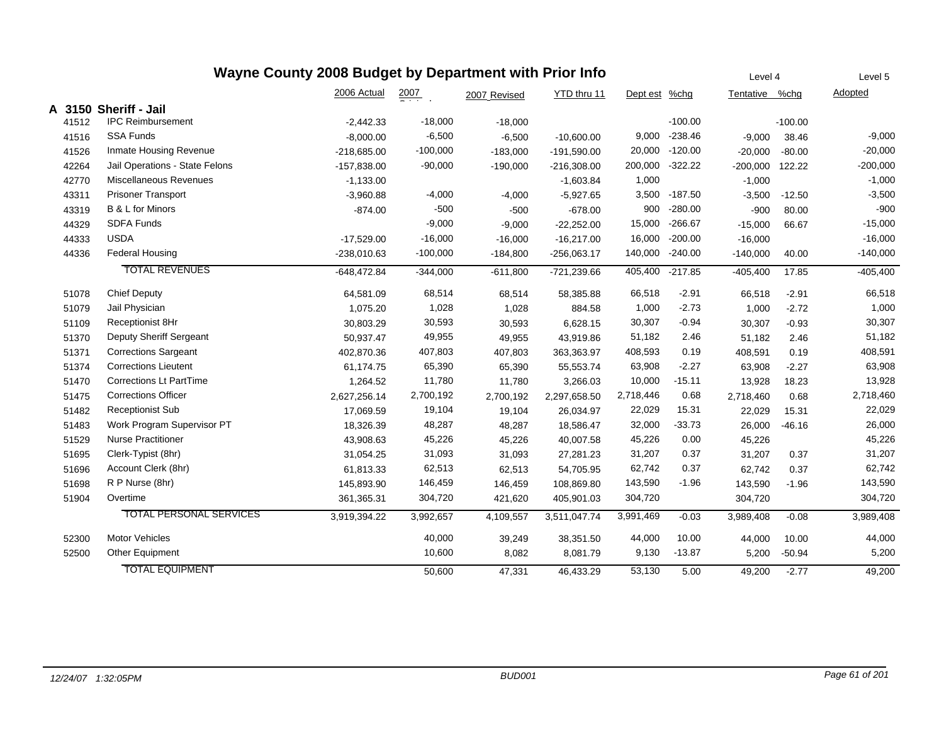| Wayne County 2008 Budget by Department with Prior Info<br>Level 4<br>Level 5 |                                |               |            |              |               |           |               |                 |           |            |  |  |
|------------------------------------------------------------------------------|--------------------------------|---------------|------------|--------------|---------------|-----------|---------------|-----------------|-----------|------------|--|--|
|                                                                              |                                | 2006 Actual   | 2007       | 2007 Revised | YTD thru 11   | Dept est  | %chg          | Tentative       | %chg      | Adopted    |  |  |
| A<br>3150                                                                    | <b>Sheriff - Jail</b>          |               |            |              |               |           |               |                 |           |            |  |  |
| 41512                                                                        | <b>IPC Reimbursement</b>       | $-2,442.33$   | $-18,000$  | $-18,000$    |               |           | $-100.00$     |                 | $-100.00$ |            |  |  |
| 41516                                                                        | <b>SSA Funds</b>               | $-8,000.00$   | $-6,500$   | $-6,500$     | $-10,600.00$  | 9,000     | $-238.46$     | $-9,000$        | 38.46     | $-9,000$   |  |  |
| 41526                                                                        | Inmate Housing Revenue         | $-218,685.00$ | $-100,000$ | $-183,000$   | $-191,590.00$ | 20,000    | $-120.00$     | $-20,000$       | $-80.00$  | $-20,000$  |  |  |
| 42264                                                                        | Jail Operations - State Felons | $-157,838.00$ | $-90,000$  | $-190,000$   | $-216,308.00$ | 200,000   | $-322.22$     | -200,000 122.22 |           | $-200,000$ |  |  |
| 42770                                                                        | Miscellaneous Revenues         | $-1,133.00$   |            |              | $-1,603.84$   | 1,000     |               | $-1,000$        |           | $-1,000$   |  |  |
| 43311                                                                        | <b>Prisoner Transport</b>      | $-3,960.88$   | $-4,000$   | $-4,000$     | $-5,927.65$   |           | 3,500 -187.50 | $-3,500$        | $-12.50$  | $-3,500$   |  |  |
| 43319                                                                        | B & L for Minors               | $-874.00$     | $-500$     | $-500$       | $-678.00$     | 900       | $-280.00$     | $-900$          | 80.00     | $-900$     |  |  |
| 44329                                                                        | <b>SDFA Funds</b>              |               | $-9,000$   | $-9,000$     | $-22,252.00$  | 15,000    | $-266.67$     | $-15,000$       | 66.67     | $-15,000$  |  |  |
| 44333                                                                        | <b>USDA</b>                    | $-17,529.00$  | $-16,000$  | $-16,000$    | $-16,217.00$  | 16,000    | $-200.00$     | $-16,000$       |           | $-16,000$  |  |  |
| 44336                                                                        | <b>Federal Housing</b>         | $-238,010.63$ | $-100,000$ | $-184,800$   | $-256,063.17$ | 140,000   | $-240.00$     | $-140,000$      | 40.00     | $-140,000$ |  |  |
|                                                                              | <b>TOTAL REVENUES</b>          | $-648,472.84$ | $-344,000$ | $-611,800$   | -721,239.66   | 405,400   | $-217.85$     | $-405,400$      | 17.85     | $-405,400$ |  |  |
| 51078                                                                        | <b>Chief Deputy</b>            | 64,581.09     | 68,514     | 68,514       | 58,385.88     | 66,518    | $-2.91$       | 66,518          | $-2.91$   | 66,518     |  |  |
| 51079                                                                        | Jail Physician                 | 1,075.20      | 1,028      | 1,028        | 884.58        | 1,000     | $-2.73$       | 1,000           | $-2.72$   | 1,000      |  |  |
| 51109                                                                        | Receptionist 8Hr               | 30,803.29     | 30,593     | 30,593       | 6,628.15      | 30,307    | $-0.94$       | 30,307          | $-0.93$   | 30,307     |  |  |
| 51370                                                                        | Deputy Sheriff Sergeant        | 50,937.47     | 49,955     | 49,955       | 43,919.86     | 51,182    | 2.46          | 51,182          | 2.46      | 51,182     |  |  |
| 51371                                                                        | <b>Corrections Sargeant</b>    | 402,870.36    | 407,803    | 407,803      | 363,363.97    | 408,593   | 0.19          | 408,591         | 0.19      | 408,591    |  |  |
| 51374                                                                        | <b>Corrections Lieutent</b>    | 61,174.75     | 65,390     | 65,390       | 55,553.74     | 63,908    | $-2.27$       | 63,908          | $-2.27$   | 63,908     |  |  |
| 51470                                                                        | <b>Corrections Lt PartTime</b> | 1,264.52      | 11,780     | 11,780       | 3,266.03      | 10,000    | $-15.11$      | 13,928          | 18.23     | 13,928     |  |  |
| 51475                                                                        | <b>Corrections Officer</b>     | 2,627,256.14  | 2,700,192  | 2,700,192    | 2,297,658.50  | 2,718,446 | 0.68          | 2,718,460       | 0.68      | 2,718,460  |  |  |
| 51482                                                                        | <b>Receptionist Sub</b>        | 17,069.59     | 19,104     | 19,104       | 26,034.97     | 22,029    | 15.31         | 22,029          | 15.31     | 22,029     |  |  |
| 51483                                                                        | Work Program Supervisor PT     | 18,326.39     | 48,287     | 48,287       | 18,586.47     | 32,000    | $-33.73$      | 26,000          | $-46.16$  | 26,000     |  |  |
| 51529                                                                        | <b>Nurse Practitioner</b>      | 43,908.63     | 45,226     | 45,226       | 40,007.58     | 45,226    | 0.00          | 45,226          |           | 45,226     |  |  |
| 51695                                                                        | Clerk-Typist (8hr)             | 31,054.25     | 31,093     | 31,093       | 27,281.23     | 31,207    | 0.37          | 31,207          | 0.37      | 31,207     |  |  |
| 51696                                                                        | Account Clerk (8hr)            | 61,813.33     | 62,513     | 62,513       | 54,705.95     | 62,742    | 0.37          | 62,742          | 0.37      | 62,742     |  |  |
| 51698                                                                        | R P Nurse (8hr)                | 145,893.90    | 146,459    | 146,459      | 108,869.80    | 143,590   | $-1.96$       | 143,590         | $-1.96$   | 143,590    |  |  |
| 51904                                                                        | Overtime                       | 361,365.31    | 304,720    | 421,620      | 405,901.03    | 304,720   |               | 304,720         |           | 304,720    |  |  |
|                                                                              | <b>TOTAL PERSONAL SERVICES</b> | 3,919,394.22  | 3,992,657  | 4,109,557    | 3,511,047.74  | 3,991,469 | $-0.03$       | 3,989,408       | $-0.08$   | 3,989,408  |  |  |
| 52300                                                                        | <b>Motor Vehicles</b>          |               | 40,000     | 39,249       | 38,351.50     | 44,000    | 10.00         | 44,000          | 10.00     | 44,000     |  |  |
| 52500                                                                        | Other Equipment                |               | 10,600     | 8,082        | 8,081.79      | 9,130     | $-13.87$      | 5,200           | $-50.94$  | 5,200      |  |  |
|                                                                              | <b>TOTAL EQUIPMENT</b>         |               | 50,600     | 47,331       | 46,433.29     | 53,130    | 5.00          | 49,200          | $-2.77$   | 49,200     |  |  |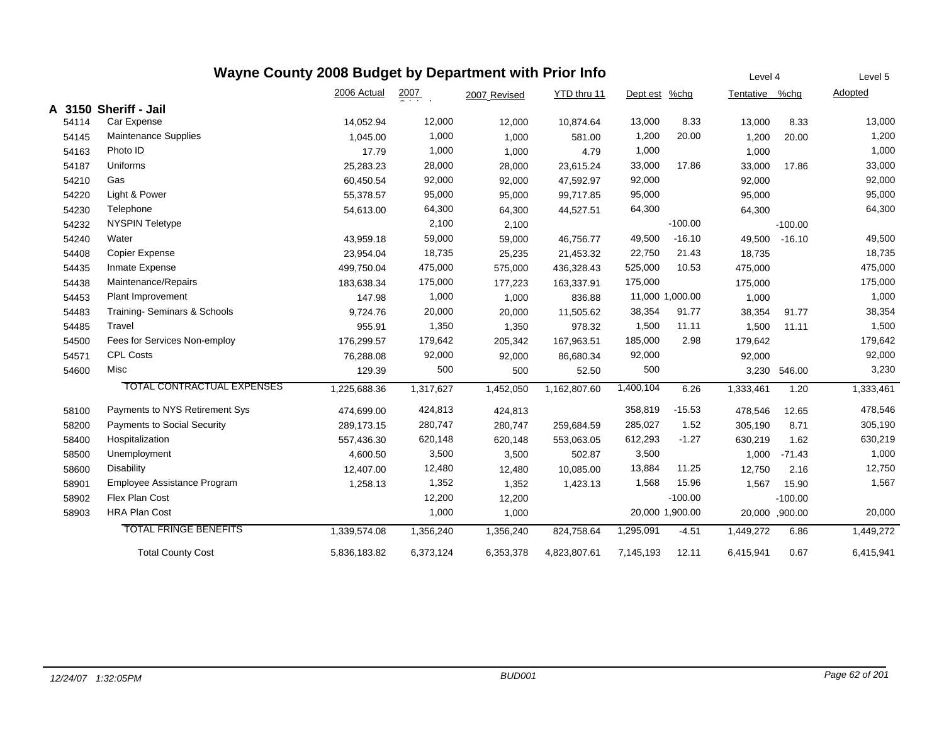|       | Wayne County 2008 Budget by Department with Prior Info | Level 4      | Level 5          |              |              |               |                 |               |           |           |
|-------|--------------------------------------------------------|--------------|------------------|--------------|--------------|---------------|-----------------|---------------|-----------|-----------|
|       |                                                        | 2006 Actual  | $\frac{2007}{4}$ | 2007 Revised | YTD thru 11  | Dept est %chg |                 | Tentative     | %chg      | Adopted   |
|       | A 3150 Sheriff - Jail                                  |              |                  |              |              |               |                 |               |           |           |
| 54114 | Car Expense                                            | 14,052.94    | 12,000           | 12,000       | 10,874.64    | 13,000        | 8.33            | 13,000        | 8.33      | 13,000    |
| 54145 | Maintenance Supplies                                   | 1,045.00     | 1,000            | 1,000        | 581.00       | 1,200         | 20.00           | 1,200         | 20.00     | 1,200     |
| 54163 | Photo ID                                               | 17.79        | 1,000            | 1,000        | 4.79         | 1,000         |                 | 1,000         |           | 1,000     |
| 54187 | Uniforms                                               | 25,283.23    | 28,000           | 28,000       | 23,615.24    | 33,000        | 17.86           | 33,000        | 17.86     | 33,000    |
| 54210 | Gas                                                    | 60,450.54    | 92,000           | 92,000       | 47,592.97    | 92,000        |                 | 92,000        |           | 92,000    |
| 54220 | Light & Power                                          | 55,378.57    | 95,000           | 95,000       | 99,717.85    | 95,000        |                 | 95,000        |           | 95,000    |
| 54230 | Telephone                                              | 54,613.00    | 64,300           | 64,300       | 44,527.51    | 64,300        |                 | 64,300        |           | 64,300    |
| 54232 | <b>NYSPIN Teletype</b>                                 |              | 2,100            | 2,100        |              |               | $-100.00$       |               | $-100.00$ |           |
| 54240 | Water                                                  | 43,959.18    | 59,000           | 59,000       | 46,756.77    | 49,500        | $-16.10$        | 49,500        | $-16.10$  | 49,500    |
| 54408 | Copier Expense                                         | 23,954.04    | 18,735           | 25,235       | 21,453.32    | 22,750        | 21.43           | 18,735        |           | 18,735    |
| 54435 | Inmate Expense                                         | 499,750.04   | 475,000          | 575,000      | 436,328.43   | 525,000       | 10.53           | 475,000       |           | 475,000   |
| 54438 | Maintenance/Repairs                                    | 183,638.34   | 175,000          | 177,223      | 163,337.91   | 175,000       |                 | 175,000       |           | 175,000   |
| 54453 | <b>Plant Improvement</b>                               | 147.98       | 1,000            | 1,000        | 836.88       |               | 11,000 1,000.00 | 1,000         |           | 1,000     |
| 54483 | Training- Seminars & Schools                           | 9,724.76     | 20,000           | 20,000       | 11,505.62    | 38,354        | 91.77           | 38,354        | 91.77     | 38,354    |
| 54485 | Travel                                                 | 955.91       | 1,350            | 1,350        | 978.32       | 1,500         | 11.11           | 1,500         | 11.11     | 1,500     |
| 54500 | Fees for Services Non-employ                           | 176,299.57   | 179,642          | 205,342      | 167,963.51   | 185,000       | 2.98            | 179,642       |           | 179,642   |
| 54571 | <b>CPL Costs</b>                                       | 76,288.08    | 92,000           | 92,000       | 86,680.34    | 92,000        |                 | 92,000        |           | 92,000    |
| 54600 | Misc                                                   | 129.39       | 500              | 500          | 52.50        | 500           |                 | 3,230         | 546.00    | 3,230     |
|       | <b>TOTAL CONTRACTUAL EXPENSES</b>                      | 1,225,688.36 | 1,317,627        | 1,452,050    | 1,162,807.60 | 1,400,104     | 6.26            | 1,333,461     | 1.20      | 1,333,461 |
| 58100 | Payments to NYS Retirement Sys                         | 474,699.00   | 424,813          | 424,813      |              | 358,819       | $-15.53$        | 478,546       | 12.65     | 478,546   |
| 58200 | Payments to Social Security                            | 289,173.15   | 280,747          | 280,747      | 259,684.59   | 285,027       | 1.52            | 305,190       | 8.71      | 305,190   |
| 58400 | Hospitalization                                        | 557,436.30   | 620,148          | 620,148      | 553,063.05   | 612,293       | $-1.27$         | 630,219       | 1.62      | 630,219   |
| 58500 | Unemployment                                           | 4,600.50     | 3,500            | 3,500        | 502.87       | 3,500         |                 | 1,000         | $-71.43$  | 1,000     |
| 58600 | <b>Disability</b>                                      | 12,407.00    | 12,480           | 12,480       | 10,085.00    | 13,884        | 11.25           | 12,750        | 2.16      | 12,750    |
| 58901 | Employee Assistance Program                            | 1,258.13     | 1,352            | 1,352        | 1,423.13     | 1,568         | 15.96           | 1,567         | 15.90     | 1,567     |
| 58902 | Flex Plan Cost                                         |              | 12,200           | 12,200       |              |               | $-100.00$       |               | $-100.00$ |           |
| 58903 | <b>HRA Plan Cost</b>                                   |              | 1,000            | 1,000        |              |               | 20,000 1,900.00 | 20,000,000.00 |           | 20,000    |
|       | <b>TOTAL FRINGE BENEFITS</b>                           | 1,339,574.08 | 1,356,240        | 1,356,240    | 824,758.64   | 1,295,091     | $-4.51$         | 1,449,272     | 6.86      | 1,449,272 |
|       | <b>Total County Cost</b>                               | 5,836,183.82 | 6,373,124        | 6,353,378    | 4,823,807.61 | 7,145,193     | 12.11           | 6,415,941     | 0.67      | 6,415,941 |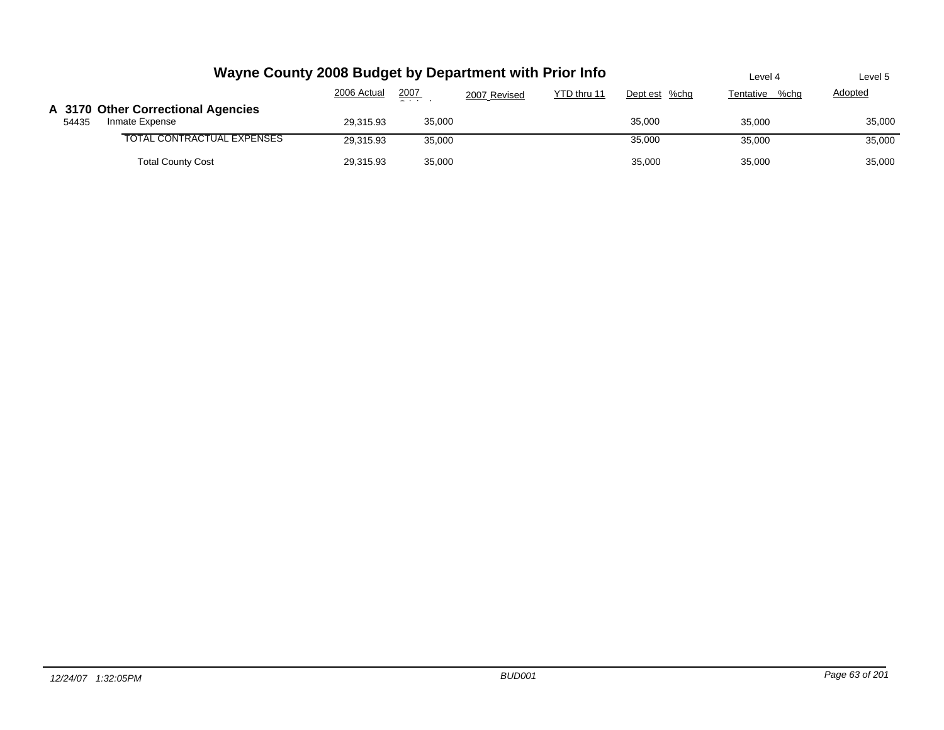|       | Wayne County 2008 Budget by Department with Prior Info | Level 4     | Level 5       |              |             |               |                   |         |
|-------|--------------------------------------------------------|-------------|---------------|--------------|-------------|---------------|-------------------|---------|
|       |                                                        | 2006 Actual | 2007<br>- - - | 2007 Revised | YTD thru 11 | Dept est %chg | %chq<br>Tentative | Adopted |
| 54435 | A 3170 Other Correctional Agencies<br>Inmate Expense   | 29.315.93   | 35,000        |              |             | 35,000        | 35,000            | 35,000  |
|       | TOTAL CONTRACTUAL EXPENSES                             | 29.315.93   | 35,000        |              |             | 35,000        | 35,000            | 35,000  |
|       | <b>Total County Cost</b>                               | 29,315.93   | 35,000        |              |             | 35,000        | 35,000            | 35,000  |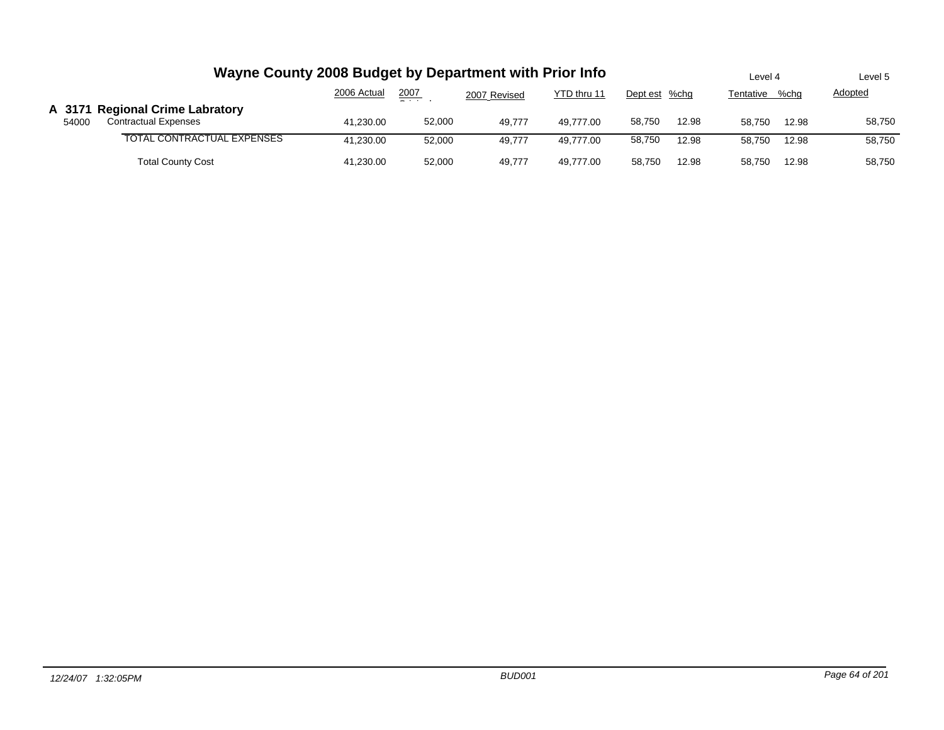|       | Wayne County 2008 Budget by Department with Prior Info         |             |        |              |             |        |               |        |                   | Level 5 |
|-------|----------------------------------------------------------------|-------------|--------|--------------|-------------|--------|---------------|--------|-------------------|---------|
|       |                                                                | 2006 Actual | 2007   | 2007 Revised | YTD thru 11 |        | Dept est %chg |        | %chq<br>Tentative |         |
| 54000 | A 3171 Regional Crime Labratory<br><b>Contractual Expenses</b> | 41.230.00   | 52,000 | 49.777       | 49.777.00   | 58.750 | 12.98         | 58.750 | 12.98             | 58,750  |
|       | TOTAL CONTRACTUAL EXPENSES                                     | 41.230.00   | 52.000 | 49.777       | 49.777.00   | 58,750 | 12.98         | 58.750 | 12.98             | 58,750  |
|       | <b>Total County Cost</b>                                       | 41.230.00   | 52,000 | 49.777       | 49.777.00   | 58.750 | 12.98         | 58.750 | 12.98             | 58,750  |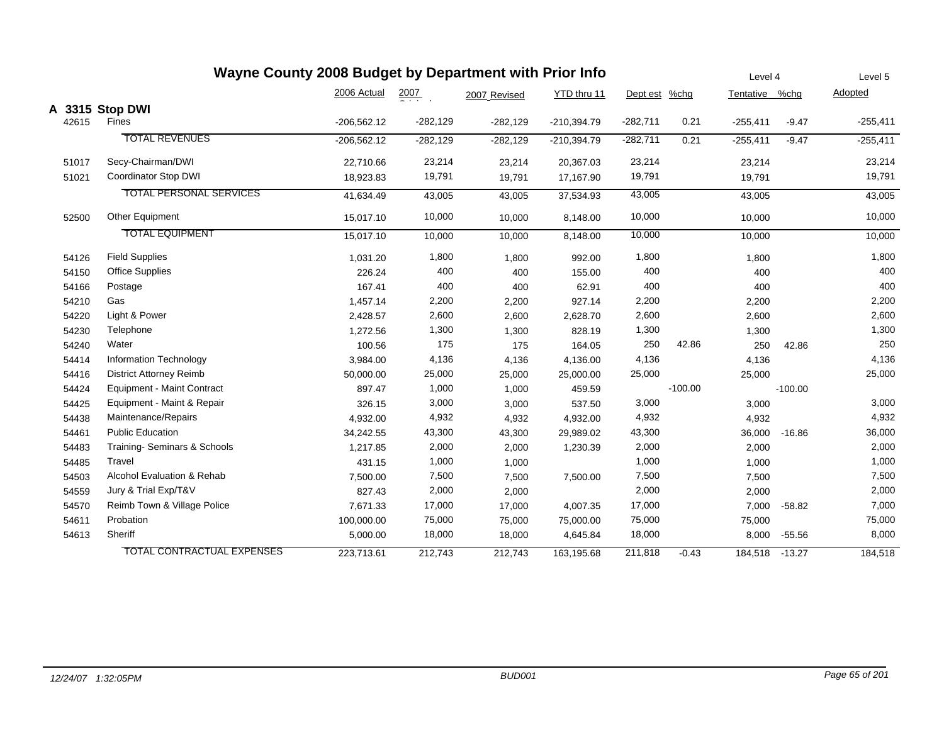|       | Wayne County 2008 Budget by Department with Prior Info |               |                  |              |               |            |           |                | Level 4   |            |
|-------|--------------------------------------------------------|---------------|------------------|--------------|---------------|------------|-----------|----------------|-----------|------------|
|       |                                                        | 2006 Actual   | $\frac{2007}{2}$ | 2007 Revised | YTD thru 11   | Dept est   | $%$ chg   | Tentative %chg |           | Adopted    |
|       | A 3315 Stop DWI                                        |               |                  |              |               |            |           |                |           |            |
| 42615 | Fines                                                  | $-206,562.12$ | $-282,129$       | $-282,129$   | $-210,394.79$ | $-282,711$ | 0.21      | $-255,411$     | $-9.47$   | $-255,411$ |
|       | <b>TOTAL REVENUES</b>                                  | $-206,562.12$ | $-282,129$       | $-282,129$   | $-210,394.79$ | $-282,711$ | 0.21      | $-255,411$     | $-9.47$   | $-255,411$ |
| 51017 | Secy-Chairman/DWI                                      | 22,710.66     | 23,214           | 23,214       | 20,367.03     | 23,214     |           | 23,214         |           | 23,214     |
| 51021 | Coordinator Stop DWI                                   | 18,923.83     | 19,791           | 19,791       | 17,167.90     | 19,791     |           | 19,791         |           | 19,791     |
|       | <b>TOTAL PERSONAL SERVICES</b>                         | 41,634.49     | 43,005           | 43,005       | 37,534.93     | 43,005     |           | 43,005         |           | 43,005     |
| 52500 | Other Equipment                                        | 15,017.10     | 10,000           | 10,000       | 8,148.00      | 10,000     |           | 10,000         |           | 10,000     |
|       | <b>TOTAL EQUIPMENT</b>                                 | 15,017.10     | 10,000           | 10,000       | 8,148.00      | 10,000     |           | 10,000         |           | 10,000     |
| 54126 | <b>Field Supplies</b>                                  | 1,031.20      | 1,800            | 1,800        | 992.00        | 1,800      |           | 1,800          |           | 1,800      |
| 54150 | <b>Office Supplies</b>                                 | 226.24        | 400              | 400          | 155.00        | 400        |           | 400            |           | 400        |
| 54166 | Postage                                                | 167.41        | 400              | 400          | 62.91         | 400        |           | 400            |           | 400        |
| 54210 | Gas                                                    | 1,457.14      | 2,200            | 2,200        | 927.14        | 2,200      |           | 2,200          |           | 2,200      |
| 54220 | Light & Power                                          | 2,428.57      | 2,600            | 2,600        | 2,628.70      | 2,600      |           | 2,600          |           | 2,600      |
| 54230 | Telephone                                              | 1,272.56      | 1,300            | 1,300        | 828.19        | 1,300      |           | 1,300          |           | 1,300      |
| 54240 | Water                                                  | 100.56        | 175              | 175          | 164.05        | 250        | 42.86     | 250            | 42.86     | 250        |
| 54414 | <b>Information Technology</b>                          | 3,984.00      | 4,136            | 4,136        | 4,136.00      | 4,136      |           | 4,136          |           | 4,136      |
| 54416 | <b>District Attorney Reimb</b>                         | 50,000.00     | 25,000           | 25,000       | 25,000.00     | 25,000     |           | 25,000         |           | 25,000     |
| 54424 | <b>Equipment - Maint Contract</b>                      | 897.47        | 1,000            | 1,000        | 459.59        |            | $-100.00$ |                | $-100.00$ |            |
| 54425 | Equipment - Maint & Repair                             | 326.15        | 3,000            | 3,000        | 537.50        | 3,000      |           | 3,000          |           | 3,000      |
| 54438 | Maintenance/Repairs                                    | 4,932.00      | 4,932            | 4,932        | 4,932.00      | 4,932      |           | 4,932          |           | 4,932      |
| 54461 | <b>Public Education</b>                                | 34,242.55     | 43,300           | 43,300       | 29,989.02     | 43,300     |           | 36,000         | $-16.86$  | 36,000     |
| 54483 | Training-Seminars & Schools                            | 1,217.85      | 2,000            | 2,000        | 1,230.39      | 2,000      |           | 2,000          |           | 2,000      |
| 54485 | Travel                                                 | 431.15        | 1,000            | 1,000        |               | 1,000      |           | 1,000          |           | 1,000      |
| 54503 | Alcohol Evaluation & Rehab                             | 7,500.00      | 7,500            | 7,500        | 7,500.00      | 7,500      |           | 7,500          |           | 7,500      |
| 54559 | Jury & Trial Exp/T&V                                   | 827.43        | 2,000            | 2,000        |               | 2,000      |           | 2,000          |           | 2,000      |
| 54570 | Reimb Town & Village Police                            | 7,671.33      | 17,000           | 17,000       | 4,007.35      | 17,000     |           | 7,000          | $-58.82$  | 7,000      |
| 54611 | Probation                                              | 100,000.00    | 75,000           | 75,000       | 75,000.00     | 75,000     |           | 75,000         |           | 75,000     |
| 54613 | Sheriff                                                | 5,000.00      | 18,000           | 18,000       | 4,645.84      | 18,000     |           | 8,000          | $-55.56$  | 8,000      |
|       | <b>TOTAL CONTRACTUAL EXPENSES</b>                      | 223,713.61    | 212,743          | 212,743      | 163,195.68    | 211,818    | $-0.43$   | 184,518        | $-13.27$  | 184,518    |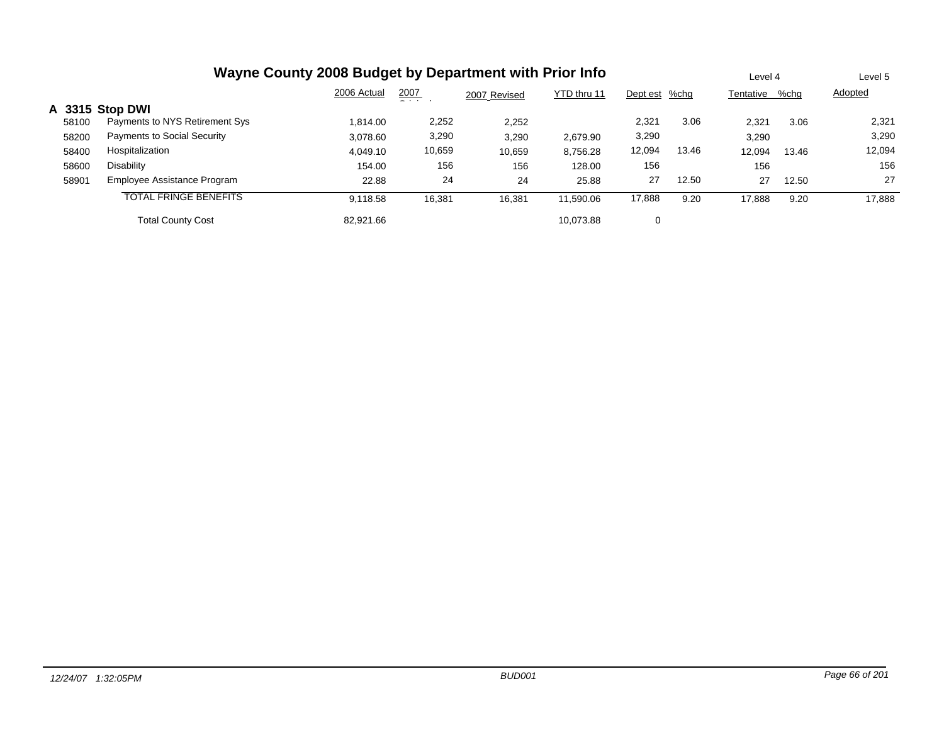|       | Wayne County 2008 Budget by Department with Prior Info |             |                 |              |             |               |       |           | Level 4 |         |
|-------|--------------------------------------------------------|-------------|-----------------|--------------|-------------|---------------|-------|-----------|---------|---------|
|       |                                                        | 2006 Actual | 2007<br>- - - - | 2007 Revised | YTD thru 11 | Dept est %chg |       | Tentative | %chg    | Adopted |
|       | A 3315 Stop DWI                                        |             |                 |              |             |               |       |           |         |         |
| 58100 | Payments to NYS Retirement Sys                         | 1.814.00    | 2,252           | 2,252        |             | 2,321         | 3.06  | 2,321     | 3.06    | 2,321   |
| 58200 | Payments to Social Security                            | 3,078.60    | 3,290           | 3,290        | 2,679.90    | 3,290         |       | 3,290     |         | 3,290   |
| 58400 | Hospitalization                                        | 4.049.10    | 10,659          | 10,659       | 8,756.28    | 12,094        | 13.46 | 12.094    | 13.46   | 12,094  |
| 58600 | Disability                                             | 154.00      | 156             | 156          | 128.00      | 156           |       | 156       |         | 156     |
| 58901 | Employee Assistance Program                            | 22.88       | 24              | 24           | 25.88       | 27            | 12.50 | 27        | 12.50   | 27      |
|       | <b>TOTAL FRINGE BENEFITS</b>                           | 9,118.58    | 16,381          | 16,381       | 11.590.06   | 17,888        | 9.20  | 17,888    | 9.20    | 17,888  |
|       | <b>Total County Cost</b>                               | 82,921.66   |                 |              | 10.073.88   | 0             |       |           |         |         |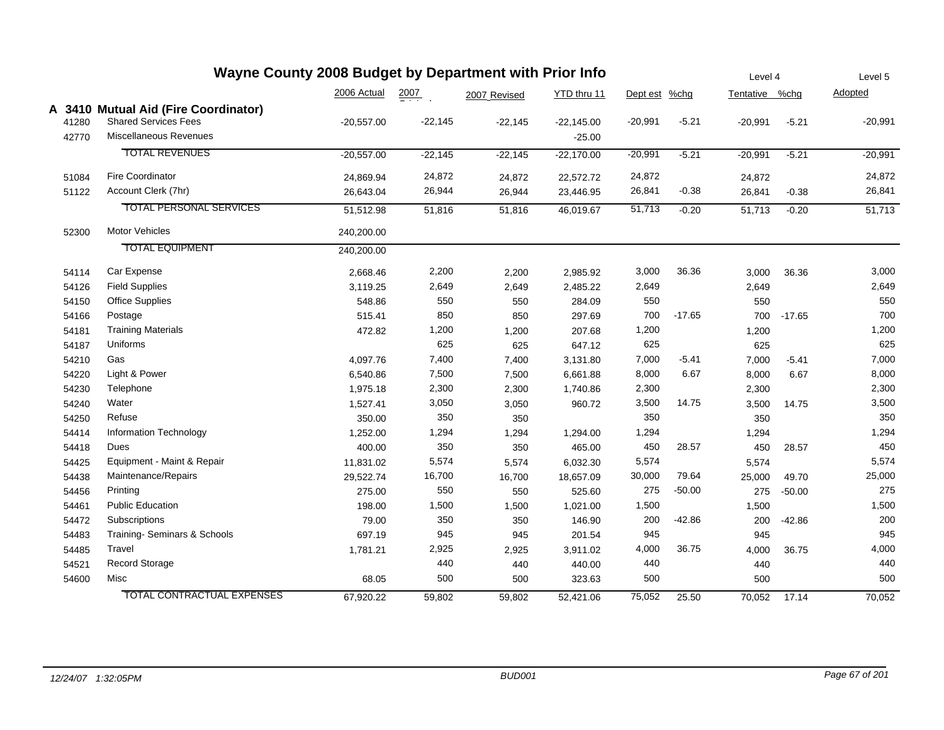| Wayne County 2008 Budget by Department with Prior Info |                                      |              |                  |              |              |               |          | Level 4        |          | Level 5   |
|--------------------------------------------------------|--------------------------------------|--------------|------------------|--------------|--------------|---------------|----------|----------------|----------|-----------|
|                                                        |                                      | 2006 Actual  | $\frac{2007}{4}$ | 2007 Revised | YTD thru 11  | Dept est %chg |          | Tentative %chg |          | Adopted   |
|                                                        | A 3410 Mutual Aid (Fire Coordinator) |              |                  |              |              |               |          |                |          |           |
| 41280                                                  | <b>Shared Services Fees</b>          | $-20,557.00$ | $-22,145$        | $-22,145$    | $-22,145.00$ | $-20,991$     | $-5.21$  | $-20,991$      | $-5.21$  | $-20,991$ |
| 42770                                                  | Miscellaneous Revenues               |              |                  |              | $-25.00$     |               |          |                |          |           |
|                                                        | <b>TOTAL REVENUES</b>                | $-20,557.00$ | $-22,145$        | $-22,145$    | $-22,170.00$ | $-20,991$     | $-5.21$  | $-20,991$      | $-5.21$  | $-20,991$ |
| 51084                                                  | <b>Fire Coordinator</b>              | 24,869.94    | 24,872           | 24,872       | 22,572.72    | 24,872        |          | 24,872         |          | 24,872    |
| 51122                                                  | Account Clerk (7hr)                  | 26,643.04    | 26,944           | 26,944       | 23,446.95    | 26,841        | $-0.38$  | 26,841         | $-0.38$  | 26,841    |
|                                                        | <b>TOTAL PERSONAL SERVICES</b>       | 51,512.98    | 51,816           | 51,816       | 46,019.67    | 51,713        | $-0.20$  | 51,713         | $-0.20$  | 51,713    |
| 52300                                                  | <b>Motor Vehicles</b>                | 240,200.00   |                  |              |              |               |          |                |          |           |
|                                                        | <b>TOTAL EQUIPMENT</b>               | 240,200.00   |                  |              |              |               |          |                |          |           |
| 54114                                                  | Car Expense                          | 2,668.46     | 2,200            | 2,200        | 2,985.92     | 3,000         | 36.36    | 3,000          | 36.36    | 3,000     |
| 54126                                                  | <b>Field Supplies</b>                | 3,119.25     | 2,649            | 2,649        | 2,485.22     | 2,649         |          | 2,649          |          | 2,649     |
| 54150                                                  | <b>Office Supplies</b>               | 548.86       | 550              | 550          | 284.09       | 550           |          | 550            |          | 550       |
| 54166                                                  | Postage                              | 515.41       | 850              | 850          | 297.69       | 700           | $-17.65$ | 700            | $-17.65$ | 700       |
| 54181                                                  | <b>Training Materials</b>            | 472.82       | 1,200            | 1,200        | 207.68       | 1,200         |          | 1,200          |          | 1,200     |
| 54187                                                  | Uniforms                             |              | 625              | 625          | 647.12       | 625           |          | 625            |          | 625       |
| 54210                                                  | Gas                                  | 4,097.76     | 7,400            | 7,400        | 3,131.80     | 7,000         | $-5.41$  | 7,000          | $-5.41$  | 7,000     |
| 54220                                                  | Light & Power                        | 6,540.86     | 7,500            | 7,500        | 6,661.88     | 8,000         | 6.67     | 8,000          | 6.67     | 8,000     |
| 54230                                                  | Telephone                            | 1,975.18     | 2,300            | 2,300        | 1,740.86     | 2,300         |          | 2,300          |          | 2,300     |
| 54240                                                  | Water                                | 1,527.41     | 3,050            | 3,050        | 960.72       | 3,500         | 14.75    | 3,500          | 14.75    | 3,500     |
| 54250                                                  | Refuse                               | 350.00       | 350              | 350          |              | 350           |          | 350            |          | 350       |
| 54414                                                  | Information Technology               | 1,252.00     | 1,294            | 1,294        | 1,294.00     | 1,294         |          | 1,294          |          | 1,294     |
| 54418                                                  | Dues                                 | 400.00       | 350              | 350          | 465.00       | 450           | 28.57    | 450            | 28.57    | 450       |
| 54425                                                  | Equipment - Maint & Repair           | 11,831.02    | 5,574            | 5,574        | 6,032.30     | 5,574         |          | 5,574          |          | 5,574     |
| 54438                                                  | Maintenance/Repairs                  | 29,522.74    | 16,700           | 16,700       | 18,657.09    | 30,000        | 79.64    | 25,000         | 49.70    | 25,000    |
| 54456                                                  | Printing                             | 275.00       | 550              | 550          | 525.60       | 275           | $-50.00$ | 275            | $-50.00$ | 275       |
| 54461                                                  | <b>Public Education</b>              | 198.00       | 1,500            | 1,500        | 1,021.00     | 1,500         |          | 1,500          |          | 1,500     |
| 54472                                                  | Subscriptions                        | 79.00        | 350              | 350          | 146.90       | 200           | $-42.86$ | 200            | $-42.86$ | 200       |
| 54483                                                  | Training-Seminars & Schools          | 697.19       | 945              | 945          | 201.54       | 945           |          | 945            |          | 945       |
| 54485                                                  | Travel                               | 1,781.21     | 2,925            | 2,925        | 3,911.02     | 4,000         | 36.75    | 4,000          | 36.75    | 4,000     |
| 54521                                                  | <b>Record Storage</b>                |              | 440              | 440          | 440.00       | 440           |          | 440            |          | 440       |
| 54600                                                  | Misc                                 | 68.05        | 500              | 500          | 323.63       | 500           |          | 500            |          | 500       |
|                                                        | <b>TOTAL CONTRACTUAL EXPENSES</b>    | 67,920.22    | 59,802           | 59,802       | 52,421.06    | 75,052        | 25.50    | 70,052         | 17.14    | 70,052    |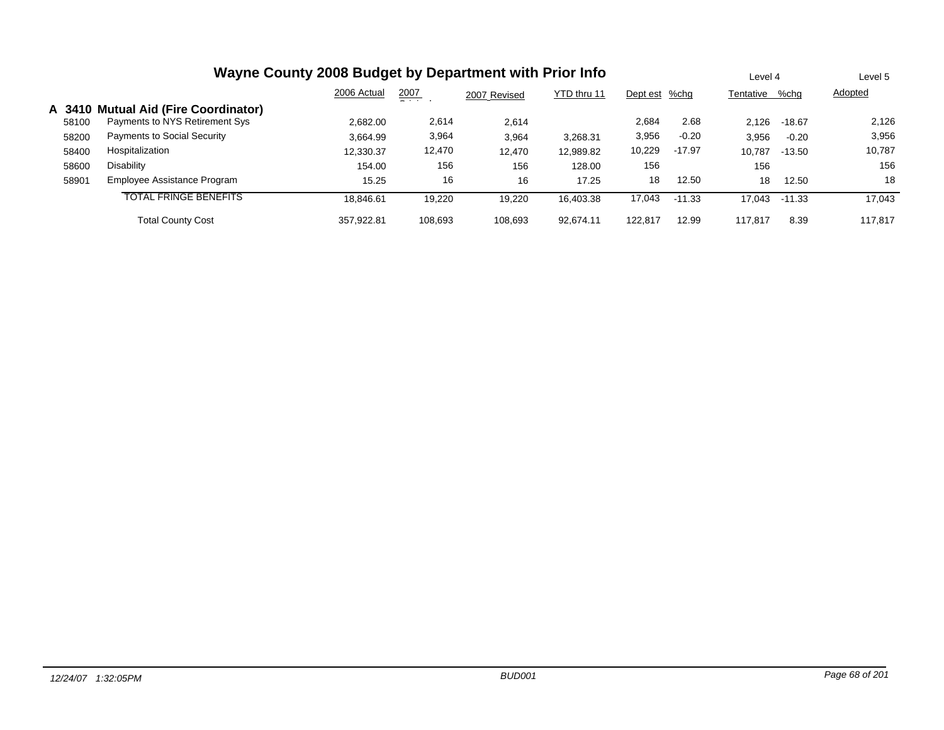|       | Wayne County 2008 Budget by Department with Prior Info |             |               |              |             |               |          |           |          | Level 5 |
|-------|--------------------------------------------------------|-------------|---------------|--------------|-------------|---------------|----------|-----------|----------|---------|
|       |                                                        | 2006 Actual | 2007<br>$  -$ | 2007 Revised | YTD thru 11 | Dept est %chg |          | Tentative | %chg     | Adopted |
|       | A 3410 Mutual Aid (Fire Coordinator)                   |             |               |              |             |               |          |           |          |         |
| 58100 | Payments to NYS Retirement Sys                         | 2,682.00    | 2,614         | 2,614        |             | 2,684         | 2.68     | 2.126     | $-18.67$ | 2,126   |
| 58200 | <b>Payments to Social Security</b>                     | 3,664.99    | 3,964         | 3,964        | 3,268.31    | 3,956         | $-0.20$  | 3,956     | $-0.20$  | 3,956   |
| 58400 | Hospitalization                                        | 12,330.37   | 12,470        | 12,470       | 12,989.82   | 10,229        | $-17.97$ | 10,787    | $-13.50$ | 10,787  |
| 58600 | Disability                                             | 154.00      | 156           | 156          | 128.00      | 156           |          | 156       |          | 156     |
| 58901 | Employee Assistance Program                            | 15.25       | 16            | 16           | 17.25       | 18            | 12.50    | 18        | 12.50    | 18      |
|       | <b>TOTAL FRINGE BENEFITS</b>                           | 18.846.61   | 19.220        | 19.220       | 16.403.38   | 17,043        | $-11.33$ | 17.043    | $-11.33$ | 17.043  |
|       | <b>Total County Cost</b>                               | 357.922.81  | 108.693       | 108.693      | 92.674.11   | 122.817       | 12.99    | 117.817   | 8.39     | 117.817 |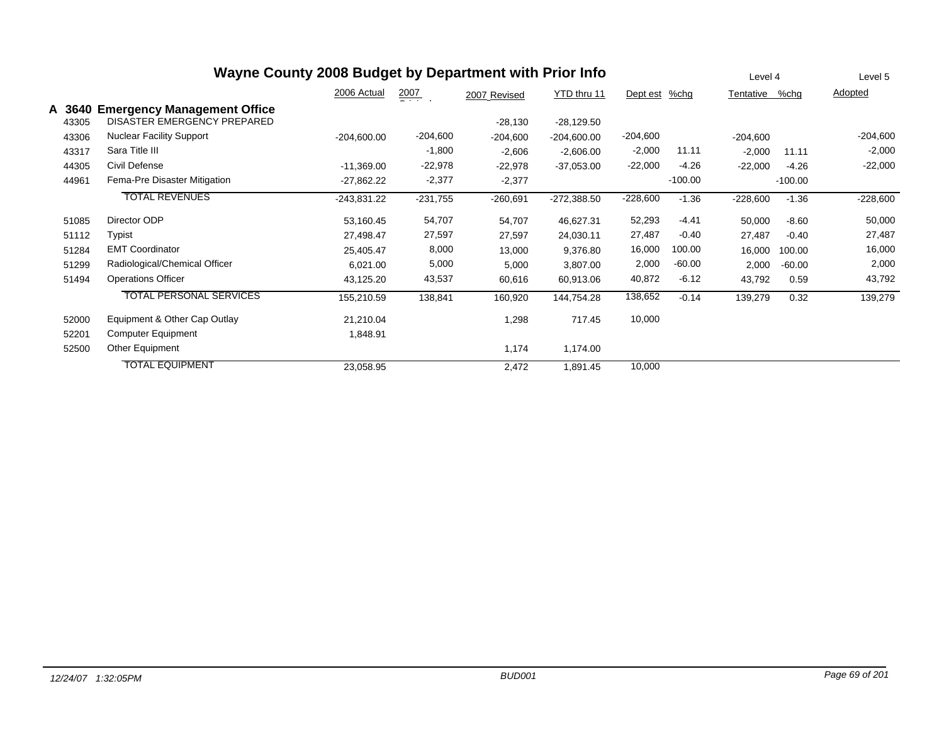|                 | Wayne County 2008 Budget by Department with Prior Info                   | Level 4       | Level 5              |              |               |               |           |            |           |            |
|-----------------|--------------------------------------------------------------------------|---------------|----------------------|--------------|---------------|---------------|-----------|------------|-----------|------------|
|                 |                                                                          | 2006 Actual   | $\frac{2007}{200}$ . | 2007 Revised | YTD thru 11   | Dept est %chg |           | Tentative  | %chg      | Adopted    |
| A 3640<br>43305 | <b>Emergency Management Office</b><br><b>DISASTER EMERGENCY PREPARED</b> |               |                      | $-28,130$    | $-28,129.50$  |               |           |            |           |            |
| 43306           | <b>Nuclear Facility Support</b>                                          | $-204,600.00$ | $-204,600$           | $-204,600$   | $-204,600.00$ | $-204,600$    |           | $-204,600$ |           | $-204,600$ |
| 43317           | Sara Title III                                                           |               | $-1,800$             | $-2,606$     | $-2,606.00$   | $-2,000$      | 11.11     | $-2,000$   | 11.11     | $-2,000$   |
| 44305           | Civil Defense                                                            | $-11,369.00$  | $-22,978$            | $-22,978$    | $-37,053.00$  | $-22,000$     | $-4.26$   | $-22,000$  | $-4.26$   | $-22,000$  |
| 44961           | Fema-Pre Disaster Mitigation                                             | $-27,862.22$  | $-2,377$             | $-2,377$     |               |               | $-100.00$ |            | $-100.00$ |            |
|                 | <b>TOTAL REVENUES</b>                                                    | $-243.831.22$ | $-231,755$           | $-260,691$   | $-272,388.50$ | $-228,600$    | $-1.36$   | $-228,600$ | $-1.36$   | $-228,600$ |
| 51085           | Director ODP                                                             | 53,160.45     | 54,707               | 54,707       | 46,627.31     | 52,293        | $-4.41$   | 50,000     | $-8.60$   | 50,000     |
| 51112           | Typist                                                                   | 27,498.47     | 27,597               | 27,597       | 24,030.11     | 27,487        | $-0.40$   | 27,487     | $-0.40$   | 27,487     |
| 51284           | <b>EMT Coordinator</b>                                                   | 25,405.47     | 8,000                | 13,000       | 9,376.80      | 16,000        | 100.00    | 16,000     | 100.00    | 16,000     |
| 51299           | Radiological/Chemical Officer                                            | 6,021.00      | 5,000                | 5,000        | 3,807.00      | 2,000         | $-60.00$  | 2,000      | $-60.00$  | 2,000      |
| 51494           | <b>Operations Officer</b>                                                | 43,125.20     | 43,537               | 60,616       | 60,913.06     | 40,872        | $-6.12$   | 43,792     | 0.59      | 43,792     |
|                 | <b>TOTAL PERSONAL SERVICES</b>                                           | 155,210.59    | 138,841              | 160,920      | 144,754.28    | 138,652       | $-0.14$   | 139,279    | 0.32      | 139,279    |
| 52000           | Equipment & Other Cap Outlay                                             | 21,210.04     |                      | 1,298        | 717.45        | 10,000        |           |            |           |            |
| 52201           | <b>Computer Equipment</b>                                                | 1,848.91      |                      |              |               |               |           |            |           |            |
| 52500           | Other Equipment                                                          |               |                      | 1,174        | 1,174.00      |               |           |            |           |            |
|                 | <b>TOTAL EQUIPMENT</b>                                                   | 23,058.95     |                      | 2,472        | 1,891.45      | 10,000        |           |            |           |            |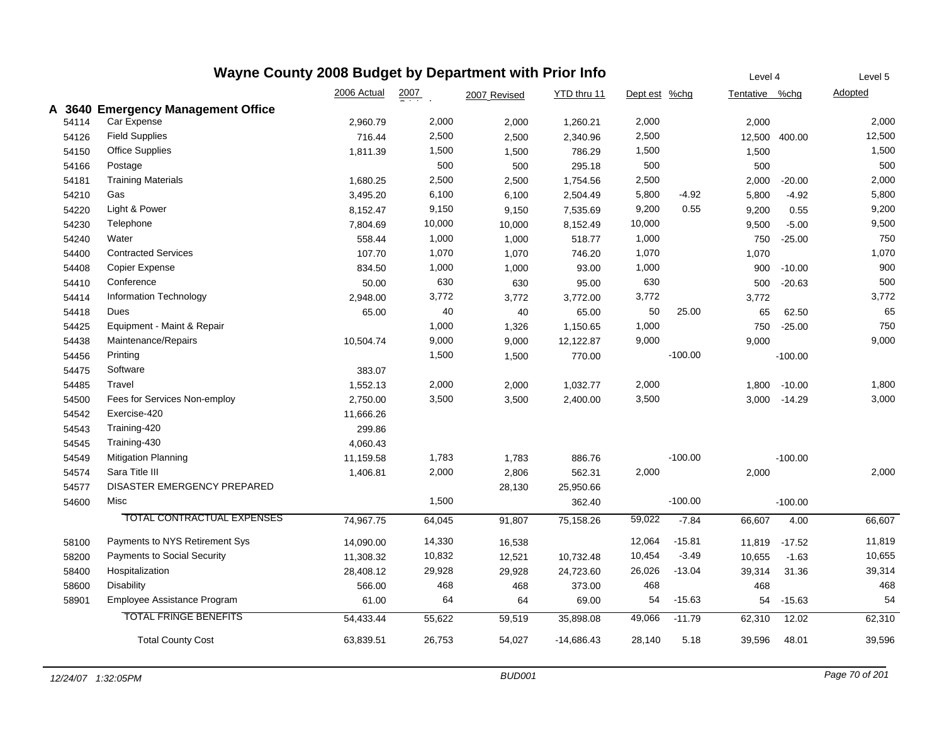|       | Wayne County 2008 Budget by Department with Prior Info |                                    |             |        |              |              |               |           |                | Level 4   | Level 5        |
|-------|--------------------------------------------------------|------------------------------------|-------------|--------|--------------|--------------|---------------|-----------|----------------|-----------|----------------|
|       |                                                        |                                    | 2006 Actual | 2007   | 2007 Revised | YTD thru 11  | Dept est %chg |           | Tentative %chg |           | <b>Adopted</b> |
|       |                                                        | A 3640 Emergency Management Office |             |        |              |              |               |           |                |           |                |
| 54114 | Car Expense                                            |                                    | 2,960.79    | 2,000  | 2,000        | 1,260.21     | 2,000         |           | 2,000          |           | 2,000          |
| 54126 | <b>Field Supplies</b>                                  |                                    | 716.44      | 2,500  | 2,500        | 2,340.96     | 2,500         |           | 12,500 400.00  |           | 12,500         |
| 54150 | <b>Office Supplies</b>                                 |                                    | 1,811.39    | 1,500  | 1,500        | 786.29       | 1,500         |           | 1,500          |           | 1,500          |
| 54166 | Postage                                                |                                    |             | 500    | 500          | 295.18       | 500           |           | 500            |           | 500            |
| 54181 | <b>Training Materials</b>                              |                                    | 1,680.25    | 2,500  | 2,500        | 1,754.56     | 2,500         |           | 2,000          | $-20.00$  | 2,000          |
| 54210 | Gas                                                    |                                    | 3,495.20    | 6,100  | 6,100        | 2,504.49     | 5,800         | $-4.92$   | 5,800          | $-4.92$   | 5,800          |
| 54220 | Light & Power                                          |                                    | 8,152.47    | 9,150  | 9,150        | 7,535.69     | 9,200         | 0.55      | 9,200          | 0.55      | 9,200          |
| 54230 | Telephone                                              |                                    | 7,804.69    | 10,000 | 10,000       | 8,152.49     | 10,000        |           | 9,500          | $-5.00$   | 9,500          |
| 54240 | Water                                                  |                                    | 558.44      | 1,000  | 1,000        | 518.77       | 1,000         |           | 750            | $-25.00$  | 750            |
| 54400 | <b>Contracted Services</b>                             |                                    | 107.70      | 1,070  | 1,070        | 746.20       | 1,070         |           | 1,070          |           | 1,070          |
| 54408 | Copier Expense                                         |                                    | 834.50      | 1,000  | 1,000        | 93.00        | 1,000         |           | 900            | $-10.00$  | 900            |
| 54410 | Conference                                             |                                    | 50.00       | 630    | 630          | 95.00        | 630           |           | 500            | $-20.63$  | 500            |
| 54414 | Information Technology                                 |                                    | 2,948.00    | 3,772  | 3,772        | 3,772.00     | 3,772         |           | 3,772          |           | 3,772          |
| 54418 | Dues                                                   |                                    | 65.00       | 40     | 40           | 65.00        | 50            | 25.00     | 65             | 62.50     | 65             |
| 54425 |                                                        | Equipment - Maint & Repair         |             | 1,000  | 1,326        | 1,150.65     | 1,000         |           | 750            | $-25.00$  | 750            |
| 54438 | Maintenance/Repairs                                    |                                    | 10,504.74   | 9,000  | 9,000        | 12,122.87    | 9,000         |           | 9,000          |           | 9,000          |
| 54456 | Printing                                               |                                    |             | 1,500  | 1,500        | 770.00       |               | $-100.00$ |                | $-100.00$ |                |
| 54475 | Software                                               |                                    | 383.07      |        |              |              |               |           |                |           |                |
| 54485 | Travel                                                 |                                    | 1,552.13    | 2,000  | 2,000        | 1,032.77     | 2,000         |           | 1,800          | $-10.00$  | 1,800          |
| 54500 |                                                        | Fees for Services Non-employ       | 2,750.00    | 3,500  | 3,500        | 2,400.00     | 3,500         |           | 3,000          | $-14.29$  | 3,000          |
| 54542 | Exercise-420                                           |                                    | 11,666.26   |        |              |              |               |           |                |           |                |
| 54543 | Training-420                                           |                                    | 299.86      |        |              |              |               |           |                |           |                |
| 54545 | Training-430                                           |                                    | 4,060.43    |        |              |              |               |           |                |           |                |
| 54549 | <b>Mitigation Planning</b>                             |                                    | 11,159.58   | 1,783  | 1,783        | 886.76       |               | $-100.00$ |                | $-100.00$ |                |
| 54574 | Sara Title III                                         |                                    | 1,406.81    | 2,000  | 2,806        | 562.31       | 2,000         |           | 2,000          |           | 2,000          |
| 54577 |                                                        | DISASTER EMERGENCY PREPARED        |             |        | 28,130       | 25,950.66    |               |           |                |           |                |
| 54600 | Misc                                                   |                                    |             | 1,500  |              | 362.40       |               | $-100.00$ |                | $-100.00$ |                |
|       |                                                        | TOTAL CONTRACTUAL EXPENSES         | 74,967.75   | 64,045 | 91,807       | 75,158.26    | 59,022        | $-7.84$   | 66,607         | 4.00      | 66,607         |
| 58100 |                                                        | Payments to NYS Retirement Sys     | 14,090.00   | 14,330 | 16,538       |              | 12,064        | $-15.81$  | 11,819         | $-17.52$  | 11,819         |
| 58200 |                                                        | <b>Payments to Social Security</b> | 11,308.32   | 10,832 | 12,521       | 10,732.48    | 10,454        | $-3.49$   | 10,655         | $-1.63$   | 10,655         |
| 58400 | Hospitalization                                        |                                    | 28,408.12   | 29,928 | 29,928       | 24,723.60    | 26,026        | $-13.04$  | 39,314         | 31.36     | 39,314         |
| 58600 | Disability                                             |                                    | 566.00      | 468    | 468          | 373.00       | 468           |           | 468            |           | 468            |
| 58901 |                                                        | Employee Assistance Program        | 61.00       | 64     | 64           | 69.00        | 54            | $-15.63$  | 54             | $-15.63$  | 54             |
|       |                                                        | <b>TOTAL FRINGE BENEFITS</b>       | 54,433.44   | 55,622 | 59,519       | 35,898.08    | 49,066        | $-11.79$  | 62,310         | 12.02     | 62,310         |
|       |                                                        | <b>Total County Cost</b>           | 63,839.51   | 26,753 | 54,027       | $-14,686.43$ | 28,140        | 5.18      | 39,596         | 48.01     | 39,596         |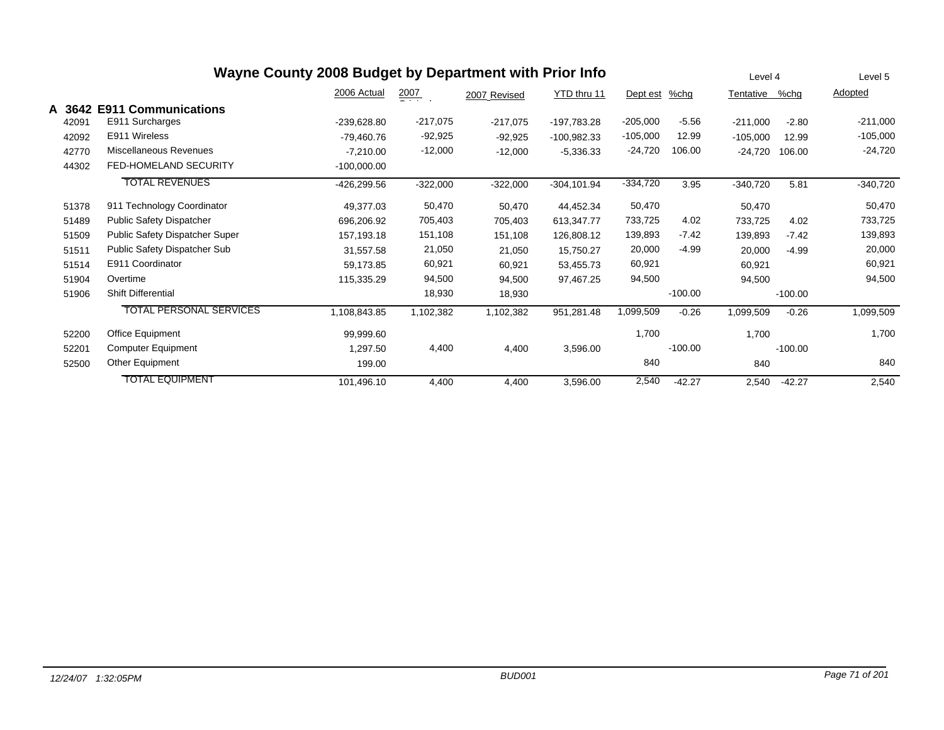|        | Wayne County 2008 Budget by Department with Prior Info | Level 4       | Level 5          |              |                |            |           |            |           |            |
|--------|--------------------------------------------------------|---------------|------------------|--------------|----------------|------------|-----------|------------|-----------|------------|
|        |                                                        | 2006 Actual   | $\frac{2007}{2}$ | 2007 Revised | YTD thru 11    | Dept est   | $%$ chg   | Tentative  | %chg      | Adopted    |
| A 3642 | <b>E911 Communications</b>                             |               |                  |              |                |            |           |            |           |            |
| 42091  | E911 Surcharges                                        | -239,628.80   | $-217,075$       | $-217,075$   | -197,783.28    | $-205,000$ | $-5.56$   | $-211,000$ | $-2.80$   | $-211,000$ |
| 42092  | E911 Wireless                                          | -79,460.76    | $-92,925$        | $-92,925$    | $-100,982.33$  | $-105,000$ | 12.99     | $-105,000$ | 12.99     | $-105,000$ |
| 42770  | Miscellaneous Revenues                                 | $-7,210.00$   | $-12,000$        | $-12,000$    | $-5,336.33$    | $-24,720$  | 106.00    | $-24,720$  | 106.00    | $-24,720$  |
| 44302  | FED-HOMELAND SECURITY                                  | $-100,000.00$ |                  |              |                |            |           |            |           |            |
|        | <b>TOTAL REVENUES</b>                                  | -426,299.56   | $-322,000$       | $-322,000$   | $-304, 101.94$ | $-334,720$ | 3.95      | $-340,720$ | 5.81      | $-340,720$ |
| 51378  | 911 Technology Coordinator                             | 49,377.03     | 50,470           | 50,470       | 44,452.34      | 50,470     |           | 50,470     |           | 50,470     |
| 51489  | <b>Public Safety Dispatcher</b>                        | 696,206.92    | 705,403          | 705,403      | 613,347.77     | 733,725    | 4.02      | 733,725    | 4.02      | 733,725    |
| 51509  | Public Safety Dispatcher Super                         | 157,193.18    | 151,108          | 151,108      | 126,808.12     | 139,893    | $-7.42$   | 139,893    | $-7.42$   | 139,893    |
| 51511  | Public Safety Dispatcher Sub                           | 31,557.58     | 21,050           | 21,050       | 15,750.27      | 20,000     | $-4.99$   | 20,000     | $-4.99$   | 20,000     |
| 51514  | E911 Coordinator                                       | 59,173.85     | 60,921           | 60,921       | 53,455.73      | 60,921     |           | 60,921     |           | 60,921     |
| 51904  | Overtime                                               | 115,335.29    | 94,500           | 94,500       | 97.467.25      | 94,500     |           | 94,500     |           | 94,500     |
| 51906  | <b>Shift Differential</b>                              |               | 18,930           | 18,930       |                |            | $-100.00$ |            | $-100.00$ |            |
|        | <b>TOTAL PERSONAL SERVICES</b>                         | 1,108,843.85  | 1,102,382        | 1,102,382    | 951,281.48     | 1,099,509  | $-0.26$   | 1,099,509  | $-0.26$   | 1,099,509  |
| 52200  | Office Equipment                                       | 99,999.60     |                  |              |                | 1,700      |           | 1,700      |           | 1,700      |
| 52201  | <b>Computer Equipment</b>                              | 1,297.50      | 4,400            | 4,400        | 3,596.00       |            | $-100.00$ |            | $-100.00$ |            |
| 52500  | Other Equipment                                        | 199.00        |                  |              |                | 840        |           | 840        |           | 840        |
|        | <b>TOTAL EQUIPMENT</b>                                 | 101,496.10    | 4,400            | 4,400        | 3,596.00       | 2,540      | $-42.27$  | 2,540      | $-42.27$  | 2,540      |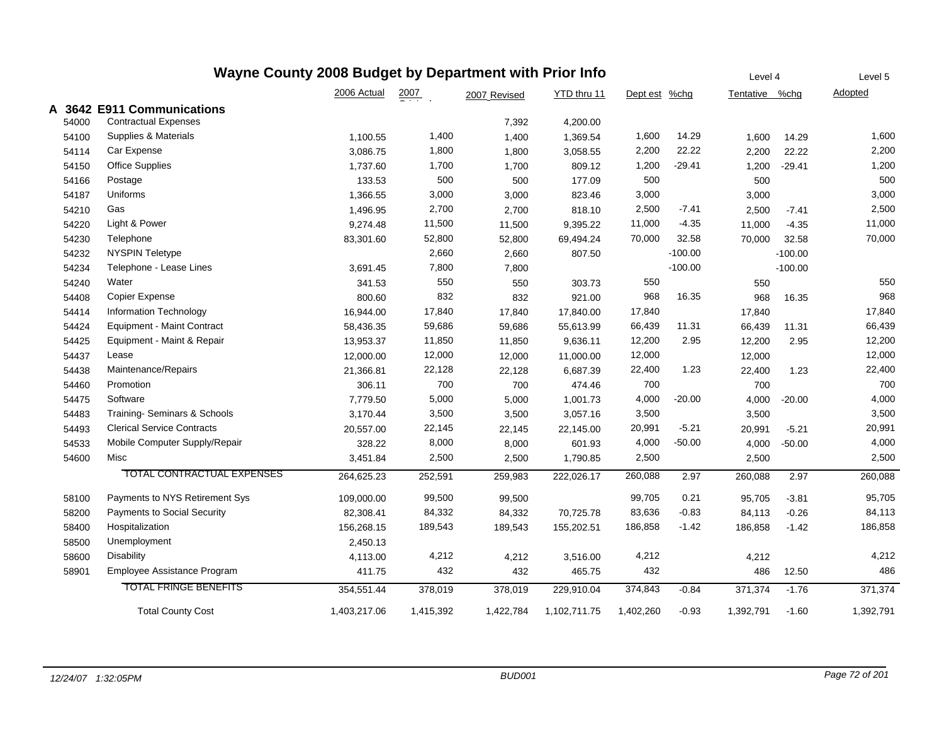|   | Wayne County 2008 Budget by Department with Prior Info |                                   |              |                    |              |              |           |           |                | Level 4   | Level 5        |
|---|--------------------------------------------------------|-----------------------------------|--------------|--------------------|--------------|--------------|-----------|-----------|----------------|-----------|----------------|
|   |                                                        |                                   | 2006 Actual  | $\frac{2007}{200}$ | 2007 Revised | YTD thru 11  | Dept est  | %chg      | Tentative %chg |           | <b>Adopted</b> |
| A |                                                        | 3642 E911 Communications          |              |                    |              |              |           |           |                |           |                |
|   | 54000                                                  | <b>Contractual Expenses</b>       |              |                    | 7,392        | 4,200.00     |           |           |                |           |                |
|   | 54100                                                  | Supplies & Materials              | 1,100.55     | 1,400              | 1,400        | 1,369.54     | 1,600     | 14.29     | 1,600          | 14.29     | 1,600          |
|   | 54114                                                  | Car Expense                       | 3,086.75     | 1,800              | 1,800        | 3,058.55     | 2,200     | 22.22     | 2,200          | 22.22     | 2,200          |
|   | 54150                                                  | <b>Office Supplies</b>            | 1,737.60     | 1,700              | 1,700        | 809.12       | 1,200     | $-29.41$  | 1,200          | $-29.41$  | 1,200          |
|   | 54166                                                  | Postage                           | 133.53       | 500                | 500          | 177.09       | 500       |           | 500            |           | 500            |
|   | 54187                                                  | Uniforms                          | 1,366.55     | 3,000              | 3,000        | 823.46       | 3,000     |           | 3,000          |           | 3,000          |
|   | 54210                                                  | Gas                               | 1,496.95     | 2,700              | 2,700        | 818.10       | 2,500     | $-7.41$   | 2,500          | $-7.41$   | 2,500          |
|   | 54220                                                  | Light & Power                     | 9,274.48     | 11,500             | 11,500       | 9,395.22     | 11,000    | $-4.35$   | 11,000         | $-4.35$   | 11,000         |
|   | 54230                                                  | Telephone                         | 83,301.60    | 52,800             | 52,800       | 69,494.24    | 70,000    | 32.58     | 70,000         | 32.58     | 70,000         |
|   | 54232                                                  | <b>NYSPIN Teletype</b>            |              | 2,660              | 2,660        | 807.50       |           | $-100.00$ |                | $-100.00$ |                |
|   | 54234                                                  | Telephone - Lease Lines           | 3,691.45     | 7,800              | 7,800        |              |           | $-100.00$ |                | $-100.00$ |                |
|   | 54240                                                  | Water                             | 341.53       | 550                | 550          | 303.73       | 550       |           | 550            |           | 550            |
|   | 54408                                                  | Copier Expense                    | 800.60       | 832                | 832          | 921.00       | 968       | 16.35     | 968            | 16.35     | 968            |
|   | 54414                                                  | Information Technology            | 16,944.00    | 17,840             | 17,840       | 17,840.00    | 17,840    |           | 17,840         |           | 17,840         |
|   | 54424                                                  | Equipment - Maint Contract        | 58,436.35    | 59,686             | 59,686       | 55,613.99    | 66,439    | 11.31     | 66,439         | 11.31     | 66,439         |
|   | 54425                                                  | Equipment - Maint & Repair        | 13,953.37    | 11,850             | 11,850       | 9,636.11     | 12,200    | 2.95      | 12,200         | 2.95      | 12,200         |
|   | 54437                                                  | Lease                             | 12,000.00    | 12,000             | 12,000       | 11,000.00    | 12,000    |           | 12,000         |           | 12,000         |
|   | 54438                                                  | Maintenance/Repairs               | 21,366.81    | 22,128             | 22,128       | 6,687.39     | 22,400    | 1.23      | 22,400         | 1.23      | 22,400         |
|   | 54460                                                  | Promotion                         | 306.11       | 700                | 700          | 474.46       | 700       |           | 700            |           | 700            |
|   | 54475                                                  | Software                          | 7,779.50     | 5,000              | 5,000        | 1,001.73     | 4,000     | $-20.00$  | 4,000          | $-20.00$  | 4,000          |
|   | 54483                                                  | Training- Seminars & Schools      | 3,170.44     | 3,500              | 3,500        | 3,057.16     | 3,500     |           | 3,500          |           | 3,500          |
|   | 54493                                                  | <b>Clerical Service Contracts</b> | 20,557.00    | 22,145             | 22,145       | 22,145.00    | 20,991    | $-5.21$   | 20,991         | $-5.21$   | 20,991         |
|   | 54533                                                  | Mobile Computer Supply/Repair     | 328.22       | 8,000              | 8,000        | 601.93       | 4,000     | $-50.00$  | 4,000          | $-50.00$  | 4,000          |
|   | 54600                                                  | Misc                              | 3,451.84     | 2,500              | 2,500        | 1,790.85     | 2,500     |           | 2,500          |           | 2,500          |
|   |                                                        | TOTAL CONTRACTUAL EXPENSES        | 264,625.23   | 252,591            | 259,983      | 222,026.17   | 260,088   | 2.97      | 260,088        | 2.97      | 260,088        |
|   | 58100                                                  | Payments to NYS Retirement Sys    | 109,000.00   | 99,500             | 99,500       |              | 99,705    | 0.21      | 95,705         | $-3.81$   | 95,705         |
|   | 58200                                                  | Payments to Social Security       | 82,308.41    | 84,332             | 84,332       | 70,725.78    | 83,636    | $-0.83$   | 84,113         | $-0.26$   | 84,113         |
|   | 58400                                                  | Hospitalization                   | 156,268.15   | 189,543            | 189,543      | 155,202.51   | 186,858   | $-1.42$   | 186,858        | $-1.42$   | 186,858        |
|   | 58500                                                  | Unemployment                      | 2,450.13     |                    |              |              |           |           |                |           |                |
|   | 58600                                                  | Disability                        | 4,113.00     | 4,212              | 4,212        | 3,516.00     | 4,212     |           | 4,212          |           | 4,212          |
|   | 58901                                                  | Employee Assistance Program       | 411.75       | 432                | 432          | 465.75       | 432       |           | 486            | 12.50     | 486            |
|   |                                                        | <b>TOTAL FRINGE BENEFITS</b>      | 354,551.44   | 378,019            | 378,019      | 229,910.04   | 374,843   | $-0.84$   | 371,374        | $-1.76$   | 371,374        |
|   |                                                        | <b>Total County Cost</b>          | 1,403,217.06 | 1,415,392          | 1,422,784    | 1,102,711.75 | 1,402,260 | $-0.93$   | 1,392,791      | $-1.60$   | 1,392,791      |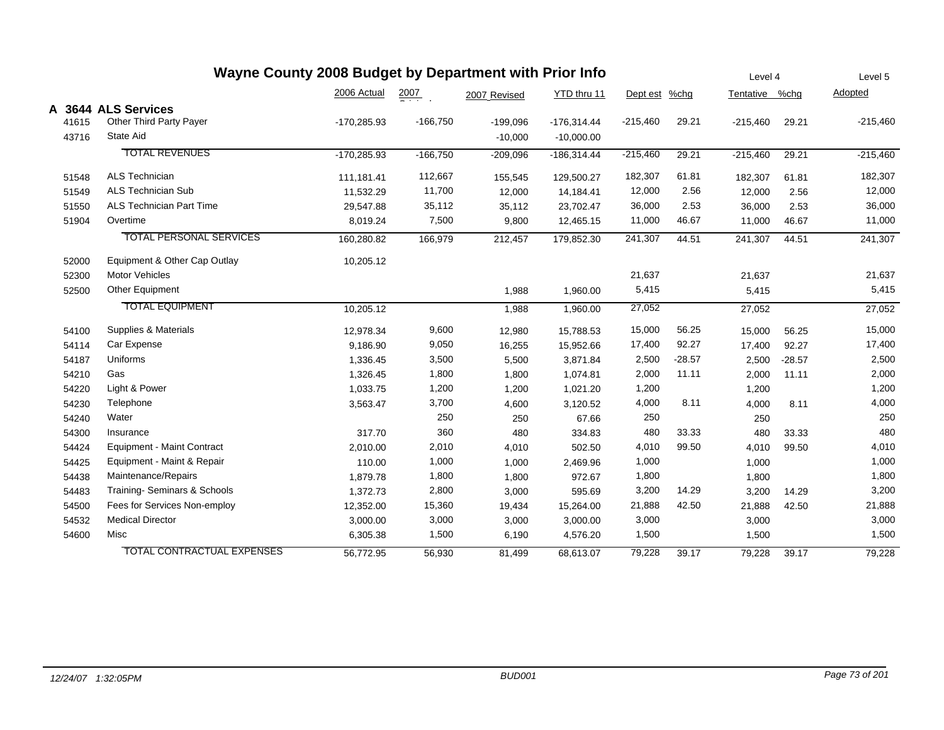|       | Wayne County 2008 Budget by Department with Prior Info |               |            |              |               |               |          | Level 4        |          | Level 5    |
|-------|--------------------------------------------------------|---------------|------------|--------------|---------------|---------------|----------|----------------|----------|------------|
|       |                                                        | 2006 Actual   | 2007       | 2007 Revised | YTD thru 11   | Dept est %chg |          | Tentative %chg |          | Adopted    |
|       | A 3644 ALS Services                                    |               |            |              |               |               |          |                |          |            |
| 41615 | Other Third Party Payer                                | $-170,285.93$ | $-166,750$ | $-199,096$   | $-176,314.44$ | $-215,460$    | 29.21    | $-215,460$     | 29.21    | $-215,460$ |
| 43716 | State Aid                                              |               |            | $-10,000$    | $-10,000.00$  |               |          |                |          |            |
|       | <b>TOTAL REVENUES</b>                                  | $-170,285.93$ | $-166.750$ | $-209,096$   | $-186.314.44$ | $-215,460$    | 29.21    | $-215,460$     | 29.21    | $-215,460$ |
| 51548 | <b>ALS Technician</b>                                  | 111,181.41    | 112,667    | 155,545      | 129,500.27    | 182,307       | 61.81    | 182,307        | 61.81    | 182,307    |
| 51549 | <b>ALS Technician Sub</b>                              | 11,532.29     | 11,700     | 12,000       | 14,184.41     | 12,000        | 2.56     | 12,000         | 2.56     | 12,000     |
| 51550 | <b>ALS Technician Part Time</b>                        | 29,547.88     | 35,112     | 35,112       | 23,702.47     | 36,000        | 2.53     | 36,000         | 2.53     | 36,000     |
| 51904 | Overtime                                               | 8,019.24      | 7,500      | 9,800        | 12,465.15     | 11,000        | 46.67    | 11,000         | 46.67    | 11,000     |
|       | <b>TOTAL PERSONAL SERVICES</b>                         | 160,280.82    | 166,979    | 212,457      | 179,852.30    | 241,307       | 44.51    | 241,307        | 44.51    | 241,307    |
| 52000 | Equipment & Other Cap Outlay                           | 10,205.12     |            |              |               |               |          |                |          |            |
| 52300 | <b>Motor Vehicles</b>                                  |               |            |              |               | 21,637        |          | 21,637         |          | 21,637     |
| 52500 | Other Equipment                                        |               |            | 1,988        | 1,960.00      | 5,415         |          | 5,415          |          | 5,415      |
|       | <b>TOTAL EQUIPMENT</b>                                 | 10,205.12     |            | 1,988        | 1,960.00      | 27,052        |          | 27,052         |          | 27,052     |
| 54100 | Supplies & Materials                                   | 12,978.34     | 9,600      | 12,980       | 15,788.53     | 15,000        | 56.25    | 15,000         | 56.25    | 15,000     |
| 54114 | Car Expense                                            | 9,186.90      | 9,050      | 16,255       | 15,952.66     | 17,400        | 92.27    | 17,400         | 92.27    | 17,400     |
| 54187 | Uniforms                                               | 1,336.45      | 3,500      | 5,500        | 3,871.84      | 2,500         | $-28.57$ | 2,500          | $-28.57$ | 2,500      |
| 54210 | Gas                                                    | 1,326.45      | 1,800      | 1,800        | 1,074.81      | 2,000         | 11.11    | 2,000          | 11.11    | 2,000      |
| 54220 | Light & Power                                          | 1,033.75      | 1,200      | 1,200        | 1,021.20      | 1,200         |          | 1,200          |          | 1,200      |
| 54230 | Telephone                                              | 3,563.47      | 3,700      | 4,600        | 3,120.52      | 4,000         | 8.11     | 4,000          | 8.11     | 4,000      |
| 54240 | Water                                                  |               | 250        | 250          | 67.66         | 250           |          | 250            |          | 250        |
| 54300 | Insurance                                              | 317.70        | 360        | 480          | 334.83        | 480           | 33.33    | 480            | 33.33    | 480        |
| 54424 | <b>Equipment - Maint Contract</b>                      | 2,010.00      | 2,010      | 4,010        | 502.50        | 4,010         | 99.50    | 4,010          | 99.50    | 4,010      |
| 54425 | Equipment - Maint & Repair                             | 110.00        | 1,000      | 1,000        | 2,469.96      | 1,000         |          | 1,000          |          | 1,000      |
| 54438 | Maintenance/Repairs                                    | 1,879.78      | 1,800      | 1,800        | 972.67        | 1,800         |          | 1,800          |          | 1,800      |
| 54483 | Training- Seminars & Schools                           | 1,372.73      | 2,800      | 3,000        | 595.69        | 3,200         | 14.29    | 3,200          | 14.29    | 3,200      |
| 54500 | Fees for Services Non-employ                           | 12,352.00     | 15,360     | 19,434       | 15,264.00     | 21,888        | 42.50    | 21,888         | 42.50    | 21,888     |
| 54532 | <b>Medical Director</b>                                | 3,000.00      | 3,000      | 3,000        | 3,000.00      | 3,000         |          | 3,000          |          | 3,000      |
| 54600 | Misc                                                   | 6,305.38      | 1,500      | 6,190        | 4,576.20      | 1,500         |          | 1,500          |          | 1,500      |
|       | <b>TOTAL CONTRACTUAL EXPENSES</b>                      | 56,772.95     | 56,930     | 81,499       | 68,613.07     | 79,228        | 39.17    | 79,228         | 39.17    | 79,228     |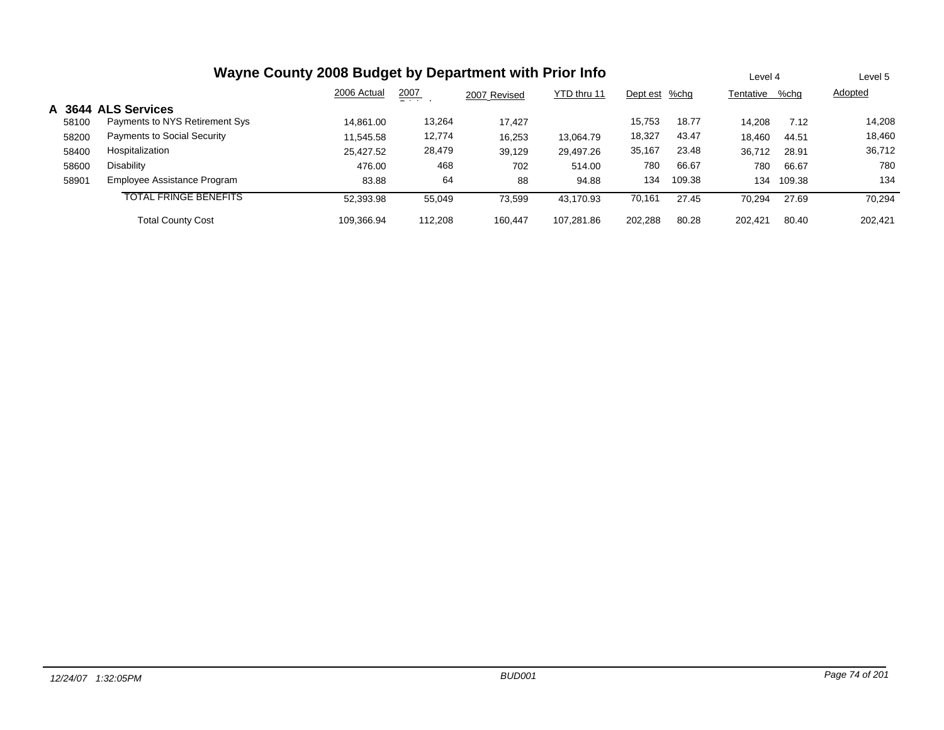|        |                                | Wayne County 2008 Budget by Department with Prior Info |               |              |             |               |        | Level 4   |        | Level 5 |
|--------|--------------------------------|--------------------------------------------------------|---------------|--------------|-------------|---------------|--------|-----------|--------|---------|
|        |                                | 2006 Actual                                            | 2007<br>$  -$ | 2007 Revised | YTD thru 11 | Dept est %chg |        | Tentative | %chg   | Adopted |
| A 3644 | <b>ALS Services</b>            |                                                        |               |              |             |               |        |           |        |         |
| 58100  | Payments to NYS Retirement Sys | 14.861.00                                              | 13,264        | 17.427       |             | 15,753        | 18.77  | 14.208    | 7.12   | 14,208  |
| 58200  | Payments to Social Security    | 11,545.58                                              | 12,774        | 16,253       | 13.064.79   | 18,327        | 43.47  | 18,460    | 44.51  | 18,460  |
| 58400  | Hospitalization                | 25,427.52                                              | 28,479        | 39,129       | 29,497.26   | 35,167        | 23.48  | 36,712    | 28.91  | 36,712  |
| 58600  | <b>Disability</b>              | 476.00                                                 | 468           | 702          | 514.00      | 780           | 66.67  | 780       | 66.67  | 780     |
| 58901  | Employee Assistance Program    | 83.88                                                  | 64            | 88           | 94.88       | 134           | 109.38 | 134       | 109.38 | 134     |
|        | <b>TOTAL FRINGE BENEFITS</b>   | 52,393.98                                              | 55,049        | 73,599       | 43.170.93   | 70,161        | 27.45  | 70,294    | 27.69  | 70,294  |
|        | <b>Total County Cost</b>       | 109.366.94                                             | 112.208       | 160.447      | 107.281.86  | 202.288       | 80.28  | 202.421   | 80.40  | 202.421 |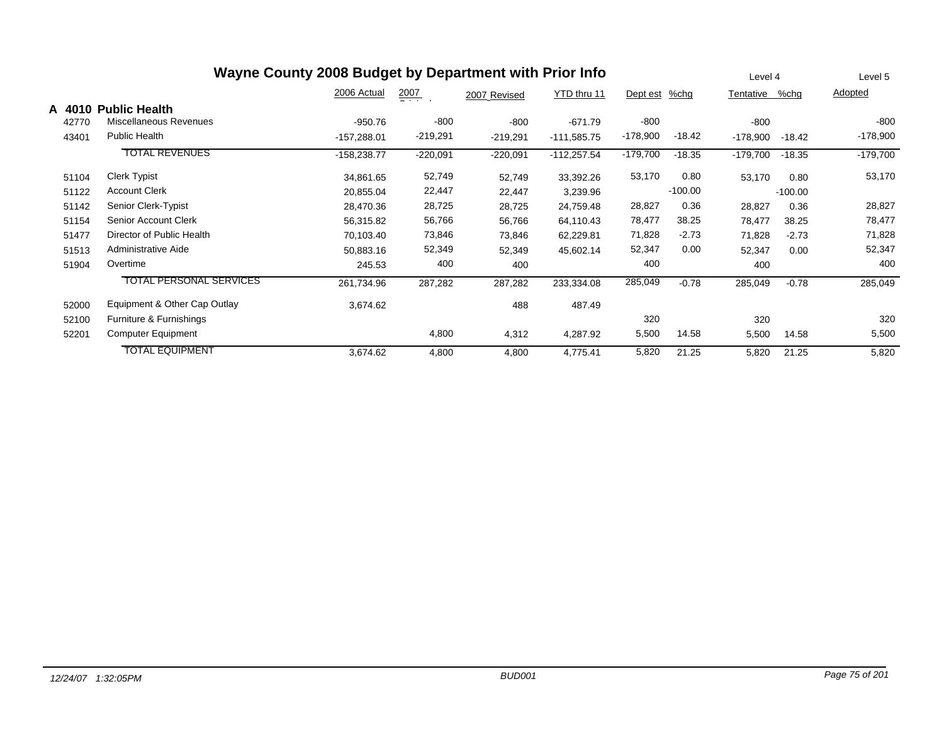|        |                                | Wayne County 2008 Budget by Department with Prior Info |                  |              |               |            |           | Level 4    |           | Level 5    |
|--------|--------------------------------|--------------------------------------------------------|------------------|--------------|---------------|------------|-----------|------------|-----------|------------|
|        |                                | 2006 Actual                                            | $\frac{2007}{2}$ | 2007 Revised | YTD thru 11   | Dept est   | $%$ chg   | Tentative  | %chg      | Adopted    |
| A 4010 | <b>Public Health</b>           |                                                        |                  |              |               |            |           |            |           |            |
| 42770  | Miscellaneous Revenues         | $-950.76$                                              | $-800$           | $-800$       | $-671.79$     | $-800$     |           | -800       |           | -800       |
| 43401  | <b>Public Health</b>           | $-157,288.01$                                          | $-219,291$       | $-219,291$   | $-111,585.75$ | $-178,900$ | $-18.42$  | -178,900   | $-18.42$  | $-178,900$ |
|        | <b>TOTAL REVENUES</b>          | $-158,238.77$                                          | $-220,091$       | $-220,091$   | $-112,257.54$ | $-179,700$ | $-18.35$  | $-179,700$ | $-18.35$  | $-179,700$ |
| 51104  | <b>Clerk Typist</b>            | 34,861.65                                              | 52,749           | 52,749       | 33,392.26     | 53,170     | 0.80      | 53,170     | 0.80      | 53,170     |
| 51122  | <b>Account Clerk</b>           | 20,855.04                                              | 22,447           | 22,447       | 3,239.96      |            | $-100.00$ |            | $-100.00$ |            |
| 51142  | Senior Clerk-Typist            | 28,470.36                                              | 28,725           | 28,725       | 24,759.48     | 28,827     | 0.36      | 28,827     | 0.36      | 28,827     |
| 51154  | Senior Account Clerk           | 56,315.82                                              | 56,766           | 56,766       | 64,110.43     | 78,477     | 38.25     | 78,477     | 38.25     | 78,477     |
| 51477  | Director of Public Health      | 70,103.40                                              | 73,846           | 73,846       | 62,229.81     | 71,828     | $-2.73$   | 71,828     | $-2.73$   | 71,828     |
| 51513  | Administrative Aide            | 50,883.16                                              | 52,349           | 52,349       | 45,602.14     | 52,347     | 0.00      | 52,347     | 0.00      | 52,347     |
| 51904  | Overtime                       | 245.53                                                 | 400              | 400          |               | 400        |           | 400        |           | 400        |
|        | <b>TOTAL PERSONAL SERVICES</b> | 261,734.96                                             | 287,282          | 287,282      | 233,334.08    | 285,049    | $-0.78$   | 285,049    | $-0.78$   | 285,049    |
| 52000  | Equipment & Other Cap Outlay   | 3,674.62                                               |                  | 488          | 487.49        |            |           |            |           |            |
| 52100  | Furniture & Furnishings        |                                                        |                  |              |               | 320        |           | 320        |           | 320        |
| 52201  | Computer Equipment             |                                                        | 4,800            | 4,312        | 4,287.92      | 5,500      | 14.58     | 5,500      | 14.58     | 5,500      |
|        | <b>TOTAL EQUIPMENT</b>         | 3,674.62                                               | 4,800            | 4,800        | 4,775.41      | 5,820      | 21.25     | 5,820      | 21.25     | 5,820      |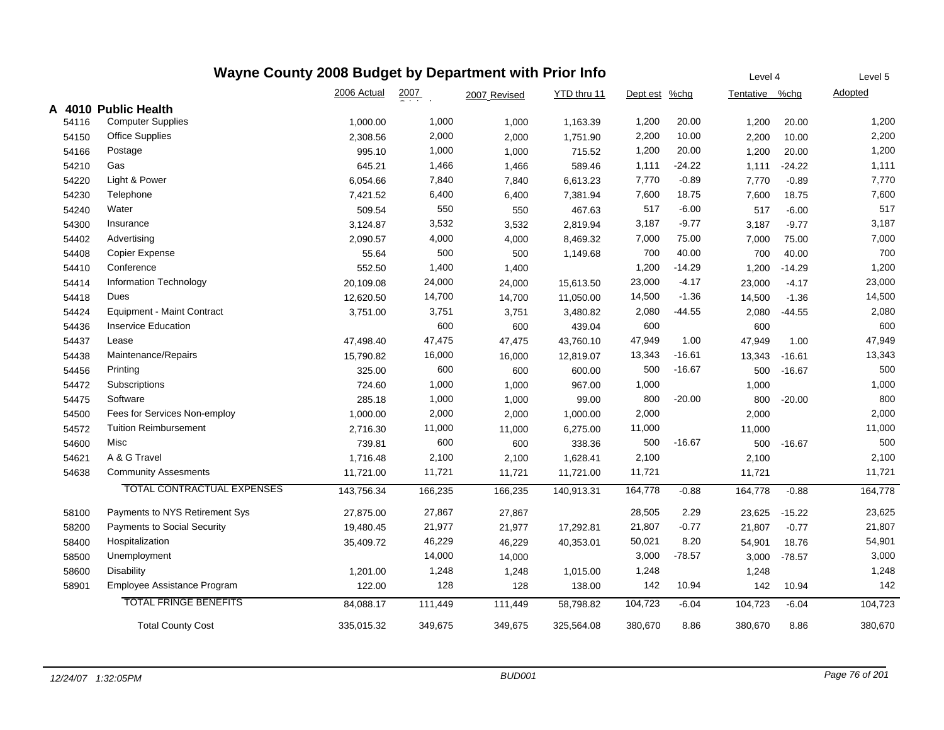| Wayne County 2008 Budget by Department with Prior Info |                                    |             |                    |              |             |               |          |                |          | Level 5        |
|--------------------------------------------------------|------------------------------------|-------------|--------------------|--------------|-------------|---------------|----------|----------------|----------|----------------|
|                                                        |                                    | 2006 Actual | $\frac{2007}{200}$ | 2007 Revised | YTD thru 11 | Dept est %chg |          | Tentative %chg |          | <b>Adopted</b> |
|                                                        | A 4010 Public Health               |             |                    |              |             |               |          |                |          |                |
| 54116                                                  | <b>Computer Supplies</b>           | 1,000.00    | 1,000              | 1,000        | 1,163.39    | 1,200         | 20.00    | 1,200          | 20.00    | 1,200          |
| 54150                                                  | <b>Office Supplies</b>             | 2,308.56    | 2,000              | 2,000        | 1,751.90    | 2,200         | 10.00    | 2,200          | 10.00    | 2,200          |
| 54166                                                  | Postage                            | 995.10      | 1,000              | 1,000        | 715.52      | 1,200         | 20.00    | 1,200          | 20.00    | 1,200          |
| 54210                                                  | Gas                                | 645.21      | 1,466              | 1,466        | 589.46      | 1,111         | $-24.22$ | 1,111          | $-24.22$ | 1,111          |
| 54220                                                  | Light & Power                      | 6,054.66    | 7,840              | 7,840        | 6,613.23    | 7,770         | $-0.89$  | 7,770          | $-0.89$  | 7,770          |
| 54230                                                  | Telephone                          | 7,421.52    | 6,400              | 6,400        | 7,381.94    | 7,600         | 18.75    | 7,600          | 18.75    | 7,600          |
| 54240                                                  | Water                              | 509.54      | 550                | 550          | 467.63      | 517           | $-6.00$  | 517            | $-6.00$  | 517            |
| 54300                                                  | Insurance                          | 3,124.87    | 3,532              | 3,532        | 2,819.94    | 3,187         | $-9.77$  | 3,187          | $-9.77$  | 3,187          |
| 54402                                                  | Advertising                        | 2,090.57    | 4,000              | 4,000        | 8,469.32    | 7,000         | 75.00    | 7,000          | 75.00    | 7,000          |
| 54408                                                  | Copier Expense                     | 55.64       | 500                | 500          | 1,149.68    | 700           | 40.00    | 700            | 40.00    | 700            |
| 54410                                                  | Conference                         | 552.50      | 1,400              | 1,400        |             | 1,200         | $-14.29$ | 1,200          | $-14.29$ | 1,200          |
| 54414                                                  | Information Technology             | 20,109.08   | 24,000             | 24,000       | 15,613.50   | 23,000        | $-4.17$  | 23,000         | $-4.17$  | 23,000         |
| 54418                                                  | Dues                               | 12,620.50   | 14,700             | 14,700       | 11,050.00   | 14,500        | $-1.36$  | 14,500         | $-1.36$  | 14,500         |
| 54424                                                  | <b>Equipment - Maint Contract</b>  | 3,751.00    | 3,751              | 3,751        | 3,480.82    | 2,080         | -44.55   | 2,080          | $-44.55$ | 2,080          |
| 54436                                                  | <b>Inservice Education</b>         |             | 600                | 600          | 439.04      | 600           |          | 600            |          | 600            |
| 54437                                                  | Lease                              | 47,498.40   | 47,475             | 47,475       | 43,760.10   | 47,949        | 1.00     | 47,949         | 1.00     | 47,949         |
| 54438                                                  | Maintenance/Repairs                | 15,790.82   | 16,000             | 16,000       | 12,819.07   | 13,343        | $-16.61$ | 13,343         | $-16.61$ | 13,343         |
| 54456                                                  | Printing                           | 325.00      | 600                | 600          | 600.00      | 500           | $-16.67$ | 500            | $-16.67$ | 500            |
| 54472                                                  | Subscriptions                      | 724.60      | 1,000              | 1,000        | 967.00      | 1,000         |          | 1,000          |          | 1,000          |
| 54475                                                  | Software                           | 285.18      | 1,000              | 1,000        | 99.00       | 800           | $-20.00$ | 800            | $-20.00$ | 800            |
| 54500                                                  | Fees for Services Non-employ       | 1,000.00    | 2,000              | 2,000        | 1,000.00    | 2,000         |          | 2,000          |          | 2,000          |
| 54572                                                  | <b>Tuition Reimbursement</b>       | 2,716.30    | 11,000             | 11,000       | 6,275.00    | 11,000        |          | 11,000         |          | 11,000         |
| 54600                                                  | Misc                               | 739.81      | 600                | 600          | 338.36      | 500           | $-16.67$ | 500            | $-16.67$ | 500            |
| 54621                                                  | A & G Travel                       | 1,716.48    | 2,100              | 2,100        | 1,628.41    | 2,100         |          | 2,100          |          | 2,100          |
| 54638                                                  | <b>Community Assesments</b>        | 11,721.00   | 11,721             | 11,721       | 11,721.00   | 11,721        |          | 11,721         |          | 11,721         |
|                                                        | <b>TOTAL CONTRACTUAL EXPENSES</b>  | 143,756.34  | 166,235            | 166,235      | 140,913.31  | 164,778       | $-0.88$  | 164,778        | $-0.88$  | 164,778        |
| 58100                                                  | Payments to NYS Retirement Sys     | 27,875.00   | 27,867             | 27,867       |             | 28,505        | 2.29     | 23,625         | $-15.22$ | 23,625         |
| 58200                                                  | <b>Payments to Social Security</b> | 19,480.45   | 21,977             | 21,977       | 17,292.81   | 21,807        | $-0.77$  | 21,807         | $-0.77$  | 21,807         |
| 58400                                                  | Hospitalization                    | 35,409.72   | 46,229             | 46,229       | 40,353.01   | 50,021        | 8.20     | 54,901         | 18.76    | 54,901         |
| 58500                                                  | Unemployment                       |             | 14,000             | 14,000       |             | 3,000         | $-78.57$ | 3,000          | $-78.57$ | 3,000          |
| 58600                                                  | Disability                         | 1,201.00    | 1,248              | 1,248        | 1,015.00    | 1,248         |          | 1,248          |          | 1,248          |
| 58901                                                  | Employee Assistance Program        | 122.00      | 128                | 128          | 138.00      | 142           | 10.94    | 142            | 10.94    | 142            |
|                                                        | <b>TOTAL FRINGE BENEFITS</b>       | 84,088.17   | 111,449            | 111,449      | 58,798.82   | 104,723       | $-6.04$  | 104,723        | $-6.04$  | 104,723        |
|                                                        | <b>Total County Cost</b>           | 335,015.32  | 349,675            | 349,675      | 325,564.08  | 380,670       | 8.86     | 380,670        | 8.86     | 380,670        |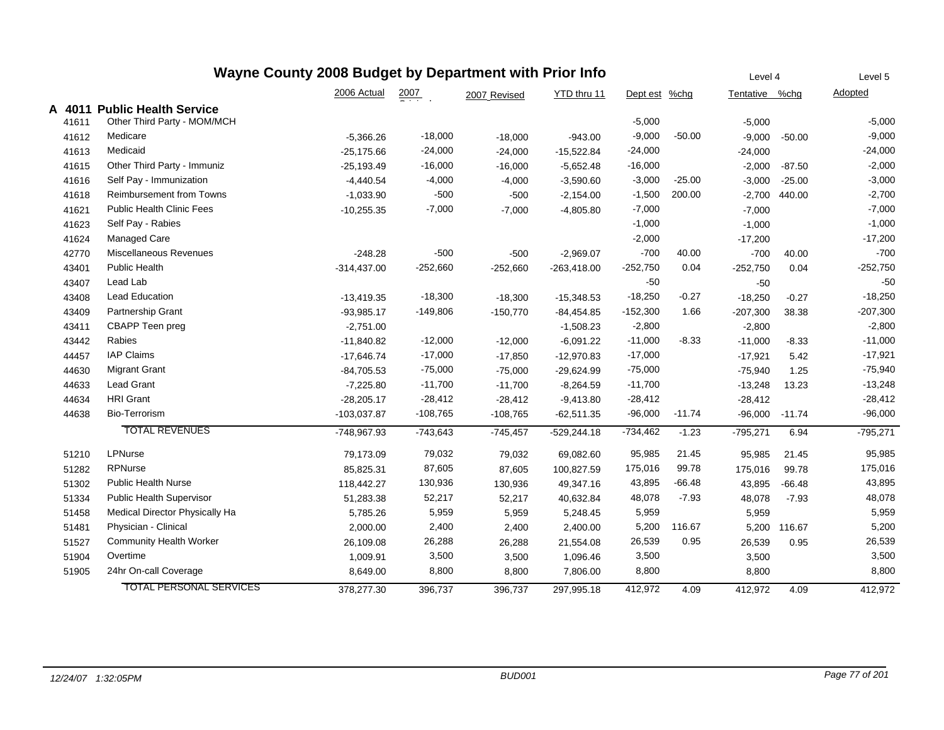| Wayne County 2008 Budget by Department with Prior Info<br>Level 4<br>Level 5 |       |                                  |               |            |              |               |               |          |                |              |            |  |  |
|------------------------------------------------------------------------------|-------|----------------------------------|---------------|------------|--------------|---------------|---------------|----------|----------------|--------------|------------|--|--|
|                                                                              |       |                                  | 2006 Actual   | 2007       | 2007 Revised | YTD thru 11   | Dept est %chg |          | Tentative %chg |              | Adopted    |  |  |
| A                                                                            | 4011  | <b>Public Health Service</b>     |               |            |              |               |               |          |                |              |            |  |  |
|                                                                              | 41611 | Other Third Party - MOM/MCH      |               |            |              |               | $-5,000$      |          | $-5,000$       |              | $-5,000$   |  |  |
|                                                                              | 41612 | Medicare                         | $-5,366.26$   | $-18,000$  | $-18,000$    | $-943.00$     | $-9,000$      | $-50.00$ | $-9,000$       | $-50.00$     | $-9,000$   |  |  |
|                                                                              | 41613 | Medicaid                         | $-25,175.66$  | $-24,000$  | $-24,000$    | $-15,522.84$  | $-24,000$     |          | $-24,000$      |              | $-24,000$  |  |  |
|                                                                              | 41615 | Other Third Party - Immuniz      | $-25,193.49$  | $-16,000$  | $-16,000$    | $-5,652.48$   | $-16,000$     |          | $-2,000$       | $-87.50$     | $-2,000$   |  |  |
|                                                                              | 41616 | Self Pay - Immunization          | $-4,440.54$   | $-4,000$   | $-4,000$     | $-3,590.60$   | $-3,000$      | $-25.00$ | $-3,000$       | $-25.00$     | $-3,000$   |  |  |
|                                                                              | 41618 | <b>Reimbursement from Towns</b>  | $-1,033.90$   | $-500$     | $-500$       | $-2,154.00$   | $-1,500$      | 200.00   | $-2,700$       | 440.00       | $-2,700$   |  |  |
|                                                                              | 41621 | <b>Public Health Clinic Fees</b> | $-10,255.35$  | $-7,000$   | $-7,000$     | $-4,805.80$   | $-7,000$      |          | $-7,000$       |              | $-7,000$   |  |  |
|                                                                              | 41623 | Self Pay - Rabies                |               |            |              |               | $-1,000$      |          | $-1,000$       |              | $-1,000$   |  |  |
|                                                                              | 41624 | <b>Managed Care</b>              |               |            |              |               | $-2,000$      |          | $-17,200$      |              | $-17,200$  |  |  |
|                                                                              | 42770 | Miscellaneous Revenues           | $-248.28$     | $-500$     | $-500$       | $-2,969.07$   | $-700$        | 40.00    | $-700$         | 40.00        | $-700$     |  |  |
|                                                                              | 43401 | <b>Public Health</b>             | $-314,437.00$ | $-252,660$ | $-252,660$   | $-263,418.00$ | $-252,750$    | 0.04     | $-252,750$     | 0.04         | $-252,750$ |  |  |
|                                                                              | 43407 | Lead Lab                         |               |            |              |               | -50           |          | $-50$          |              | $-50$      |  |  |
|                                                                              | 43408 | Lead Education                   | $-13,419.35$  | $-18,300$  | $-18,300$    | $-15,348.53$  | $-18,250$     | $-0.27$  | $-18,250$      | $-0.27$      | $-18,250$  |  |  |
|                                                                              | 43409 | Partnership Grant                | $-93,985.17$  | $-149,806$ | $-150,770$   | $-84,454.85$  | $-152,300$    | 1.66     | $-207,300$     | 38.38        | $-207,300$ |  |  |
|                                                                              | 43411 | CBAPP Teen preg                  | $-2,751.00$   |            |              | $-1,508.23$   | $-2,800$      |          | $-2,800$       |              | $-2,800$   |  |  |
|                                                                              | 43442 | Rabies                           | $-11,840.82$  | $-12,000$  | $-12,000$    | $-6,091.22$   | $-11,000$     | $-8.33$  | $-11,000$      | $-8.33$      | $-11,000$  |  |  |
|                                                                              | 44457 | <b>IAP Claims</b>                | $-17,646.74$  | $-17,000$  | $-17,850$    | $-12,970.83$  | $-17,000$     |          | $-17,921$      | 5.42         | $-17,921$  |  |  |
|                                                                              | 44630 | <b>Migrant Grant</b>             | $-84,705.53$  | $-75,000$  | $-75,000$    | $-29,624.99$  | $-75,000$     |          | $-75,940$      | 1.25         | $-75,940$  |  |  |
|                                                                              | 44633 | <b>Lead Grant</b>                | $-7,225.80$   | $-11,700$  | $-11,700$    | $-8,264.59$   | $-11,700$     |          | $-13,248$      | 13.23        | $-13,248$  |  |  |
|                                                                              | 44634 | <b>HRI</b> Grant                 | $-28,205.17$  | $-28,412$  | $-28,412$    | $-9,413.80$   | $-28,412$     |          | $-28,412$      |              | $-28,412$  |  |  |
|                                                                              | 44638 | <b>Bio-Terrorism</b>             | $-103,037.87$ | $-108,765$ | $-108,765$   | $-62,511.35$  | $-96,000$     | $-11.74$ | -96.000        | $-11.74$     | $-96,000$  |  |  |
|                                                                              |       | <b>TOTAL REVENUES</b>            | -748,967.93   | $-743,643$ | $-745,457$   | $-529,244.18$ | $-734,462$    | $-1.23$  | $-795,271$     | 6.94         | $-795,271$ |  |  |
|                                                                              | 51210 | LPNurse                          | 79,173.09     | 79,032     | 79,032       | 69,082.60     | 95,985        | 21.45    | 95,985         | 21.45        | 95,985     |  |  |
|                                                                              | 51282 | RPNurse                          | 85,825.31     | 87,605     | 87,605       | 100,827.59    | 175,016       | 99.78    | 175,016        | 99.78        | 175,016    |  |  |
|                                                                              | 51302 | <b>Public Health Nurse</b>       | 118,442.27    | 130,936    | 130,936      | 49,347.16     | 43,895        | $-66.48$ | 43,895         | $-66.48$     | 43,895     |  |  |
|                                                                              | 51334 | <b>Public Health Supervisor</b>  | 51,283.38     | 52,217     | 52,217       | 40,632.84     | 48,078        | $-7.93$  | 48,078         | $-7.93$      | 48,078     |  |  |
|                                                                              | 51458 | Medical Director Physically Ha   | 5,785.26      | 5,959      | 5,959        | 5,248.45      | 5,959         |          | 5,959          |              | 5,959      |  |  |
|                                                                              | 51481 | Physician - Clinical             | 2,000.00      | 2,400      | 2,400        | 2,400.00      | 5,200         | 116.67   |                | 5,200 116.67 | 5,200      |  |  |
|                                                                              | 51527 | <b>Community Health Worker</b>   | 26,109.08     | 26,288     | 26,288       | 21,554.08     | 26,539        | 0.95     | 26,539         | 0.95         | 26,539     |  |  |
|                                                                              | 51904 | Overtime                         | 1,009.91      | 3,500      | 3,500        | 1,096.46      | 3,500         |          | 3,500          |              | 3,500      |  |  |
|                                                                              | 51905 | 24hr On-call Coverage            | 8,649.00      | 8,800      | 8,800        | 7,806.00      | 8,800         |          | 8,800          |              | 8,800      |  |  |
|                                                                              |       | <b>TOTAL PERSONAL SERVICES</b>   | 378,277.30    | 396,737    | 396,737      | 297,995.18    | 412,972       | 4.09     | 412,972        | 4.09         | 412,972    |  |  |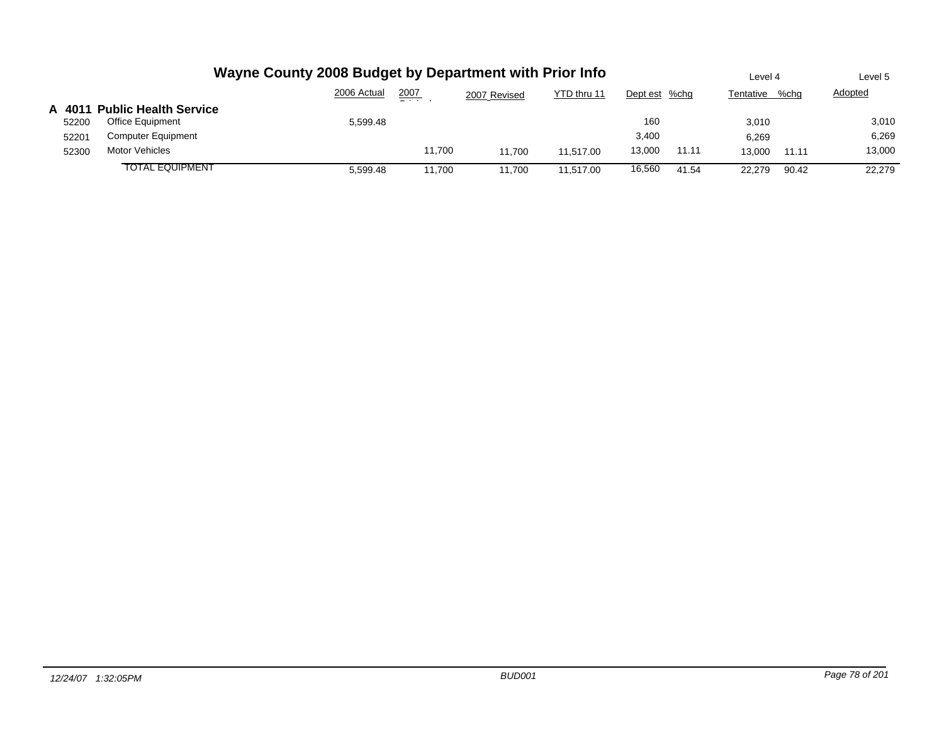|        |                              | Wayne County 2008 Budget by Department with Prior Info |               |              |             |               |       | Level 4   |       | Level 5        |
|--------|------------------------------|--------------------------------------------------------|---------------|--------------|-------------|---------------|-------|-----------|-------|----------------|
|        |                              | 2006 Actual                                            | 2007<br>- - - | 2007 Revised | YTD thru 11 | Dept est %chg |       | Tentative | %chq  | <b>Adopted</b> |
| A 4011 | <b>Public Health Service</b> |                                                        |               |              |             |               |       |           |       |                |
| 52200  | Office Equipment             | 5.599.48                                               |               |              |             | 160           |       | 3.010     |       | 3,010          |
| 52201  | Computer Equipment           |                                                        |               |              |             | 3,400         |       | 6.269     |       | 6,269          |
| 52300  | Motor Vehicles               |                                                        | 11.700        | 11.700       | 11.517.00   | 13,000        | 11.11 | 13.000    | 11.11 | 13,000         |
|        | <b>TOTAL EQUIPMENT</b>       | 5.599.48                                               | 11.700        | 11.700       | 11.517.00   | 16,560        | 41.54 | 22.279    | 90.42 | 22.279         |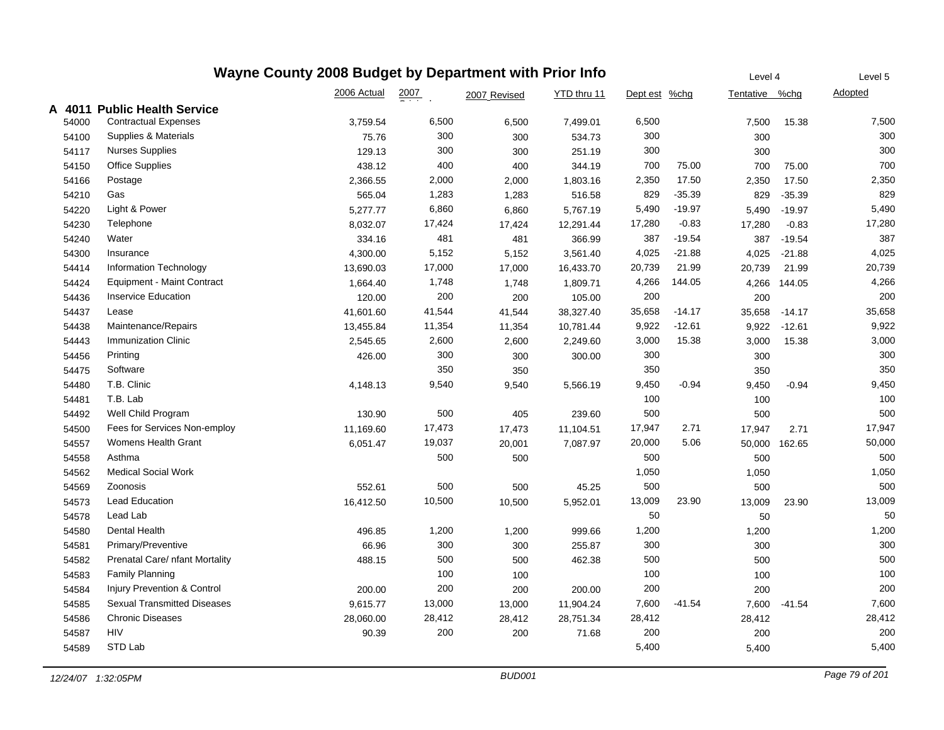|       | Wayne County 2008 Budget by Department with Prior Info |             | Level 4            | <b>Adopted</b><br>15.38<br>75.00 | Level 5     |               |          |                |          |        |
|-------|--------------------------------------------------------|-------------|--------------------|----------------------------------|-------------|---------------|----------|----------------|----------|--------|
|       |                                                        | 2006 Actual | $\frac{2007}{200}$ | 2007 Revised                     | YTD thru 11 | Dept est %chg |          | Tentative %chg |          |        |
|       | A 4011 Public Health Service                           |             |                    |                                  |             |               |          |                |          |        |
| 54000 | <b>Contractual Expenses</b>                            | 3,759.54    | 6,500              | 6,500                            | 7,499.01    | 6,500         |          | 7,500          |          | 7,500  |
| 54100 | Supplies & Materials                                   | 75.76       | 300                | 300                              | 534.73      | 300           |          | 300            |          | 300    |
| 54117 | <b>Nurses Supplies</b>                                 | 129.13      | 300                | 300                              | 251.19      | 300           |          | 300            |          | 300    |
| 54150 | <b>Office Supplies</b>                                 | 438.12      | 400                | 400                              | 344.19      | 700           | 75.00    | 700            |          | 700    |
| 54166 | Postage                                                | 2,366.55    | 2,000              | 2,000                            | 1,803.16    | 2,350         | 17.50    | 2,350          | 17.50    | 2,350  |
| 54210 | Gas                                                    | 565.04      | 1,283              | 1,283                            | 516.58      | 829           | $-35.39$ | 829            | $-35.39$ | 829    |
| 54220 | Light & Power                                          | 5,277.77    | 6,860              | 6,860                            | 5,767.19    | 5,490         | $-19.97$ | 5,490          | $-19.97$ | 5,490  |
| 54230 | Telephone                                              | 8,032.07    | 17,424             | 17,424                           | 12,291.44   | 17,280        | $-0.83$  | 17,280         | $-0.83$  | 17,280 |
| 54240 | Water                                                  | 334.16      | 481                | 481                              | 366.99      | 387           | $-19.54$ | 387            | $-19.54$ | 387    |
| 54300 | Insurance                                              | 4,300.00    | 5,152              | 5,152                            | 3,561.40    | 4,025         | $-21.88$ | 4,025          | $-21.88$ | 4,025  |
| 54414 | Information Technology                                 | 13,690.03   | 17,000             | 17,000                           | 16,433.70   | 20,739        | 21.99    | 20,739         | 21.99    | 20,739 |
| 54424 | <b>Equipment - Maint Contract</b>                      | 1,664.40    | 1,748              | 1,748                            | 1,809.71    | 4,266         | 144.05   | 4,266          | 144.05   | 4,266  |
| 54436 | <b>Inservice Education</b>                             | 120.00      | 200                | 200                              | 105.00      | 200           |          | 200            |          | 200    |
| 54437 | Lease                                                  | 41,601.60   | 41,544             | 41,544                           | 38,327.40   | 35,658        | $-14.17$ | 35,658         | $-14.17$ | 35,658 |
| 54438 | Maintenance/Repairs                                    | 13,455.84   | 11,354             | 11,354                           | 10,781.44   | 9,922         | $-12.61$ | 9,922          | $-12.61$ | 9,922  |
| 54443 | <b>Immunization Clinic</b>                             | 2,545.65    | 2,600              | 2,600                            | 2,249.60    | 3,000         | 15.38    | 3,000          | 15.38    | 3,000  |
| 54456 | Printing                                               | 426.00      | 300                | 300                              | 300.00      | 300           |          | 300            |          | 300    |
| 54475 | Software                                               |             | 350                | 350                              |             | 350           |          | 350            |          | 350    |
| 54480 | T.B. Clinic                                            | 4,148.13    | 9,540              | 9,540                            | 5,566.19    | 9,450         | $-0.94$  | 9,450          | $-0.94$  | 9,450  |
| 54481 | T.B. Lab                                               |             |                    |                                  |             | 100           |          | 100            |          | 100    |
| 54492 | Well Child Program                                     | 130.90      | 500                | 405                              | 239.60      | 500           |          | 500            |          | 500    |
| 54500 | Fees for Services Non-employ                           | 11,169.60   | 17,473             | 17,473                           | 11,104.51   | 17,947        | 2.71     | 17,947         | 2.71     | 17,947 |
| 54557 | Womens Health Grant                                    | 6,051.47    | 19,037             | 20,001                           | 7,087.97    | 20,000        | 5.06     | 50,000         | 162.65   | 50,000 |
| 54558 | Asthma                                                 |             | 500                | 500                              |             | 500           |          | 500            |          | 500    |
| 54562 | <b>Medical Social Work</b>                             |             |                    |                                  |             | 1,050         |          | 1,050          |          | 1,050  |
| 54569 | Zoonosis                                               | 552.61      | 500                | 500                              | 45.25       | 500           |          | 500            |          | 500    |
| 54573 | <b>Lead Education</b>                                  | 16,412.50   | 10,500             | 10,500                           | 5,952.01    | 13,009        | 23.90    | 13,009         | 23.90    | 13,009 |
| 54578 | Lead Lab                                               |             |                    |                                  |             | 50            |          | 50             |          | 50     |
| 54580 | Dental Health                                          | 496.85      | 1,200              | 1,200                            | 999.66      | 1,200         |          | 1,200          |          | 1,200  |
| 54581 | Primary/Preventive                                     | 66.96       | 300                | 300                              | 255.87      | 300           |          | 300            |          | 300    |
| 54582 | Prenatal Care/ nfant Mortality                         | 488.15      | 500                | 500                              | 462.38      | 500           |          | 500            |          | 500    |
| 54583 | <b>Family Planning</b>                                 |             | 100                | 100                              |             | 100           |          | 100            |          | 100    |
| 54584 | Injury Prevention & Control                            | 200.00      | 200                | 200                              | 200.00      | 200           |          | 200            |          | 200    |
| 54585 | <b>Sexual Transmitted Diseases</b>                     | 9,615.77    | 13,000             | 13,000                           | 11,904.24   | 7,600         | $-41.54$ | 7,600          | $-41.54$ | 7,600  |
| 54586 | <b>Chronic Diseases</b>                                | 28,060.00   | 28,412             | 28,412                           | 28,751.34   | 28,412        |          | 28,412         |          | 28,412 |
| 54587 | <b>HIV</b>                                             | 90.39       | 200                | 200                              | 71.68       | 200           |          | 200            |          | 200    |
| 54589 | STD Lab                                                |             |                    |                                  |             | 5,400         |          | 5,400          |          | 5,400  |
|       |                                                        |             |                    |                                  |             |               |          |                |          |        |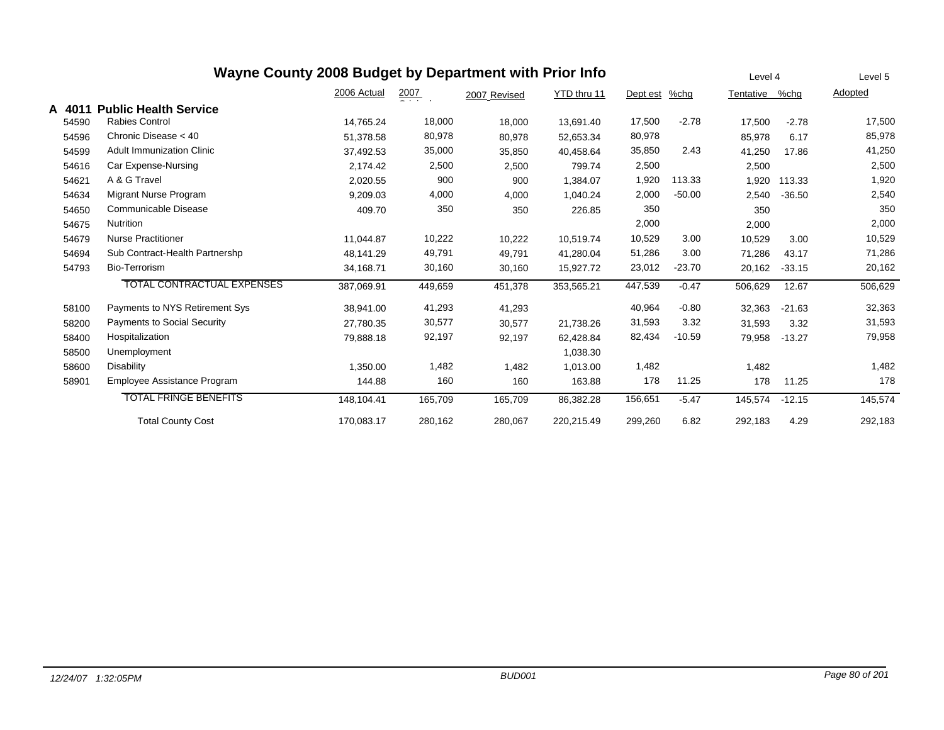|        | Wayne County 2008 Budget by Department with Prior Info |             | Level 4          |              | Level 5     |          |          |           |          |         |
|--------|--------------------------------------------------------|-------------|------------------|--------------|-------------|----------|----------|-----------|----------|---------|
|        |                                                        | 2006 Actual | $\frac{2007}{2}$ | 2007 Revised | YTD thru 11 | Dept est | %chg     | Tentative | %chg     | Adopted |
| A 4011 | <b>Public Health Service</b>                           |             |                  |              |             |          |          |           |          |         |
| 54590  | <b>Rabies Control</b>                                  | 14,765.24   | 18,000           | 18,000       | 13,691.40   | 17,500   | $-2.78$  | 17,500    | $-2.78$  | 17,500  |
| 54596  | Chronic Disease < 40                                   | 51,378.58   | 80,978           | 80,978       | 52,653.34   | 80,978   |          | 85,978    | 6.17     | 85,978  |
| 54599  | <b>Adult Immunization Clinic</b>                       | 37,492.53   | 35,000           | 35,850       | 40,458.64   | 35,850   | 2.43     | 41,250    | 17.86    | 41,250  |
| 54616  | Car Expense-Nursing                                    | 2,174.42    | 2,500            | 2,500        | 799.74      | 2,500    |          | 2,500     |          | 2,500   |
| 54621  | A & G Travel                                           | 2,020.55    | 900              | 900          | 1,384.07    | 1,920    | 113.33   | 1,920     | 113.33   | 1,920   |
| 54634  | Migrant Nurse Program                                  | 9,209.03    | 4,000            | 4,000        | 1,040.24    | 2,000    | $-50.00$ | 2,540     | $-36.50$ | 2,540   |
| 54650  | Communicable Disease                                   | 409.70      | 350              | 350          | 226.85      | 350      |          | 350       |          | 350     |
| 54675  | <b>Nutrition</b>                                       |             |                  |              |             | 2,000    |          | 2,000     |          | 2,000   |
| 54679  | <b>Nurse Practitioner</b>                              | 11.044.87   | 10,222           | 10,222       | 10.519.74   | 10,529   | 3.00     | 10,529    | 3.00     | 10,529  |
| 54694  | Sub Contract-Health Partnershp                         | 48,141.29   | 49,791           | 49,791       | 41,280.04   | 51,286   | 3.00     | 71,286    | 43.17    | 71,286  |
| 54793  | <b>Bio-Terrorism</b>                                   | 34,168.71   | 30,160           | 30,160       | 15,927.72   | 23,012   | $-23.70$ | 20,162    | $-33.15$ | 20,162  |
|        | <b>TOTAL CONTRACTUAL EXPENSES</b>                      | 387,069.91  | 449,659          | 451,378      | 353,565.21  | 447,539  | $-0.47$  | 506,629   | 12.67    | 506,629 |
| 58100  | Payments to NYS Retirement Sys                         | 38,941.00   | 41,293           | 41,293       |             | 40,964   | $-0.80$  | 32,363    | $-21.63$ | 32,363  |
| 58200  | Payments to Social Security                            | 27,780.35   | 30,577           | 30,577       | 21,738.26   | 31,593   | 3.32     | 31,593    | 3.32     | 31,593  |
| 58400  | Hospitalization                                        | 79,888.18   | 92,197           | 92,197       | 62,428.84   | 82,434   | $-10.59$ | 79,958    | $-13.27$ | 79,958  |
| 58500  | Unemployment                                           |             |                  |              | 1,038.30    |          |          |           |          |         |
| 58600  | <b>Disability</b>                                      | 1.350.00    | 1,482            | 1,482        | 1,013.00    | 1,482    |          | 1,482     |          | 1,482   |
| 58901  | Employee Assistance Program                            | 144.88      | 160              | 160          | 163.88      | 178      | 11.25    | 178       | 11.25    | 178     |
|        | <b>TOTAL FRINGE BENEFITS</b>                           | 148,104.41  | 165,709          | 165,709      | 86,382.28   | 156,651  | $-5.47$  | 145,574   | $-12.15$ | 145,574 |
|        | <b>Total County Cost</b>                               | 170,083.17  | 280,162          | 280,067      | 220,215.49  | 299,260  | 6.82     | 292,183   | 4.29     | 292,183 |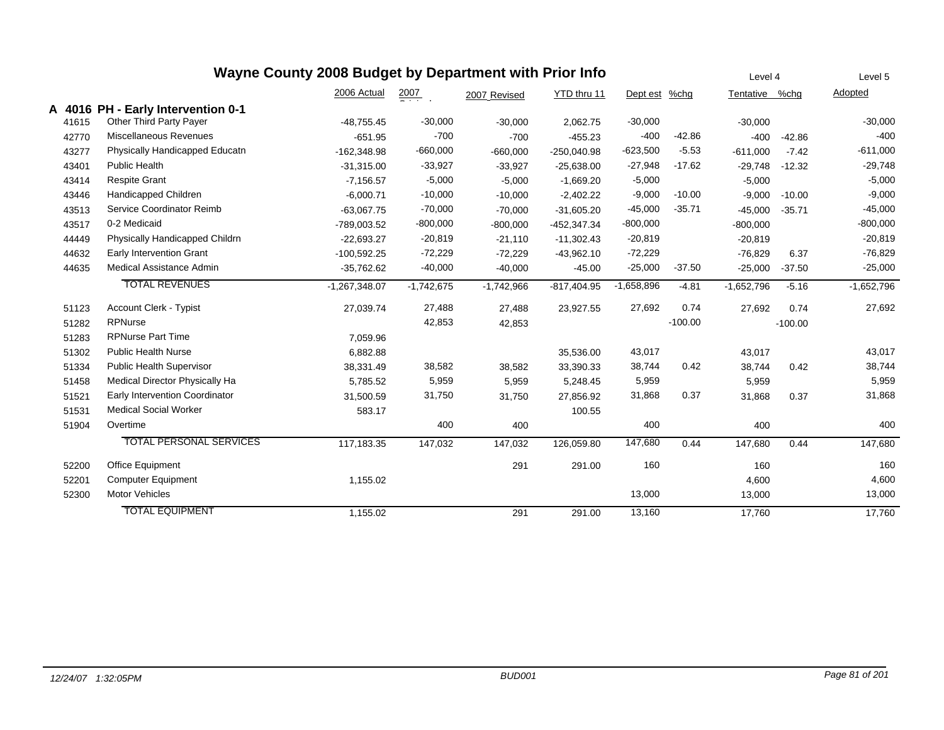|       |                                                               | Wayne County 2008 Budget by Department with Prior Info |              |              |               |              |           | Level 4        |           | Level 5      |
|-------|---------------------------------------------------------------|--------------------------------------------------------|--------------|--------------|---------------|--------------|-----------|----------------|-----------|--------------|
|       |                                                               | 2006 Actual                                            | 2007         | 2007 Revised | YTD thru 11   | Dept est     | $%$ chg   | Tentative %chg |           | Adopted      |
| 41615 | A 4016 PH - Early Intervention 0-1<br>Other Third Party Payer | $-48,755.45$                                           | $-30,000$    | $-30,000$    | 2,062.75      | $-30,000$    |           | $-30,000$      |           | $-30,000$    |
| 42770 | <b>Miscellaneous Revenues</b>                                 | $-651.95$                                              | $-700$       | $-700$       | $-455.23$     | $-400$       | $-42.86$  | $-400$         | $-42.86$  | $-400$       |
| 43277 | Physically Handicapped Educatn                                | $-162,348.98$                                          | $-660,000$   | $-660,000$   | $-250,040.98$ | $-623,500$   | $-5.53$   | $-611,000$     | $-7.42$   | $-611,000$   |
| 43401 | <b>Public Health</b>                                          | $-31,315.00$                                           | $-33,927$    | $-33,927$    | $-25,638.00$  | $-27,948$    | $-17.62$  | $-29,748$      | $-12.32$  | $-29,748$    |
| 43414 | <b>Respite Grant</b>                                          | $-7,156.57$                                            | $-5,000$     | $-5,000$     | $-1,669.20$   | $-5,000$     |           | $-5,000$       |           | $-5,000$     |
| 43446 | Handicapped Children                                          | $-6.000.71$                                            | $-10,000$    | $-10,000$    | $-2,402.22$   | $-9,000$     | $-10.00$  | $-9,000$       | $-10.00$  | $-9,000$     |
| 43513 | Service Coordinator Reimb                                     | $-63,067.75$                                           | $-70,000$    | $-70,000$    | $-31,605.20$  | $-45,000$    | $-35.71$  | $-45,000$      | $-35.71$  | $-45,000$    |
| 43517 | 0-2 Medicaid                                                  | -789,003.52                                            | $-800,000$   | $-800,000$   | $-452,347.34$ | $-800,000$   |           | $-800,000$     |           | $-800,000$   |
| 44449 | Physically Handicapped Childrn                                | $-22,693.27$                                           | $-20,819$    | $-21,110$    | $-11,302.43$  | $-20,819$    |           | $-20,819$      |           | $-20,819$    |
| 44632 | Early Intervention Grant                                      | $-100,592.25$                                          | $-72,229$    | $-72,229$    | $-43,962.10$  | $-72,229$    |           | $-76,829$      | 6.37      | $-76,829$    |
| 44635 | Medical Assistance Admin                                      | $-35,762.62$                                           | $-40,000$    | $-40,000$    | $-45.00$      | $-25,000$    | $-37.50$  | $-25,000$      | $-37.50$  | $-25,000$    |
|       | <b>TOTAL REVENUES</b>                                         | $-1,267,348.07$                                        | $-1,742,675$ | $-1,742,966$ | $-817,404.95$ | $-1,658,896$ | $-4.81$   | $-1,652,796$   | $-5.16$   | $-1,652,796$ |
| 51123 | Account Clerk - Typist                                        | 27,039.74                                              | 27,488       | 27,488       | 23,927.55     | 27,692       | 0.74      | 27,692         | 0.74      | 27,692       |
| 51282 | <b>RPNurse</b>                                                |                                                        | 42,853       | 42,853       |               |              | $-100.00$ |                | $-100.00$ |              |
| 51283 | <b>RPNurse Part Time</b>                                      | 7,059.96                                               |              |              |               |              |           |                |           |              |
| 51302 | <b>Public Health Nurse</b>                                    | 6,882.88                                               |              |              | 35,536.00     | 43,017       |           | 43,017         |           | 43,017       |
| 51334 | <b>Public Health Supervisor</b>                               | 38,331.49                                              | 38,582       | 38,582       | 33,390.33     | 38,744       | 0.42      | 38,744         | 0.42      | 38,744       |
| 51458 | Medical Director Physically Ha                                | 5,785.52                                               | 5,959        | 5,959        | 5,248.45      | 5,959        |           | 5,959          |           | 5,959        |
| 51521 | Early Intervention Coordinator                                | 31,500.59                                              | 31,750       | 31,750       | 27,856.92     | 31,868       | 0.37      | 31,868         | 0.37      | 31,868       |
| 51531 | <b>Medical Social Worker</b>                                  | 583.17                                                 |              |              | 100.55        |              |           |                |           |              |
| 51904 | Overtime                                                      |                                                        | 400          | 400          |               | 400          |           | 400            |           | 400          |
|       | <b>TOTAL PERSONAL SERVICES</b>                                | 117,183.35                                             | 147,032      | 147,032      | 126,059.80    | 147,680      | 0.44      | 147,680        | 0.44      | 147,680      |
| 52200 | Office Equipment                                              |                                                        |              | 291          | 291.00        | 160          |           | 160            |           | 160          |
| 52201 | <b>Computer Equipment</b>                                     | 1,155.02                                               |              |              |               |              |           | 4,600          |           | 4,600        |
| 52300 | <b>Motor Vehicles</b>                                         |                                                        |              |              |               | 13,000       |           | 13,000         |           | 13,000       |
|       | <b>TOTAL EQUIPMENT</b>                                        | 1,155.02                                               |              | 291          | 291.00        | 13,160       |           | 17,760         |           | 17,760       |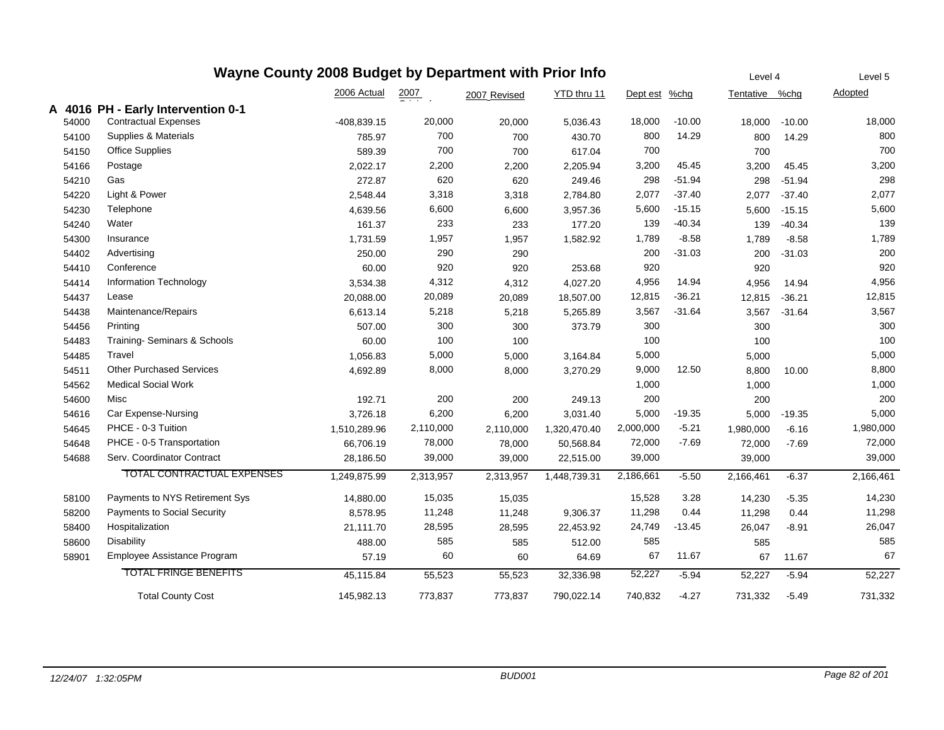|       | Wayne County 2008 Budget by Department with Prior Info | Level 4       |                    | Level 5      |              |           |          |                |          |           |
|-------|--------------------------------------------------------|---------------|--------------------|--------------|--------------|-----------|----------|----------------|----------|-----------|
|       |                                                        | 2006 Actual   | $\frac{2007}{200}$ | 2007 Revised | YTD thru 11  | Dept est  | $%$ chg  | Tentative %chg |          | Adopted   |
|       | A 4016 PH - Early Intervention 0-1                     |               |                    |              |              |           |          |                |          |           |
| 54000 | <b>Contractual Expenses</b>                            | $-408,839.15$ | 20,000             | 20,000       | 5,036.43     | 18,000    | $-10.00$ | 18,000         | $-10.00$ | 18,000    |
| 54100 | Supplies & Materials                                   | 785.97        | 700                | 700          | 430.70       | 800       | 14.29    | 800            | 14.29    | 800       |
| 54150 | <b>Office Supplies</b>                                 | 589.39        | 700                | 700          | 617.04       | 700       |          | 700            |          | 700       |
| 54166 | Postage                                                | 2,022.17      | 2,200              | 2,200        | 2,205.94     | 3,200     | 45.45    | 3,200          | 45.45    | 3,200     |
| 54210 | Gas                                                    | 272.87        | 620                | 620          | 249.46       | 298       | $-51.94$ | 298            | $-51.94$ | 298       |
| 54220 | Light & Power                                          | 2,548.44      | 3,318              | 3,318        | 2,784.80     | 2,077     | $-37.40$ | 2,077          | $-37.40$ | 2,077     |
| 54230 | Telephone                                              | 4,639.56      | 6,600              | 6,600        | 3,957.36     | 5,600     | $-15.15$ | 5,600          | $-15.15$ | 5,600     |
| 54240 | Water                                                  | 161.37        | 233                | 233          | 177.20       | 139       | $-40.34$ | 139            | $-40.34$ | 139       |
| 54300 | Insurance                                              | 1,731.59      | 1,957              | 1,957        | 1,582.92     | 1,789     | $-8.58$  | 1,789          | $-8.58$  | 1,789     |
| 54402 | Advertising                                            | 250.00        | 290                | 290          |              | 200       | $-31.03$ | 200            | $-31.03$ | 200       |
| 54410 | Conference                                             | 60.00         | 920                | 920          | 253.68       | 920       |          | 920            |          | 920       |
| 54414 | Information Technology                                 | 3,534.38      | 4,312              | 4,312        | 4,027.20     | 4,956     | 14.94    | 4,956          | 14.94    | 4,956     |
| 54437 | Lease                                                  | 20,088.00     | 20,089             | 20,089       | 18,507.00    | 12,815    | $-36.21$ | 12,815         | $-36.21$ | 12,815    |
| 54438 | Maintenance/Repairs                                    | 6,613.14      | 5,218              | 5,218        | 5,265.89     | 3,567     | $-31.64$ | 3,567          | $-31.64$ | 3,567     |
| 54456 | Printing                                               | 507.00        | 300                | 300          | 373.79       | 300       |          | 300            |          | 300       |
| 54483 | Training-Seminars & Schools                            | 60.00         | 100                | 100          |              | 100       |          | 100            |          | 100       |
| 54485 | Travel                                                 | 1,056.83      | 5,000              | 5,000        | 3,164.84     | 5,000     |          | 5,000          |          | 5,000     |
| 54511 | <b>Other Purchased Services</b>                        | 4,692.89      | 8,000              | 8,000        | 3,270.29     | 9,000     | 12.50    | 8,800          | 10.00    | 8,800     |
| 54562 | <b>Medical Social Work</b>                             |               |                    |              |              | 1,000     |          | 1,000          |          | 1,000     |
| 54600 | Misc                                                   | 192.71        | 200                | 200          | 249.13       | 200       |          | 200            |          | 200       |
| 54616 | Car Expense-Nursing                                    | 3,726.18      | 6,200              | 6,200        | 3,031.40     | 5,000     | -19.35   | 5,000          | $-19.35$ | 5,000     |
| 54645 | PHCE - 0-3 Tuition                                     | 1,510,289.96  | 2,110,000          | 2,110,000    | 1,320,470.40 | 2,000,000 | $-5.21$  | 1,980,000      | $-6.16$  | 1,980,000 |
| 54648 | PHCE - 0-5 Transportation                              | 66,706.19     | 78,000             | 78,000       | 50,568.84    | 72,000    | $-7.69$  | 72,000         | $-7.69$  | 72,000    |
| 54688 | Serv. Coordinator Contract                             | 28,186.50     | 39,000             | 39,000       | 22,515.00    | 39,000    |          | 39,000         |          | 39,000    |
|       | <b>TOTAL CONTRACTUAL EXPENSES</b>                      | 1,249,875.99  | 2,313,957          | 2,313,957    | 1,448,739.31 | 2,186,661 | $-5.50$  | 2,166,461      | $-6.37$  | 2,166,461 |
| 58100 | Payments to NYS Retirement Sys                         | 14,880.00     | 15,035             | 15,035       |              | 15,528    | 3.28     | 14,230         | $-5.35$  | 14,230    |
| 58200 | <b>Payments to Social Security</b>                     | 8,578.95      | 11,248             | 11,248       | 9,306.37     | 11,298    | 0.44     | 11,298         | 0.44     | 11,298    |
| 58400 | Hospitalization                                        | 21,111.70     | 28,595             | 28,595       | 22,453.92    | 24,749    | $-13.45$ | 26,047         | $-8.91$  | 26,047    |
| 58600 | Disability                                             | 488.00        | 585                | 585          | 512.00       | 585       |          | 585            |          | 585       |
| 58901 | Employee Assistance Program                            | 57.19         | 60                 | 60           | 64.69        | 67        | 11.67    | 67             | 11.67    | 67        |
|       | <b>TOTAL FRINGE BENEFITS</b>                           | 45,115.84     | 55,523             | 55,523       | 32,336.98    | 52,227    | $-5.94$  | 52,227         | $-5.94$  | 52,227    |
|       | <b>Total County Cost</b>                               | 145,982.13    | 773,837            | 773.837      | 790,022.14   | 740.832   | $-4.27$  | 731,332        | $-5.49$  | 731,332   |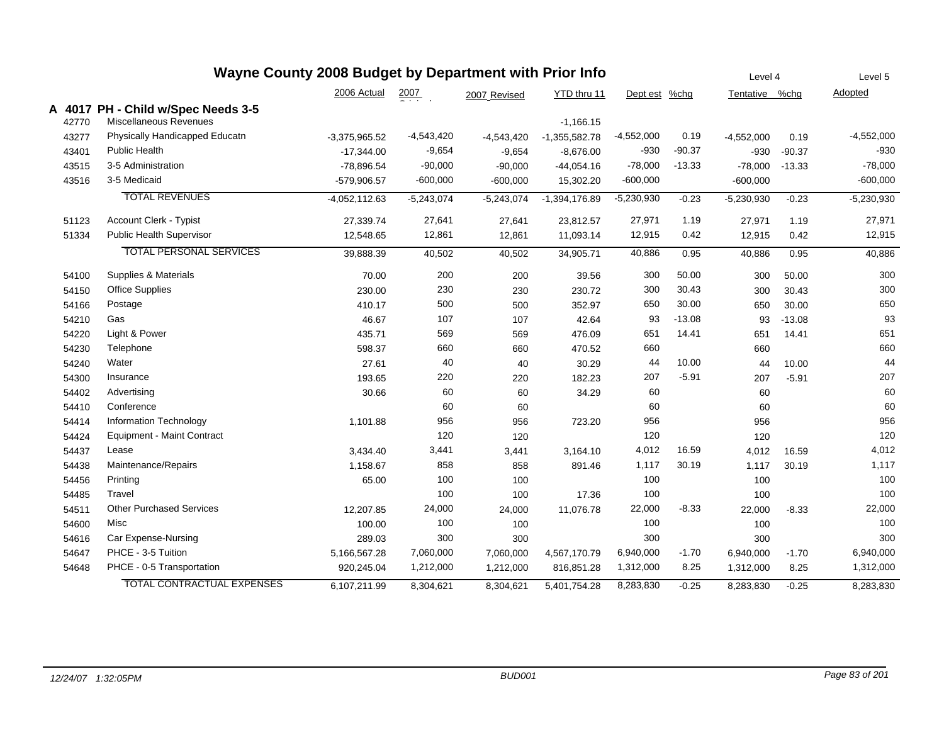| Wayne County 2008 Budget by Department with Prior Info |       |                                    |                 |                  |              |                 |               |          |                |          | Level 5      |
|--------------------------------------------------------|-------|------------------------------------|-----------------|------------------|--------------|-----------------|---------------|----------|----------------|----------|--------------|
|                                                        |       |                                    | 2006 Actual     | $\frac{2007}{2}$ | 2007 Revised | YTD thru 11     | Dept est %chg |          | Tentative %chg |          | Adopted      |
|                                                        |       | A 4017 PH - Child w/Spec Needs 3-5 |                 |                  |              |                 |               |          |                |          |              |
|                                                        | 42770 | <b>Miscellaneous Revenues</b>      |                 |                  |              | $-1,166.15$     |               |          |                |          |              |
|                                                        | 43277 | Physically Handicapped Educatn     | $-3,375,965.52$ | $-4,543,420$     | $-4,543,420$ | $-1,355,582.78$ | $-4,552,000$  | 0.19     | $-4,552,000$   | 0.19     | $-4,552,000$ |
|                                                        | 43401 | Public Health                      | $-17,344.00$    | $-9,654$         | $-9,654$     | $-8,676.00$     | $-930$        | $-90.37$ | $-930$         | $-90.37$ | $-930$       |
|                                                        | 43515 | 3-5 Administration                 | -78,896.54      | $-90,000$        | $-90,000$    | $-44,054.16$    | $-78,000$     | $-13.33$ | $-78,000$      | $-13.33$ | $-78,000$    |
|                                                        | 43516 | 3-5 Medicaid                       | -579,906.57     | $-600,000$       | $-600,000$   | 15,302.20       | $-600,000$    |          | $-600,000$     |          | $-600,000$   |
|                                                        |       | <b>TOTAL REVENUES</b>              | $-4,052,112.63$ | $-5,243,074$     | $-5,243,074$ | $-1,394,176.89$ | $-5,230,930$  | $-0.23$  | $-5,230,930$   | $-0.23$  | $-5,230,930$ |
|                                                        | 51123 | Account Clerk - Typist             | 27,339.74       | 27,641           | 27,641       | 23,812.57       | 27,971        | 1.19     | 27,971         | 1.19     | 27,971       |
|                                                        | 51334 | <b>Public Health Supervisor</b>    | 12,548.65       | 12,861           | 12,861       | 11,093.14       | 12,915        | 0.42     | 12,915         | 0.42     | 12,915       |
|                                                        |       | <b>TOTAL PERSONAL SERVICES</b>     | 39,888.39       | 40,502           | 40,502       | 34,905.71       | 40,886        | 0.95     | 40,886         | 0.95     | 40,886       |
|                                                        | 54100 | Supplies & Materials               | 70.00           | 200              | 200          | 39.56           | 300           | 50.00    | 300            | 50.00    | 300          |
|                                                        | 54150 | <b>Office Supplies</b>             | 230.00          | 230              | 230          | 230.72          | 300           | 30.43    | 300            | 30.43    | 300          |
|                                                        | 54166 | Postage                            | 410.17          | 500              | 500          | 352.97          | 650           | 30.00    | 650            | 30.00    | 650          |
|                                                        | 54210 | Gas                                | 46.67           | 107              | 107          | 42.64           | 93            | $-13.08$ | 93             | $-13.08$ | 93           |
|                                                        | 54220 | Light & Power                      | 435.71          | 569              | 569          | 476.09          | 651           | 14.41    | 651            | 14.41    | 651          |
|                                                        | 54230 | Telephone                          | 598.37          | 660              | 660          | 470.52          | 660           |          | 660            |          | 660          |
|                                                        | 54240 | Water                              | 27.61           | 40               | 40           | 30.29           | 44            | 10.00    | 44             | 10.00    | 44           |
|                                                        | 54300 | Insurance                          | 193.65          | 220              | 220          | 182.23          | 207           | $-5.91$  | 207            | $-5.91$  | 207          |
|                                                        | 54402 | Advertising                        | 30.66           | 60               | 60           | 34.29           | 60            |          | 60             |          | 60           |
|                                                        | 54410 | Conference                         |                 | 60               | 60           |                 | 60            |          | 60             |          | 60           |
|                                                        | 54414 | Information Technology             | 1,101.88        | 956              | 956          | 723.20          | 956           |          | 956            |          | 956          |
|                                                        | 54424 | Equipment - Maint Contract         |                 | 120              | 120          |                 | 120           |          | 120            |          | 120          |
|                                                        | 54437 | Lease                              | 3,434.40        | 3,441            | 3,441        | 3,164.10        | 4,012         | 16.59    | 4,012          | 16.59    | 4,012        |
|                                                        | 54438 | Maintenance/Repairs                | 1,158.67        | 858              | 858          | 891.46          | 1,117         | 30.19    | 1,117          | 30.19    | 1,117        |
|                                                        | 54456 | Printing                           | 65.00           | 100              | 100          |                 | 100           |          | 100            |          | 100          |
|                                                        | 54485 | Travel                             |                 | 100              | 100          | 17.36           | 100           |          | 100            |          | 100          |
|                                                        | 54511 | <b>Other Purchased Services</b>    | 12,207.85       | 24,000           | 24,000       | 11,076.78       | 22,000        | $-8.33$  | 22,000         | $-8.33$  | 22,000       |
|                                                        | 54600 | Misc                               | 100.00          | 100              | 100          |                 | 100           |          | 100            |          | 100          |
|                                                        | 54616 | Car Expense-Nursing                | 289.03          | 300              | 300          |                 | 300           |          | 300            |          | 300          |
|                                                        | 54647 | PHCE - 3-5 Tuition                 | 5,166,567.28    | 7,060,000        | 7,060,000    | 4,567,170.79    | 6,940,000     | $-1.70$  | 6,940,000      | $-1.70$  | 6,940,000    |
|                                                        | 54648 | PHCE - 0-5 Transportation          | 920,245.04      | 1,212,000        | 1,212,000    | 816,851.28      | 1,312,000     | 8.25     | 1,312,000      | 8.25     | 1,312,000    |
|                                                        |       | TOTAL CONTRACTUAL EXPENSES         | 6,107,211.99    | 8,304,621        | 8,304,621    | 5,401,754.28    | 8,283,830     | $-0.25$  | 8,283,830      | $-0.25$  | 8,283,830    |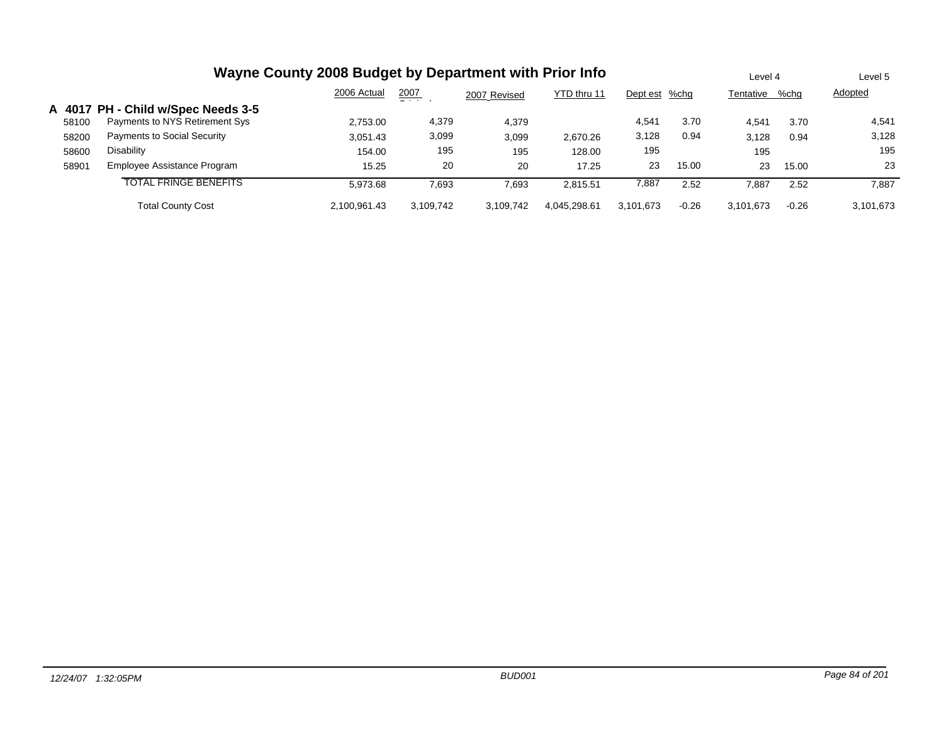|       |                                    | Wayne County 2008 Budget by Department with Prior Info |               |              |              |               |         | Level 4   |         | Level 5   |
|-------|------------------------------------|--------------------------------------------------------|---------------|--------------|--------------|---------------|---------|-----------|---------|-----------|
|       |                                    | 2006 Actual                                            | 2007<br>- - - | 2007 Revised | YTD thru 11  | Dept est %chg |         | Tentative | %chg    | Adopted   |
|       | A 4017 PH - Child w/Spec Needs 3-5 |                                                        |               |              |              |               |         |           |         |           |
| 58100 | Payments to NYS Retirement Sys     | 2,753.00                                               | 4,379         | 4.379        |              | 4,541         | 3.70    | 4,541     | 3.70    | 4,541     |
| 58200 | Payments to Social Security        | 3,051.43                                               | 3,099         | 3,099        | 2,670.26     | 3,128         | 0.94    | 3,128     | 0.94    | 3,128     |
| 58600 | Disability                         | 154.00                                                 | 195           | 195          | 128.00       | 195           |         | 195       |         | 195       |
| 58901 | Employee Assistance Program        | 15.25                                                  | 20            | 20           | 17.25        | 23            | 15.00   | 23        | 15.00   | 23        |
|       | TOTAL FRINGE BENEFITS              | 5.973.68                                               | 7,693         | 7,693        | 2,815.51     | 7,887         | 2.52    | 7,887     | 2.52    | 7,887     |
|       | <b>Total County Cost</b>           | 2.100.961.43                                           | 3.109.742     | 3.109.742    | 4.045.298.61 | 3.101.673     | $-0.26$ | 3,101,673 | $-0.26$ | 3,101,673 |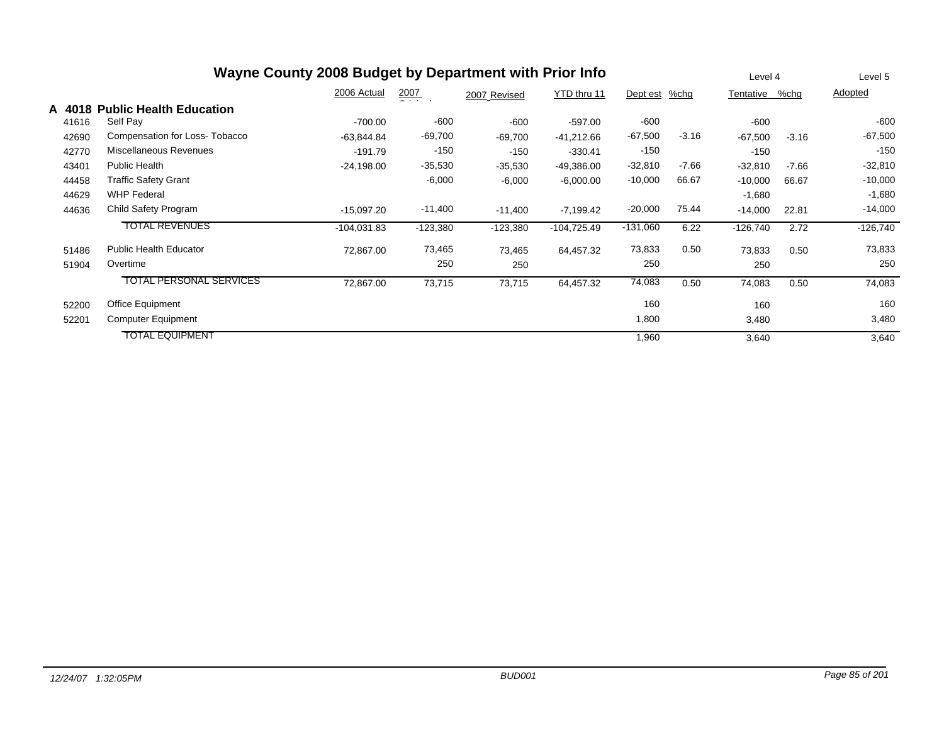|        |                                | Wayne County 2008 Budget by Department with Prior Info |                  |              |               |            |         | Level 4        |         | Level 5    |
|--------|--------------------------------|--------------------------------------------------------|------------------|--------------|---------------|------------|---------|----------------|---------|------------|
|        |                                | 2006 Actual                                            | $\frac{2007}{4}$ | 2007 Revised | YTD thru 11   | Dept est   | %chg    | Tentative %chg |         | Adopted    |
| A 4018 | <b>Public Health Education</b> |                                                        |                  |              |               |            |         |                |         |            |
| 41616  | Self Pay                       | $-700.00$                                              | $-600$           | -600         | $-597.00$     | $-600$     |         | $-600$         |         | $-600$     |
| 42690  | Compensation for Loss-Tobacco  | $-63,844.84$                                           | $-69,700$        | -69,700      | $-41,212.66$  | $-67,500$  | $-3.16$ | $-67,500$      | $-3.16$ | $-67,500$  |
| 42770  | Miscellaneous Revenues         | $-191.79$                                              | $-150$           | $-150$       | $-330.41$     | $-150$     |         | $-150$         |         | $-150$     |
| 43401  | Public Health                  | $-24,198.00$                                           | $-35,530$        | $-35,530$    | $-49,386.00$  | $-32,810$  | $-7.66$ | $-32,810$      | $-7.66$ | $-32,810$  |
| 44458  | <b>Traffic Safety Grant</b>    |                                                        | $-6,000$         | $-6,000$     | $-6,000.00$   | $-10,000$  | 66.67   | $-10,000$      | 66.67   | $-10,000$  |
| 44629  | <b>WHP Federal</b>             |                                                        |                  |              |               |            |         | $-1,680$       |         | $-1,680$   |
| 44636  | Child Safety Program           | $-15,097.20$                                           | $-11,400$        | $-11,400$    | $-7,199.42$   | $-20,000$  | 75.44   | $-14,000$      | 22.81   | $-14,000$  |
|        | <b>TOTAL REVENUES</b>          | $-104,031.83$                                          | $-123,380$       | $-123,380$   | $-104,725.49$ | $-131,060$ | 6.22    | $-126,740$     | 2.72    | $-126,740$ |
| 51486  | <b>Public Health Educator</b>  | 72,867.00                                              | 73,465           | 73,465       | 64,457.32     | 73,833     | 0.50    | 73,833         | 0.50    | 73,833     |
| 51904  | Overtime                       |                                                        | 250              | 250          |               | 250        |         | 250            |         | 250        |
|        | <b>TOTAL PERSONAL SERVICES</b> | 72,867.00                                              | 73,715           | 73,715       | 64,457.32     | 74,083     | 0.50    | 74,083         | 0.50    | 74,083     |
| 52200  | <b>Office Equipment</b>        |                                                        |                  |              |               | 160        |         | 160            |         | 160        |
| 52201  | <b>Computer Equipment</b>      |                                                        |                  |              |               | 1,800      |         | 3,480          |         | 3,480      |
|        | <b>TOTAL EQUIPMENT</b>         |                                                        |                  |              |               | 1,960      |         | 3,640          |         | 3,640      |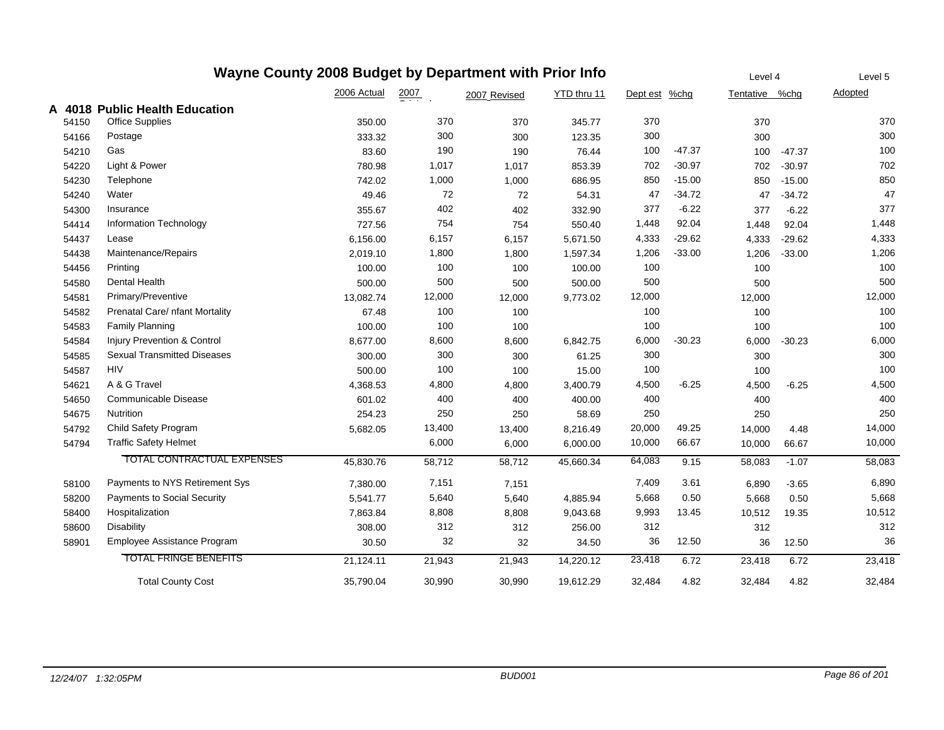## **Wayne County 2008 Budget by Department with Prior Info**

|       |                                    | 2006 Actual | 2007   | 2007 Revised | YTD thru 11 | Dept est | %chg     | Tentative %chq |          | Adopted |
|-------|------------------------------------|-------------|--------|--------------|-------------|----------|----------|----------------|----------|---------|
|       | A 4018 Public Health Education     |             |        |              |             |          |          |                |          |         |
| 54150 | Office Supplies                    | 350.00      | 370    | 370          | 345.77      | 370      |          | 370            |          | 370     |
| 54166 | Postage                            | 333.32      | 300    | 300          | 123.35      | 300      |          | 300            |          | 300     |
| 54210 | Gas                                | 83.60       | 190    | 190          | 76.44       | 100      | $-47.37$ | 100            | $-47.37$ | 100     |
| 54220 | Light & Power                      | 780.98      | 1,017  | 1,017        | 853.39      | 702      | $-30.97$ | 702            | $-30.97$ | 702     |
| 54230 | Telephone                          | 742.02      | 1,000  | 1,000        | 686.95      | 850      | $-15.00$ | 850            | $-15.00$ | 850     |
| 54240 | Water                              | 49.46       | 72     | 72           | 54.31       | 47       | $-34.72$ | 47             | $-34.72$ | 47      |
| 54300 | Insurance                          | 355.67      | 402    | 402          | 332.90      | 377      | $-6.22$  | 377            | $-6.22$  | 377     |
| 54414 | Information Technology             | 727.56      | 754    | 754          | 550.40      | 1,448    | 92.04    | 1,448          | 92.04    | 1,448   |
| 54437 | Lease                              | 6,156.00    | 6,157  | 6,157        | 5,671.50    | 4,333    | $-29.62$ | 4,333          | $-29.62$ | 4,333   |
| 54438 | Maintenance/Repairs                | 2,019.10    | 1,800  | 1,800        | 1,597.34    | 1,206    | $-33.00$ | 1,206          | $-33.00$ | 1,206   |
| 54456 | Printing                           | 100.00      | 100    | 100          | 100.00      | 100      |          | 100            |          | 100     |
| 54580 | <b>Dental Health</b>               | 500.00      | 500    | 500          | 500.00      | 500      |          | 500            |          | 500     |
| 54581 | Primary/Preventive                 | 13,082.74   | 12,000 | 12,000       | 9,773.02    | 12,000   |          | 12,000         |          | 12,000  |
| 54582 | Prenatal Care/ nfant Mortality     | 67.48       | 100    | 100          |             | 100      |          | 100            |          | 100     |
| 54583 | <b>Family Planning</b>             | 100.00      | 100    | 100          |             | 100      |          | 100            |          | 100     |
| 54584 | Injury Prevention & Control        | 8,677.00    | 8,600  | 8,600        | 6,842.75    | 6,000    | $-30.23$ | 6,000          | $-30.23$ | 6,000   |
| 54585 | <b>Sexual Transmitted Diseases</b> | 300.00      | 300    | 300          | 61.25       | 300      |          | 300            |          | 300     |
| 54587 | <b>HIV</b>                         | 500.00      | 100    | 100          | 15.00       | 100      |          | 100            |          | 100     |
| 54621 | A & G Travel                       | 4,368.53    | 4,800  | 4,800        | 3,400.79    | 4,500    | $-6.25$  | 4,500          | $-6.25$  | 4,500   |
| 54650 | Communicable Disease               | 601.02      | 400    | 400          | 400.00      | 400      |          | 400            |          | 400     |
| 54675 | Nutrition                          | 254.23      | 250    | 250          | 58.69       | 250      |          | 250            |          | 250     |
| 54792 | Child Safety Program               | 5,682.05    | 13,400 | 13,400       | 8,216.49    | 20,000   | 49.25    | 14,000         | 4.48     | 14,000  |
| 54794 | <b>Traffic Safety Helmet</b>       |             | 6,000  | 6,000        | 6,000.00    | 10,000   | 66.67    | 10,000         | 66.67    | 10,000  |
|       | TOTAL CONTRACTUAL EXPENSES         | 45,830.76   | 58,712 | 58,712       | 45,660.34   | 64,083   | 9.15     | 58,083         | $-1.07$  | 58,083  |
| 58100 | Payments to NYS Retirement Sys     | 7,380.00    | 7,151  | 7,151        |             | 7,409    | 3.61     | 6,890          | $-3.65$  | 6,890   |
| 58200 | <b>Payments to Social Security</b> | 5,541.77    | 5,640  | 5,640        | 4,885.94    | 5,668    | 0.50     | 5,668          | 0.50     | 5,668   |
| 58400 | Hospitalization                    | 7,863.84    | 8,808  | 8,808        | 9,043.68    | 9,993    | 13.45    | 10,512         | 19.35    | 10,512  |
| 58600 | <b>Disability</b>                  | 308.00      | 312    | 312          | 256.00      | 312      |          | 312            |          | 312     |
| 58901 | Employee Assistance Program        | 30.50       | 32     | 32           | 34.50       | 36       | 12.50    | 36             | 12.50    | 36      |
|       | <b>TOTAL FRINGE BENEFITS</b>       | 21,124.11   | 21,943 | 21,943       | 14,220.12   | 23,418   | 6.72     | 23,418         | 6.72     | 23,418  |
|       | <b>Total County Cost</b>           | 35,790.04   | 30.990 | 30,990       | 19,612.29   | 32,484   | 4.82     | 32,484         | 4.82     | 32,484  |

Level 4

Level 5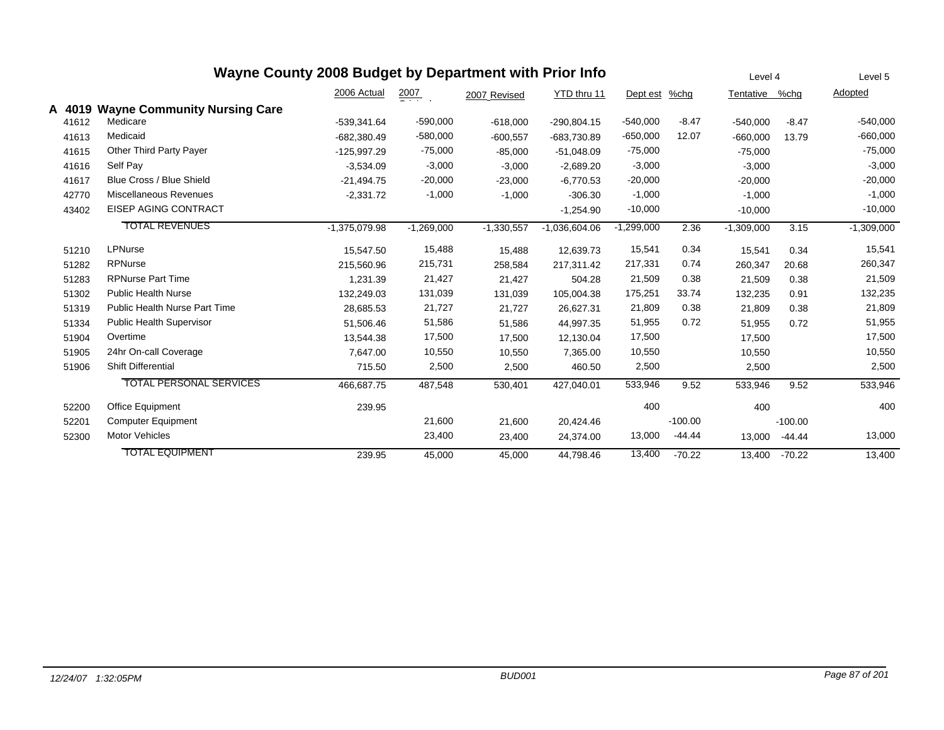|        | Wayne County 2008 Budget by Department with Prior Info |                 |                  |              |                 |              |           | Level 4        |           | Level 5      |
|--------|--------------------------------------------------------|-----------------|------------------|--------------|-----------------|--------------|-----------|----------------|-----------|--------------|
|        |                                                        | 2006 Actual     | $\frac{2007}{4}$ | 2007 Revised | YTD thru 11     | Dept est     | %chg      | Tentative %chg |           | Adopted      |
| A 4019 | <b>Wayne Community Nursing Care</b>                    |                 |                  |              |                 |              |           |                |           |              |
| 41612  | Medicare                                               | -539,341.64     | $-590,000$       | $-618,000$   | $-290,804.15$   | $-540,000$   | $-8.47$   | $-540,000$     | $-8.47$   | $-540,000$   |
| 41613  | Medicaid                                               | $-682.380.49$   | $-580,000$       | $-600,557$   | -683,730.89     | $-650,000$   | 12.07     | $-660,000$     | 13.79     | $-660,000$   |
| 41615  | Other Third Party Payer                                | $-125,997.29$   | $-75,000$        | $-85,000$    | $-51,048.09$    | $-75,000$    |           | $-75,000$      |           | $-75,000$    |
| 41616  | Self Pay                                               | $-3,534.09$     | $-3,000$         | $-3,000$     | $-2,689.20$     | $-3,000$     |           | $-3,000$       |           | $-3,000$     |
| 41617  | Blue Cross / Blue Shield                               | $-21,494.75$    | $-20,000$        | $-23,000$    | $-6,770.53$     | $-20,000$    |           | $-20,000$      |           | $-20,000$    |
| 42770  | <b>Miscellaneous Revenues</b>                          | $-2,331.72$     | $-1,000$         | $-1,000$     | $-306.30$       | $-1,000$     |           | $-1,000$       |           | $-1,000$     |
| 43402  | EISEP AGING CONTRACT                                   |                 |                  |              | $-1,254.90$     | $-10,000$    |           | $-10,000$      |           | $-10,000$    |
|        | <b>TOTAL REVENUES</b>                                  | $-1,375,079.98$ | $-1,269,000$     | $-1,330,557$ | $-1,036,604.06$ | $-1,299,000$ | 2.36      | $-1,309,000$   | 3.15      | $-1,309,000$ |
| 51210  | LPNurse                                                | 15,547.50       | 15,488           | 15,488       | 12,639.73       | 15,541       | 0.34      | 15,541         | 0.34      | 15,541       |
| 51282  | <b>RPNurse</b>                                         | 215,560.96      | 215,731          | 258,584      | 217,311.42      | 217,331      | 0.74      | 260,347        | 20.68     | 260,347      |
| 51283  | <b>RPNurse Part Time</b>                               | 1,231.39        | 21,427           | 21,427       | 504.28          | 21,509       | 0.38      | 21,509         | 0.38      | 21,509       |
| 51302  | <b>Public Health Nurse</b>                             | 132,249.03      | 131,039          | 131,039      | 105,004.38      | 175,251      | 33.74     | 132,235        | 0.91      | 132,235      |
| 51319  | Public Health Nurse Part Time                          | 28,685.53       | 21,727           | 21,727       | 26,627.31       | 21,809       | 0.38      | 21,809         | 0.38      | 21,809       |
| 51334  | <b>Public Health Supervisor</b>                        | 51,506.46       | 51,586           | 51,586       | 44,997.35       | 51,955       | 0.72      | 51,955         | 0.72      | 51,955       |
| 51904  | Overtime                                               | 13,544.38       | 17,500           | 17,500       | 12,130.04       | 17,500       |           | 17,500         |           | 17,500       |
| 51905  | 24hr On-call Coverage                                  | 7,647.00        | 10,550           | 10,550       | 7,365.00        | 10,550       |           | 10,550         |           | 10,550       |
| 51906  | <b>Shift Differential</b>                              | 715.50          | 2,500            | 2,500        | 460.50          | 2,500        |           | 2,500          |           | 2,500        |
|        | <b>TOTAL PERSONAL SERVICES</b>                         | 466,687.75      | 487,548          | 530,401      | 427.040.01      | 533,946      | 9.52      | 533,946        | 9.52      | 533,946      |
| 52200  | <b>Office Equipment</b>                                | 239.95          |                  |              |                 | 400          |           | 400            |           | 400          |
| 52201  | <b>Computer Equipment</b>                              |                 | 21,600           | 21,600       | 20,424.46       |              | $-100.00$ |                | $-100.00$ |              |
| 52300  | <b>Motor Vehicles</b>                                  |                 | 23,400           | 23,400       | 24,374.00       | 13,000       | $-44.44$  | 13,000         | $-44.44$  | 13,000       |
|        | <b>TOTAL EQUIPMENT</b>                                 | 239.95          | 45,000           | 45,000       | 44,798.46       | 13,400       | $-70.22$  | 13,400         | $-70.22$  | 13,400       |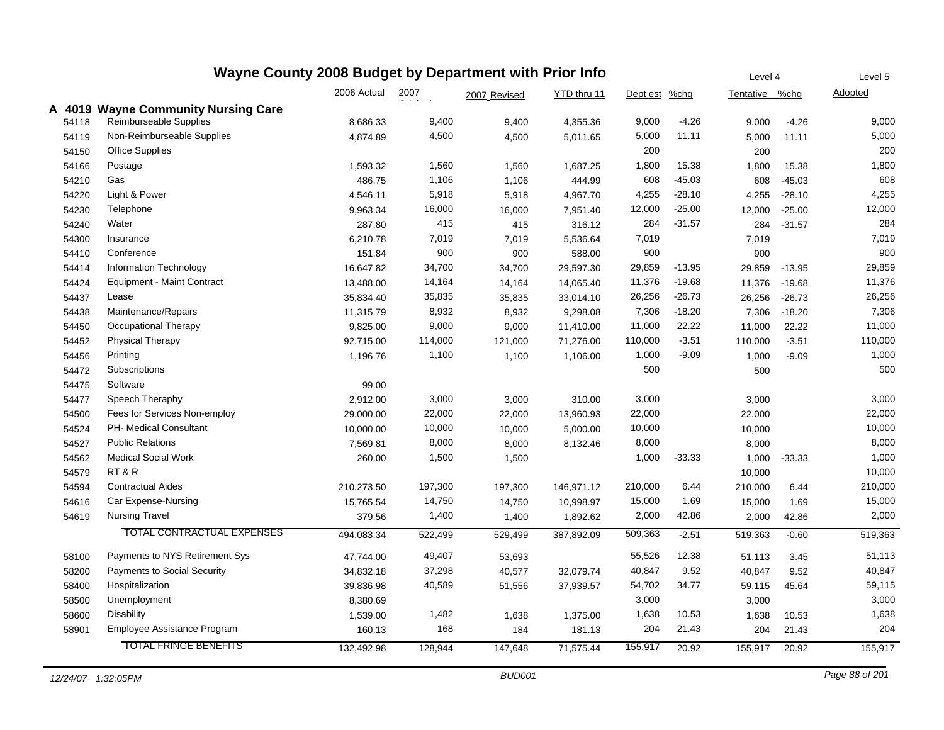| Wayne County 2008 Budget by Department with Prior Info |                                     |             |                  |              |             |               |          | Level 4        |          | Level 5 |
|--------------------------------------------------------|-------------------------------------|-------------|------------------|--------------|-------------|---------------|----------|----------------|----------|---------|
|                                                        |                                     | 2006 Actual | $\frac{2007}{2}$ | 2007 Revised | YTD thru 11 | Dept est %chg |          | Tentative %chg |          | Adopted |
|                                                        | A 4019 Wayne Community Nursing Care |             |                  |              |             |               |          |                |          |         |
| 54118                                                  | Reimburseable Supplies              | 8,686.33    | 9,400            | 9,400        | 4,355.36    | 9,000         | $-4.26$  | 9,000          | $-4.26$  | 9,000   |
| 54119                                                  | Non-Reimburseable Supplies          | 4,874.89    | 4,500            | 4,500        | 5,011.65    | 5,000         | 11.11    | 5,000          | 11.11    | 5,000   |
| 54150                                                  | <b>Office Supplies</b>              |             |                  |              |             | 200           |          | 200            |          | 200     |
| 54166                                                  | Postage                             | 1,593.32    | 1,560            | 1,560        | 1,687.25    | 1,800         | 15.38    | 1,800          | 15.38    | 1,800   |
| 54210                                                  | Gas                                 | 486.75      | 1,106            | 1,106        | 444.99      | 608           | $-45.03$ | 608            | $-45.03$ | 608     |
| 54220                                                  | Light & Power                       | 4,546.11    | 5,918            | 5,918        | 4,967.70    | 4,255         | $-28.10$ | 4,255          | $-28.10$ | 4,255   |
| 54230                                                  | Telephone                           | 9,963.34    | 16,000           | 16,000       | 7,951.40    | 12,000        | $-25.00$ | 12,000         | $-25.00$ | 12,000  |
| 54240                                                  | Water                               | 287.80      | 415              | 415          | 316.12      | 284           | $-31.57$ | 284            | $-31.57$ | 284     |
| 54300                                                  | Insurance                           | 6,210.78    | 7,019            | 7,019        | 5,536.64    | 7,019         |          | 7,019          |          | 7,019   |
| 54410                                                  | Conference                          | 151.84      | 900              | 900          | 588.00      | 900           |          | 900            |          | 900     |
| 54414                                                  | <b>Information Technology</b>       | 16,647.82   | 34,700           | 34,700       | 29,597.30   | 29,859        | $-13.95$ | 29,859         | $-13.95$ | 29,859  |
| 54424                                                  | Equipment - Maint Contract          | 13,488.00   | 14,164           | 14,164       | 14,065.40   | 11,376        | $-19.68$ | 11,376         | $-19.68$ | 11,376  |
| 54437                                                  | Lease                               | 35,834.40   | 35,835           | 35,835       | 33,014.10   | 26,256        | $-26.73$ | 26,256         | $-26.73$ | 26,256  |
| 54438                                                  | Maintenance/Repairs                 | 11,315.79   | 8,932            | 8,932        | 9,298.08    | 7,306         | $-18.20$ | 7,306          | $-18.20$ | 7,306   |
| 54450                                                  | Occupational Therapy                | 9,825.00    | 9,000            | 9,000        | 11,410.00   | 11,000        | 22.22    | 11,000         | 22.22    | 11,000  |
| 54452                                                  | <b>Physical Therapy</b>             | 92,715.00   | 114,000          | 121,000      | 71,276.00   | 110,000       | $-3.51$  | 110,000        | $-3.51$  | 110,000 |
| 54456                                                  | Printing                            | 1,196.76    | 1,100            | 1,100        | 1,106.00    | 1,000         | $-9.09$  | 1,000          | $-9.09$  | 1,000   |
| 54472                                                  | Subscriptions                       |             |                  |              |             | 500           |          | 500            |          | 500     |
| 54475                                                  | Software                            | 99.00       |                  |              |             |               |          |                |          |         |
| 54477                                                  | Speech Theraphy                     | 2,912.00    | 3,000            | 3,000        | 310.00      | 3,000         |          | 3,000          |          | 3,000   |
| 54500                                                  | Fees for Services Non-employ        | 29,000.00   | 22,000           | 22,000       | 13,960.93   | 22,000        |          | 22,000         |          | 22,000  |
| 54524                                                  | PH- Medical Consultant              | 10,000.00   | 10,000           | 10,000       | 5,000.00    | 10,000        |          | 10,000         |          | 10,000  |
| 54527                                                  | <b>Public Relations</b>             | 7,569.81    | 8,000            | 8,000        | 8,132.46    | 8,000         |          | 8,000          |          | 8,000   |
| 54562                                                  | <b>Medical Social Work</b>          | 260.00      | 1,500            | 1,500        |             | 1,000         | $-33.33$ | 1,000          | $-33.33$ | 1,000   |
| 54579                                                  | RT&R                                |             |                  |              |             |               |          | 10,000         |          | 10,000  |
| 54594                                                  | <b>Contractual Aides</b>            | 210,273.50  | 197,300          | 197,300      | 146,971.12  | 210,000       | 6.44     | 210,000        | 6.44     | 210,000 |
| 54616                                                  | Car Expense-Nursing                 | 15,765.54   | 14,750           | 14,750       | 10,998.97   | 15,000        | 1.69     | 15,000         | 1.69     | 15,000  |
| 54619                                                  | <b>Nursing Travel</b>               | 379.56      | 1,400            | 1,400        | 1,892.62    | 2,000         | 42.86    | 2,000          | 42.86    | 2,000   |
|                                                        | TOTAL CONTRACTUAL EXPENSES          | 494,083.34  | 522,499          | 529,499      | 387,892.09  | 509,363       | $-2.51$  | 519,363        | $-0.60$  | 519,363 |
| 58100                                                  | Payments to NYS Retirement Sys      | 47,744.00   | 49,407           | 53,693       |             | 55,526        | 12.38    | 51,113         | 3.45     | 51,113  |
| 58200                                                  | Payments to Social Security         | 34,832.18   | 37,298           | 40,577       | 32,079.74   | 40,847        | 9.52     | 40,847         | 9.52     | 40,847  |
| 58400                                                  | Hospitalization                     | 39,836.98   | 40,589           | 51,556       | 37,939.57   | 54,702        | 34.77    | 59,115         | 45.64    | 59,115  |
| 58500                                                  | Unemployment                        | 8,380.69    |                  |              |             | 3,000         |          | 3,000          |          | 3,000   |
| 58600                                                  | <b>Disability</b>                   | 1,539.00    | 1,482            | 1,638        | 1,375.00    | 1,638         | 10.53    | 1,638          | 10.53    | 1,638   |
| 58901                                                  | Employee Assistance Program         | 160.13      | 168              | 184          | 181.13      | 204           | 21.43    | 204            | 21.43    | 204     |
|                                                        | <b>TOTAL FRINGE BENEFITS</b>        | 132,492.98  | 128,944          | 147,648      | 71,575.44   | 155,917       | 20.92    | 155,917        | 20.92    | 155,917 |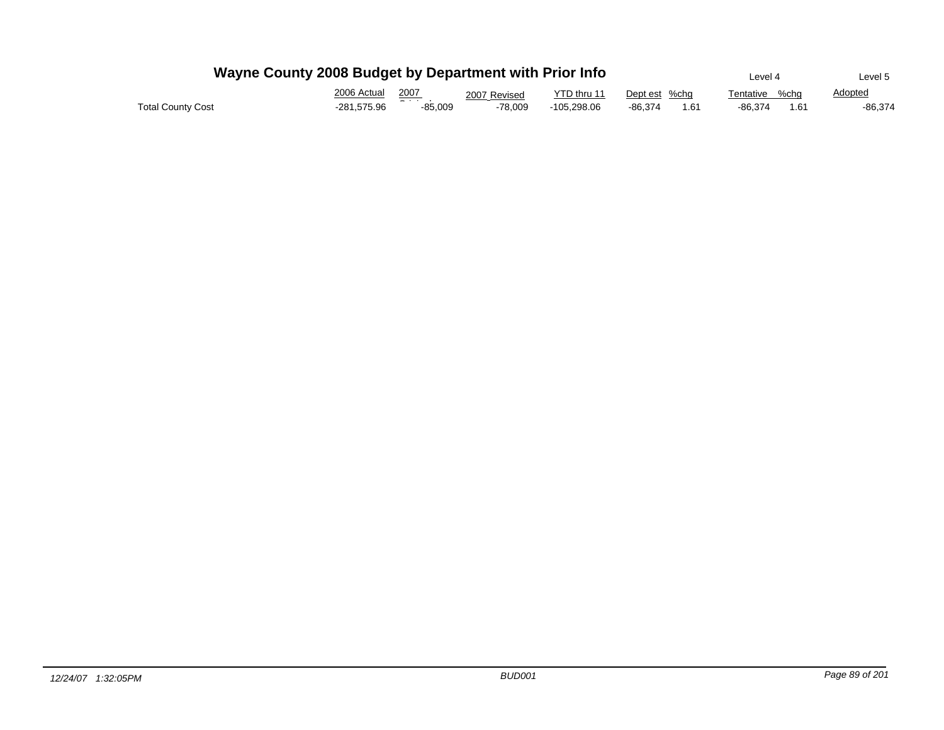|                          | Wayne County 2008 Budget by Department with Prior Info |                  |              |             |                 | Level 4           | Level 5        |
|--------------------------|--------------------------------------------------------|------------------|--------------|-------------|-----------------|-------------------|----------------|
|                          | 2006 Actual                                            | 2007             | 2007 Revised | YTD thru 11 | Dept est %cha   | %cha<br>Tentative | <b>Adopted</b> |
| <b>Total County Cost</b> | -281.575.96                                            | - - -<br>-85.009 | -78.009      | -105.298.06 | -86.374<br>1.61 | -86.374<br>1.61   | -86,374        |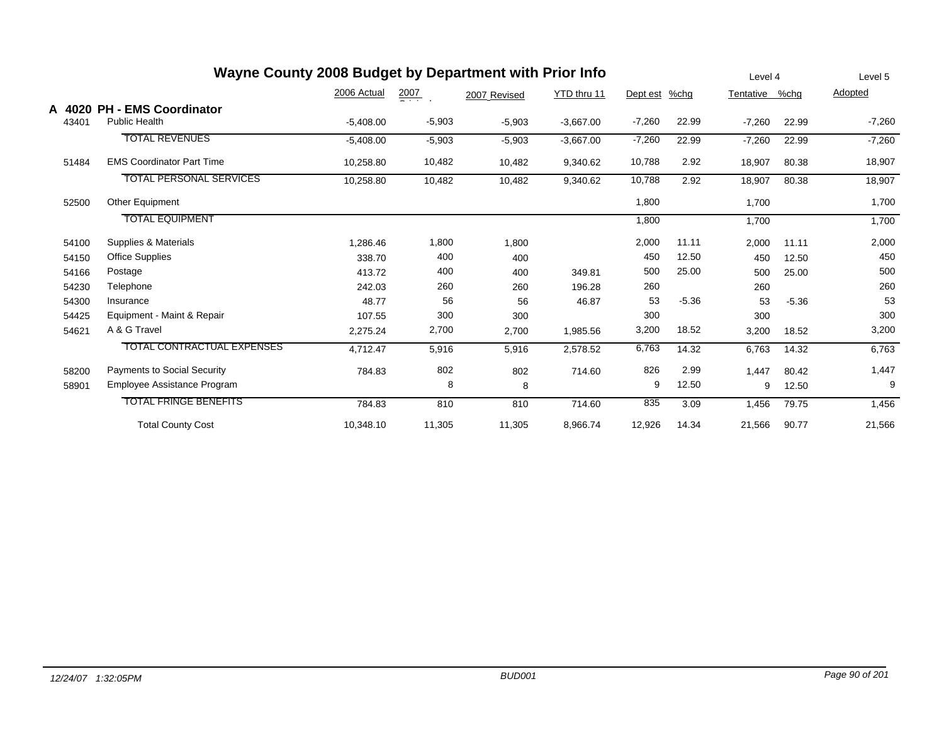|                 | Wayne County 2008 Budget by Department with Prior Info |             |                  |              |             |          |         | Level 4   |         | Level 5  |
|-----------------|--------------------------------------------------------|-------------|------------------|--------------|-------------|----------|---------|-----------|---------|----------|
|                 |                                                        | 2006 Actual | $\frac{2007}{2}$ | 2007 Revised | YTD thru 11 | Dept est | $%$ chg | Tentative | %chq    | Adopted  |
| A 4020<br>43401 | <b>PH - EMS Coordinator</b><br><b>Public Health</b>    | $-5,408.00$ | $-5,903$         | $-5,903$     | $-3,667.00$ | $-7,260$ | 22.99   | $-7,260$  | 22.99   | $-7,260$ |
|                 | <b>TOTAL REVENUES</b>                                  | $-5,408.00$ | $-5,903$         | $-5,903$     | $-3,667.00$ | $-7,260$ | 22.99   | $-7,260$  | 22.99   | $-7,260$ |
| 51484           | <b>EMS Coordinator Part Time</b>                       | 10,258.80   | 10,482           | 10,482       | 9,340.62    | 10,788   | 2.92    | 18,907    | 80.38   | 18,907   |
|                 | <b>TOTAL PERSONAL SERVICES</b>                         | 10,258.80   | 10,482           | 10,482       | 9,340.62    | 10,788   | 2.92    | 18,907    | 80.38   | 18,907   |
| 52500           | <b>Other Equipment</b>                                 |             |                  |              |             | 1,800    |         | 1,700     |         | 1,700    |
|                 | <b>TOTAL EQUIPMENT</b>                                 |             |                  |              |             | 1,800    |         | 1,700     |         | 1,700    |
| 54100           | Supplies & Materials                                   | ,286.46     | 1,800            | 1,800        |             | 2,000    | 11.11   | 2,000     | 11.11   | 2,000    |
| 54150           | <b>Office Supplies</b>                                 | 338.70      | 400              | 400          |             | 450      | 12.50   | 450       | 12.50   | 450      |
| 54166           | Postage                                                | 413.72      | 400              | 400          | 349.81      | 500      | 25.00   | 500       | 25.00   | 500      |
| 54230           | Telephone                                              | 242.03      | 260              | 260          | 196.28      | 260      |         | 260       |         | 260      |
| 54300           | Insurance                                              | 48.77       | 56               | 56           | 46.87       | 53       | $-5.36$ | 53        | $-5.36$ | 53       |
| 54425           | Equipment - Maint & Repair                             | 107.55      | 300              | 300          |             | 300      |         | 300       |         | 300      |
| 54621           | A & G Travel                                           | 2,275.24    | 2,700            | 2,700        | 1,985.56    | 3,200    | 18.52   | 3,200     | 18.52   | 3,200    |
|                 | <b>TOTAL CONTRACTUAL EXPENSES</b>                      | 4,712.47    | 5,916            | 5,916        | 2,578.52    | 6,763    | 14.32   | 6,763     | 14.32   | 6,763    |
| 58200           | <b>Payments to Social Security</b>                     | 784.83      | 802              | 802          | 714.60      | 826      | 2.99    | 1,447     | 80.42   | 1,447    |
| 58901           | Employee Assistance Program                            |             | 8                | 8            |             | 9        | 12.50   | 9         | 12.50   | 9        |
|                 | <b>TOTAL FRINGE BENEFITS</b>                           | 784.83      | 810              | 810          | 714.60      | 835      | 3.09    | 1,456     | 79.75   | 1,456    |
|                 | <b>Total County Cost</b>                               | 10,348.10   | 11,305           | 11,305       | 8,966.74    | 12,926   | 14.34   | 21,566    | 90.77   | 21,566   |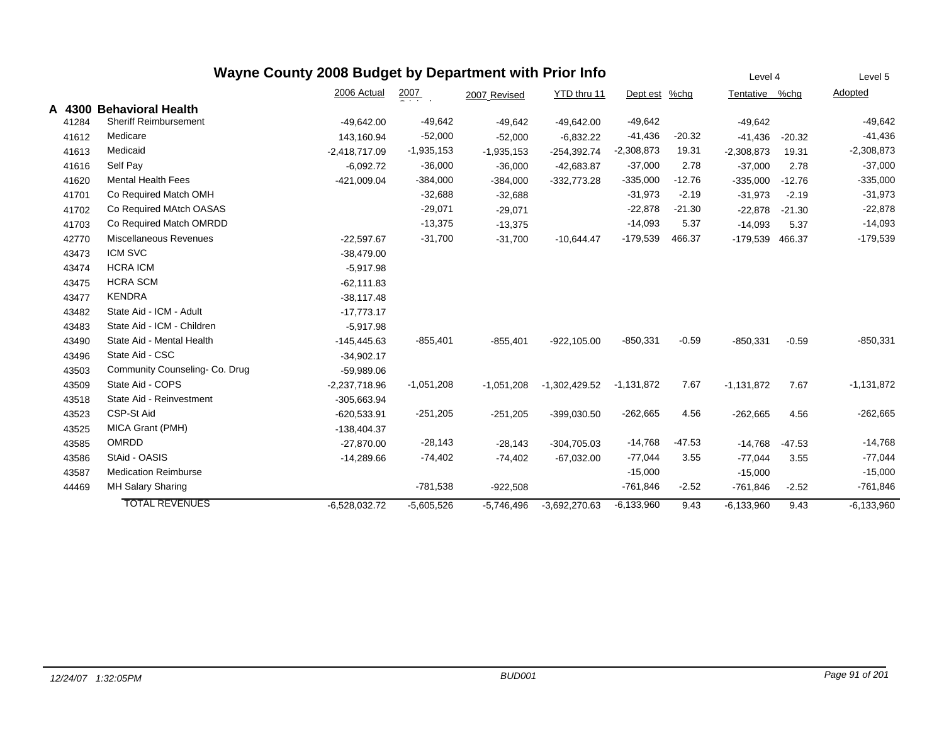|        |                               | Wayne County 2008 Budget by Department with Prior Info |                    |              |                 |                |          | Level 4        |          | Level 5      |
|--------|-------------------------------|--------------------------------------------------------|--------------------|--------------|-----------------|----------------|----------|----------------|----------|--------------|
|        |                               | 2006 Actual                                            | $\frac{2007}{200}$ | 2007 Revised | YTD thru 11     | Dept est       | $%$ chg  | Tentative %chg |          | Adopted      |
| A 4300 | <b>Behavioral Health</b>      |                                                        |                    |              |                 |                |          |                |          |              |
| 41284  | <b>Sheriff Reimbursement</b>  | $-49,642.00$                                           | $-49,642$          | $-49,642$    | $-49,642.00$    | $-49,642$      |          | $-49,642$      |          | $-49,642$    |
| 41612  | Medicare                      | 143,160.94                                             | $-52,000$          | $-52,000$    | $-6,832.22$     | $-41,436$      | $-20.32$ | $-41,436$      | $-20.32$ | $-41,436$    |
| 41613  | Medicaid                      | $-2,418,717.09$                                        | $-1,935,153$       | $-1,935,153$ | $-254,392.74$   | $-2,308,873$   | 19.31    | $-2,308,873$   | 19.31    | $-2,308,873$ |
| 41616  | Self Pay                      | $-6,092.72$                                            | $-36,000$          | $-36,000$    | $-42,683.87$    | $-37,000$      | 2.78     | $-37,000$      | 2.78     | $-37,000$    |
| 41620  | <b>Mental Health Fees</b>     | -421,009.04                                            | $-384,000$         | $-384,000$   | $-332,773.28$   | $-335,000$     | $-12.76$ | $-335,000$     | $-12.76$ | $-335,000$   |
| 41701  | Co Required Match OMH         |                                                        | $-32,688$          | $-32,688$    |                 | $-31,973$      | $-2.19$  | $-31,973$      | $-2.19$  | $-31,973$    |
| 41702  | Co Required MAtch OASAS       |                                                        | $-29,071$          | $-29,071$    |                 | $-22,878$      | $-21.30$ | $-22,878$      | $-21.30$ | $-22,878$    |
| 41703  | Co Required Match OMRDD       |                                                        | $-13,375$          | $-13,375$    |                 | $-14,093$      | 5.37     | $-14,093$      | 5.37     | $-14,093$    |
| 42770  | Miscellaneous Revenues        | $-22,597.67$                                           | $-31,700$          | $-31,700$    | $-10,644.47$    | $-179,539$     | 466.37   | $-179.539$     | 466.37   | $-179,539$   |
| 43473  | <b>ICM SVC</b>                | $-38,479.00$                                           |                    |              |                 |                |          |                |          |              |
| 43474  | <b>HCRA ICM</b>               | $-5,917.98$                                            |                    |              |                 |                |          |                |          |              |
| 43475  | <b>HCRA SCM</b>               | $-62,111.83$                                           |                    |              |                 |                |          |                |          |              |
| 43477  | <b>KENDRA</b>                 | $-38,117.48$                                           |                    |              |                 |                |          |                |          |              |
| 43482  | State Aid - ICM - Adult       | $-17,773.17$                                           |                    |              |                 |                |          |                |          |              |
| 43483  | State Aid - ICM - Children    | $-5,917.98$                                            |                    |              |                 |                |          |                |          |              |
| 43490  | State Aid - Mental Health     | $-145,445.63$                                          | $-855,401$         | $-855,401$   | $-922, 105.00$  | $-850,331$     | $-0.59$  | $-850,331$     | $-0.59$  | $-850,331$   |
| 43496  | State Aid - CSC               | $-34,902.17$                                           |                    |              |                 |                |          |                |          |              |
| 43503  | Community Counseling-Co. Drug | $-59,989.06$                                           |                    |              |                 |                |          |                |          |              |
| 43509  | State Aid - COPS              | $-2,237,718.96$                                        | $-1,051,208$       | $-1,051,208$ | $-1,302,429.52$ | $-1,131,872$   | 7.67     | $-1,131,872$   | 7.67     | $-1,131,872$ |
| 43518  | State Aid - Reinvestment      | $-305,663.94$                                          |                    |              |                 |                |          |                |          |              |
| 43523  | CSP-St Aid                    | $-620,533.91$                                          | $-251,205$         | $-251,205$   | -399,030.50     | $-262,665$     | 4.56     | $-262,665$     | 4.56     | $-262,665$   |
| 43525  | MICA Grant (PMH)              | $-138,404.37$                                          |                    |              |                 |                |          |                |          |              |
| 43585  | <b>OMRDD</b>                  | $-27,870.00$                                           | $-28,143$          | $-28,143$    | $-304,705.03$   | $-14,768$      | $-47.53$ | $-14,768$      | $-47.53$ | $-14,768$    |
| 43586  | StAid - OASIS                 | $-14,289.66$                                           | $-74,402$          | $-74,402$    | $-67,032.00$    | $-77,044$      | 3.55     | $-77,044$      | 3.55     | $-77,044$    |
| 43587  | <b>Medication Reimburse</b>   |                                                        |                    |              |                 | $-15,000$      |          | $-15,000$      |          | $-15,000$    |
| 44469  | MH Salary Sharing             |                                                        | $-781,538$         | $-922,508$   |                 | $-761,846$     | $-2.52$  | $-761,846$     | $-2.52$  | $-761,846$   |
|        | <b>TOTAL REVENUES</b>         | $-6,528,032.72$                                        | $-5,605,526$       | $-5,746,496$ | $-3.692,270.63$ | $-6, 133, 960$ | 9.43     | $-6,133,960$   | 9.43     | $-6,133,960$ |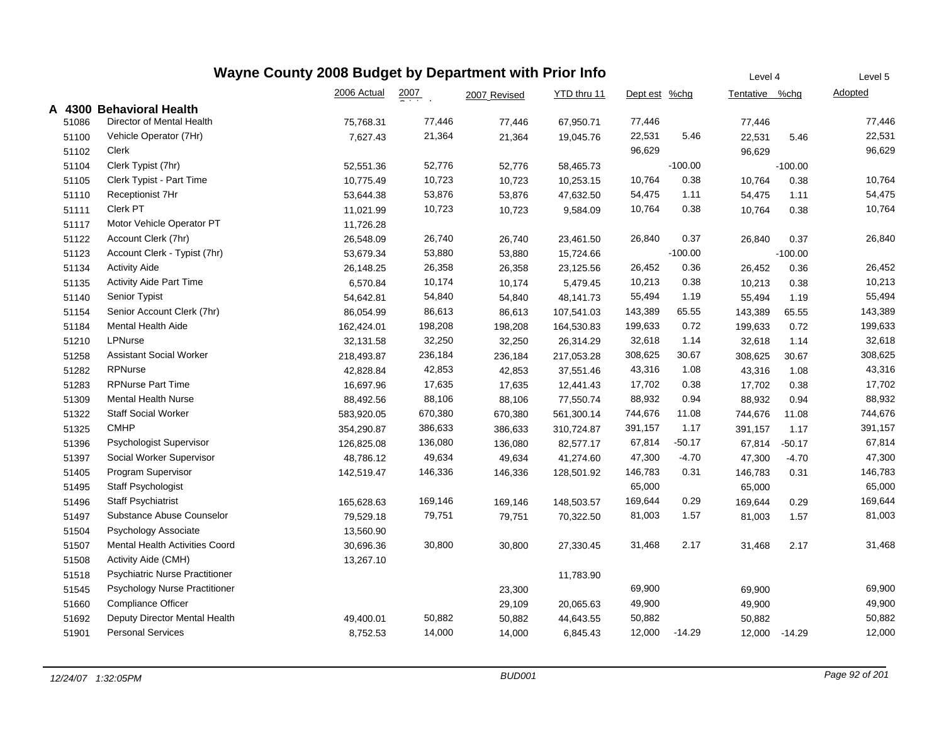|       |                                       | Wayne County 2008 Budget by Department with Prior Info |                    |              |             |               |           | Level 4        |           | Level 5 |
|-------|---------------------------------------|--------------------------------------------------------|--------------------|--------------|-------------|---------------|-----------|----------------|-----------|---------|
|       |                                       | 2006 Actual                                            | $\frac{2007}{200}$ | 2007 Revised | YTD thru 11 | Dept est %chg |           | Tentative %chg |           | Adopted |
|       | A 4300 Behavioral Health              |                                                        |                    |              |             |               |           |                |           |         |
| 51086 | Director of Mental Health             | 75,768.31                                              | 77,446             | 77,446       | 67,950.71   | 77,446        |           | 77,446         |           | 77,446  |
| 51100 | Vehicle Operator (7Hr)                | 7,627.43                                               | 21,364             | 21,364       | 19,045.76   | 22,531        | 5.46      | 22,531         | 5.46      | 22,531  |
| 51102 | <b>Clerk</b>                          |                                                        |                    |              |             | 96,629        |           | 96,629         |           | 96,629  |
| 51104 | Clerk Typist (7hr)                    | 52,551.36                                              | 52,776             | 52,776       | 58,465.73   |               | $-100.00$ |                | $-100.00$ |         |
| 51105 | Clerk Typist - Part Time              | 10,775.49                                              | 10,723             | 10,723       | 10,253.15   | 10,764        | 0.38      | 10,764         | 0.38      | 10,764  |
| 51110 | Receptionist 7Hr                      | 53,644.38                                              | 53,876             | 53,876       | 47,632.50   | 54,475        | 1.11      | 54,475         | 1.11      | 54,475  |
| 51111 | Clerk PT                              | 11,021.99                                              | 10,723             | 10,723       | 9,584.09    | 10,764        | 0.38      | 10,764         | 0.38      | 10,764  |
| 51117 | Motor Vehicle Operator PT             | 11,726.28                                              |                    |              |             |               |           |                |           |         |
| 51122 | Account Clerk (7hr)                   | 26,548.09                                              | 26,740             | 26,740       | 23,461.50   | 26,840        | 0.37      | 26,840         | 0.37      | 26,840  |
| 51123 | Account Clerk - Typist (7hr)          | 53,679.34                                              | 53,880             | 53,880       | 15,724.66   |               | $-100.00$ |                | $-100.00$ |         |
| 51134 | <b>Activity Aide</b>                  | 26,148.25                                              | 26,358             | 26,358       | 23,125.56   | 26,452        | 0.36      | 26,452         | 0.36      | 26,452  |
| 51135 | <b>Activity Aide Part Time</b>        | 6,570.84                                               | 10,174             | 10,174       | 5,479.45    | 10,213        | 0.38      | 10,213         | 0.38      | 10,213  |
| 51140 | Senior Typist                         | 54,642.81                                              | 54,840             | 54,840       | 48,141.73   | 55,494        | 1.19      | 55,494         | 1.19      | 55,494  |
| 51154 | Senior Account Clerk (7hr)            | 86,054.99                                              | 86,613             | 86,613       | 107,541.03  | 143,389       | 65.55     | 143,389        | 65.55     | 143,389 |
| 51184 | Mental Health Aide                    | 162,424.01                                             | 198,208            | 198,208      | 164,530.83  | 199,633       | 0.72      | 199,633        | 0.72      | 199,633 |
| 51210 | LPNurse                               | 32,131.58                                              | 32,250             | 32,250       | 26,314.29   | 32,618        | 1.14      | 32,618         | 1.14      | 32,618  |
| 51258 | <b>Assistant Social Worker</b>        | 218,493.87                                             | 236,184            | 236,184      | 217,053.28  | 308,625       | 30.67     | 308,625        | 30.67     | 308,625 |
| 51282 | RPNurse                               | 42,828.84                                              | 42,853             | 42,853       | 37,551.46   | 43,316        | 1.08      | 43,316         | 1.08      | 43,316  |
| 51283 | <b>RPNurse Part Time</b>              | 16,697.96                                              | 17,635             | 17,635       | 12,441.43   | 17,702        | 0.38      | 17,702         | 0.38      | 17,702  |
| 51309 | <b>Mental Health Nurse</b>            | 88,492.56                                              | 88,106             | 88,106       | 77,550.74   | 88,932        | 0.94      | 88,932         | 0.94      | 88,932  |
| 51322 | <b>Staff Social Worker</b>            | 583,920.05                                             | 670,380            | 670,380      | 561,300.14  | 744,676       | 11.08     | 744,676        | 11.08     | 744,676 |
| 51325 | <b>CMHP</b>                           | 354,290.87                                             | 386,633            | 386,633      | 310,724.87  | 391,157       | 1.17      | 391,157        | 1.17      | 391,157 |
| 51396 | Psychologist Supervisor               | 126,825.08                                             | 136,080            | 136,080      | 82,577.17   | 67,814        | $-50.17$  | 67,814         | $-50.17$  | 67,814  |
| 51397 | Social Worker Supervisor              | 48,786.12                                              | 49,634             | 49,634       | 41,274.60   | 47,300        | $-4.70$   | 47,300         | $-4.70$   | 47,300  |
| 51405 | Program Supervisor                    | 142,519.47                                             | 146,336            | 146,336      | 128,501.92  | 146,783       | 0.31      | 146,783        | 0.31      | 146,783 |
| 51495 | Staff Psychologist                    |                                                        |                    |              |             | 65,000        |           | 65,000         |           | 65,000  |
| 51496 | <b>Staff Psychiatrist</b>             | 165,628.63                                             | 169,146            | 169,146      | 148,503.57  | 169,644       | 0.29      | 169,644        | 0.29      | 169,644 |
| 51497 | Substance Abuse Counselor             | 79,529.18                                              | 79,751             | 79,751       | 70,322.50   | 81,003        | 1.57      | 81,003         | 1.57      | 81,003  |
| 51504 | Psychology Associate                  | 13,560.90                                              |                    |              |             |               |           |                |           |         |
| 51507 | Mental Health Activities Coord        | 30,696.36                                              | 30,800             | 30,800       | 27,330.45   | 31,468        | 2.17      | 31,468         | 2.17      | 31,468  |
| 51508 | Activity Aide (CMH)                   | 13,267.10                                              |                    |              |             |               |           |                |           |         |
| 51518 | <b>Psychiatric Nurse Practitioner</b> |                                                        |                    |              | 11,783.90   |               |           |                |           |         |
| 51545 | Psychology Nurse Practitioner         |                                                        |                    | 23,300       |             | 69,900        |           | 69,900         |           | 69,900  |
| 51660 | <b>Compliance Officer</b>             |                                                        |                    | 29,109       | 20,065.63   | 49,900        |           | 49,900         |           | 49,900  |
| 51692 | Deputy Director Mental Health         | 49,400.01                                              | 50,882             | 50,882       | 44,643.55   | 50,882        |           | 50,882         |           | 50,882  |
| 51901 | <b>Personal Services</b>              | 8,752.53                                               | 14,000             | 14,000       | 6,845.43    | 12,000        | -14.29    | 12,000         | $-14.29$  | 12,000  |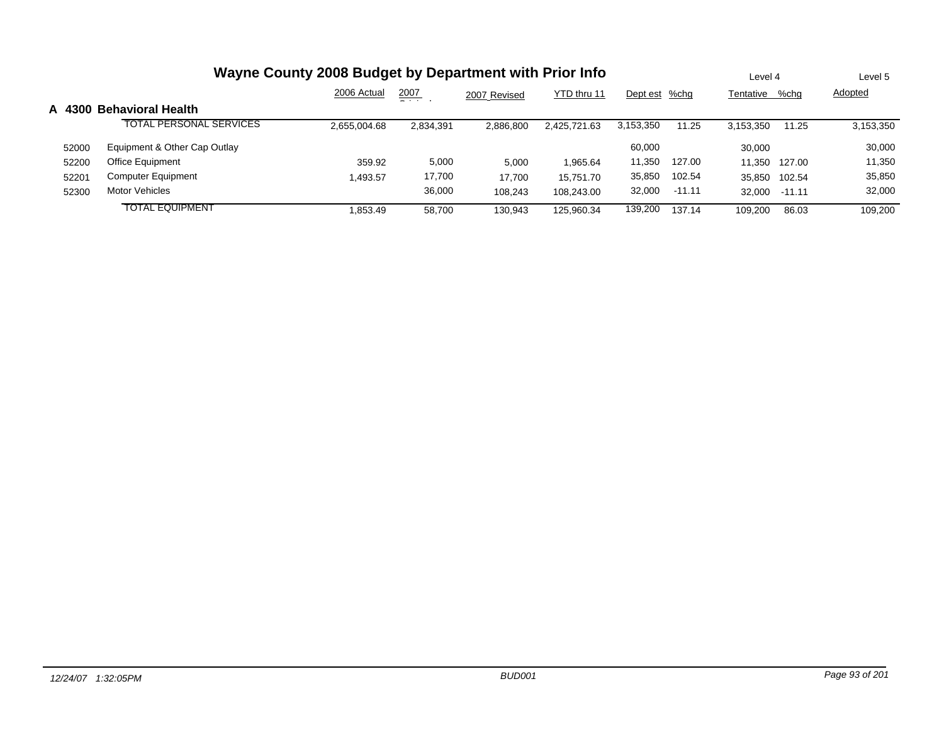|       | Wayne County 2008 Budget by Department with Prior Info |              |               |              |              |               |          |           |          | Level 5   |
|-------|--------------------------------------------------------|--------------|---------------|--------------|--------------|---------------|----------|-----------|----------|-----------|
|       |                                                        | 2006 Actual  | 2007<br>- - - | 2007 Revised | YTD thru 11  | Dept est %chg |          | Tentative | %chq     | Adopted   |
|       | A 4300 Behavioral Health                               |              |               |              |              |               |          |           |          |           |
|       | <b>TOTAL PERSONAL SERVICES</b>                         | 2,655,004.68 | 2,834,391     | 2.886.800    | 2.425.721.63 | 3,153,350     | 11.25    | 3.153.350 | 11.25    | 3,153,350 |
| 52000 | Equipment & Other Cap Outlay                           |              |               |              |              | 60.000        |          | 30,000    |          | 30,000    |
| 52200 | Office Equipment                                       | 359.92       | 5,000         | 5.000        | 1.965.64     | 11,350        | 127.00   | 11.350    | 127.00   | 11,350    |
| 52201 | <b>Computer Equipment</b>                              | .493.57      | 17,700        | 17.700       | 15.751.70    | 35,850        | 102.54   | 35.850    | 102.54   | 35,850    |
| 52300 | Motor Vehicles                                         |              | 36.000        | 108.243      | 108.243.00   | 32,000        | $-11.11$ | 32.000    | $-11.11$ | 32,000    |
|       | <b>TOTAL EQUIPMENT</b>                                 | .853.49      | 58.700        | 130.943      | 125.960.34   | 139,200       | 137.14   | 109.200   | 86.03    | 109.200   |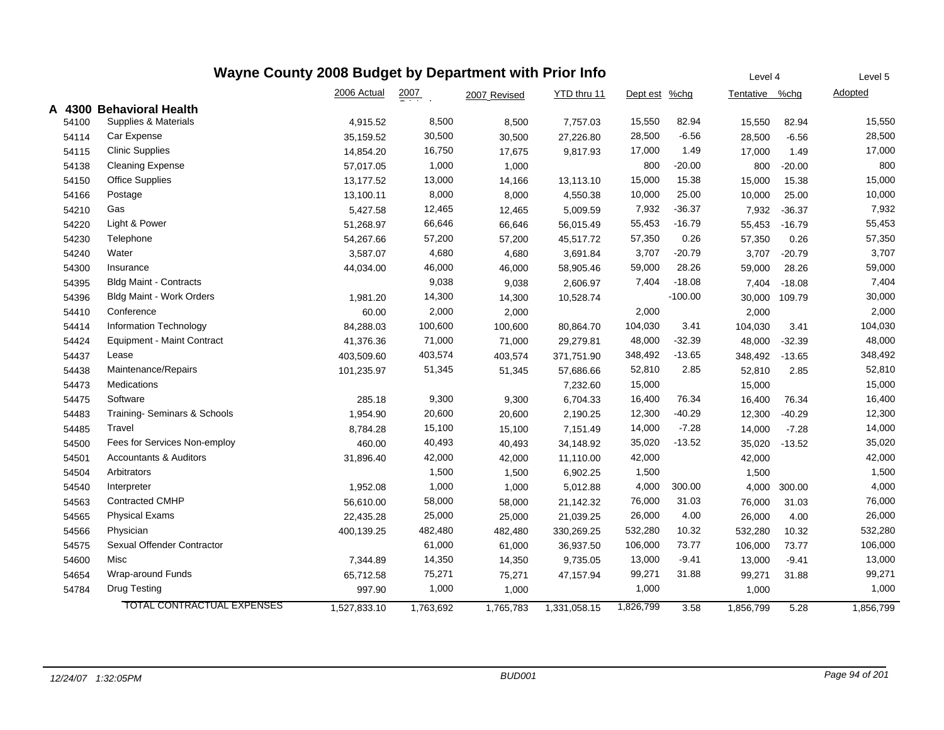| Wayne County 2008 Budget by Department with Prior Info<br>Level 4<br>Level 5 |                                   |              |                    |              |              |           |           |                |          |           |  |
|------------------------------------------------------------------------------|-----------------------------------|--------------|--------------------|--------------|--------------|-----------|-----------|----------------|----------|-----------|--|
|                                                                              |                                   | 2006 Actual  | $\frac{2007}{200}$ | 2007 Revised | YTD thru 11  | Dept est  | $%$ chg   | Tentative %chg |          | Adopted   |  |
|                                                                              | A 4300 Behavioral Health          |              |                    |              |              |           |           |                |          |           |  |
| 54100                                                                        | Supplies & Materials              | 4,915.52     | 8,500              | 8,500        | 7,757.03     | 15,550    | 82.94     | 15,550         | 82.94    | 15,550    |  |
| 54114                                                                        | Car Expense                       | 35,159.52    | 30,500             | 30,500       | 27,226.80    | 28,500    | $-6.56$   | 28,500         | $-6.56$  | 28,500    |  |
| 54115                                                                        | <b>Clinic Supplies</b>            | 14,854.20    | 16,750             | 17,675       | 9,817.93     | 17,000    | 1.49      | 17,000         | 1.49     | 17,000    |  |
| 54138                                                                        | <b>Cleaning Expense</b>           | 57,017.05    | 1,000              | 1,000        |              | 800       | $-20.00$  | 800            | $-20.00$ | 800       |  |
| 54150                                                                        | <b>Office Supplies</b>            | 13,177.52    | 13,000             | 14,166       | 13,113.10    | 15,000    | 15.38     | 15,000         | 15.38    | 15,000    |  |
| 54166                                                                        | Postage                           | 13,100.11    | 8,000              | 8,000        | 4,550.38     | 10,000    | 25.00     | 10,000         | 25.00    | 10,000    |  |
| 54210                                                                        | Gas                               | 5,427.58     | 12,465             | 12,465       | 5,009.59     | 7,932     | $-36.37$  | 7,932          | $-36.37$ | 7,932     |  |
| 54220                                                                        | Light & Power                     | 51,268.97    | 66,646             | 66,646       | 56,015.49    | 55,453    | $-16.79$  | 55,453         | $-16.79$ | 55,453    |  |
| 54230                                                                        | Telephone                         | 54,267.66    | 57,200             | 57,200       | 45,517.72    | 57,350    | 0.26      | 57,350         | 0.26     | 57,350    |  |
| 54240                                                                        | Water                             | 3,587.07     | 4,680              | 4,680        | 3,691.84     | 3,707     | $-20.79$  | 3,707          | $-20.79$ | 3,707     |  |
| 54300                                                                        | Insurance                         | 44,034.00    | 46,000             | 46,000       | 58,905.46    | 59,000    | 28.26     | 59,000         | 28.26    | 59,000    |  |
| 54395                                                                        | <b>Bldg Maint - Contracts</b>     |              | 9,038              | 9,038        | 2,606.97     | 7,404     | $-18.08$  | 7,404          | $-18.08$ | 7,404     |  |
| 54396                                                                        | <b>Bldg Maint - Work Orders</b>   | 1,981.20     | 14,300             | 14,300       | 10,528.74    |           | $-100.00$ | 30,000         | 109.79   | 30,000    |  |
| 54410                                                                        | Conference                        | 60.00        | 2,000              | 2,000        |              | 2,000     |           | 2,000          |          | 2,000     |  |
| 54414                                                                        | Information Technology            | 84,288.03    | 100,600            | 100,600      | 80,864.70    | 104,030   | 3.41      | 104,030        | 3.41     | 104,030   |  |
| 54424                                                                        | <b>Equipment - Maint Contract</b> | 41,376.36    | 71,000             | 71,000       | 29,279.81    | 48,000    | $-32.39$  | 48,000         | $-32.39$ | 48,000    |  |
| 54437                                                                        | Lease                             | 403,509.60   | 403,574            | 403,574      | 371,751.90   | 348,492   | $-13.65$  | 348,492        | $-13.65$ | 348,492   |  |
| 54438                                                                        | Maintenance/Repairs               | 101,235.97   | 51,345             | 51,345       | 57,686.66    | 52,810    | 2.85      | 52,810         | 2.85     | 52,810    |  |
| 54473                                                                        | Medications                       |              |                    |              | 7,232.60     | 15,000    |           | 15,000         |          | 15,000    |  |
| 54475                                                                        | Software                          | 285.18       | 9,300              | 9,300        | 6,704.33     | 16,400    | 76.34     | 16,400         | 76.34    | 16,400    |  |
| 54483                                                                        | Training- Seminars & Schools      | 1,954.90     | 20,600             | 20,600       | 2,190.25     | 12,300    | $-40.29$  | 12,300         | $-40.29$ | 12,300    |  |
| 54485                                                                        | Travel                            | 8,784.28     | 15,100             | 15,100       | 7,151.49     | 14,000    | $-7.28$   | 14,000         | $-7.28$  | 14,000    |  |
| 54500                                                                        | Fees for Services Non-employ      | 460.00       | 40,493             | 40,493       | 34,148.92    | 35,020    | $-13.52$  | 35,020         | $-13.52$ | 35,020    |  |
| 54501                                                                        | <b>Accountants &amp; Auditors</b> | 31,896.40    | 42,000             | 42,000       | 11,110.00    | 42,000    |           | 42,000         |          | 42,000    |  |
| 54504                                                                        | Arbitrators                       |              | 1,500              | 1,500        | 6,902.25     | 1,500     |           | 1,500          |          | 1,500     |  |
| 54540                                                                        | Interpreter                       | 1,952.08     | 1,000              | 1,000        | 5,012.88     | 4,000     | 300.00    | 4,000          | 300.00   | 4,000     |  |
| 54563                                                                        | <b>Contracted CMHP</b>            | 56,610.00    | 58,000             | 58,000       | 21,142.32    | 76,000    | 31.03     | 76,000         | 31.03    | 76,000    |  |
| 54565                                                                        | <b>Physical Exams</b>             | 22,435.28    | 25,000             | 25,000       | 21,039.25    | 26,000    | 4.00      | 26,000         | 4.00     | 26,000    |  |
| 54566                                                                        | Physician                         | 400,139.25   | 482,480            | 482,480      | 330,269.25   | 532,280   | 10.32     | 532,280        | 10.32    | 532,280   |  |
| 54575                                                                        | Sexual Offender Contractor        |              | 61,000             | 61,000       | 36,937.50    | 106,000   | 73.77     | 106,000        | 73.77    | 106,000   |  |
| 54600                                                                        | Misc                              | 7,344.89     | 14,350             | 14,350       | 9,735.05     | 13,000    | $-9.41$   | 13,000         | $-9.41$  | 13,000    |  |
| 54654                                                                        | Wrap-around Funds                 | 65,712.58    | 75,271             | 75,271       | 47,157.94    | 99,271    | 31.88     | 99,271         | 31.88    | 99,271    |  |
| 54784                                                                        | <b>Drug Testing</b>               | 997.90       | 1,000              | 1,000        |              | 1,000     |           | 1,000          |          | 1,000     |  |
|                                                                              | <b>TOTAL CONTRACTUAL EXPENSES</b> | 1,527,833.10 | 1,763,692          | 1,765,783    | 1,331,058.15 | 1,826,799 | 3.58      | 1,856,799      | 5.28     | 1,856,799 |  |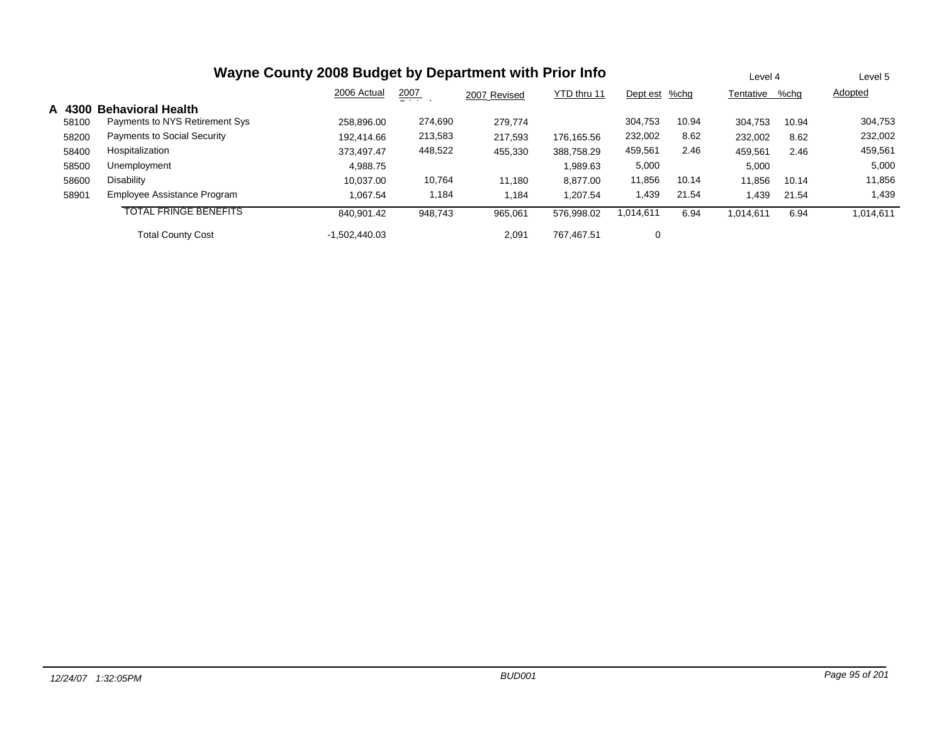|        | Wayne County 2008 Budget by Department with Prior Info |                 | Level 4       |              | Level 5     |               |       |                |       |           |
|--------|--------------------------------------------------------|-----------------|---------------|--------------|-------------|---------------|-------|----------------|-------|-----------|
|        |                                                        | 2006 Actual     | 2007<br>$  -$ | 2007 Revised | YTD thru 11 | Dept est %chg |       | Tentative %chg |       | Adopted   |
| A 4300 | <b>Behavioral Health</b>                               |                 |               |              |             |               |       |                |       |           |
| 58100  | Payments to NYS Retirement Sys                         | 258.896.00      | 274,690       | 279,774      |             | 304,753       | 10.94 | 304,753        | 10.94 | 304,753   |
| 58200  | <b>Payments to Social Security</b>                     | 192,414.66      | 213,583       | 217,593      | 176.165.56  | 232,002       | 8.62  | 232,002        | 8.62  | 232,002   |
| 58400  | Hospitalization                                        | 373.497.47      | 448,522       | 455,330      | 388.758.29  | 459,561       | 2.46  | 459,561        | 2.46  | 459,561   |
| 58500  | Unemployment                                           | 4,988.75        |               |              | .989.63     | 5,000         |       | 5,000          |       | 5,000     |
| 58600  | Disability                                             | 10.037.00       | 10,764        | 11,180       | 8.877.00    | 11,856        | 10.14 | 11,856         | 10.14 | 11,856    |
| 58901  | Employee Assistance Program                            | 1.067.54        | 1,184         | 1,184        | 1.207.54    | 1,439         | 21.54 | 439، ا         | 21.54 | 1,439     |
|        | <b>TOTAL FRINGE BENEFITS</b>                           | 840.901.42      | 948.743       | 965,061      | 576.998.02  | 1,014,611     | 6.94  | 1,014,611      | 6.94  | 1,014,611 |
|        | <b>Total County Cost</b>                               | $-1.502.440.03$ |               | 2.091        | 767.467.51  | 0             |       |                |       |           |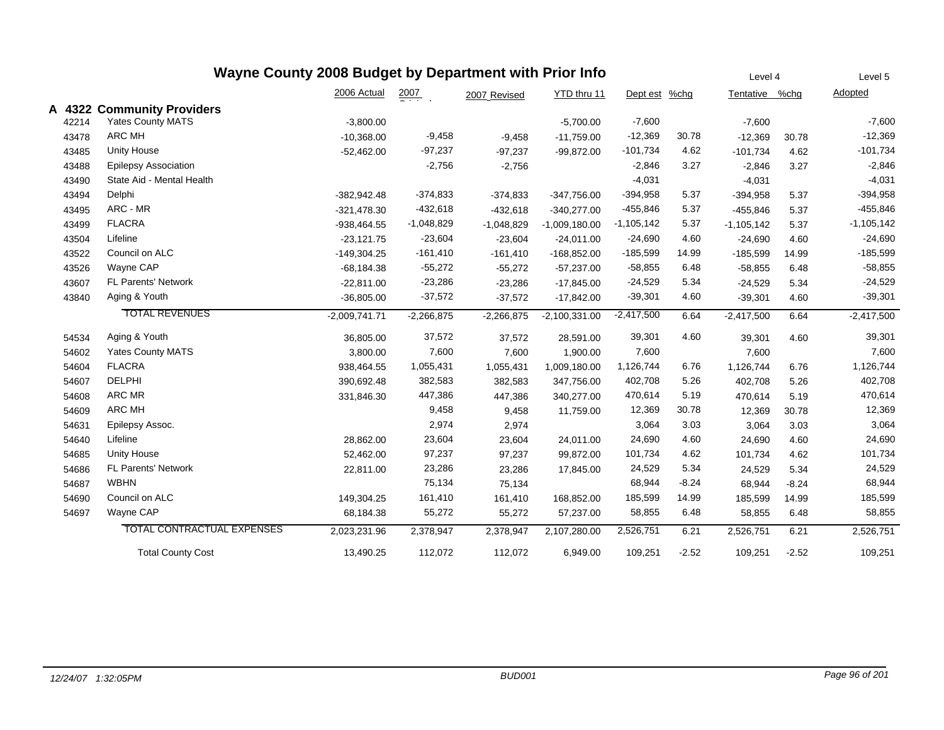## **Wayne County 2008 Budget by Department with Prior Info** <u>Tentative %chg</u> Level 42007 YTD thru 11 Oi i l2006 Actual2007 Revised Dept est %chg Level 5Adopted **A 4322 Communit y Providers** 42214 Yates County MATS -3,800.00 -5,700.00 -7,600 -7,600 -7,600 434788 ARC MH -10,368.00 -9,458 -9,458 -11,759.00 -12,369 30.78 -12,369 30.78 -12,369 434855 Unity House -52,462.00 -97,237 -97,237 -99,872.00 -101,734 4.62 -101,734 4.62 -101,734 434888 Epilepsy Association -2,756 -2,846 3.27 -2,846 43490State Aid - Mental Health **-4,031** -4,031 -4,031 -4,031 -4,031 -4,031 -4,031 -4,031 -4,031 -4,031 -4,031 -4,031 -4,031 -4,031 -4,031 -4,031 -4,031 -4,031 -4,031 -4,031 -4,031 -4,031 -4,031 -4,031 -4,031 -4,031 -4,031 -4,03 434944 Delphi -382,942.48 -374,833 -374,833 -347,756.00 -394,958 5.37 -394,958 5.37 -394,958 434955 ARC - MR -321,478.30 -432,618 -432,618 -340,277.00 -455,846 5.37 -455,846 5.37 -455,846 434999 FLACRA -938,464.55 -1,048,829 -1,048,829 -1,009,180.00 -1,105,142 5.37 -1,105,142 5.37 -1,105,142 435044 Lifeline -23,121.75 -23,604 -24,011.00 -24,690 4.60 -24,690 4.60 -24,690 435222 Council on ALC -149,304.25 -161,410 -161,410 -168,852.00 -185,599 14.99 -185,599 -185,599 435266 Wayne CAP -68,184.38 -55,272 -55,272 -57,237.00 -58,855 6.48 -58,855 6.48 -58,855 43607 FL Parents' Network -22,811.00 -23,286 -23,286 5.34 -17,845.00 -24,529 -24,529 -24,529 5.34 438400 Aging & Youth -36,805.00 -37,572 -37,572 -17,842.00 -39,301 4.60 -39,301 4.60 TOTAL REVENUES -2,009,741.71 -2,266,875 -2,266,875 6.64 6.64 -2,100,331.00 -2,417,500 -2,417,500 -2,417,500 545344 Aging & Youth 36,805.00 37,572 28,591.00 39,301 4.60 39,301 4.60 39,301 54602Yates County MATS **3,800.00** 3,800.00 7,600 7,600 7,600 7,600 7,600 7,600 7,600 7,600 546044 FLACRA 938,464.55 1,055,431 1,055,431 1,009,180.00 1,126,744 6.76 1,126,744 6.76 1,126,744 54607 DELPHI 390,692.48 382,583 382,583 5.26 347,756.00 402,708 402,708 402,708 5.26 546088 ARC MR 331,846.30 447,386 447,386 340,277.00 470,614 5.19 470,614 5.19 470,614 546099 ARC MH 9,458 9,458 11,759.00 12,369 30.78 12,369 30.78 12,369 546311 Epilepsy Assoc. 2,974 3,064 3.03 3,064 3.03 3,064 546400 Lifeline 28,862.00 23,604 23,604 24,011.00 24,690 4.60 24,690 546855 Unity House 52,462.00 97,237 97,237 99,872.00 101,734 4.62 101,734 4.62 101,734 54686 FL Parents' Network 22,811.00 23,286 23,286 5.34 17,845.00 24,529 24,529 24,529 5.34 546877 WBHN 75,134 68,944 -8.24 68,944 -8.24 68,944 546900 Council on ALC 149,304.25 161,410 161,410 168,852.00 185,599 14.99 165,599 14.99 546977 Wayne CAP 68,184.38 55,272 55,272 57,237.00 58,855 6.48 58,855 6.48 58,855 TOTAL CONTRACTUAL EXPENSES 2,023,231.96 2,378,947 2,378,947 6.21 6.21 2,107,280.00 2,526,751 2,526,751 2,526,751 Total County Cost 13,490.25 112,072 112,072 6,949.00 109,251 -2.52 109,251 -2.52 109,251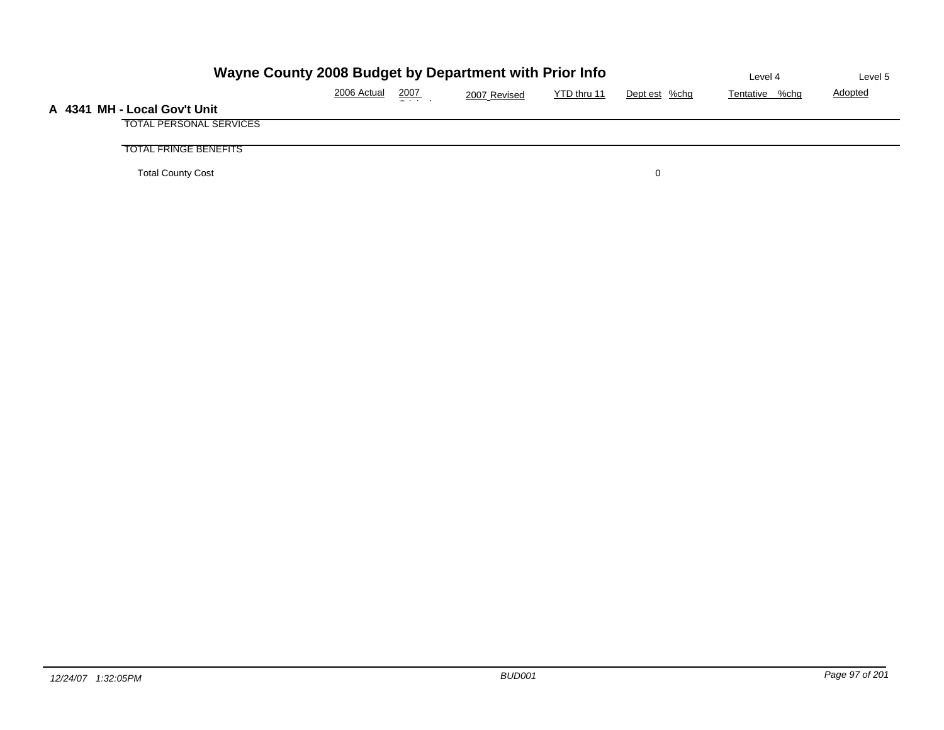| Wayne County 2008 Budget by Department with Prior Info |             | Level 4 | Level 5      |             |               |                |                |
|--------------------------------------------------------|-------------|---------|--------------|-------------|---------------|----------------|----------------|
|                                                        | 2006 Actual | 2007    | 2007 Revised | YTD thru 11 | Dept est %chg | Tentative %chg | <b>Adopted</b> |
| A 4341 MH - Local Gov't Unit                           |             |         |              |             |               |                |                |
| <b>TOTAL PERSONAL SERVICES</b>                         |             |         |              |             |               |                |                |
| <b>TOTAL FRINGE BENEFITS</b>                           |             |         |              |             |               |                |                |
| <b>Total County Cost</b>                               |             |         |              |             | 0             |                |                |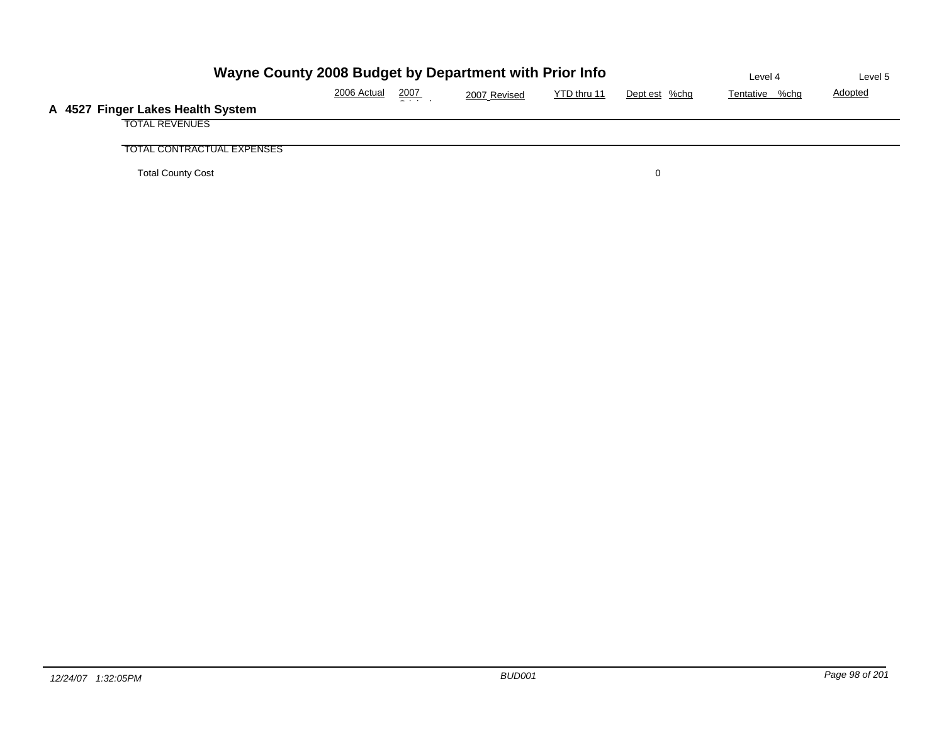| Wayne County 2008 Budget by Department with Prior Info | Level 4     | Level 5          |              |             |               |                |                |
|--------------------------------------------------------|-------------|------------------|--------------|-------------|---------------|----------------|----------------|
|                                                        | 2006 Actual | $\frac{2007}{2}$ | 2007 Revised | YTD thru 11 | Dept est %chg | Tentative %chg | <b>Adopted</b> |
| A 4527 Finger Lakes Health System                      |             |                  |              |             |               |                |                |
| <b>TOTAL REVENUES</b>                                  |             |                  |              |             |               |                |                |
| TOTAL CONTRACTUAL EXPENSES                             |             |                  |              |             |               |                |                |
| <b>Total County Cost</b>                               |             |                  |              |             |               |                |                |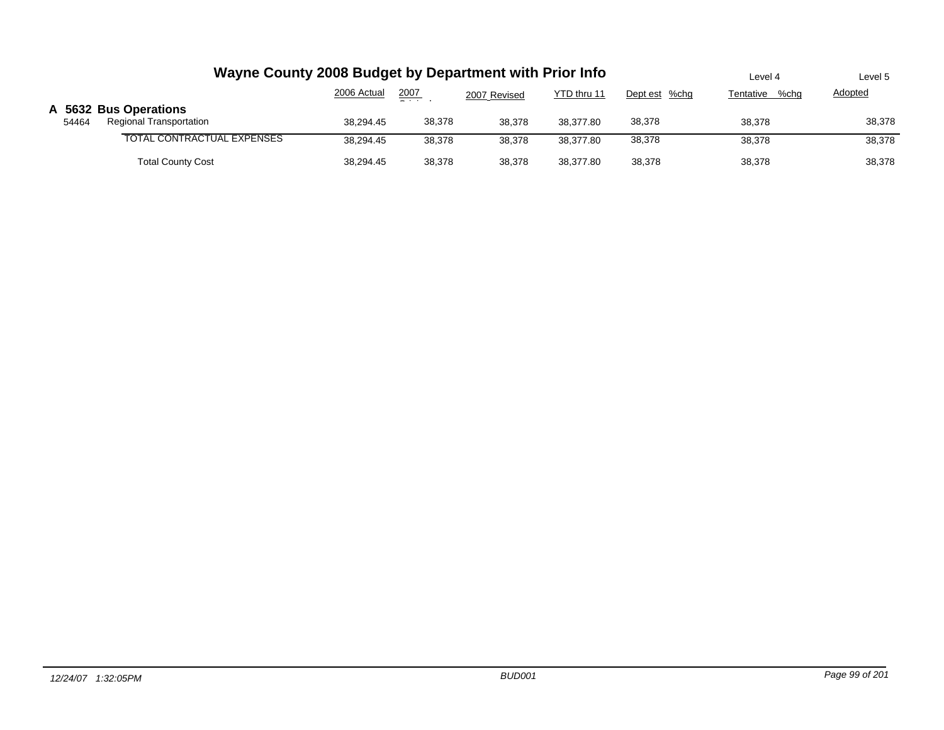|       | Wayne County 2008 Budget by Department with Prior Info  | Level 4     | Level 5 |              |             |               |                   |         |
|-------|---------------------------------------------------------|-------------|---------|--------------|-------------|---------------|-------------------|---------|
|       |                                                         | 2006 Actual | 2007    | 2007 Revised | YTD thru 11 | Dept est %chg | %chg<br>Tentative | Adopted |
| 54464 | A 5632 Bus Operations<br><b>Regional Transportation</b> | 38,294.45   | 38,378  | 38,378       | 38.377.80   | 38.378        | 38.378            | 38,378  |
|       | TOTAL CONTRACTUAL EXPENSES                              | 38.294.45   | 38.378  | 38.378       | 38.377.80   | 38,378        | 38.378            | 38,378  |
|       | <b>Total County Cost</b>                                | 38,294.45   | 38,378  | 38,378       | 38.377.80   | 38,378        | 38,378            | 38,378  |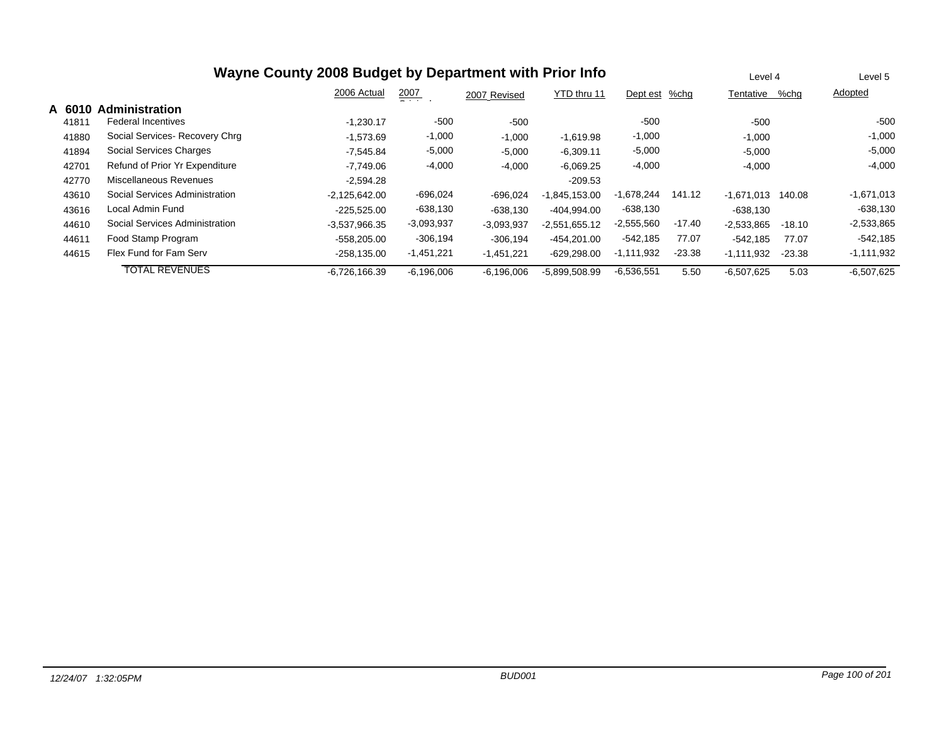| Wayne County 2008 Budget by Department with Prior Info |                                |                 |              |              |                 |               |          |              | Level 4  |              |
|--------------------------------------------------------|--------------------------------|-----------------|--------------|--------------|-----------------|---------------|----------|--------------|----------|--------------|
|                                                        |                                | 2006 Actual     | 2007         | 2007 Revised | YTD thru 11     | Dept est %chg |          | Tentative    | %chq     | Adopted      |
| A 601                                                  | <b>Administration</b>          |                 |              |              |                 |               |          |              |          |              |
| 41811                                                  | <b>Federal Incentives</b>      | $-1.230.17$     | $-500$       | $-500$       |                 | $-500$        |          | $-500$       |          | $-500$       |
| 41880                                                  | Social Services-Recovery Chrg  | $-1,573.69$     | $-1,000$     | $-1,000$     | $-1,619.98$     | $-1,000$      |          | $-1,000$     |          | $-1,000$     |
| 41894                                                  | Social Services Charges        | $-7.545.84$     | $-5,000$     | $-5,000$     | $-6.309.11$     | $-5,000$      |          | $-5.000$     |          | $-5,000$     |
| 42701                                                  | Refund of Prior Yr Expenditure | $-7.749.06$     | $-4,000$     | $-4,000$     | $-6,069.25$     | $-4,000$      |          | $-4,000$     |          | $-4,000$     |
| 42770                                                  | Miscellaneous Revenues         | $-2.594.28$     |              |              | $-209.53$       |               |          |              |          |              |
| 43610                                                  | Social Services Administration | $-2,125,642.00$ | $-696,024$   | -696,024     | $-1,845,153.00$ | $-1,678,244$  | 141.12   | $-1.671.013$ | 140.08   | $-1,671,013$ |
| 43616                                                  | Local Admin Fund               | -225,525.00     | -638,130     | -638,130     | -404,994.00     | $-638,130$    |          | $-638.130$   |          | $-638,130$   |
| 44610                                                  | Social Services Administration | $-3.537.966.35$ | $-3,093,937$ | $-3,093,937$ | $-2,551,655.12$ | $-2,555,560$  | $-17.40$ | $-2,533,865$ | $-18.10$ | $-2,533,865$ |
| 44611                                                  | Food Stamp Program             | -558.205.00     | $-306,194$   | $-306.194$   | $-454.201.00$   | $-542.185$    | 77.07    | $-542.185$   | 77.07    | $-542,185$   |
| 44615                                                  | Flex Fund for Fam Serv         | $-258,135.00$   | $-1,451,221$ | $-1,451,221$ | $-629,298.00$   | $-1,111,932$  | $-23.38$ | $-1,111,932$ | $-23.38$ | $-1,111,932$ |
|                                                        | <b>TOTAL REVENUES</b>          | -6,726,166.39   | $-6,196,006$ | $-6,196,006$ | $-5,899,508.99$ | $-6,536,551$  | 5.50     | $-6,507,625$ | 5.03     | $-6,507,625$ |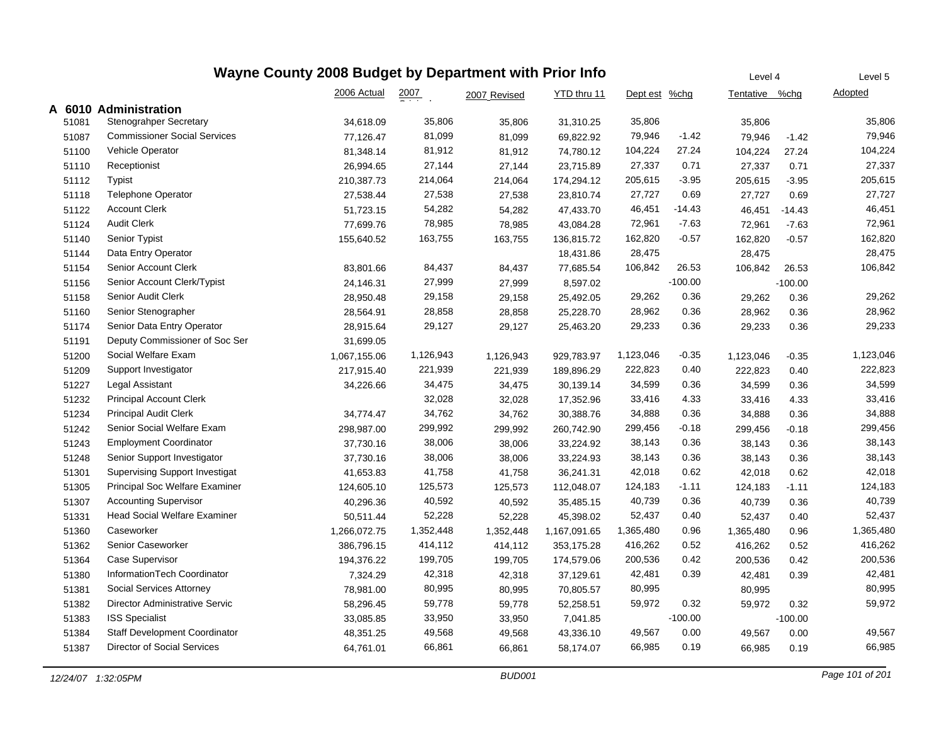|       | Wayne County 2008 Budget by Department with Prior Info | Level 4      | Level 5   |              |              |               |           |                |           |                |
|-------|--------------------------------------------------------|--------------|-----------|--------------|--------------|---------------|-----------|----------------|-----------|----------------|
|       |                                                        | 2006 Actual  | 2007      | 2007 Revised | YTD thru 11  | Dept est %chg |           | Tentative %chg |           | <u>Adopted</u> |
|       | A 6010 Administration                                  |              |           |              |              |               |           |                |           |                |
| 51081 | <b>Stenograhper Secretary</b>                          | 34,618.09    | 35,806    | 35,806       | 31,310.25    | 35,806        |           | 35,806         |           | 35,806         |
| 51087 | <b>Commissioner Social Services</b>                    | 77,126.47    | 81,099    | 81,099       | 69,822.92    | 79,946        | $-1.42$   | 79,946         | $-1.42$   | 79,946         |
| 51100 | Vehicle Operator                                       | 81,348.14    | 81,912    | 81,912       | 74,780.12    | 104,224       | 27.24     | 104,224        | 27.24     | 104,224        |
| 51110 | Receptionist                                           | 26,994.65    | 27,144    | 27,144       | 23,715.89    | 27,337        | 0.71      | 27,337         | 0.71      | 27,337         |
| 51112 | <b>Typist</b>                                          | 210,387.73   | 214,064   | 214,064      | 174,294.12   | 205,615       | $-3.95$   | 205,615        | $-3.95$   | 205,615        |
| 51118 | <b>Telephone Operator</b>                              | 27,538.44    | 27,538    | 27,538       | 23,810.74    | 27,727        | 0.69      | 27,727         | 0.69      | 27,727         |
| 51122 | <b>Account Clerk</b>                                   | 51,723.15    | 54,282    | 54,282       | 47,433.70    | 46,451        | -14.43    | 46,451         | $-14.43$  | 46,451         |
| 51124 | <b>Audit Clerk</b>                                     | 77,699.76    | 78,985    | 78,985       | 43,084.28    | 72,961        | $-7.63$   | 72,961         | $-7.63$   | 72,961         |
| 51140 | Senior Typist                                          | 155,640.52   | 163,755   | 163,755      | 136,815.72   | 162,820       | $-0.57$   | 162,820        | $-0.57$   | 162,820        |
| 51144 | Data Entry Operator                                    |              |           |              | 18,431.86    | 28,475        |           | 28,475         |           | 28,475         |
| 51154 | Senior Account Clerk                                   | 83,801.66    | 84,437    | 84,437       | 77,685.54    | 106,842       | 26.53     | 106,842        | 26.53     | 106,842        |
| 51156 | Senior Account Clerk/Typist                            | 24,146.31    | 27,999    | 27,999       | 8,597.02     |               | $-100.00$ |                | $-100.00$ |                |
| 51158 | Senior Audit Clerk                                     | 28,950.48    | 29,158    | 29,158       | 25,492.05    | 29,262        | 0.36      | 29,262         | 0.36      | 29,262         |
| 51160 | Senior Stenographer                                    | 28,564.91    | 28,858    | 28,858       | 25,228.70    | 28,962        | 0.36      | 28,962         | 0.36      | 28,962         |
| 51174 | Senior Data Entry Operator                             | 28,915.64    | 29,127    | 29,127       | 25,463.20    | 29,233        | 0.36      | 29,233         | 0.36      | 29,233         |
| 51191 | Deputy Commissioner of Soc Ser                         | 31,699.05    |           |              |              |               |           |                |           |                |
| 51200 | Social Welfare Exam                                    | 1,067,155.06 | 1,126,943 | 1,126,943    | 929,783.97   | 1,123,046     | $-0.35$   | 1,123,046      | $-0.35$   | 1,123,046      |
| 51209 | Support Investigator                                   | 217,915.40   | 221,939   | 221,939      | 189,896.29   | 222,823       | 0.40      | 222,823        | 0.40      | 222,823        |
| 51227 | Legal Assistant                                        | 34,226.66    | 34,475    | 34,475       | 30,139.14    | 34,599        | 0.36      | 34,599         | 0.36      | 34,599         |
| 51232 | <b>Principal Account Clerk</b>                         |              | 32,028    | 32,028       | 17,352.96    | 33,416        | 4.33      | 33,416         | 4.33      | 33,416         |
| 51234 | <b>Principal Audit Clerk</b>                           | 34,774.47    | 34,762    | 34,762       | 30,388.76    | 34,888        | 0.36      | 34,888         | 0.36      | 34,888         |
| 51242 | Senior Social Welfare Exam                             | 298,987.00   | 299,992   | 299,992      | 260,742.90   | 299,456       | $-0.18$   | 299,456        | $-0.18$   | 299,456        |
| 51243 | <b>Employment Coordinator</b>                          | 37,730.16    | 38,006    | 38,006       | 33,224.92    | 38,143        | 0.36      | 38,143         | 0.36      | 38,143         |
| 51248 | Senior Support Investigator                            | 37,730.16    | 38,006    | 38,006       | 33,224.93    | 38,143        | 0.36      | 38,143         | 0.36      | 38,143         |
| 51301 | <b>Supervising Support Investigat</b>                  | 41,653.83    | 41,758    | 41,758       | 36,241.31    | 42,018        | 0.62      | 42,018         | 0.62      | 42,018         |
| 51305 | Principal Soc Welfare Examiner                         | 124,605.10   | 125,573   | 125,573      | 112,048.07   | 124,183       | $-1.11$   | 124,183        | $-1.11$   | 124,183        |
| 51307 | <b>Accounting Supervisor</b>                           | 40,296.36    | 40,592    | 40,592       | 35,485.15    | 40,739        | 0.36      | 40,739         | 0.36      | 40,739         |
| 51331 | <b>Head Social Welfare Examiner</b>                    | 50,511.44    | 52,228    | 52,228       | 45,398.02    | 52,437        | 0.40      | 52,437         | 0.40      | 52,437         |
| 51360 | Caseworker                                             | 1,266,072.75 | 1,352,448 | 1,352,448    | 1,167,091.65 | 1,365,480     | 0.96      | 1,365,480      | 0.96      | 1,365,480      |
| 51362 | Senior Caseworker                                      | 386,796.15   | 414,112   | 414,112      | 353,175.28   | 416,262       | 0.52      | 416,262        | 0.52      | 416,262        |
| 51364 | Case Supervisor                                        | 194,376.22   | 199,705   | 199,705      | 174,579.06   | 200,536       | 0.42      | 200,536        | 0.42      | 200,536        |
| 51380 | InformationTech Coordinator                            | 7,324.29     | 42,318    | 42,318       | 37,129.61    | 42,481        | 0.39      | 42,481         | 0.39      | 42,481         |
| 51381 | Social Services Attorney                               | 78,981.00    | 80,995    | 80,995       | 70,805.57    | 80,995        |           | 80,995         |           | 80,995         |
| 51382 | Director Administrative Servic                         | 58,296.45    | 59,778    | 59,778       | 52,258.51    | 59,972        | 0.32      | 59,972         | 0.32      | 59,972         |
| 51383 | <b>ISS Specialist</b>                                  | 33,085.85    | 33,950    | 33,950       | 7,041.85     |               | $-100.00$ |                | $-100.00$ |                |
| 51384 | <b>Staff Development Coordinator</b>                   | 48,351.25    | 49,568    | 49,568       | 43,336.10    | 49,567        | 0.00      | 49,567         | 0.00      | 49,567         |
| 51387 | <b>Director of Social Services</b>                     | 64,761.01    | 66,861    | 66,861       | 58,174.07    | 66,985        | 0.19      | 66,985         | 0.19      | 66,985         |
|       |                                                        |              |           |              |              |               |           |                |           |                |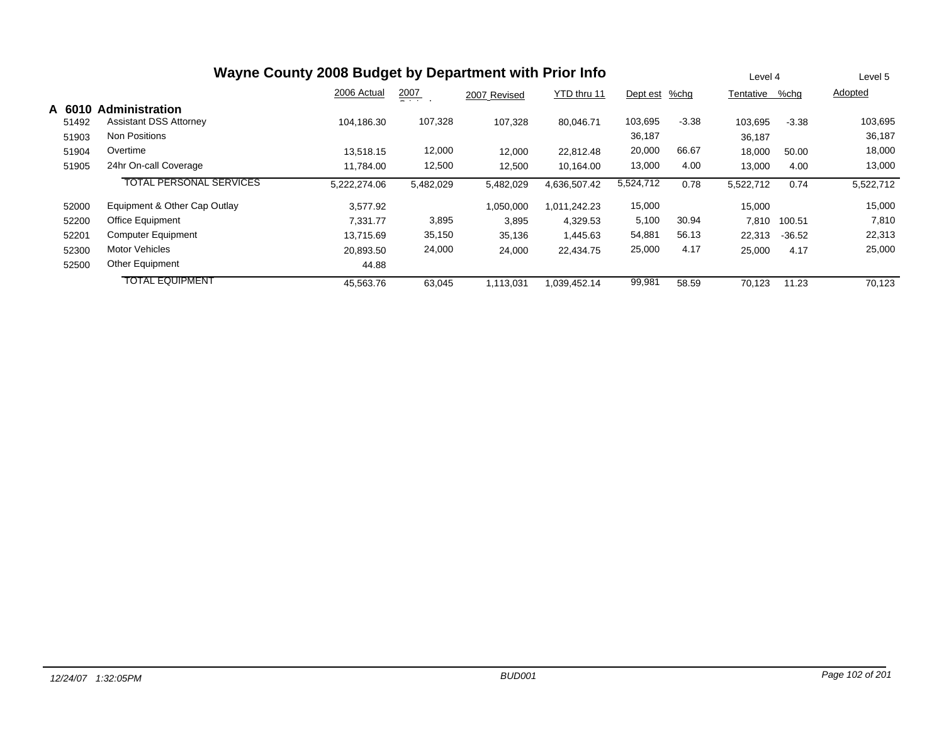|        | Wayne County 2008 Budget by Department with Prior Info | Level 4      |           | Level 5      |              |           |         |           |          |           |
|--------|--------------------------------------------------------|--------------|-----------|--------------|--------------|-----------|---------|-----------|----------|-----------|
|        |                                                        | 2006 Actual  | 2007      | 2007 Revised | YTD thru 11  | Dept est  | %chq    | Tentative | %chq     | Adopted   |
| A 6010 | <b>Administration</b>                                  |              |           |              |              |           |         |           |          |           |
| 51492  | <b>Assistant DSS Attorney</b>                          | 104.186.30   | 107,328   | 107,328      | 80.046.71    | 103,695   | $-3.38$ | 103,695   | $-3.38$  | 103,695   |
| 51903  | Non Positions                                          |              |           |              |              | 36,187    |         | 36,187    |          | 36,187    |
| 51904  | Overtime                                               | 13.518.15    | 12,000    | 12,000       | 22.812.48    | 20,000    | 66.67   | 18,000    | 50.00    | 18,000    |
| 51905  | 24hr On-call Coverage                                  | 11,784.00    | 12,500    | 12,500       | 10.164.00    | 13,000    | 4.00    | 13,000    | 4.00     | 13,000    |
|        | <b>TOTAL PERSONAL SERVICES</b>                         | 5,222,274.06 | 5,482,029 | 5,482,029    | 4,636,507.42 | 5,524,712 | 0.78    | 5,522,712 | 0.74     | 5,522,712 |
| 52000  | Equipment & Other Cap Outlay                           | 3,577.92     |           | 1,050,000    | 1,011,242.23 | 15,000    |         | 15,000    |          | 15,000    |
| 52200  | Office Equipment                                       | 7.331.77     | 3,895     | 3,895        | 4,329.53     | 5,100     | 30.94   | 7.810     | 100.51   | 7,810     |
| 52201  | <b>Computer Equipment</b>                              | 13,715.69    | 35,150    | 35,136       | 1,445.63     | 54,881    | 56.13   | 22,313    | $-36.52$ | 22,313    |
| 52300  | <b>Motor Vehicles</b>                                  | 20.893.50    | 24,000    | 24,000       | 22,434.75    | 25,000    | 4.17    | 25,000    | 4.17     | 25,000    |
| 52500  | <b>Other Equipment</b>                                 | 44.88        |           |              |              |           |         |           |          |           |
|        | <b>TOTAL EQUIPMENT</b>                                 | 45,563.76    | 63,045    | 1,113,031    | 1,039,452.14 | 99,981    | 58.59   | 70,123    | 11.23    | 70,123    |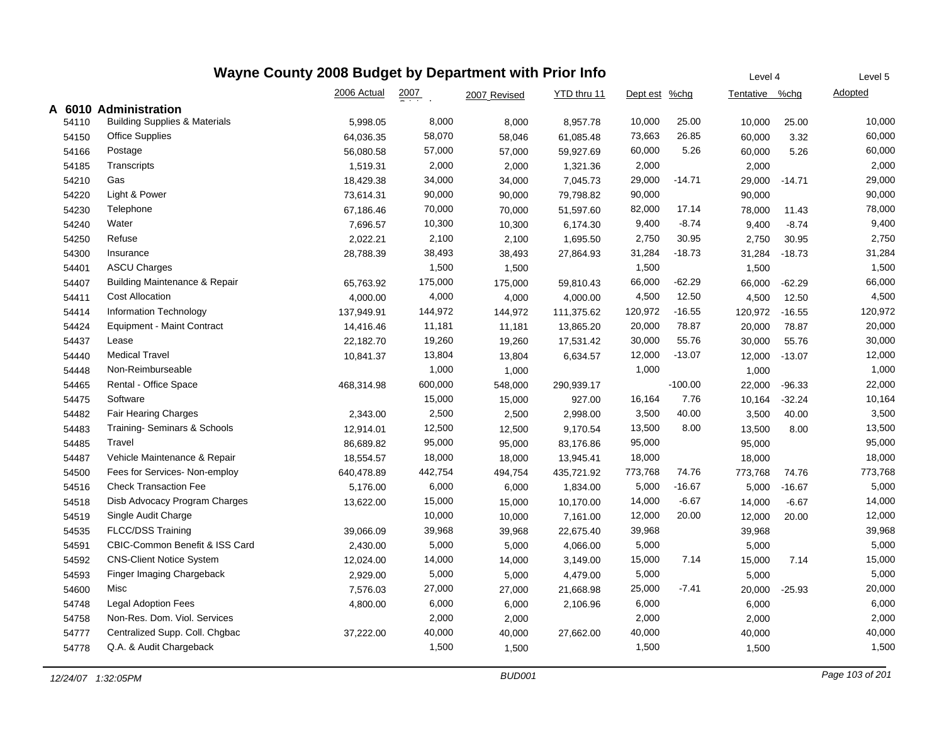| Wayne County 2008 Budget by Department with Prior Info |                                          |             |                  |              |             |               |           |                | Level 4  |                |  |
|--------------------------------------------------------|------------------------------------------|-------------|------------------|--------------|-------------|---------------|-----------|----------------|----------|----------------|--|
|                                                        |                                          | 2006 Actual | $\frac{2007}{4}$ | 2007 Revised | YTD thru 11 | Dept est %chg |           | Tentative %chg |          | <b>Adopted</b> |  |
|                                                        | A 6010 Administration                    |             |                  |              |             |               |           |                |          |                |  |
| 54110                                                  | <b>Building Supplies &amp; Materials</b> | 5,998.05    | 8,000            | 8,000        | 8,957.78    | 10,000        | 25.00     | 10,000         | 25.00    | 10,000         |  |
| 54150                                                  | <b>Office Supplies</b>                   | 64,036.35   | 58,070           | 58,046       | 61,085.48   | 73,663        | 26.85     | 60,000         | 3.32     | 60,000         |  |
| 54166                                                  | Postage                                  | 56,080.58   | 57,000           | 57,000       | 59,927.69   | 60,000        | 5.26      | 60,000         | 5.26     | 60,000         |  |
| 54185                                                  | Transcripts                              | 1,519.31    | 2,000            | 2,000        | 1,321.36    | 2,000         |           | 2,000          |          | 2,000          |  |
| 54210                                                  | Gas                                      | 18,429.38   | 34,000           | 34,000       | 7,045.73    | 29,000        | $-14.71$  | 29,000         | $-14.71$ | 29,000         |  |
| 54220                                                  | Light & Power                            | 73,614.31   | 90,000           | 90,000       | 79,798.82   | 90,000        |           | 90,000         |          | 90,000         |  |
| 54230                                                  | Telephone                                | 67,186.46   | 70,000           | 70,000       | 51,597.60   | 82,000        | 17.14     | 78,000         | 11.43    | 78,000         |  |
| 54240                                                  | Water                                    | 7,696.57    | 10,300           | 10,300       | 6,174.30    | 9,400         | $-8.74$   | 9,400          | $-8.74$  | 9,400          |  |
| 54250                                                  | Refuse                                   | 2,022.21    | 2,100            | 2,100        | 1,695.50    | 2,750         | 30.95     | 2,750          | 30.95    | 2,750          |  |
| 54300                                                  | Insurance                                | 28,788.39   | 38,493           | 38,493       | 27,864.93   | 31,284        | $-18.73$  | 31,284         | $-18.73$ | 31,284         |  |
| 54401                                                  | <b>ASCU Charges</b>                      |             | 1,500            | 1,500        |             | 1,500         |           | 1,500          |          | 1,500          |  |
| 54407                                                  | Building Maintenance & Repair            | 65,763.92   | 175,000          | 175,000      | 59,810.43   | 66,000        | $-62.29$  | 66,000         | $-62.29$ | 66,000         |  |
| 54411                                                  | <b>Cost Allocation</b>                   | 4,000.00    | 4,000            | 4,000        | 4,000.00    | 4,500         | 12.50     | 4,500          | 12.50    | 4,500          |  |
| 54414                                                  | <b>Information Technology</b>            | 137,949.91  | 144,972          | 144,972      | 111,375.62  | 120,972       | $-16.55$  | 120,972        | $-16.55$ | 120,972        |  |
| 54424                                                  | <b>Equipment - Maint Contract</b>        | 14,416.46   | 11,181           | 11,181       | 13,865.20   | 20,000        | 78.87     | 20,000         | 78.87    | 20,000         |  |
| 54437                                                  | Lease                                    | 22,182.70   | 19,260           | 19,260       | 17,531.42   | 30,000        | 55.76     | 30,000         | 55.76    | 30,000         |  |
| 54440                                                  | <b>Medical Travel</b>                    | 10,841.37   | 13,804           | 13,804       | 6,634.57    | 12,000        | $-13.07$  | 12,000         | $-13.07$ | 12,000         |  |
| 54448                                                  | Non-Reimburseable                        |             | 1,000            | 1,000        |             | 1,000         |           | 1,000          |          | 1,000          |  |
| 54465                                                  | Rental - Office Space                    | 468,314.98  | 600,000          | 548,000      | 290,939.17  |               | $-100.00$ | 22,000         | $-96.33$ | 22,000         |  |
| 54475                                                  | Software                                 |             | 15,000           | 15,000       | 927.00      | 16,164        | 7.76      | 10,164         | $-32.24$ | 10,164         |  |
| 54482                                                  | Fair Hearing Charges                     | 2,343.00    | 2,500            | 2,500        | 2,998.00    | 3,500         | 40.00     | 3,500          | 40.00    | 3,500          |  |
| 54483                                                  | Training- Seminars & Schools             | 12,914.01   | 12,500           | 12,500       | 9,170.54    | 13,500        | 8.00      | 13,500         | 8.00     | 13,500         |  |
| 54485                                                  | Travel                                   | 86,689.82   | 95,000           | 95,000       | 83,176.86   | 95,000        |           | 95,000         |          | 95,000         |  |
| 54487                                                  | Vehicle Maintenance & Repair             | 18,554.57   | 18,000           | 18,000       | 13,945.41   | 18,000        |           | 18,000         |          | 18,000         |  |
| 54500                                                  | Fees for Services- Non-employ            | 640,478.89  | 442,754          | 494,754      | 435,721.92  | 773,768       | 74.76     | 773,768        | 74.76    | 773,768        |  |
| 54516                                                  | <b>Check Transaction Fee</b>             | 5,176.00    | 6,000            | 6,000        | 1,834.00    | 5,000         | $-16.67$  | 5,000          | $-16.67$ | 5,000          |  |
| 54518                                                  | Disb Advocacy Program Charges            | 13,622.00   | 15,000           | 15,000       | 10,170.00   | 14,000        | $-6.67$   | 14,000         | $-6.67$  | 14,000         |  |
| 54519                                                  | Single Audit Charge                      |             | 10,000           | 10,000       | 7,161.00    | 12,000        | 20.00     | 12,000         | 20.00    | 12,000         |  |
| 54535                                                  | <b>FLCC/DSS Training</b>                 | 39,066.09   | 39,968           | 39,968       | 22,675.40   | 39,968        |           | 39,968         |          | 39,968         |  |
| 54591                                                  | CBIC-Common Benefit & ISS Card           | 2,430.00    | 5,000            | 5,000        | 4,066.00    | 5,000         |           | 5,000          |          | 5,000          |  |
| 54592                                                  | <b>CNS-Client Notice System</b>          | 12,024.00   | 14,000           | 14,000       | 3,149.00    | 15,000        | 7.14      | 15,000         | 7.14     | 15,000         |  |
| 54593                                                  | Finger Imaging Chargeback                | 2,929.00    | 5,000            | 5,000        | 4,479.00    | 5,000         |           | 5,000          |          | 5,000          |  |
| 54600                                                  | Misc                                     | 7,576.03    | 27,000           | 27,000       | 21,668.98   | 25,000        | $-7.41$   | 20,000         | $-25.93$ | 20,000         |  |
| 54748                                                  | <b>Legal Adoption Fees</b>               | 4,800.00    | 6,000            | 6,000        | 2,106.96    | 6,000         |           | 6,000          |          | 6,000          |  |
| 54758                                                  | Non-Res. Dom. Viol. Services             |             | 2,000            | 2,000        |             | 2,000         |           | 2,000          |          | 2,000          |  |
| 54777                                                  | Centralized Supp. Coll. Chgbac           | 37,222.00   | 40,000           | 40,000       | 27,662.00   | 40,000        |           | 40,000         |          | 40,000         |  |
| 54778                                                  | Q.A. & Audit Chargeback                  |             | 1,500            | 1,500        |             | 1,500         |           | 1,500          |          | 1,500          |  |
|                                                        |                                          |             |                  |              |             |               |           |                |          |                |  |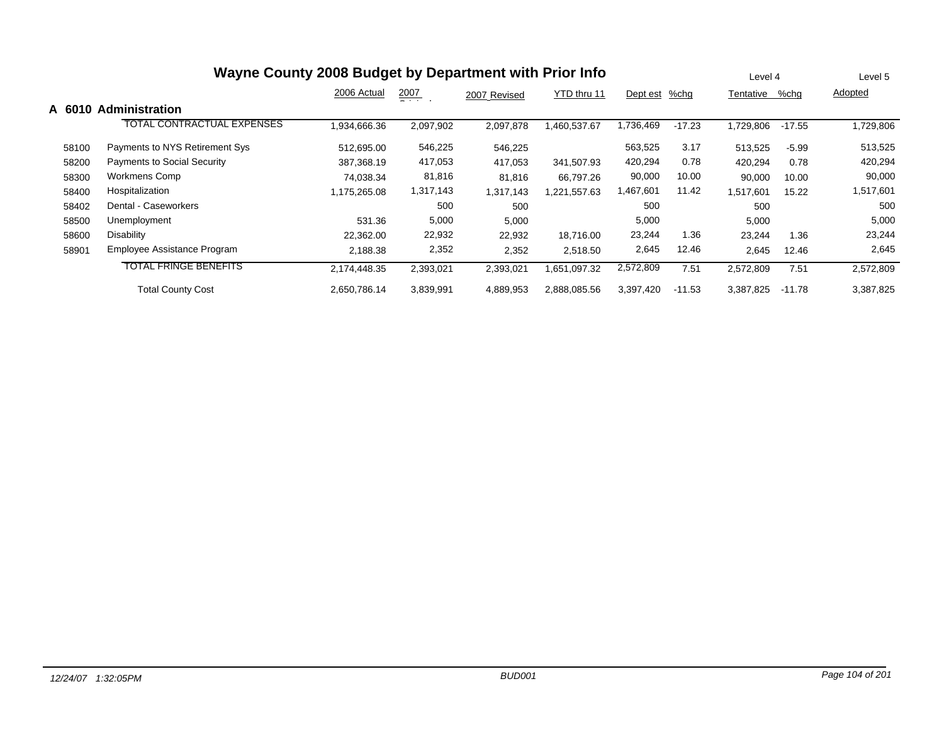| Wayne County 2008 Budget by Department with Prior Info |                                    |              |                    |              |              |           |          |           | Level 4  | Level 5   |  |
|--------------------------------------------------------|------------------------------------|--------------|--------------------|--------------|--------------|-----------|----------|-----------|----------|-----------|--|
|                                                        |                                    | 2006 Actual  | $\frac{2007}{200}$ | 2007 Revised | YTD thru 11  | Dept est  | %chq     | Tentative | %chg     | Adopted   |  |
| A 601<br>0                                             | <b>Administration</b>              |              |                    |              |              |           |          |           |          |           |  |
|                                                        | TOTAL CONTRACTUAL EXPENSES         | 1,934,666.36 | 2,097,902          | 2,097,878    | 1,460,537.67 | 1,736,469 | $-17.23$ | 1,729,806 | $-17.55$ | 1,729,806 |  |
| 58100                                                  | Payments to NYS Retirement Sys     | 512,695.00   | 546,225            | 546,225      |              | 563,525   | 3.17     | 513,525   | $-5.99$  | 513,525   |  |
| 58200                                                  | <b>Payments to Social Security</b> | 387.368.19   | 417,053            | 417,053      | 341.507.93   | 420,294   | 0.78     | 420,294   | 0.78     | 420,294   |  |
| 58300                                                  | Workmens Comp                      | 74.038.34    | 81,816             | 81,816       | 66.797.26    | 90,000    | 10.00    | 90,000    | 10.00    | 90,000    |  |
| 58400                                                  | Hospitalization                    | 1,175,265.08 | 1,317,143          | 1,317,143    | 1,221,557.63 | 1,467,601 | 11.42    | 1,517,601 | 15.22    | 1,517,601 |  |
| 58402                                                  | Dental - Caseworkers               |              | 500                | 500          |              | 500       |          | 500       |          | 500       |  |
| 58500                                                  | Unemployment                       | 531.36       | 5,000              | 5,000        |              | 5,000     |          | 5,000     |          | 5,000     |  |
| 58600                                                  | Disability                         | 22,362.00    | 22,932             | 22,932       | 18.716.00    | 23,244    | 1.36     | 23,244    | 1.36     | 23,244    |  |
| 58901                                                  | Employee Assistance Program        | 2,188.38     | 2,352              | 2,352        | 2,518.50     | 2,645     | 12.46    | 2,645     | 12.46    | 2,645     |  |
|                                                        | <b>TOTAL FRINGE BENEFITS</b>       | 2,174,448.35 | 2,393,021          | 2,393,021    | 1,651,097.32 | 2,572,809 | 7.51     | 2,572,809 | 7.51     | 2,572,809 |  |
|                                                        | <b>Total County Cost</b>           | 2.650.786.14 | 3,839,991          | 4,889,953    | 2,888,085.56 | 3,397,420 | $-11.53$ | 3,387,825 | $-11.78$ | 3,387,825 |  |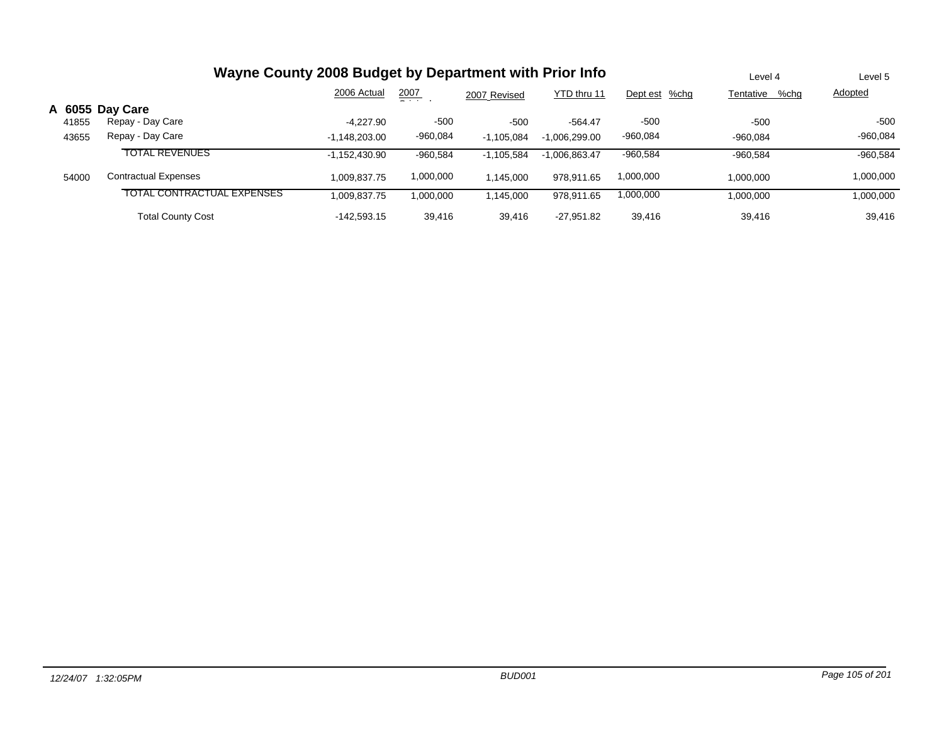|       | Wayne County 2008 Budget by Department with Prior Info | Level 4         | Level 5    |              |                 |               |                   |                |
|-------|--------------------------------------------------------|-----------------|------------|--------------|-----------------|---------------|-------------------|----------------|
|       |                                                        | 2006 Actual     | 2007       | 2007 Revised | YTD thru 11     | Dept est %chg | %chg<br>Tentative | <b>Adopted</b> |
|       | A 6055 Day Care                                        |                 |            |              |                 |               |                   |                |
| 41855 | Repay - Day Care                                       | $-4.227.90$     | $-500$     | $-500$       | $-564.47$       | $-500$        | $-500$            | $-500$         |
| 43655 | Repay - Day Care                                       | $-1,148,203.00$ | -960,084   | $-1,105,084$ | $-1,006,299.00$ | $-960,084$    | -960,084          | $-960,084$     |
|       | <b>TOTAL REVENUES</b>                                  | $-1.152.430.90$ | $-960,584$ | $-1.105.584$ | $-1,006,863.47$ | $-960,584$    | $-960.584$        | $-960,584$     |
| 54000 | <b>Contractual Expenses</b>                            | 1.009.837.75    | 1,000,000  | 1.145.000    | 978.911.65      | 1,000,000     | 1,000,000         | 1,000,000      |
|       | TOTAL CONTRACTUAL EXPENSES                             | 1,009,837.75    | 1,000,000  | 145,000      | 978,911.65      | 000,000,1     | 1,000,000         | 000,000,       |
|       | <b>Total County Cost</b>                               | $-142.593.15$   | 39,416     | 39.416       | $-27.951.82$    | 39,416        | 39,416            | 39,416         |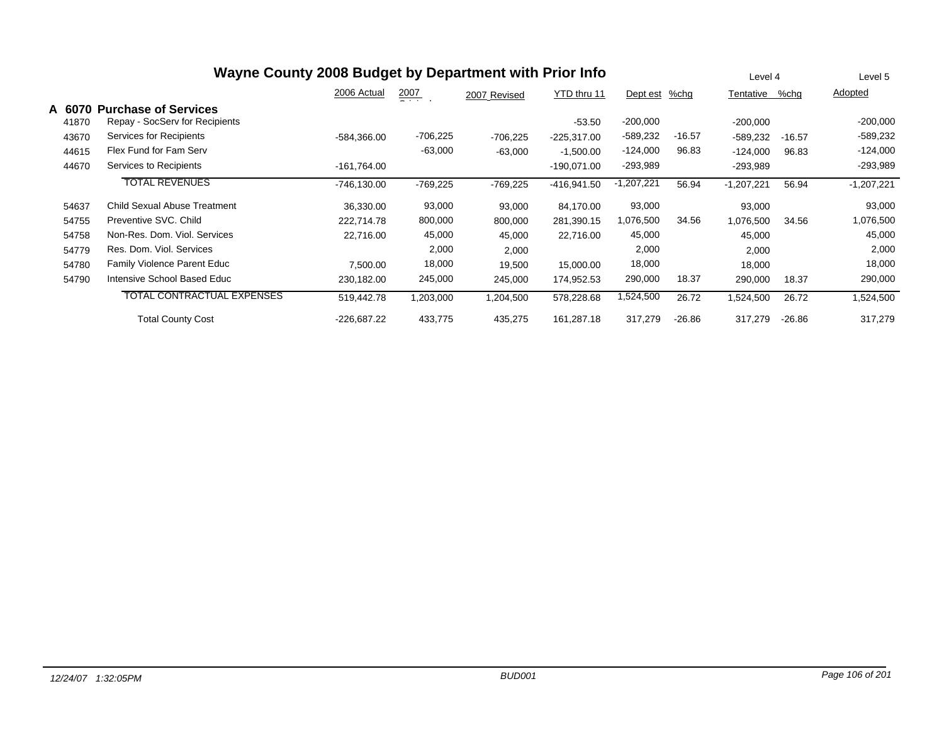| Wayne County 2008 Budget by Department with Prior Info |                                                               |               |                  |              |               |              |          |              | Level 4  |              |
|--------------------------------------------------------|---------------------------------------------------------------|---------------|------------------|--------------|---------------|--------------|----------|--------------|----------|--------------|
|                                                        |                                                               | 2006 Actual   | $\frac{2007}{1}$ | 2007 Revised | YTD thru 11   | Dept est     | %chq     | Tentative    | %chg     | Adopted      |
| A 6070<br>41870                                        | <b>Purchase of Services</b><br>Repay - SocServ for Recipients |               |                  |              | $-53.50$      | $-200,000$   |          | $-200,000$   |          | $-200,000$   |
| 43670                                                  | Services for Recipients                                       | -584.366.00   | -706,225         | $-706,225$   | $-225,317.00$ | $-589,232$   | $-16.57$ | -589,232     | $-16.57$ | -589,232     |
| 44615                                                  | Flex Fund for Fam Serv                                        |               | $-63,000$        | $-63,000$    | $-1,500.00$   | $-124,000$   | 96.83    | $-124,000$   | 96.83    | $-124,000$   |
| 44670                                                  | Services to Recipients                                        | -161,764.00   |                  |              | $-190,071.00$ | $-293,989$   |          | $-293,989$   |          | $-293,989$   |
|                                                        | <b>TOTAL REVENUES</b>                                         | -746,130.00   | -769,225         | $-769,225$   | -416,941.50   | $-1,207,221$ | 56.94    | $-1,207,221$ | 56.94    | $-1,207,221$ |
| 54637                                                  | <b>Child Sexual Abuse Treatment</b>                           | 36.330.00     | 93,000           | 93,000       | 84.170.00     | 93,000       |          | 93,000       |          | 93,000       |
| 54755                                                  | Preventive SVC, Child                                         | 222.714.78    | 800,000          | 800,000      | 281,390.15    | 1,076,500    | 34.56    | 1,076,500    | 34.56    | 1,076,500    |
| 54758                                                  | Non-Res. Dom. Viol. Services                                  | 22,716.00     | 45,000           | 45,000       | 22,716.00     | 45,000       |          | 45,000       |          | 45,000       |
| 54779                                                  | Res. Dom. Viol. Services                                      |               | 2,000            | 2,000        |               | 2,000        |          | 2,000        |          | 2,000        |
| 54780                                                  | <b>Family Violence Parent Educ</b>                            | 7,500.00      | 18,000           | 19,500       | 15,000.00     | 18,000       |          | 18,000       |          | 18,000       |
| 54790                                                  | Intensive School Based Educ                                   | 230,182.00    | 245,000          | 245,000      | 174,952.53    | 290,000      | 18.37    | 290,000      | 18.37    | 290,000      |
|                                                        | <b>TOTAL CONTRACTUAL EXPENSES</b>                             | 519,442.78    | 1,203,000        | 1,204,500    | 578,228.68    | 1,524,500    | 26.72    | 1,524,500    | 26.72    | 1,524,500    |
|                                                        | <b>Total County Cost</b>                                      | $-226,687.22$ | 433,775          | 435,275      | 161,287.18    | 317,279      | $-26.86$ | 317,279      | $-26.86$ | 317,279      |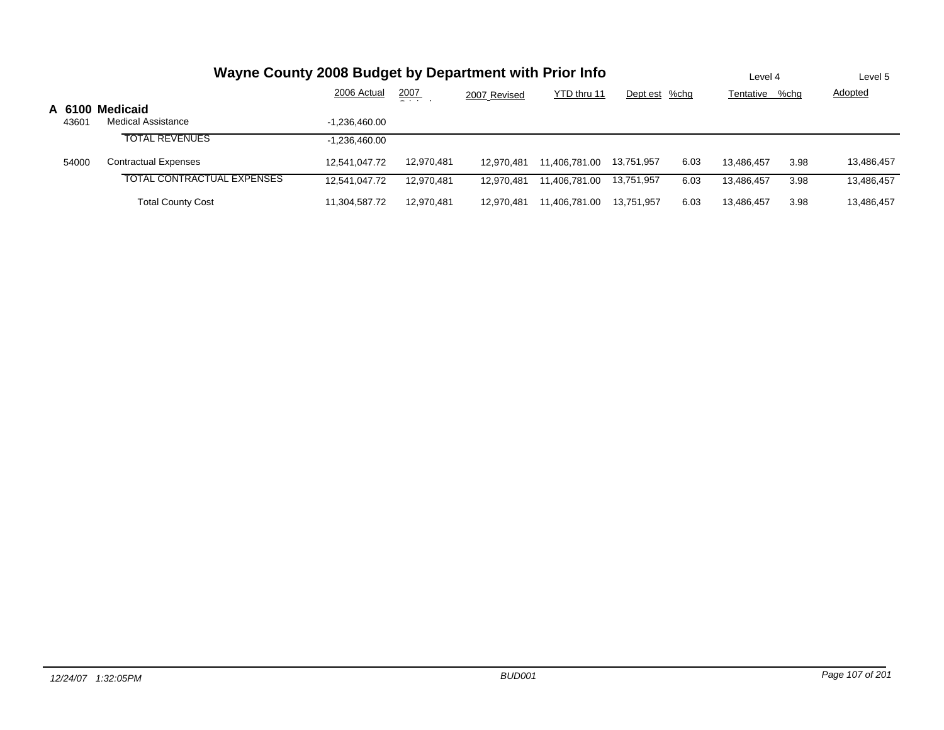| Wayne County 2008 Budget by Department with Prior Info |                             |                 |               |              |               |               |      |            | Level 4 |                |
|--------------------------------------------------------|-----------------------------|-----------------|---------------|--------------|---------------|---------------|------|------------|---------|----------------|
|                                                        |                             | 2006 Actual     | 2007<br>$  -$ | 2007 Revised | YTD thru 11   | Dept est %chg |      | Tentative  | %chg    | <b>Adopted</b> |
|                                                        | A 6100 Medicaid             |                 |               |              |               |               |      |            |         |                |
| 43601                                                  | <b>Medical Assistance</b>   | $-1.236.460.00$ |               |              |               |               |      |            |         |                |
|                                                        | <b>TOTAL REVENUES</b>       | $-1.236.460.00$ |               |              |               |               |      |            |         |                |
| 54000                                                  | <b>Contractual Expenses</b> | 12.541.047.72   | 12,970,481    | 12.970.481   | 11.406.781.00 | 13,751,957    | 6.03 | 13.486.457 | 3.98    | 13,486,457     |
|                                                        | TOTAL CONTRACTUAL EXPENSES  | 12,541,047.72   | 12.970.481    | 12.970.481   | 11.406.781.00 | 13,751,957    | 6.03 | 13.486.457 | 3.98    | 13,486,457     |
|                                                        | <b>Total County Cost</b>    | 11,304,587.72   | 12.970.481    | 12.970.481   | 11,406,781.00 | 13.751.957    | 6.03 | 13,486,457 | 3.98    | 13,486,457     |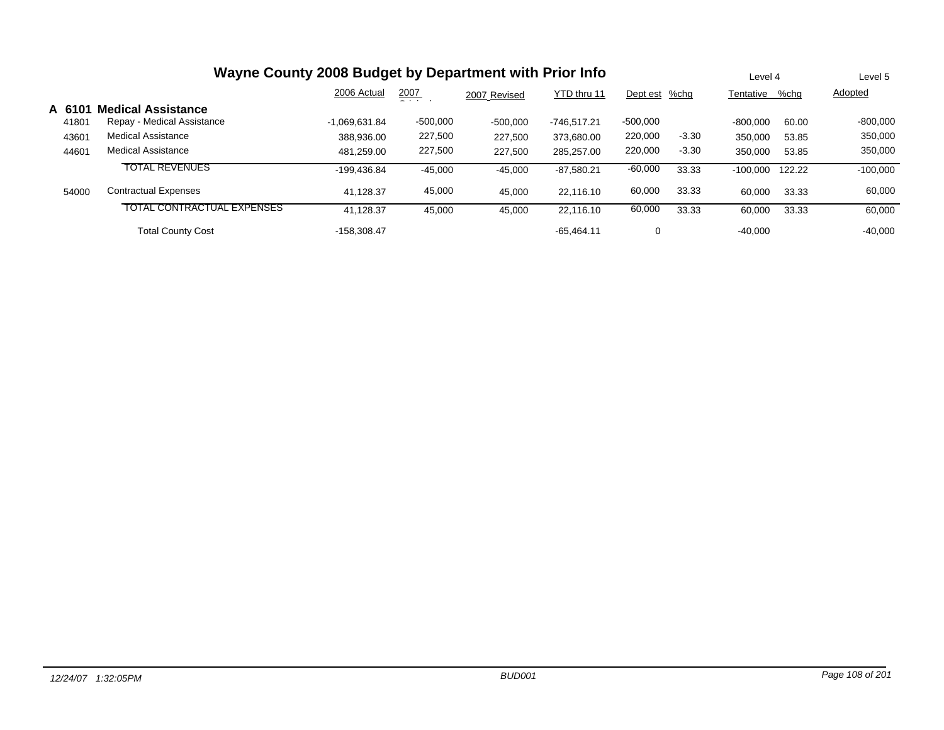| Wayne County 2008 Budget by Department with Prior Info |                                   |                 |               |              |              |               |         |            | Level 4 | Level 5    |
|--------------------------------------------------------|-----------------------------------|-----------------|---------------|--------------|--------------|---------------|---------|------------|---------|------------|
|                                                        |                                   | 2006 Actual     | 2007<br>- - - | 2007 Revised | YTD thru 11  | Dept est %chg |         | Tentative  | %chg    | Adopted    |
| A 61                                                   | <b>Medical Assistance</b>         |                 |               |              |              |               |         |            |         |            |
| 41801                                                  | Repay - Medical Assistance        | $-1.069.631.84$ | $-500,000$    | $-500,000$   | -746.517.21  | $-500,000$    |         | $-800.000$ | 60.00   | $-800,000$ |
| 43601                                                  | Medical Assistance                | 388.936.00      | 227,500       | 227.500      | 373.680.00   | 220,000       | $-3.30$ | 350,000    | 53.85   | 350,000    |
| 44601                                                  | Medical Assistance                | 481.259.00      | 227,500       | 227,500      | 285.257.00   | 220,000       | $-3.30$ | 350,000    | 53.85   | 350,000    |
|                                                        | <b>TOTAL REVENUES</b>             | -199.436.84     | $-45,000$     | $-45,000$    | $-87,580.21$ | $-60,000$     | 33.33   | $-100,000$ | 122.22  | $-100,000$ |
| 54000                                                  | <b>Contractual Expenses</b>       | 41.128.37       | 45,000        | 45,000       | 22.116.10    | 60,000        | 33.33   | 60.000     | 33.33   | 60,000     |
|                                                        | <b>TOTAL CONTRACTUAL EXPENSES</b> | 41.128.37       | 45,000        | 45,000       | 22.116.10    | 60,000        | 33.33   | 60,000     | 33.33   | 60,000     |
|                                                        | <b>Total County Cost</b>          | -158.308.47     |               |              | $-65.464.11$ | 0             |         | $-40.000$  |         | $-40,000$  |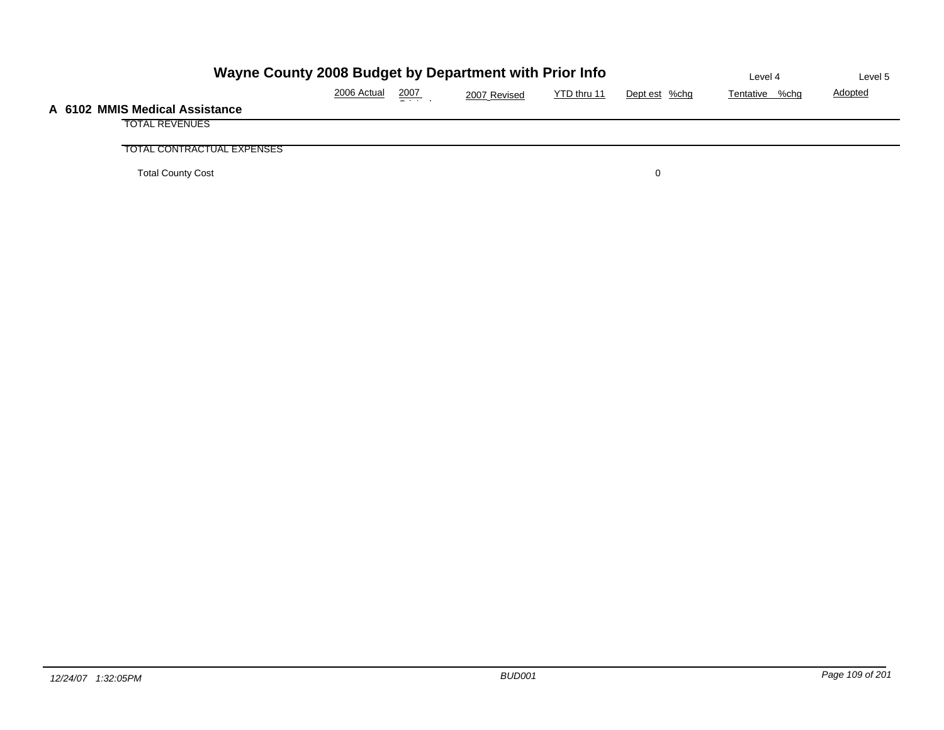| Wayne County 2008 Budget by Department with Prior Info | Level 4        | Level 5        |   |  |  |
|--------------------------------------------------------|----------------|----------------|---|--|--|
| 2006 Actual                                            | Tentative %chg | <b>Adopted</b> |   |  |  |
| A 6102 MMIS Medical Assistance                         |                |                |   |  |  |
| <b>TOTAL REVENUES</b>                                  |                |                |   |  |  |
| TOTAL CONTRACTUAL EXPENSES                             |                |                |   |  |  |
| <b>Total County Cost</b>                               |                |                | 0 |  |  |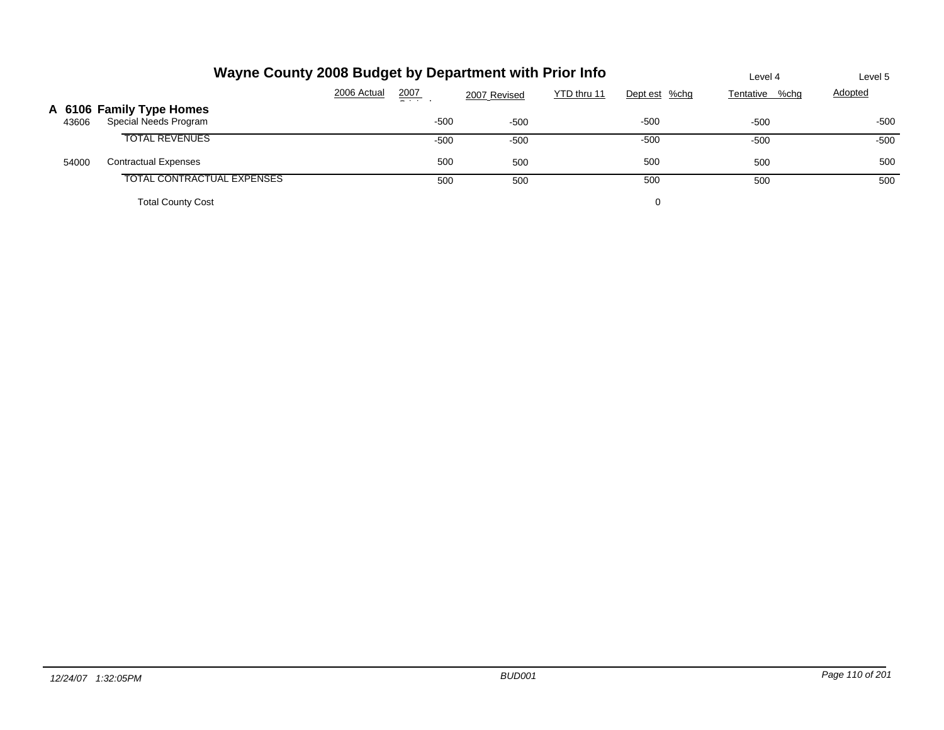|       | Wayne County 2008 Budget by Department with Prior Info | Level 4     | Level 5       |              |             |               |                |         |
|-------|--------------------------------------------------------|-------------|---------------|--------------|-------------|---------------|----------------|---------|
|       |                                                        | 2006 Actual | 2007<br>$  -$ | 2007 Revised | YTD thru 11 | Dept est %chg | Tentative %chg | Adopted |
| 43606 | A 6106 Family Type Homes<br>Special Needs Program      |             | $-500$        | $-500$       |             | $-500$        | $-500$         | -500    |
|       | <b>TOTAL REVENUES</b>                                  |             | $-500$        | $-500$       |             | $-500$        | $-500$         | -500    |
| 54000 | <b>Contractual Expenses</b>                            |             | 500           | 500          |             | 500           | 500            | 500     |
|       | TOTAL CONTRACTUAL EXPENSES                             |             | 500           | 500          |             | 500           | 500            | 500     |
|       | <b>Total County Cost</b>                               |             |               |              |             | 0             |                |         |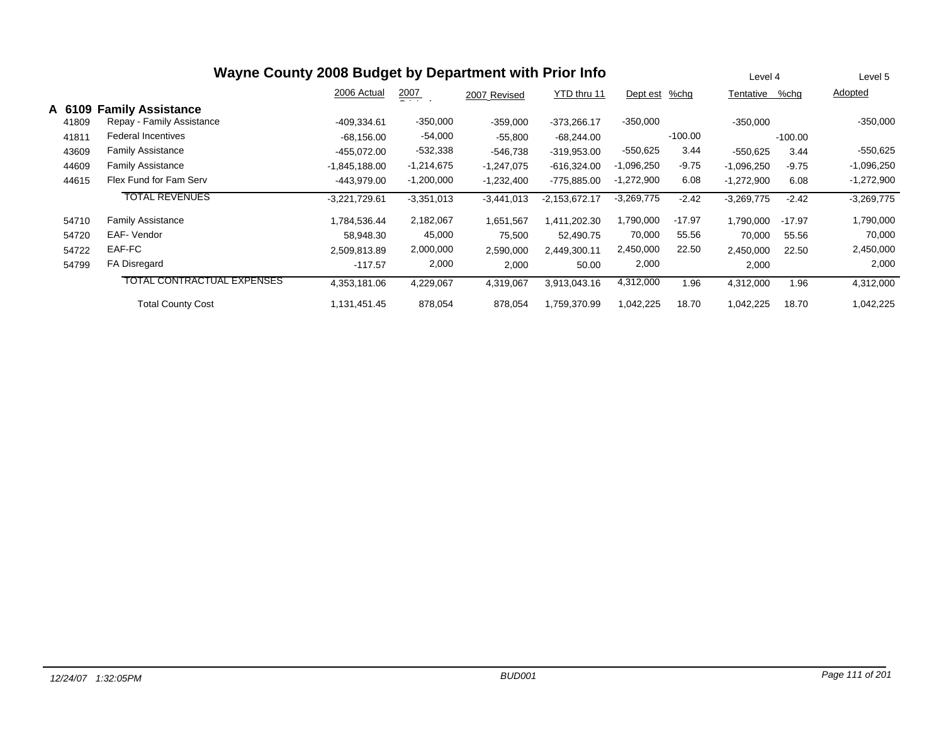|        | Wayne County 2008 Budget by Department with Prior Info |                 |                 |              |                 |               |           |              |           | Level 5      |
|--------|--------------------------------------------------------|-----------------|-----------------|--------------|-----------------|---------------|-----------|--------------|-----------|--------------|
|        |                                                        | 2006 Actual     | 2007<br>- - - - | 2007 Revised | YTD thru 11     | Dept est %chg |           | Tentative    | $%$ chq   | Adopted      |
| A 6109 | <b>Family Assistance</b>                               |                 |                 |              |                 |               |           |              |           |              |
| 41809  | Repay - Family Assistance                              | -409.334.61     | $-350,000$      | $-359,000$   | $-373,266.17$   | $-350,000$    |           | $-350,000$   |           | $-350,000$   |
| 41811  | <b>Federal Incentives</b>                              | $-68,156.00$    | $-54,000$       | $-55,800$    | $-68,244.00$    |               | $-100.00$ |              | $-100.00$ |              |
| 43609  | <b>Family Assistance</b>                               | -455.072.00     | $-532,338$      | -546,738     | $-319,953.00$   | $-550,625$    | 3.44      | $-550,625$   | 3.44      | $-550,625$   |
| 44609  | <b>Family Assistance</b>                               | $-1,845,188.00$ | $-1,214,675$    | $-1,247,075$ | $-616,324.00$   | $-1,096,250$  | $-9.75$   | $-1,096,250$ | $-9.75$   | $-1,096,250$ |
| 44615  | Flex Fund for Fam Serv                                 | -443,979.00     | $-1,200,000$    | $-1,232,400$ | -775,885.00     | $-1,272,900$  | 6.08      | $-1,272,900$ | 6.08      | $-1,272,900$ |
|        | <b>TOTAL REVENUES</b>                                  | $-3,221,729.61$ | $-3,351,013$    | $-3,441,013$ | $-2,153,672.17$ | $-3,269,775$  | $-2.42$   | $-3,269,775$ | $-2.42$   | $-3,269,775$ |
| 54710  | <b>Family Assistance</b>                               | 1,784,536.44    | 2,182,067       | 1,651,567    | 1,411,202.30    | 1,790,000     | $-17.97$  | 1,790,000    | $-17.97$  | 1,790,000    |
| 54720  | EAF- Vendor                                            | 58,948.30       | 45,000          | 75,500       | 52,490.75       | 70,000        | 55.56     | 70,000       | 55.56     | 70,000       |
| 54722  | EAF-FC                                                 | 2,509,813.89    | 2,000,000       | 2,590,000    | 2.449.300.11    | 2,450,000     | 22.50     | 2,450,000    | 22.50     | 2,450,000    |
| 54799  | FA Disregard                                           | $-117.57$       | 2,000           | 2,000        | 50.00           | 2,000         |           | 2,000        |           | 2,000        |
|        | <b>TOTAL CONTRACTUAL EXPENSES</b>                      | 4,353,181.06    | 4,229,067       | 4,319,067    | 3,913,043.16    | 4,312,000     | 1.96      | 4,312,000    | 1.96      | 4,312,000    |
|        | <b>Total County Cost</b>                               | 1,131,451.45    | 878,054         | 878,054      | 1,759,370.99    | 1,042,225     | 18.70     | 1,042,225    | 18.70     | 1,042,225    |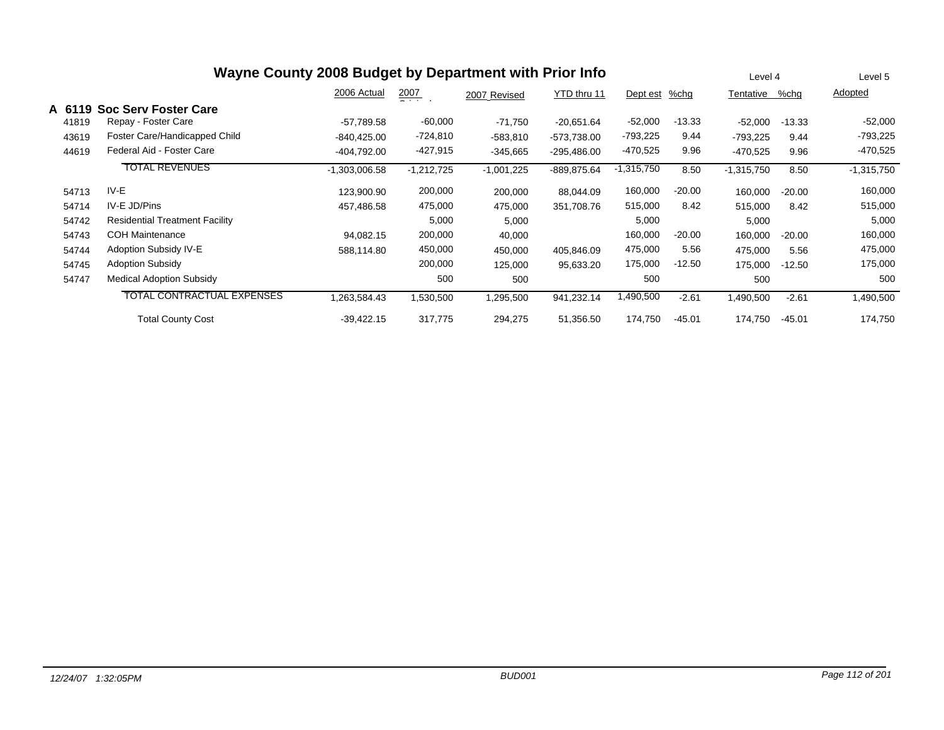| Wayne County 2008 Budget by Department with Prior Info |                                       |                 |                      |              |               |              |          |              |          | Level 5      |
|--------------------------------------------------------|---------------------------------------|-----------------|----------------------|--------------|---------------|--------------|----------|--------------|----------|--------------|
|                                                        |                                       | 2006 Actual     | $\frac{2007}{200}$ . | 2007 Revised | YTD thru 11   | Dept est     | %chg     | Tentative    | %chg     | Adopted      |
| A 6119                                                 | <b>Soc Serv Foster Care</b>           |                 |                      |              |               |              |          |              |          |              |
| 41819                                                  | Repay - Foster Care                   | -57,789.58      | $-60,000$            | $-71,750$    | $-20,651.64$  | $-52,000$    | $-13.33$ | $-52,000$    | $-13.33$ | $-52,000$    |
| 43619                                                  | Foster Care/Handicapped Child         | $-840,425.00$   | -724,810             | $-583,810$   | -573,738.00   | -793,225     | 9.44     | $-793,225$   | 9.44     | $-793,225$   |
| 44619                                                  | Federal Aid - Foster Care             | -404,792.00     | -427,915             | $-345,665$   | $-295,486.00$ | $-470,525$   | 9.96     | $-470,525$   | 9.96     | $-470,525$   |
|                                                        | <b>TOTAL REVENUES</b>                 | $-1,303,006.58$ | $-1,212,725$         | $-1,001,225$ | -889,875.64   | $-1,315,750$ | 8.50     | $-1,315,750$ | 8.50     | $-1,315,750$ |
| 54713                                                  | IV-E                                  | 123,900.90      | 200,000              | 200,000      | 88,044.09     | 160,000      | $-20.00$ | 160,000      | $-20.00$ | 160,000      |
| 54714                                                  | IV-E JD/Pins                          | 457,486.58      | 475,000              | 475,000      | 351,708.76    | 515,000      | 8.42     | 515,000      | 8.42     | 515,000      |
| 54742                                                  | <b>Residential Treatment Facility</b> |                 | 5,000                | 5,000        |               | 5,000        |          | 5,000        |          | 5,000        |
| 54743                                                  | <b>COH Maintenance</b>                | 94,082.15       | 200,000              | 40,000       |               | 160,000      | $-20.00$ | 160,000      | $-20.00$ | 160,000      |
| 54744                                                  | Adoption Subsidy IV-E                 | 588,114.80      | 450,000              | 450,000      | 405,846.09    | 475,000      | 5.56     | 475,000      | 5.56     | 475,000      |
| 54745                                                  | <b>Adoption Subsidy</b>               |                 | 200,000              | 125,000      | 95,633.20     | 175,000      | $-12.50$ | 175,000      | $-12.50$ | 175,000      |
| 54747                                                  | <b>Medical Adoption Subsidy</b>       |                 | 500                  | 500          |               | 500          |          | 500          |          | 500          |
|                                                        | <b>TOTAL CONTRACTUAL EXPENSES</b>     | 1,263,584.43    | 1,530,500            | 1,295,500    | 941,232.14    | 1,490,500    | $-2.61$  | 1,490,500    | $-2.61$  | 1,490,500    |
|                                                        | <b>Total County Cost</b>              | $-39,422.15$    | 317,775              | 294,275      | 51,356.50     | 174,750      | $-45.01$ | 174,750      | $-45.01$ | 174,750      |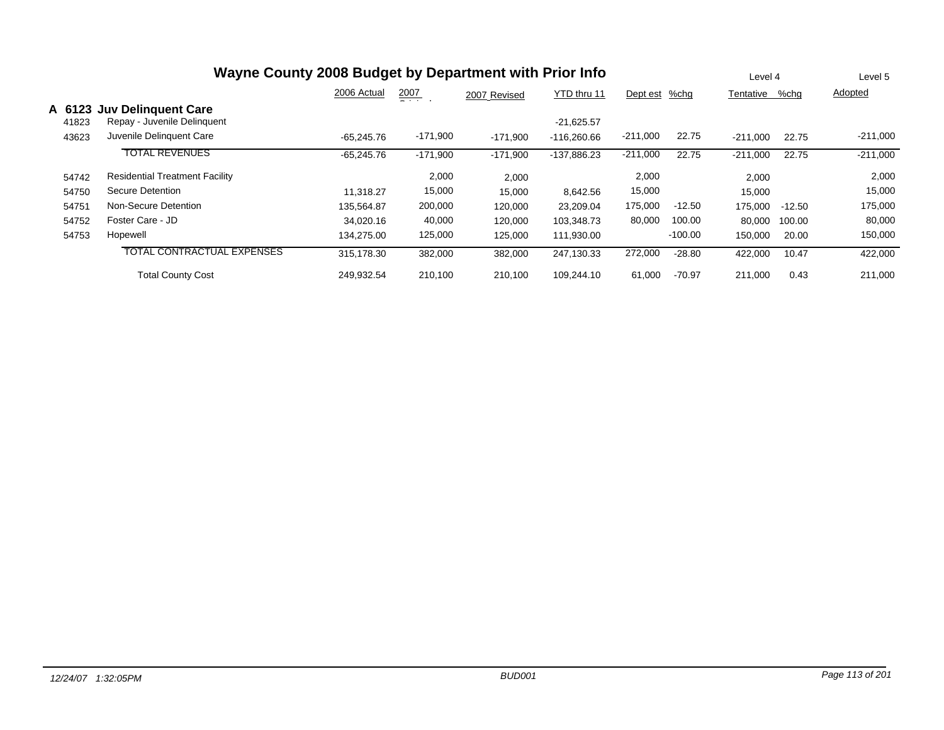|        | Wayne County 2008 Budget by Department with Prior Info |              |               |              |               |               |           |            |          | Level 5    |
|--------|--------------------------------------------------------|--------------|---------------|--------------|---------------|---------------|-----------|------------|----------|------------|
|        |                                                        | 2006 Actual  | 2007<br>- - - | 2007 Revised | YTD thru 11   | Dept est %chg |           | Tentative  | %chq     | Adopted    |
| A 6123 | <b>Juv Delinguent Care</b>                             |              |               |              |               |               |           |            |          |            |
| 41823  | Repay - Juvenile Delinquent                            |              |               |              | $-21,625.57$  |               |           |            |          |            |
| 43623  | Juvenile Delinguent Care                               | $-65.245.76$ | $-171,900$    | $-171,900$   | $-116.260.66$ | $-211,000$    | 22.75     | $-211.000$ | 22.75    | $-211,000$ |
|        | <b>TOTAL REVENUES</b>                                  | $-65,245.76$ | $-171,900$    | $-171,900$   | -137,886.23   | $-211,000$    | 22.75     | $-211,000$ | 22.75    | $-211,000$ |
| 54742  | <b>Residential Treatment Facility</b>                  |              | 2,000         | 2,000        |               | 2,000         |           | 2,000      |          | 2,000      |
| 54750  | Secure Detention                                       | 11.318.27    | 15,000        | 15,000       | 8,642.56      | 15,000        |           | 15,000     |          | 15,000     |
| 54751  | Non-Secure Detention                                   | 135.564.87   | 200,000       | 120,000      | 23,209.04     | 175,000       | $-12.50$  | 175,000    | $-12.50$ | 175,000    |
| 54752  | Foster Care - JD                                       | 34,020.16    | 40,000        | 120,000      | 103,348.73    | 80,000        | 100.00    | 80,000     | 100.00   | 80,000     |
| 54753  | Hopewell                                               | 134,275.00   | 125,000       | 125,000      | 111,930.00    |               | $-100.00$ | 150,000    | 20.00    | 150,000    |
|        | <b>TOTAL CONTRACTUAL EXPENSES</b>                      | 315,178.30   | 382,000       | 382,000      | 247,130.33    | 272,000       | $-28.80$  | 422,000    | 10.47    | 422,000    |
|        | <b>Total County Cost</b>                               | 249,932.54   | 210,100       | 210.100      | 109.244.10    | 61,000        | $-70.97$  | 211,000    | 0.43     | 211,000    |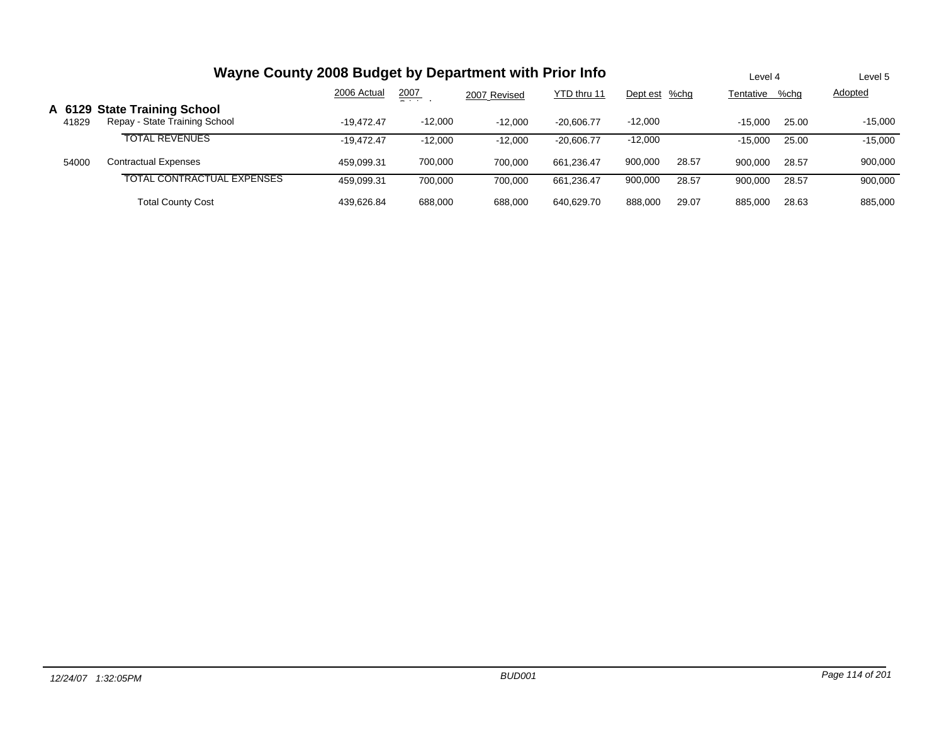| Wayne County 2008 Budget by Department with Prior Info |                                                               |              |               |              |              |               |       |           | Level 4 | Level 5        |
|--------------------------------------------------------|---------------------------------------------------------------|--------------|---------------|--------------|--------------|---------------|-------|-----------|---------|----------------|
|                                                        |                                                               | 2006 Actual  | 2007<br>- - - | 2007 Revised | YTD thru 11  | Dept est %chg |       | Tentative | %chq    | <b>Adopted</b> |
| 41829                                                  | A 6129 State Training School<br>Repay - State Training School | $-19.472.47$ | $-12.000$     | $-12.000$    | $-20.606.77$ | $-12.000$     |       | $-15.000$ | 25.00   | $-15.000$      |
|                                                        | <b>TOTAL REVENUES</b>                                         | $-19.472.47$ | $-12.000$     | $-12.000$    | $-20.606.77$ | $-12,000$     |       | $-15.000$ | 25.00   | $-15,000$      |
| 54000                                                  | <b>Contractual Expenses</b>                                   | 459.099.31   | 700.000       | 700.000      | 661.236.47   | 900,000       | 28.57 | 900.000   | 28.57   | 900,000        |
|                                                        | TOTAL CONTRACTUAL EXPENSES                                    | 459.099.31   | 700.000       | 700.000      | 661.236.47   | 900,000       | 28.57 | 900,000   | 28.57   | 900,000        |
|                                                        | Total County Cost                                             | 439.626.84   | 688,000       | 688,000      | 640.629.70   | 888,000       | 29.07 | 885,000   | 28.63   | 885,000        |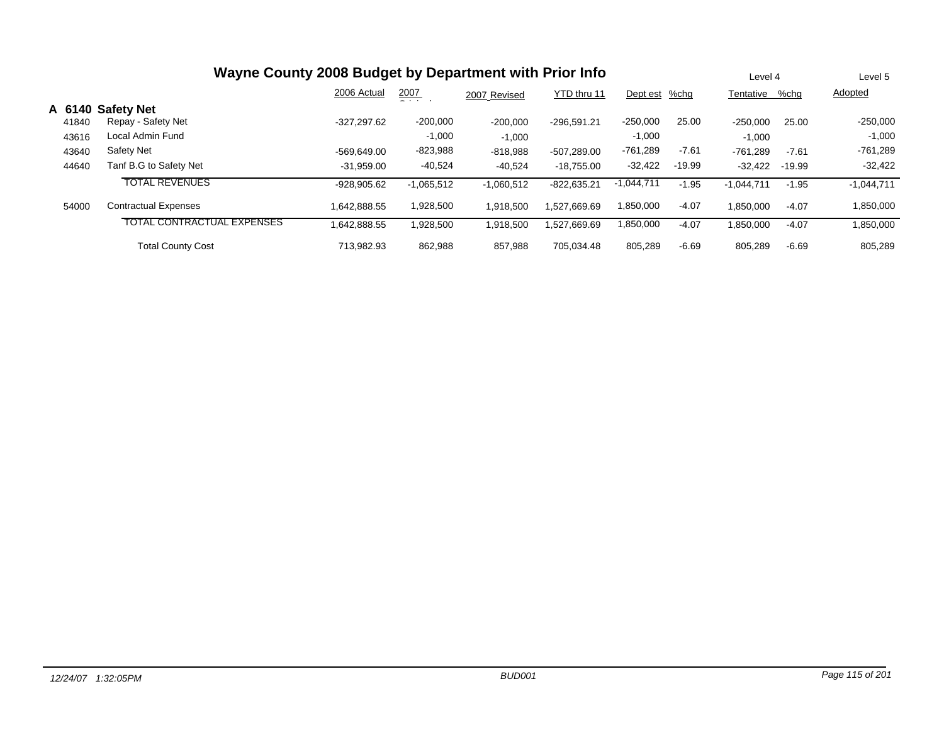| Wayne County 2008 Budget by Department with Prior Info |                                   |               |               |              |               |              |          |              |          | Level 5      |
|--------------------------------------------------------|-----------------------------------|---------------|---------------|--------------|---------------|--------------|----------|--------------|----------|--------------|
|                                                        |                                   | 2006 Actual   | 2007<br>$  -$ | 2007 Revised | YTD thru 11   | Dept est     | %chg     | Tentative    | %chg     | Adopted      |
|                                                        | A 6140 Safety Net                 |               |               |              |               |              |          |              |          |              |
| 41840                                                  | Repay - Safety Net                | $-327.297.62$ | $-200,000$    | $-200,000$   | $-296.591.21$ | $-250,000$   | 25.00    | -250,000     | 25.00    | $-250,000$   |
| 43616                                                  | Local Admin Fund                  |               | $-1,000$      | $-1,000$     |               | $-1,000$     |          | $-1,000$     |          | $-1,000$     |
| 43640                                                  | Safety Net                        | $-569.649.00$ | $-823,988$    | $-818,988$   | $-507.289.00$ | $-761,289$   | $-7.61$  | -761,289     | $-7.61$  | $-761,289$   |
| 44640                                                  | Tanf B.G to Safety Net            | $-31,959.00$  | $-40,524$     | $-40,524$    | $-18.755.00$  | $-32,422$    | $-19.99$ | $-32.422$    | $-19.99$ | $-32,422$    |
|                                                        | <b>TOTAL REVENUES</b>             | $-928.905.62$ | $-1.065.512$  | $-1,060,512$ | $-822.635.21$ | $-1,044,711$ | $-1.95$  | $-1,044,711$ | $-1.95$  | $-1,044,711$ |
| 54000                                                  | <b>Contractual Expenses</b>       | 1,642,888.55  | 1,928,500     | 1,918,500    | 1,527,669.69  | 1,850,000    | $-4.07$  | 1,850,000    | $-4.07$  | 1,850,000    |
|                                                        | <b>TOTAL CONTRACTUAL EXPENSES</b> | 1.642.888.55  | 1,928,500     | 1,918,500    | 1.527.669.69  | .850,000     | $-4.07$  | 1,850,000    | $-4.07$  | 1,850,000    |
|                                                        | <b>Total County Cost</b>          | 713.982.93    | 862,988       | 857,988      | 705.034.48    | 805,289      | $-6.69$  | 805,289      | $-6.69$  | 805,289      |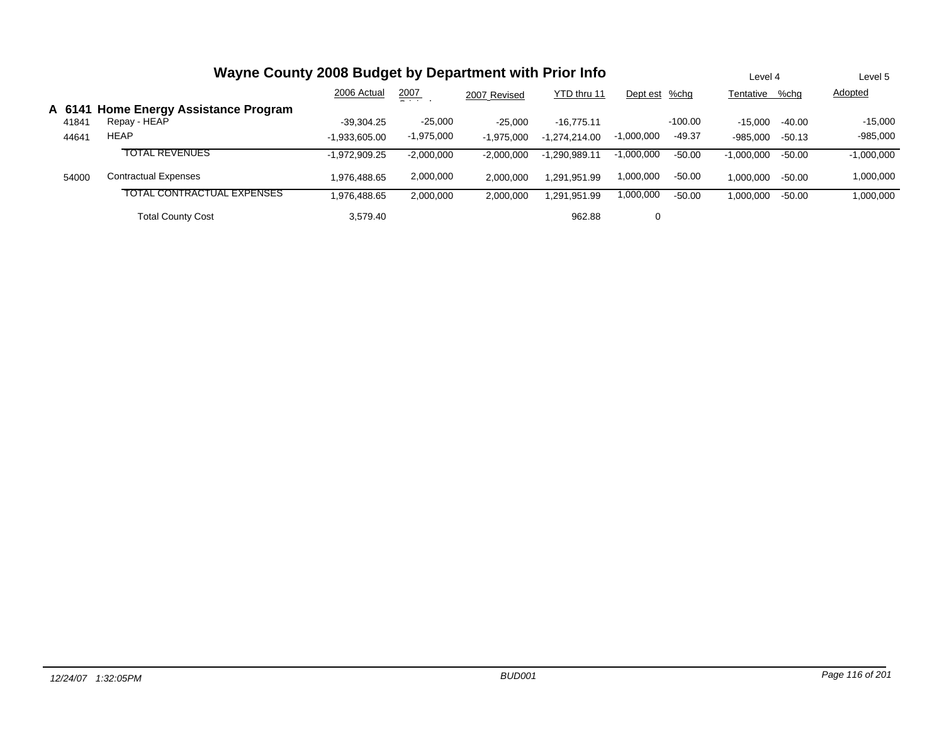|       | Wayne County 2008 Budget by Department with Prior Info |                 |               |              |                 |               |           |                |          | Level 5      |
|-------|--------------------------------------------------------|-----------------|---------------|--------------|-----------------|---------------|-----------|----------------|----------|--------------|
|       |                                                        | 2006 Actual     | 2007<br>$  -$ | 2007 Revised | YTD thru 11     | Dept est %chg |           | Tentative %chg |          | Adopted      |
|       | A 6141 Home Energy Assistance Program                  |                 |               |              |                 |               |           |                |          |              |
| 41841 | Repay - HEAP                                           | $-39.304.25$    | $-25.000$     | $-25.000$    | $-16.775.11$    |               | $-100.00$ | $-15.000$      | $-40.00$ | $-15,000$    |
| 44641 | <b>HEAP</b>                                            | $-1.933.605.00$ | $-1,975,000$  | $-1.975.000$ | $-1.274.214.00$ | $-1,000,000$  | $-49.37$  | $-985.000$     | $-50.13$ | $-985,000$   |
|       | <b>TOTAL REVENUES</b>                                  | $-1,972,909.25$ | $-2,000,000$  | $-2,000,000$ | $-1,290,989.11$ | $-1,000,000$  | -50.00    | $-1,000,000$   | $-50.00$ | $-1,000,000$ |
| 54000 | <b>Contractual Expenses</b>                            | 1.976.488.65    | 2,000,000     | 2.000.000    | 1.291.951.99    | 1,000,000     | $-50.00$  | 1.000.000      | $-50.00$ | 1,000,000    |
|       | TOTAL CONTRACTUAL EXPENSES                             | 1,976,488.65    | 2,000,000     | 2,000,000    | 1.291.951.99    | 1,000,000     | $-50.00$  | 1,000,000      | $-50.00$ | 1,000,000    |
|       | <b>Total County Cost</b>                               | 3.579.40        |               |              | 962.88          | 0             |           |                |          |              |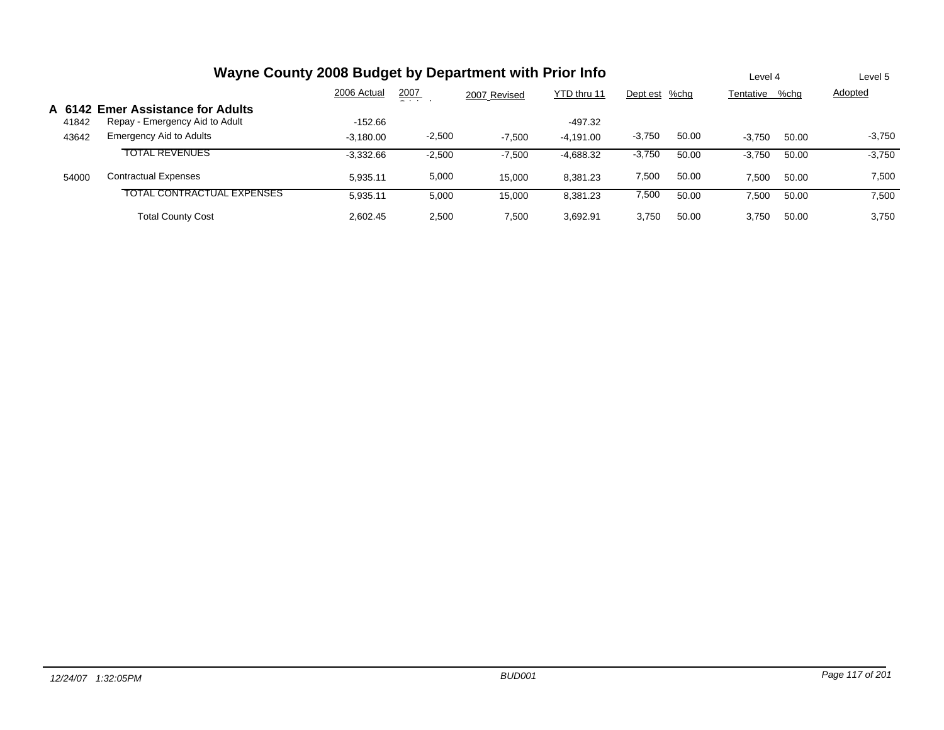| Wayne County 2008 Budget by Department with Prior Info |                                   |             |          |              |             |               |       |           |       | Level 5  |
|--------------------------------------------------------|-----------------------------------|-------------|----------|--------------|-------------|---------------|-------|-----------|-------|----------|
|                                                        |                                   | 2006 Actual | 2007     | 2007 Revised | YTD thru 11 | Dept est %chg |       | Tentative | %chq  | Adopted  |
| A 6142                                                 | <b>Emer Assistance for Adults</b> |             |          |              |             |               |       |           |       |          |
| 41842                                                  | Repay - Emergency Aid to Adult    | $-152.66$   |          |              | $-497.32$   |               |       |           |       |          |
| 43642                                                  | Emergency Aid to Adults           | $-3,180.00$ | $-2,500$ | $-7,500$     | $-4,191.00$ | $-3,750$      | 50.00 | $-3.750$  | 50.00 | $-3,750$ |
|                                                        | <b>TOTAL REVENUES</b>             | $-3.332.66$ | $-2,500$ | $-7.500$     | -4,688.32   | $-3,750$      | 50.00 | $-3.750$  | 50.00 | $-3,750$ |
| 54000                                                  | <b>Contractual Expenses</b>       | 5.935.11    | 5,000    | 15.000       | 8,381.23    | 7,500         | 50.00 | 7.500     | 50.00 | 7,500    |
|                                                        | <b>TOTAL CONTRACTUAL EXPENSES</b> | 5,935.11    | 5,000    | 15.000       | 8,381.23    | 7,500         | 50.00 | 7,500     | 50.00 | 7,500    |
|                                                        | <b>Total County Cost</b>          | 2.602.45    | 2,500    | 7,500        | 3.692.91    | 3.750         | 50.00 | 3.750     | 50.00 | 3,750    |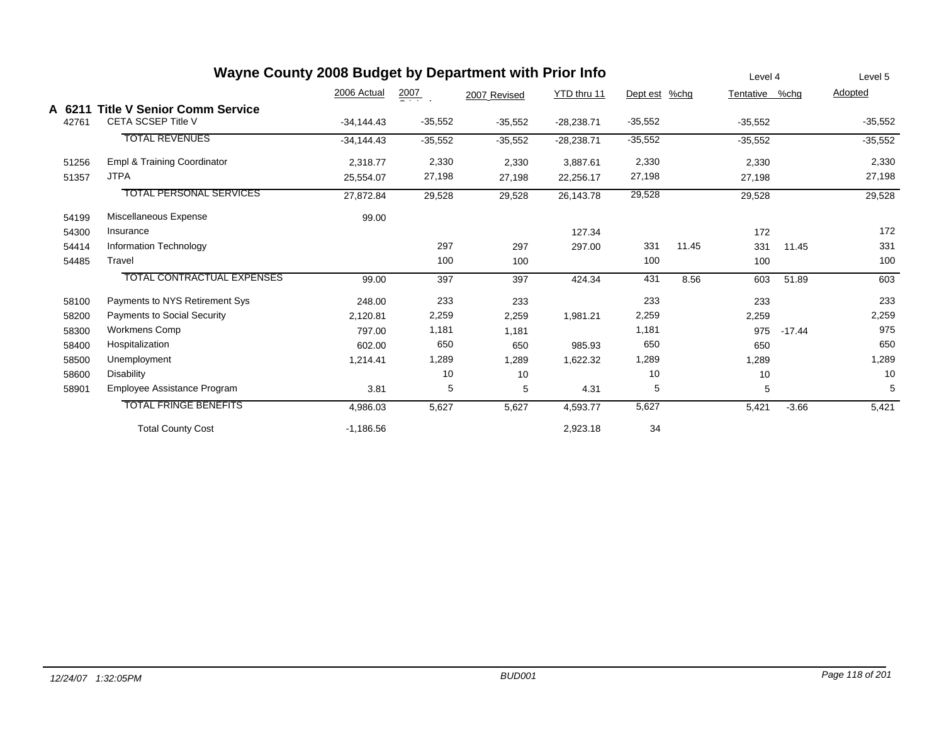| Wayne County 2008 Budget by Department with Prior Info |                                    |              |                  |              |              |               |       |                |          | Level 5   |
|--------------------------------------------------------|------------------------------------|--------------|------------------|--------------|--------------|---------------|-------|----------------|----------|-----------|
|                                                        |                                    | 2006 Actual  | $\frac{2007}{2}$ | 2007 Revised | YTD thru 11  | Dept est %chg |       | Tentative %chg |          | Adopted   |
| A 6211                                                 | <b>Title V Senior Comm Service</b> |              |                  |              |              |               |       |                |          |           |
| 42761                                                  | <b>CETA SCSEP Title V</b>          | $-34,144.43$ | $-35,552$        | $-35,552$    | $-28,238.71$ | $-35,552$     |       | $-35,552$      |          | $-35,552$ |
|                                                        | <b>TOTAL REVENUES</b>              | $-34,144.43$ | $-35,552$        | $-35,552$    | $-28,238.71$ | $-35,552$     |       | $-35,552$      |          | $-35,552$ |
| 51256                                                  | Empl & Training Coordinator        | 2,318.77     | 2,330            | 2,330        | 3,887.61     | 2,330         |       | 2,330          |          | 2,330     |
| 51357                                                  | <b>JTPA</b>                        | 25,554.07    | 27,198           | 27,198       | 22,256.17    | 27,198        |       | 27,198         |          | 27,198    |
|                                                        | <b>TOTAL PERSONAL SERVICES</b>     | 27,872.84    | 29,528           | 29,528       | 26,143.78    | 29,528        |       | 29,528         |          | 29,528    |
| 54199                                                  | Miscellaneous Expense              | 99.00        |                  |              |              |               |       |                |          |           |
| 54300                                                  | Insurance                          |              |                  |              | 127.34       |               |       | 172            |          | 172       |
| 54414                                                  | Information Technology             |              | 297              | 297          | 297.00       | 331           | 11.45 | 331            | 11.45    | 331       |
| 54485                                                  | Travel                             |              | 100              | 100          |              | 100           |       | 100            |          | 100       |
|                                                        | <b>TOTAL CONTRACTUAL EXPENSES</b>  | 99.00        | 397              | 397          | 424.34       | 431           | 8.56  | 603            | 51.89    | 603       |
| 58100                                                  | Payments to NYS Retirement Sys     | 248.00       | 233              | 233          |              | 233           |       | 233            |          | 233       |
| 58200                                                  | <b>Payments to Social Security</b> | 2,120.81     | 2,259            | 2,259        | 1,981.21     | 2,259         |       | 2,259          |          | 2,259     |
| 58300                                                  | <b>Workmens Comp</b>               | 797.00       | 1,181            | 1,181        |              | 1,181         |       | 975            | $-17.44$ | 975       |
| 58400                                                  | Hospitalization                    | 602.00       | 650              | 650          | 985.93       | 650           |       | 650            |          | 650       |
| 58500                                                  | Unemployment                       | 1,214.41     | 1,289            | 1,289        | 1,622.32     | 1,289         |       | 1,289          |          | 1,289     |
| 58600                                                  | <b>Disability</b>                  |              | 10               | 10           |              | 10            |       | 10             |          | 10        |
| 58901                                                  | Employee Assistance Program        | 3.81         | 5                | 5            | 4.31         | 5             |       | 5              |          | 5         |
|                                                        | <b>TOTAL FRINGE BENEFITS</b>       | 4,986.03     | 5,627            | 5,627        | 4,593.77     | 5,627         |       | 5,421          | $-3.66$  | 5,421     |
|                                                        | <b>Total County Cost</b>           | $-1,186.56$  |                  |              | 2,923.18     | 34            |       |                |          |           |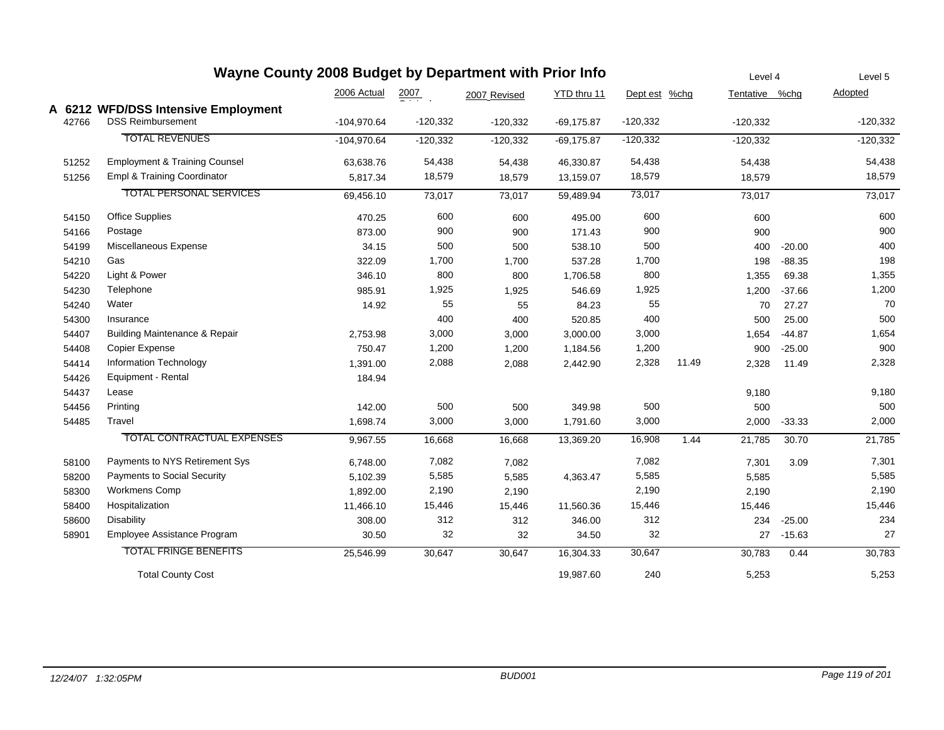| Wayne County 2008 Budget by Department with Prior Info |                                          |               |                    |              |               |               |       | Level 4        |          | Level 5    |
|--------------------------------------------------------|------------------------------------------|---------------|--------------------|--------------|---------------|---------------|-------|----------------|----------|------------|
|                                                        |                                          | 2006 Actual   | $\frac{2007}{200}$ | 2007 Revised | YTD thru 11   | Dept est %chg |       | Tentative %chg |          | Adopted    |
|                                                        | A 6212 WFD/DSS Intensive Employment      |               |                    |              |               |               |       |                |          |            |
| 42766                                                  | <b>DSS Reimbursement</b>                 | $-104,970.64$ | $-120,332$         | $-120,332$   | $-69,175.87$  | $-120,332$    |       | $-120,332$     |          | $-120,332$ |
|                                                        | <b>TOTAL REVENUES</b>                    | $-104,970.64$ | $-120,332$         | $-120,332$   | $-69, 175.87$ | $-120,332$    |       | $-120,332$     |          | $-120,332$ |
| 51252                                                  | <b>Employment &amp; Training Counsel</b> | 63,638.76     | 54,438             | 54,438       | 46,330.87     | 54,438        |       | 54,438         |          | 54,438     |
| 51256                                                  | Empl & Training Coordinator              | 5,817.34      | 18,579             | 18,579       | 13,159.07     | 18,579        |       | 18,579         |          | 18,579     |
|                                                        | <b>TOTAL PERSONAL SERVICES</b>           | 69,456.10     | 73,017             | 73,017       | 59,489.94     | 73,017        |       | 73,017         |          | 73,017     |
| 54150                                                  | <b>Office Supplies</b>                   | 470.25        | 600                | 600          | 495.00        | 600           |       | 600            |          | 600        |
| 54166                                                  | Postage                                  | 873.00        | 900                | 900          | 171.43        | 900           |       | 900            |          | 900        |
| 54199                                                  | Miscellaneous Expense                    | 34.15         | 500                | 500          | 538.10        | 500           |       | 400            | $-20.00$ | 400        |
| 54210                                                  | Gas                                      | 322.09        | 1,700              | 1,700        | 537.28        | 1,700         |       | 198            | $-88.35$ | 198        |
| 54220                                                  | Light & Power                            | 346.10        | 800                | 800          | 1,706.58      | 800           |       | 1,355          | 69.38    | 1,355      |
| 54230                                                  | Telephone                                | 985.91        | 1,925              | 1,925        | 546.69        | 1,925         |       | 1,200          | $-37.66$ | 1,200      |
| 54240                                                  | Water                                    | 14.92         | 55                 | 55           | 84.23         | 55            |       | 70             | 27.27    | 70         |
| 54300                                                  | Insurance                                |               | 400                | 400          | 520.85        | 400           |       | 500            | 25.00    | 500        |
| 54407                                                  | Building Maintenance & Repair            | 2,753.98      | 3,000              | 3,000        | 3,000.00      | 3,000         |       | 1,654          | $-44.87$ | 1,654      |
| 54408                                                  | Copier Expense                           | 750.47        | 1,200              | 1,200        | 1,184.56      | 1,200         |       | 900            | $-25.00$ | 900        |
| 54414                                                  | Information Technology                   | 1,391.00      | 2,088              | 2,088        | 2,442.90      | 2,328         | 11.49 | 2,328          | 11.49    | 2,328      |
| 54426                                                  | Equipment - Rental                       | 184.94        |                    |              |               |               |       |                |          |            |
| 54437                                                  | Lease                                    |               |                    |              |               |               |       | 9,180          |          | 9,180      |
| 54456                                                  | Printing                                 | 142.00        | 500                | 500          | 349.98        | 500           |       | 500            |          | 500        |
| 54485                                                  | Travel                                   | 1,698.74      | 3,000              | 3,000        | 1,791.60      | 3,000         |       | 2,000          | $-33.33$ | 2,000      |
|                                                        | <b>TOTAL CONTRACTUAL EXPENSES</b>        | 9,967.55      | 16,668             | 16,668       | 13,369.20     | 16,908        | 1.44  | 21,785         | 30.70    | 21,785     |
| 58100                                                  | Payments to NYS Retirement Sys           | 6,748.00      | 7,082              | 7,082        |               | 7,082         |       | 7,301          | 3.09     | 7,301      |
| 58200                                                  | <b>Payments to Social Security</b>       | 5,102.39      | 5,585              | 5,585        | 4,363.47      | 5,585         |       | 5,585          |          | 5,585      |
| 58300                                                  | <b>Workmens Comp</b>                     | 1,892.00      | 2,190              | 2,190        |               | 2,190         |       | 2,190          |          | 2,190      |
| 58400                                                  | Hospitalization                          | 11,466.10     | 15,446             | 15,446       | 11,560.36     | 15,446        |       | 15,446         |          | 15,446     |
| 58600                                                  | <b>Disability</b>                        | 308.00        | 312                | 312          | 346.00        | 312           |       | 234            | $-25.00$ | 234        |
| 58901                                                  | Employee Assistance Program              | 30.50         | 32                 | 32           | 34.50         | 32            |       | 27             | $-15.63$ | 27         |
|                                                        | <b>TOTAL FRINGE BENEFITS</b>             | 25,546.99     | 30,647             | 30,647       | 16,304.33     | 30,647        |       | 30,783         | 0.44     | 30,783     |
|                                                        | <b>Total County Cost</b>                 |               |                    |              | 19,987.60     | 240           |       | 5,253          |          | 5,253      |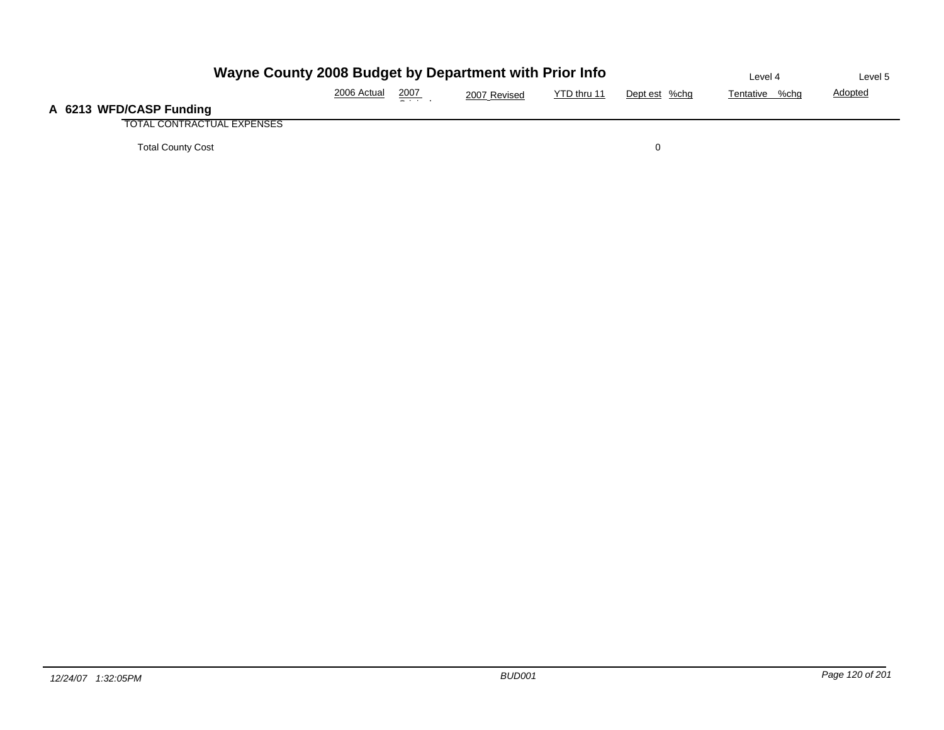| Wayne County 2008 Budget by Department with Prior Info | Level 4     | Level 5       |              |             |               |                |                |
|--------------------------------------------------------|-------------|---------------|--------------|-------------|---------------|----------------|----------------|
|                                                        | 2006 Actual | <u> 2007 </u> | 2007 Revised | YTD thru 11 | Dept est %chg | Tentative %chg | <b>Adopted</b> |
| A 6213 WFD/CASP Funding                                |             |               |              |             |               |                |                |
| TOTAL CONTRACTUAL EXPENSES                             |             |               |              |             |               |                |                |
| <b>Total County Cost</b>                               |             |               |              |             |               |                |                |

**A**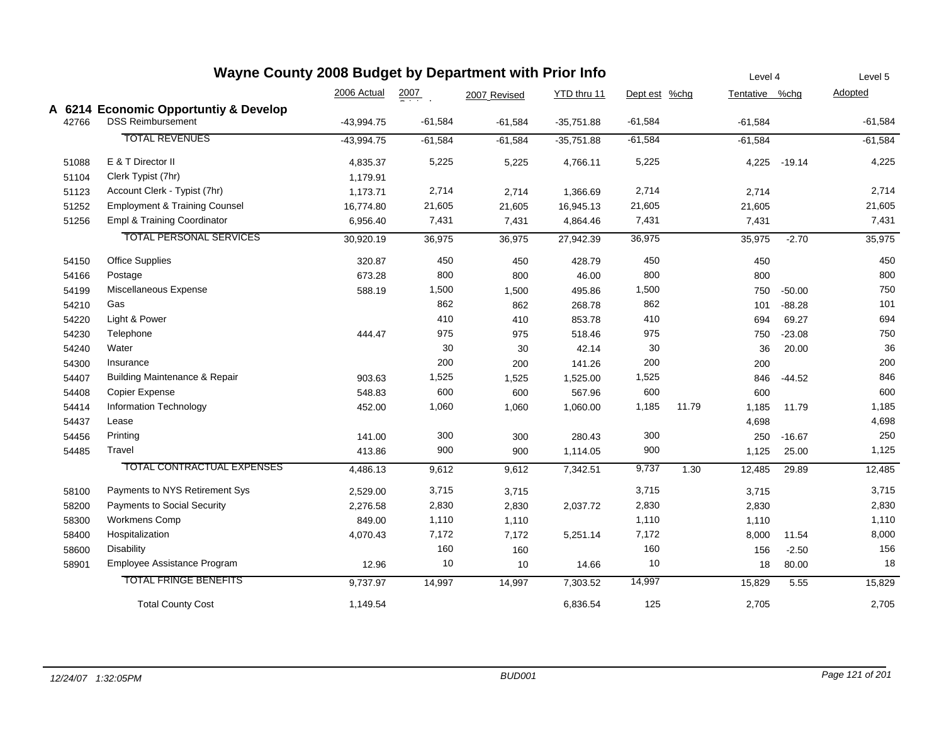| Wayne County 2008 Budget by Department with Prior Info |                                                   |              |                  |              |              |               |       | Level 4   |                | Level 5   |
|--------------------------------------------------------|---------------------------------------------------|--------------|------------------|--------------|--------------|---------------|-------|-----------|----------------|-----------|
|                                                        |                                                   | 2006 Actual  | $\frac{2007}{2}$ | 2007 Revised | YTD thru 11  | Dept est %chg |       |           | Tentative %chg | Adopted   |
|                                                        | A 6214 Economic Opportuntiy & Develop             |              |                  |              |              |               |       |           |                |           |
| 42766                                                  | <b>DSS Reimbursement</b>                          | $-43,994.75$ | $-61,584$        | $-61,584$    | $-35,751.88$ | $-61,584$     |       | $-61,584$ |                | $-61,584$ |
|                                                        | <b>TOTAL REVENUES</b>                             | $-43,994.75$ | $-61,584$        | $-61,584$    | $-35,751.88$ | $-61,584$     |       | $-61,584$ |                | $-61,584$ |
| 51088                                                  | E & T Director II                                 | 4,835.37     | 5,225            | 5,225        | 4,766.11     | 5,225         |       | 4,225     | $-19.14$       | 4,225     |
| 51104                                                  | Clerk Typist (7hr)                                | 1,179.91     |                  |              |              |               |       |           |                |           |
| 51123                                                  | Account Clerk - Typist (7hr)                      | 1,173.71     | 2,714            | 2,714        | 1,366.69     | 2,714         |       | 2,714     |                | 2,714     |
|                                                        | <b>Employment &amp; Training Counsel</b><br>51252 | 16,774.80    | 21,605           | 21,605       | 16,945.13    | 21,605        |       | 21,605    |                | 21,605    |
| 51256                                                  | Empl & Training Coordinator                       | 6,956.40     | 7,431            | 7,431        | 4,864.46     | 7,431         |       | 7,431     |                | 7,431     |
|                                                        | <b>TOTAL PERSONAL SERVICES</b>                    | 30,920.19    | 36,975           | 36,975       | 27,942.39    | 36,975        |       | 35,975    | $-2.70$        | 35,975    |
|                                                        | <b>Office Supplies</b><br>54150                   | 320.87       | 450              | 450          | 428.79       | 450           |       | 450       |                | 450       |
|                                                        | Postage<br>54166                                  | 673.28       | 800              | 800          | 46.00        | 800           |       | 800       |                | 800       |
| 54199                                                  | Miscellaneous Expense                             | 588.19       | 1,500            | 1,500        | 495.86       | 1,500         |       | 750       | $-50.00$       | 750       |
| 54210                                                  | Gas                                               |              | 862              | 862          | 268.78       | 862           |       | 101       | $-88.28$       | 101       |
| 54220                                                  | Light & Power                                     |              | 410              | 410          | 853.78       | 410           |       | 694       | 69.27          | 694       |
| 54230                                                  | Telephone                                         | 444.47       | 975              | 975          | 518.46       | 975           |       | 750       | $-23.08$       | 750       |
| 54240                                                  | Water                                             |              | 30               | 30           | 42.14        | 30            |       | 36        | 20.00          | 36        |
| 54300                                                  | Insurance                                         |              | 200              | 200          | 141.26       | 200           |       | 200       |                | 200       |
| 54407                                                  | <b>Building Maintenance &amp; Repair</b>          | 903.63       | 1,525            | 1,525        | 1,525.00     | 1,525         |       | 846       | $-44.52$       | 846       |
| 54408                                                  | <b>Copier Expense</b>                             | 548.83       | 600              | 600          | 567.96       | 600           |       | 600       |                | 600       |
| 54414                                                  | <b>Information Technology</b>                     | 452.00       | 1,060            | 1,060        | 1,060.00     | 1,185         | 11.79 | 1,185     | 11.79          | 1,185     |
| 54437                                                  | Lease                                             |              |                  |              |              |               |       | 4,698     |                | 4,698     |
| 54456                                                  | Printing                                          | 141.00       | 300              | 300          | 280.43       | 300           |       | 250       | $-16.67$       | 250       |
| 54485                                                  | Travel                                            | 413.86       | 900              | 900          | 1,114.05     | 900           |       | 1,125     | 25.00          | 1,125     |
|                                                        | <b>TOTAL CONTRACTUAL EXPENSES</b>                 | 4,486.13     | 9,612            | 9,612        | 7,342.51     | 9,737         | 1.30  | 12,485    | 29.89          | 12,485    |
|                                                        | Payments to NYS Retirement Sys<br>58100           | 2,529.00     | 3,715            | 3,715        |              | 3,715         |       | 3,715     |                | 3,715     |
| 58200                                                  | <b>Payments to Social Security</b>                | 2,276.58     | 2,830            | 2,830        | 2,037.72     | 2,830         |       | 2,830     |                | 2,830     |
| 58300                                                  | Workmens Comp                                     | 849.00       | 1,110            | 1,110        |              | 1,110         |       | 1,110     |                | 1,110     |
| 58400                                                  | Hospitalization                                   | 4,070.43     | 7,172            | 7,172        | 5,251.14     | 7,172         |       | 8,000     | 11.54          | 8,000     |
| 58600                                                  | <b>Disability</b>                                 |              | 160              | 160          |              | 160           |       | 156       | $-2.50$        | 156       |
| 58901                                                  | Employee Assistance Program                       | 12.96        | 10               | $10$         | 14.66        | 10            |       | 18        | 80.00          | 18        |
|                                                        | <b>TOTAL FRINGE BENEFITS</b>                      | 9,737.97     | 14,997           | 14,997       | 7,303.52     | 14,997        |       | 15,829    | 5.55           | 15,829    |
|                                                        | <b>Total County Cost</b>                          | 1,149.54     |                  |              | 6,836.54     | 125           |       | 2,705     |                | 2,705     |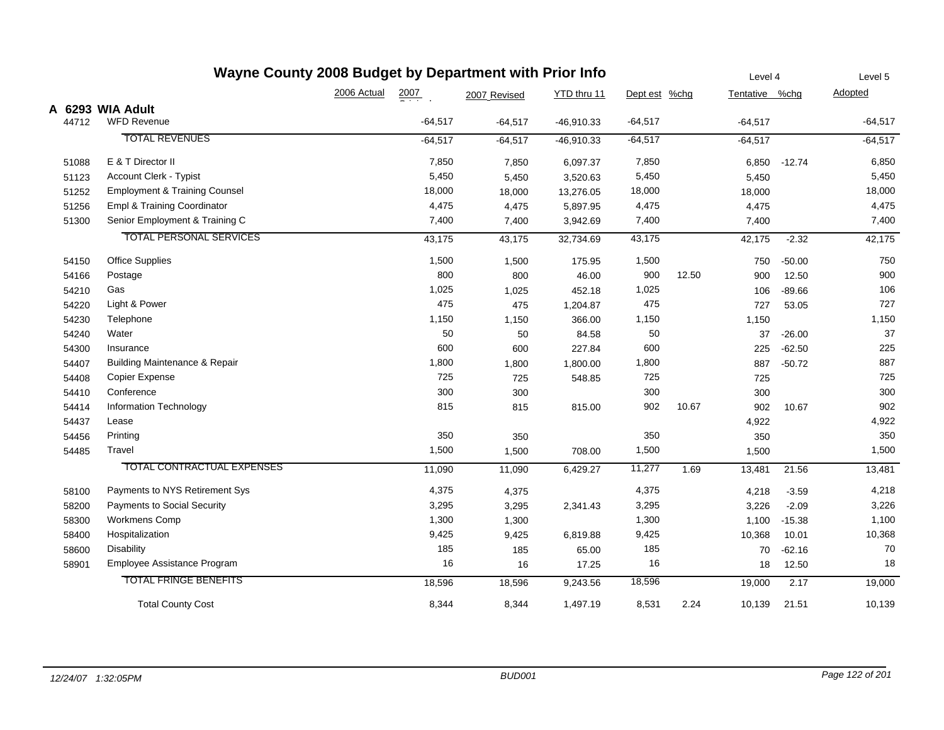| Wayne County 2008 Budget by Department with Prior Info |       |                                          |             |                  |              |              |               | Level 4 |                | Level 5  |           |
|--------------------------------------------------------|-------|------------------------------------------|-------------|------------------|--------------|--------------|---------------|---------|----------------|----------|-----------|
|                                                        |       |                                          | 2006 Actual | $\frac{2007}{2}$ | 2007 Revised | YTD thru 11  | Dept est %chg |         | Tentative %chg |          | Adopted   |
|                                                        |       | A 6293 WIA Adult                         |             |                  |              |              |               |         |                |          |           |
|                                                        | 44712 | <b>WFD Revenue</b>                       |             | $-64,517$        | $-64,517$    | $-46,910.33$ | $-64,517$     |         | $-64,517$      |          | $-64,517$ |
|                                                        |       | <b>TOTAL REVENUES</b>                    |             | $-64,517$        | $-64,517$    | $-46,910.33$ | $-64,517$     |         | $-64,517$      |          | $-64,517$ |
|                                                        | 51088 | E & T Director II                        |             | 7,850            | 7,850        | 6,097.37     | 7,850         |         | 6,850          | $-12.74$ | 6,850     |
|                                                        | 51123 | Account Clerk - Typist                   |             | 5,450            | 5,450        | 3,520.63     | 5,450         |         | 5,450          |          | 5,450     |
|                                                        | 51252 | <b>Employment &amp; Training Counsel</b> |             | 18,000           | 18,000       | 13,276.05    | 18,000        |         | 18,000         |          | 18,000    |
|                                                        | 51256 | Empl & Training Coordinator              |             | 4,475            | 4,475        | 5,897.95     | 4,475         |         | 4,475          |          | 4,475     |
|                                                        | 51300 | Senior Employment & Training C           |             | 7,400            | 7,400        | 3,942.69     | 7,400         |         | 7,400          |          | 7,400     |
|                                                        |       | <b>TOTAL PERSONAL SERVICES</b>           |             | 43,175           | 43,175       | 32,734.69    | 43,175        |         | 42,175         | $-2.32$  | 42,175    |
|                                                        | 54150 | <b>Office Supplies</b>                   |             | 1,500            | 1,500        | 175.95       | 1,500         |         | 750            | $-50.00$ | 750       |
|                                                        | 54166 | Postage                                  |             | 800              | 800          | 46.00        | 900           | 12.50   | 900            | 12.50    | 900       |
|                                                        | 54210 | Gas                                      |             | 1,025            | 1,025        | 452.18       | 1,025         |         | 106            | $-89.66$ | 106       |
|                                                        | 54220 | Light & Power                            |             | 475              | 475          | 1,204.87     | 475           |         | 727            | 53.05    | 727       |
|                                                        | 54230 | Telephone                                |             | 1,150            | 1,150        | 366.00       | 1,150         |         | 1,150          |          | 1,150     |
|                                                        | 54240 | Water                                    |             | 50               | 50           | 84.58        | 50            |         | 37             | $-26.00$ | 37        |
|                                                        | 54300 | Insurance                                |             | 600              | 600          | 227.84       | 600           |         | 225            | $-62.50$ | 225       |
|                                                        | 54407 | Building Maintenance & Repair            |             | 1,800            | 1,800        | 1,800.00     | 1,800         |         | 887            | $-50.72$ | 887       |
|                                                        | 54408 | <b>Copier Expense</b>                    |             | 725              | 725          | 548.85       | 725           |         | 725            |          | 725       |
|                                                        | 54410 | Conference                               |             | 300              | 300          |              | 300           |         | 300            |          | 300       |
|                                                        | 54414 | <b>Information Technology</b>            |             | 815              | 815          | 815.00       | 902           | 10.67   | 902            | 10.67    | 902       |
|                                                        | 54437 | Lease                                    |             |                  |              |              |               |         | 4,922          |          | 4,922     |
|                                                        | 54456 | Printing                                 |             | 350              | 350          |              | 350           |         | 350            |          | 350       |
|                                                        | 54485 | Travel                                   |             | 1,500            | 1,500        | 708.00       | 1,500         |         | 1,500          |          | 1,500     |
|                                                        |       | TOTAL CONTRACTUAL EXPENSES               |             | 11,090           | 11,090       | 6,429.27     | 11,277        | 1.69    | 13,481         | 21.56    | 13,481    |
|                                                        | 58100 | Payments to NYS Retirement Sys           |             | 4,375            | 4,375        |              | 4,375         |         | 4,218          | $-3.59$  | 4,218     |
|                                                        | 58200 | Payments to Social Security              |             | 3,295            | 3,295        | 2,341.43     | 3,295         |         | 3,226          | $-2.09$  | 3,226     |
|                                                        | 58300 | Workmens Comp                            |             | 1,300            | 1,300        |              | 1,300         |         | 1,100          | $-15.38$ | 1,100     |
|                                                        | 58400 | Hospitalization                          |             | 9,425            | 9,425        | 6,819.88     | 9,425         |         | 10,368         | 10.01    | 10,368    |
|                                                        | 58600 | Disability                               |             | 185              | 185          | 65.00        | 185           |         | 70             | $-62.16$ | 70        |
|                                                        | 58901 | Employee Assistance Program              |             | 16               | 16           | 17.25        | 16            |         | 18             | 12.50    | 18        |
|                                                        |       | <b>TOTAL FRINGE BENEFITS</b>             |             | 18,596           | 18,596       | 9,243.56     | 18,596        |         | 19,000         | 2.17     | 19,000    |
|                                                        |       | <b>Total County Cost</b>                 |             | 8,344            | 8,344        | 1,497.19     | 8,531         | 2.24    | 10,139         | 21.51    | 10,139    |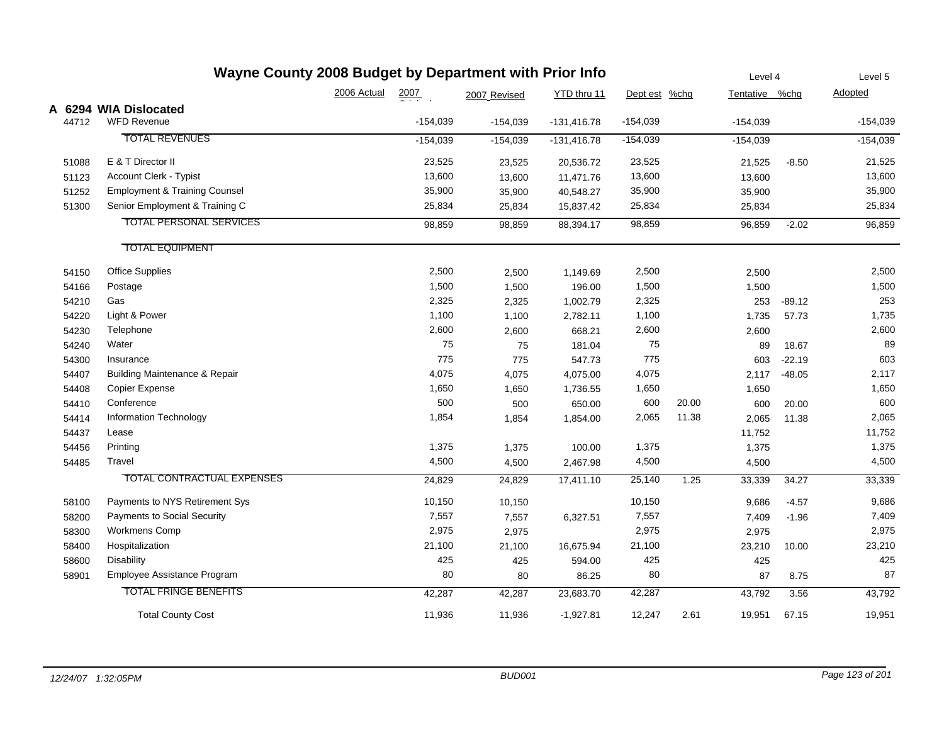| Wayne County 2008 Budget by Department with Prior Info |       |                                          |             |                  |              |               |               |       | Level 4        |          | Level 5    |
|--------------------------------------------------------|-------|------------------------------------------|-------------|------------------|--------------|---------------|---------------|-------|----------------|----------|------------|
|                                                        |       |                                          | 2006 Actual | $\frac{2007}{4}$ | 2007 Revised | YTD thru 11   | Dept est %chg |       | Tentative %chg |          | Adopted    |
|                                                        |       | A 6294 WIA Dislocated                    |             |                  |              |               |               |       |                |          |            |
|                                                        | 44712 | <b>WFD Revenue</b>                       |             | $-154,039$       | $-154,039$   | $-131,416.78$ | $-154,039$    |       | $-154,039$     |          | $-154,039$ |
|                                                        |       | <b>TOTAL REVENUES</b>                    |             | $-154,039$       | $-154,039$   | $-131,416.78$ | $-154,039$    |       | $-154,039$     |          | $-154,039$ |
|                                                        | 51088 | E & T Director II                        |             | 23,525           | 23,525       | 20,536.72     | 23,525        |       | 21,525         | $-8.50$  | 21,525     |
|                                                        | 51123 | Account Clerk - Typist                   |             | 13,600           | 13,600       | 11,471.76     | 13,600        |       | 13,600         |          | 13,600     |
|                                                        | 51252 | <b>Employment &amp; Training Counsel</b> |             | 35,900           | 35,900       | 40,548.27     | 35,900        |       | 35,900         |          | 35,900     |
|                                                        | 51300 | Senior Employment & Training C           |             | 25,834           | 25,834       | 15,837.42     | 25,834        |       | 25,834         |          | 25,834     |
|                                                        |       | <b>TOTAL PERSONAL SERVICES</b>           |             | 98,859           | 98,859       | 88,394.17     | 98,859        |       | 96,859         | $-2.02$  | 96,859     |
|                                                        |       | <b>TOTAL EQUIPMENT</b>                   |             |                  |              |               |               |       |                |          |            |
|                                                        | 54150 | <b>Office Supplies</b>                   |             | 2,500            | 2,500        | 1,149.69      | 2,500         |       | 2,500          |          | 2,500      |
|                                                        | 54166 | Postage                                  |             | 1,500            | 1,500        | 196.00        | 1,500         |       | 1,500          |          | 1,500      |
|                                                        | 54210 | Gas                                      |             | 2,325            | 2,325        | 1,002.79      | 2,325         |       | 253            | $-89.12$ | 253        |
|                                                        | 54220 | Light & Power                            |             | 1,100            | 1,100        | 2,782.11      | 1,100         |       | 1,735          | 57.73    | 1,735      |
|                                                        | 54230 | Telephone                                |             | 2,600            | 2,600        | 668.21        | 2,600         |       | 2,600          |          | 2,600      |
|                                                        | 54240 | Water                                    |             | 75               | 75           | 181.04        | 75            |       | 89             | 18.67    | 89         |
|                                                        | 54300 | Insurance                                |             | 775              | 775          | 547.73        | 775           |       | 603            | $-22.19$ | 603        |
|                                                        | 54407 | <b>Building Maintenance &amp; Repair</b> |             | 4,075            | 4,075        | 4,075.00      | 4,075         |       | 2,117          | $-48.05$ | 2,117      |
|                                                        | 54408 | <b>Copier Expense</b>                    |             | 1,650            | 1,650        | 1,736.55      | 1,650         |       | 1,650          |          | 1,650      |
|                                                        | 54410 | Conference                               |             | 500              | 500          | 650.00        | 600           | 20.00 | 600            | 20.00    | 600        |
|                                                        | 54414 | Information Technology                   |             | 1,854            | 1,854        | 1,854.00      | 2,065         | 11.38 | 2,065          | 11.38    | 2,065      |
|                                                        | 54437 | Lease                                    |             |                  |              |               |               |       | 11,752         |          | 11,752     |
|                                                        | 54456 | Printing                                 |             | 1,375            | 1,375        | 100.00        | 1,375         |       | 1,375          |          | 1,375      |
|                                                        | 54485 | Travel                                   |             | 4,500            | 4,500        | 2,467.98      | 4,500         |       | 4,500          |          | 4,500      |
|                                                        |       | <b>TOTAL CONTRACTUAL EXPENSES</b>        |             | 24,829           | 24,829       | 17,411.10     | 25,140        | 1.25  | 33,339         | 34.27    | 33,339     |
|                                                        | 58100 | Payments to NYS Retirement Sys           |             | 10,150           | 10,150       |               | 10,150        |       | 9,686          | $-4.57$  | 9,686      |
|                                                        | 58200 | Payments to Social Security              |             | 7,557            | 7,557        | 6,327.51      | 7,557         |       | 7,409          | $-1.96$  | 7,409      |
|                                                        | 58300 | Workmens Comp                            |             | 2,975            | 2,975        |               | 2,975         |       | 2,975          |          | 2,975      |
|                                                        | 58400 | Hospitalization                          |             | 21,100           | 21,100       | 16,675.94     | 21,100        |       | 23,210         | 10.00    | 23,210     |
|                                                        | 58600 | <b>Disability</b>                        |             | 425              | 425          | 594.00        | 425           |       | 425            |          | 425        |
|                                                        | 58901 | Employee Assistance Program              |             | 80               | 80           | 86.25         | 80            |       | 87             | 8.75     | 87         |
|                                                        |       | <b>TOTAL FRINGE BENEFITS</b>             |             | 42,287           | 42,287       | 23,683.70     | 42,287        |       | 43,792         | 3.56     | 43,792     |
|                                                        |       | <b>Total County Cost</b>                 |             | 11,936           | 11,936       | $-1,927.81$   | 12,247        | 2.61  | 19,951         | 67.15    | 19,951     |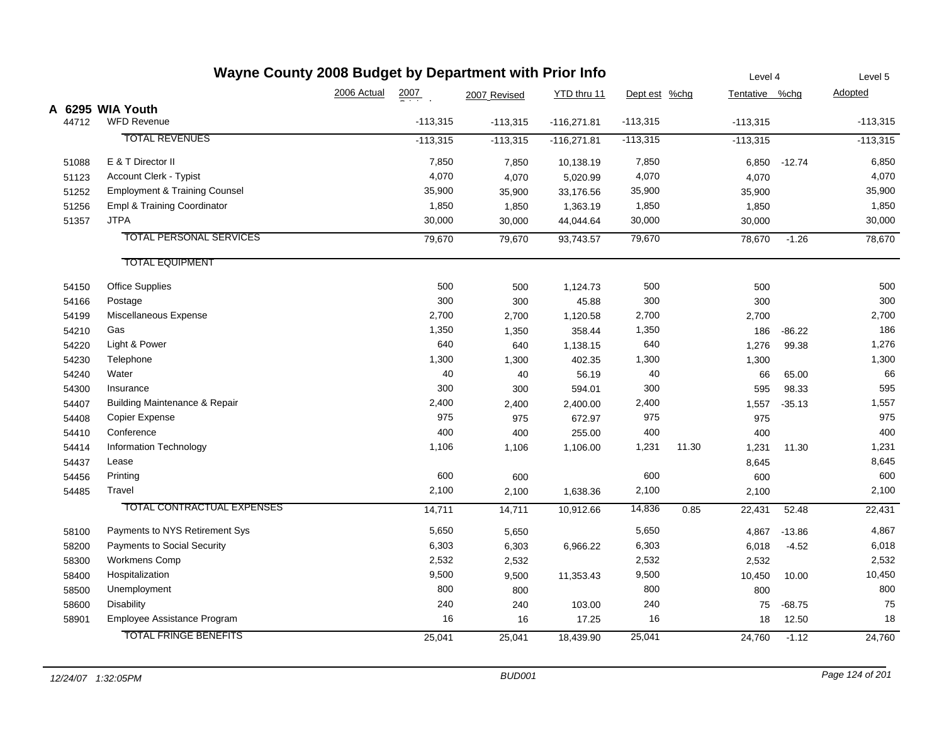| Wayne County 2008 Budget by Department with Prior Info |                                          |             |                    |              |               |               |       | Level 4        |          | Level 5    |
|--------------------------------------------------------|------------------------------------------|-------------|--------------------|--------------|---------------|---------------|-------|----------------|----------|------------|
|                                                        |                                          | 2006 Actual | $\frac{2007}{200}$ | 2007 Revised | YTD thru 11   | Dept est %chg |       | Tentative %chg |          | Adopted    |
|                                                        | A 6295 WIA Youth                         |             |                    |              |               |               |       |                |          |            |
| 44712                                                  | <b>WFD Revenue</b>                       |             | $-113,315$         | $-113,315$   | $-116,271.81$ | $-113,315$    |       | $-113,315$     |          | $-113,315$ |
|                                                        | <b>TOTAL REVENUES</b>                    |             | $-113,315$         | $-113,315$   | $-116,271.81$ | $-113,315$    |       | $-113,315$     |          | $-113,315$ |
| 51088                                                  | E & T Director II                        |             | 7,850              | 7,850        | 10,138.19     | 7,850         |       | 6,850          | $-12.74$ | 6,850      |
| 51123                                                  | Account Clerk - Typist                   |             | 4,070              | 4,070        | 5,020.99      | 4,070         |       | 4,070          |          | 4,070      |
| 51252                                                  | <b>Employment &amp; Training Counsel</b> |             | 35,900             | 35,900       | 33,176.56     | 35,900        |       | 35,900         |          | 35,900     |
| 51256                                                  | Empl & Training Coordinator              |             | 1,850              | 1,850        | 1,363.19      | 1,850         |       | 1,850          |          | 1,850      |
| 51357                                                  | <b>JTPA</b>                              |             | 30,000             | 30,000       | 44,044.64     | 30,000        |       | 30,000         |          | 30,000     |
|                                                        | <b>TOTAL PERSONAL SERVICES</b>           |             | 79,670             | 79,670       | 93,743.57     | 79,670        |       | 78,670         | $-1.26$  | 78,670     |
|                                                        | <b>TOTAL EQUIPMENT</b>                   |             |                    |              |               |               |       |                |          |            |
| 54150                                                  | <b>Office Supplies</b>                   |             | 500                | 500          | 1,124.73      | 500           |       | 500            |          | 500        |
| 54166                                                  | Postage                                  |             | 300                | 300          | 45.88         | 300           |       | 300            |          | 300        |
| 54199                                                  | Miscellaneous Expense                    |             | 2,700              | 2,700        | 1,120.58      | 2,700         |       | 2,700          |          | 2,700      |
| 54210                                                  | Gas                                      |             | 1,350              | 1,350        | 358.44        | 1,350         |       | 186            | $-86.22$ | 186        |
| 54220                                                  | Light & Power                            |             | 640                | 640          | 1,138.15      | 640           |       | 1,276          | 99.38    | 1,276      |
| 54230                                                  | Telephone                                |             | 1,300              | 1,300        | 402.35        | 1,300         |       | 1,300          |          | 1,300      |
| 54240                                                  | Water                                    |             | 40                 | 40           | 56.19         | 40            |       | 66             | 65.00    | 66         |
| 54300                                                  | Insurance                                |             | 300                | 300          | 594.01        | 300           |       | 595            | 98.33    | 595        |
| 54407                                                  | <b>Building Maintenance &amp; Repair</b> |             | 2,400              | 2,400        | 2,400.00      | 2,400         |       | 1,557          | $-35.13$ | 1,557      |
| 54408                                                  | Copier Expense                           |             | 975                | 975          | 672.97        | 975           |       | 975            |          | 975        |
| 54410                                                  | Conference                               |             | 400                | 400          | 255.00        | 400           |       | 400            |          | 400        |
| 54414                                                  | Information Technology                   |             | 1,106              | 1,106        | 1,106.00      | 1,231         | 11.30 | 1,231          | 11.30    | 1,231      |
| 54437                                                  | Lease                                    |             |                    |              |               |               |       | 8,645          |          | 8,645      |
| 54456                                                  | Printing                                 |             | 600                | 600          |               | 600           |       | 600            |          | 600        |
| 54485                                                  | Travel                                   |             | 2,100              | 2,100        | 1,638.36      | 2,100         |       | 2,100          |          | 2,100      |
|                                                        | TOTAL CONTRACTUAL EXPENSES               |             | 14,711             | 14,711       | 10,912.66     | 14,836        | 0.85  | 22,431         | 52.48    | 22,431     |
| 58100                                                  | Payments to NYS Retirement Sys           |             | 5,650              | 5,650        |               | 5,650         |       | 4,867          | $-13.86$ | 4,867      |
| 58200                                                  | Payments to Social Security              |             | 6,303              | 6,303        | 6,966.22      | 6,303         |       | 6,018          | $-4.52$  | 6,018      |
| 58300                                                  | Workmens Comp                            |             | 2,532              | 2,532        |               | 2,532         |       | 2,532          |          | 2,532      |
| 58400                                                  | Hospitalization                          |             | 9,500              | 9,500        | 11,353.43     | 9,500         |       | 10,450         | 10.00    | 10,450     |
| 58500                                                  | Unemployment                             |             | 800                | 800          |               | 800           |       | 800            |          | 800        |
| 58600                                                  | <b>Disability</b>                        |             | 240                | 240          | 103.00        | 240           |       | 75             | $-68.75$ | 75         |
| 58901                                                  | Employee Assistance Program              |             | 16                 | 16           | 17.25         | 16            |       | 18             | 12.50    | 18         |
|                                                        | <b>TOTAL FRINGE BENEFITS</b>             |             | 25,041             | 25,041       | 18,439.90     | 25,041        |       | 24,760         | $-1.12$  | 24,760     |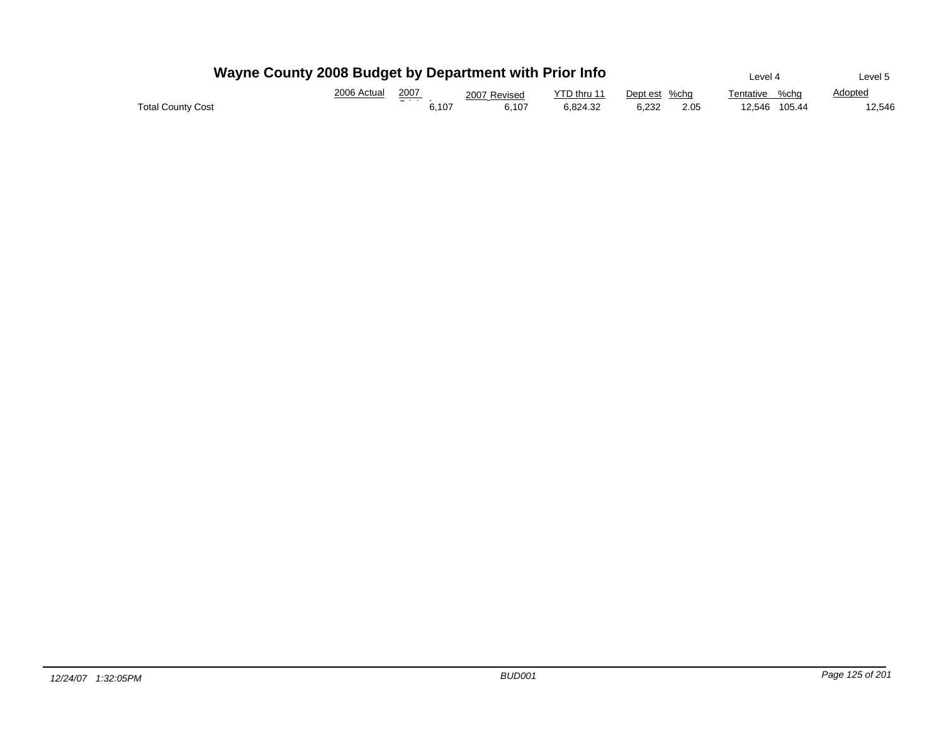|                   | Wayne County 2008 Budget by Department with Prior Info |                | Level 4      | Level 5     |               |                   |                |
|-------------------|--------------------------------------------------------|----------------|--------------|-------------|---------------|-------------------|----------------|
|                   | 2006 Actual                                            | 2007           | 2007 Revised | YTD thru 11 | Dept est %chg | %cho<br>Tentative | <b>Adopted</b> |
| Total County Cost |                                                        | - - -<br>6.107 | 6.107        | 6.824.32    | 6.232<br>2.05 | 12.546 105.44     | 12.546         |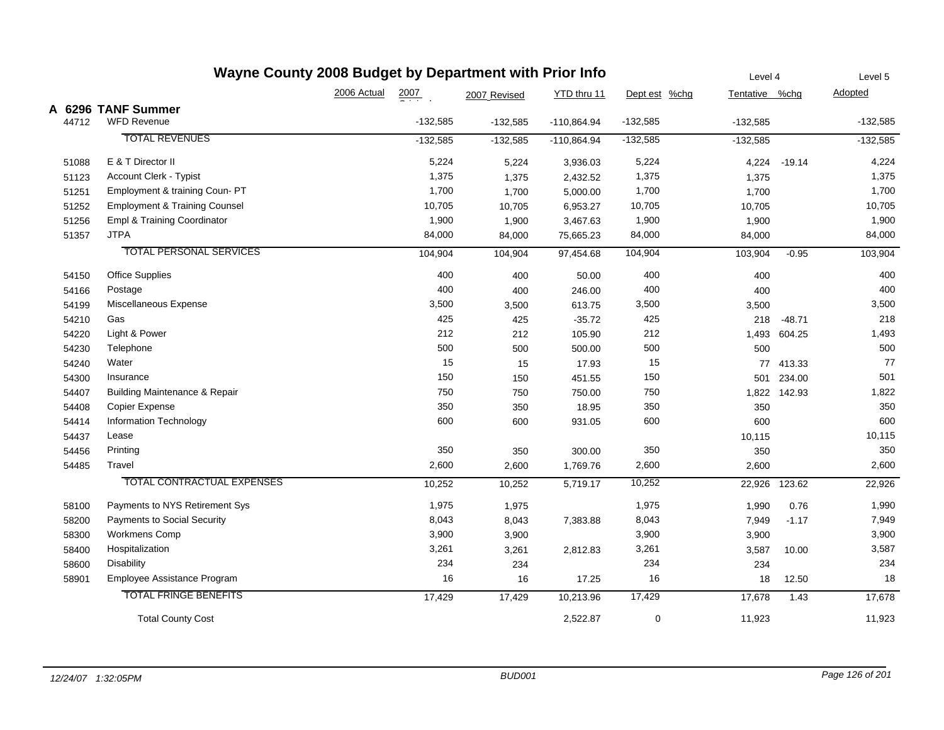| Wayne County 2008 Budget by Department with Prior Info |                                          |             |                  |              |               |               |                | Level 4      | Level 5    |
|--------------------------------------------------------|------------------------------------------|-------------|------------------|--------------|---------------|---------------|----------------|--------------|------------|
|                                                        |                                          | 2006 Actual | $\frac{2007}{2}$ | 2007 Revised | YTD thru 11   | Dept est %chg | Tentative %chg |              | Adopted    |
|                                                        | A 6296 TANF Summer                       |             |                  |              |               |               |                |              |            |
| 44712                                                  | <b>WFD Revenue</b>                       |             | $-132,585$       | $-132,585$   | $-110,864.94$ | $-132,585$    | $-132,585$     |              | $-132,585$ |
|                                                        | <b>TOTAL REVENUES</b>                    |             | $-132,585$       | $-132,585$   | $-110,864.94$ | $-132,585$    | $-132,585$     |              | $-132,585$ |
| 51088                                                  | E & T Director II                        |             | 5,224            | 5,224        | 3,936.03      | 5,224         | 4,224          | $-19.14$     | 4,224      |
| 51123                                                  | Account Clerk - Typist                   |             | 1,375            | 1,375        | 2,432.52      | 1,375         | 1,375          |              | 1,375      |
| 51251                                                  | Employment & training Coun- PT           |             | 1,700            | 1,700        | 5,000.00      | 1,700         | 1,700          |              | 1,700      |
| 51252                                                  | <b>Employment &amp; Training Counsel</b> |             | 10,705           | 10,705       | 6,953.27      | 10,705        | 10,705         |              | 10,705     |
| 51256                                                  | Empl & Training Coordinator              |             | 1,900            | 1,900        | 3,467.63      | 1,900         | 1,900          |              | 1,900      |
| 51357                                                  | <b>JTPA</b>                              |             | 84,000           | 84,000       | 75,665.23     | 84,000        | 84,000         |              | 84,000     |
|                                                        | <b>TOTAL PERSONAL SERVICES</b>           |             | 104,904          | 104,904      | 97,454.68     | 104,904       | 103,904        | $-0.95$      | 103,904    |
| 54150                                                  | <b>Office Supplies</b>                   |             | 400              | 400          | 50.00         | 400           | 400            |              | 400        |
| 54166                                                  | Postage                                  |             | 400              | 400          | 246.00        | 400           | 400            |              | 400        |
| 54199                                                  | Miscellaneous Expense                    |             | 3,500            | 3,500        | 613.75        | 3,500         | 3,500          |              | 3,500      |
| 54210                                                  | Gas                                      |             | 425              | 425          | $-35.72$      | 425           | 218            | $-48.71$     | 218        |
| 54220                                                  | Light & Power                            |             | 212              | 212          | 105.90        | 212           | 1,493          | 604.25       | 1,493      |
| 54230                                                  | Telephone                                |             | 500              | 500          | 500.00        | 500           | 500            |              | 500        |
| 54240                                                  | Water                                    |             | 15               | 15           | 17.93         | 15            |                | 77 413.33    | 77         |
| 54300                                                  | Insurance                                |             | 150              | 150          | 451.55        | 150           | 501            | 234.00       | 501        |
| 54407                                                  | <b>Building Maintenance &amp; Repair</b> |             | 750              | 750          | 750.00        | 750           |                | 1,822 142.93 | 1,822      |
| 54408                                                  | <b>Copier Expense</b>                    |             | 350              | 350          | 18.95         | 350           | 350            |              | 350        |
| 54414                                                  | Information Technology                   |             | 600              | 600          | 931.05        | 600           | 600            |              | 600        |
| 54437                                                  | Lease                                    |             |                  |              |               |               | 10,115         |              | 10,115     |
| 54456                                                  | Printing                                 |             | 350              | 350          | 300.00        | 350           | 350            |              | 350        |
| 54485                                                  | Travel                                   |             | 2,600            | 2,600        | 1,769.76      | 2,600         | 2,600          |              | 2,600      |
|                                                        | <b>TOTAL CONTRACTUAL EXPENSES</b>        |             | 10,252           | 10,252       | 5,719.17      | 10,252        | 22,926         | 123.62       | 22,926     |
| 58100                                                  | Payments to NYS Retirement Sys           |             | 1,975            | 1,975        |               | 1,975         | 1,990          | 0.76         | 1,990      |
| 58200                                                  | Payments to Social Security              |             | 8,043            | 8,043        | 7,383.88      | 8,043         | 7,949          | $-1.17$      | 7,949      |
| 58300                                                  | <b>Workmens Comp</b>                     |             | 3,900            | 3,900        |               | 3,900         | 3,900          |              | 3,900      |
| 58400                                                  | Hospitalization                          |             | 3,261            | 3,261        | 2,812.83      | 3,261         | 3,587          | 10.00        | 3,587      |
| 58600                                                  | Disability                               |             | 234              | 234          |               | 234           | 234            |              | 234        |
| 58901                                                  | Employee Assistance Program              |             | 16               | 16           | 17.25         | 16            | 18             | 12.50        | 18         |
|                                                        | <b>TOTAL FRINGE BENEFITS</b>             |             | 17,429           | 17,429       | 10,213.96     | 17,429        | 17,678         | 1.43         | 17,678     |
|                                                        | <b>Total County Cost</b>                 |             |                  |              | 2,522.87      | 0             | 11,923         |              | 11,923     |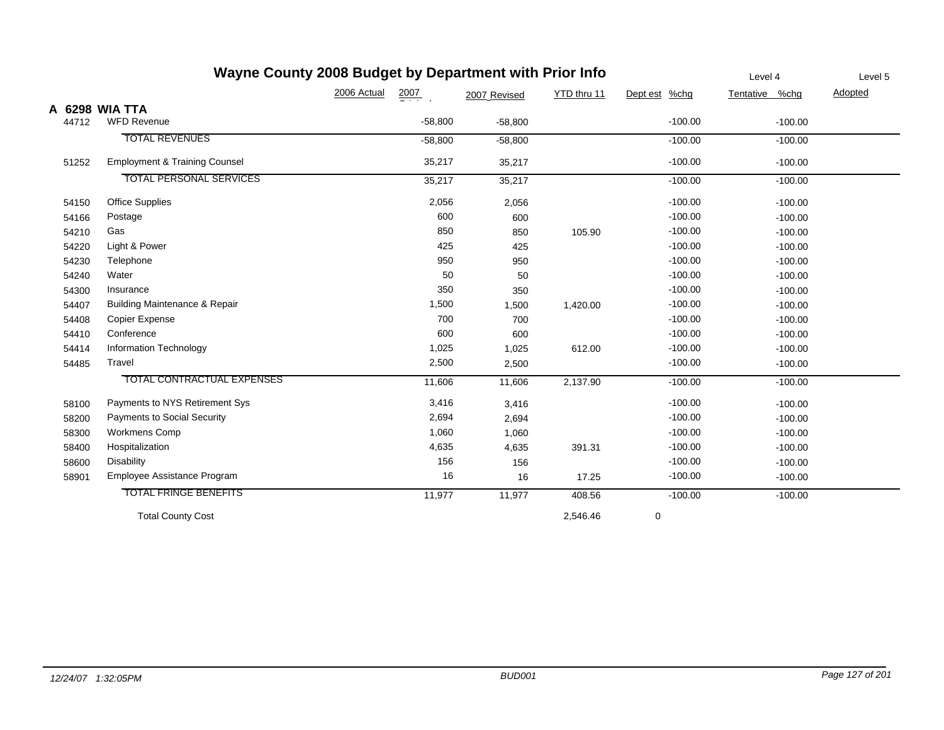|       | Wayne County 2008 Budget by Department with Prior Info |             | Level 4          | Level 5      |             |               |                |         |
|-------|--------------------------------------------------------|-------------|------------------|--------------|-------------|---------------|----------------|---------|
|       |                                                        | 2006 Actual | $\frac{2007}{2}$ | 2007 Revised | YTD thru 11 | Dept est %chg | Tentative %chg | Adopted |
|       | A 6298 WIA TTA                                         |             |                  |              |             |               |                |         |
| 44712 | <b>WFD Revenue</b>                                     |             | $-58,800$        | $-58,800$    |             | $-100.00$     | $-100.00$      |         |
|       | <b>TOTAL REVENUES</b>                                  |             | $-58,800$        | $-58,800$    |             | $-100.00$     | $-100.00$      |         |
| 51252 | <b>Employment &amp; Training Counsel</b>               |             | 35,217           | 35,217       |             | $-100.00$     | $-100.00$      |         |
|       | <b>TOTAL PERSONAL SERVICES</b>                         |             | 35,217           | 35,217       |             | $-100.00$     | $-100.00$      |         |
| 54150 | <b>Office Supplies</b>                                 |             | 2,056            | 2,056        |             | $-100.00$     | $-100.00$      |         |
| 54166 | Postage                                                |             | 600              | 600          |             | $-100.00$     | $-100.00$      |         |
| 54210 | Gas                                                    |             | 850              | 850          | 105.90      | $-100.00$     | $-100.00$      |         |
| 54220 | Light & Power                                          |             | 425              | 425          |             | $-100.00$     | $-100.00$      |         |
| 54230 | Telephone                                              |             | 950              | 950          |             | $-100.00$     | $-100.00$      |         |
| 54240 | Water                                                  |             | 50               | 50           |             | $-100.00$     | $-100.00$      |         |
| 54300 | Insurance                                              |             | 350              | 350          |             | $-100.00$     | $-100.00$      |         |
| 54407 | Building Maintenance & Repair                          |             | 1,500            | 1,500        | 1,420.00    | $-100.00$     | $-100.00$      |         |
| 54408 | Copier Expense                                         |             | 700              | 700          |             | $-100.00$     | $-100.00$      |         |
| 54410 | Conference                                             |             | 600              | 600          |             | $-100.00$     | $-100.00$      |         |
| 54414 | Information Technology                                 |             | 1,025            | 1,025        | 612.00      | $-100.00$     | $-100.00$      |         |
| 54485 | Travel                                                 |             | 2,500            | 2,500        |             | $-100.00$     | $-100.00$      |         |
|       | TOTAL CONTRACTUAL EXPENSES                             |             | 11,606           | 11,606       | 2,137.90    | $-100.00$     | $-100.00$      |         |
| 58100 | Payments to NYS Retirement Sys                         |             | 3,416            | 3,416        |             | $-100.00$     | $-100.00$      |         |
| 58200 | Payments to Social Security                            |             | 2,694            | 2,694        |             | $-100.00$     | $-100.00$      |         |
| 58300 | <b>Workmens Comp</b>                                   |             | 1,060            | 1,060        |             | $-100.00$     | $-100.00$      |         |
| 58400 | Hospitalization                                        |             | 4,635            | 4,635        | 391.31      | $-100.00$     | $-100.00$      |         |
| 58600 | <b>Disability</b>                                      |             | 156              | 156          |             | $-100.00$     | $-100.00$      |         |
| 58901 | Employee Assistance Program                            |             | 16               | 16           | 17.25       | $-100.00$     | $-100.00$      |         |
|       | <b>TOTAL FRINGE BENEFITS</b>                           |             | 11,977           | 11,977       | 408.56      | $-100.00$     | $-100.00$      |         |
|       | <b>Total County Cost</b>                               |             |                  |              | 2,546.46    | 0             |                |         |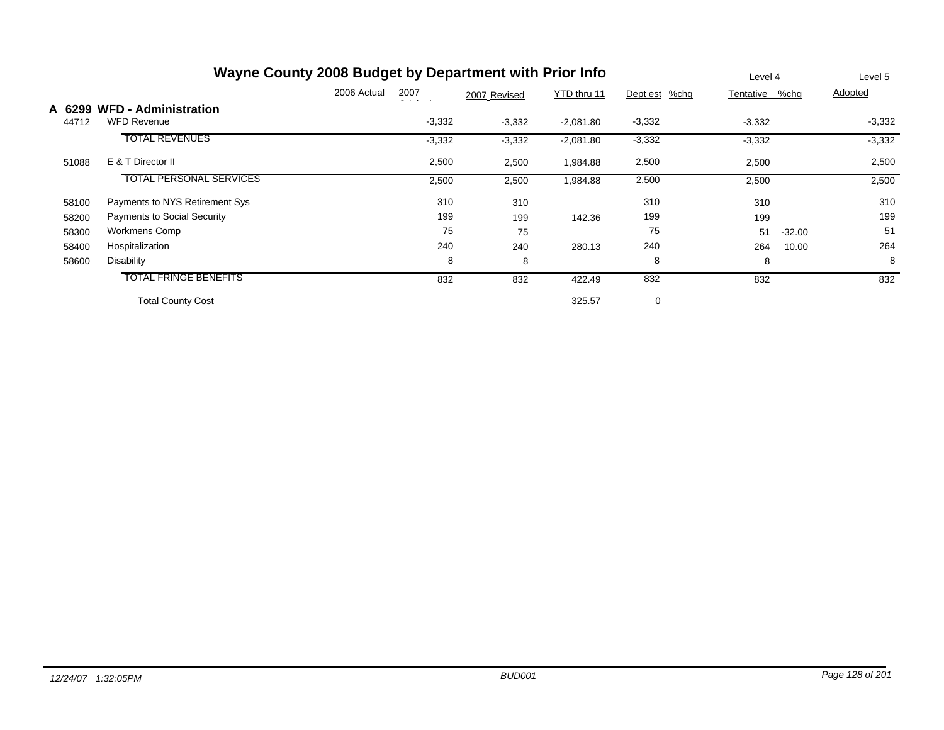|        | Wayne County 2008 Budget by Department with Prior Info | Level 4                           |              | Level 5     |               |           |          |          |
|--------|--------------------------------------------------------|-----------------------------------|--------------|-------------|---------------|-----------|----------|----------|
|        |                                                        | 2006 Actual<br>$\frac{2007}{200}$ | 2007 Revised | YTD thru 11 | Dept est %chg | Tentative | %chg     | Adopted  |
| A 6299 | <b>WFD - Administration</b>                            |                                   |              |             |               |           |          |          |
| 44712  | <b>WFD Revenue</b>                                     | $-3,332$                          | $-3,332$     | $-2,081.80$ | $-3,332$      | $-3,332$  |          | $-3,332$ |
|        | <b>TOTAL REVENUES</b>                                  | $-3,332$                          | $-3,332$     | $-2,081.80$ | $-3,332$      | $-3,332$  |          | $-3,332$ |
| 51088  | E & T Director II                                      | 2,500                             | 2,500        | 1,984.88    | 2,500         | 2,500     |          | 2,500    |
|        | <b>TOTAL PERSONAL SERVICES</b>                         | 2,500                             | 2,500        | 1,984.88    | 2,500         | 2,500     |          | 2,500    |
| 58100  | Payments to NYS Retirement Sys                         | 310                               | 310          |             | 310           | 310       |          | 310      |
| 58200  | Payments to Social Security                            | 199                               | 199          | 142.36      | 199           | 199       |          | 199      |
| 58300  | Workmens Comp                                          | 75                                | 75           |             | 75            | 51        | $-32.00$ | 51       |
| 58400  | Hospitalization                                        | 240                               | 240          | 280.13      | 240           | 264       | 10.00    | 264      |
| 58600  | Disability                                             | 8                                 | 8            |             | 8             | 8         |          | 8        |
|        | <b>TOTAL FRINGE BENEFITS</b>                           | 832                               | 832          | 422.49      | 832           | 832       |          | 832      |
|        | <b>Total County Cost</b>                               |                                   |              | 325.57      | $\mathbf 0$   |           |          |          |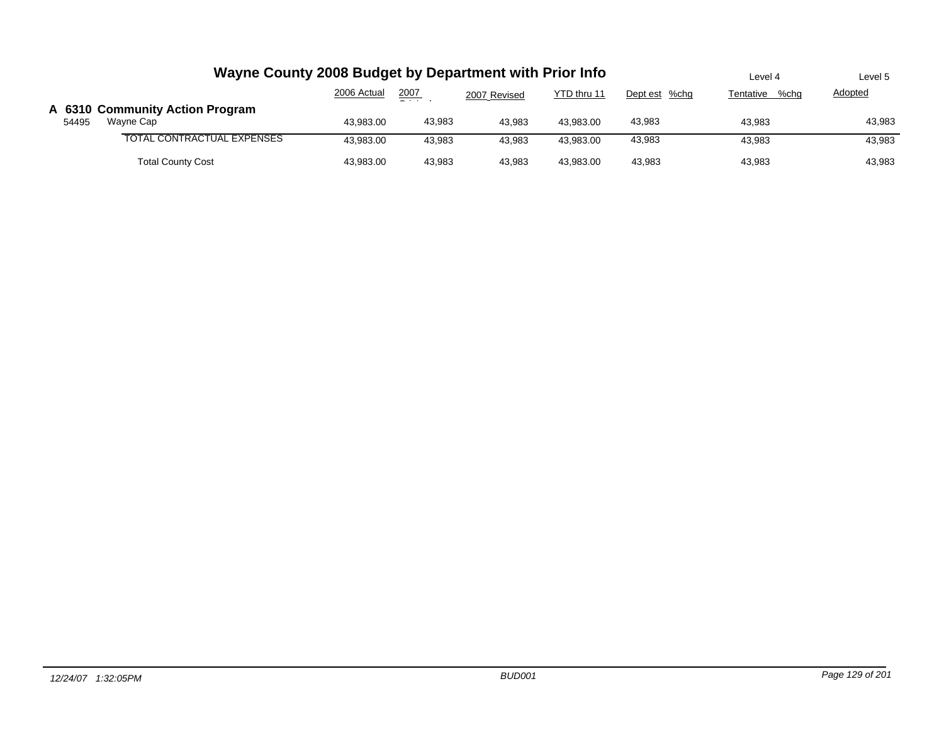|       | Wayne County 2008 Budget by Department with Prior Info | Level 4     | Level 5 |              |             |               |                   |         |
|-------|--------------------------------------------------------|-------------|---------|--------------|-------------|---------------|-------------------|---------|
|       |                                                        | 2006 Actual | 2007    | 2007 Revised | YTD thru 11 | Dept est %chg | %chq<br>Tentative | Adopted |
| 54495 | A 6310 Community Action Program<br>Wayne Cap           | 43,983.00   | 43,983  | 43.983       | 43.983.00   | 43,983        | 43,983            | 43,983  |
|       | TOTAL CONTRACTUAL EXPENSES                             | 43.983.00   | 43.983  | 43.983       | 43.983.00   | 43,983        | 43.983            | 43,983  |
|       | <b>Total County Cost</b>                               | 43,983.00   | 43,983  | 43.983       | 43.983.00   | 43.983        | 43,983            | 43,983  |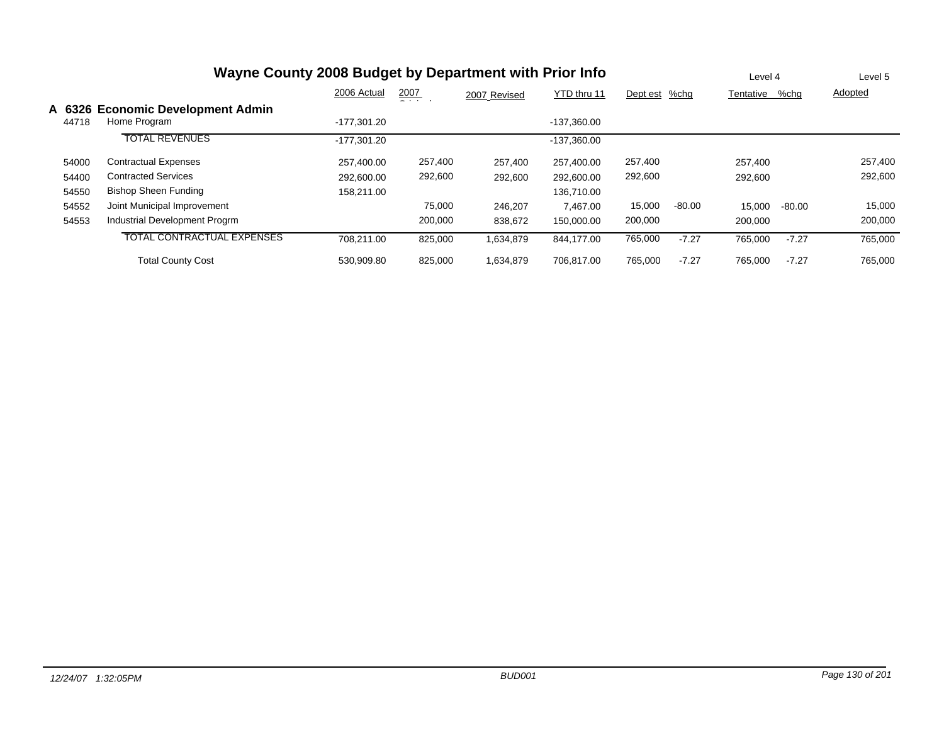## **Wayne County 2008 Budget by Department with Prior Info**

Level 4 Level 5

|       |                                                   | 2006 Actual   | <u>2007</u><br>- - - | 2007 Revised | YTD thru 11   | Dept est | %chg     | Tentative | %chg     | <b>Adopted</b> |
|-------|---------------------------------------------------|---------------|----------------------|--------------|---------------|----------|----------|-----------|----------|----------------|
| 44718 | A 6326 Economic Development Admin<br>Home Program | $-177.301.20$ |                      |              | $-137.360.00$ |          |          |           |          |                |
|       |                                                   |               |                      |              |               |          |          |           |          |                |
|       | <b>TOTAL REVENUES</b>                             | $-177.301.20$ |                      |              | -137,360.00   |          |          |           |          |                |
| 54000 | <b>Contractual Expenses</b>                       | 257.400.00    | 257,400              | 257.400      | 257.400.00    | 257,400  |          | 257.400   |          | 257,400        |
| 54400 | <b>Contracted Services</b>                        | 292,600.00    | 292,600              | 292,600      | 292,600.00    | 292,600  |          | 292,600   |          | 292,600        |
| 54550 | <b>Bishop Sheen Funding</b>                       | 158.211.00    |                      |              | 136,710.00    |          |          |           |          |                |
| 54552 | Joint Municipal Improvement                       |               | 75,000               | 246.207      | 7.467.00      | 15,000   | $-80.00$ | 15.000    | $-80.00$ | 15,000         |
| 54553 | Industrial Development Progrm                     |               | 200,000              | 838,672      | 150.000.00    | 200,000  |          | 200.000   |          | 200,000        |
|       | <b>TOTAL CONTRACTUAL EXPENSES</b>                 | 708.211.00    | 825.000              | 1,634,879    | 844.177.00    | 765,000  | $-7.27$  | 765,000   | $-7.27$  | 765,000        |
|       | <b>Total County Cost</b>                          | 530.909.80    | 825,000              | 1,634,879    | 706.817.00    | 765,000  | $-7.27$  | 765,000   | $-7.27$  | 765,000        |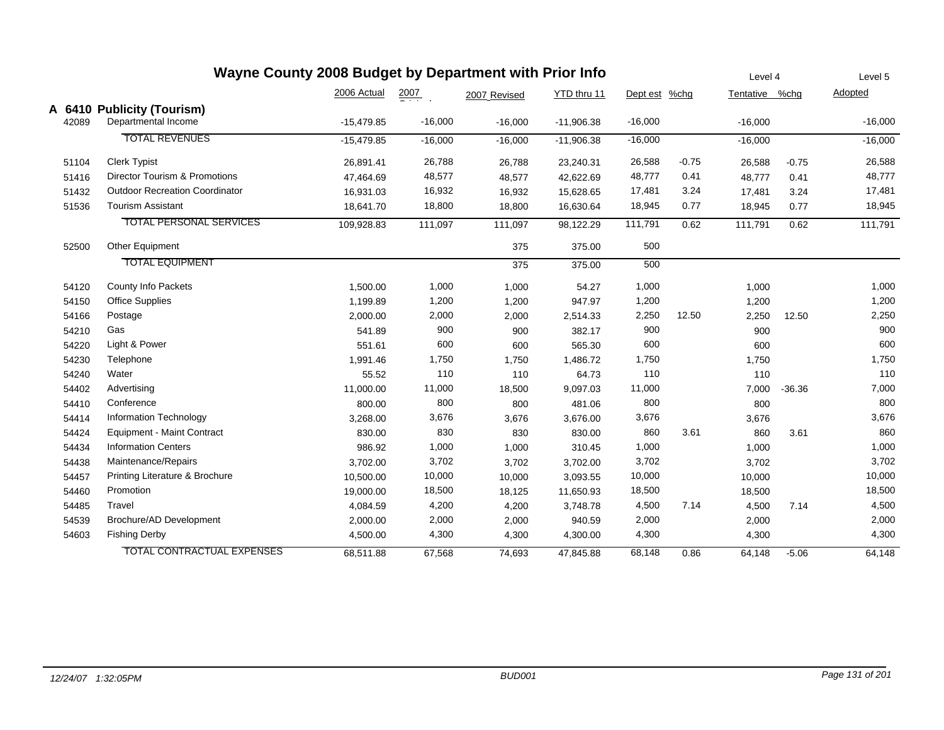| Wayne County 2008 Budget by Department with Prior Info |                                          |              |                  |              |              |               |         | Level 4        |          | Level 5   |
|--------------------------------------------------------|------------------------------------------|--------------|------------------|--------------|--------------|---------------|---------|----------------|----------|-----------|
|                                                        |                                          | 2006 Actual  | $\frac{2007}{2}$ | 2007 Revised | YTD thru 11  | Dept est %chg |         | Tentative %chg |          | Adopted   |
|                                                        | A 6410 Publicity (Tourism)               |              |                  |              |              |               |         |                |          |           |
| 42089                                                  | Departmental Income                      | $-15,479.85$ | $-16,000$        | $-16,000$    | $-11,906.38$ | $-16,000$     |         | $-16,000$      |          | $-16,000$ |
|                                                        | <b>TOTAL REVENUES</b>                    | $-15,479.85$ | $-16,000$        | $-16,000$    | $-11,906.38$ | $-16,000$     |         | $-16,000$      |          | $-16,000$ |
| 51104                                                  | <b>Clerk Typist</b>                      | 26,891.41    | 26,788           | 26,788       | 23,240.31    | 26,588        | $-0.75$ | 26,588         | $-0.75$  | 26,588    |
| 51416                                                  | <b>Director Tourism &amp; Promotions</b> | 47,464.69    | 48,577           | 48,577       | 42,622.69    | 48,777        | 0.41    | 48,777         | 0.41     | 48,777    |
| 51432                                                  | <b>Outdoor Recreation Coordinator</b>    | 16,931.03    | 16,932           | 16,932       | 15,628.65    | 17,481        | 3.24    | 17,481         | 3.24     | 17,481    |
| 51536                                                  | <b>Tourism Assistant</b>                 | 18,641.70    | 18,800           | 18,800       | 16,630.64    | 18,945        | 0.77    | 18,945         | 0.77     | 18,945    |
|                                                        | <b>TOTAL PERSONAL SERVICES</b>           | 109,928.83   | 111,097          | 111,097      | 98,122.29    | 111,791       | 0.62    | 111,791        | 0.62     | 111,791   |
| 52500                                                  | Other Equipment                          |              |                  | 375          | 375.00       | 500           |         |                |          |           |
|                                                        | <b>TOTAL EQUIPMENT</b>                   |              |                  | 375          | 375.00       | 500           |         |                |          |           |
| 54120                                                  | County Info Packets                      | 1,500.00     | 1,000            | 1,000        | 54.27        | 1,000         |         | 1,000          |          | 1,000     |
| 54150                                                  | Office Supplies                          | 1,199.89     | 1,200            | 1,200        | 947.97       | 1,200         |         | 1,200          |          | 1,200     |
| 54166                                                  | Postage                                  | 2,000.00     | 2,000            | 2,000        | 2,514.33     | 2,250         | 12.50   | 2,250          | 12.50    | 2,250     |
| 54210                                                  | Gas                                      | 541.89       | 900              | 900          | 382.17       | 900           |         | 900            |          | 900       |
| 54220                                                  | Light & Power                            | 551.61       | 600              | 600          | 565.30       | 600           |         | 600            |          | 600       |
| 54230                                                  | Telephone                                | 1,991.46     | 1,750            | 1,750        | 1,486.72     | 1,750         |         | 1,750          |          | 1,750     |
| 54240                                                  | Water                                    | 55.52        | 110              | 110          | 64.73        | 110           |         | 110            |          | 110       |
| 54402                                                  | Advertising                              | 11,000.00    | 11,000           | 18,500       | 9,097.03     | 11,000        |         | 7,000          | $-36.36$ | 7,000     |
| 54410                                                  | Conference                               | 800.00       | 800              | 800          | 481.06       | 800           |         | 800            |          | 800       |
| 54414                                                  | Information Technology                   | 3,268.00     | 3,676            | 3,676        | 3,676.00     | 3,676         |         | 3,676          |          | 3,676     |
| 54424                                                  | <b>Equipment - Maint Contract</b>        | 830.00       | 830              | 830          | 830.00       | 860           | 3.61    | 860            | 3.61     | 860       |
| 54434                                                  | <b>Information Centers</b>               | 986.92       | 1,000            | 1,000        | 310.45       | 1,000         |         | 1,000          |          | 1,000     |
| 54438                                                  | Maintenance/Repairs                      | 3,702.00     | 3,702            | 3,702        | 3,702.00     | 3,702         |         | 3,702          |          | 3,702     |
| 54457                                                  | Printing Literature & Brochure           | 10,500.00    | 10,000           | 10,000       | 3,093.55     | 10,000        |         | 10,000         |          | 10,000    |
| 54460                                                  | Promotion                                | 19,000.00    | 18,500           | 18,125       | 11,650.93    | 18,500        |         | 18,500         |          | 18,500    |
| 54485                                                  | Travel                                   | 4,084.59     | 4,200            | 4,200        | 3,748.78     | 4,500         | 7.14    | 4,500          | 7.14     | 4,500     |
| 54539                                                  | Brochure/AD Development                  | 2,000.00     | 2,000            | 2,000        | 940.59       | 2,000         |         | 2,000          |          | 2,000     |
| 54603                                                  | <b>Fishing Derby</b>                     | 4,500.00     | 4,300            | 4,300        | 4,300.00     | 4,300         |         | 4,300          |          | 4,300     |
|                                                        | <b>TOTAL CONTRACTUAL EXPENSES</b>        | 68,511.88    | 67,568           | 74,693       | 47,845.88    | 68,148        | 0.86    | 64,148         | $-5.06$  | 64,148    |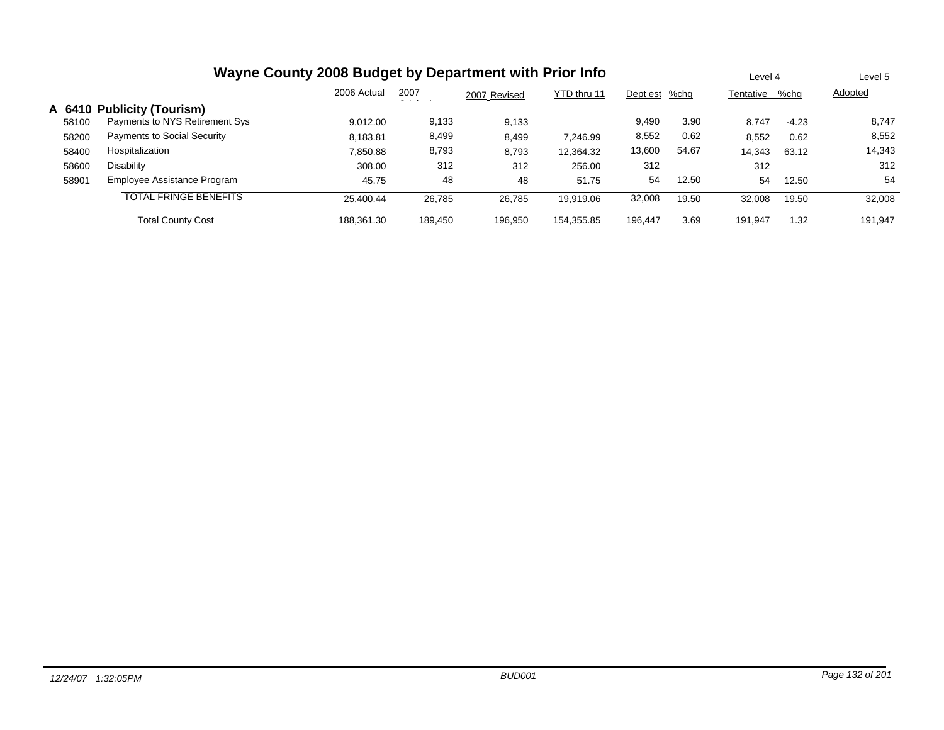|       | Wayne County 2008 Budget by Department with Prior Info |             |               |              |             |               |       |           |         | Level 5 |
|-------|--------------------------------------------------------|-------------|---------------|--------------|-------------|---------------|-------|-----------|---------|---------|
|       |                                                        | 2006 Actual | 2007<br>- - - | 2007 Revised | YTD thru 11 | Dept est %chg |       | Tentative | %chg    | Adopted |
|       | A 6410 Publicity (Tourism)                             |             |               |              |             |               |       |           |         |         |
| 58100 | Payments to NYS Retirement Sys                         | 9,012.00    | 9,133         | 9,133        |             | 9,490         | 3.90  | 8,747     | $-4.23$ | 8,747   |
| 58200 | <b>Payments to Social Security</b>                     | 8,183.81    | 8,499         | 8,499        | 7.246.99    | 8,552         | 0.62  | 8,552     | 0.62    | 8,552   |
| 58400 | Hospitalization                                        | 7,850.88    | 8,793         | 8,793        | 12.364.32   | 13,600        | 54.67 | 14,343    | 63.12   | 14,343  |
| 58600 | Disability                                             | 308.00      | 312           | 312          | 256.00      | 312           |       | 312       |         | 312     |
| 58901 | Employee Assistance Program                            | 45.75       | 48            | 48           | 51.75       | 54            | 12.50 | 54        | 12.50   | 54      |
|       | <b>TOTAL FRINGE BENEFITS</b>                           | 25.400.44   | 26,785        | 26.785       | 19.919.06   | 32,008        | 19.50 | 32,008    | 19.50   | 32,008  |
|       | <b>Total County Cost</b>                               | 188.361.30  | 189.450       | 196.950      | 154.355.85  | 196.447       | 3.69  | 191.947   | 1.32    | 191.947 |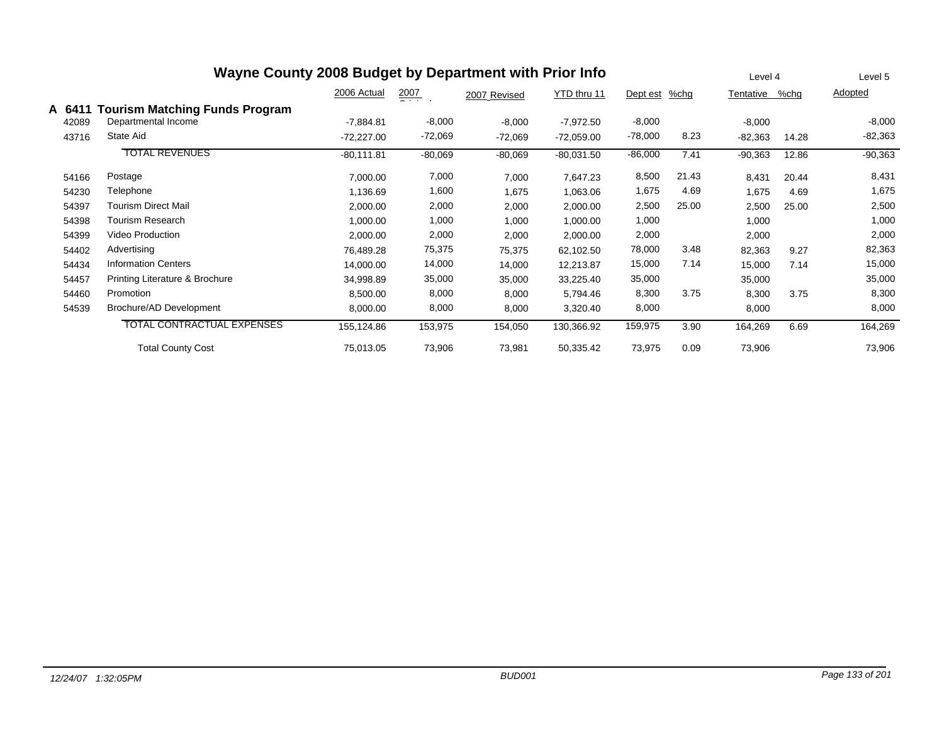| Wayne County 2008 Budget by Department with Prior Info |                                       |              |                  |              |              |           |         |           |         | Level 5   |
|--------------------------------------------------------|---------------------------------------|--------------|------------------|--------------|--------------|-----------|---------|-----------|---------|-----------|
|                                                        |                                       | 2006 Actual  | $\frac{2007}{4}$ | 2007 Revised | YTD thru 11  | Dept est  | $%$ chg | Tentative | $%$ chq | Adopted   |
| A 6411                                                 | <b>Tourism Matching Funds Program</b> |              |                  |              |              |           |         |           |         |           |
| 42089                                                  | Departmental Income                   | $-7,884.81$  | $-8,000$         | $-8,000$     | $-7,972.50$  | $-8,000$  |         | $-8,000$  |         | $-8,000$  |
| 43716                                                  | State Aid                             | $-72,227.00$ | $-72,069$        | $-72,069$    | $-72,059.00$ | $-78,000$ | 8.23    | $-82,363$ | 14.28   | $-82,363$ |
|                                                        | <b>TOTAL REVENUES</b>                 | $-80,111.81$ | $-80,069$        | $-80,069$    | $-80,031.50$ | $-86,000$ | 7.41    | $-90,363$ | 12.86   | $-90,363$ |
| 54166                                                  | Postage                               | 7,000.00     | 7,000            | 7,000        | 7,647.23     | 8,500     | 21.43   | 8,431     | 20.44   | 8,431     |
| 54230                                                  | Telephone                             | 1,136.69     | 1,600            | 1,675        | 1,063.06     | 1,675     | 4.69    | 1,675     | 4.69    | 1,675     |
| 54397                                                  | <b>Tourism Direct Mail</b>            | 2,000.00     | 2,000            | 2,000        | 2,000.00     | 2,500     | 25.00   | 2,500     | 25.00   | 2,500     |
| 54398                                                  | <b>Tourism Research</b>               | 1,000.00     | 1,000            | 1,000        | 1,000.00     | 1,000     |         | 1,000     |         | 1,000     |
| 54399                                                  | Video Production                      | 2,000.00     | 2,000            | 2,000        | 2,000.00     | 2,000     |         | 2,000     |         | 2,000     |
| 54402                                                  | Advertising                           | 76,489.28    | 75,375           | 75,375       | 62,102.50    | 78,000    | 3.48    | 82,363    | 9.27    | 82,363    |
| 54434                                                  | <b>Information Centers</b>            | 14,000.00    | 14,000           | 14,000       | 12,213.87    | 15,000    | 7.14    | 15,000    | 7.14    | 15,000    |
| 54457                                                  | Printing Literature & Brochure        | 34,998.89    | 35,000           | 35,000       | 33,225.40    | 35,000    |         | 35,000    |         | 35,000    |
| 54460                                                  | Promotion                             | 8,500.00     | 8,000            | 8,000        | 5,794.46     | 8,300     | 3.75    | 8,300     | 3.75    | 8,300     |
| 54539                                                  | Brochure/AD Development               | 8,000.00     | 8,000            | 8,000        | 3,320.40     | 8,000     |         | 8,000     |         | 8,000     |
|                                                        | <b>TOTAL CONTRACTUAL EXPENSES</b>     | 155,124.86   | 153,975          | 154,050      | 130,366.92   | 159,975   | 3.90    | 164,269   | 6.69    | 164,269   |
|                                                        | <b>Total County Cost</b>              | 75,013.05    | 73,906           | 73,981       | 50,335.42    | 73,975    | 0.09    | 73,906    |         | 73,906    |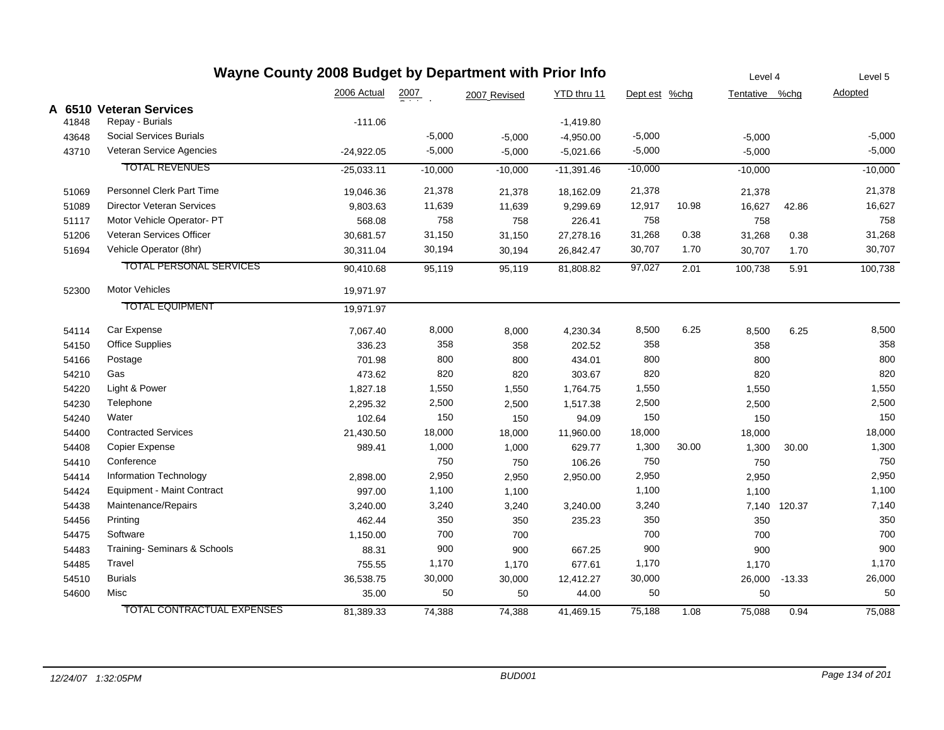| Wayne County 2008 Budget by Department with Prior Info |                                   |              |           |              |              |               |       |                | Level 4  | Level 5        |
|--------------------------------------------------------|-----------------------------------|--------------|-----------|--------------|--------------|---------------|-------|----------------|----------|----------------|
|                                                        |                                   | 2006 Actual  | 2007      | 2007 Revised | YTD thru 11  | Dept est %chg |       | Tentative %chg |          | <b>Adopted</b> |
|                                                        | A 6510 Veteran Services           |              |           |              |              |               |       |                |          |                |
| 41848                                                  | Repay - Burials                   | $-111.06$    |           |              | $-1,419.80$  |               |       |                |          |                |
| 43648                                                  | <b>Social Services Burials</b>    |              | $-5,000$  | $-5,000$     | $-4,950.00$  | $-5,000$      |       | $-5,000$       |          | $-5,000$       |
| 43710                                                  | Veteran Service Agencies          | $-24,922.05$ | $-5,000$  | $-5,000$     | $-5,021.66$  | $-5,000$      |       | $-5,000$       |          | $-5,000$       |
|                                                        | <b>TOTAL REVENUES</b>             | $-25,033.11$ | $-10,000$ | $-10,000$    | $-11,391.46$ | $-10,000$     |       | $-10,000$      |          | $-10,000$      |
| 51069                                                  | <b>Personnel Clerk Part Time</b>  | 19,046.36    | 21,378    | 21,378       | 18,162.09    | 21,378        |       | 21,378         |          | 21,378         |
| 51089                                                  | <b>Director Veteran Services</b>  | 9,803.63     | 11,639    | 11,639       | 9,299.69     | 12,917        | 10.98 | 16,627         | 42.86    | 16,627         |
| 51117                                                  | Motor Vehicle Operator- PT        | 568.08       | 758       | 758          | 226.41       | 758           |       | 758            |          | 758            |
| 51206                                                  | Veteran Services Officer          | 30,681.57    | 31,150    | 31,150       | 27,278.16    | 31,268        | 0.38  | 31,268         | 0.38     | 31,268         |
| 51694                                                  | Vehicle Operator (8hr)            | 30,311.04    | 30,194    | 30,194       | 26,842.47    | 30,707        | 1.70  | 30,707         | 1.70     | 30,707         |
|                                                        | <b>TOTAL PERSONAL SERVICES</b>    | 90,410.68    | 95,119    | 95,119       | 81,808.82    | 97,027        | 2.01  | 100,738        | 5.91     | 100,738        |
| 52300                                                  | <b>Motor Vehicles</b>             | 19,971.97    |           |              |              |               |       |                |          |                |
|                                                        | <b>TOTAL EQUIPMENT</b>            | 19,971.97    |           |              |              |               |       |                |          |                |
| 54114                                                  | Car Expense                       | 7,067.40     | 8,000     | 8,000        | 4,230.34     | 8,500         | 6.25  | 8,500          | 6.25     | 8,500          |
| 54150                                                  | <b>Office Supplies</b>            | 336.23       | 358       | 358          | 202.52       | 358           |       | 358            |          | 358            |
| 54166                                                  | Postage                           | 701.98       | 800       | 800          | 434.01       | 800           |       | 800            |          | 800            |
| 54210                                                  | Gas                               | 473.62       | 820       | 820          | 303.67       | 820           |       | 820            |          | 820            |
| 54220                                                  | Light & Power                     | 1,827.18     | 1,550     | 1,550        | 1,764.75     | 1,550         |       | 1,550          |          | 1,550          |
| 54230                                                  | Telephone                         | 2,295.32     | 2,500     | 2,500        | 1,517.38     | 2,500         |       | 2,500          |          | 2,500          |
| 54240                                                  | Water                             | 102.64       | 150       | 150          | 94.09        | 150           |       | 150            |          | 150            |
| 54400                                                  | <b>Contracted Services</b>        | 21,430.50    | 18,000    | 18,000       | 11,960.00    | 18,000        |       | 18,000         |          | 18,000         |
| 54408                                                  | Copier Expense                    | 989.41       | 1,000     | 1,000        | 629.77       | 1,300         | 30.00 | 1,300          | 30.00    | 1,300          |
| 54410                                                  | Conference                        |              | 750       | 750          | 106.26       | 750           |       | 750            |          | 750            |
| 54414                                                  | Information Technology            | 2,898.00     | 2,950     | 2,950        | 2,950.00     | 2,950         |       | 2,950          |          | 2,950          |
| 54424                                                  | Equipment - Maint Contract        | 997.00       | 1,100     | 1,100        |              | 1,100         |       | 1,100          |          | 1,100          |
| 54438                                                  | Maintenance/Repairs               | 3,240.00     | 3,240     | 3,240        | 3,240.00     | 3,240         |       | 7,140          | 120.37   | 7,140          |
| 54456                                                  | Printing                          | 462.44       | 350       | 350          | 235.23       | 350           |       | 350            |          | 350            |
| 54475                                                  | Software                          | 1,150.00     | 700       | 700          |              | 700           |       | 700            |          | 700            |
| 54483                                                  | Training- Seminars & Schools      | 88.31        | 900       | 900          | 667.25       | 900           |       | 900            |          | 900            |
| 54485                                                  | Travel                            | 755.55       | 1,170     | 1,170        | 677.61       | 1,170         |       | 1,170          |          | 1,170          |
| 54510                                                  | <b>Burials</b>                    | 36,538.75    | 30,000    | 30,000       | 12,412.27    | 30,000        |       | 26,000         | $-13.33$ | 26,000         |
| 54600                                                  | Misc                              | 35.00        | 50        | 50           | 44.00        | 50            |       | 50             |          | 50             |
|                                                        | <b>TOTAL CONTRACTUAL EXPENSES</b> | 81,389.33    | 74,388    | 74,388       | 41,469.15    | 75,188        | 1.08  | 75,088         | 0.94     | 75,088         |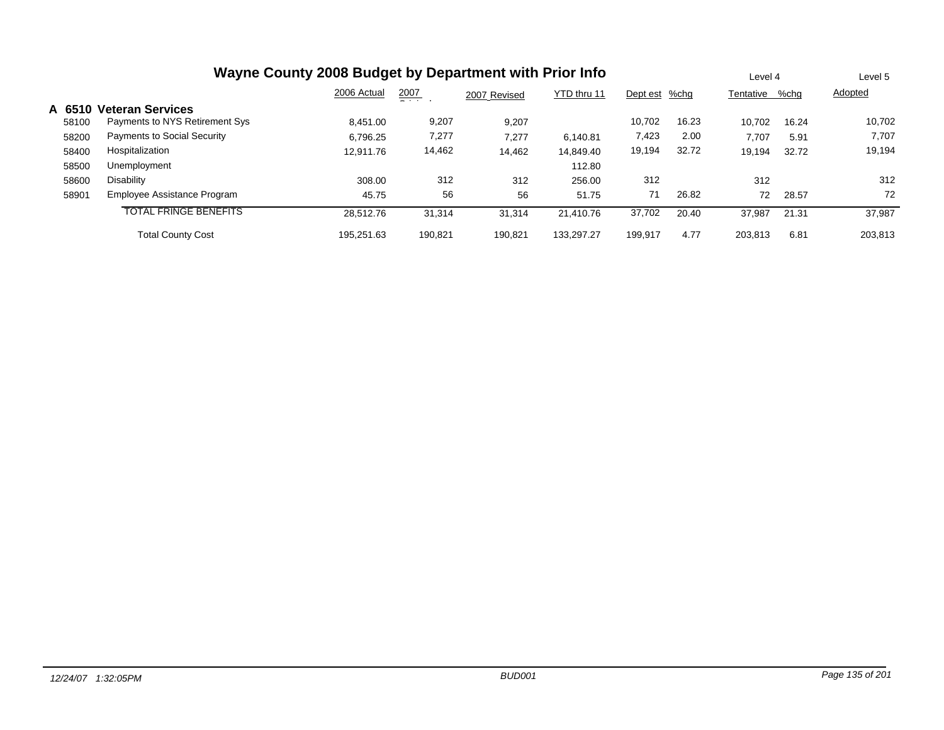|        | Wayne County 2008 Budget by Department with Prior Info |             |               |              |             |          |       |           |       | Level 5 |
|--------|--------------------------------------------------------|-------------|---------------|--------------|-------------|----------|-------|-----------|-------|---------|
|        |                                                        | 2006 Actual | 2007<br>$  -$ | 2007 Revised | YTD thru 11 | Dept est | %chq  | Tentative | %chq  | Adopted |
| A 6510 | <b>Veteran Services</b>                                |             |               |              |             |          |       |           |       |         |
| 58100  | Payments to NYS Retirement Sys                         | 8.451.00    | 9,207         | 9,207        |             | 10.702   | 16.23 | 10.702    | 16.24 | 10,702  |
| 58200  | <b>Payments to Social Security</b>                     | 6.796.25    | 7,277         | 7.277        | 6.140.81    | 7,423    | 2.00  | 7.707     | 5.91  | 7,707   |
| 58400  | Hospitalization                                        | 12.911.76   | 14,462        | 14,462       | 14.849.40   | 19,194   | 32.72 | 19,194    | 32.72 | 19,194  |
| 58500  | Unemployment                                           |             |               |              | 112.80      |          |       |           |       |         |
| 58600  | Disability                                             | 308.00      | 312           | 312          | 256.00      | 312      |       | 312       |       | 312     |
| 58901  | Employee Assistance Program                            | 45.75       | 56            | 56           | 51.75       | 71       | 26.82 | 72        | 28.57 | 72      |
|        | <b>TOTAL FRINGE BENEFITS</b>                           | 28.512.76   | 31,314        | 31,314       | 21.410.76   | 37,702   | 20.40 | 37,987    | 21.31 | 37,987  |
|        | <b>Total County Cost</b>                               | 195.251.63  | 190,821       | 190,821      | 133.297.27  | 199,917  | 4.77  | 203.813   | 6.81  | 203,813 |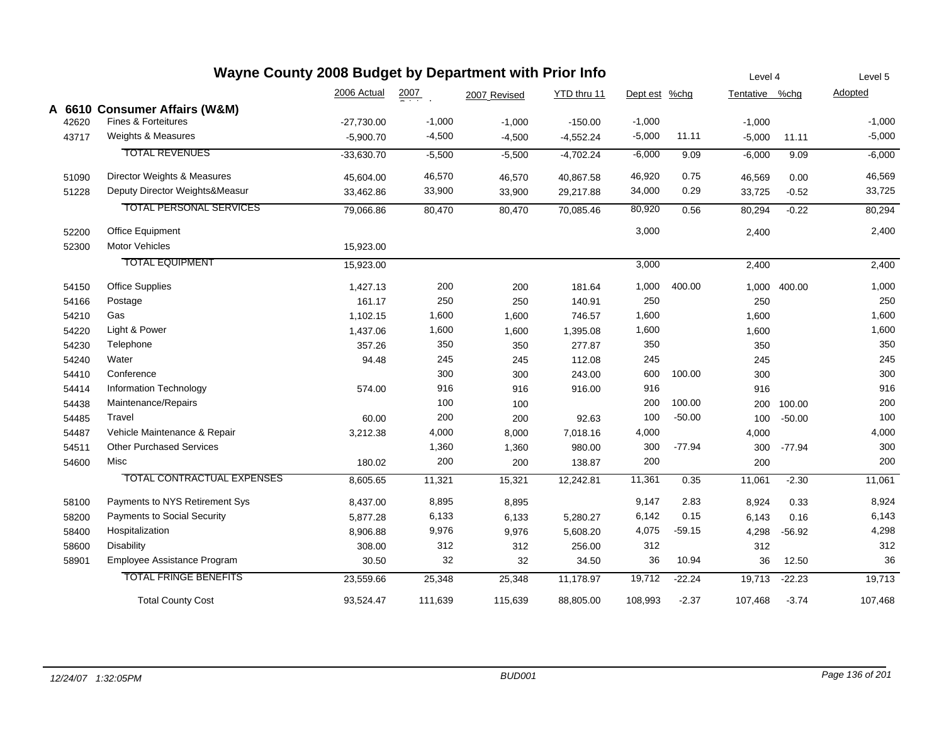| Wayne County 2008 Budget by Department with Prior Info |                                   |              |                  |              |             |               |          |                | Level 4  |          |
|--------------------------------------------------------|-----------------------------------|--------------|------------------|--------------|-------------|---------------|----------|----------------|----------|----------|
|                                                        |                                   | 2006 Actual  | $\frac{2007}{2}$ | 2007 Revised | YTD thru 11 | Dept est %chg |          | Tentative %chg |          | Adopted  |
|                                                        | A 6610 Consumer Affairs (W&M)     |              |                  |              |             |               |          |                |          |          |
| 42620                                                  | <b>Fines &amp; Forteitures</b>    | $-27,730.00$ | $-1,000$         | $-1,000$     | $-150.00$   | $-1,000$      |          | $-1,000$       |          | $-1,000$ |
| 43717                                                  | Weights & Measures                | $-5,900.70$  | $-4,500$         | $-4,500$     | $-4,552.24$ | $-5,000$      | 11.11    | $-5,000$       | 11.11    | $-5,000$ |
|                                                        | <b>TOTAL REVENUES</b>             | $-33,630.70$ | $-5,500$         | $-5,500$     | $-4,702.24$ | $-6,000$      | 9.09     | $-6,000$       | 9.09     | $-6,000$ |
| 51090                                                  | Director Weights & Measures       | 45,604.00    | 46,570           | 46,570       | 40,867.58   | 46,920        | 0.75     | 46,569         | 0.00     | 46,569   |
| 51228                                                  | Deputy Director Weights&Measur    | 33,462.86    | 33,900           | 33,900       | 29,217.88   | 34,000        | 0.29     | 33,725         | $-0.52$  | 33,725   |
|                                                        | <b>TOTAL PERSONAL SERVICES</b>    | 79,066.86    | 80,470           | 80,470       | 70,085.46   | 80,920        | 0.56     | 80,294         | $-0.22$  | 80,294   |
| 52200                                                  | Office Equipment                  |              |                  |              |             | 3,000         |          | 2,400          |          | 2,400    |
| 52300                                                  | Motor Vehicles                    | 15,923.00    |                  |              |             |               |          |                |          |          |
|                                                        | <b>TOTAL EQUIPMENT</b>            | 15,923.00    |                  |              |             | 3,000         |          | 2,400          |          | 2,400    |
| 54150                                                  | <b>Office Supplies</b>            | 1,427.13     | 200              | 200          | 181.64      | 1,000         | 400.00   | 1,000          | 400.00   | 1,000    |
| 54166                                                  | Postage                           | 161.17       | 250              | 250          | 140.91      | 250           |          | 250            |          | 250      |
| 54210                                                  | Gas                               | 1,102.15     | 1,600            | 1,600        | 746.57      | 1,600         |          | 1,600          |          | 1,600    |
| 54220                                                  | Light & Power                     | 1,437.06     | 1,600            | 1,600        | 1,395.08    | 1,600         |          | 1,600          |          | 1,600    |
| 54230                                                  | Telephone                         | 357.26       | 350              | 350          | 277.87      | 350           |          | 350            |          | 350      |
| 54240                                                  | Water                             | 94.48        | 245              | 245          | 112.08      | 245           |          | 245            |          | 245      |
| 54410                                                  | Conference                        |              | 300              | 300          | 243.00      | 600           | 100.00   | 300            |          | 300      |
| 54414                                                  | Information Technology            | 574.00       | 916              | 916          | 916.00      | 916           |          | 916            |          | 916      |
| 54438                                                  | Maintenance/Repairs               |              | 100              | 100          |             | 200           | 100.00   | 200            | 100.00   | 200      |
| 54485                                                  | Travel                            | 60.00        | 200              | 200          | 92.63       | 100           | $-50.00$ | 100            | $-50.00$ | 100      |
| 54487                                                  | Vehicle Maintenance & Repair      | 3,212.38     | 4,000            | 8,000        | 7,018.16    | 4,000         |          | 4,000          |          | 4,000    |
| 54511                                                  | <b>Other Purchased Services</b>   |              | 1,360            | 1,360        | 980.00      | 300           | $-77.94$ | 300            | $-77.94$ | 300      |
| 54600                                                  | Misc                              | 180.02       | 200              | 200          | 138.87      | 200           |          | 200            |          | 200      |
|                                                        | <b>TOTAL CONTRACTUAL EXPENSES</b> | 8,605.65     | 11,321           | 15,321       | 12,242.81   | 11,361        | 0.35     | 11,061         | $-2.30$  | 11,061   |
| 58100                                                  | Payments to NYS Retirement Sys    | 8,437.00     | 8,895            | 8,895        |             | 9,147         | 2.83     | 8,924          | 0.33     | 8,924    |
| 58200                                                  | Payments to Social Security       | 5,877.28     | 6,133            | 6,133        | 5,280.27    | 6,142         | 0.15     | 6,143          | 0.16     | 6,143    |
| 58400                                                  | Hospitalization                   | 8,906.88     | 9,976            | 9,976        | 5,608.20    | 4,075         | $-59.15$ | 4,298          | $-56.92$ | 4,298    |
| 58600                                                  | <b>Disability</b>                 | 308.00       | 312              | 312          | 256.00      | 312           |          | 312            |          | 312      |
| 58901                                                  | Employee Assistance Program       | 30.50        | 32               | 32           | 34.50       | 36            | 10.94    | 36             | 12.50    | 36       |
|                                                        | <b>TOTAL FRINGE BENEFITS</b>      | 23,559.66    | 25,348           | 25,348       | 11,178.97   | 19,712        | $-22.24$ | 19,713         | $-22.23$ | 19,713   |
|                                                        | <b>Total County Cost</b>          | 93,524.47    | 111,639          | 115,639      | 88,805.00   | 108,993       | $-2.37$  | 107,468        | $-3.74$  | 107,468  |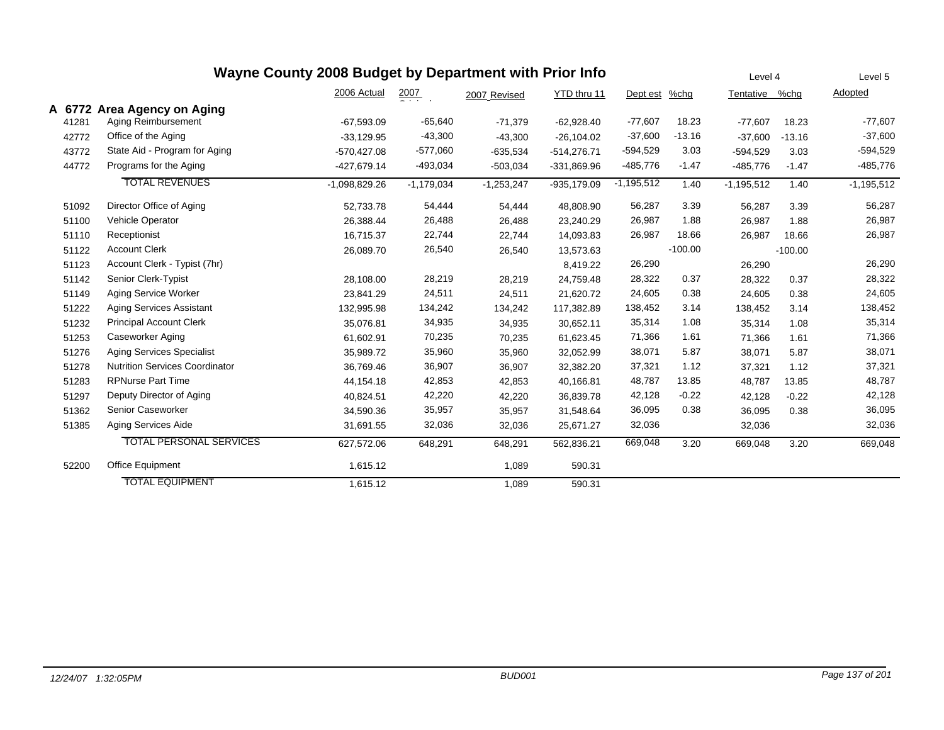|        |                                       | Wayne County 2008 Budget by Department with Prior Info |                  |              |               |              |           | Level 4        |           | Level 5      |
|--------|---------------------------------------|--------------------------------------------------------|------------------|--------------|---------------|--------------|-----------|----------------|-----------|--------------|
|        |                                       | 2006 Actual                                            | $\frac{2007}{2}$ | 2007 Revised | YTD thru 11   | Dept est     | $%$ chg   | Tentative %chg |           | Adopted      |
| A 6772 | <b>Area Agency on Aging</b>           |                                                        |                  |              |               |              |           |                |           |              |
| 41281  | Aging Reimbursement                   | $-67,593.09$                                           | $-65,640$        | $-71,379$    | $-62,928.40$  | $-77,607$    | 18.23     | $-77,607$      | 18.23     | $-77,607$    |
| 42772  | Office of the Aging                   | $-33,129.95$                                           | $-43,300$        | $-43,300$    | $-26.104.02$  | $-37,600$    | $-13.16$  | $-37.600$      | $-13.16$  | $-37,600$    |
| 43772  | State Aid - Program for Aging         | $-570,427.08$                                          | $-577,060$       | $-635,534$   | $-514,276.71$ | $-594,529$   | 3.03      | $-594,529$     | 3.03      | $-594,529$   |
| 44772  | Programs for the Aging                | $-427,679.14$                                          | -493,034         | $-503,034$   | -331,869.96   | -485,776     | $-1.47$   | $-485,776$     | $-1.47$   | -485,776     |
|        | <b>TOTAL REVENUES</b>                 | $-1,098,829.26$                                        | $-1,179,034$     | $-1,253,247$ | $-935,179.09$ | $-1,195,512$ | 1.40      | $-1,195,512$   | 1.40      | $-1,195,512$ |
| 51092  | Director Office of Aging              | 52,733.78                                              | 54,444           | 54,444       | 48,808.90     | 56,287       | 3.39      | 56,287         | 3.39      | 56,287       |
| 51100  | Vehicle Operator                      | 26,388.44                                              | 26,488           | 26,488       | 23,240.29     | 26,987       | 1.88      | 26,987         | 1.88      | 26,987       |
| 51110  | Receptionist                          | 16,715.37                                              | 22,744           | 22,744       | 14,093.83     | 26,987       | 18.66     | 26,987         | 18.66     | 26,987       |
| 51122  | <b>Account Clerk</b>                  | 26,089.70                                              | 26,540           | 26,540       | 13,573.63     |              | $-100.00$ |                | $-100.00$ |              |
| 51123  | Account Clerk - Typist (7hr)          |                                                        |                  |              | 8,419.22      | 26,290       |           | 26,290         |           | 26,290       |
| 51142  | Senior Clerk-Typist                   | 28,108.00                                              | 28,219           | 28,219       | 24,759.48     | 28,322       | 0.37      | 28,322         | 0.37      | 28,322       |
| 51149  | Aging Service Worker                  | 23,841.29                                              | 24,511           | 24,511       | 21,620.72     | 24,605       | 0.38      | 24,605         | 0.38      | 24,605       |
| 51222  | <b>Aging Services Assistant</b>       | 132,995.98                                             | 134,242          | 134,242      | 117,382.89    | 138,452      | 3.14      | 138,452        | 3.14      | 138,452      |
| 51232  | <b>Principal Account Clerk</b>        | 35,076.81                                              | 34,935           | 34,935       | 30,652.11     | 35,314       | 1.08      | 35,314         | 1.08      | 35,314       |
| 51253  | Caseworker Aging                      | 61,602.91                                              | 70,235           | 70,235       | 61,623.45     | 71,366       | 1.61      | 71,366         | 1.61      | 71,366       |
| 51276  | <b>Aging Services Specialist</b>      | 35,989.72                                              | 35,960           | 35,960       | 32,052.99     | 38,071       | 5.87      | 38,071         | 5.87      | 38,071       |
| 51278  | <b>Nutrition Services Coordinator</b> | 36,769.46                                              | 36,907           | 36,907       | 32,382.20     | 37,321       | 1.12      | 37,321         | 1.12      | 37,321       |
| 51283  | <b>RPNurse Part Time</b>              | 44,154.18                                              | 42,853           | 42,853       | 40,166.81     | 48,787       | 13.85     | 48,787         | 13.85     | 48,787       |
| 51297  | Deputy Director of Aging              | 40,824.51                                              | 42,220           | 42,220       | 36,839.78     | 42,128       | $-0.22$   | 42,128         | $-0.22$   | 42,128       |
| 51362  | Senior Caseworker                     | 34,590.36                                              | 35,957           | 35,957       | 31,548.64     | 36,095       | 0.38      | 36,095         | 0.38      | 36,095       |
| 51385  | <b>Aging Services Aide</b>            | 31,691.55                                              | 32,036           | 32,036       | 25,671.27     | 32,036       |           | 32,036         |           | 32,036       |
|        | <b>TOTAL PERSONAL SERVICES</b>        | 627,572.06                                             | 648,291          | 648,291      | 562,836.21    | 669,048      | 3.20      | 669,048        | 3.20      | 669,048      |
| 52200  | Office Equipment                      | 1,615.12                                               |                  | 1,089        | 590.31        |              |           |                |           |              |
|        | <b>TOTAL EQUIPMENT</b>                | 1.615.12                                               |                  | 1,089        | 590.31        |              |           |                |           |              |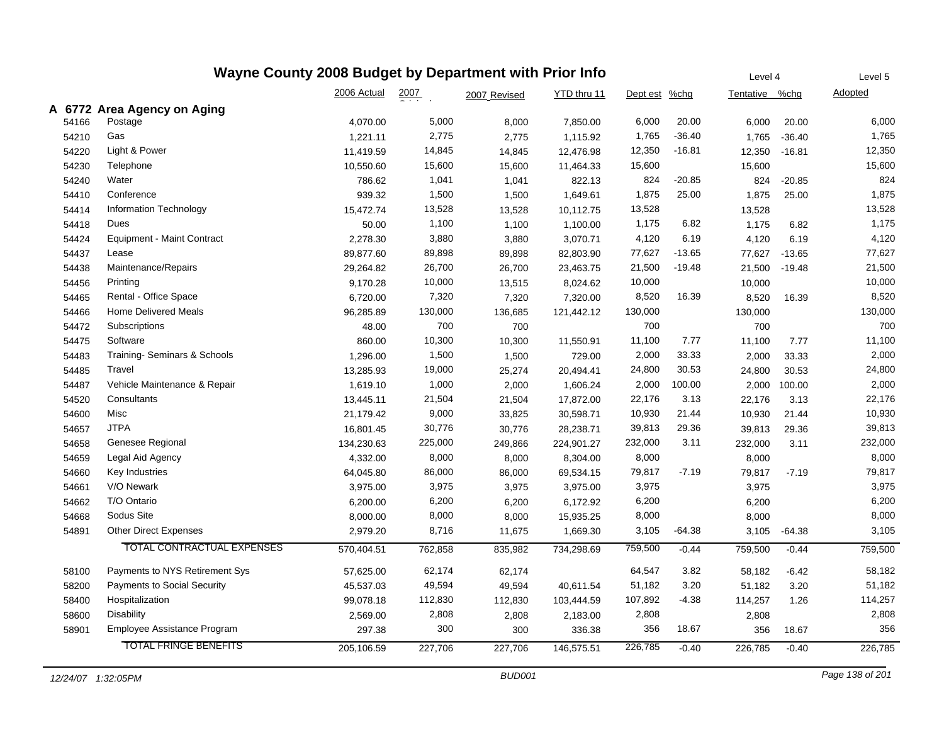| Wayne County 2008 Budget by Department with Prior Info<br>Level 4 |                                    |             |         |              |             |               |          |                |          |                |
|-------------------------------------------------------------------|------------------------------------|-------------|---------|--------------|-------------|---------------|----------|----------------|----------|----------------|
|                                                                   |                                    | 2006 Actual | 2007    | 2007 Revised | YTD thru 11 | Dept est %chg |          | Tentative %chg |          | <b>Adopted</b> |
|                                                                   | A 6772 Area Agency on Aging        |             |         |              |             |               |          |                |          |                |
| 54166                                                             | Postage                            | 4,070.00    | 5,000   | 8,000        | 7,850.00    | 6,000         | 20.00    | 6,000          | 20.00    | 6,000          |
| 54210                                                             | Gas                                | 1,221.11    | 2,775   | 2,775        | 1,115.92    | 1,765         | $-36.40$ | 1,765          | $-36.40$ | 1,765          |
| 54220                                                             | Light & Power                      | 11,419.59   | 14,845  | 14,845       | 12,476.98   | 12,350        | $-16.81$ | 12,350         | $-16.81$ | 12,350         |
| 54230                                                             | Telephone                          | 10,550.60   | 15,600  | 15,600       | 11,464.33   | 15,600        |          | 15,600         |          | 15,600         |
| 54240                                                             | Water                              | 786.62      | 1,041   | 1,041        | 822.13      | 824           | $-20.85$ | 824            | $-20.85$ | 824            |
| 54410                                                             | Conference                         | 939.32      | 1,500   | 1,500        | 1,649.61    | 1,875         | 25.00    | 1,875          | 25.00    | 1,875          |
| 54414                                                             | Information Technology             | 15,472.74   | 13,528  | 13,528       | 10,112.75   | 13,528        |          | 13,528         |          | 13,528         |
| 54418                                                             | Dues                               | 50.00       | 1,100   | 1,100        | 1,100.00    | 1,175         | 6.82     | 1,175          | 6.82     | 1,175          |
| 54424                                                             | <b>Equipment - Maint Contract</b>  | 2,278.30    | 3,880   | 3,880        | 3,070.71    | 4,120         | 6.19     | 4,120          | 6.19     | 4,120          |
| 54437                                                             | Lease                              | 89,877.60   | 89,898  | 89,898       | 82,803.90   | 77,627        | $-13.65$ | 77,627         | $-13.65$ | 77,627         |
| 54438                                                             | Maintenance/Repairs                | 29,264.82   | 26,700  | 26,700       | 23,463.75   | 21,500        | $-19.48$ | 21,500         | $-19.48$ | 21,500         |
| 54456                                                             | Printing                           | 9,170.28    | 10,000  | 13,515       | 8,024.62    | 10,000        |          | 10,000         |          | 10,000         |
| 54465                                                             | Rental - Office Space              | 6,720.00    | 7,320   | 7,320        | 7,320.00    | 8,520         | 16.39    | 8,520          | 16.39    | 8,520          |
| 54466                                                             | <b>Home Delivered Meals</b>        | 96,285.89   | 130,000 | 136,685      | 121,442.12  | 130,000       |          | 130,000        |          | 130,000        |
| 54472                                                             | Subscriptions                      | 48.00       | 700     | 700          |             | 700           |          | 700            |          | 700            |
| 54475                                                             | Software                           | 860.00      | 10,300  | 10,300       | 11,550.91   | 11,100        | 7.77     | 11,100         | 7.77     | 11,100         |
| 54483                                                             | Training-Seminars & Schools        | 1,296.00    | 1,500   | 1,500        | 729.00      | 2,000         | 33.33    | 2,000          | 33.33    | 2,000          |
| 54485                                                             | Travel                             | 13,285.93   | 19,000  | 25,274       | 20,494.41   | 24,800        | 30.53    | 24,800         | 30.53    | 24,800         |
| 54487                                                             | Vehicle Maintenance & Repair       | 1,619.10    | 1,000   | 2,000        | 1,606.24    | 2,000         | 100.00   | 2,000          | 100.00   | 2,000          |
| 54520                                                             | Consultants                        | 13,445.11   | 21,504  | 21,504       | 17,872.00   | 22,176        | 3.13     | 22,176         | 3.13     | 22,176         |
| 54600                                                             | Misc                               | 21,179.42   | 9,000   | 33,825       | 30,598.71   | 10,930        | 21.44    | 10,930         | 21.44    | 10,930         |
| 54657                                                             | <b>JTPA</b>                        | 16,801.45   | 30,776  | 30,776       | 28,238.71   | 39,813        | 29.36    | 39,813         | 29.36    | 39,813         |
| 54658                                                             | Genesee Regional                   | 134,230.63  | 225,000 | 249,866      | 224,901.27  | 232,000       | 3.11     | 232,000        | 3.11     | 232,000        |
| 54659                                                             | Legal Aid Agency                   | 4,332.00    | 8,000   | 8,000        | 8,304.00    | 8,000         |          | 8,000          |          | 8,000          |
| 54660                                                             | Key Industries                     | 64,045.80   | 86,000  | 86,000       | 69,534.15   | 79,817        | $-7.19$  | 79,817         | $-7.19$  | 79,817         |
| 54661                                                             | V/O Newark                         | 3,975.00    | 3,975   | 3,975        | 3,975.00    | 3,975         |          | 3,975          |          | 3,975          |
| 54662                                                             | T/O Ontario                        | 6,200.00    | 6,200   | 6,200        | 6,172.92    | 6,200         |          | 6,200          |          | 6,200          |
| 54668                                                             | Sodus Site                         | 8,000.00    | 8,000   | 8,000        | 15,935.25   | 8,000         |          | 8,000          |          | 8,000          |
| 54891                                                             | <b>Other Direct Expenses</b>       | 2,979.20    | 8,716   | 11,675       | 1,669.30    | 3,105         | $-64.38$ | 3,105          | $-64.38$ | 3,105          |
|                                                                   | <b>TOTAL CONTRACTUAL EXPENSES</b>  | 570,404.51  | 762,858 | 835,982      | 734,298.69  | 759,500       | $-0.44$  | 759,500        | $-0.44$  | 759,500        |
| 58100                                                             | Payments to NYS Retirement Sys     | 57,625.00   | 62,174  | 62,174       |             | 64,547        | 3.82     | 58,182         | $-6.42$  | 58,182         |
| 58200                                                             | <b>Payments to Social Security</b> | 45,537.03   | 49,594  | 49,594       | 40,611.54   | 51,182        | 3.20     | 51,182         | 3.20     | 51,182         |
| 58400                                                             | Hospitalization                    | 99,078.18   | 112,830 | 112,830      | 103,444.59  | 107,892       | $-4.38$  | 114,257        | 1.26     | 114,257        |
| 58600                                                             | Disability                         | 2,569.00    | 2,808   | 2,808        | 2,183.00    | 2,808         |          | 2,808          |          | 2,808          |
| 58901                                                             | Employee Assistance Program        | 297.38      | 300     | 300          | 336.38      | 356           | 18.67    | 356            | 18.67    | 356            |
|                                                                   | <b>TOTAL FRINGE BENEFITS</b>       | 205,106.59  | 227,706 | 227,706      | 146,575.51  | 226,785       | $-0.40$  | 226,785        | $-0.40$  | 226,785        |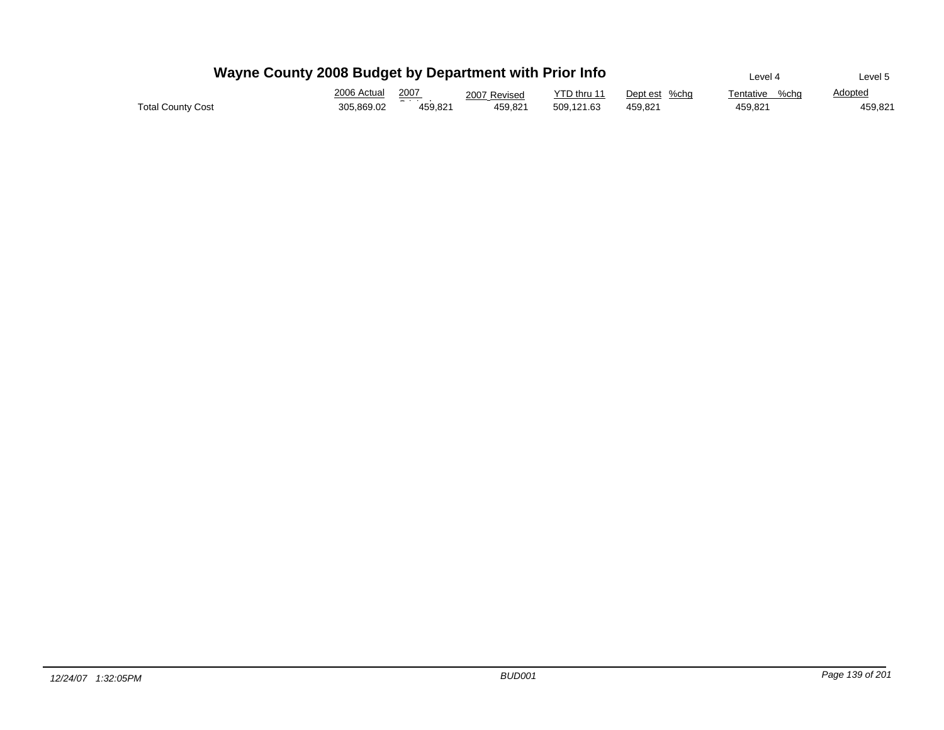|                          | Wayne County 2008 Budget by Department with Prior Info |              | Level 4      | Level 5     |               |                   |                |
|--------------------------|--------------------------------------------------------|--------------|--------------|-------------|---------------|-------------------|----------------|
|                          | 2006 Actual                                            | 2007         | 2007 Revised | YTD thru 11 | Dept est %chg | %cha<br>Tentative | <b>Adopted</b> |
| <b>Total County Cost</b> | 305.869.02                                             | .<br>459.821 | 459.821      | 509.121.63  | 459.821       | 459.821           | 459.821        |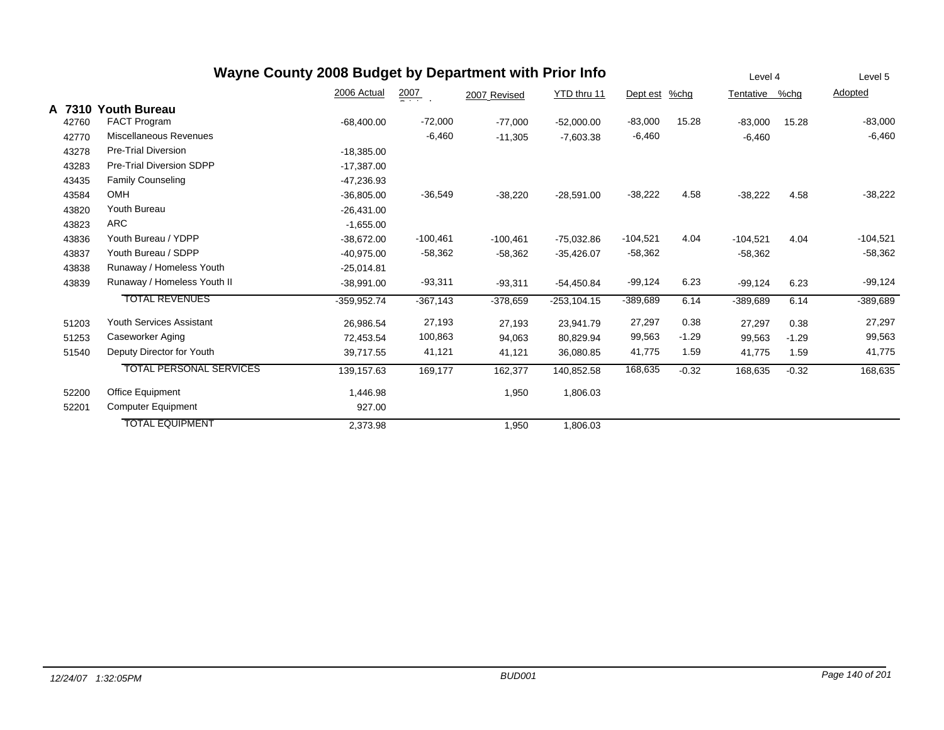|        |                                 | Wayne County 2008 Budget by Department with Prior Info |                    |              |                |            |         | Level 4    |         | Level 5    |
|--------|---------------------------------|--------------------------------------------------------|--------------------|--------------|----------------|------------|---------|------------|---------|------------|
|        |                                 | 2006 Actual                                            | $\frac{2007}{200}$ | 2007 Revised | YTD thru 11    | Dept est   | %chg    | Tentative  | %chg    | Adopted    |
| A 7310 | <b>Youth Bureau</b>             |                                                        |                    |              |                |            |         |            |         |            |
| 42760  | FACT Program                    | $-68,400.00$                                           | $-72,000$          | $-77,000$    | $-52,000.00$   | $-83,000$  | 15.28   | $-83,000$  | 15.28   | $-83,000$  |
| 42770  | Miscellaneous Revenues          |                                                        | $-6,460$           | $-11,305$    | $-7,603.38$    | $-6,460$   |         | $-6,460$   |         | $-6,460$   |
| 43278  | <b>Pre-Trial Diversion</b>      | $-18,385.00$                                           |                    |              |                |            |         |            |         |            |
| 43283  | Pre-Trial Diversion SDPP        | $-17,387.00$                                           |                    |              |                |            |         |            |         |            |
| 43435  | <b>Family Counseling</b>        | $-47,236.93$                                           |                    |              |                |            |         |            |         |            |
| 43584  | <b>OMH</b>                      | $-36,805.00$                                           | $-36,549$          | $-38,220$    | $-28,591.00$   | $-38,222$  | 4.58    | $-38,222$  | 4.58    | $-38,222$  |
| 43820  | Youth Bureau                    | $-26,431.00$                                           |                    |              |                |            |         |            |         |            |
| 43823  | <b>ARC</b>                      | $-1,655.00$                                            |                    |              |                |            |         |            |         |            |
| 43836  | Youth Bureau / YDPP             | $-38,672.00$                                           | $-100,461$         | $-100,461$   | $-75,032.86$   | $-104,521$ | 4.04    | $-104,521$ | 4.04    | $-104,521$ |
| 43837  | Youth Bureau / SDPP             | $-40.975.00$                                           | $-58,362$          | $-58,362$    | $-35,426.07$   | $-58,362$  |         | $-58,362$  |         | $-58,362$  |
| 43838  | Runaway / Homeless Youth        | $-25,014.81$                                           |                    |              |                |            |         |            |         |            |
| 43839  | Runaway / Homeless Youth II     | $-38,991.00$                                           | $-93,311$          | $-93,311$    | $-54,450.84$   | $-99,124$  | 6.23    | $-99,124$  | 6.23    | $-99,124$  |
|        | <b>TOTAL REVENUES</b>           | $-359.952.74$                                          | $-367,143$         | $-378,659$   | $-253, 104.15$ | $-389,689$ | 6.14    | $-389,689$ | 6.14    | -389,689   |
| 51203  | <b>Youth Services Assistant</b> | 26,986.54                                              | 27,193             | 27,193       | 23,941.79      | 27,297     | 0.38    | 27,297     | 0.38    | 27,297     |
| 51253  | Caseworker Aging                | 72,453.54                                              | 100,863            | 94,063       | 80,829.94      | 99,563     | $-1.29$ | 99,563     | $-1.29$ | 99,563     |
| 51540  | Deputy Director for Youth       | 39,717.55                                              | 41,121             | 41,121       | 36,080.85      | 41,775     | 1.59    | 41,775     | 1.59    | 41,775     |
|        | <b>TOTAL PERSONAL SERVICES</b>  | 139,157.63                                             | 169,177            | 162,377      | 140,852.58     | 168,635    | $-0.32$ | 168,635    | $-0.32$ | 168,635    |
| 52200  | Office Equipment                | 1,446.98                                               |                    | 1,950        | 1,806.03       |            |         |            |         |            |
| 52201  | <b>Computer Equipment</b>       | 927.00                                                 |                    |              |                |            |         |            |         |            |
|        | <b>TOTAL EQUIPMENT</b>          | 2,373.98                                               |                    | 1,950        | 1,806.03       |            |         |            |         |            |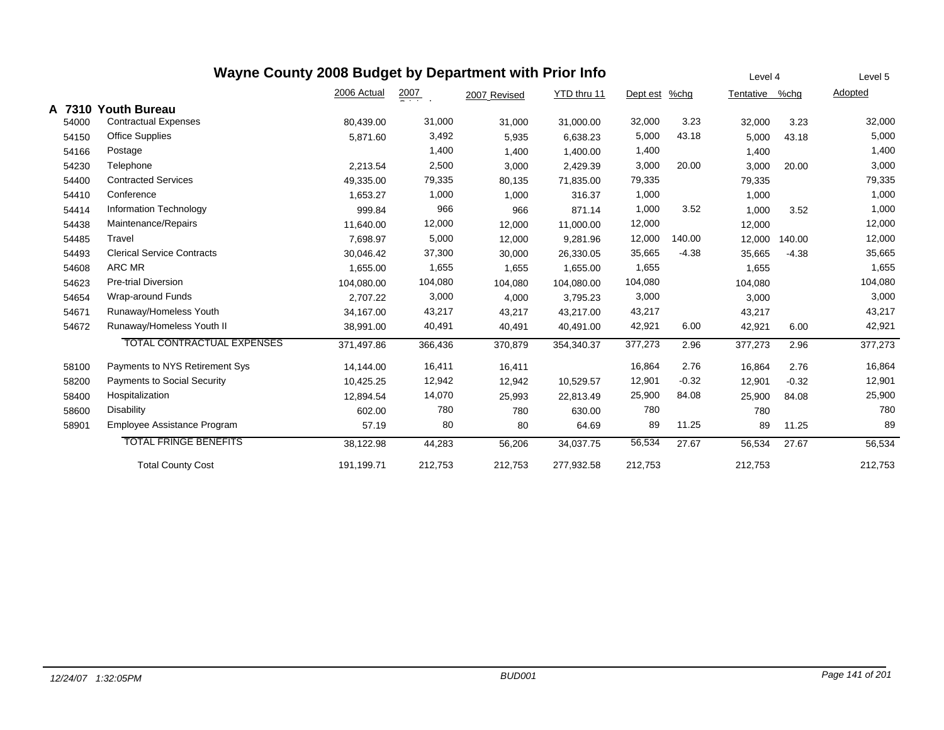|        | Wayne County 2008 Budget by Department with Prior Info | Level 4     | Level 5          |              |             |          |         |           |         |         |
|--------|--------------------------------------------------------|-------------|------------------|--------------|-------------|----------|---------|-----------|---------|---------|
|        |                                                        | 2006 Actual | $\frac{2007}{2}$ | 2007 Revised | YTD thru 11 | Dept est | $%$ chg | Tentative | %chq    | Adopted |
| A 7310 | <b>Youth Bureau</b>                                    |             |                  |              |             |          |         |           |         |         |
| 54000  | <b>Contractual Expenses</b>                            | 80,439.00   | 31,000           | 31,000       | 31,000.00   | 32,000   | 3.23    | 32,000    | 3.23    | 32,000  |
| 54150  | Office Supplies                                        | 5,871.60    | 3,492            | 5,935        | 6,638.23    | 5,000    | 43.18   | 5,000     | 43.18   | 5,000   |
| 54166  | Postage                                                |             | 1,400            | 1,400        | 1,400.00    | 1,400    |         | 1,400     |         | 1,400   |
| 54230  | Telephone                                              | 2,213.54    | 2,500            | 3,000        | 2,429.39    | 3,000    | 20.00   | 3,000     | 20.00   | 3,000   |
| 54400  | <b>Contracted Services</b>                             | 49,335.00   | 79,335           | 80,135       | 71,835.00   | 79,335   |         | 79,335    |         | 79,335  |
| 54410  | Conference                                             | 1.653.27    | 1,000            | 1,000        | 316.37      | 1,000    |         | 1,000     |         | 1,000   |
| 54414  | Information Technology                                 | 999.84      | 966              | 966          | 871.14      | 1,000    | 3.52    | 1,000     | 3.52    | 1,000   |
| 54438  | Maintenance/Repairs                                    | 11,640.00   | 12,000           | 12,000       | 11,000.00   | 12,000   |         | 12,000    |         | 12,000  |
| 54485  | Travel                                                 | 7,698.97    | 5,000            | 12,000       | 9,281.96    | 12,000   | 140.00  | 12,000    | 140.00  | 12,000  |
| 54493  | <b>Clerical Service Contracts</b>                      | 30,046.42   | 37,300           | 30,000       | 26,330.05   | 35,665   | $-4.38$ | 35,665    | $-4.38$ | 35,665  |
| 54608  | ARC MR                                                 | 1,655.00    | 1,655            | 1,655        | 1,655.00    | 1,655    |         | 1,655     |         | 1,655   |
| 54623  | <b>Pre-trial Diversion</b>                             | 104,080.00  | 104,080          | 104,080      | 104,080.00  | 104,080  |         | 104,080   |         | 104,080 |
| 54654  | Wrap-around Funds                                      | 2,707.22    | 3,000            | 4,000        | 3,795.23    | 3,000    |         | 3,000     |         | 3,000   |
| 54671  | Runaway/Homeless Youth                                 | 34,167.00   | 43,217           | 43,217       | 43,217.00   | 43,217   |         | 43,217    |         | 43,217  |
| 54672  | Runaway/Homeless Youth II                              | 38,991.00   | 40,491           | 40,491       | 40,491.00   | 42,921   | 6.00    | 42,921    | 6.00    | 42,921  |
|        | <b>TOTAL CONTRACTUAL EXPENSES</b>                      | 371,497.86  | 366,436          | 370,879      | 354,340.37  | 377,273  | 2.96    | 377,273   | 2.96    | 377,273 |
| 58100  | Payments to NYS Retirement Sys                         | 14,144.00   | 16,411           | 16,411       |             | 16,864   | 2.76    | 16,864    | 2.76    | 16,864  |
| 58200  | <b>Payments to Social Security</b>                     | 10,425.25   | 12,942           | 12,942       | 10,529.57   | 12,901   | $-0.32$ | 12,901    | $-0.32$ | 12,901  |
| 58400  | Hospitalization                                        | 12,894.54   | 14,070           | 25,993       | 22,813.49   | 25,900   | 84.08   | 25,900    | 84.08   | 25,900  |
| 58600  | <b>Disability</b>                                      | 602.00      | 780              | 780          | 630.00      | 780      |         | 780       |         | 780     |
| 58901  | Employee Assistance Program                            | 57.19       | 80               | 80           | 64.69       | 89       | 11.25   | 89        | 11.25   | 89      |
|        | <b>TOTAL FRINGE BENEFITS</b>                           | 38,122.98   | 44,283           | 56,206       | 34,037.75   | 56,534   | 27.67   | 56,534    | 27.67   | 56,534  |
|        | <b>Total County Cost</b>                               | 191,199.71  | 212,753          | 212,753      | 277,932.58  | 212,753  |         | 212,753   |         | 212,753 |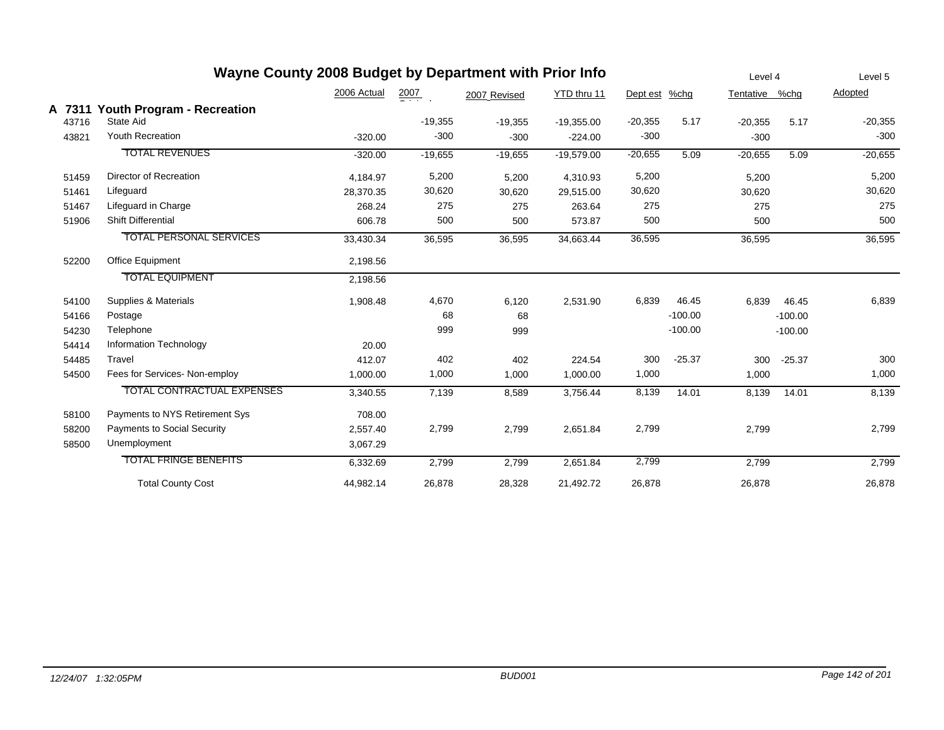|       | Wayne County 2008 Budget by Department with Prior Info |             |                  |              |              |               |           | Level 4        |           | Level 5   |
|-------|--------------------------------------------------------|-------------|------------------|--------------|--------------|---------------|-----------|----------------|-----------|-----------|
|       |                                                        | 2006 Actual | $\frac{2007}{2}$ | 2007 Revised | YTD thru 11  | Dept est %chg |           | Tentative %chg |           | Adopted   |
| 43716 | A 7311 Youth Program - Recreation<br>State Aid         |             | $-19,355$        | $-19,355$    | $-19,355.00$ | $-20,355$     | 5.17      | $-20,355$      | 5.17      | $-20,355$ |
| 43821 | <b>Youth Recreation</b>                                | $-320.00$   | $-300$           | $-300$       | $-224.00$    | $-300$        |           | $-300$         |           | $-300$    |
|       | <b>TOTAL REVENUES</b>                                  | $-320.00$   | $-19,655$        | $-19,655$    | $-19,579.00$ | $-20,655$     | 5.09      | $-20,655$      | 5.09      | $-20,655$ |
| 51459 | Director of Recreation                                 | 4,184.97    | 5,200            | 5,200        | 4,310.93     | 5,200         |           | 5,200          |           | 5,200     |
| 51461 | Lifeguard                                              | 28,370.35   | 30,620           | 30,620       | 29,515.00    | 30,620        |           | 30,620         |           | 30,620    |
| 51467 | Lifeguard in Charge                                    | 268.24      | 275              | 275          | 263.64       | 275           |           | 275            |           | 275       |
| 51906 | <b>Shift Differential</b>                              | 606.78      | 500              | 500          | 573.87       | 500           |           | 500            |           | 500       |
|       | <b>TOTAL PERSONAL SERVICES</b>                         | 33,430.34   | 36,595           | 36,595       | 34,663.44    | 36,595        |           | 36,595         |           | 36,595    |
| 52200 | Office Equipment                                       | 2,198.56    |                  |              |              |               |           |                |           |           |
|       | <b>TOTAL EQUIPMENT</b>                                 | 2,198.56    |                  |              |              |               |           |                |           |           |
| 54100 | Supplies & Materials                                   | 1,908.48    | 4,670            | 6,120        | 2,531.90     | 6,839         | 46.45     | 6,839          | 46.45     | 6,839     |
| 54166 | Postage                                                |             | 68               | 68           |              |               | $-100.00$ |                | $-100.00$ |           |
| 54230 | Telephone                                              |             | 999              | 999          |              |               | $-100.00$ |                | $-100.00$ |           |
| 54414 | Information Technology                                 | 20.00       |                  |              |              |               |           |                |           |           |
| 54485 | Travel                                                 | 412.07      | 402              | 402          | 224.54       | 300           | $-25.37$  | 300            | $-25.37$  | 300       |
| 54500 | Fees for Services- Non-employ                          | 1,000.00    | 1,000            | 1,000        | 1,000.00     | 1,000         |           | 1,000          |           | 1,000     |
|       | <b>TOTAL CONTRACTUAL EXPENSES</b>                      | 3,340.55    | 7,139            | 8,589        | 3,756.44     | 8,139         | 14.01     | 8,139          | 14.01     | 8,139     |
| 58100 | Payments to NYS Retirement Sys                         | 708.00      |                  |              |              |               |           |                |           |           |
| 58200 | <b>Payments to Social Security</b>                     | 2,557.40    | 2,799            | 2,799        | 2,651.84     | 2,799         |           | 2,799          |           | 2,799     |
| 58500 | Unemployment                                           | 3,067.29    |                  |              |              |               |           |                |           |           |
|       | <b>TOTAL FRINGE BENEFITS</b>                           | 6,332.69    | 2,799            | 2,799        | 2,651.84     | 2,799         |           | 2,799          |           | 2,799     |
|       | <b>Total County Cost</b>                               | 44,982.14   | 26,878           | 28,328       | 21,492.72    | 26,878        |           | 26,878         |           | 26,878    |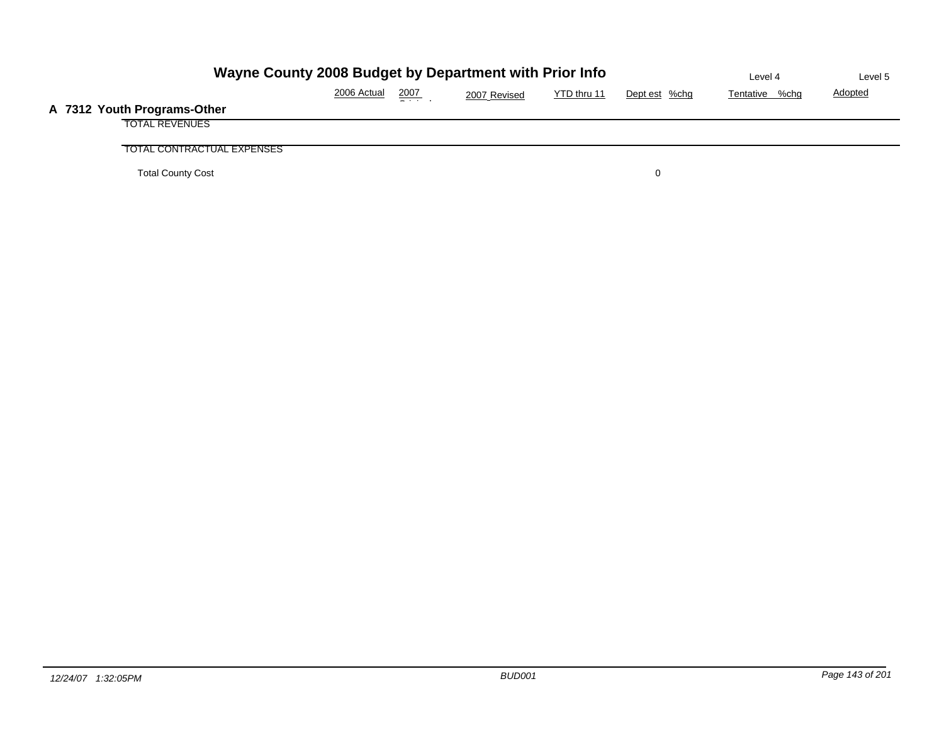| Wayne County 2008 Budget by Department with Prior Info |             | Level 4 | Level 5      |             |               |                |                |
|--------------------------------------------------------|-------------|---------|--------------|-------------|---------------|----------------|----------------|
|                                                        | 2006 Actual | 2007    | 2007 Revised | YTD thru 11 | Dept est %chg | Tentative %chg | <b>Adopted</b> |
| A 7312 Youth Programs-Other                            |             |         |              |             |               |                |                |
| <b>TOTAL REVENUES</b>                                  |             |         |              |             |               |                |                |
| TOTAL CONTRACTUAL EXPENSES                             |             |         |              |             |               |                |                |
| <b>Total County Cost</b>                               |             |         |              |             |               |                |                |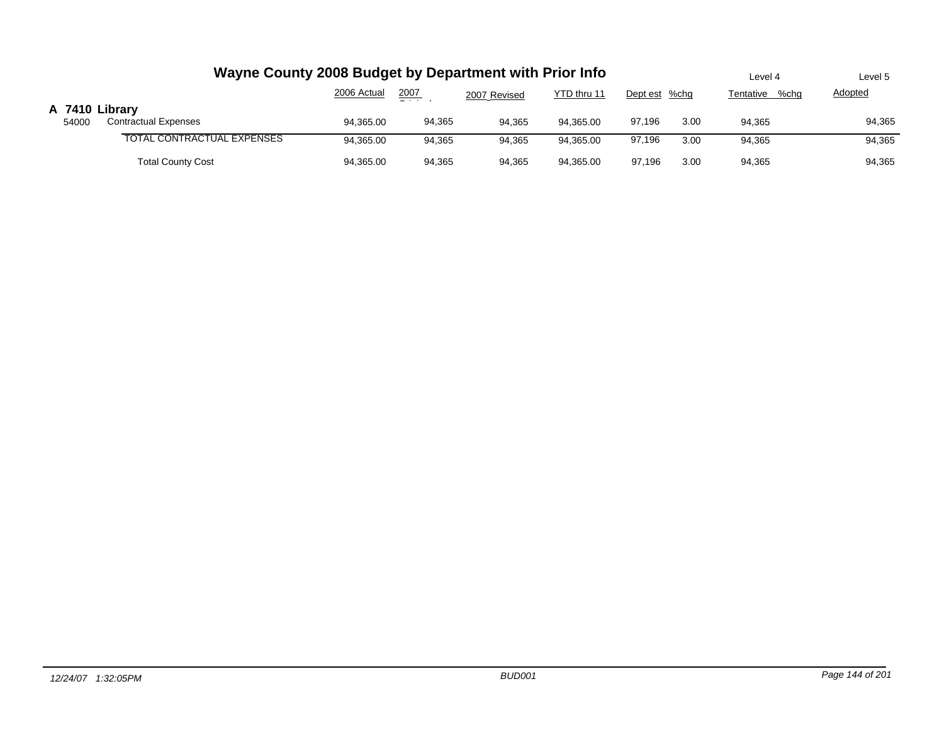|                         | Wayne County 2008 Budget by Department with Prior Info | Level 4     | Level 5       |              |             |               |      |                   |                |
|-------------------------|--------------------------------------------------------|-------------|---------------|--------------|-------------|---------------|------|-------------------|----------------|
|                         |                                                        | 2006 Actual | 2007<br>$  -$ | 2007 Revised | YTD thru 11 | Dept est %chg |      | %chg<br>Tentative | <b>Adopted</b> |
| A 7410 Library<br>54000 | <b>Contractual Expenses</b>                            | 94,365.00   | 94,365        | 94,365       | 94.365.00   | 97.196        | 3.00 | 94,365            | 94,365         |
|                         | TOTAL CONTRACTUAL EXPENSES                             | 94,365.00   | 94,365        | 94.365       | 94.365.00   | 97,196        | 3.00 | 94.365            | 94,365         |
|                         | <b>Total County Cost</b>                               | 94,365.00   | 94,365        | 94,365       | 94.365.00   | 97.196        | 3.00 | 94,365            | 94,365         |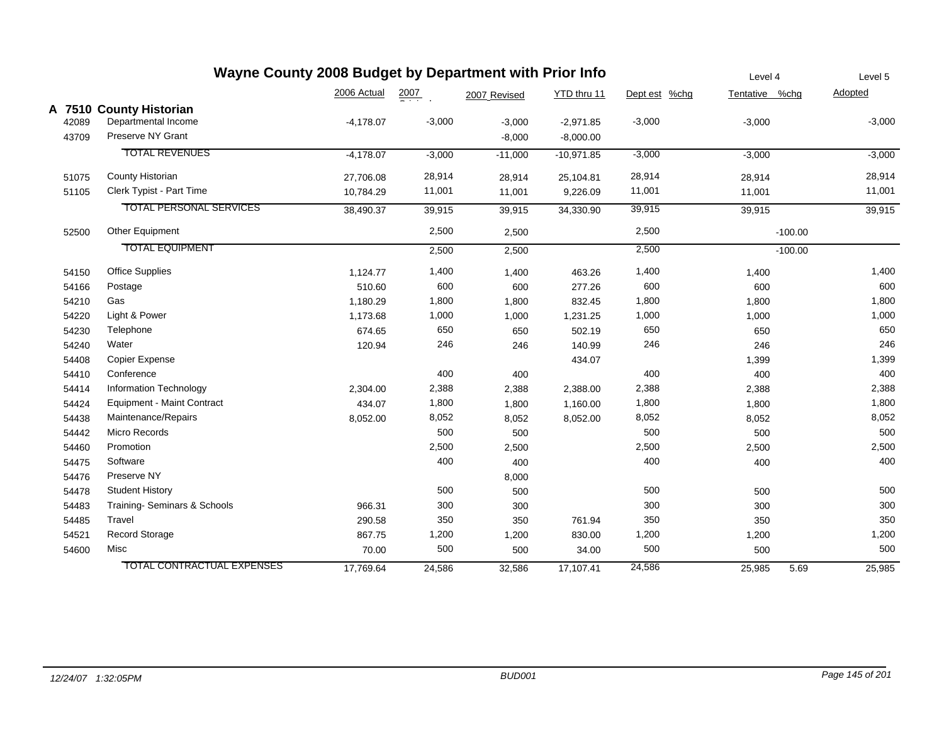|       | Wayne County 2008 Budget by Department with Prior Info |             | Level 4          |              | Level 5      |               |                |           |          |
|-------|--------------------------------------------------------|-------------|------------------|--------------|--------------|---------------|----------------|-----------|----------|
|       |                                                        | 2006 Actual | $\frac{2007}{2}$ | 2007 Revised | YTD thru 11  | Dept est %chg | Tentative %chg |           | Adopted  |
|       | A 7510 County Historian                                |             |                  |              |              |               |                |           |          |
| 42089 | Departmental Income                                    | $-4,178.07$ | $-3,000$         | $-3,000$     | $-2,971.85$  | $-3,000$      | $-3,000$       |           | $-3,000$ |
| 43709 | Preserve NY Grant                                      |             |                  | $-8,000$     | $-8,000.00$  |               |                |           |          |
|       | <b>TOTAL REVENUES</b>                                  | $-4,178.07$ | $-3,000$         | $-11,000$    | $-10,971.85$ | $-3,000$      | $-3,000$       |           | $-3,000$ |
| 51075 | County Historian                                       | 27,706.08   | 28,914           | 28,914       | 25,104.81    | 28,914        | 28,914         |           | 28,914   |
| 51105 | Clerk Typist - Part Time                               | 10,784.29   | 11,001           | 11,001       | 9,226.09     | 11,001        | 11,001         |           | 11,001   |
|       | <b>TOTAL PERSONAL SERVICES</b>                         | 38,490.37   | 39,915           | 39,915       | 34,330.90    | 39,915        | 39,915         |           | 39,915   |
| 52500 | Other Equipment                                        |             | 2,500            | 2,500        |              | 2,500         |                | $-100.00$ |          |
|       | <b>TOTAL EQUIPMENT</b>                                 |             | 2,500            | 2,500        |              | 2,500         |                | $-100.00$ |          |
| 54150 | <b>Office Supplies</b>                                 | 1,124.77    | 1,400            | 1,400        | 463.26       | 1,400         | 1,400          |           | 1,400    |
| 54166 | Postage                                                | 510.60      | 600              | 600          | 277.26       | 600           | 600            |           | 600      |
| 54210 | Gas                                                    | 1,180.29    | 1,800            | 1,800        | 832.45       | 1,800         | 1,800          |           | 1,800    |
| 54220 | Light & Power                                          | 1,173.68    | 1,000            | 1,000        | 1,231.25     | 1,000         | 1,000          |           | 1,000    |
| 54230 | Telephone                                              | 674.65      | 650              | 650          | 502.19       | 650           | 650            |           | 650      |
| 54240 | Water                                                  | 120.94      | 246              | 246          | 140.99       | 246           | 246            |           | 246      |
| 54408 | <b>Copier Expense</b>                                  |             |                  |              | 434.07       |               | 1,399          |           | 1,399    |
| 54410 | Conference                                             |             | 400              | 400          |              | 400           | 400            |           | 400      |
| 54414 | Information Technology                                 | 2,304.00    | 2,388            | 2,388        | 2,388.00     | 2,388         | 2,388          |           | 2,388    |
| 54424 | Equipment - Maint Contract                             | 434.07      | 1,800            | 1,800        | 1,160.00     | 1,800         | 1,800          |           | 1,800    |
| 54438 | Maintenance/Repairs                                    | 8,052.00    | 8,052            | 8,052        | 8,052.00     | 8,052         | 8,052          |           | 8,052    |
| 54442 | Micro Records                                          |             | 500              | 500          |              | 500           | 500            |           | 500      |
| 54460 | Promotion                                              |             | 2,500            | 2,500        |              | 2,500         | 2,500          |           | 2,500    |
| 54475 | Software                                               |             | 400              | 400          |              | 400           | 400            |           | 400      |
| 54476 | Preserve NY                                            |             |                  | 8,000        |              |               |                |           |          |
| 54478 | <b>Student History</b>                                 |             | 500              | 500          |              | 500           | 500            |           | 500      |
| 54483 | Training- Seminars & Schools                           | 966.31      | 300              | 300          |              | 300           | 300            |           | 300      |
| 54485 | Travel                                                 | 290.58      | 350              | 350          | 761.94       | 350           | 350            |           | 350      |
| 54521 | Record Storage                                         | 867.75      | 1,200            | 1,200        | 830.00       | 1,200         | 1,200          |           | 1,200    |
| 54600 | Misc                                                   | 70.00       | 500              | 500          | 34.00        | 500           | 500            |           | 500      |
|       | <b>TOTAL CONTRACTUAL EXPENSES</b>                      | 17,769.64   | 24,586           | 32,586       | 17,107.41    | 24,586        | 25,985         | 5.69      | 25,985   |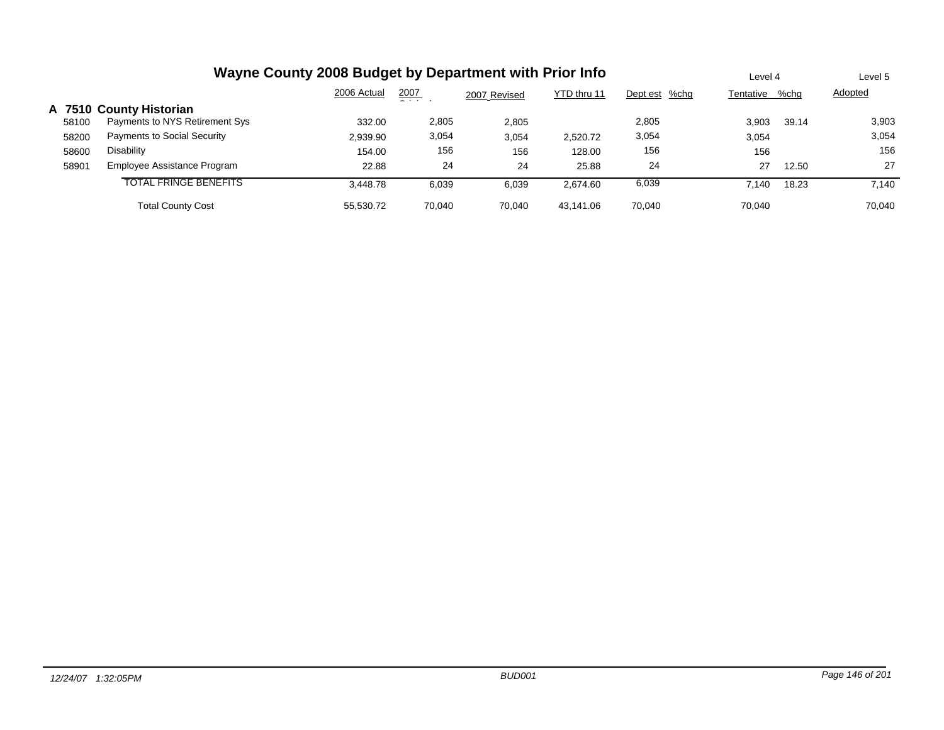|       | Wayne County 2008 Budget by Department with Prior Info |             |               |              |             |               |           |       | Level 5 |
|-------|--------------------------------------------------------|-------------|---------------|--------------|-------------|---------------|-----------|-------|---------|
|       |                                                        | 2006 Actual | 2007<br>- - - | 2007 Revised | YTD thru 11 | Dept est %chg | Tentative | %chg  | Adopted |
|       | A 7510 County Historian                                |             |               |              |             |               |           |       |         |
| 58100 | Payments to NYS Retirement Sys                         | 332.00      | 2,805         | 2,805        |             | 2,805         | 3.903     | 39.14 | 3,903   |
| 58200 | <b>Payments to Social Security</b>                     | 2,939.90    | 3,054         | 3,054        | 2,520.72    | 3,054         | 3,054     |       | 3,054   |
| 58600 | Disability                                             | 154.00      | 156           | 156          | 128.00      | 156           | 156       |       | 156     |
| 58901 | Employee Assistance Program                            | 22.88       | 24            | 24           | 25.88       | 24            | 27        | 12.50 | 27      |
|       | TOTAL FRINGE BENEFITS                                  | 3.448.78    | 6,039         | 6.039        | 2.674.60    | 6,039         | 7.140     | 18.23 | 7.140   |
|       | <b>Total County Cost</b>                               | 55,530.72   | 70.040        | 70.040       | 43.141.06   | 70.040        | 70.040    |       | 70.040  |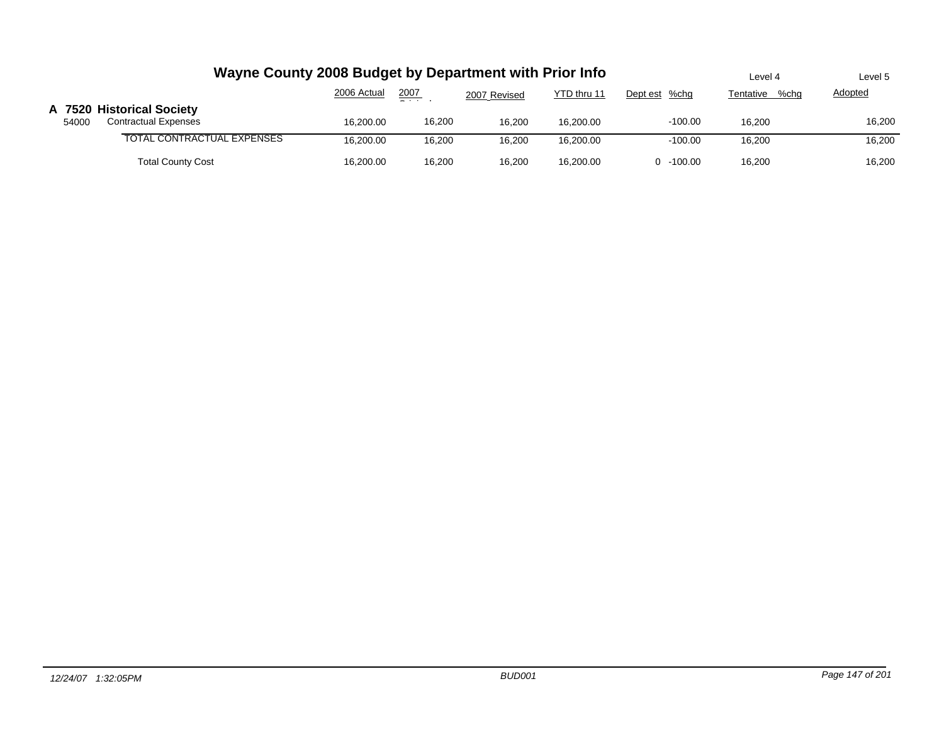|       | Wayne County 2008 Budget by Department with Prior Info   | Level 4     | Level 5       |              |             |               |                   |                |
|-------|----------------------------------------------------------|-------------|---------------|--------------|-------------|---------------|-------------------|----------------|
|       |                                                          | 2006 Actual | 2007<br>$  -$ | 2007 Revised | YTD thru 11 | Dept est %chg | Tentative<br>%chq | <b>Adopted</b> |
| 54000 | A 7520 Historical Society<br><b>Contractual Expenses</b> | 16.200.00   | 16,200        | 16.200       | 16.200.00   | $-100.00$     | 16.200            | 16,200         |
|       | TOTAL CONTRACTUAL EXPENSES                               | 16.200.00   | 16.200        | 16.200       | 16.200.00   | $-100.00$     | 16.200            | 16,200         |
|       | <b>Total County Cost</b>                                 | 16.200.00   | 16,200        | 16.200       | 16.200.00   | $0 - 100.00$  | 16,200            | 16,200         |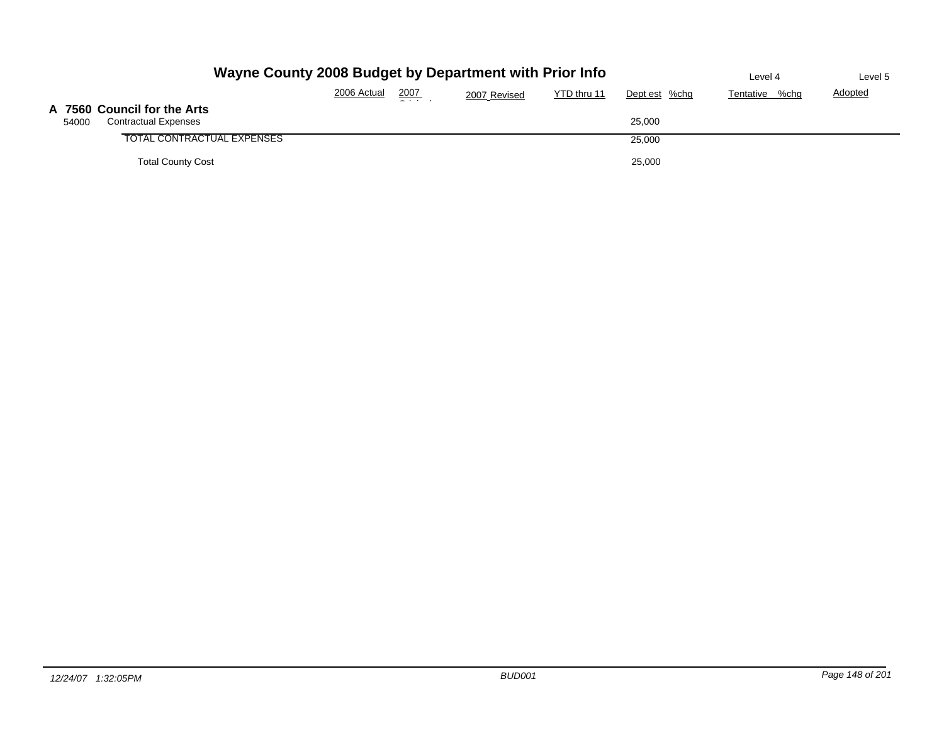|       | Wayne County 2008 Budget by Department with Prior Info     | Level 4     | Level 5        |              |             |               |                   |         |
|-------|------------------------------------------------------------|-------------|----------------|--------------|-------------|---------------|-------------------|---------|
|       |                                                            | 2006 Actual | 2007<br>$   -$ | 2007 Revised | YTD thru 11 | Dept est %chg | Tentative<br>%chg | Adopted |
| 54000 | A 7560 Council for the Arts<br><b>Contractual Expenses</b> |             |                |              |             | 25,000        |                   |         |
|       | TOTAL CONTRACTUAL EXPENSES                                 |             |                |              |             | 25,000        |                   |         |
|       | <b>Total County Cost</b>                                   |             |                |              |             | 25,000        |                   |         |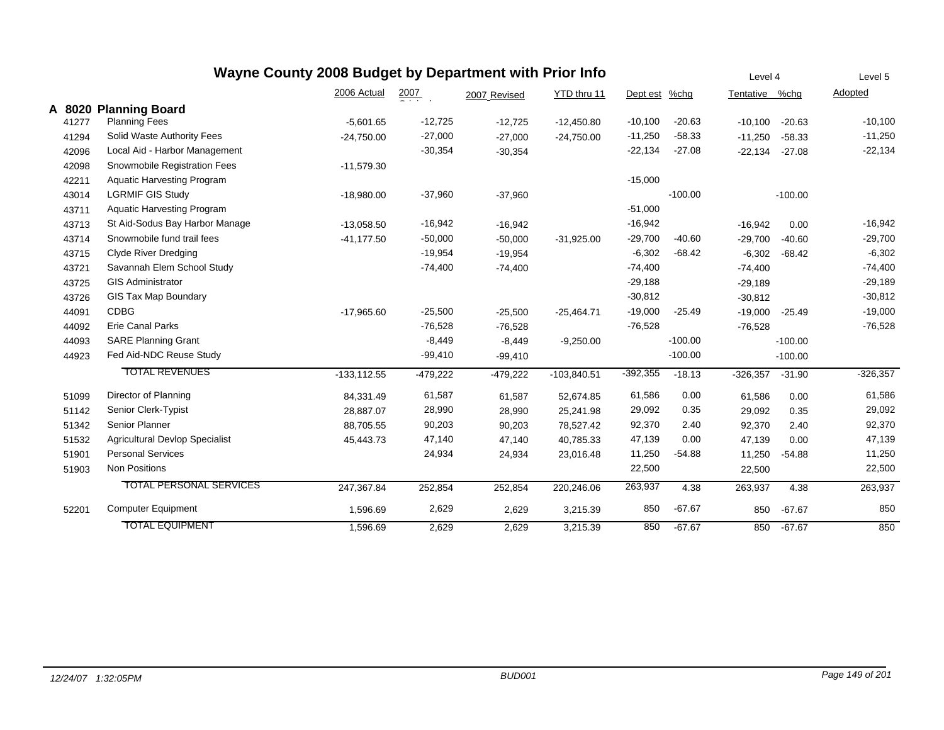|        |                                       | Wayne County 2008 Budget by Department with Prior Info |                  |              |               |            |           | Level 4    |           | Level 5    |
|--------|---------------------------------------|--------------------------------------------------------|------------------|--------------|---------------|------------|-----------|------------|-----------|------------|
|        |                                       | 2006 Actual                                            | $\frac{2007}{2}$ | 2007 Revised | YTD thru 11   | Dept est   | %chg      | Tentative  | %chq      | Adopted    |
| A 8020 | <b>Planning Board</b>                 |                                                        |                  |              |               |            |           |            |           |            |
| 41277  | <b>Planning Fees</b>                  | $-5,601.65$                                            | $-12,725$        | $-12,725$    | $-12,450.80$  | $-10,100$  | $-20.63$  | $-10,100$  | $-20.63$  | $-10,100$  |
| 41294  | Solid Waste Authority Fees            | $-24,750.00$                                           | $-27,000$        | $-27,000$    | $-24,750.00$  | $-11,250$  | $-58.33$  | $-11,250$  | $-58.33$  | $-11,250$  |
| 42096  | Local Aid - Harbor Management         |                                                        | $-30,354$        | $-30,354$    |               | $-22,134$  | $-27.08$  | $-22,134$  | $-27.08$  | $-22,134$  |
| 42098  | Snowmobile Registration Fees          | $-11,579.30$                                           |                  |              |               |            |           |            |           |            |
| 42211  | <b>Aquatic Harvesting Program</b>     |                                                        |                  |              |               | $-15,000$  |           |            |           |            |
| 43014  | <b>LGRMIF GIS Study</b>               | $-18,980.00$                                           | $-37,960$        | $-37,960$    |               |            | $-100.00$ |            | $-100.00$ |            |
| 43711  | <b>Aquatic Harvesting Program</b>     |                                                        |                  |              |               | $-51,000$  |           |            |           |            |
| 43713  | St Aid-Sodus Bay Harbor Manage        | $-13,058.50$                                           | $-16,942$        | $-16,942$    |               | $-16,942$  |           | $-16,942$  | 0.00      | $-16,942$  |
| 43714  | Snowmobile fund trail fees            | $-41.177.50$                                           | $-50,000$        | $-50,000$    | $-31,925.00$  | $-29,700$  | $-40.60$  | $-29,700$  | $-40.60$  | $-29,700$  |
| 43715  | <b>Clyde River Dredging</b>           |                                                        | $-19,954$        | $-19,954$    |               | $-6,302$   | $-68.42$  | $-6,302$   | $-68.42$  | $-6,302$   |
| 43721  | Savannah Elem School Study            |                                                        | $-74,400$        | $-74,400$    |               | $-74,400$  |           | $-74,400$  |           | $-74,400$  |
| 43725  | <b>GIS Administrator</b>              |                                                        |                  |              |               | $-29,188$  |           | $-29,189$  |           | $-29,189$  |
| 43726  | <b>GIS Tax Map Boundary</b>           |                                                        |                  |              |               | $-30,812$  |           | $-30,812$  |           | $-30,812$  |
| 44091  | <b>CDBG</b>                           | $-17,965.60$                                           | $-25,500$        | $-25,500$    | $-25,464.71$  | $-19,000$  | $-25.49$  | $-19,000$  | $-25.49$  | $-19,000$  |
| 44092  | <b>Erie Canal Parks</b>               |                                                        | $-76,528$        | $-76,528$    |               | $-76,528$  |           | $-76,528$  |           | $-76,528$  |
| 44093  | <b>SARE Planning Grant</b>            |                                                        | $-8,449$         | $-8,449$     | $-9,250.00$   |            | $-100.00$ |            | $-100.00$ |            |
| 44923  | Fed Aid-NDC Reuse Study               |                                                        | $-99,410$        | $-99,410$    |               |            | $-100.00$ |            | $-100.00$ |            |
|        | <b>TOTAL REVENUES</b>                 | $-133, 112.55$                                         | $-479,222$       | $-479,222$   | $-103,840.51$ | $-392,355$ | $-18.13$  | $-326,357$ | $-31.90$  | $-326,357$ |
| 51099  | Director of Planning                  | 84,331.49                                              | 61,587           | 61,587       | 52,674.85     | 61,586     | 0.00      | 61,586     | 0.00      | 61,586     |
| 51142  | Senior Clerk-Typist                   | 28,887.07                                              | 28,990           | 28,990       | 25,241.98     | 29,092     | 0.35      | 29,092     | 0.35      | 29,092     |
| 51342  | Senior Planner                        | 88.705.55                                              | 90,203           | 90,203       | 78.527.42     | 92,370     | 2.40      | 92,370     | 2.40      | 92,370     |
| 51532  | <b>Agricultural Devlop Specialist</b> | 45,443.73                                              | 47,140           | 47,140       | 40,785.33     | 47,139     | 0.00      | 47,139     | 0.00      | 47,139     |
| 51901  | <b>Personal Services</b>              |                                                        | 24,934           | 24,934       | 23,016.48     | 11,250     | $-54.88$  | 11,250     | $-54.88$  | 11,250     |
| 51903  | Non Positions                         |                                                        |                  |              |               | 22,500     |           | 22,500     |           | 22,500     |
|        | <b>TOTAL PERSONAL SERVICES</b>        | 247,367.84                                             | 252,854          | 252,854      | 220,246.06    | 263,937    | 4.38      | 263,937    | 4.38      | 263,937    |
| 52201  | <b>Computer Equipment</b>             | 1,596.69                                               | 2,629            | 2,629        | 3,215.39      | 850        | $-67.67$  | 850        | $-67.67$  | 850        |
|        | <b>TOTAL EQUIPMENT</b>                | 1.596.69                                               | 2,629            | 2.629        | 3.215.39      | 850        | $-67.67$  | 850        | $-67.67$  | 850        |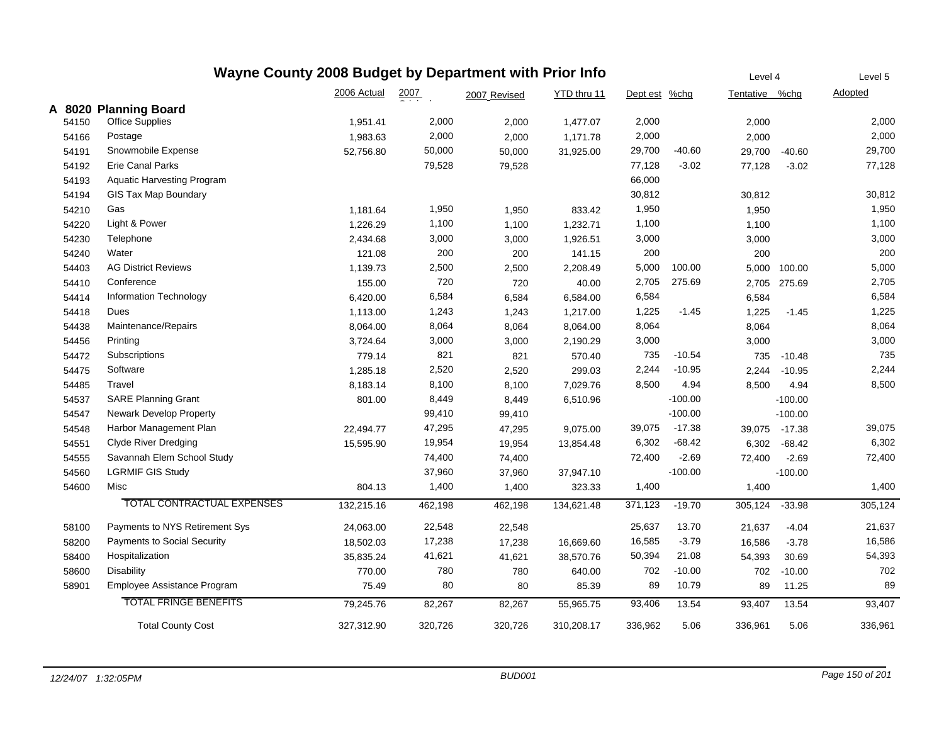| Wayne County 2008 Budget by Department with Prior Info |                                   |             |         |              |             |               |           |                | Level 4   |         |
|--------------------------------------------------------|-----------------------------------|-------------|---------|--------------|-------------|---------------|-----------|----------------|-----------|---------|
|                                                        |                                   | 2006 Actual | 2007    | 2007 Revised | YTD thru 11 | Dept est %chg |           | Tentative %chg |           | Adopted |
|                                                        | A 8020 Planning Board             |             |         |              |             |               |           |                |           |         |
| 54150                                                  | <b>Office Supplies</b>            | 1,951.41    | 2,000   | 2,000        | 1,477.07    | 2,000         |           | 2,000          |           | 2,000   |
| 54166                                                  | Postage                           | 1,983.63    | 2,000   | 2,000        | 1,171.78    | 2,000         |           | 2,000          |           | 2,000   |
| 54191                                                  | Snowmobile Expense                | 52,756.80   | 50,000  | 50,000       | 31,925.00   | 29,700        | $-40.60$  | 29,700         | $-40.60$  | 29,700  |
| 54192                                                  | <b>Erie Canal Parks</b>           |             | 79,528  | 79,528       |             | 77,128        | $-3.02$   | 77,128         | $-3.02$   | 77,128  |
| 54193                                                  | <b>Aquatic Harvesting Program</b> |             |         |              |             | 66,000        |           |                |           |         |
| 54194                                                  | GIS Tax Map Boundary              |             |         |              |             | 30,812        |           | 30,812         |           | 30,812  |
| 54210                                                  | Gas                               | 1,181.64    | 1,950   | 1,950        | 833.42      | 1,950         |           | 1,950          |           | 1,950   |
| 54220                                                  | Light & Power                     | 1,226.29    | 1,100   | 1,100        | 1,232.71    | 1,100         |           | 1,100          |           | 1,100   |
| 54230                                                  | Telephone                         | 2,434.68    | 3,000   | 3,000        | 1,926.51    | 3,000         |           | 3,000          |           | 3,000   |
| 54240                                                  | Water                             | 121.08      | 200     | 200          | 141.15      | 200           |           | 200            |           | 200     |
| 54403                                                  | <b>AG District Reviews</b>        | 1,139.73    | 2,500   | 2,500        | 2,208.49    | 5,000         | 100.00    | 5,000          | 100.00    | 5,000   |
| 54410                                                  | Conference                        | 155.00      | 720     | 720          | 40.00       | 2,705         | 275.69    | 2,705          | 275.69    | 2,705   |
| 54414                                                  | Information Technology            | 6,420.00    | 6,584   | 6,584        | 6,584.00    | 6,584         |           | 6,584          |           | 6,584   |
| 54418                                                  | Dues                              | 1,113.00    | 1,243   | 1,243        | 1,217.00    | 1,225         | $-1.45$   | 1,225          | $-1.45$   | 1,225   |
| 54438                                                  | Maintenance/Repairs               | 8,064.00    | 8,064   | 8,064        | 8,064.00    | 8,064         |           | 8,064          |           | 8,064   |
| 54456                                                  | Printing                          | 3,724.64    | 3,000   | 3,000        | 2,190.29    | 3,000         |           | 3,000          |           | 3,000   |
| 54472                                                  | Subscriptions                     | 779.14      | 821     | 821          | 570.40      | 735           | $-10.54$  | 735            | $-10.48$  | 735     |
| 54475                                                  | Software                          | 1,285.18    | 2,520   | 2,520        | 299.03      | 2,244         | $-10.95$  | 2,244          | $-10.95$  | 2,244   |
| 54485                                                  | Travel                            | 8,183.14    | 8,100   | 8,100        | 7,029.76    | 8,500         | 4.94      | 8,500          | 4.94      | 8,500   |
| 54537                                                  | <b>SARE Planning Grant</b>        | 801.00      | 8,449   | 8,449        | 6,510.96    |               | $-100.00$ |                | $-100.00$ |         |
| 54547                                                  | <b>Newark Develop Property</b>    |             | 99,410  | 99,410       |             |               | $-100.00$ |                | $-100.00$ |         |
| 54548                                                  | Harbor Management Plan            | 22,494.77   | 47,295  | 47,295       | 9,075.00    | 39,075        | $-17.38$  | 39,075         | $-17.38$  | 39,075  |
| 54551                                                  | <b>Clyde River Dredging</b>       | 15,595.90   | 19,954  | 19,954       | 13,854.48   | 6,302         | $-68.42$  | 6,302          | $-68.42$  | 6,302   |
| 54555                                                  | Savannah Elem School Study        |             | 74,400  | 74,400       |             | 72,400        | $-2.69$   | 72,400         | $-2.69$   | 72,400  |
| 54560                                                  | <b>LGRMIF GIS Study</b>           |             | 37,960  | 37,960       | 37,947.10   |               | $-100.00$ |                | $-100.00$ |         |
| 54600                                                  | Misc                              | 804.13      | 1,400   | 1,400        | 323.33      | 1,400         |           | 1,400          |           | 1,400   |
|                                                        | TOTAL CONTRACTUAL EXPENSES        | 132,215.16  | 462,198 | 462,198      | 134,621.48  | 371,123       | $-19.70$  | 305,124        | $-33.98$  | 305,124 |
| 58100                                                  | Payments to NYS Retirement Sys    | 24,063.00   | 22,548  | 22,548       |             | 25,637        | 13.70     | 21,637         | $-4.04$   | 21,637  |
| 58200                                                  | Payments to Social Security       | 18,502.03   | 17,238  | 17,238       | 16,669.60   | 16,585        | $-3.79$   | 16,586         | $-3.78$   | 16,586  |
| 58400                                                  | Hospitalization                   | 35,835.24   | 41,621  | 41,621       | 38,570.76   | 50,394        | 21.08     | 54,393         | 30.69     | 54,393  |
| 58600                                                  | <b>Disability</b>                 | 770.00      | 780     | 780          | 640.00      | 702           | $-10.00$  | 702            | $-10.00$  | 702     |
| 58901                                                  | Employee Assistance Program       | 75.49       | 80      | 80           | 85.39       | 89            | 10.79     | 89             | 11.25     | 89      |
|                                                        | <b>TOTAL FRINGE BENEFITS</b>      | 79,245.76   | 82,267  | 82,267       | 55,965.75   | 93,406        | 13.54     | 93,407         | 13.54     | 93,407  |
|                                                        | <b>Total County Cost</b>          | 327,312.90  | 320,726 | 320,726      | 310,208.17  | 336,962       | 5.06      | 336,961        | 5.06      | 336,961 |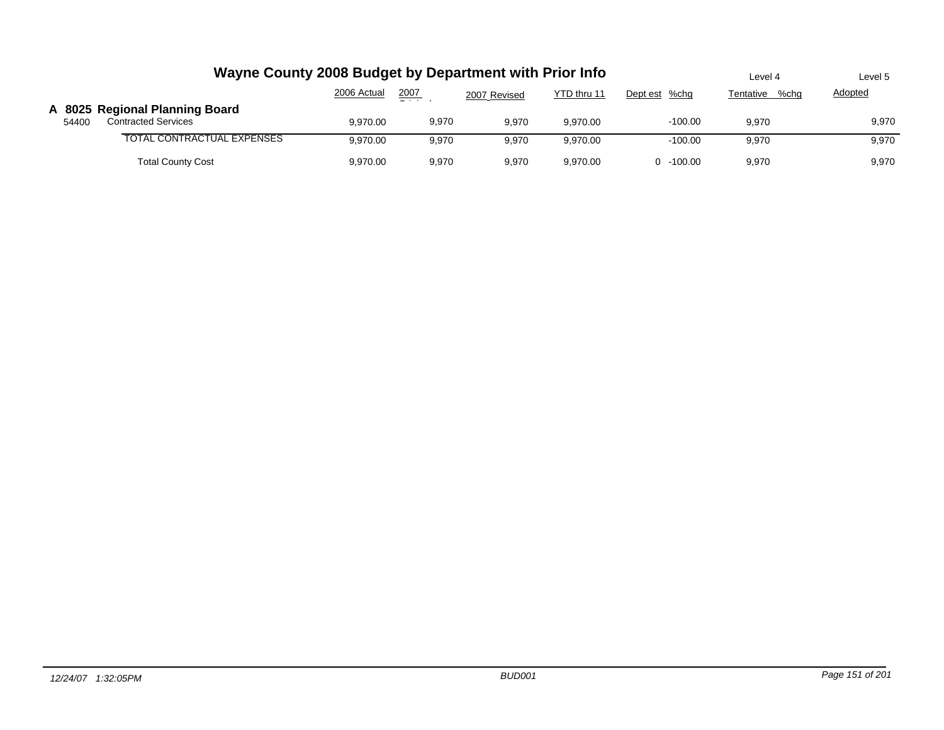|       | Wayne County 2008 Budget by Department with Prior Info       | Level 4     | Level 5 |              |             |               |                   |         |
|-------|--------------------------------------------------------------|-------------|---------|--------------|-------------|---------------|-------------------|---------|
|       |                                                              | 2006 Actual | 2007    | 2007 Revised | YTD thru 11 | Dept est %chg | %chq<br>Tentative | Adopted |
| 54400 | A 8025 Regional Planning Board<br><b>Contracted Services</b> | 9,970.00    | 9,970   | 9.970        | 9.970.00    | $-100.00$     | 9,970             | 9,970   |
|       | TOTAL CONTRACTUAL EXPENSES                                   | 9,970.00    | 9.970   | 9.970        | 9.970.00    | $-100.00$     | 9.970             | 9,970   |
|       | <b>Total County Cost</b>                                     | 9,970.00    | 9,970   | 9,970        | 9.970.00    | $0 - 100.00$  | 9,970             | 9,970   |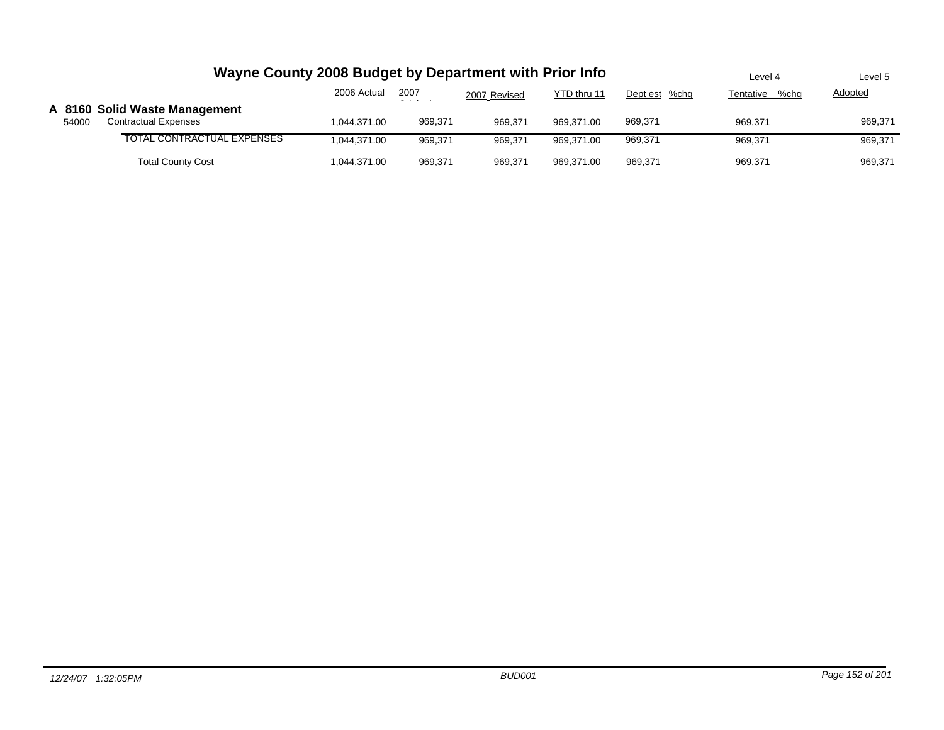|       | Wayne County 2008 Budget by Department with Prior Info       | Level 4      | Level 5 |              |             |               |                   |                |
|-------|--------------------------------------------------------------|--------------|---------|--------------|-------------|---------------|-------------------|----------------|
|       |                                                              | 2006 Actual  | 2007    | 2007 Revised | YTD thru 11 | Dept est %chg | %chq<br>Tentative | <b>Adopted</b> |
| 54000 | A 8160 Solid Waste Management<br><b>Contractual Expenses</b> | 1.044.371.00 | 969.371 | 969.371      | 969.371.00  | 969.371       | 969.371           | 969,371        |
|       | TOTAL CONTRACTUAL EXPENSES                                   | 1.044.371.00 | 969.371 | 969.371      | 969.371.00  | 969,371       | 969.371           | 969,371        |
|       | <b>Total County Cost</b>                                     | 1.044.371.00 | 969.371 | 969.371      | 969.371.00  | 969.371       | 969.371           | 969,371        |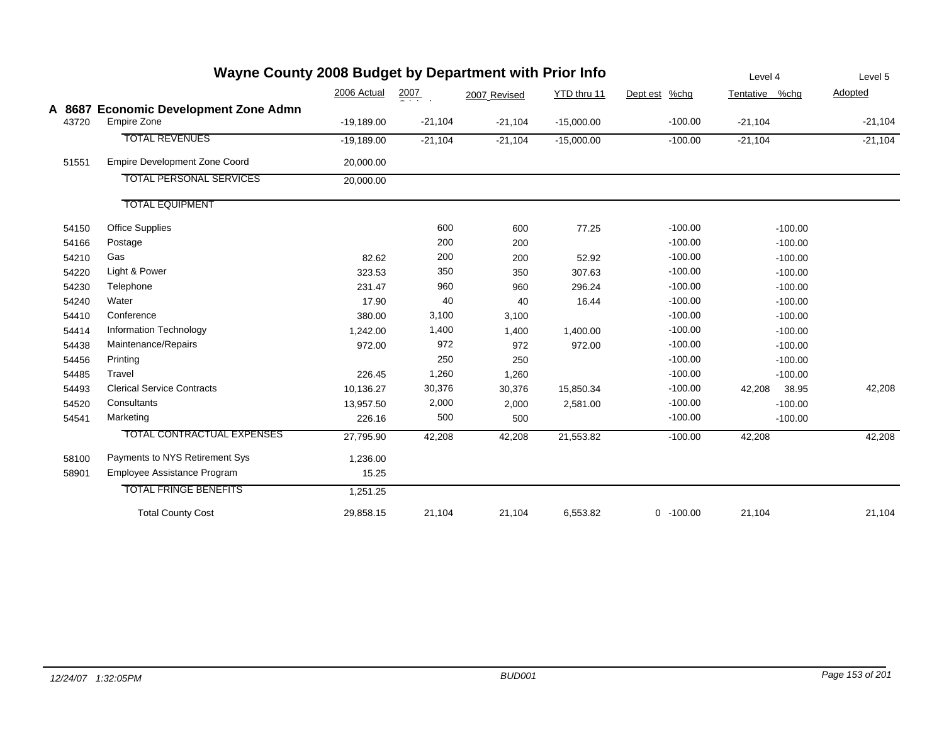|       | Wayne County 2008 Budget by Department with Prior Info      | Level 4      | Level 5   |              |              |                |                 |           |
|-------|-------------------------------------------------------------|--------------|-----------|--------------|--------------|----------------|-----------------|-----------|
|       |                                                             | 2006 Actual  | 2007      | 2007 Revised | YTD thru 11  | Dept est %chg  | Tentative %chg  | Adopted   |
| 43720 | A 8687 Economic Development Zone Admn<br><b>Empire Zone</b> | $-19,189.00$ | $-21,104$ | $-21,104$    | $-15,000.00$ | $-100.00$      | $-21,104$       | $-21,104$ |
|       | <b>TOTAL REVENUES</b>                                       | $-19,189.00$ | $-21,104$ | $-21,104$    | $-15,000.00$ | $-100.00$      | $-21,104$       | $-21,104$ |
| 51551 | <b>Empire Development Zone Coord</b>                        | 20,000.00    |           |              |              |                |                 |           |
|       | <b>TOTAL PERSONAL SERVICES</b>                              | 20,000.00    |           |              |              |                |                 |           |
|       | <b>TOTAL EQUIPMENT</b>                                      |              |           |              |              |                |                 |           |
| 54150 | <b>Office Supplies</b>                                      |              | 600       | 600          | 77.25        | $-100.00$      | $-100.00$       |           |
| 54166 | Postage                                                     |              | 200       | 200          |              | $-100.00$      | $-100.00$       |           |
| 54210 | Gas                                                         | 82.62        | 200       | 200          | 52.92        | $-100.00$      | $-100.00$       |           |
| 54220 | Light & Power                                               | 323.53       | 350       | 350          | 307.63       | $-100.00$      | $-100.00$       |           |
| 54230 | Telephone                                                   | 231.47       | 960       | 960          | 296.24       | $-100.00$      | $-100.00$       |           |
| 54240 | Water                                                       | 17.90        | 40        | 40           | 16.44        | $-100.00$      | $-100.00$       |           |
| 54410 | Conference                                                  | 380.00       | 3,100     | 3,100        |              | $-100.00$      | $-100.00$       |           |
| 54414 | Information Technology                                      | 1.242.00     | 1,400     | 1,400        | 1,400.00     | $-100.00$      | $-100.00$       |           |
| 54438 | Maintenance/Repairs                                         | 972.00       | 972       | 972          | 972.00       | $-100.00$      | $-100.00$       |           |
| 54456 | Printing                                                    |              | 250       | 250          |              | $-100.00$      | $-100.00$       |           |
| 54485 | Travel                                                      | 226.45       | 1,260     | 1,260        |              | $-100.00$      | $-100.00$       |           |
| 54493 | <b>Clerical Service Contracts</b>                           | 10,136.27    | 30,376    | 30,376       | 15,850.34    | $-100.00$      | 38.95<br>42,208 | 42,208    |
| 54520 | Consultants                                                 | 13,957.50    | 2,000     | 2,000        | 2,581.00     | $-100.00$      | $-100.00$       |           |
| 54541 | Marketing                                                   | 226.16       | 500       | 500          |              | $-100.00$      | $-100.00$       |           |
|       | <b>TOTAL CONTRACTUAL EXPENSES</b>                           | 27,795.90    | 42,208    | 42,208       | 21,553.82    | $-100.00$      | 42,208          | 42,208    |
| 58100 | Payments to NYS Retirement Sys                              | 1,236.00     |           |              |              |                |                 |           |
| 58901 | Employee Assistance Program                                 | 15.25        |           |              |              |                |                 |           |
|       | <b>TOTAL FRINGE BENEFITS</b>                                | 1,251.25     |           |              |              |                |                 |           |
|       | <b>Total County Cost</b>                                    | 29,858.15    | 21,104    | 21,104       | 6,553.82     | $-100.00$<br>0 | 21,104          | 21,104    |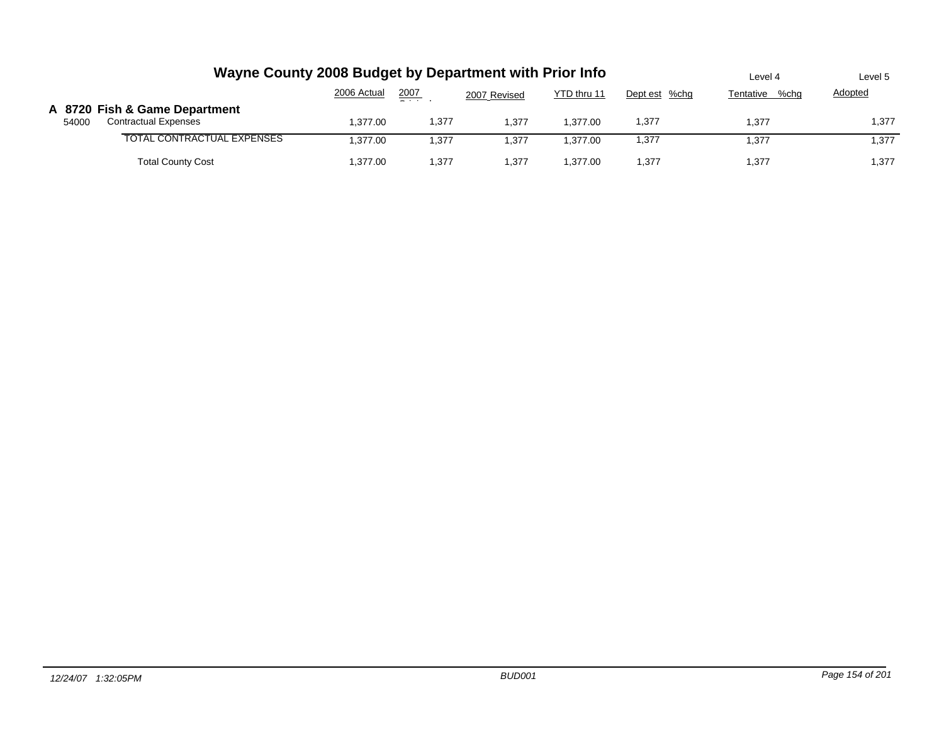|       | Wayne County 2008 Budget by Department with Prior Info       | Level 4     | Level 5       |              |             |               |                   |         |
|-------|--------------------------------------------------------------|-------------|---------------|--------------|-------------|---------------|-------------------|---------|
|       |                                                              | 2006 Actual | 2007<br>$  -$ | 2007 Revised | YTD thru 11 | Dept est %chg | %chq<br>Tentative | Adopted |
| 54000 | A 8720 Fish & Game Department<br><b>Contractual Expenses</b> | 1.377.00    | 1,377         | 1.377        | 1.377.00    | 1,377         | 1.377             | 1,377   |
|       | TOTAL CONTRACTUAL EXPENSES                                   | 1.377.00    | 1.377         | 1.377        | 1.377.00    | 1,377         | 1.377             | 1.377   |
|       | <b>Total County Cost</b>                                     | 1.377.00    | 1,377         | 1.377        | 1.377.00    | 1,377         | 1,377             | 1,377   |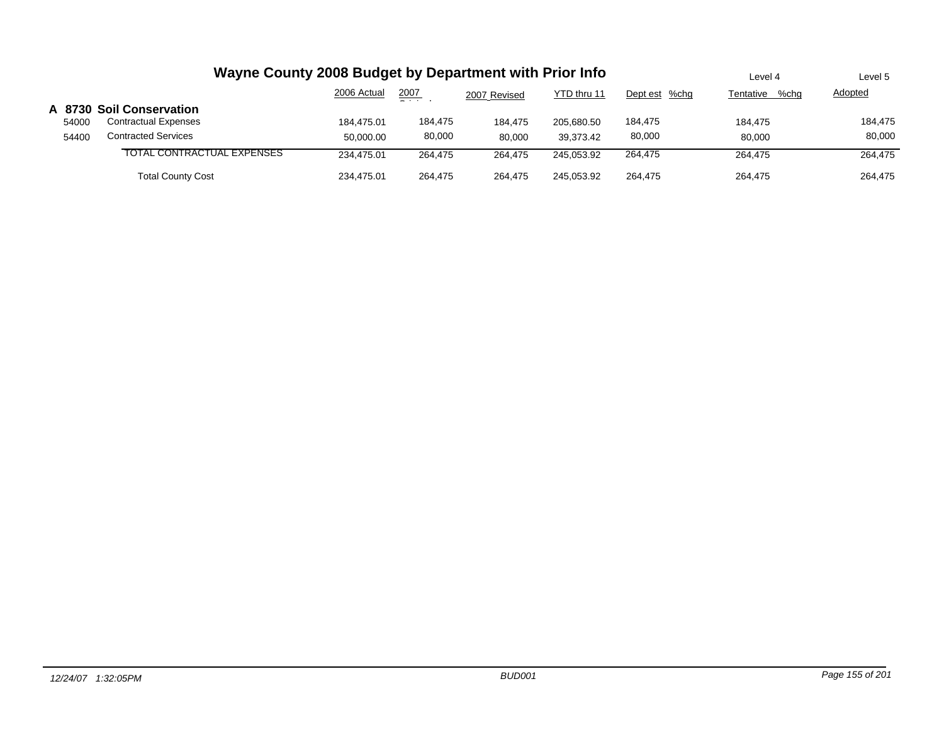|       | Wayne County 2008 Budget by Department with Prior Info | Level 4     | Level 5       |              |             |               |                   |                |
|-------|--------------------------------------------------------|-------------|---------------|--------------|-------------|---------------|-------------------|----------------|
|       |                                                        | 2006 Actual | 2007<br>$  -$ | 2007 Revised | YTD thru 11 | Dept est %chg | %chq<br>Tentative | <b>Adopted</b> |
|       | A 8730 Soil Conservation                               |             |               |              |             |               |                   |                |
| 54000 | <b>Contractual Expenses</b>                            | 184.475.01  | 184,475       | 184.475      | 205.680.50  | 184,475       | 184.475           | 184,475        |
| 54400 | <b>Contracted Services</b>                             | 50.000.00   | 80,000        | 80.000       | 39.373.42   | 80,000        | 80.000            | 80,000         |
|       | TOTAL CONTRACTUAL EXPENSES                             | 234.475.01  | 264.475       | 264,475      | 245.053.92  | 264,475       | 264,475           | 264,475        |
|       | <b>Total County Cost</b>                               | 234.475.01  | 264.475       | 264.475      | 245.053.92  | 264.475       | 264.475           | 264.475        |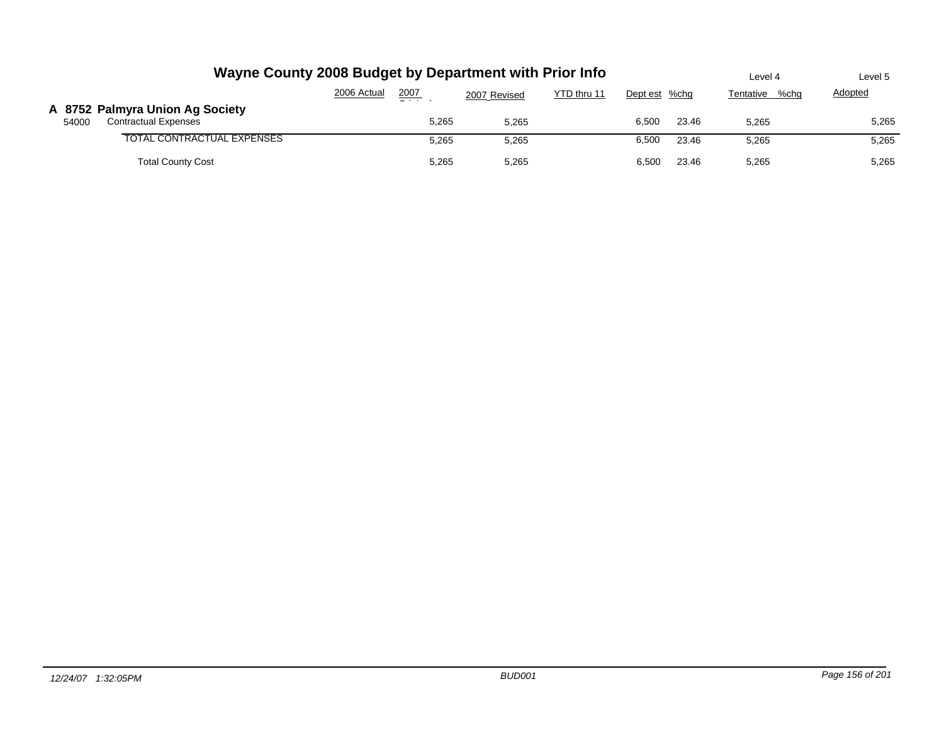| Wayne County 2008 Budget by Department with Prior Info                  | Level 4                  | Level 5      |             |                |                   |         |
|-------------------------------------------------------------------------|--------------------------|--------------|-------------|----------------|-------------------|---------|
|                                                                         | 2006 Actual<br>2007<br>_ | 2007 Revised | YTD thru 11 | Dept est %chg  | Tentative<br>%chq | Adopted |
| A 8752 Palmyra Union Ag Society<br><b>Contractual Expenses</b><br>54000 | 5,265                    | 5,265        |             | 23.46<br>6,500 | 5,265             | 5,265   |
| TOTAL CONTRACTUAL EXPENSES                                              | 5,265                    | 5,265        |             | 6,500<br>23.46 | 5,265             | 5,265   |
| <b>Total County Cost</b>                                                | 5,265                    | 5,265        |             | 23.46<br>6,500 | 5,265             | 5,265   |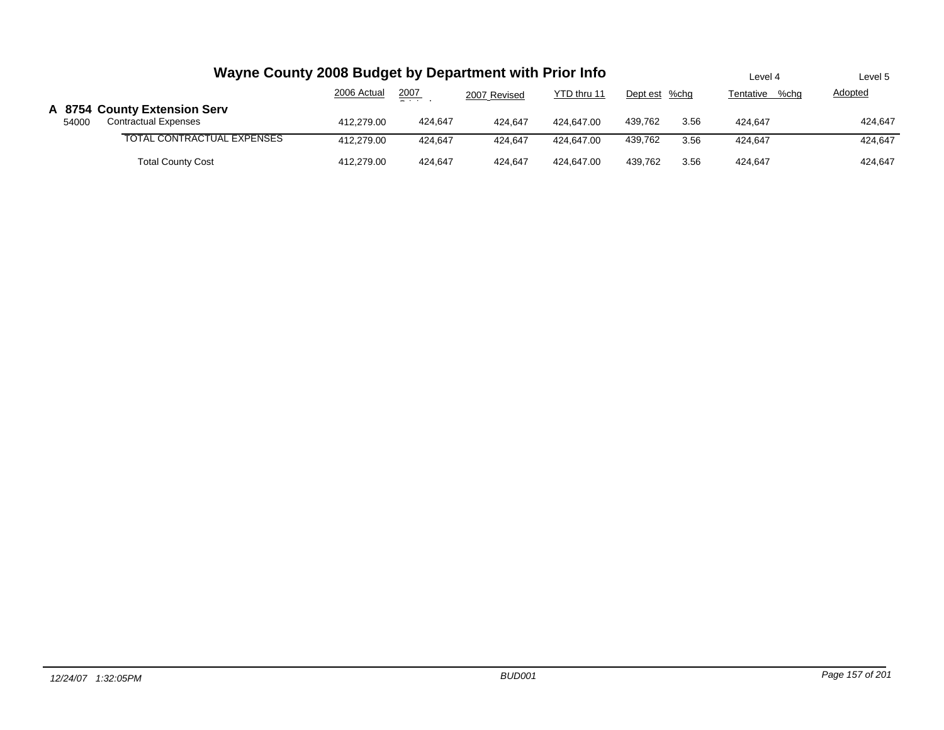|       | Wayne County 2008 Budget by Department with Prior Info      | Level 4           | Level 5        |         |            |         |      |         |         |
|-------|-------------------------------------------------------------|-------------------|----------------|---------|------------|---------|------|---------|---------|
|       |                                                             | %cha<br>Tentative | <b>Adopted</b> |         |            |         |      |         |         |
| 54000 | A 8754 County Extension Serv<br><b>Contractual Expenses</b> | 412.279.00        | 424.647        | 424.647 | 424.647.00 | 439.762 | 3.56 | 424.647 | 424.647 |
|       | TOTAL CONTRACTUAL EXPENSES                                  | 412.279.00        | 424.647        | 424.647 | 424.647.00 | 439.762 | 3.56 | 424.647 | 424.647 |
|       | <b>Total County Cost</b>                                    | 412,279.00        | 424,647        | 424.647 | 424.647.00 | 439.762 | 3.56 | 424.647 | 424,647 |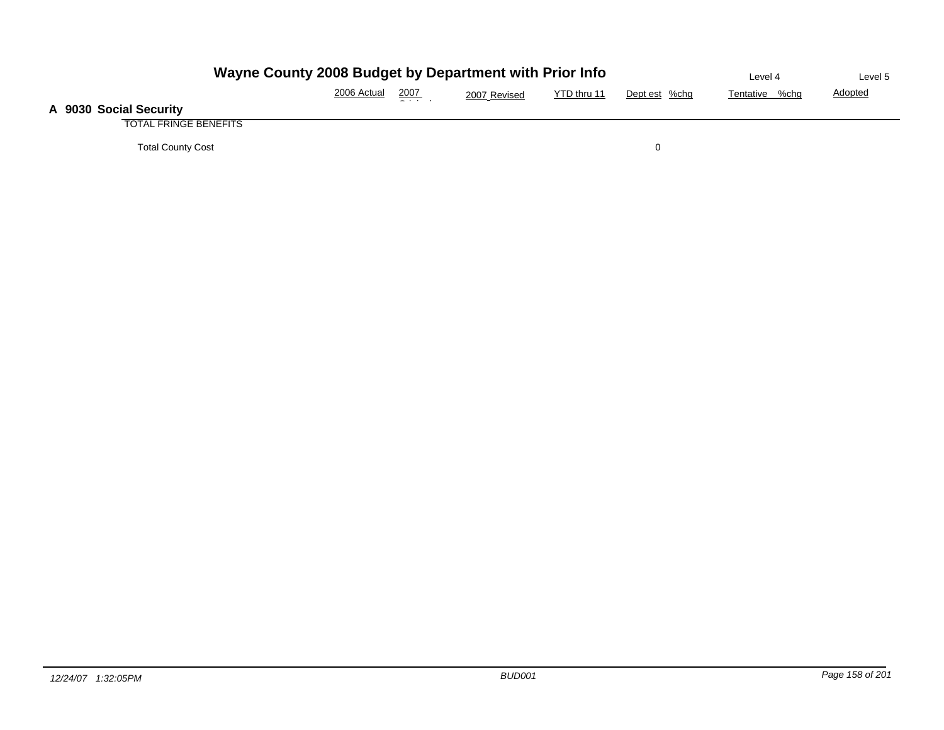| Wayne County 2008 Budget by Department with Prior Info | Level 4     | Level 5         |              |             |               |                |                |
|--------------------------------------------------------|-------------|-----------------|--------------|-------------|---------------|----------------|----------------|
|                                                        | 2006 Actual | 2007<br>- - - - | 2007 Revised | YTD thru 11 | Dept est %chg | Tentative %chg | <b>Adopted</b> |
| A 9030 Social Security                                 |             |                 |              |             |               |                |                |
| <b>TOTAL FRINGE BENEFITS</b>                           |             |                 |              |             |               |                |                |
| <b>Total County Cost</b>                               |             |                 |              |             |               |                |                |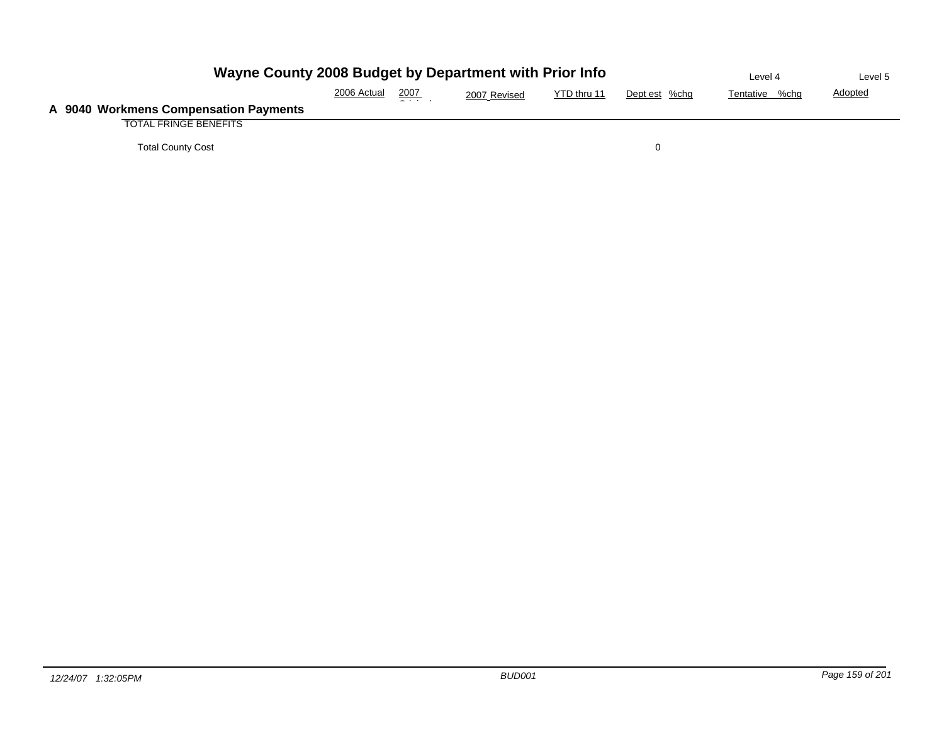| Wayne County 2008 Budget by Department with Prior Info | Level 4     | Level 5 |              |             |               |                |                |
|--------------------------------------------------------|-------------|---------|--------------|-------------|---------------|----------------|----------------|
|                                                        | 2006 Actual | 2007    | 2007 Revised | YTD thru 11 | Dept est %chg | Tentative %chg | <b>Adopted</b> |
| A 9040 Workmens Compensation Payments                  |             |         |              |             |               |                |                |
| <b>TOTAL FRINGE BENEFITS</b>                           |             |         |              |             |               |                |                |
| <b>Total County Cost</b>                               |             |         |              |             | $\Omega$      |                |                |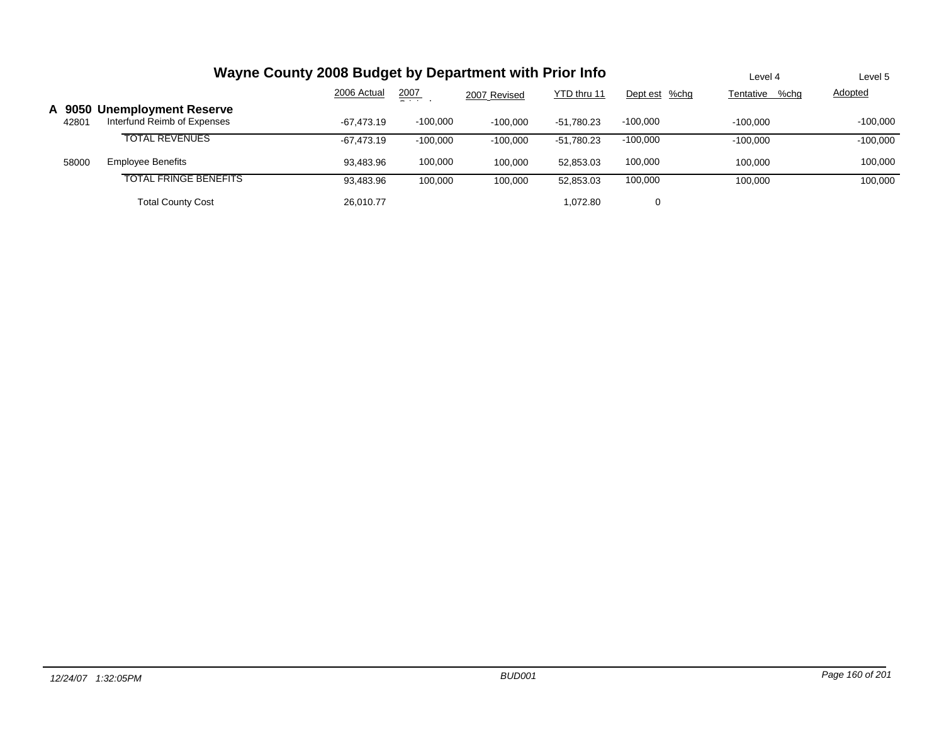|                 | Wayne County 2008 Budget by Department with Prior Info     | Level 4      | Level 5    |              |              |               |                   |            |
|-----------------|------------------------------------------------------------|--------------|------------|--------------|--------------|---------------|-------------------|------------|
|                 |                                                            | 2006 Actual  | 2007<br>_  | 2007 Revised | YTD thru 11  | Dept est %chg | Tentative<br>%chg | Adopted    |
| A 9050<br>42801 | <b>Unemployment Reserve</b><br>Interfund Reimb of Expenses | $-67.473.19$ | $-100,000$ | $-100,000$   | $-51.780.23$ | $-100.000$    | $-100.000$        | $-100.000$ |
|                 | <b>TOTAL REVENUES</b>                                      | -67.473.19   | $-100,000$ | $-100.000$   | $-51.780.23$ | $-100,000$    | $-100.000$        | $-100,000$ |
| 58000           | <b>Employee Benefits</b>                                   | 93.483.96    | 100,000    | 100.000      | 52.853.03    | 100,000       | 100.000           | 100,000    |
|                 | <b>TOTAL FRINGE BENEFITS</b>                               | 93,483.96    | 100,000    | 100,000      | 52,853.03    | 100,000       | 100.000           | 100,000    |
|                 | <b>Total County Cost</b>                                   | 26.010.77    |            |              | 1.072.80     | 0             |                   |            |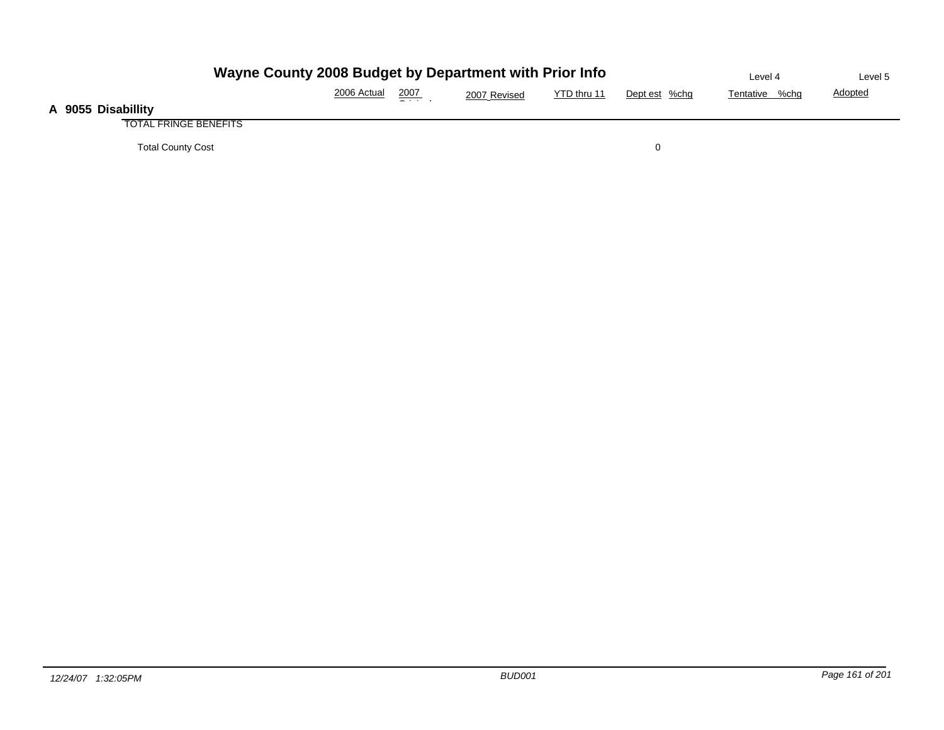| Wayne County 2008 Budget by Department with Prior Info | Level 4     | Level 5       |              |             |               |                |                |
|--------------------------------------------------------|-------------|---------------|--------------|-------------|---------------|----------------|----------------|
|                                                        | 2006 Actual | <u> 2007 </u> | 2007 Revised | YTD thru 11 | Dept est %chg | Tentative %chg | <b>Adopted</b> |
| A 9055 Disabillity                                     |             |               |              |             |               |                |                |
| <b>TOTAL FRINGE BENEFITS</b>                           |             |               |              |             |               |                |                |
| <b>Total County Cost</b>                               |             |               |              |             |               |                |                |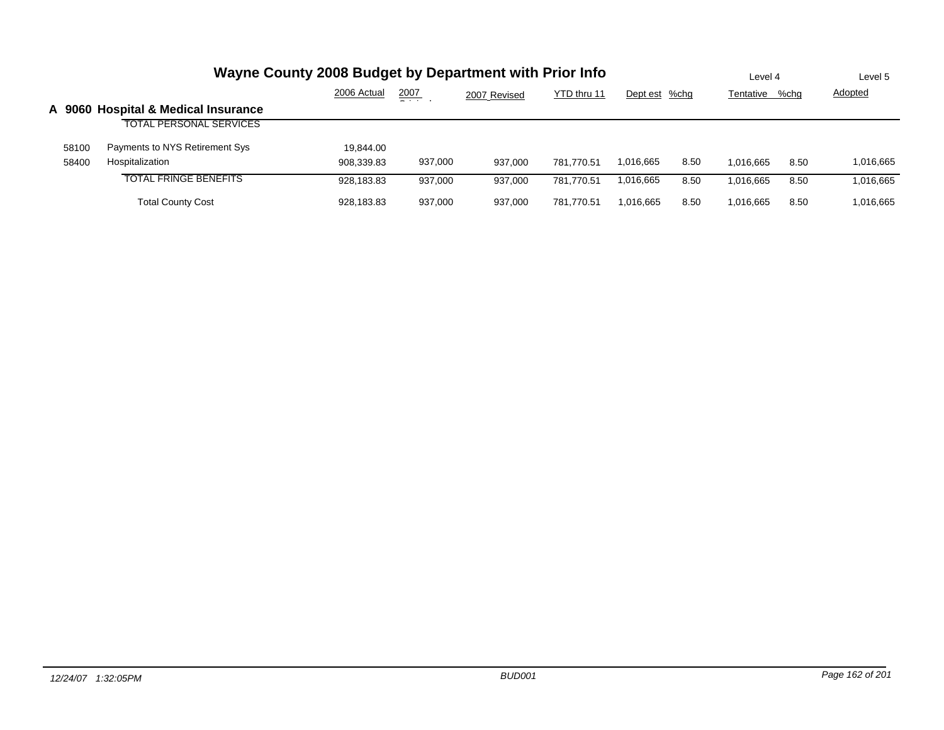|       | Wayne County 2008 Budget by Department with Prior Info | Level 4     |               | Level 5      |             |               |      |           |      |                |
|-------|--------------------------------------------------------|-------------|---------------|--------------|-------------|---------------|------|-----------|------|----------------|
|       |                                                        | 2006 Actual | 2007<br>- - - | 2007 Revised | YTD thru 11 | Dept est %chg |      | Tentative | %chg | <b>Adopted</b> |
|       | A 9060 Hospital & Medical Insurance                    |             |               |              |             |               |      |           |      |                |
|       | <b>TOTAL PERSONAL SERVICES</b>                         |             |               |              |             |               |      |           |      |                |
| 58100 | Payments to NYS Retirement Sys                         | 19,844.00   |               |              |             |               |      |           |      |                |
| 58400 | Hospitalization                                        | 908,339.83  | 937,000       | 937.000      | 781.770.51  | 1.016.665     | 8.50 | 1.016.665 | 8.50 | 1,016,665      |
|       | <b>TOTAL FRINGE BENEFITS</b>                           | 928.183.83  | 937.000       | 937.000      | 781.770.51  | 1,016,665     | 8.50 | 1.016.665 | 8.50 | 1,016,665      |
|       | <b>Total County Cost</b>                               | 928.183.83  | 937,000       | 937.000      | 781.770.51  | 1,016,665     | 8.50 | 1,016,665 | 8.50 | 1,016,665      |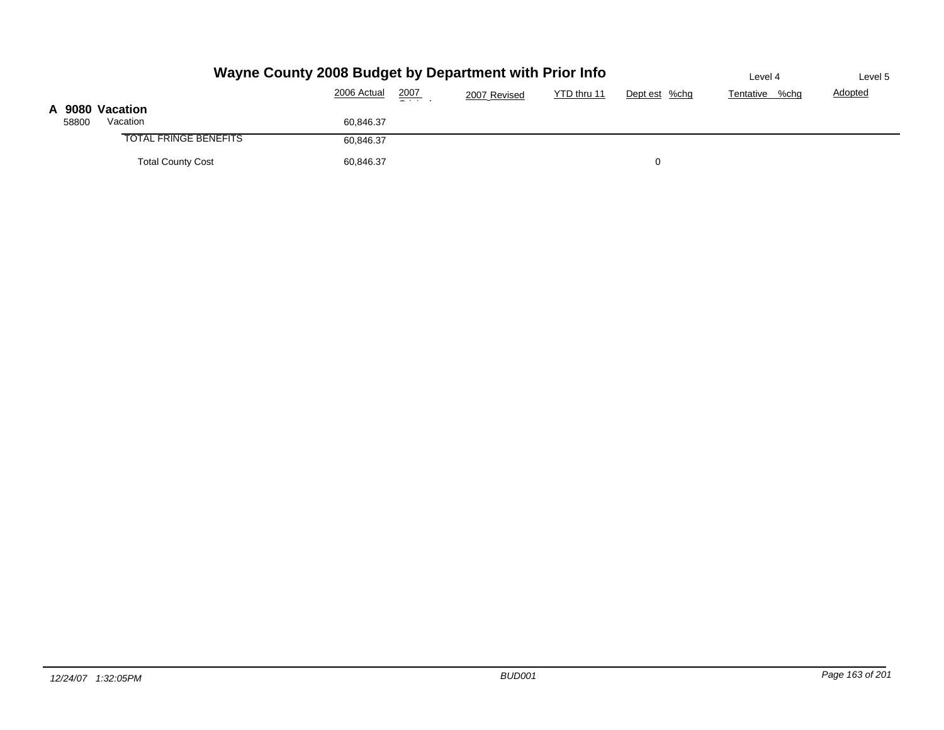|       | Wayne County 2008 Budget by Department with Prior Info | Level 4     | Level 5       |              |             |               |                |                |
|-------|--------------------------------------------------------|-------------|---------------|--------------|-------------|---------------|----------------|----------------|
|       |                                                        | 2006 Actual | 2007<br>$  -$ | 2007 Revised | YTD thru 11 | Dept est %chg | Tentative %chg | <b>Adopted</b> |
| 58800 | A 9080 Vacation<br>Vacation                            | 60,846.37   |               |              |             |               |                |                |
|       | <b>TOTAL FRINGE BENEFITS</b>                           | 60,846.37   |               |              |             |               |                |                |
|       | <b>Total County Cost</b>                               | 60,846.37   |               |              |             |               |                |                |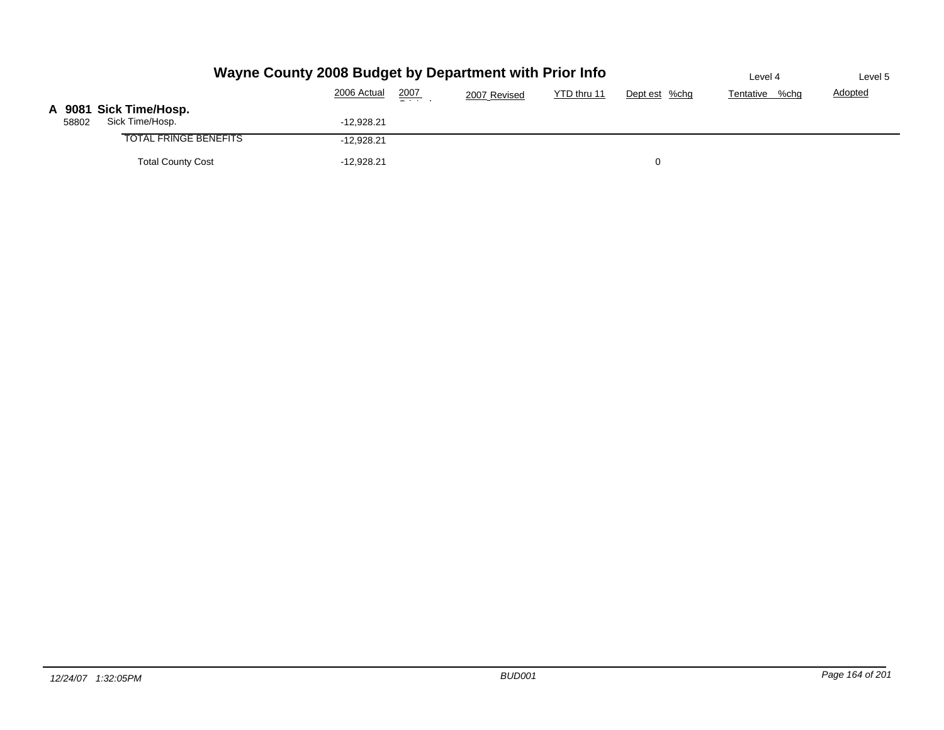|       | Wayne County 2008 Budget by Department with Prior Info | Level 4      | Level 5       |              |             |               |                |                |
|-------|--------------------------------------------------------|--------------|---------------|--------------|-------------|---------------|----------------|----------------|
|       |                                                        | 2006 Actual  | 2007<br>- - - | 2007 Revised | YTD thru 11 | Dept est %chg | Tentative %chg | <b>Adopted</b> |
| 58802 | A 9081 Sick Time/Hosp.<br>Sick Time/Hosp.              | $-12,928.21$ |               |              |             |               |                |                |
|       | <b>TOTAL FRINGE BENEFITS</b>                           | $-12,928.21$ |               |              |             |               |                |                |
|       | <b>Total County Cost</b>                               | $-12,928.21$ |               |              |             |               |                |                |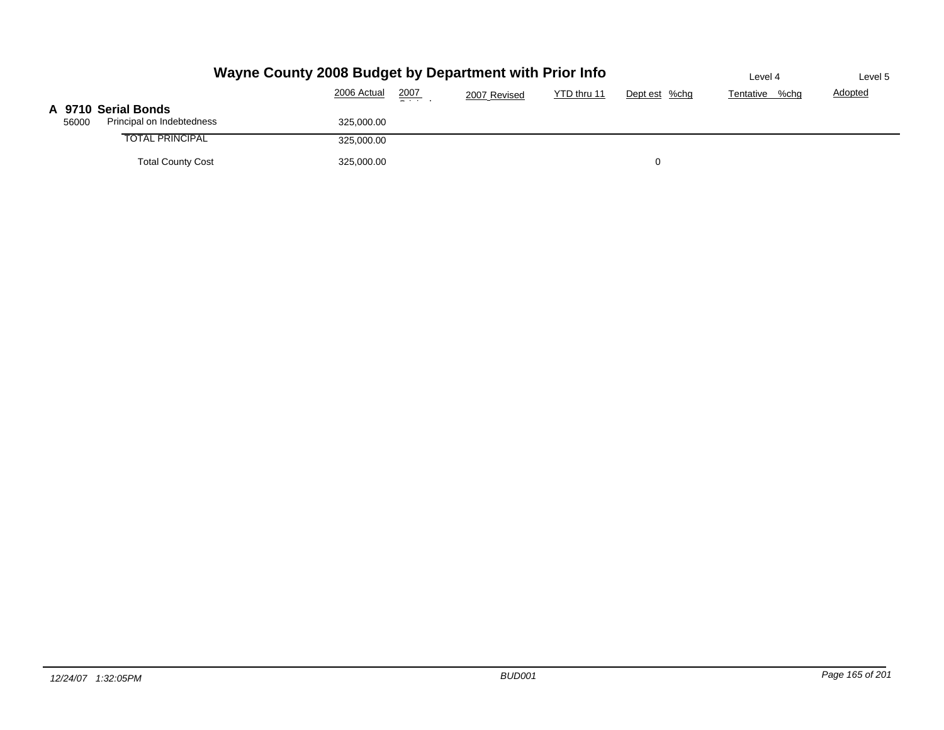|                     | Wayne County 2008 Budget by Department with Prior Info | Level 4     | Level 5       |              |             |               |                |                |
|---------------------|--------------------------------------------------------|-------------|---------------|--------------|-------------|---------------|----------------|----------------|
|                     |                                                        | 2006 Actual | 2007<br>$  -$ | 2007 Revised | YTD thru 11 | Dept est %chg | Tentative %chg | <b>Adopted</b> |
| A 9710 Serial Bonds |                                                        |             |               |              |             |               |                |                |
| 56000               | Principal on Indebtedness                              | 325,000.00  |               |              |             |               |                |                |
|                     | <b>TOTAL PRINCIPAL</b>                                 | 325,000.00  |               |              |             |               |                |                |
|                     | <b>Total County Cost</b>                               | 325,000.00  |               |              |             | 0             |                |                |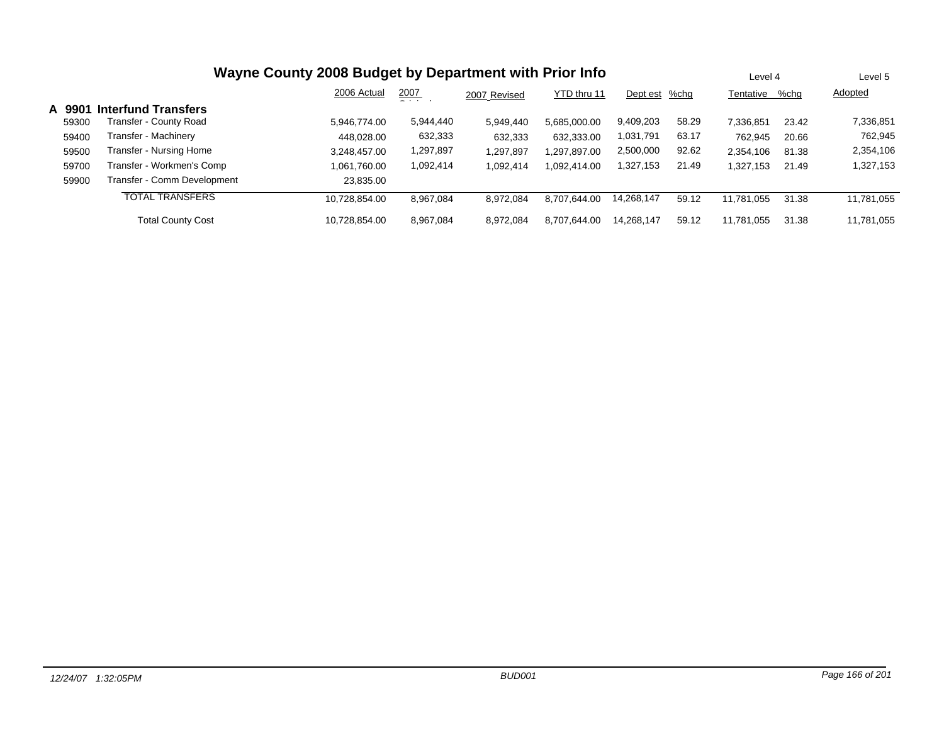|        | Wayne County 2008 Budget by Department with Prior Info                          |               |           |           |              |            |       |            |       | Level 5    |
|--------|---------------------------------------------------------------------------------|---------------|-----------|-----------|--------------|------------|-------|------------|-------|------------|
|        | 2007<br>2006 Actual<br>YTD thru 11<br>%chq<br>Dept est<br>2007 Revised<br>- - - |               |           |           |              |            |       |            |       | Adopted    |
| A 9901 | <b>Interfund Transfers</b>                                                      |               |           |           |              |            |       |            |       |            |
| 59300  | Fransfer - County Road                                                          | 5.946.774.00  | 5,944,440 | 5.949.440 | 5.685.000.00 | 9,409,203  | 58.29 | 7,336,851  | 23.42 | 7,336,851  |
| 59400  | Transfer - Machinery                                                            | 448.028.00    | 632,333   | 632,333   | 632,333.00   | 1,031,791  | 63.17 | 762,945    | 20.66 | 762,945    |
| 59500  | Fransfer - Nursing Home                                                         | 3,248,457.00  | 1,297,897 | 1,297,897 | 1,297,897.00 | 2,500,000  | 92.62 | 2,354,106  | 81.38 | 2,354,106  |
| 59700  | Transfer - Workmen's Comp                                                       | 1,061,760.00  | 1,092,414 | 1,092,414 | 1,092,414.00 | 1,327,153  | 21.49 | 1,327,153  | 21.49 | 1,327,153  |
| 59900  | Transfer - Comm Development                                                     | 23.835.00     |           |           |              |            |       |            |       |            |
|        | <b>TOTAL TRANSFERS</b>                                                          | 10.728.854.00 | 8.967.084 | 8.972.084 | 8,707,644.00 | 14,268,147 | 59.12 | 11.781.055 | 31.38 | 11,781,055 |
|        | <b>Total County Cost</b>                                                        | 10.728.854.00 | 8.967.084 | 8.972.084 | 8.707.644.00 | 14.268.147 | 59.12 | 11,781,055 | 31.38 | 11,781,055 |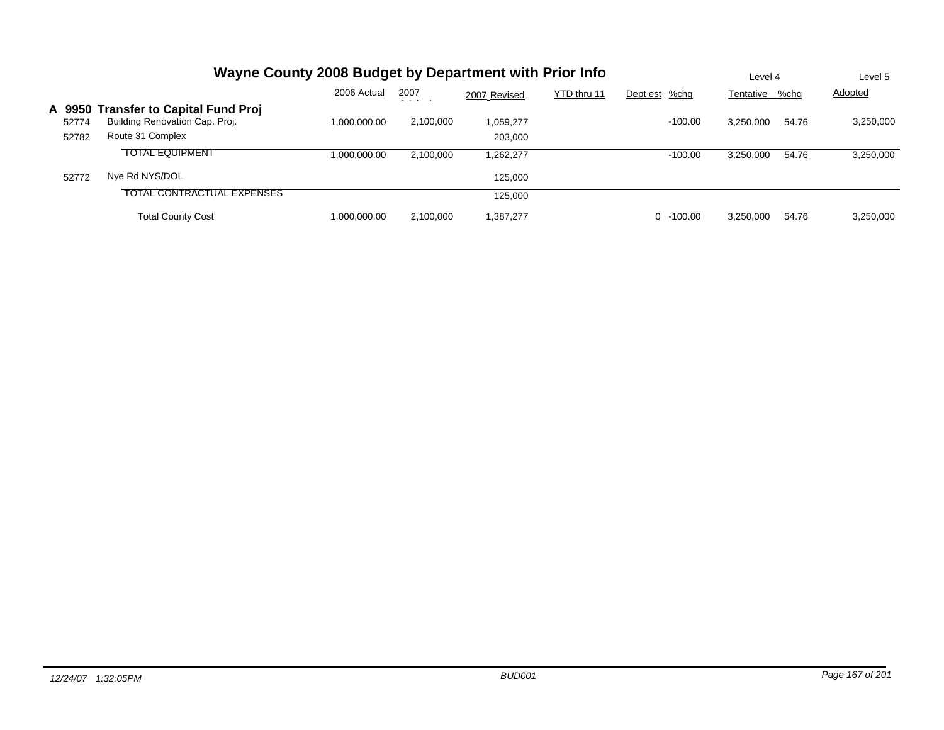|        | Wayne County 2008 Budget by Department with Prior Info | Level 4      |               | Level 5      |             |                |           |       |                |
|--------|--------------------------------------------------------|--------------|---------------|--------------|-------------|----------------|-----------|-------|----------------|
|        |                                                        | 2006 Actual  | 2007<br>- - - | 2007 Revised | YTD thru 11 | Dept est %chg  | Tentative | %chg  | <b>Adopted</b> |
| A 9950 | <b>Transfer to Capital Fund Proj</b>                   |              |               |              |             |                |           |       |                |
| 52774  | Building Renovation Cap. Proj.                         | 1.000.000.00 | 2,100,000     | 1.059.277    |             | $-100.00$      | 3.250.000 | 54.76 | 3,250,000      |
| 52782  | Route 31 Complex                                       |              |               | 203,000      |             |                |           |       |                |
|        | <b>TOTAL EQUIPMENT</b>                                 | 1.000.000.00 | 2.100.000     | 1,262,277    |             | $-100.00$      | 3,250,000 | 54.76 | 3,250,000      |
| 52772  | Nye Rd NYS/DOL                                         |              |               | 125.000      |             |                |           |       |                |
|        | TOTAL CONTRACTUAL EXPENSES                             |              |               | 125.000      |             |                |           |       |                |
|        | <b>Total County Cost</b>                               | 1.000.000.00 | 2.100.000     | 1,387,277    |             | $-100.00$<br>0 | 3.250.000 | 54.76 | 3,250,000      |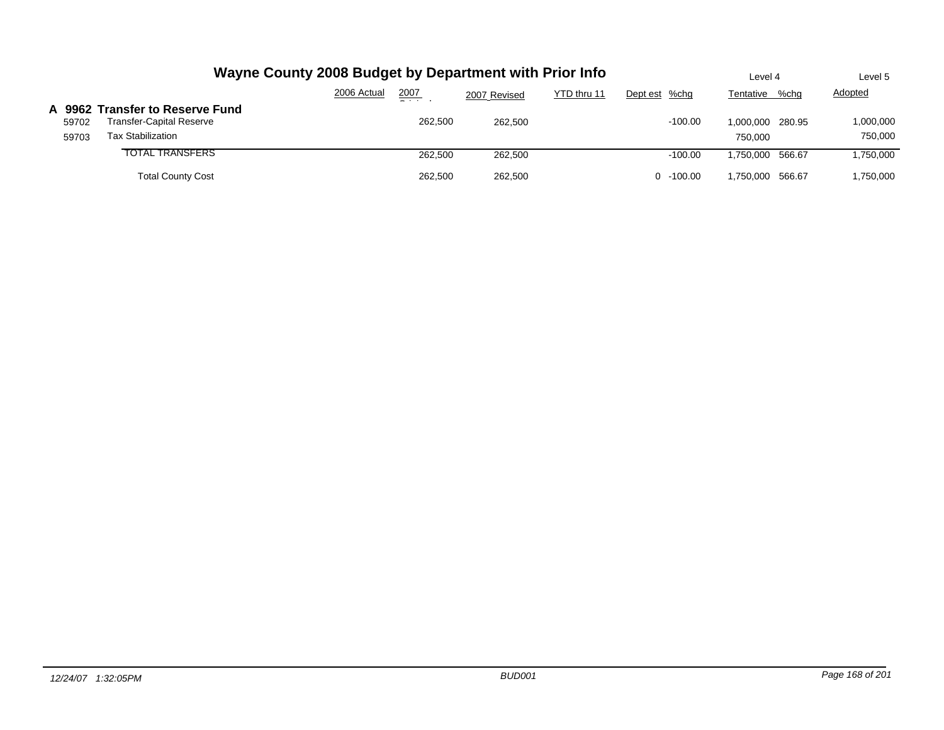|                | Wayne County 2008 Budget by Department with Prior Info                                         | Level 4     | Level 5 |              |             |               |                             |                      |
|----------------|------------------------------------------------------------------------------------------------|-------------|---------|--------------|-------------|---------------|-----------------------------|----------------------|
|                |                                                                                                | 2006 Actual | 2007    | 2007 Revised | YTD thru 11 | Dept est %chg | %chg<br>Tentative           | Adopted              |
| 59702<br>59703 | A 9962 Transfer to Reserve Fund<br><b>Transfer-Capital Reserve</b><br><b>Tax Stabilization</b> |             | 262,500 | 262.500      |             | $-100.00$     | 1,000,000 280.95<br>750.000 | 1,000,000<br>750.000 |
|                | <b>TOTAL TRANSFERS</b>                                                                         |             | 262.500 | 262,500      |             | $-100.00$     | 1.750.000 566.67            | 1,750,000            |
|                | <b>Total County Cost</b>                                                                       |             | 262.500 | 262.500      |             | $0 - 100.00$  | 1,750,000 566.67            | 1,750,000            |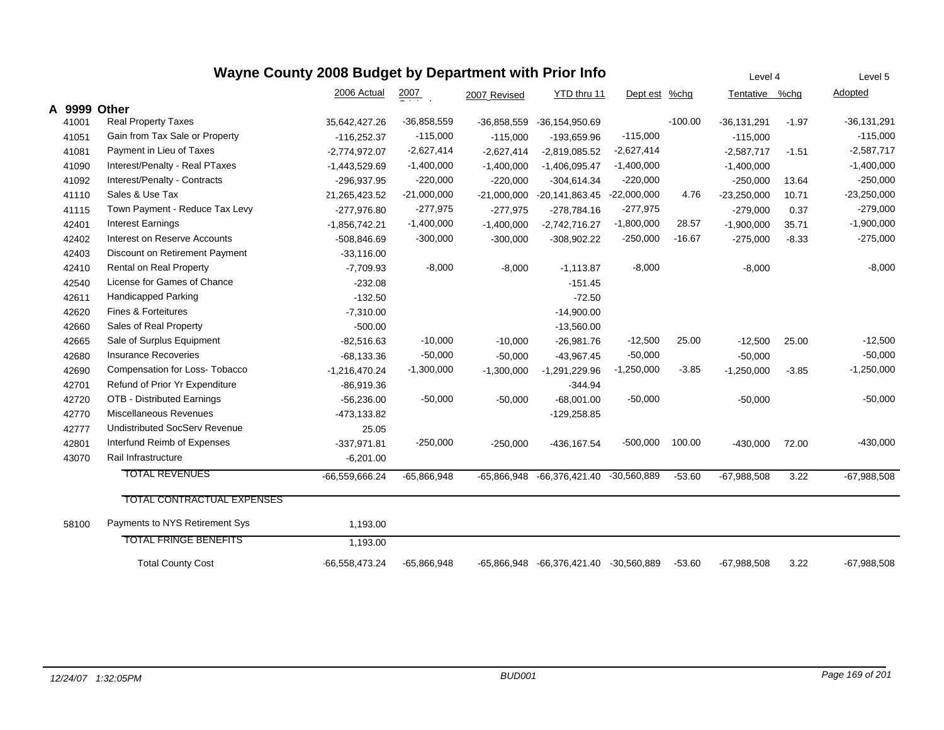|       | Wayne County 2008 Budget by Department with Prior Info |                 | Level 4            |               | Level 5                    |               |           |                |         |                 |
|-------|--------------------------------------------------------|-----------------|--------------------|---------------|----------------------------|---------------|-----------|----------------|---------|-----------------|
|       |                                                        | 2006 Actual     | $\frac{2007}{200}$ | 2007 Revised  | YTD thru 11                | Dept est %chg |           | Tentative %chg |         | Adopted         |
|       | A 9999 Other                                           |                 |                    |               |                            |               |           |                |         |                 |
| 41001 | <b>Real Property Taxes</b>                             | 35,642,427.26   | $-36,858,559$      | $-36,858,559$ | $-36, 154, 950.69$         |               | $-100.00$ | $-36,131,291$  | $-1.97$ | $-36, 131, 291$ |
| 41051 | Gain from Tax Sale or Property                         | $-116,252.37$   | $-115,000$         | $-115,000$    | -193,659.96                | $-115,000$    |           | $-115,000$     |         | $-115,000$      |
| 41081 | Payment in Lieu of Taxes                               | $-2,774,972.07$ | $-2,627,414$       | $-2,627,414$  | $-2,819,085.52$            | $-2,627,414$  |           | $-2,587,717$   | $-1.51$ | $-2,587,717$    |
| 41090 | Interest/Penalty - Real PTaxes                         | $-1,443,529.69$ | $-1,400,000$       | $-1,400,000$  | $-1,406,095.47$            | $-1,400,000$  |           | $-1,400,000$   |         | $-1,400,000$    |
| 41092 | Interest/Penalty - Contracts                           | -296,937.95     | $-220,000$         | $-220,000$    | $-304,614.34$              | $-220,000$    |           | $-250,000$     | 13.64   | $-250,000$      |
| 41110 | Sales & Use Tax                                        | 21,265,423.52   | $-21,000,000$      | $-21,000,000$ | -20,141,863.45 -22,000,000 |               | 4.76      | $-23,250,000$  | 10.71   | $-23,250,000$   |
| 41115 | Town Payment - Reduce Tax Levy                         | $-277,976.80$   | $-277,975$         | $-277,975$    | $-278,784.16$              | $-277,975$    |           | $-279,000$     | 0.37    | $-279,000$      |
| 42401 | <b>Interest Earnings</b>                               | $-1,856,742.21$ | $-1,400,000$       | $-1,400,000$  | $-2,742,716.27$            | $-1,800,000$  | 28.57     | $-1,900,000$   | 35.71   | $-1,900,000$    |
| 42402 | Interest on Reserve Accounts                           | $-508,846.69$   | $-300,000$         | $-300,000$    | $-308,902.22$              | $-250,000$    | $-16.67$  | $-275,000$     | $-8.33$ | $-275,000$      |
| 42403 | Discount on Retirement Payment                         | $-33,116.00$    |                    |               |                            |               |           |                |         |                 |
| 42410 | Rental on Real Property                                | $-7,709.93$     | $-8,000$           | $-8,000$      | $-1,113.87$                | $-8,000$      |           | $-8,000$       |         | $-8,000$        |
| 42540 | License for Games of Chance                            | $-232.08$       |                    |               | $-151.45$                  |               |           |                |         |                 |
| 42611 | Handicapped Parking                                    | $-132.50$       |                    |               | $-72.50$                   |               |           |                |         |                 |
| 42620 | <b>Fines &amp; Forteitures</b>                         | $-7,310.00$     |                    |               | $-14,900.00$               |               |           |                |         |                 |
| 42660 | Sales of Real Property                                 | $-500.00$       |                    |               | $-13,560.00$               |               |           |                |         |                 |
| 42665 | Sale of Surplus Equipment                              | $-82,516.63$    | $-10,000$          | $-10,000$     | $-26,981.76$               | $-12,500$     | 25.00     | $-12,500$      | 25.00   | $-12,500$       |
| 42680 | <b>Insurance Recoveries</b>                            | $-68,133.36$    | $-50,000$          | $-50,000$     | $-43,967.45$               | $-50,000$     |           | $-50,000$      |         | $-50,000$       |
| 42690 | Compensation for Loss- Tobacco                         | $-1,216,470.24$ | $-1,300,000$       | $-1,300,000$  | $-1,291,229.96$            | $-1,250,000$  | $-3.85$   | $-1,250,000$   | $-3.85$ | $-1,250,000$    |
| 42701 | Refund of Prior Yr Expenditure                         | $-86,919.36$    |                    |               | $-344.94$                  |               |           |                |         |                 |
| 42720 | OTB - Distributed Earnings                             | $-56,236.00$    | $-50,000$          | $-50,000$     | $-68,001.00$               | $-50,000$     |           | $-50,000$      |         | $-50,000$       |
| 42770 | <b>Miscellaneous Revenues</b>                          | -473,133.82     |                    |               | $-129,258.85$              |               |           |                |         |                 |
| 42777 | <b>Undistributed SocServ Revenue</b>                   | 25.05           |                    |               |                            |               |           |                |         |                 |
| 42801 | Interfund Reimb of Expenses                            | $-337,971.81$   | $-250,000$         | $-250,000$    | -436,167.54                | $-500,000$    | 100.00    | $-430,000$     | 72.00   | $-430,000$      |
| 43070 | Rail Infrastructure                                    | $-6,201.00$     |                    |               |                            |               |           |                |         |                 |
|       | <b>TOTAL REVENUES</b>                                  | -66,559,666.24  | $-65,866,948$      | $-65,866,948$ | -66,376,421.40             | $-30,560,889$ | $-53.60$  | $-67,988,508$  | 3.22    | $-67,988,508$   |
|       | TOTAL CONTRACTUAL EXPENSES                             |                 |                    |               |                            |               |           |                |         |                 |
| 58100 | Payments to NYS Retirement Sys                         | 1,193.00        |                    |               |                            |               |           |                |         |                 |
|       | <b>TOTAL FRINGE BENEFITS</b>                           | 1.193.00        |                    |               |                            |               |           |                |         |                 |
|       | <b>Total County Cost</b>                               | 66,558,473.24   | $-65,866,948$      | -65,866,948   | -66,376,421.40 -30,560,889 |               | $-53.60$  | $-67,988,508$  | 3.22    | $-67,988,508$   |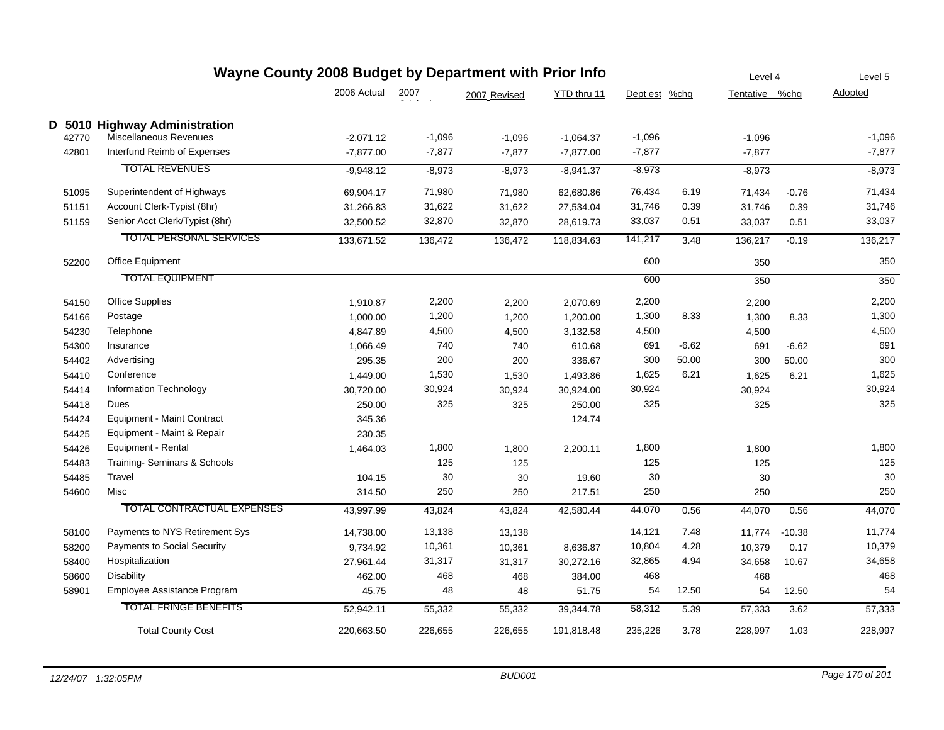|       |                                    | Wayne County 2008 Budget by Department with Prior Info |          |              | Level 4     |               |         |                | Level 5  |          |
|-------|------------------------------------|--------------------------------------------------------|----------|--------------|-------------|---------------|---------|----------------|----------|----------|
|       |                                    | 2006 Actual                                            | 2007     | 2007 Revised | YTD thru 11 | Dept est %chg |         | Tentative %chg |          | Adopted  |
|       | D 5010 Highway Administration      |                                                        |          |              |             |               |         |                |          |          |
| 42770 | Miscellaneous Revenues             | $-2,071.12$                                            | $-1,096$ | $-1,096$     | $-1,064.37$ | $-1,096$      |         | $-1,096$       |          | $-1,096$ |
| 42801 | Interfund Reimb of Expenses        | $-7,877.00$                                            | $-7,877$ | $-7,877$     | $-7,877.00$ | $-7,877$      |         | $-7,877$       |          | $-7,877$ |
|       | <b>TOTAL REVENUES</b>              | $-9,948.12$                                            | $-8,973$ | $-8,973$     | $-8,941.37$ | $-8,973$      |         | $-8,973$       |          | $-8,973$ |
| 51095 | Superintendent of Highways         | 69,904.17                                              | 71,980   | 71,980       | 62,680.86   | 76,434        | 6.19    | 71,434         | $-0.76$  | 71,434   |
| 51151 | Account Clerk-Typist (8hr)         | 31,266.83                                              | 31,622   | 31,622       | 27,534.04   | 31,746        | 0.39    | 31,746         | 0.39     | 31,746   |
| 51159 | Senior Acct Clerk/Typist (8hr)     | 32,500.52                                              | 32,870   | 32,870       | 28,619.73   | 33,037        | 0.51    | 33,037         | 0.51     | 33,037   |
|       | <b>TOTAL PERSONAL SERVICES</b>     | 133,671.52                                             | 136,472  | 136,472      | 118,834.63  | 141,217       | 3.48    | 136,217        | $-0.19$  | 136,217  |
| 52200 | Office Equipment                   |                                                        |          |              |             | 600           |         | 350            |          | 350      |
|       | <b>TOTAL EQUIPMENT</b>             |                                                        |          |              |             | 600           |         | 350            |          | 350      |
| 54150 | <b>Office Supplies</b>             | 1,910.87                                               | 2,200    | 2,200        | 2,070.69    | 2,200         |         | 2,200          |          | 2,200    |
| 54166 | Postage                            | 1,000.00                                               | 1,200    | 1,200        | 1,200.00    | 1,300         | 8.33    | 1,300          | 8.33     | 1,300    |
| 54230 | Telephone                          | 4,847.89                                               | 4,500    | 4,500        | 3,132.58    | 4,500         |         | 4,500          |          | 4,500    |
| 54300 | Insurance                          | 1,066.49                                               | 740      | 740          | 610.68      | 691           | $-6.62$ | 691            | $-6.62$  | 691      |
| 54402 | Advertising                        | 295.35                                                 | 200      | 200          | 336.67      | 300           | 50.00   | 300            | 50.00    | 300      |
| 54410 | Conference                         | 1,449.00                                               | 1,530    | 1,530        | 1,493.86    | 1,625         | 6.21    | 1,625          | 6.21     | 1,625    |
| 54414 | Information Technology             | 30,720.00                                              | 30,924   | 30,924       | 30,924.00   | 30,924        |         | 30,924         |          | 30,924   |
| 54418 | Dues                               | 250.00                                                 | 325      | 325          | 250.00      | 325           |         | 325            |          | 325      |
| 54424 | <b>Equipment - Maint Contract</b>  | 345.36                                                 |          |              | 124.74      |               |         |                |          |          |
| 54425 | Equipment - Maint & Repair         | 230.35                                                 |          |              |             |               |         |                |          |          |
| 54426 | Equipment - Rental                 | 1,464.03                                               | 1,800    | 1,800        | 2,200.11    | 1,800         |         | 1,800          |          | 1,800    |
| 54483 | Training-Seminars & Schools        |                                                        | 125      | 125          |             | 125           |         | 125            |          | 125      |
| 54485 | Travel                             | 104.15                                                 | 30       | 30           | 19.60       | 30            |         | 30             |          | 30       |
| 54600 | Misc                               | 314.50                                                 | 250      | 250          | 217.51      | 250           |         | 250            |          | 250      |
|       | TOTAL CONTRACTUAL EXPENSES         | 43,997.99                                              | 43,824   | 43,824       | 42,580.44   | 44,070        | 0.56    | 44,070         | 0.56     | 44,070   |
| 58100 | Payments to NYS Retirement Sys     | 14,738.00                                              | 13,138   | 13,138       |             | 14,121        | 7.48    | 11,774         | $-10.38$ | 11,774   |
| 58200 | <b>Payments to Social Security</b> | 9,734.92                                               | 10,361   | 10,361       | 8,636.87    | 10,804        | 4.28    | 10,379         | 0.17     | 10,379   |
| 58400 | Hospitalization                    | 27,961.44                                              | 31,317   | 31,317       | 30,272.16   | 32,865        | 4.94    | 34,658         | 10.67    | 34,658   |
| 58600 | <b>Disability</b>                  | 462.00                                                 | 468      | 468          | 384.00      | 468           |         | 468            |          | 468      |
| 58901 | Employee Assistance Program        | 45.75                                                  | 48       | 48           | 51.75       | 54            | 12.50   | 54             | 12.50    | 54       |
|       | <b>TOTAL FRINGE BENEFITS</b>       | 52,942.11                                              | 55,332   | 55,332       | 39,344.78   | 58,312        | 5.39    | 57,333         | 3.62     | 57,333   |
|       | <b>Total County Cost</b>           | 220,663.50                                             | 226,655  | 226,655      | 191,818.48  | 235,226       | 3.78    | 228,997        | 1.03     | 228,997  |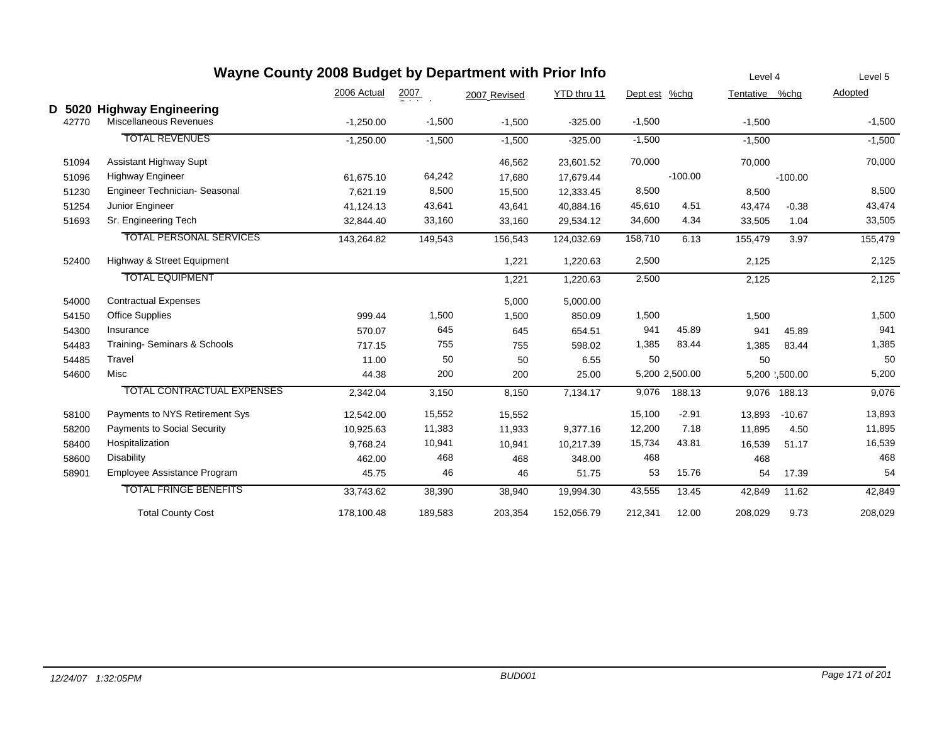|   |       |                                                    | Wayne County 2008 Budget by Department with Prior Info |                  |              |             |               |                | Level 4        |               | Level 5  |
|---|-------|----------------------------------------------------|--------------------------------------------------------|------------------|--------------|-------------|---------------|----------------|----------------|---------------|----------|
|   |       |                                                    | 2006 Actual                                            | $\frac{2007}{2}$ | 2007 Revised | YTD thru 11 | Dept est %chg |                | Tentative %chg |               | Adopted  |
| D | 42770 | 5020 Highway Engineering<br>Miscellaneous Revenues | $-1,250.00$                                            | $-1,500$         | $-1,500$     | $-325.00$   | $-1,500$      |                | $-1,500$       |               | $-1,500$ |
|   |       | <b>TOTAL REVENUES</b>                              | $-1,250.00$                                            | $-1,500$         | $-1,500$     | $-325.00$   | $-1,500$      |                | $-1,500$       |               | $-1,500$ |
|   | 51094 | Assistant Highway Supt                             |                                                        |                  | 46,562       | 23,601.52   | 70,000        |                | 70,000         |               | 70,000   |
|   | 51096 | <b>Highway Engineer</b>                            | 61,675.10                                              | 64,242           | 17,680       | 17.679.44   |               | $-100.00$      |                | $-100.00$     |          |
|   | 51230 | Engineer Technician- Seasonal                      | 7.621.19                                               | 8,500            | 15,500       | 12,333.45   | 8,500         |                | 8,500          |               | 8,500    |
|   | 51254 | Junior Engineer                                    | 41,124.13                                              | 43,641           | 43,641       | 40,884.16   | 45,610        | 4.51           | 43,474         | $-0.38$       | 43,474   |
|   | 51693 | Sr. Engineering Tech                               | 32,844.40                                              | 33,160           | 33,160       | 29,534.12   | 34,600        | 4.34           | 33,505         | 1.04          | 33,505   |
|   |       | <b>TOTAL PERSONAL SERVICES</b>                     | 143,264.82                                             | 149,543          | 156,543      | 124,032.69  | 158,710       | 6.13           | 155,479        | 3.97          | 155,479  |
|   | 52400 | Highway & Street Equipment                         |                                                        |                  | 1,221        | 1,220.63    | 2,500         |                | 2,125          |               | 2,125    |
|   |       | <b>TOTAL EQUIPMENT</b>                             |                                                        |                  | 1,221        | 1,220.63    | 2,500         |                | 2,125          |               | 2,125    |
|   | 54000 | <b>Contractual Expenses</b>                        |                                                        |                  | 5,000        | 5,000.00    |               |                |                |               |          |
|   | 54150 | <b>Office Supplies</b>                             | 999.44                                                 | 1,500            | 1,500        | 850.09      | 1,500         |                | 1,500          |               | 1,500    |
|   | 54300 | Insurance                                          | 570.07                                                 | 645              | 645          | 654.51      | 941           | 45.89          | 941            | 45.89         | 941      |
|   | 54483 | Training- Seminars & Schools                       | 717.15                                                 | 755              | 755          | 598.02      | 1,385         | 83.44          | 1,385          | 83.44         | 1,385    |
|   | 54485 | Travel                                             | 11.00                                                  | 50               | 50           | 6.55        | 50            |                | 50             |               | 50       |
|   | 54600 | Misc                                               | 44.38                                                  | 200              | 200          | 25.00       |               | 5,200 2,500.00 |                | 5,200 .500.00 | 5,200    |
|   |       | <b>TOTAL CONTRACTUAL EXPENSES</b>                  | 2,342.04                                               | 3,150            | 8,150        | 7,134.17    | 9,076         | 188.13         |                | 9,076 188.13  | 9,076    |
|   | 58100 | Payments to NYS Retirement Sys                     | 12,542.00                                              | 15,552           | 15,552       |             | 15,100        | $-2.91$        | 13,893         | $-10.67$      | 13,893   |
|   | 58200 | <b>Payments to Social Security</b>                 | 10,925.63                                              | 11,383           | 11,933       | 9,377.16    | 12,200        | 7.18           | 11,895         | 4.50          | 11,895   |
|   | 58400 | Hospitalization                                    | 9,768.24                                               | 10,941           | 10,941       | 10,217.39   | 15,734        | 43.81          | 16,539         | 51.17         | 16,539   |
|   | 58600 | <b>Disability</b>                                  | 462.00                                                 | 468              | 468          | 348.00      | 468           |                | 468            |               | 468      |
|   | 58901 | Employee Assistance Program                        | 45.75                                                  | 46               | 46           | 51.75       | 53            | 15.76          | 54             | 17.39         | 54       |
|   |       | <b>TOTAL FRINGE BENEFITS</b>                       | 33,743.62                                              | 38,390           | 38,940       | 19,994.30   | 43,555        | 13.45          | 42,849         | 11.62         | 42,849   |
|   |       | <b>Total County Cost</b>                           | 178,100.48                                             | 189,583          | 203,354      | 152,056.79  | 212,341       | 12.00          | 208,029        | 9.73          | 208,029  |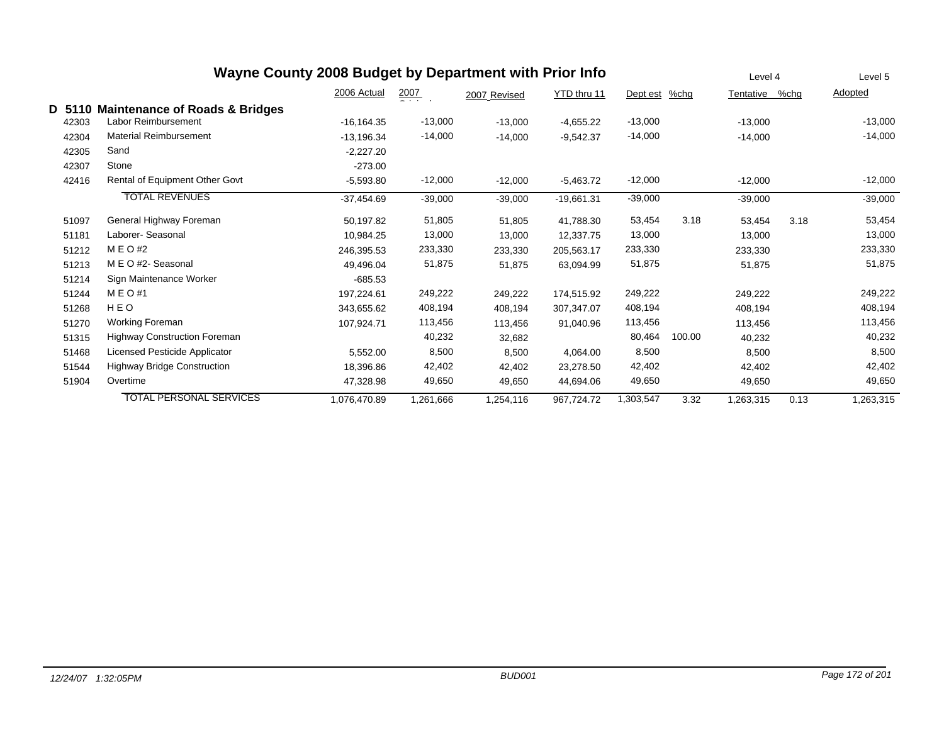|       | Wayne County 2008 Budget by Department with Prior Info |               |                  |              |              |           |         | Level 4   |      | Level 5   |
|-------|--------------------------------------------------------|---------------|------------------|--------------|--------------|-----------|---------|-----------|------|-----------|
|       |                                                        | 2006 Actual   | $\frac{2007}{2}$ | 2007 Revised | YTD thru 11  | Dept est  | $%$ chg | Tentative | %chg | Adopted   |
| D 511 | <b>Maintenance of Roads &amp; Bridges</b>              |               |                  |              |              |           |         |           |      |           |
| 42303 | Labor Reimbursement                                    | $-16, 164.35$ | $-13,000$        | $-13,000$    | $-4,655.22$  | $-13,000$ |         | $-13,000$ |      | $-13,000$ |
| 42304 | <b>Material Reimbursement</b>                          | $-13,196.34$  | $-14,000$        | $-14,000$    | $-9,542.37$  | $-14,000$ |         | $-14,000$ |      | $-14,000$ |
| 42305 | Sand                                                   | $-2,227.20$   |                  |              |              |           |         |           |      |           |
| 42307 | Stone                                                  | $-273.00$     |                  |              |              |           |         |           |      |           |
| 42416 | Rental of Equipment Other Govt                         | $-5,593.80$   | $-12,000$        | $-12,000$    | $-5,463.72$  | $-12,000$ |         | $-12,000$ |      | $-12,000$ |
|       | <b>TOTAL REVENUES</b>                                  | $-37,454.69$  | $-39,000$        | $-39,000$    | $-19,661.31$ | $-39,000$ |         | $-39,000$ |      | $-39,000$ |
| 51097 | General Highway Foreman                                | 50,197.82     | 51,805           | 51,805       | 41,788.30    | 53,454    | 3.18    | 53,454    | 3.18 | 53,454    |
| 51181 | Laborer- Seasonal                                      | 10,984.25     | 13,000           | 13,000       | 12,337.75    | 13,000    |         | 13,000    |      | 13,000    |
| 51212 | M E O #2                                               | 246,395.53    | 233,330          | 233,330      | 205,563.17   | 233,330   |         | 233,330   |      | 233,330   |
| 51213 | M E O #2- Seasonal                                     | 49,496.04     | 51,875           | 51,875       | 63,094.99    | 51,875    |         | 51,875    |      | 51,875    |
| 51214 | Sign Maintenance Worker                                | $-685.53$     |                  |              |              |           |         |           |      |           |
| 51244 | M E O #1                                               | 197,224.61    | 249,222          | 249,222      | 174,515.92   | 249,222   |         | 249,222   |      | 249,222   |
| 51268 | HEO                                                    | 343,655.62    | 408,194          | 408,194      | 307,347.07   | 408,194   |         | 408,194   |      | 408,194   |
| 51270 | Working Foreman                                        | 107.924.71    | 113,456          | 113,456      | 91.040.96    | 113,456   |         | 113,456   |      | 113,456   |
| 51315 | <b>Highway Construction Foreman</b>                    |               | 40,232           | 32,682       |              | 80,464    | 100.00  | 40,232    |      | 40,232    |
| 51468 | Licensed Pesticide Applicator                          | 5,552.00      | 8,500            | 8,500        | 4,064.00     | 8,500     |         | 8,500     |      | 8,500     |
| 51544 | <b>Highway Bridge Construction</b>                     | 18,396.86     | 42,402           | 42,402       | 23,278.50    | 42,402    |         | 42,402    |      | 42,402    |
| 51904 | Overtime                                               | 47,328.98     | 49,650           | 49,650       | 44,694.06    | 49,650    |         | 49,650    |      | 49,650    |
|       | <b>TOTAL PERSONAL SERVICES</b>                         | 1,076,470.89  | 1,261,666        | 1,254,116    | 967,724.72   | 1,303,547 | 3.32    | 1,263,315 | 0.13 | 1,263,315 |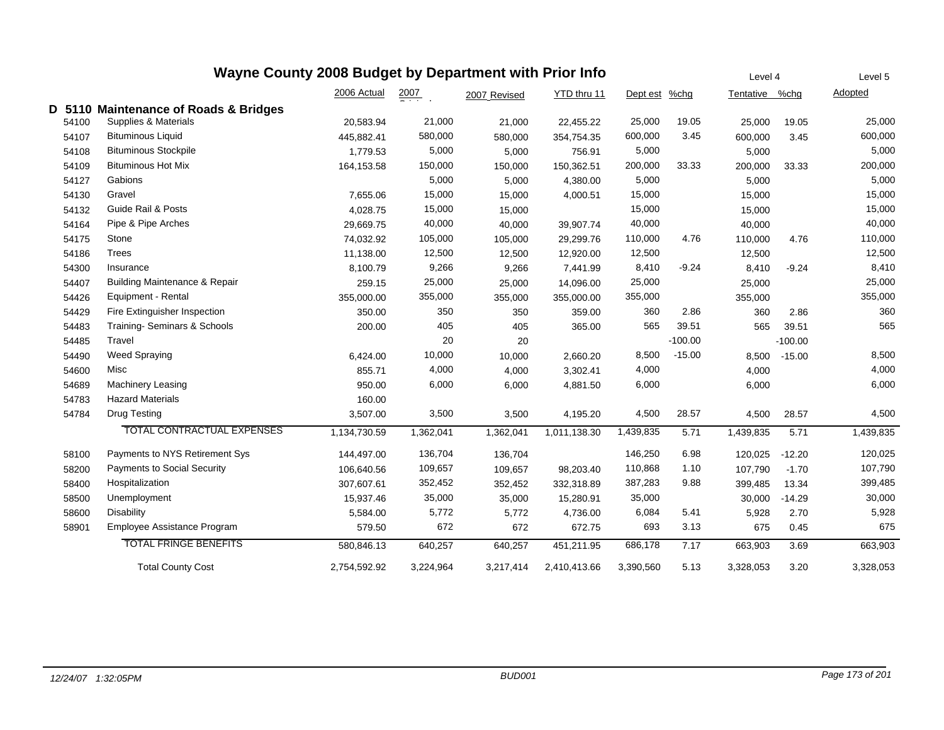|        | Wayne County 2008 Budget by Department with Prior Info | Level 4      |           | Level 5      |              |           |           |           |           |           |
|--------|--------------------------------------------------------|--------------|-----------|--------------|--------------|-----------|-----------|-----------|-----------|-----------|
|        |                                                        | 2006 Actual  | 2007      | 2007 Revised | YTD thru 11  | Dept est  | $%$ chg   | Tentative | %chg      | Adopted   |
| D 5110 | <b>Maintenance of Roads &amp; Bridges</b>              |              |           |              |              |           |           |           |           |           |
| 54100  | Supplies & Materials                                   | 20,583.94    | 21,000    | 21,000       | 22,455.22    | 25,000    | 19.05     | 25,000    | 19.05     | 25,000    |
| 54107  | <b>Bituminous Liquid</b>                               | 445,882.41   | 580,000   | 580,000      | 354,754.35   | 600,000   | 3.45      | 600,000   | 3.45      | 600,000   |
| 54108  | <b>Bituminous Stockpile</b>                            | 1,779.53     | 5,000     | 5,000        | 756.91       | 5,000     |           | 5,000     |           | 5,000     |
| 54109  | <b>Bituminous Hot Mix</b>                              | 164,153.58   | 150,000   | 150,000      | 150,362.51   | 200,000   | 33.33     | 200,000   | 33.33     | 200,000   |
| 54127  | Gabions                                                |              | 5,000     | 5,000        | 4,380.00     | 5,000     |           | 5,000     |           | 5,000     |
| 54130  | Gravel                                                 | 7,655.06     | 15,000    | 15,000       | 4,000.51     | 15,000    |           | 15,000    |           | 15,000    |
| 54132  | <b>Guide Rail &amp; Posts</b>                          | 4,028.75     | 15,000    | 15,000       |              | 15,000    |           | 15,000    |           | 15,000    |
| 54164  | Pipe & Pipe Arches                                     | 29,669.75    | 40,000    | 40,000       | 39,907.74    | 40,000    |           | 40,000    |           | 40,000    |
| 54175  | Stone                                                  | 74,032.92    | 105,000   | 105,000      | 29,299.76    | 110,000   | 4.76      | 110,000   | 4.76      | 110,000   |
| 54186  | <b>Trees</b>                                           | 11,138.00    | 12,500    | 12,500       | 12,920.00    | 12,500    |           | 12,500    |           | 12,500    |
| 54300  | Insurance                                              | 8,100.79     | 9,266     | 9,266        | 7,441.99     | 8,410     | $-9.24$   | 8,410     | $-9.24$   | 8,410     |
| 54407  | <b>Building Maintenance &amp; Repair</b>               | 259.15       | 25,000    | 25,000       | 14,096.00    | 25,000    |           | 25,000    |           | 25,000    |
| 54426  | Equipment - Rental                                     | 355,000.00   | 355,000   | 355,000      | 355,000.00   | 355,000   |           | 355,000   |           | 355,000   |
| 54429  | Fire Extinguisher Inspection                           | 350.00       | 350       | 350          | 359.00       | 360       | 2.86      | 360       | 2.86      | 360       |
| 54483  | Training- Seminars & Schools                           | 200.00       | 405       | 405          | 365.00       | 565       | 39.51     | 565       | 39.51     | 565       |
| 54485  | Travel                                                 |              | 20        | 20           |              |           | $-100.00$ |           | $-100.00$ |           |
| 54490  | Weed Spraying                                          | 6,424.00     | 10,000    | 10,000       | 2,660.20     | 8,500     | $-15.00$  | 8,500     | $-15.00$  | 8,500     |
| 54600  | Misc                                                   | 855.71       | 4,000     | 4,000        | 3,302.41     | 4,000     |           | 4,000     |           | 4,000     |
| 54689  | <b>Machinery Leasing</b>                               | 950.00       | 6,000     | 6,000        | 4,881.50     | 6,000     |           | 6,000     |           | 6,000     |
| 54783  | <b>Hazard Materials</b>                                | 160.00       |           |              |              |           |           |           |           |           |
| 54784  | <b>Drug Testing</b>                                    | 3,507.00     | 3,500     | 3,500        | 4,195.20     | 4,500     | 28.57     | 4,500     | 28.57     | 4,500     |
|        | <b>TOTAL CONTRACTUAL EXPENSES</b>                      | 1,134,730.59 | 1,362,041 | 1,362,041    | 1,011,138.30 | 1,439,835 | 5.71      | 1,439,835 | 5.71      | 1,439,835 |
| 58100  | Payments to NYS Retirement Sys                         | 144,497.00   | 136,704   | 136,704      |              | 146,250   | 6.98      | 120,025   | $-12.20$  | 120,025   |
| 58200  | Payments to Social Security                            | 106,640.56   | 109,657   | 109,657      | 98,203.40    | 110,868   | 1.10      | 107,790   | $-1.70$   | 107,790   |
| 58400  | Hospitalization                                        | 307,607.61   | 352,452   | 352,452      | 332,318.89   | 387,283   | 9.88      | 399,485   | 13.34     | 399,485   |
| 58500  | Unemployment                                           | 15,937.46    | 35,000    | 35,000       | 15,280.91    | 35,000    |           | 30,000    | $-14.29$  | 30,000    |
| 58600  | <b>Disability</b>                                      | 5,584.00     | 5,772     | 5,772        | 4,736.00     | 6,084     | 5.41      | 5,928     | 2.70      | 5,928     |
| 58901  | Employee Assistance Program                            | 579.50       | 672       | 672          | 672.75       | 693       | 3.13      | 675       | 0.45      | 675       |
|        | <b>TOTAL FRINGE BENEFITS</b>                           | 580.846.13   | 640,257   | 640,257      | 451,211.95   | 686,178   | 7.17      | 663,903   | 3.69      | 663,903   |
|        | <b>Total County Cost</b>                               | 2,754,592.92 | 3,224,964 | 3,217,414    | 2,410,413.66 | 3,390,560 | 5.13      | 3,328,053 | 3.20      | 3,328,053 |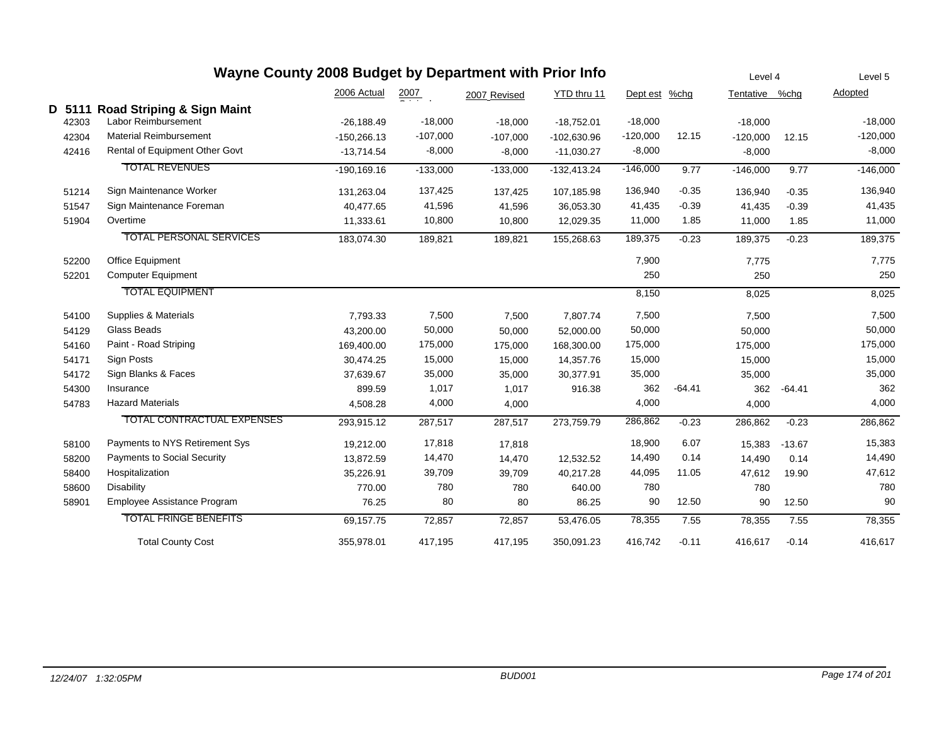|        |                                |                |            | Wayne County 2008 Budget by Department with Prior Info |               |               |          |                | Level 4  |            |  |
|--------|--------------------------------|----------------|------------|--------------------------------------------------------|---------------|---------------|----------|----------------|----------|------------|--|
|        |                                | 2006 Actual    | 2007       | 2007 Revised                                           | YTD thru 11   | Dept est %chg |          | Tentative %chg |          | Adopted    |  |
| D 5111 | Road Striping & Sign Maint     |                |            |                                                        |               |               |          |                |          |            |  |
| 42303  | Labor Reimbursement            | $-26,188.49$   | $-18,000$  | $-18,000$                                              | $-18,752.01$  | $-18,000$     |          | $-18,000$      |          | $-18,000$  |  |
| 42304  | <b>Material Reimbursement</b>  | $-150,266.13$  | $-107,000$ | $-107,000$                                             | $-102,630.96$ | $-120,000$    | 12.15    | $-120,000$     | 12.15    | $-120,000$ |  |
| 42416  | Rental of Equipment Other Govt | $-13,714.54$   | $-8,000$   | $-8,000$                                               | $-11,030.27$  | $-8,000$      |          | $-8,000$       |          | $-8,000$   |  |
|        | <b>TOTAL REVENUES</b>          | $-190, 169.16$ | $-133,000$ | $-133,000$                                             | $-132,413.24$ | $-146,000$    | 9.77     | $-146,000$     | 9.77     | $-146,000$ |  |
| 51214  | Sign Maintenance Worker        | 131,263.04     | 137,425    | 137,425                                                | 107,185.98    | 136,940       | $-0.35$  | 136,940        | $-0.35$  | 136,940    |  |
| 51547  | Sign Maintenance Foreman       | 40,477.65      | 41,596     | 41,596                                                 | 36,053.30     | 41,435        | $-0.39$  | 41,435         | $-0.39$  | 41,435     |  |
| 51904  | Overtime                       | 11,333.61      | 10,800     | 10,800                                                 | 12,029.35     | 11,000        | 1.85     | 11,000         | 1.85     | 11,000     |  |
|        | <b>TOTAL PERSONAL SERVICES</b> | 183,074.30     | 189,821    | 189,821                                                | 155,268.63    | 189,375       | $-0.23$  | 189,375        | $-0.23$  | 189,375    |  |
| 52200  | <b>Office Equipment</b>        |                |            |                                                        |               | 7,900         |          | 7,775          |          | 7,775      |  |
| 52201  | <b>Computer Equipment</b>      |                |            |                                                        |               | 250           |          | 250            |          | 250        |  |
|        | <b>TOTAL EQUIPMENT</b>         |                |            |                                                        |               | 8,150         |          | 8,025          |          | 8,025      |  |
| 54100  | Supplies & Materials           | 7,793.33       | 7,500      | 7,500                                                  | 7,807.74      | 7,500         |          | 7,500          |          | 7,500      |  |
| 54129  | Glass Beads                    | 43,200.00      | 50,000     | 50,000                                                 | 52,000.00     | 50,000        |          | 50,000         |          | 50,000     |  |
| 54160  | Paint - Road Striping          | 169,400.00     | 175,000    | 175,000                                                | 168,300.00    | 175,000       |          | 175,000        |          | 175,000    |  |
| 54171  | Sign Posts                     | 30,474.25      | 15,000     | 15,000                                                 | 14,357.76     | 15,000        |          | 15,000         |          | 15,000     |  |
| 54172  | Sign Blanks & Faces            | 37,639.67      | 35,000     | 35,000                                                 | 30,377.91     | 35,000        |          | 35,000         |          | 35,000     |  |
| 54300  | Insurance                      | 899.59         | 1,017      | 1,017                                                  | 916.38        | 362           | $-64.41$ | 362            | $-64.41$ | 362        |  |
| 54783  | <b>Hazard Materials</b>        | 4,508.28       | 4,000      | 4,000                                                  |               | 4,000         |          | 4,000          |          | 4,000      |  |
|        | TOTAL CONTRACTUAL EXPENSES     | 293,915.12     | 287,517    | 287,517                                                | 273.759.79    | 286,862       | $-0.23$  | 286,862        | $-0.23$  | 286,862    |  |
| 58100  | Payments to NYS Retirement Sys | 19,212.00      | 17,818     | 17,818                                                 |               | 18,900        | 6.07     | 15,383         | $-13.67$ | 15,383     |  |
| 58200  | Payments to Social Security    | 13,872.59      | 14,470     | 14,470                                                 | 12,532.52     | 14,490        | 0.14     | 14,490         | 0.14     | 14,490     |  |
| 58400  | Hospitalization                | 35,226.91      | 39,709     | 39,709                                                 | 40,217.28     | 44,095        | 11.05    | 47,612         | 19.90    | 47,612     |  |
| 58600  | <b>Disability</b>              | 770.00         | 780        | 780                                                    | 640.00        | 780           |          | 780            |          | 780        |  |
| 58901  | Employee Assistance Program    | 76.25          | 80         | 80                                                     | 86.25         | 90            | 12.50    | 90             | 12.50    | 90         |  |
|        | <b>TOTAL FRINGE BENEFITS</b>   | 69,157.75      | 72,857     | 72,857                                                 | 53,476.05     | 78,355        | 7.55     | 78,355         | 7.55     | 78,355     |  |
|        | <b>Total County Cost</b>       | 355,978.01     | 417,195    | 417,195                                                | 350,091.23    | 416,742       | $-0.11$  | 416,617        | $-0.14$  | 416,617    |  |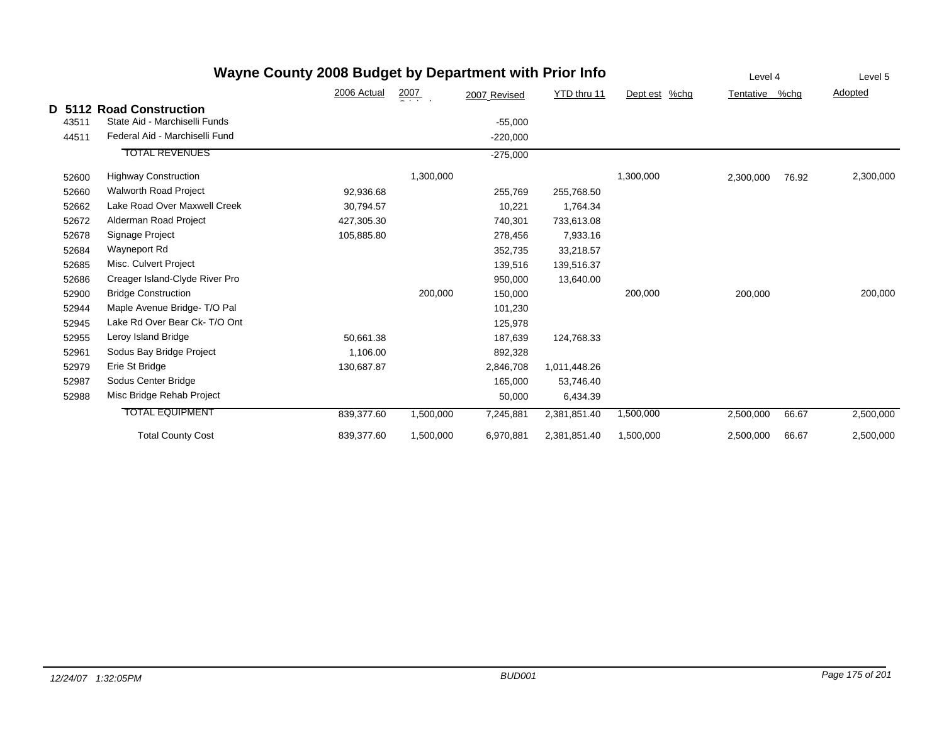|       |                                                           | Wayne County 2008 Budget by Department with Prior Info |                  |              |              |                  | Level 4   |       | Level 5   |
|-------|-----------------------------------------------------------|--------------------------------------------------------|------------------|--------------|--------------|------------------|-----------|-------|-----------|
|       |                                                           | 2006 Actual                                            | $\frac{2007}{2}$ | 2007 Revised | YTD thru 11  | Dept est<br>%chg | Tentative | %chg  | Adopted   |
| 43511 | D 5112 Road Construction<br>State Aid - Marchiselli Funds |                                                        |                  | $-55,000$    |              |                  |           |       |           |
| 44511 | Federal Aid - Marchiselli Fund                            |                                                        |                  | $-220,000$   |              |                  |           |       |           |
|       | <b>TOTAL REVENUES</b>                                     |                                                        |                  | $-275,000$   |              |                  |           |       |           |
| 52600 | <b>Highway Construction</b>                               |                                                        | 1,300,000        |              |              | 1,300,000        | 2,300,000 | 76.92 | 2,300,000 |
| 52660 | <b>Walworth Road Project</b>                              | 92,936.68                                              |                  | 255,769      | 255,768.50   |                  |           |       |           |
| 52662 | Lake Road Over Maxwell Creek                              | 30.794.57                                              |                  | 10,221       | 1,764.34     |                  |           |       |           |
| 52672 | Alderman Road Project                                     | 427,305.30                                             |                  | 740,301      | 733,613.08   |                  |           |       |           |
| 52678 | Signage Project                                           | 105,885.80                                             |                  | 278,456      | 7,933.16     |                  |           |       |           |
| 52684 | Wayneport Rd                                              |                                                        |                  | 352,735      | 33,218.57    |                  |           |       |           |
| 52685 | Misc. Culvert Project                                     |                                                        |                  | 139,516      | 139,516.37   |                  |           |       |           |
| 52686 | Creager Island-Clyde River Pro                            |                                                        |                  | 950,000      | 13,640.00    |                  |           |       |           |
| 52900 | <b>Bridge Construction</b>                                |                                                        | 200,000          | 150,000      |              | 200,000          | 200,000   |       | 200,000   |
| 52944 | Maple Avenue Bridge- T/O Pal                              |                                                        |                  | 101,230      |              |                  |           |       |           |
| 52945 | Lake Rd Over Bear Ck-T/O Ont                              |                                                        |                  | 125,978      |              |                  |           |       |           |
| 52955 | Leroy Island Bridge                                       | 50,661.38                                              |                  | 187,639      | 124,768.33   |                  |           |       |           |
| 52961 | Sodus Bay Bridge Project                                  | 1,106.00                                               |                  | 892,328      |              |                  |           |       |           |
| 52979 | Erie St Bridge                                            | 130,687.87                                             |                  | 2,846,708    | 1,011,448.26 |                  |           |       |           |
| 52987 | Sodus Center Bridge                                       |                                                        |                  | 165,000      | 53,746.40    |                  |           |       |           |
| 52988 | Misc Bridge Rehab Project                                 |                                                        |                  | 50,000       | 6,434.39     |                  |           |       |           |
|       | <b>TOTAL EQUIPMENT</b>                                    | 839,377.60                                             | 1,500,000        | 7,245,881    | 2,381,851.40 | 1,500,000        | 2,500,000 | 66.67 | 2,500,000 |
|       | <b>Total County Cost</b>                                  | 839,377.60                                             | 1,500,000        | 6,970,881    | 2,381,851.40 | 1,500,000        | 2,500,000 | 66.67 | 2,500,000 |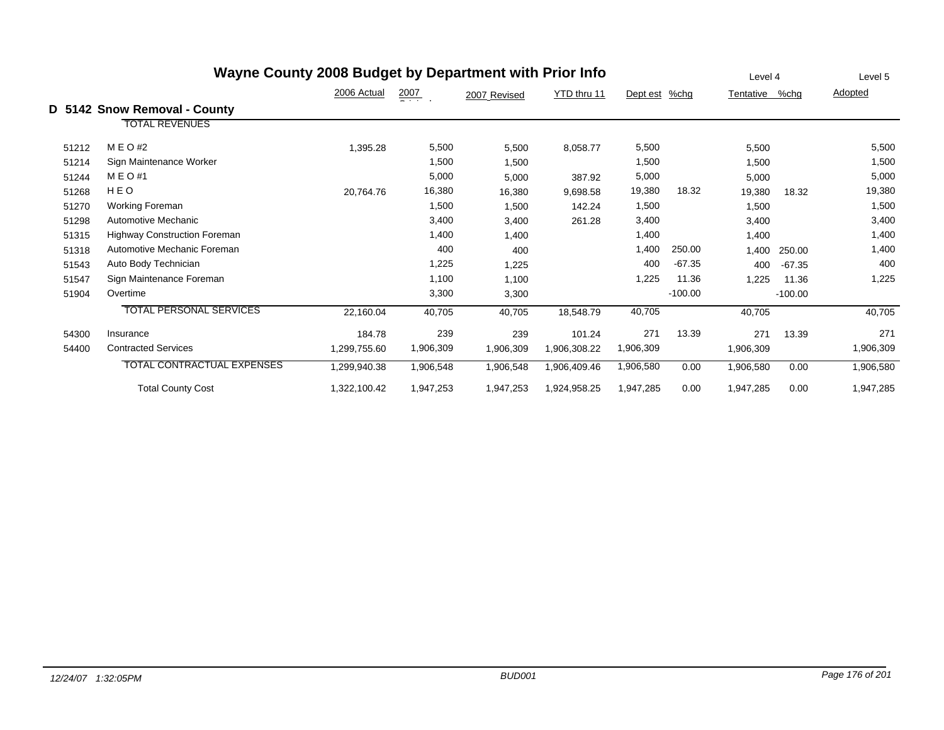| Wayne County 2008 Budget by Department with Prior Info |                                     |              |                  |              |              |               |           | Level 4   |           | Level 5   |
|--------------------------------------------------------|-------------------------------------|--------------|------------------|--------------|--------------|---------------|-----------|-----------|-----------|-----------|
|                                                        |                                     | 2006 Actual  | $\frac{2007}{2}$ | 2007 Revised | YTD thru 11  | Dept est %chg |           | Tentative | %chg      | Adopted   |
|                                                        | D 5142 Snow Removal - County        |              |                  |              |              |               |           |           |           |           |
|                                                        | <b>TOTAL REVENUES</b>               |              |                  |              |              |               |           |           |           |           |
| 51212                                                  | MEO#2                               | 1,395.28     | 5,500            | 5,500        | 8,058.77     | 5,500         |           | 5,500     |           | 5,500     |
| 51214                                                  | Sign Maintenance Worker             |              | 1,500            | 1,500        |              | 1,500         |           | 1,500     |           | 1,500     |
| 51244                                                  | M E O #1                            |              | 5,000            | 5,000        | 387.92       | 5,000         |           | 5,000     |           | 5,000     |
| 51268                                                  | HEO                                 | 20,764.76    | 16,380           | 16,380       | 9,698.58     | 19,380        | 18.32     | 19,380    | 18.32     | 19,380    |
| 51270                                                  | Working Foreman                     |              | 1,500            | 1,500        | 142.24       | 1,500         |           | 1,500     |           | 1,500     |
| 51298                                                  | Automotive Mechanic                 |              | 3,400            | 3,400        | 261.28       | 3,400         |           | 3,400     |           | 3,400     |
| 51315                                                  | <b>Highway Construction Foreman</b> |              | 1,400            | 1,400        |              | 1,400         |           | 1,400     |           | 1,400     |
| 51318                                                  | Automotive Mechanic Foreman         |              | 400              | 400          |              | 1,400         | 250.00    | 1,400     | 250.00    | 1,400     |
| 51543                                                  | Auto Body Technician                |              | 1,225            | 1,225        |              | 400           | $-67.35$  | 400       | $-67.35$  | 400       |
| 51547                                                  | Sign Maintenance Foreman            |              | 1,100            | 1,100        |              | 1,225         | 11.36     | 1,225     | 11.36     | 1,225     |
| 51904                                                  | Overtime                            |              | 3,300            | 3,300        |              |               | $-100.00$ |           | $-100.00$ |           |
|                                                        | <b>TOTAL PERSONAL SERVICES</b>      | 22,160.04    | 40,705           | 40,705       | 18,548.79    | 40,705        |           | 40,705    |           | 40,705    |
| 54300                                                  | Insurance                           | 184.78       | 239              | 239          | 101.24       | 271           | 13.39     | 271       | 13.39     | 271       |
| 54400                                                  | <b>Contracted Services</b>          | 1,299,755.60 | 1,906,309        | 1,906,309    | 1,906,308.22 | 1,906,309     |           | 1,906,309 |           | 1,906,309 |
|                                                        | <b>TOTAL CONTRACTUAL EXPENSES</b>   | 1,299,940.38 | 1,906,548        | 1,906,548    | 1,906,409.46 | 1,906,580     | 0.00      | 1,906,580 | 0.00      | 1,906,580 |
|                                                        | <b>Total County Cost</b>            | 1,322,100.42 | 1,947,253        | 1,947,253    | 1,924,958.25 | 1,947,285     | 0.00      | 1,947,285 | 0.00      | 1,947,285 |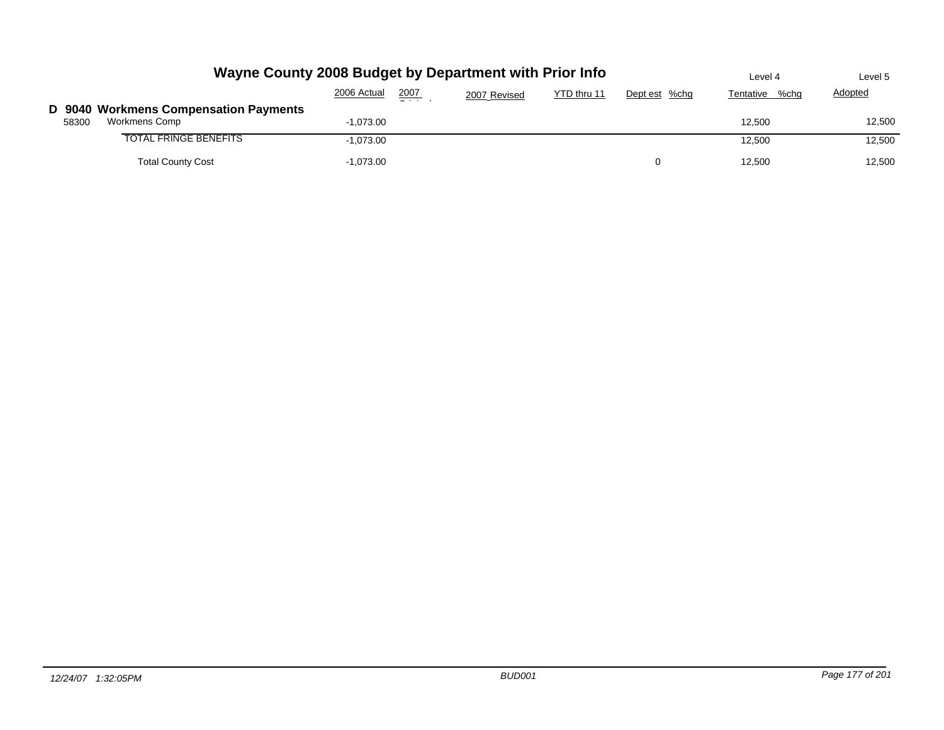|       | Wayne County 2008 Budget by Department with Prior Info | Level 4     | Level 5                                                                                                                                                                                                                                                                                                                                                                                                                                                                            |              |             |               |                   |                |
|-------|--------------------------------------------------------|-------------|------------------------------------------------------------------------------------------------------------------------------------------------------------------------------------------------------------------------------------------------------------------------------------------------------------------------------------------------------------------------------------------------------------------------------------------------------------------------------------|--------------|-------------|---------------|-------------------|----------------|
|       |                                                        | 2006 Actual | 2007<br>$\frac{1}{2} \left( \frac{1}{2} \right) \left( \frac{1}{2} \right) \left( \frac{1}{2} \right) \left( \frac{1}{2} \right) \left( \frac{1}{2} \right) \left( \frac{1}{2} \right) \left( \frac{1}{2} \right) \left( \frac{1}{2} \right) \left( \frac{1}{2} \right) \left( \frac{1}{2} \right) \left( \frac{1}{2} \right) \left( \frac{1}{2} \right) \left( \frac{1}{2} \right) \left( \frac{1}{2} \right) \left( \frac{1}{2} \right) \left( \frac{1}{2} \right) \left( \frac$ | 2007 Revised | YTD thru 11 | Dept est %chg | Tentative<br>%cha | <b>Adopted</b> |
|       | D 9040 Workmens Compensation Payments                  |             |                                                                                                                                                                                                                                                                                                                                                                                                                                                                                    |              |             |               |                   |                |
| 58300 | Workmens Comp                                          | -1,073.00   |                                                                                                                                                                                                                                                                                                                                                                                                                                                                                    |              |             |               | 12.500            | 12,500         |
|       | <b>TOTAL FRINGE BENEFITS</b>                           | $-1.073.00$ |                                                                                                                                                                                                                                                                                                                                                                                                                                                                                    |              |             |               | 12.500            | 12,500         |
|       | <b>Total County Cost</b>                               | $-1,073.00$ |                                                                                                                                                                                                                                                                                                                                                                                                                                                                                    |              |             | n             | 12.500            | 12.500         |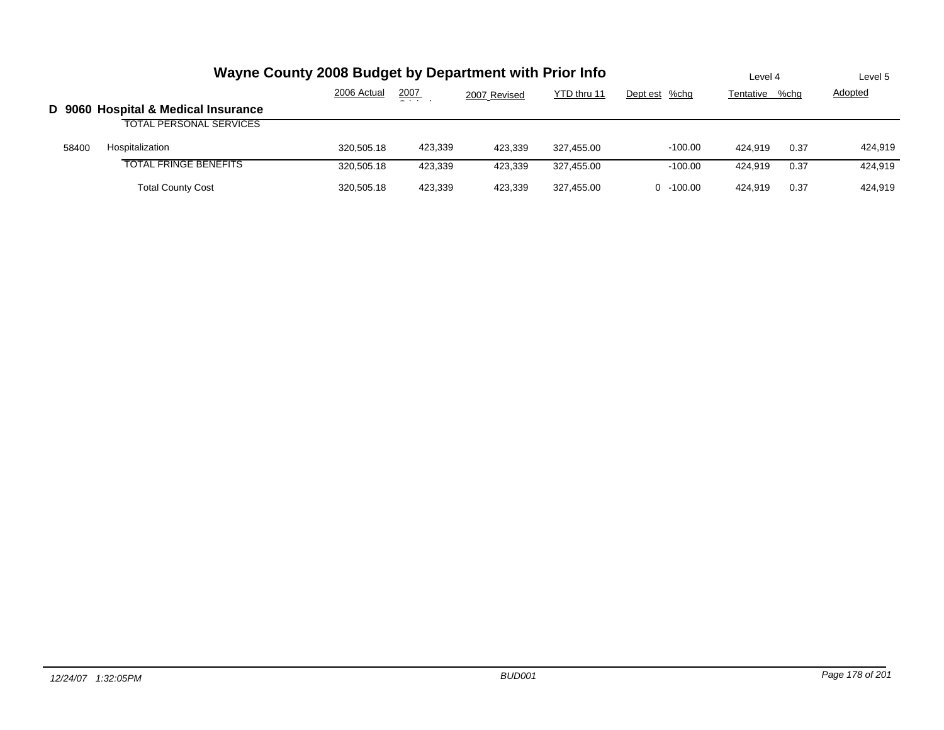|       |                                     | Wayne County 2008 Budget by Department with Prior Info |         |              |             |               | Level 4   |      | Level 5        |
|-------|-------------------------------------|--------------------------------------------------------|---------|--------------|-------------|---------------|-----------|------|----------------|
|       |                                     | 2006 Actual                                            | 2007    | 2007 Revised | YTD thru 11 | Dept est %chg | Tentative | %chg | <b>Adopted</b> |
|       | D 9060 Hospital & Medical Insurance |                                                        |         |              |             |               |           |      |                |
|       | <b>TOTAL PERSONAL SERVICES</b>      |                                                        |         |              |             |               |           |      |                |
| 58400 | Hospitalization                     | 320.505.18                                             | 423,339 | 423.339      | 327.455.00  | $-100.00$     | 424.919   | 0.37 | 424.919        |
|       | <b>TOTAL FRINGE BENEFITS</b>        | 320.505.18                                             | 423.339 | 423.339      | 327.455.00  | $-100.00$     | 424.919   | 0.37 | 424.919        |
|       | <b>Total County Cost</b>            | 320.505.18                                             | 423.339 | 423.339      | 327.455.00  | $0 - 100.00$  | 424.919   | 0.37 | 424.919        |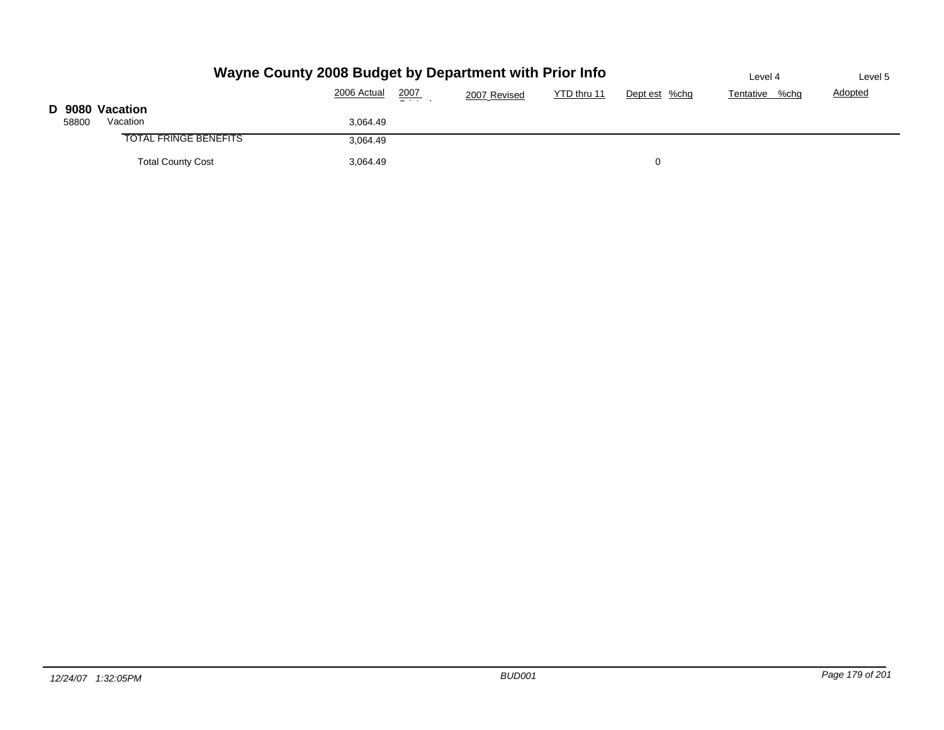|                 |                              | Wayne County 2008 Budget by Department with Prior Info |               |              |             |               | Level 4        | Level 5        |
|-----------------|------------------------------|--------------------------------------------------------|---------------|--------------|-------------|---------------|----------------|----------------|
|                 |                              | 2006 Actual                                            | 2007<br>$  -$ | 2007 Revised | YTD thru 11 | Dept est %chg | Tentative %chg | <b>Adopted</b> |
| D 9080 Vacation |                              |                                                        |               |              |             |               |                |                |
| 58800           | Vacation                     | 3,064.49                                               |               |              |             |               |                |                |
|                 | <b>TOTAL FRINGE BENEFITS</b> | 3,064.49                                               |               |              |             |               |                |                |
|                 | <b>Total County Cost</b>     | 3,064.49                                               |               |              |             |               |                |                |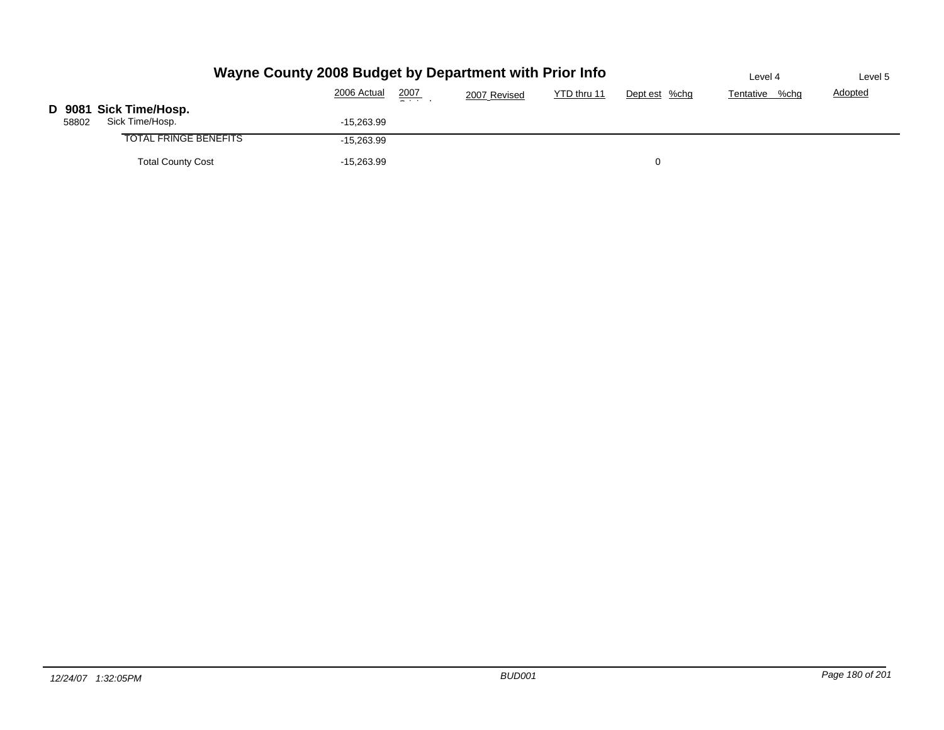|       |                                           | Wayne County 2008 Budget by Department with Prior Info |               |              |             |               | Level 4        | Level 5        |
|-------|-------------------------------------------|--------------------------------------------------------|---------------|--------------|-------------|---------------|----------------|----------------|
|       |                                           | 2006 Actual                                            | 2007<br>$  -$ | 2007 Revised | YTD thru 11 | Dept est %chg | Tentative %chg | <b>Adopted</b> |
| 58802 | D 9081 Sick Time/Hosp.<br>Sick Time/Hosp. | $-15,263.99$                                           |               |              |             |               |                |                |
|       | <b>TOTAL FRINGE BENEFITS</b>              | $-15,263.99$                                           |               |              |             |               |                |                |
|       | <b>Total County Cost</b>                  | $-15,263.99$                                           |               |              |             | 0             |                |                |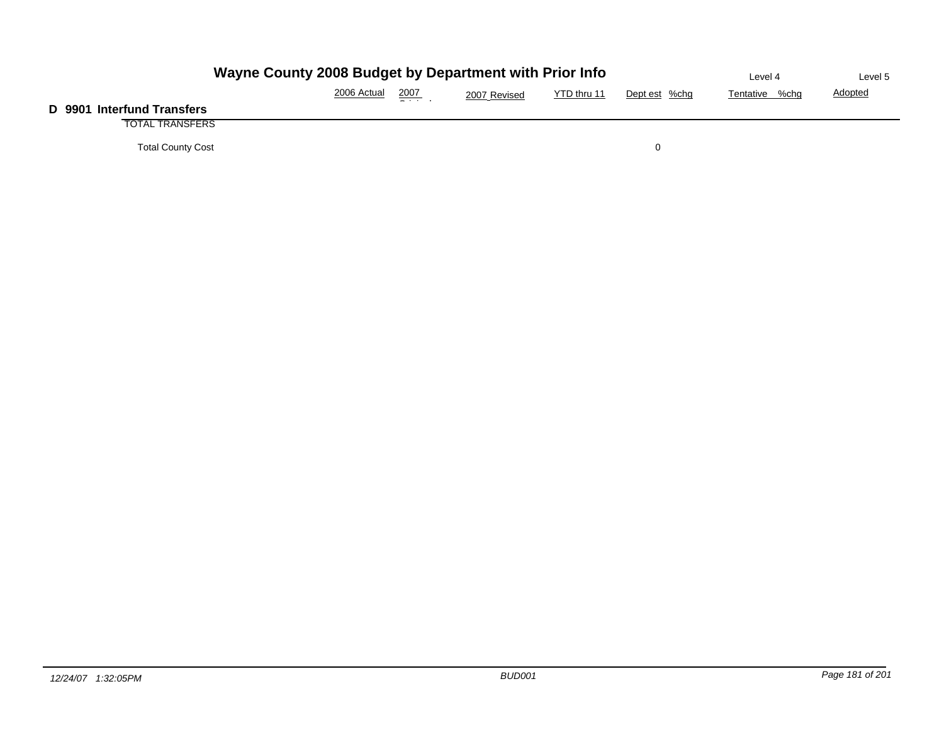| Wayne County 2008 Budget by Department with Prior Info | Level 4     | Level 5         |              |             |               |                |                |
|--------------------------------------------------------|-------------|-----------------|--------------|-------------|---------------|----------------|----------------|
|                                                        | 2006 Actual | 2007<br>_ _ _ _ | 2007 Revised | YTD thru 11 | Dept est %chg | Tentative %chg | <b>Adopted</b> |
| D 9901 Interfund Transfers                             |             |                 |              |             |               |                |                |
| <b>TOTAL TRANSFERS</b>                                 |             |                 |              |             |               |                |                |
| <b>Total County Cost</b>                               |             |                 |              |             |               |                |                |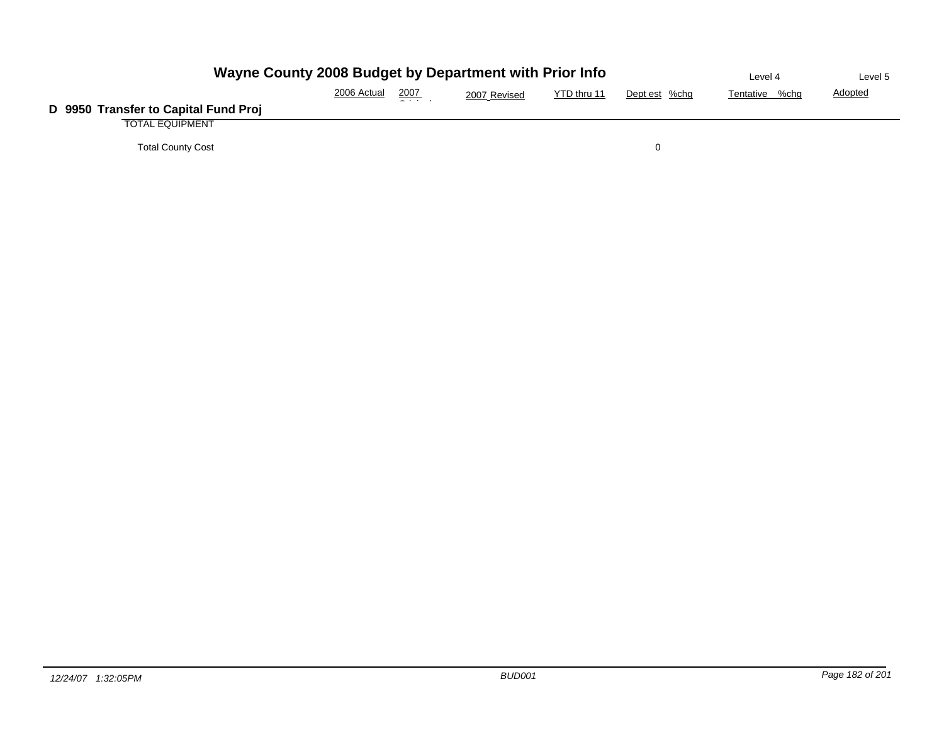| Wayne County 2008 Budget by Department with Prior Info | Level 4     | Level 5 |              |             |               |                |                |
|--------------------------------------------------------|-------------|---------|--------------|-------------|---------------|----------------|----------------|
|                                                        | 2006 Actual | 2007    | 2007 Revised | YTD thru 11 | Dept est %chg | Tentative %chg | <b>Adopted</b> |
| D 9950 Transfer to Capital Fund Proj                   |             |         |              |             |               |                |                |
| <b>TOTAL EQUIPMENT</b>                                 |             |         |              |             |               |                |                |
| <b>Total County Cost</b>                               |             |         |              |             |               |                |                |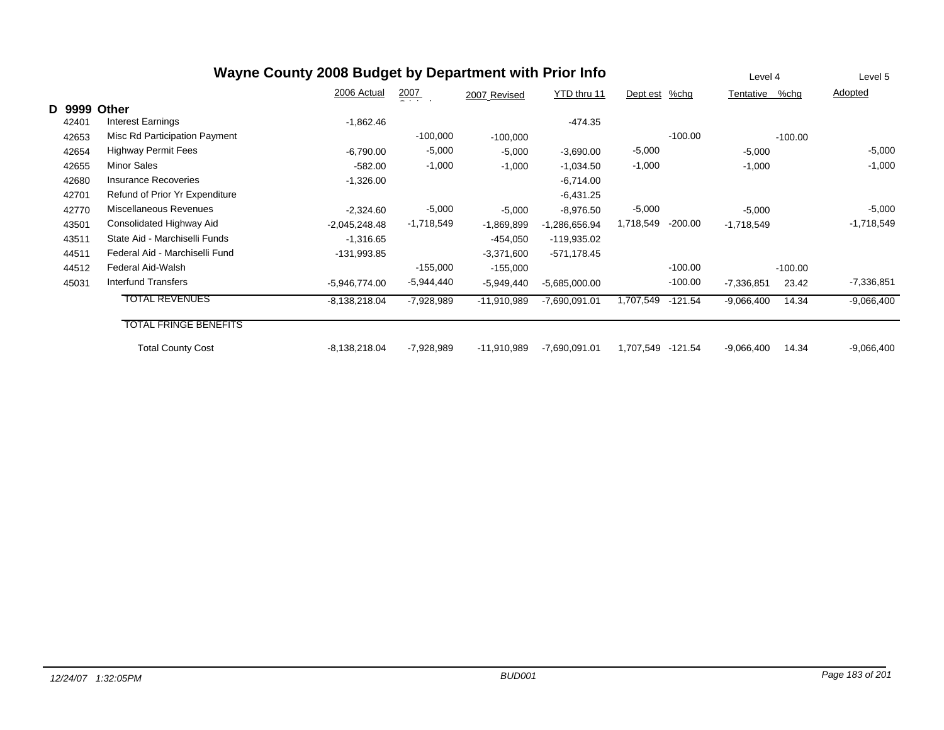|        | Wayne County 2008 Budget by Department with Prior Info |                 |                  |               |                 |           |           |              |           | Level 5      |
|--------|--------------------------------------------------------|-----------------|------------------|---------------|-----------------|-----------|-----------|--------------|-----------|--------------|
|        |                                                        | 2006 Actual     | $\frac{2007}{2}$ | 2007 Revised  | YTD thru 11     | Dept est  | %chg      | Tentative    | %chg      | Adopted      |
| D 9999 | Other                                                  |                 |                  |               |                 |           |           |              |           |              |
| 42401  | <b>Interest Earnings</b>                               | $-1,862.46$     |                  |               | -474.35         |           |           |              |           |              |
| 42653  | Misc Rd Participation Payment                          |                 | $-100,000$       | $-100,000$    |                 |           | $-100.00$ |              | $-100.00$ |              |
| 42654  | <b>Highway Permit Fees</b>                             | $-6,790.00$     | $-5,000$         | $-5,000$      | $-3,690.00$     | $-5,000$  |           | $-5,000$     |           | $-5,000$     |
| 42655  | <b>Minor Sales</b>                                     | $-582.00$       | $-1,000$         | $-1,000$      | $-1,034.50$     | $-1,000$  |           | $-1,000$     |           | $-1,000$     |
| 42680  | Insurance Recoveries                                   | $-1,326.00$     |                  |               | $-6,714.00$     |           |           |              |           |              |
| 42701  | Refund of Prior Yr Expenditure                         |                 |                  |               | $-6,431.25$     |           |           |              |           |              |
| 42770  | Miscellaneous Revenues                                 | $-2,324.60$     | $-5,000$         | $-5,000$      | $-8,976.50$     | $-5,000$  |           | $-5,000$     |           | $-5,000$     |
| 43501  | Consolidated Highway Aid                               | $-2,045,248.48$ | $-1,718,549$     | $-1,869,899$  | -1,286,656.94   | 1,718,549 | $-200.00$ | $-1,718,549$ |           | $-1,718,549$ |
| 43511  | State Aid - Marchiselli Funds                          | $-1,316.65$     |                  | $-454,050$    | -119,935.02     |           |           |              |           |              |
| 44511  | Federal Aid - Marchiselli Fund                         | -131,993.85     |                  | $-3,371,600$  | $-571,178.45$   |           |           |              |           |              |
| 44512  | Federal Aid-Walsh                                      |                 | $-155,000$       | $-155,000$    |                 |           | $-100.00$ |              | $-100.00$ |              |
| 45031  | Interfund Transfers                                    | $-5,946,774.00$ | -5,944,440       | $-5,949,440$  | $-5,685,000.00$ |           | $-100.00$ | $-7,336,851$ | 23.42     | $-7,336,851$ |
|        | <b>TOTAL REVENUES</b>                                  | $-8,138,218.04$ | $-7,928,989$     | $-11,910,989$ | $-7,690,091.01$ | 1,707,549 | -121.54   | $-9,066,400$ | 14.34     | $-9,066,400$ |
|        | <b>TOTAL FRINGE BENEFITS</b>                           |                 |                  |               |                 |           |           |              |           |              |
|        | <b>Total County Cost</b>                               | $-8,138,218.04$ | $-7,928,989$     | $-11,910,989$ | $-7,690,091.01$ | 1,707,549 | -121.54   | $-9,066,400$ | 14.34     | $-9,066,400$ |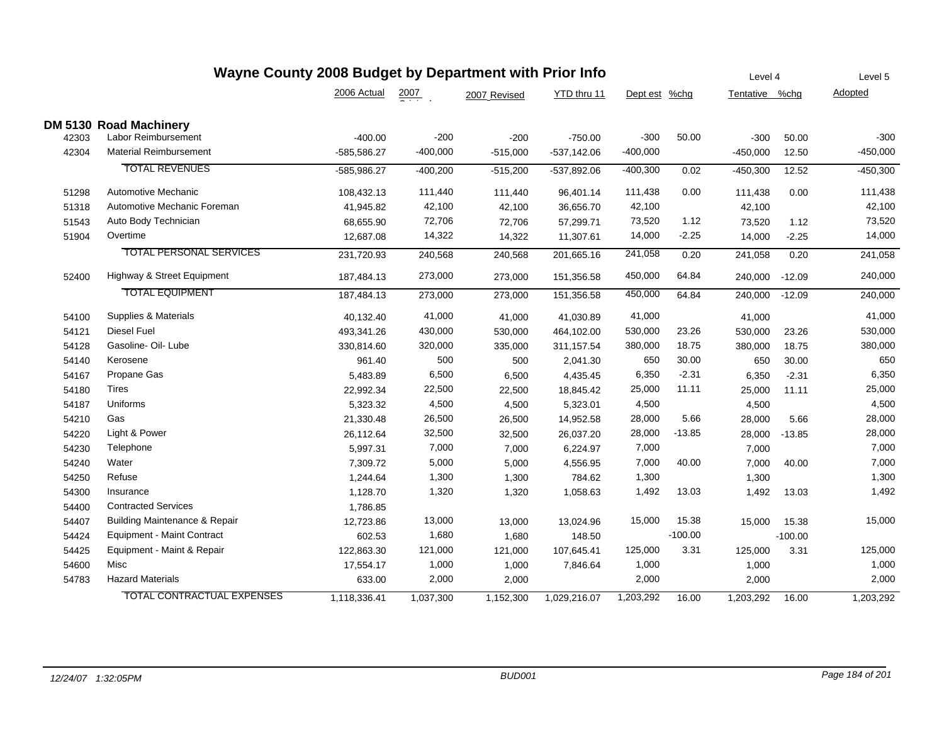| Wayne County 2008 Budget by Department with Prior Info |                                          |              |                  |              |               |               | Level 4   |                | Level 5   |            |
|--------------------------------------------------------|------------------------------------------|--------------|------------------|--------------|---------------|---------------|-----------|----------------|-----------|------------|
|                                                        |                                          | 2006 Actual  | $\frac{2007}{1}$ | 2007 Revised | YTD thru 11   | Dept est %chg |           | Tentative %chg |           | Adopted    |
|                                                        | DM 5130 Road Machinery                   |              |                  |              |               |               |           |                |           |            |
| 42303                                                  | Labor Reimbursement                      | $-400.00$    | $-200$           | $-200$       | $-750.00$     | $-300$        | 50.00     | $-300$         | 50.00     | $-300$     |
| 42304                                                  | <b>Material Reimbursement</b>            | -585,586.27  | $-400,000$       | $-515,000$   | $-537,142.06$ | $-400,000$    |           | $-450,000$     | 12.50     | $-450,000$ |
|                                                        | <b>TOTAL REVENUES</b>                    | -585,986.27  | $-400,200$       | $-515,200$   | -537,892.06   | $-400,300$    | 0.02      | $-450,300$     | 12.52     | $-450,300$ |
| 51298                                                  | Automotive Mechanic                      | 108,432.13   | 111,440          | 111,440      | 96,401.14     | 111,438       | 0.00      | 111,438        | 0.00      | 111,438    |
| 51318                                                  | Automotive Mechanic Foreman              | 41,945.82    | 42,100           | 42,100       | 36,656.70     | 42,100        |           | 42,100         |           | 42,100     |
| 51543                                                  | Auto Body Technician                     | 68,655.90    | 72,706           | 72,706       | 57,299.71     | 73,520        | 1.12      | 73,520         | 1.12      | 73,520     |
| 51904                                                  | Overtime                                 | 12,687.08    | 14,322           | 14,322       | 11,307.61     | 14,000        | $-2.25$   | 14,000         | $-2.25$   | 14,000     |
|                                                        | <b>TOTAL PERSONAL SERVICES</b>           | 231,720.93   | 240,568          | 240,568      | 201,665.16    | 241,058       | 0.20      | 241,058        | 0.20      | 241,058    |
| 52400                                                  | Highway & Street Equipment               | 187,484.13   | 273,000          | 273,000      | 151,356.58    | 450,000       | 64.84     | 240,000 -12.09 |           | 240,000    |
|                                                        | <b>TOTAL EQUIPMENT</b>                   | 187,484.13   | 273,000          | 273,000      | 151,356.58    | 450,000       | 64.84     | 240,000        | $-12.09$  | 240,000    |
| 54100                                                  | Supplies & Materials                     | 40,132.40    | 41,000           | 41,000       | 41,030.89     | 41,000        |           | 41,000         |           | 41,000     |
| 54121                                                  | Diesel Fuel                              | 493,341.26   | 430,000          | 530,000      | 464,102.00    | 530,000       | 23.26     | 530,000        | 23.26     | 530,000    |
| 54128                                                  | Gasoline- Oil- Lube                      | 330,814.60   | 320,000          | 335,000      | 311,157.54    | 380,000       | 18.75     | 380,000        | 18.75     | 380,000    |
| 54140                                                  | Kerosene                                 | 961.40       | 500              | 500          | 2,041.30      | 650           | 30.00     | 650            | 30.00     | 650        |
| 54167                                                  | Propane Gas                              | 5,483.89     | 6,500            | 6,500        | 4,435.45      | 6,350         | $-2.31$   | 6,350          | $-2.31$   | 6,350      |
| 54180                                                  | Tires                                    | 22,992.34    | 22,500           | 22,500       | 18,845.42     | 25,000        | 11.11     | 25,000         | 11.11     | 25,000     |
| 54187                                                  | Uniforms                                 | 5,323.32     | 4,500            | 4,500        | 5,323.01      | 4,500         |           | 4,500          |           | 4,500      |
| 54210                                                  | Gas                                      | 21,330.48    | 26,500           | 26,500       | 14,952.58     | 28,000        | 5.66      | 28,000         | 5.66      | 28,000     |
| 54220                                                  | Light & Power                            | 26,112.64    | 32,500           | 32,500       | 26,037.20     | 28,000        | $-13.85$  | 28,000         | $-13.85$  | 28,000     |
| 54230                                                  | Telephone                                | 5,997.31     | 7,000            | 7,000        | 6,224.97      | 7,000         |           | 7,000          |           | 7,000      |
| 54240                                                  | Water                                    | 7,309.72     | 5,000            | 5,000        | 4,556.95      | 7,000         | 40.00     | 7,000          | 40.00     | 7,000      |
| 54250                                                  | Refuse                                   | 1,244.64     | 1,300            | 1,300        | 784.62        | 1,300         |           | 1,300          |           | 1,300      |
| 54300                                                  | Insurance                                | 1,128.70     | 1,320            | 1,320        | 1,058.63      | 1,492         | 13.03     | 1,492          | 13.03     | 1,492      |
| 54400                                                  | <b>Contracted Services</b>               | 1,786.85     |                  |              |               |               |           |                |           |            |
| 54407                                                  | <b>Building Maintenance &amp; Repair</b> | 12,723.86    | 13,000           | 13,000       | 13,024.96     | 15,000        | 15.38     | 15,000         | 15.38     | 15,000     |
| 54424                                                  | <b>Equipment - Maint Contract</b>        | 602.53       | 1,680            | 1,680        | 148.50        |               | $-100.00$ |                | $-100.00$ |            |
| 54425                                                  | Equipment - Maint & Repair               | 122,863.30   | 121,000          | 121,000      | 107,645.41    | 125,000       | 3.31      | 125,000        | 3.31      | 125,000    |
| 54600                                                  | Misc                                     | 17,554.17    | 1,000            | 1,000        | 7,846.64      | 1,000         |           | 1,000          |           | 1,000      |
| 54783                                                  | <b>Hazard Materials</b>                  | 633.00       | 2,000            | 2,000        |               | 2,000         |           | 2,000          |           | 2,000      |
|                                                        | <b>TOTAL CONTRACTUAL EXPENSES</b>        | 1,118,336.41 | 1,037,300        | 1,152,300    | 1,029,216.07  | 1,203,292     | 16.00     | 1,203,292      | 16.00     | 1,203,292  |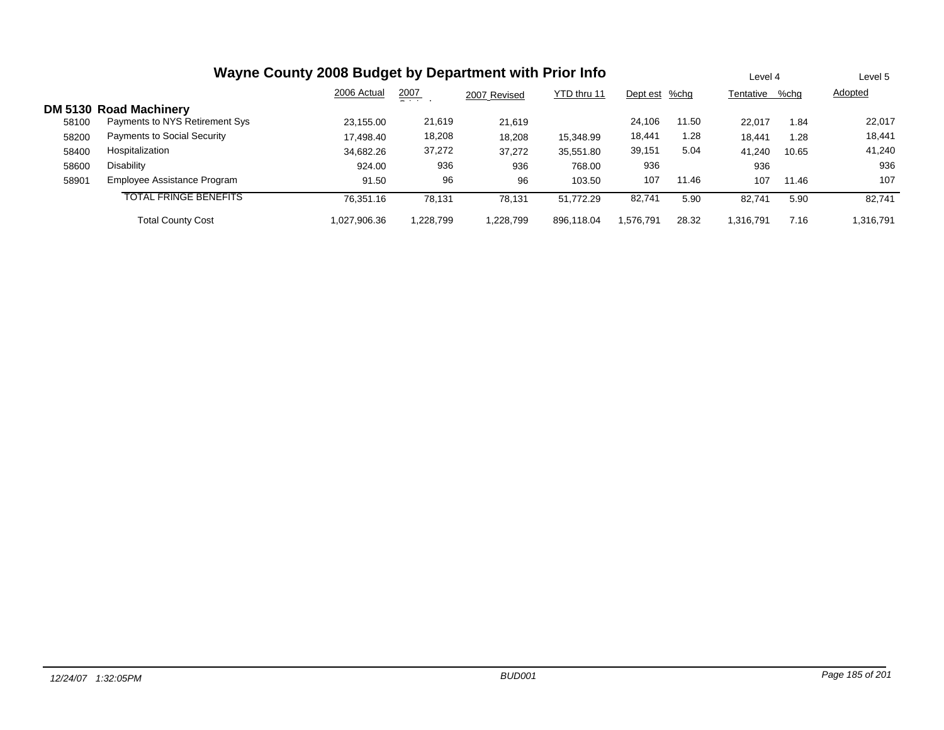| Wayne County 2008 Budget by Department with Prior Info |                                    |              |               |              |             |               |       |           | Level 4 |                |
|--------------------------------------------------------|------------------------------------|--------------|---------------|--------------|-------------|---------------|-------|-----------|---------|----------------|
|                                                        |                                    | 2006 Actual  | 2007<br>$  -$ | 2007 Revised | YTD thru 11 | Dept est %chg |       | Tentative | %chq    | <b>Adopted</b> |
|                                                        | <b>DM 5130 Road Machinery</b>      |              |               |              |             |               |       |           |         |                |
| 58100                                                  | Payments to NYS Retirement Sys     | 23.155.00    | 21,619        | 21.619       |             | 24.106        | 11.50 | 22.017    | 1.84    | 22,017         |
| 58200                                                  | <b>Payments to Social Security</b> | 17.498.40    | 18,208        | 18,208       | 15,348.99   | 18,441        | 1.28  | 18.441    | 1.28    | 18,441         |
| 58400                                                  | Hospitalization                    | 34.682.26    | 37,272        | 37,272       | 35,551.80   | 39,151        | 5.04  | 41.240    | 10.65   | 41,240         |
| 58600                                                  | Disability                         | 924.00       | 936           | 936          | 768.00      | 936           |       | 936       |         | 936            |
| 58901                                                  | Employee Assistance Program        | 91.50        | 96            | 96           | 103.50      | 107           | 11.46 | 107       | 11.46   | 107            |
|                                                        | <b>TOTAL FRINGE BENEFITS</b>       | 76.351.16    | 78.131        | 78.131       | 51.772.29   | 82,741        | 5.90  | 82.741    | 5.90    | 82.741         |
|                                                        | <b>Total County Cost</b>           | 1.027.906.36 | .228.799      | 1.228.799    | 896.118.04  | .576.791      | 28.32 | 1.316.791 | 7.16    | 1.316.791      |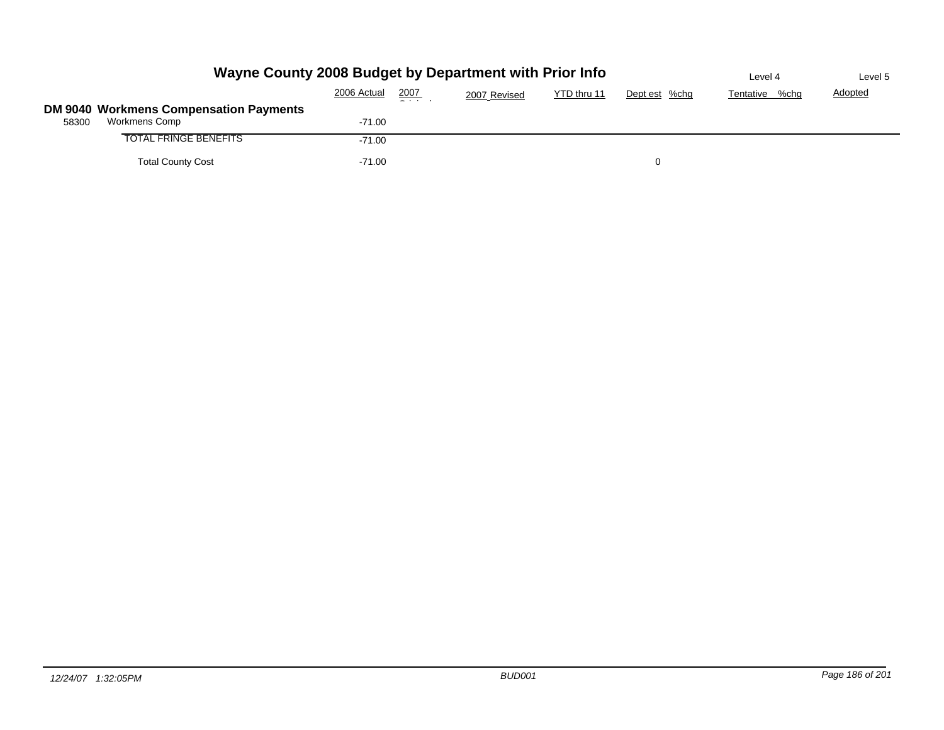|       | Wayne County 2008 Budget by Department with Prior Info  | Level 4     | Level 5 |              |             |               |                |                |
|-------|---------------------------------------------------------|-------------|---------|--------------|-------------|---------------|----------------|----------------|
|       |                                                         | 2006 Actual | 2007    | 2007 Revised | YTD thru 11 | Dept est %chg | Tentative %chg | <b>Adopted</b> |
|       | DM 9040 Workmens Compensation Payments<br>Workmens Comp |             |         |              |             |               |                |                |
| 58300 |                                                         | $-71.00$    |         |              |             |               |                |                |
|       | TOTAL FRINGE BENEFITS                                   | $-71.00$    |         |              |             |               |                |                |
|       | <b>Total County Cost</b>                                | $-71.00$    |         |              |             |               |                |                |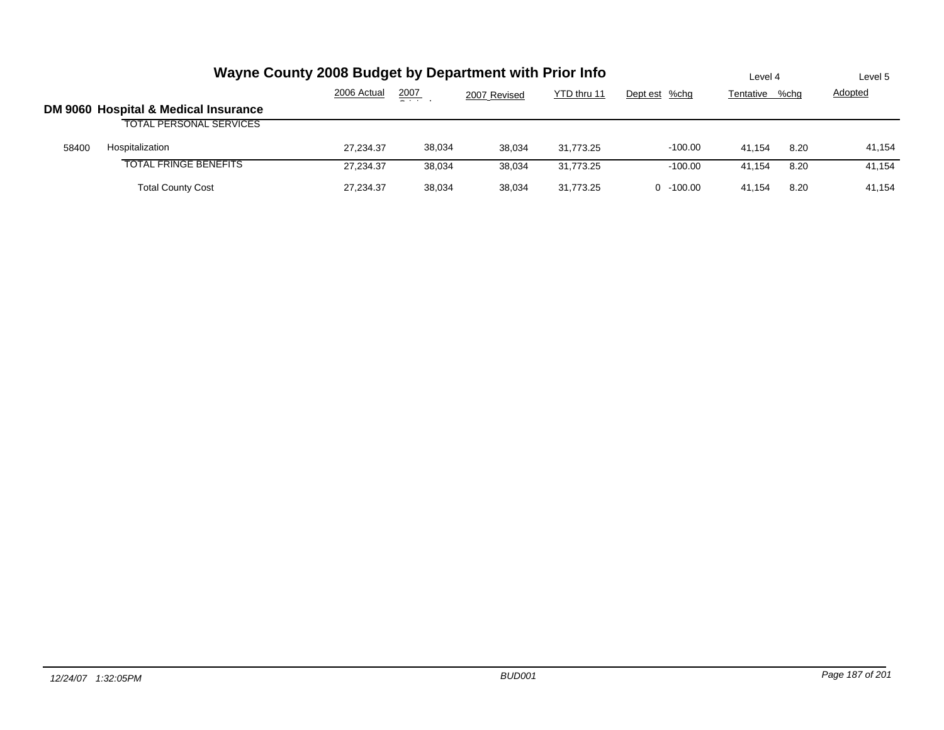|       | Wayne County 2008 Budget by Department with Prior Info | Level 4     |        | Level 5      |             |                |           |      |                |
|-------|--------------------------------------------------------|-------------|--------|--------------|-------------|----------------|-----------|------|----------------|
|       |                                                        | 2006 Actual | 2007   | 2007 Revised | YTD thru 11 | Dept est %chg  | Tentative | %chg | <b>Adopted</b> |
|       | DM 9060 Hospital & Medical Insurance                   |             |        |              |             |                |           |      |                |
|       | <b>TOTAL PERSONAL SERVICES</b>                         |             |        |              |             |                |           |      |                |
| 58400 | Hospitalization                                        | 27.234.37   | 38,034 | 38.034       | 31.773.25   | $-100.00$      | 41.154    | 8.20 | 41,154         |
|       | <b>TOTAL FRINGE BENEFITS</b>                           | 27.234.37   | 38,034 | 38.034       | 31.773.25   | $-100.00$      | 41.154    | 8.20 | 41.154         |
|       | <b>Total County Cost</b>                               | 27.234.37   | 38,034 | 38.034       | 31.773.25   | $-100.00$<br>0 | 41.154    | 8.20 | 41.154         |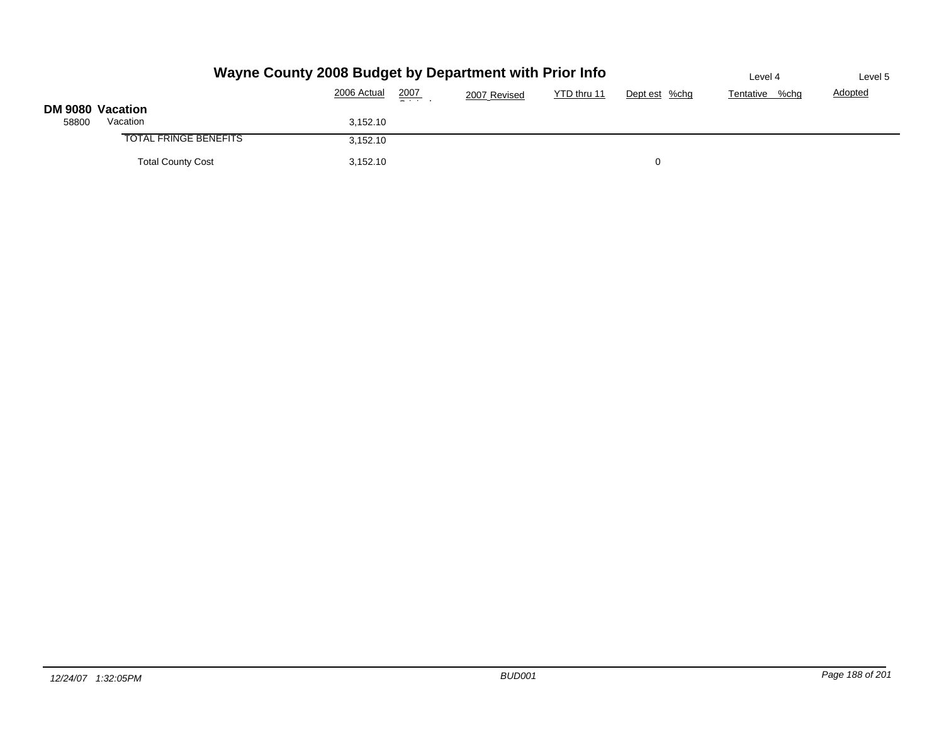|                  | Wayne County 2008 Budget by Department with Prior Info | Level 4     | Level 5         |              |             |               |                |                |
|------------------|--------------------------------------------------------|-------------|-----------------|--------------|-------------|---------------|----------------|----------------|
|                  |                                                        | 2006 Actual | 2007<br>- - - - | 2007 Revised | YTD thru 11 | Dept est %chg | Tentative %chg | <b>Adopted</b> |
| DM 9080 Vacation |                                                        |             |                 |              |             |               |                |                |
| 58800            | Vacation                                               | 3,152.10    |                 |              |             |               |                |                |
|                  | <b>TOTAL FRINGE BENEFITS</b>                           | 3,152.10    |                 |              |             |               |                |                |
|                  | <b>Total County Cost</b>                               | 3,152.10    |                 |              |             | 0             |                |                |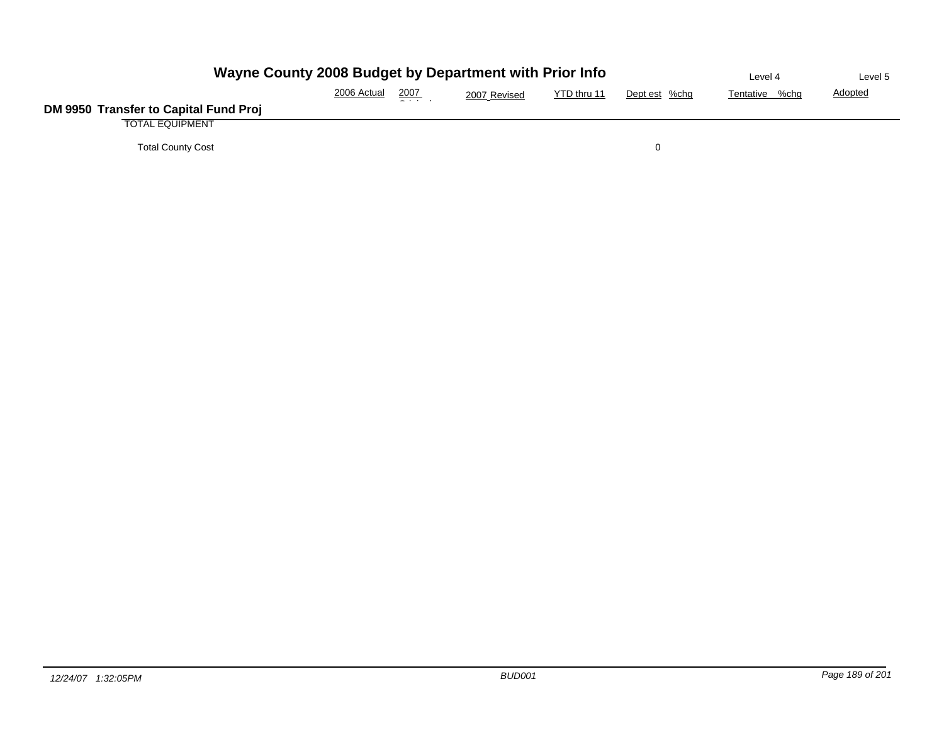| Wayne County 2008 Budget by Department with Prior Info | Level 4        | Level 5        |          |  |  |
|--------------------------------------------------------|----------------|----------------|----------|--|--|
|                                                        | Tentative %chg | <b>Adopted</b> |          |  |  |
| DM 9950 Transfer to Capital Fund Proj                  |                |                |          |  |  |
| <b>TOTAL EQUIPMENT</b>                                 |                |                |          |  |  |
| <b>Total County Cost</b>                               |                |                | $\Omega$ |  |  |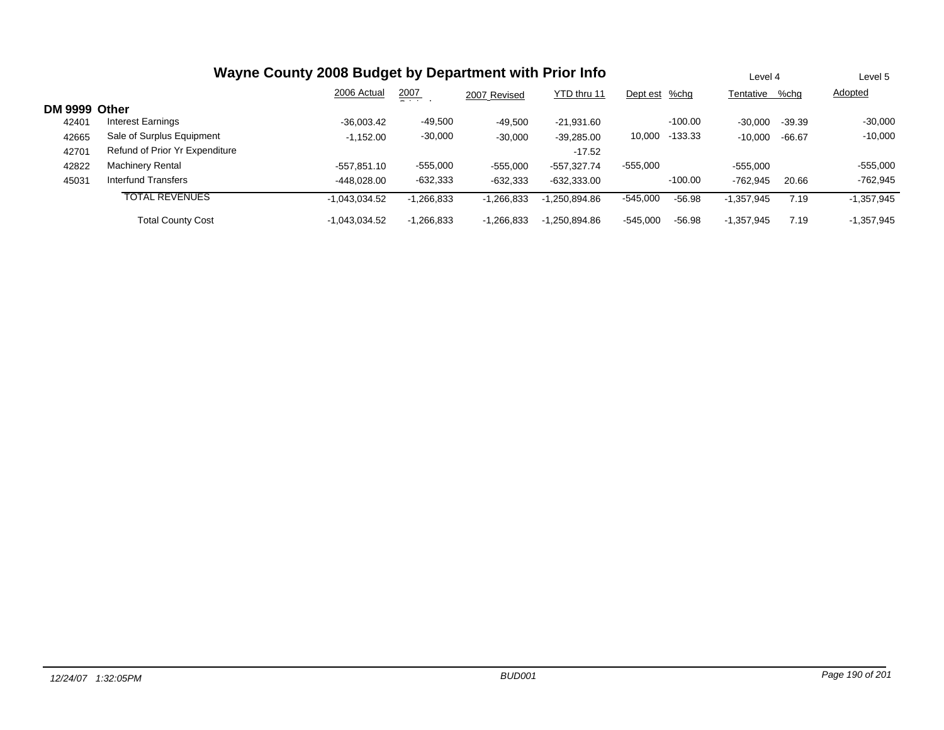|               | Wayne County 2008 Budget by Department with Prior Info |                 |                 |              |                 |               |           |              | Level 4  |              |
|---------------|--------------------------------------------------------|-----------------|-----------------|--------------|-----------------|---------------|-----------|--------------|----------|--------------|
|               |                                                        | 2006 Actual     | 2007<br>- - - - | 2007 Revised | YTD thru 11     | Dept est %chg |           | Tentative    | %chq     | Adopted      |
| DM 9999 Other |                                                        |                 |                 |              |                 |               |           |              |          |              |
| 42401         | Interest Earnings                                      | $-36.003.42$    | $-49,500$       | $-49.500$    | $-21.931.60$    |               | $-100.00$ | $-30.000$    | $-39.39$ | $-30,000$    |
| 42665         | Sale of Surplus Equipment                              | $-1,152.00$     | $-30,000$       | $-30,000$    | $-39,285.00$    | 10,000        | $-133.33$ | $-10.000$    | $-66.67$ | $-10,000$    |
| 42701         | Refund of Prior Yr Expenditure                         |                 |                 |              | $-17.52$        |               |           |              |          |              |
| 42822         | <b>Machinery Rental</b>                                | $-557.851.10$   | $-555,000$      | $-555,000$   | $-557.327.74$   | $-555,000$    |           | $-555,000$   |          | $-555,000$   |
| 45031         | <b>Interfund Transfers</b>                             | -448.028.00     | -632,333        | $-632,333$   | $-632,333.00$   |               | $-100.00$ | $-762.945$   | 20.66    | $-762,945$   |
|               | <b>TOTAL REVENUES</b>                                  | $-1.043.034.52$ | $-1,266,833$    | $-1,266,833$ | $-1.250.894.86$ | $-545,000$    | $-56.98$  | $-1,357,945$ | 7.19     | $-1,357,945$ |
|               | <b>Total County Cost</b>                               | $-1.043.034.52$ | $-1,266,833$    | $-1.266.833$ | $-1.250.894.86$ | $-545.000$    | -56.98    | $-1.357.945$ | 7.19     | $-1.357.945$ |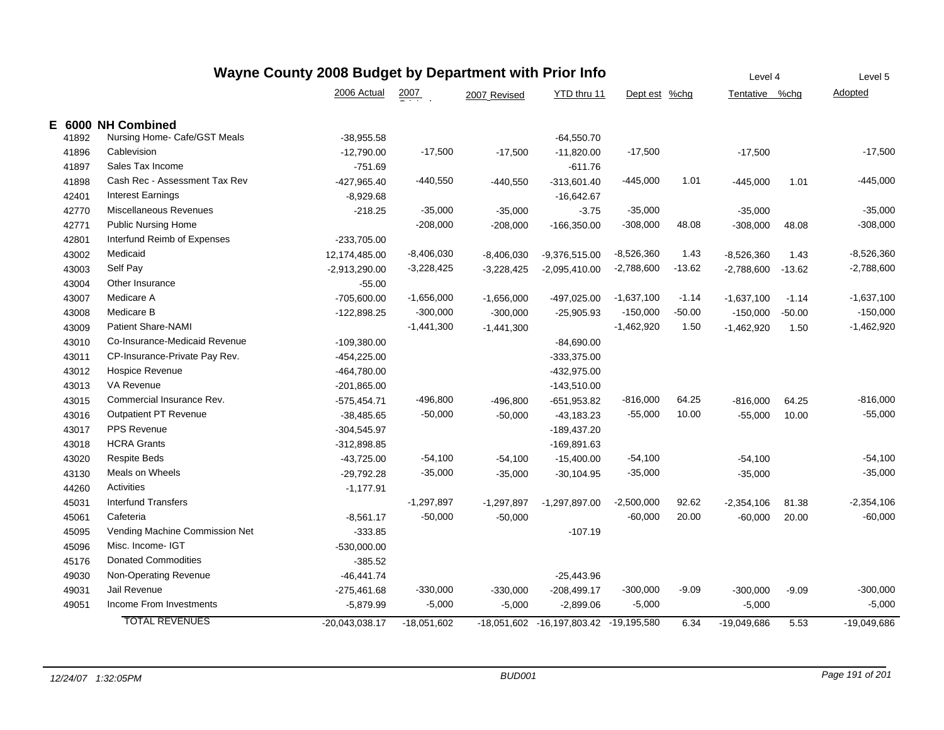| Wayne County 2008 Budget by Department with Prior Info |       |                                |                 |                  |              |                            |               |          | Level 5        |          |               |
|--------------------------------------------------------|-------|--------------------------------|-----------------|------------------|--------------|----------------------------|---------------|----------|----------------|----------|---------------|
|                                                        |       |                                | 2006 Actual     | $\frac{2007}{2}$ | 2007 Revised | YTD thru 11                | Dept est %chg |          | Tentative %chg |          | Adopted       |
|                                                        |       | E 6000 NH Combined             |                 |                  |              |                            |               |          |                |          |               |
|                                                        | 41892 | Nursing Home- Cafe/GST Meals   | $-38,955.58$    |                  |              | $-64,550.70$               |               |          |                |          |               |
|                                                        | 41896 | Cablevision                    | $-12,790.00$    | $-17,500$        | $-17,500$    | $-11,820.00$               | $-17,500$     |          | $-17,500$      |          | $-17,500$     |
|                                                        | 41897 | Sales Tax Income               | $-751.69$       |                  |              | $-611.76$                  |               |          |                |          |               |
|                                                        | 41898 | Cash Rec - Assessment Tax Rev  | -427,965.40     | -440,550         | $-440,550$   | $-313,601.40$              | $-445,000$    | 1.01     | $-445,000$     | 1.01     | $-445,000$    |
|                                                        | 42401 | <b>Interest Earnings</b>       | $-8,929.68$     |                  |              | $-16,642.67$               |               |          |                |          |               |
|                                                        | 42770 | Miscellaneous Revenues         | $-218.25$       | $-35,000$        | $-35,000$    | $-3.75$                    | $-35,000$     |          | $-35,000$      |          | $-35,000$     |
|                                                        | 42771 | <b>Public Nursing Home</b>     |                 | $-208,000$       | $-208,000$   | $-166,350.00$              | $-308,000$    | 48.08    | $-308,000$     | 48.08    | $-308,000$    |
|                                                        | 42801 | Interfund Reimb of Expenses    | -233,705.00     |                  |              |                            |               |          |                |          |               |
|                                                        | 43002 | Medicaid                       | 12,174,485.00   | $-8,406,030$     | $-8,406,030$ | $-9,376,515.00$            | $-8,526,360$  | 1.43     | $-8,526,360$   | 1.43     | $-8,526,360$  |
|                                                        | 43003 | Self Pay                       | $-2,913,290.00$ | $-3,228,425$     | $-3,228,425$ | $-2,095,410.00$            | $-2,788,600$  | $-13.62$ | $-2,788,600$   | $-13.62$ | $-2,788,600$  |
|                                                        | 43004 | Other Insurance                | $-55.00$        |                  |              |                            |               |          |                |          |               |
|                                                        | 43007 | Medicare A                     | $-705,600.00$   | $-1,656,000$     | $-1,656,000$ | -497,025.00                | $-1,637,100$  | $-1.14$  | $-1,637,100$   | $-1.14$  | $-1,637,100$  |
|                                                        | 43008 | Medicare B                     | $-122,898.25$   | $-300,000$       | $-300,000$   | $-25,905.93$               | $-150,000$    | $-50.00$ | $-150,000$     | $-50.00$ | $-150,000$    |
|                                                        | 43009 | <b>Patient Share-NAMI</b>      |                 | $-1,441,300$     | $-1,441,300$ |                            | $-1,462,920$  | 1.50     | $-1,462,920$   | 1.50     | $-1,462,920$  |
|                                                        | 43010 | Co-Insurance-Medicaid Revenue  | $-109,380.00$   |                  |              | $-84,690.00$               |               |          |                |          |               |
|                                                        | 43011 | CP-Insurance-Private Pay Rev.  | -454,225.00     |                  |              | $-333,375.00$              |               |          |                |          |               |
|                                                        | 43012 | <b>Hospice Revenue</b>         | -464,780.00     |                  |              | -432,975.00                |               |          |                |          |               |
|                                                        | 43013 | VA Revenue                     | $-201,865.00$   |                  |              | $-143,510.00$              |               |          |                |          |               |
|                                                        | 43015 | Commercial Insurance Rev.      | $-575,454.71$   | $-496,800$       | $-496,800$   | $-651,953.82$              | $-816,000$    | 64.25    | $-816,000$     | 64.25    | $-816,000$    |
|                                                        | 43016 | <b>Outpatient PT Revenue</b>   | $-38,485.65$    | $-50,000$        | $-50,000$    | $-43,183.23$               | $-55,000$     | 10.00    | $-55,000$      | 10.00    | $-55,000$     |
|                                                        | 43017 | <b>PPS Revenue</b>             | $-304,545.97$   |                  |              | -189,437.20                |               |          |                |          |               |
|                                                        | 43018 | <b>HCRA Grants</b>             | $-312,898.85$   |                  |              | $-169,891.63$              |               |          |                |          |               |
|                                                        | 43020 | <b>Respite Beds</b>            | $-43,725.00$    | $-54,100$        | $-54,100$    | $-15,400.00$               | $-54,100$     |          | $-54,100$      |          | $-54,100$     |
|                                                        | 43130 | Meals on Wheels                | $-29,792.28$    | $-35,000$        | $-35,000$    | $-30,104.95$               | $-35,000$     |          | $-35,000$      |          | $-35,000$     |
|                                                        | 44260 | Activities                     | $-1,177.91$     |                  |              |                            |               |          |                |          |               |
|                                                        | 45031 | <b>Interfund Transfers</b>     |                 | $-1,297,897$     | $-1,297,897$ | $-1,297,897.00$            | $-2,500,000$  | 92.62    | $-2,354,106$   | 81.38    | $-2,354,106$  |
|                                                        | 45061 | Cafeteria                      | $-8,561.17$     | $-50,000$        | $-50,000$    |                            | $-60,000$     | 20.00    | $-60,000$      | 20.00    | $-60,000$     |
|                                                        | 45095 | Vending Machine Commission Net | $-333.85$       |                  |              | $-107.19$                  |               |          |                |          |               |
|                                                        | 45096 | Misc. Income- IGT              | $-530,000.00$   |                  |              |                            |               |          |                |          |               |
|                                                        | 45176 | <b>Donated Commodities</b>     | $-385.52$       |                  |              |                            |               |          |                |          |               |
|                                                        | 49030 | Non-Operating Revenue          | $-46, 441.74$   |                  |              | $-25,443.96$               |               |          |                |          |               |
|                                                        | 49031 | Jail Revenue                   | -275,461.68     | $-330,000$       | $-330,000$   | $-208,499.17$              | $-300,000$    | $-9.09$  | $-300,000$     | $-9.09$  | $-300,000$    |
|                                                        | 49051 | Income From Investments        | $-5,879.99$     | $-5,000$         | $-5,000$     | $-2,899.06$                | $-5,000$      |          | $-5,000$       |          | $-5,000$      |
|                                                        |       | <b>TOTAL REVENUES</b>          | -20.043.038.17  | $-18.051.602$    |              | -18.051.602 -16.197.803.42 | $-19,195,580$ | 6.34     | $-19,049,686$  | 5.53     | $-19,049,686$ |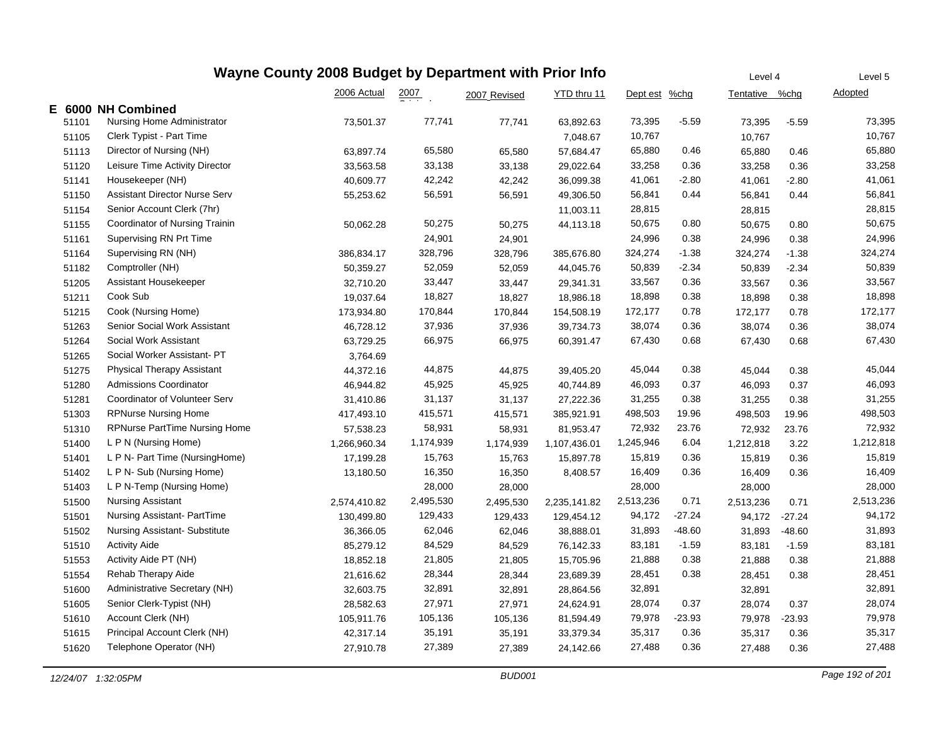| Wayne County 2008 Budget by Department with Prior Info |       |                                      |              |                  |              |              |               |          |                |          | Level 5   |
|--------------------------------------------------------|-------|--------------------------------------|--------------|------------------|--------------|--------------|---------------|----------|----------------|----------|-----------|
|                                                        |       |                                      | 2006 Actual  | $\frac{2007}{1}$ | 2007 Revised | YTD thru 11  | Dept est %chg |          | Tentative %chg |          | Adopted   |
|                                                        |       | E 6000 NH Combined                   |              |                  |              |              |               |          |                |          |           |
|                                                        | 51101 | Nursing Home Administrator           | 73,501.37    | 77,741           | 77,741       | 63,892.63    | 73,395        | $-5.59$  | 73,395         | $-5.59$  | 73,395    |
|                                                        | 51105 | Clerk Typist - Part Time             |              |                  |              | 7,048.67     | 10,767        |          | 10,767         |          | 10,767    |
|                                                        | 51113 | Director of Nursing (NH)             | 63,897.74    | 65,580           | 65,580       | 57,684.47    | 65,880        | 0.46     | 65,880         | 0.46     | 65,880    |
|                                                        | 51120 | Leisure Time Activity Director       | 33,563.58    | 33,138           | 33,138       | 29,022.64    | 33,258        | 0.36     | 33,258         | 0.36     | 33,258    |
|                                                        | 51141 | Housekeeper (NH)                     | 40,609.77    | 42,242           | 42,242       | 36,099.38    | 41,061        | $-2.80$  | 41,061         | $-2.80$  | 41,061    |
|                                                        | 51150 | <b>Assistant Director Nurse Serv</b> | 55,253.62    | 56,591           | 56,591       | 49,306.50    | 56,841        | 0.44     | 56,841         | 0.44     | 56,841    |
|                                                        | 51154 | Senior Account Clerk (7hr)           |              |                  |              | 11,003.11    | 28,815        |          | 28,815         |          | 28,815    |
|                                                        | 51155 | Coordinator of Nursing Trainin       | 50,062.28    | 50,275           | 50,275       | 44,113.18    | 50,675        | 0.80     | 50,675         | 0.80     | 50,675    |
|                                                        | 51161 | Supervising RN Prt Time              |              | 24,901           | 24,901       |              | 24,996        | 0.38     | 24,996         | 0.38     | 24,996    |
|                                                        | 51164 | Supervising RN (NH)                  | 386,834.17   | 328,796          | 328,796      | 385,676.80   | 324,274       | $-1.38$  | 324,274        | $-1.38$  | 324,274   |
|                                                        | 51182 | Comptroller (NH)                     | 50,359.27    | 52,059           | 52,059       | 44,045.76    | 50,839        | $-2.34$  | 50,839         | $-2.34$  | 50,839    |
|                                                        | 51205 | Assistant Housekeeper                | 32,710.20    | 33,447           | 33,447       | 29,341.31    | 33,567        | 0.36     | 33,567         | 0.36     | 33,567    |
|                                                        | 51211 | Cook Sub                             | 19,037.64    | 18,827           | 18,827       | 18,986.18    | 18,898        | 0.38     | 18,898         | 0.38     | 18,898    |
|                                                        | 51215 | Cook (Nursing Home)                  | 173,934.80   | 170,844          | 170,844      | 154,508.19   | 172,177       | 0.78     | 172,177        | 0.78     | 172,177   |
|                                                        | 51263 | Senior Social Work Assistant         | 46,728.12    | 37,936           | 37,936       | 39,734.73    | 38,074        | 0.36     | 38,074         | 0.36     | 38,074    |
|                                                        | 51264 | Social Work Assistant                | 63,729.25    | 66,975           | 66,975       | 60,391.47    | 67,430        | 0.68     | 67,430         | 0.68     | 67,430    |
|                                                        | 51265 | Social Worker Assistant-PT           | 3,764.69     |                  |              |              |               |          |                |          |           |
|                                                        | 51275 | <b>Physical Therapy Assistant</b>    | 44,372.16    | 44,875           | 44,875       | 39,405.20    | 45,044        | 0.38     | 45,044         | 0.38     | 45,044    |
|                                                        | 51280 | <b>Admissions Coordinator</b>        | 46,944.82    | 45,925           | 45,925       | 40,744.89    | 46,093        | 0.37     | 46,093         | 0.37     | 46,093    |
|                                                        | 51281 | Coordinator of Volunteer Serv        | 31,410.86    | 31,137           | 31,137       | 27,222.36    | 31,255        | 0.38     | 31,255         | 0.38     | 31,255    |
|                                                        | 51303 | <b>RPNurse Nursing Home</b>          | 417,493.10   | 415,571          | 415,571      | 385,921.91   | 498,503       | 19.96    | 498,503        | 19.96    | 498,503   |
|                                                        | 51310 | <b>RPNurse PartTime Nursing Home</b> | 57,538.23    | 58,931           | 58,931       | 81,953.47    | 72,932        | 23.76    | 72,932         | 23.76    | 72,932    |
|                                                        | 51400 | L P N (Nursing Home)                 | 1,266,960.34 | 1,174,939        | 1,174,939    | 1,107,436.01 | 1,245,946     | 6.04     | 1,212,818      | 3.22     | 1,212,818 |
|                                                        | 51401 | L P N- Part Time (NursingHome)       | 17,199.28    | 15,763           | 15,763       | 15,897.78    | 15,819        | 0.36     | 15,819         | 0.36     | 15,819    |
|                                                        | 51402 | L P N- Sub (Nursing Home)            | 13,180.50    | 16,350           | 16,350       | 8,408.57     | 16,409        | 0.36     | 16,409         | 0.36     | 16,409    |
|                                                        | 51403 | L P N-Temp (Nursing Home)            |              | 28,000           | 28,000       |              | 28,000        |          | 28,000         |          | 28,000    |
|                                                        | 51500 | <b>Nursing Assistant</b>             | 2,574,410.82 | 2,495,530        | 2,495,530    | 2,235,141.82 | 2,513,236     | 0.71     | 2,513,236      | 0.71     | 2,513,236 |
|                                                        | 51501 | Nursing Assistant-PartTime           | 130,499.80   | 129,433          | 129,433      | 129,454.12   | 94,172        | $-27.24$ | 94,172         | $-27.24$ | 94,172    |
|                                                        | 51502 | Nursing Assistant-Substitute         | 36,366.05    | 62,046           | 62,046       | 38,888.01    | 31,893        | -48.60   | 31,893         | $-48.60$ | 31,893    |
|                                                        | 51510 | <b>Activity Aide</b>                 | 85,279.12    | 84,529           | 84,529       | 76,142.33    | 83,181        | $-1.59$  | 83,181         | $-1.59$  | 83,181    |
|                                                        | 51553 | Activity Aide PT (NH)                | 18,852.18    | 21,805           | 21,805       | 15,705.96    | 21,888        | 0.38     | 21,888         | 0.38     | 21,888    |
|                                                        | 51554 | Rehab Therapy Aide                   | 21,616.62    | 28,344           | 28,344       | 23,689.39    | 28,451        | 0.38     | 28,451         | 0.38     | 28,451    |
|                                                        | 51600 | Administrative Secretary (NH)        | 32,603.75    | 32,891           | 32,891       | 28,864.56    | 32,891        |          | 32,891         |          | 32,891    |
|                                                        | 51605 | Senior Clerk-Typist (NH)             | 28,582.63    | 27,971           | 27,971       | 24,624.91    | 28,074        | 0.37     | 28,074         | 0.37     | 28,074    |
|                                                        | 51610 | Account Clerk (NH)                   | 105,911.76   | 105,136          | 105,136      | 81,594.49    | 79,978        | $-23.93$ | 79,978         | $-23.93$ | 79,978    |
|                                                        | 51615 | Principal Account Clerk (NH)         | 42,317.14    | 35,191           | 35,191       | 33,379.34    | 35,317        | 0.36     | 35,317         | 0.36     | 35,317    |
|                                                        | 51620 | Telephone Operator (NH)              | 27,910.78    | 27,389           | 27,389       | 24,142.66    | 27,488        | 0.36     | 27,488         | 0.36     | 27,488    |
|                                                        |       |                                      |              |                  |              |              |               |          |                |          |           |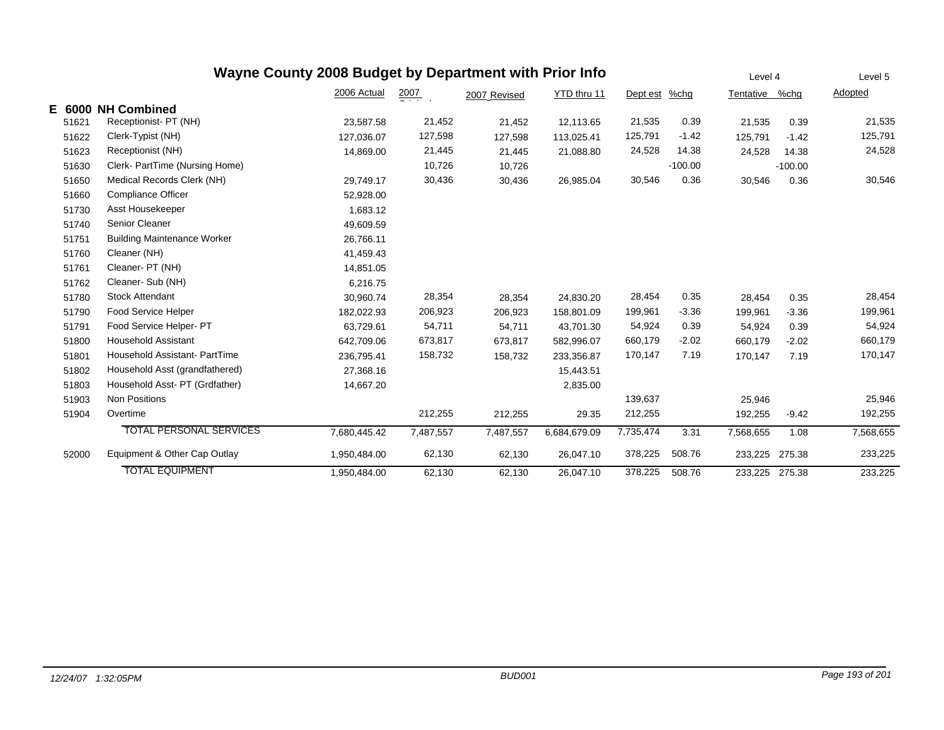|           |                                    | Wayne County 2008 Budget by Department with Prior Info |           |              |              |           |           | Level 4   |           | Level 5   |
|-----------|------------------------------------|--------------------------------------------------------|-----------|--------------|--------------|-----------|-----------|-----------|-----------|-----------|
|           |                                    | 2006 Actual                                            | 2007      | 2007 Revised | YTD thru 11  | Dept est  | $%$ chg   | Tentative | %chq      | Adopted   |
| E<br>6000 | <b>NH Combined</b>                 |                                                        |           |              |              |           |           |           |           |           |
| 51621     | Receptionist- PT (NH)              | 23,587.58                                              | 21,452    | 21,452       | 12,113.65    | 21,535    | 0.39      | 21,535    | 0.39      | 21,535    |
| 51622     | Clerk-Typist (NH)                  | 127,036.07                                             | 127,598   | 127,598      | 113,025.41   | 125,791   | $-1.42$   | 125,791   | $-1.42$   | 125,791   |
| 51623     | Receptionist (NH)                  | 14,869.00                                              | 21,445    | 21,445       | 21.088.80    | 24,528    | 14.38     | 24,528    | 14.38     | 24,528    |
| 51630     | Clerk- PartTime (Nursing Home)     |                                                        | 10,726    | 10,726       |              |           | $-100.00$ |           | $-100.00$ |           |
| 51650     | Medical Records Clerk (NH)         | 29,749.17                                              | 30,436    | 30,436       | 26,985.04    | 30,546    | 0.36      | 30,546    | 0.36      | 30,546    |
| 51660     | <b>Compliance Officer</b>          | 52,928.00                                              |           |              |              |           |           |           |           |           |
| 51730     | Asst Housekeeper                   | 1,683.12                                               |           |              |              |           |           |           |           |           |
| 51740     | Senior Cleaner                     | 49,609.59                                              |           |              |              |           |           |           |           |           |
| 51751     | <b>Building Maintenance Worker</b> | 26,766.11                                              |           |              |              |           |           |           |           |           |
| 51760     | Cleaner (NH)                       | 41,459.43                                              |           |              |              |           |           |           |           |           |
| 51761     | Cleaner- PT (NH)                   | 14,851.05                                              |           |              |              |           |           |           |           |           |
| 51762     | Cleaner- Sub (NH)                  | 6.216.75                                               |           |              |              |           |           |           |           |           |
| 51780     | <b>Stock Attendant</b>             | 30,960.74                                              | 28,354    | 28,354       | 24,830.20    | 28,454    | 0.35      | 28,454    | 0.35      | 28,454    |
| 51790     | Food Service Helper                | 182,022.93                                             | 206,923   | 206,923      | 158,801.09   | 199,961   | $-3.36$   | 199,961   | $-3.36$   | 199,961   |
| 51791     | Food Service Helper- PT            | 63,729.61                                              | 54,711    | 54,711       | 43.701.30    | 54,924    | 0.39      | 54,924    | 0.39      | 54,924    |
| 51800     | <b>Household Assistant</b>         | 642,709.06                                             | 673,817   | 673,817      | 582,996.07   | 660,179   | $-2.02$   | 660,179   | $-2.02$   | 660,179   |
| 51801     | Household Assistant- PartTime      | 236,795.41                                             | 158,732   | 158,732      | 233,356.87   | 170,147   | 7.19      | 170,147   | 7.19      | 170,147   |
| 51802     | Household Asst (grandfathered)     | 27,368.16                                              |           |              | 15,443.51    |           |           |           |           |           |
| 51803     | Household Asst- PT (Grdfather)     | 14,667.20                                              |           |              | 2,835.00     |           |           |           |           |           |
| 51903     | <b>Non Positions</b>               |                                                        |           |              |              | 139,637   |           | 25,946    |           | 25,946    |
| 51904     | Overtime                           |                                                        | 212,255   | 212,255      | 29.35        | 212,255   |           | 192,255   | $-9.42$   | 192,255   |
|           | <b>TOTAL PERSONAL SERVICES</b>     | 7,680,445.42                                           | 7,487,557 | 7,487,557    | 6,684,679.09 | 7,735,474 | 3.31      | 7,568,655 | 1.08      | 7,568,655 |
| 52000     | Equipment & Other Cap Outlay       | 1,950,484.00                                           | 62,130    | 62,130       | 26,047.10    | 378,225   | 508.76    | 233,225   | 275.38    | 233,225   |
|           | <b>TOTAL EQUIPMENT</b>             | 1,950,484.00                                           | 62,130    | 62.130       | 26.047.10    | 378,225   | 508.76    | 233,225   | 275.38    | 233,225   |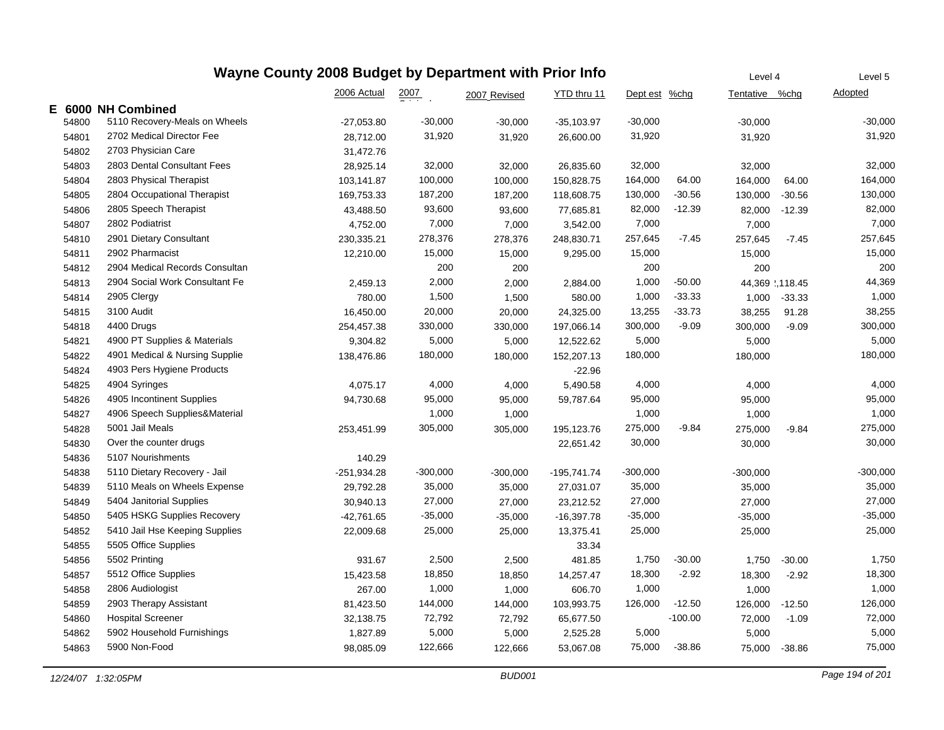## **Wayne County 2008 Budget by Department with Prior Info**

|    |       |                                | 2006 Actual   | $\frac{2007}{200}$ | 2007 Revised | YTD thru 11  | Dept est %chg |           | Tentative      | %chg     | Adopted    |
|----|-------|--------------------------------|---------------|--------------------|--------------|--------------|---------------|-----------|----------------|----------|------------|
| E. |       | 6000 NH Combined               |               |                    |              |              |               |           |                |          |            |
|    | 54800 | 5110 Recovery-Meals on Wheels  | $-27,053.80$  | $-30,000$          | $-30,000$    | $-35,103.97$ | $-30,000$     |           | $-30,000$      |          | $-30,000$  |
|    | 54801 | 2702 Medical Director Fee      | 28,712.00     | 31,920             | 31,920       | 26,600.00    | 31,920        |           | 31,920         |          | 31,920     |
|    | 54802 | 2703 Physician Care            | 31,472.76     |                    |              |              |               |           |                |          |            |
|    | 54803 | 2803 Dental Consultant Fees    | 28,925.14     | 32,000             | 32,000       | 26,835.60    | 32,000        |           | 32,000         |          | 32,000     |
|    | 54804 | 2803 Physical Therapist        | 103,141.87    | 100,000            | 100,000      | 150,828.75   | 164,000       | 64.00     | 164,000        | 64.00    | 164,000    |
|    | 54805 | 2804 Occupational Therapist    | 169,753.33    | 187,200            | 187,200      | 118,608.75   | 130,000       | $-30.56$  | 130,000        | $-30.56$ | 130,000    |
|    | 54806 | 2805 Speech Therapist          | 43,488.50     | 93,600             | 93,600       | 77,685.81    | 82,000        | $-12.39$  | 82,000         | $-12.39$ | 82,000     |
|    | 54807 | 2802 Podiatrist                | 4,752.00      | 7,000              | 7,000        | 3,542.00     | 7,000         |           | 7,000          |          | 7,000      |
|    | 54810 | 2901 Dietary Consultant        | 230,335.21    | 278,376            | 278,376      | 248,830.71   | 257,645       | $-7.45$   | 257,645        | $-7.45$  | 257,645    |
|    | 54811 | 2902 Pharmacist                | 12,210.00     | 15,000             | 15,000       | 9,295.00     | 15,000        |           | 15,000         |          | 15,000     |
|    | 54812 | 2904 Medical Records Consultan |               | 200                | 200          |              | 200           |           | 200            |          | 200        |
|    | 54813 | 2904 Social Work Consultant Fe | 2,459.13      | 2,000              | 2,000        | 2,884.00     | 1,000         | $-50.00$  | 44,369 .118.45 |          | 44,369     |
|    | 54814 | 2905 Clergy                    | 780.00        | 1,500              | 1,500        | 580.00       | 1,000         | $-33.33$  | 1,000          | $-33.33$ | 1,000      |
|    | 54815 | 3100 Audit                     | 16,450.00     | 20,000             | 20,000       | 24,325.00    | 13,255        | $-33.73$  | 38,255         | 91.28    | 38,255     |
|    | 54818 | 4400 Drugs                     | 254,457.38    | 330,000            | 330,000      | 197,066.14   | 300,000       | $-9.09$   | 300,000        | $-9.09$  | 300,000    |
|    | 54821 | 4900 PT Supplies & Materials   | 9,304.82      | 5,000              | 5,000        | 12,522.62    | 5,000         |           | 5,000          |          | 5,000      |
|    | 54822 | 4901 Medical & Nursing Supplie | 138,476.86    | 180,000            | 180,000      | 152,207.13   | 180,000       |           | 180,000        |          | 180,000    |
|    | 54824 | 4903 Pers Hygiene Products     |               |                    |              | $-22.96$     |               |           |                |          |            |
|    | 54825 | 4904 Syringes                  | 4,075.17      | 4,000              | 4,000        | 5,490.58     | 4,000         |           | 4,000          |          | 4,000      |
|    | 54826 | 4905 Incontinent Supplies      | 94,730.68     | 95,000             | 95,000       | 59,787.64    | 95,000        |           | 95,000         |          | 95,000     |
|    | 54827 | 4906 Speech Supplies&Material  |               | 1,000              | 1,000        |              | 1,000         |           | 1,000          |          | 1,000      |
|    | 54828 | 5001 Jail Meals                | 253,451.99    | 305,000            | 305,000      | 195,123.76   | 275,000       | $-9.84$   | 275,000        | $-9.84$  | 275,000    |
|    | 54830 | Over the counter drugs         |               |                    |              | 22,651.42    | 30,000        |           | 30,000         |          | 30,000     |
|    | 54836 | 5107 Nourishments              | 140.29        |                    |              |              |               |           |                |          |            |
|    | 54838 | 5110 Dietary Recovery - Jail   | $-251,934.28$ | $-300,000$         | $-300,000$   | -195,741.74  | $-300,000$    |           | $-300,000$     |          | $-300,000$ |
|    | 54839 | 5110 Meals on Wheels Expense   | 29,792.28     | 35,000             | 35,000       | 27,031.07    | 35,000        |           | 35,000         |          | 35,000     |
|    | 54849 | 5404 Janitorial Supplies       | 30,940.13     | 27,000             | 27,000       | 23,212.52    | 27,000        |           | 27,000         |          | 27,000     |
|    | 54850 | 5405 HSKG Supplies Recovery    | -42,761.65    | $-35,000$          | $-35,000$    | $-16,397.78$ | $-35,000$     |           | $-35,000$      |          | $-35,000$  |
|    | 54852 | 5410 Jail Hse Keeping Supplies | 22,009.68     | 25,000             | 25,000       | 13,375.41    | 25,000        |           | 25,000         |          | 25,000     |
|    | 54855 | 5505 Office Supplies           |               |                    |              | 33.34        |               |           |                |          |            |
|    | 54856 | 5502 Printing                  | 931.67        | 2,500              | 2,500        | 481.85       | 1,750         | $-30.00$  | 1,750          | $-30.00$ | 1,750      |
|    | 54857 | 5512 Office Supplies           | 15,423.58     | 18,850             | 18,850       | 14,257.47    | 18,300        | $-2.92$   | 18,300         | $-2.92$  | 18,300     |
|    | 54858 | 2806 Audiologist               | 267.00        | 1,000              | 1,000        | 606.70       | 1,000         |           | 1,000          |          | 1,000      |
|    | 54859 | 2903 Therapy Assistant         | 81,423.50     | 144,000            | 144,000      | 103,993.75   | 126,000       | $-12.50$  | 126,000        | $-12.50$ | 126,000    |
|    | 54860 | <b>Hospital Screener</b>       | 32,138.75     | 72,792             | 72,792       | 65,677.50    |               | $-100.00$ | 72,000         | $-1.09$  | 72,000     |
|    | 54862 | 5902 Household Furnishings     | 1,827.89      | 5,000              | 5,000        | 2,525.28     | 5,000         |           | 5,000          |          | 5,000      |
|    | 54863 | 5900 Non-Food                  | 98,085.09     | 122,666            | 122,666      | 53,067.08    | 75,000        | $-38.86$  | 75,000         | $-38.86$ | 75,000     |

Level 4

Level 5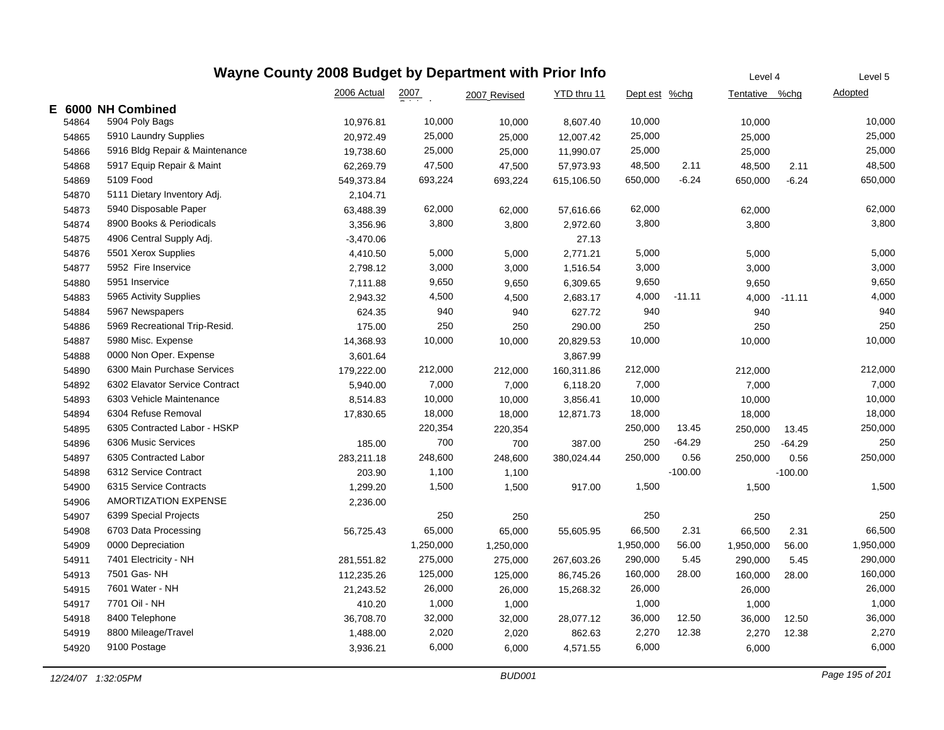|       | Wayne County 2008 Budget by Department with Prior Info | Level 4     | Level 5   |              |             |               |           |                |           |                |
|-------|--------------------------------------------------------|-------------|-----------|--------------|-------------|---------------|-----------|----------------|-----------|----------------|
|       |                                                        | 2006 Actual | 2007      | 2007 Revised | YTD thru 11 | Dept est %chg |           | Tentative %chq |           | <b>Adopted</b> |
|       | E 6000 NH Combined                                     |             |           |              |             |               |           |                |           |                |
| 54864 | 5904 Poly Bags                                         | 10,976.81   | 10,000    | 10,000       | 8,607.40    | 10,000        |           | 10,000         |           | 10,000         |
| 54865 | 5910 Laundry Supplies                                  | 20,972.49   | 25,000    | 25,000       | 12,007.42   | 25,000        |           | 25,000         |           | 25,000         |
| 54866 | 5916 Bldg Repair & Maintenance                         | 19,738.60   | 25,000    | 25,000       | 11,990.07   | 25,000        |           | 25,000         |           | 25,000         |
| 54868 | 5917 Equip Repair & Maint                              | 62,269.79   | 47,500    | 47,500       | 57,973.93   | 48,500        | 2.11      | 48,500         | 2.11      | 48,500         |
| 54869 | 5109 Food                                              | 549,373.84  | 693,224   | 693,224      | 615,106.50  | 650,000       | $-6.24$   | 650,000        | $-6.24$   | 650,000        |
| 54870 | 5111 Dietary Inventory Adj.                            | 2,104.71    |           |              |             |               |           |                |           |                |
| 54873 | 5940 Disposable Paper                                  | 63,488.39   | 62,000    | 62,000       | 57,616.66   | 62,000        |           | 62,000         |           | 62,000         |
| 54874 | 8900 Books & Periodicals                               | 3,356.96    | 3,800     | 3,800        | 2,972.60    | 3,800         |           | 3,800          |           | 3,800          |
| 54875 | 4906 Central Supply Adj.                               | $-3,470.06$ |           |              | 27.13       |               |           |                |           |                |
| 54876 | 5501 Xerox Supplies                                    | 4,410.50    | 5,000     | 5,000        | 2,771.21    | 5,000         |           | 5,000          |           | 5,000          |
| 54877 | 5952 Fire Inservice                                    | 2,798.12    | 3,000     | 3,000        | 1,516.54    | 3,000         |           | 3,000          |           | 3,000          |
| 54880 | 5951 Inservice                                         | 7,111.88    | 9,650     | 9,650        | 6,309.65    | 9,650         |           | 9,650          |           | 9,650          |
| 54883 | 5965 Activity Supplies                                 | 2,943.32    | 4,500     | 4,500        | 2,683.17    | 4,000         | $-11.11$  | 4,000          | $-11.11$  | 4,000          |
| 54884 | 5967 Newspapers                                        | 624.35      | 940       | 940          | 627.72      | 940           |           | 940            |           | 940            |
| 54886 | 5969 Recreational Trip-Resid.                          | 175.00      | 250       | 250          | 290.00      | 250           |           | 250            |           | 250            |
| 54887 | 5980 Misc. Expense                                     | 14,368.93   | 10,000    | 10,000       | 20,829.53   | 10,000        |           | 10,000         |           | 10,000         |
| 54888 | 0000 Non Oper. Expense                                 | 3,601.64    |           |              | 3,867.99    |               |           |                |           |                |
| 54890 | 6300 Main Purchase Services                            | 179,222.00  | 212,000   | 212,000      | 160,311.86  | 212,000       |           | 212,000        |           | 212,000        |
| 54892 | 6302 Elavator Service Contract                         | 5,940.00    | 7,000     | 7,000        | 6,118.20    | 7,000         |           | 7,000          |           | 7,000          |
| 54893 | 6303 Vehicle Maintenance                               | 8,514.83    | 10,000    | 10,000       | 3,856.41    | 10,000        |           | 10,000         |           | 10,000         |
| 54894 | 6304 Refuse Removal                                    | 17,830.65   | 18,000    | 18,000       | 12,871.73   | 18,000        |           | 18,000         |           | 18,000         |
| 54895 | 6305 Contracted Labor - HSKP                           |             | 220,354   | 220,354      |             | 250,000       | 13.45     | 250,000        | 13.45     | 250,000        |
| 54896 | 6306 Music Services                                    | 185.00      | 700       | 700          | 387.00      | 250           | $-64.29$  | 250            | $-64.29$  | 250            |
| 54897 | 6305 Contracted Labor                                  | 283,211.18  | 248,600   | 248,600      | 380,024.44  | 250,000       | 0.56      | 250,000        | 0.56      | 250,000        |
| 54898 | 6312 Service Contract                                  | 203.90      | 1,100     | 1,100        |             |               | $-100.00$ |                | $-100.00$ |                |
| 54900 | 6315 Service Contracts                                 | 1,299.20    | 1,500     | 1,500        | 917.00      | 1,500         |           | 1,500          |           | 1,500          |
| 54906 | AMORTIZATION EXPENSE                                   | 2,236.00    |           |              |             |               |           |                |           |                |
| 54907 | 6399 Special Projects                                  |             | 250       | 250          |             | 250           |           | 250            |           | 250            |
| 54908 | 6703 Data Processing                                   | 56,725.43   | 65,000    | 65,000       | 55,605.95   | 66,500        | 2.31      | 66,500         | 2.31      | 66,500         |
| 54909 | 0000 Depreciation                                      |             | 1,250,000 | 1,250,000    |             | 1,950,000     | 56.00     | 1,950,000      | 56.00     | 1,950,000      |
| 54911 | 7401 Electricity - NH                                  | 281,551.82  | 275,000   | 275,000      | 267,603.26  | 290,000       | 5.45      | 290,000        | 5.45      | 290,000        |
| 54913 | 7501 Gas-NH                                            | 112,235.26  | 125,000   | 125,000      | 86,745.26   | 160,000       | 28.00     | 160,000        | 28.00     | 160,000        |
| 54915 | 7601 Water - NH                                        | 21,243.52   | 26,000    | 26,000       | 15,268.32   | 26,000        |           | 26,000         |           | 26,000         |
| 54917 | 7701 Oil - NH                                          | 410.20      | 1,000     | 1,000        |             | 1,000         |           | 1,000          |           | 1,000          |
| 54918 | 8400 Telephone                                         | 36,708.70   | 32,000    | 32,000       | 28,077.12   | 36,000        | 12.50     | 36,000         | 12.50     | 36,000         |
| 54919 | 8800 Mileage/Travel                                    | 1,488.00    | 2,020     | 2,020        | 862.63      | 2,270         | 12.38     | 2,270          | 12.38     | 2,270          |
| 54920 | 9100 Postage                                           | 3,936.21    | 6,000     | 6,000        | 4,571.55    | 6,000         |           | 6,000          |           | 6,000          |
|       |                                                        |             |           |              |             |               |           |                |           |                |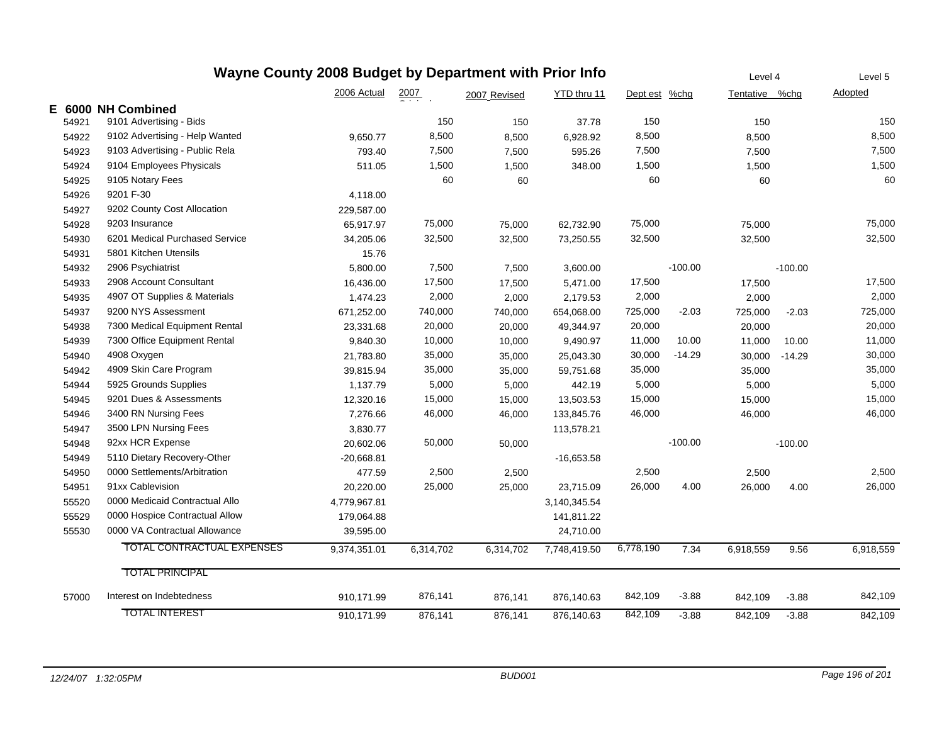|       | Wayne County 2008 Budget by Department with Prior Info | Level 4      |                    | Level 5      |              |               |           |                |           |           |
|-------|--------------------------------------------------------|--------------|--------------------|--------------|--------------|---------------|-----------|----------------|-----------|-----------|
|       |                                                        | 2006 Actual  | $\frac{2007}{200}$ | 2007 Revised | YTD thru 11  | Dept est %chg |           | Tentative %chg |           | Adopted   |
|       | E 6000 NH Combined                                     |              |                    |              |              |               |           |                |           |           |
| 54921 | 9101 Advertising - Bids                                |              | 150                | 150          | 37.78        | 150           |           | 150            |           | 150       |
| 54922 | 9102 Advertising - Help Wanted                         | 9,650.77     | 8,500              | 8,500        | 6,928.92     | 8,500         |           | 8,500          |           | 8,500     |
| 54923 | 9103 Advertising - Public Rela                         | 793.40       | 7,500              | 7,500        | 595.26       | 7,500         |           | 7,500          |           | 7,500     |
| 54924 | 9104 Employees Physicals                               | 511.05       | 1,500              | 1,500        | 348.00       | 1,500         |           | 1,500          |           | 1,500     |
| 54925 | 9105 Notary Fees                                       |              | 60                 | 60           |              | 60            |           | 60             |           | 60        |
| 54926 | 9201 F-30                                              | 4,118.00     |                    |              |              |               |           |                |           |           |
| 54927 | 9202 County Cost Allocation                            | 229,587.00   |                    |              |              |               |           |                |           |           |
| 54928 | 9203 Insurance                                         | 65,917.97    | 75,000             | 75,000       | 62,732.90    | 75,000        |           | 75,000         |           | 75,000    |
| 54930 | 6201 Medical Purchased Service                         | 34,205.06    | 32,500             | 32,500       | 73,250.55    | 32,500        |           | 32,500         |           | 32,500    |
| 54931 | 5801 Kitchen Utensils                                  | 15.76        |                    |              |              |               |           |                |           |           |
| 54932 | 2906 Psychiatrist                                      | 5,800.00     | 7,500              | 7,500        | 3,600.00     |               | $-100.00$ |                | $-100.00$ |           |
| 54933 | 2908 Account Consultant                                | 16,436.00    | 17,500             | 17,500       | 5,471.00     | 17,500        |           | 17,500         |           | 17,500    |
| 54935 | 4907 OT Supplies & Materials                           | 1,474.23     | 2,000              | 2,000        | 2,179.53     | 2,000         |           | 2,000          |           | 2,000     |
| 54937 | 9200 NYS Assessment                                    | 671,252.00   | 740,000            | 740,000      | 654,068.00   | 725,000       | $-2.03$   | 725,000        | $-2.03$   | 725,000   |
| 54938 | 7300 Medical Equipment Rental                          | 23,331.68    | 20,000             | 20,000       | 49,344.97    | 20,000        |           | 20,000         |           | 20,000    |
| 54939 | 7300 Office Equipment Rental                           | 9,840.30     | 10,000             | 10,000       | 9,490.97     | 11,000        | 10.00     | 11,000         | 10.00     | 11,000    |
| 54940 | 4908 Oxygen                                            | 21,783.80    | 35,000             | 35,000       | 25,043.30    | 30,000        | $-14.29$  | 30,000         | $-14.29$  | 30,000    |
| 54942 | 4909 Skin Care Program                                 | 39,815.94    | 35,000             | 35,000       | 59,751.68    | 35,000        |           | 35,000         |           | 35,000    |
| 54944 | 5925 Grounds Supplies                                  | 1,137.79     | 5,000              | 5,000        | 442.19       | 5,000         |           | 5,000          |           | 5,000     |
| 54945 | 9201 Dues & Assessments                                | 12,320.16    | 15,000             | 15,000       | 13,503.53    | 15,000        |           | 15,000         |           | 15,000    |
| 54946 | 3400 RN Nursing Fees                                   | 7,276.66     | 46,000             | 46,000       | 133,845.76   | 46,000        |           | 46,000         |           | 46,000    |
| 54947 | 3500 LPN Nursing Fees                                  | 3,830.77     |                    |              | 113,578.21   |               |           |                |           |           |
| 54948 | 92xx HCR Expense                                       | 20,602.06    | 50,000             | 50,000       |              |               | $-100.00$ |                | $-100.00$ |           |
| 54949 | 5110 Dietary Recovery-Other                            | $-20,668.81$ |                    |              | $-16,653.58$ |               |           |                |           |           |
| 54950 | 0000 Settlements/Arbitration                           | 477.59       | 2,500              | 2,500        |              | 2,500         |           | 2,500          |           | 2,500     |
| 54951 | 91xx Cablevision                                       | 20,220.00    | 25,000             | 25,000       | 23,715.09    | 26,000        | 4.00      | 26,000         | 4.00      | 26,000    |
| 55520 | 0000 Medicaid Contractual Allo                         | 4,779,967.81 |                    |              | 3,140,345.54 |               |           |                |           |           |
| 55529 | 0000 Hospice Contractual Allow                         | 179,064.88   |                    |              | 141,811.22   |               |           |                |           |           |
| 55530 | 0000 VA Contractual Allowance                          | 39,595.00    |                    |              | 24,710.00    |               |           |                |           |           |
|       | <b>TOTAL CONTRACTUAL EXPENSES</b>                      | 9,374,351.01 | 6,314,702          | 6,314,702    | 7,748,419.50 | 6,778,190     | 7.34      | 6,918,559      | 9.56      | 6,918,559 |
|       | <b>TOTAL PRINCIPAL</b>                                 |              |                    |              |              |               |           |                |           |           |
| 57000 | Interest on Indebtedness                               | 910,171.99   | 876,141            | 876,141      | 876,140.63   | 842,109       | $-3.88$   | 842,109        | $-3.88$   | 842,109   |
|       | <b>TOTAL INTEREST</b>                                  | 910,171.99   | 876,141            | 876,141      | 876,140.63   | 842,109       | $-3.88$   | 842,109        | $-3.88$   | 842,109   |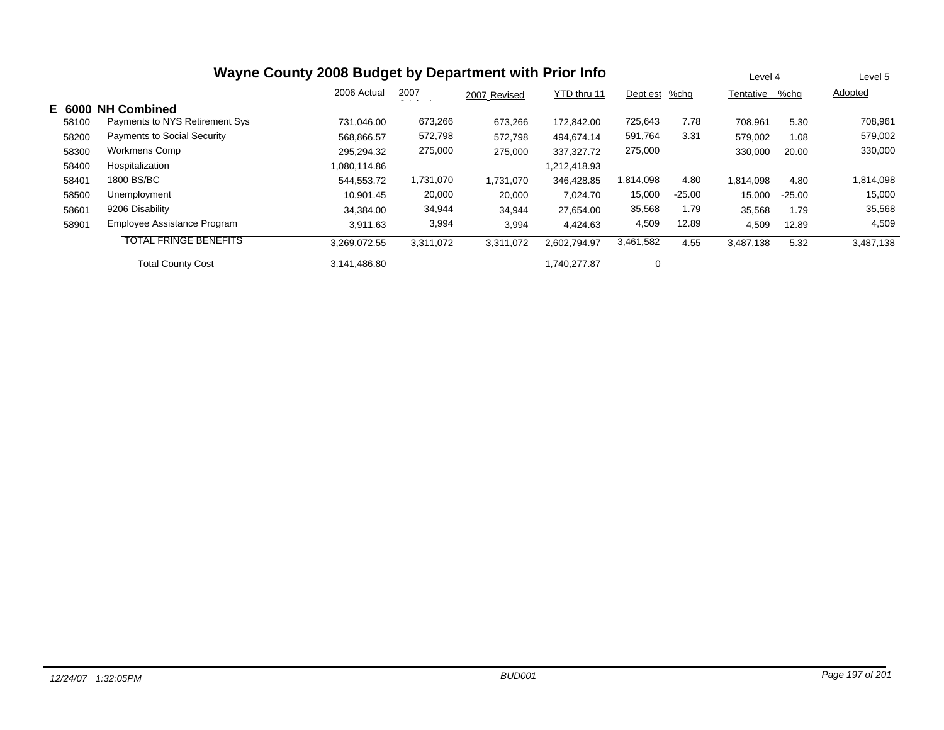| Wayne County 2008 Budget by Department with Prior Info |                                    |              |                    |              |              |           |          |           | Level 4  | Level 5   |  |
|--------------------------------------------------------|------------------------------------|--------------|--------------------|--------------|--------------|-----------|----------|-----------|----------|-----------|--|
|                                                        |                                    | 2006 Actual  | $\frac{2007}{200}$ | 2007 Revised | YTD thru 11  | Dept est  | %chg     | Tentative | %chq     | Adopted   |  |
| E 6000                                                 | <b>NH Combined</b>                 |              |                    |              |              |           |          |           |          |           |  |
| 58100                                                  | Payments to NYS Retirement Sys     | 731.046.00   | 673,266            | 673,266      | 172.842.00   | 725,643   | 7.78     | 708,961   | 5.30     | 708,961   |  |
| 58200                                                  | <b>Payments to Social Security</b> | 568,866.57   | 572,798            | 572,798      | 494.674.14   | 591,764   | 3.31     | 579,002   | 1.08     | 579,002   |  |
| 58300                                                  | <b>Workmens Comp</b>               | 295,294.32   | 275,000            | 275,000      | 337.327.72   | 275,000   |          | 330,000   | 20.00    | 330,000   |  |
| 58400                                                  | Hospitalization                    | 1,080,114.86 |                    |              | 1,212,418.93 |           |          |           |          |           |  |
| 58401                                                  | 1800 BS/BC                         | 544,553.72   | 1,731,070          | 1,731,070    | 346,428.85   | 1,814,098 | 4.80     | 1,814,098 | 4.80     | 1,814,098 |  |
| 58500                                                  | Unemployment                       | 10.901.45    | 20,000             | 20,000       | 7.024.70     | 15,000    | $-25.00$ | 15,000    | $-25.00$ | 15,000    |  |
| 58601                                                  | 9206 Disability                    | 34.384.00    | 34,944             | 34,944       | 27.654.00    | 35,568    | 1.79     | 35,568    | 1.79     | 35,568    |  |
| 58901                                                  | Employee Assistance Program        | 3.911.63     | 3,994              | 3,994        | 4.424.63     | 4,509     | 12.89    | 4,509     | 12.89    | 4,509     |  |
|                                                        | <b>TOTAL FRINGE BENEFITS</b>       | 3,269,072.55 | 3,311,072          | 3,311,072    | 2,602,794.97 | 3,461,582 | 4.55     | 3,487,138 | 5.32     | 3,487,138 |  |
|                                                        | <b>Total County Cost</b>           | 3,141,486.80 |                    |              | 1,740,277.87 | 0         |          |           |          |           |  |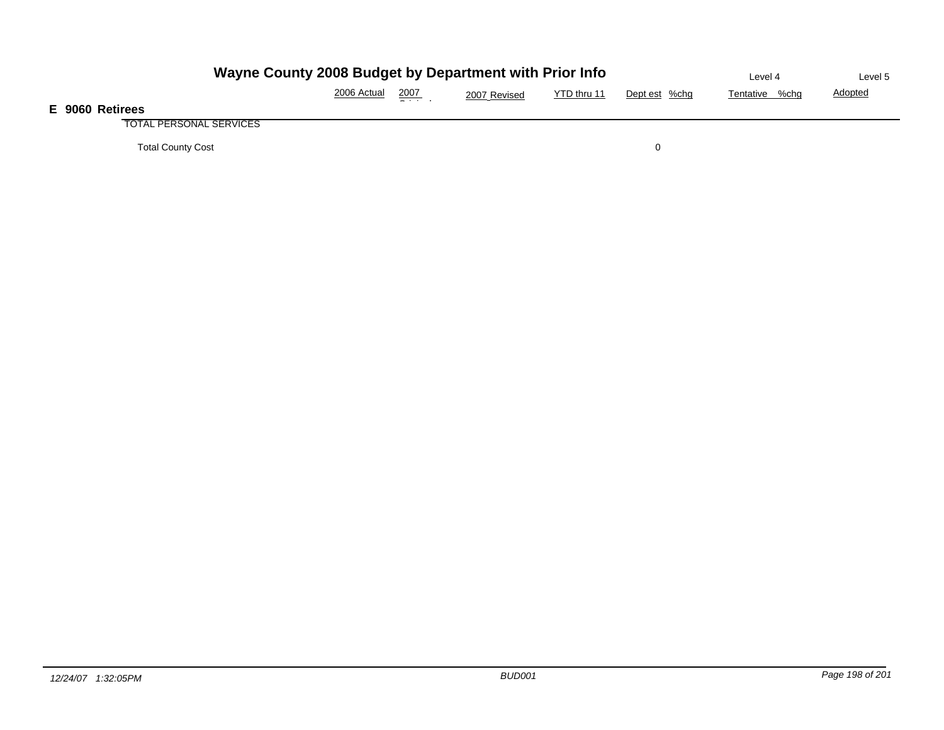|                                | Wayne County 2008 Budget by Department with Prior Info |      |              |             |               |                |                |  |  |  |
|--------------------------------|--------------------------------------------------------|------|--------------|-------------|---------------|----------------|----------------|--|--|--|
|                                | 2006 Actual                                            | 2007 | 2007 Revised | YTD thru 11 | Dept est %chg | Tentative %chg | <b>Adopted</b> |  |  |  |
| E 9060 Retirees                |                                                        |      |              |             |               |                |                |  |  |  |
| <b>TOTAL PERSONAL SERVICES</b> |                                                        |      |              |             |               |                |                |  |  |  |
| <b>Total County Cost</b>       |                                                        |      |              |             |               |                |                |  |  |  |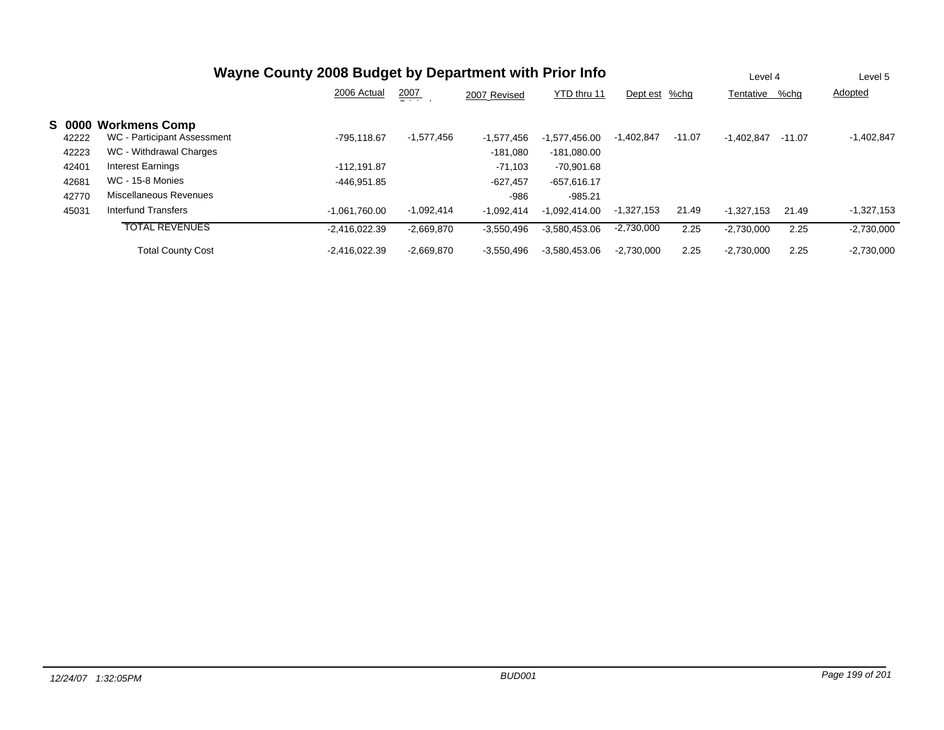| Wayne County 2008 Budget by Department with Prior Info |                             |                 |               |              |                 |               |          |              | Level 4  | Level 5      |
|--------------------------------------------------------|-----------------------------|-----------------|---------------|--------------|-----------------|---------------|----------|--------------|----------|--------------|
|                                                        |                             | 2006 Actual     | 2007<br>- - - | 2007 Revised | YTD thru 11     | Dept est %chg |          | Tentative    | %chg     | Adopted      |
| <b>S 0000</b>                                          | <b>Workmens Comp</b>        |                 |               |              |                 |               |          |              |          |              |
| 42222                                                  | WC - Participant Assessment | -795.118.67     | $-1,577,456$  | $-1,577,456$ | $-1.577.456.00$ | $-1,402,847$  | $-11.07$ | $-1,402,847$ | $-11.07$ | $-1,402,847$ |
| 42223                                                  | WC - Withdrawal Charges     |                 |               | $-181,080$   | $-181.080.00$   |               |          |              |          |              |
| 42401                                                  | <b>Interest Earnings</b>    | $-112.191.87$   |               | $-71,103$    | -70.901.68      |               |          |              |          |              |
| 42681                                                  | <b>WC - 15-8 Monies</b>     | -446.951.85     |               | $-627,457$   | $-657,616.17$   |               |          |              |          |              |
| 42770                                                  | Miscellaneous Revenues      |                 |               | $-986$       | $-985.21$       |               |          |              |          |              |
| 45031                                                  | Interfund Transfers         | $-1.061.760.00$ | $-1,092,414$  | $-1,092,414$ | $-1.092.414.00$ | $-1,327,153$  | 21.49    | $-1.327.153$ | 21.49    | $-1,327,153$ |
|                                                        | <b>TOTAL REVENUES</b>       | $-2.416.022.39$ | $-2,669,870$  | $-3.550.496$ | $-3,580,453.06$ | $-2,730,000$  | 2.25     | $-2.730.000$ | 2.25     | $-2,730,000$ |
|                                                        | <b>Total County Cost</b>    | $-2.416.022.39$ | $-2.669.870$  | $-3.550.496$ | $-3.580.453.06$ | $-2.730.000$  | 2.25     | $-2,730,000$ | 2.25     | $-2,730,000$ |

**S**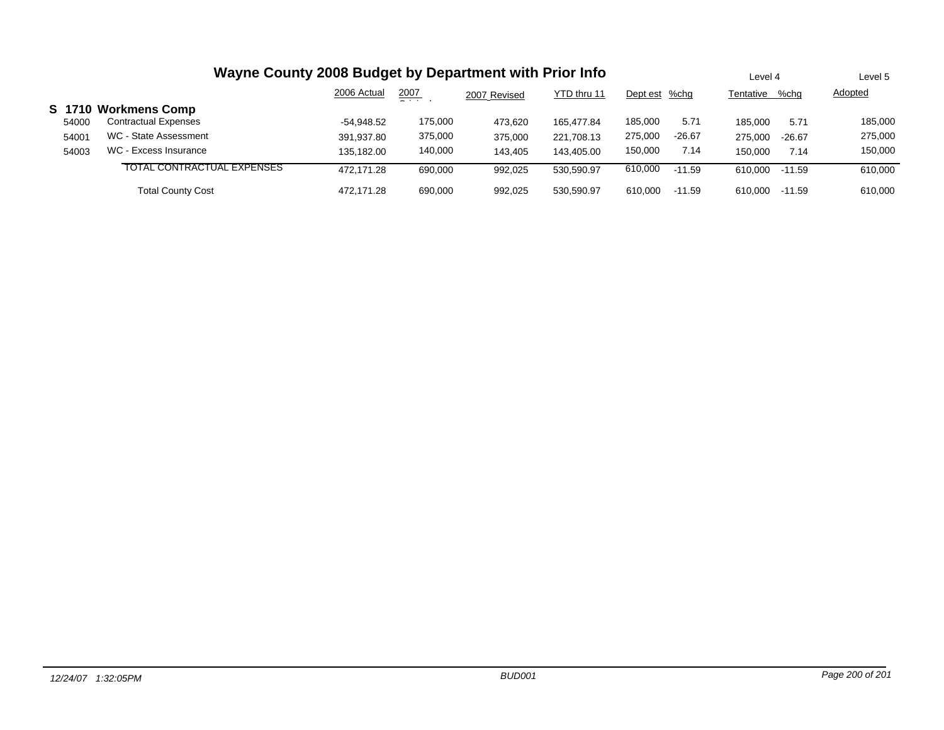| Wayne County 2008 Budget by Department with Prior Info |                             |              |               |              |             |               |          |           | Level 4  | Level 5 |
|--------------------------------------------------------|-----------------------------|--------------|---------------|--------------|-------------|---------------|----------|-----------|----------|---------|
|                                                        |                             | 2006 Actual  | 2007<br>- - - | 2007 Revised | YTD thru 11 | Dept est %chg |          | Tentative | %chg     | Adopted |
|                                                        | S 1710 Workmens Comp        |              |               |              |             |               |          |           |          |         |
| 54000                                                  | <b>Contractual Expenses</b> | $-54.948.52$ | 175.000       | 473.620      | 165.477.84  | 185.000       | 5.71     | 185.000   | 5.71     | 185,000 |
| 54001                                                  | WC - State Assessment       | 391.937.80   | 375,000       | 375,000      | 221.708.13  | 275,000       | $-26.67$ | 275,000   | $-26.67$ | 275,000 |
| 54003                                                  | WC - Excess Insurance       | 135.182.00   | 140,000       | 143.405      | 143.405.00  | 150,000       | 7.14     | 150.000   | 7.14     | 150,000 |
|                                                        | TOTAL CONTRACTUAL EXPENSES  | 472.171.28   | 690,000       | 992,025      | 530.590.97  | 610,000       | $-11.59$ | 610.000   | $-11.59$ | 610,000 |
|                                                        | <b>Total County Cost</b>    | 472.171.28   | 690,000       | 992.025      | 530.590.97  | 610.000       | $-11.59$ | 610.000   | $-11.59$ | 610,000 |